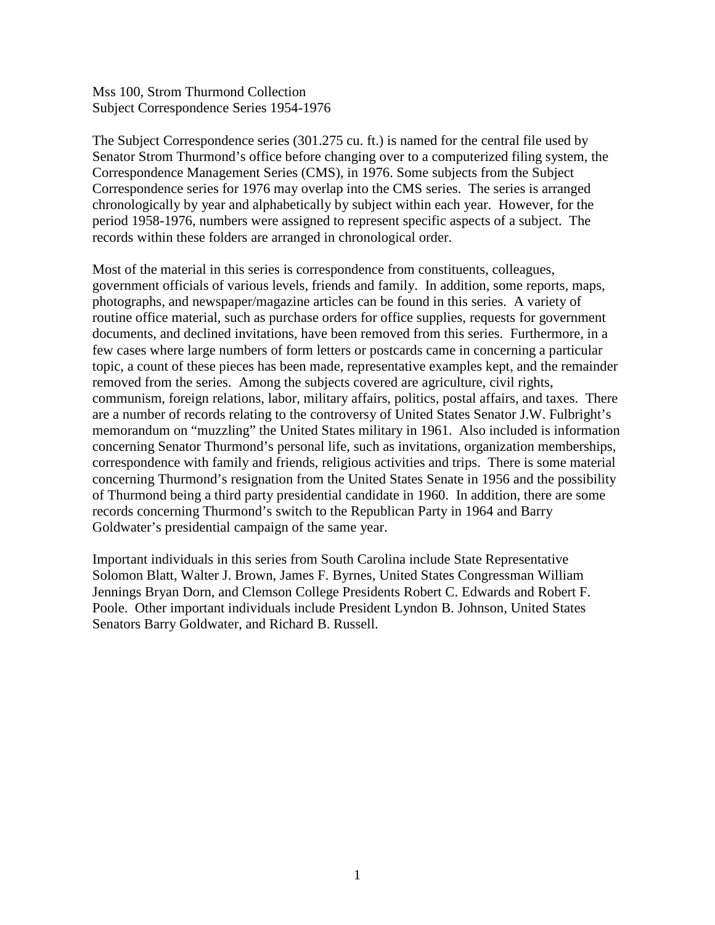The Subject Correspondence series (301.275 cu. ft.) is named for the central file used by Senator Strom Thurmond's office before changing over to a computerized filing system, the Correspondence Management Series (CMS), in 1976. Some subjects from the Subject Correspondence series for 1976 may overlap into the CMS series. The series is arranged chronologically by year and alphabetically by subject within each year. However, for the period 1958-1976, numbers were assigned to represent specific aspects of a subject. The records within these folders are arranged in chronological order.

Most of the material in this series is correspondence from constituents, colleagues, government officials of various levels, friends and family. In addition, some reports, maps, photographs, and newspaper/magazine articles can be found in this series. A variety of routine office material, such as purchase orders for office supplies, requests for government documents, and declined invitations, have been removed from this series. Furthermore, in a few cases where large numbers of form letters or postcards came in concerning a particular topic, a count of these pieces has been made, representative examples kept, and the remainder removed from the series. Among the subjects covered are agriculture, civil rights, communism, foreign relations, labor, military affairs, politics, postal affairs, and taxes. There are a number of records relating to the controversy of United States Senator J.W. Fulbright's memorandum on "muzzling" the United States military in 1961. Also included is information concerning Senator Thurmond's personal life, such as invitations, organization memberships, correspondence with family and friends, religious activities and trips. There is some material concerning Thurmond's resignation from the United States Senate in 1956 and the possibility of Thurmond being a third party presidential candidate in 1960. In addition, there are some records concerning Thurmond's switch to the Republican Party in 1964 and Barry Goldwater's presidential campaign of the same year.

Important individuals in this series from South Carolina include State Representative Solomon Blatt, Walter J. Brown, James F. Byrnes, United States Congressman William Jennings Bryan Dorn, and Clemson College Presidents Robert C. Edwards and Robert F. Poole. Other important individuals include President Lyndon B. Johnson, United States Senators Barry Goldwater, and Richard B. Russell.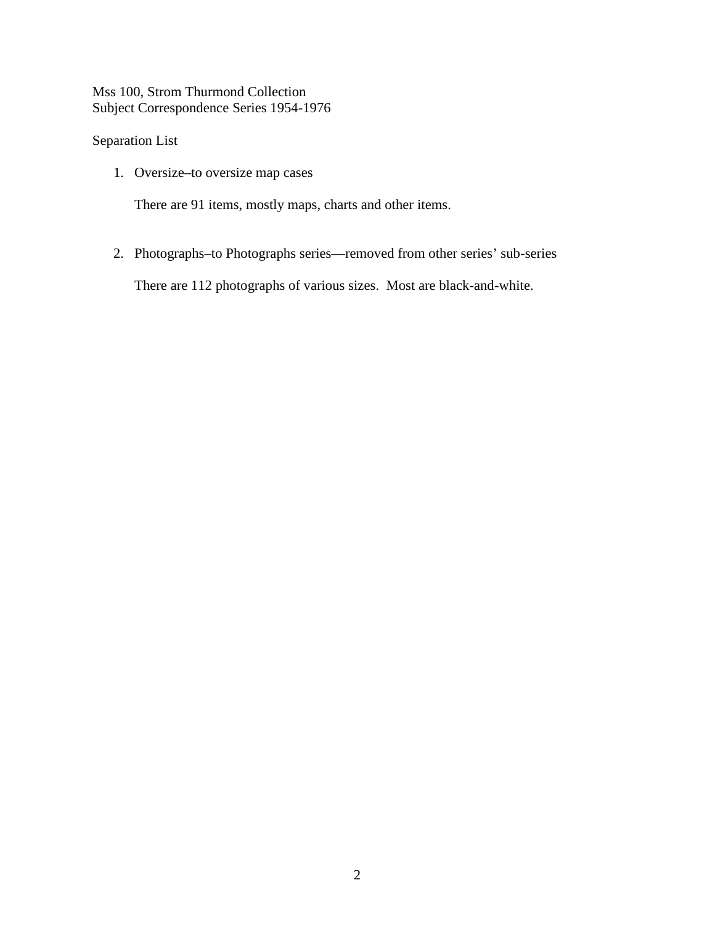#### Separation List

1. Oversize–to oversize map cases

There are 91 items, mostly maps, charts and other items.

2. Photographs–to Photographs series—removed from other series' sub-series

There are 112 photographs of various sizes. Most are black-and-white.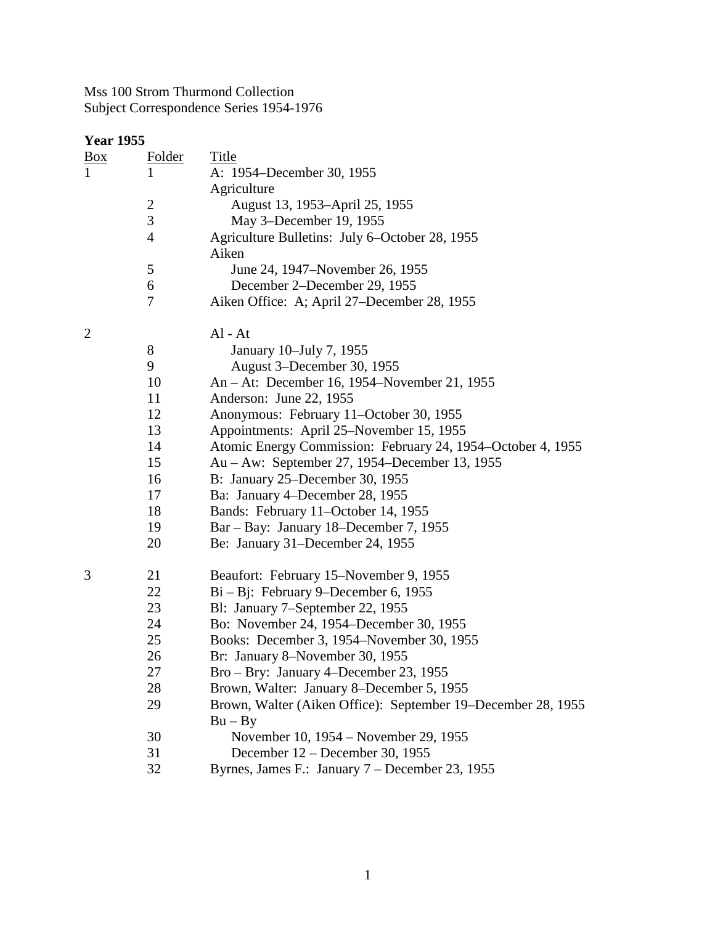| <b>Year 1955</b> |                |                                                              |
|------------------|----------------|--------------------------------------------------------------|
| $\frac{Box}{}$   | Folder         | Title                                                        |
| $\mathbf{1}$     | 1              | A: 1954–December 30, 1955                                    |
|                  |                | Agriculture                                                  |
|                  | $\overline{c}$ | August 13, 1953–April 25, 1955                               |
|                  | $\overline{3}$ | May 3–December 19, 1955                                      |
|                  | $\overline{4}$ | Agriculture Bulletins: July 6–October 28, 1955               |
|                  |                | Aiken                                                        |
|                  | 5              | June 24, 1947–November 26, 1955                              |
|                  | 6              | December 2–December 29, 1955                                 |
|                  | 7              | Aiken Office: A; April 27-December 28, 1955                  |
| $\overline{2}$   |                | $Al - At$                                                    |
|                  | 8              | January 10–July 7, 1955                                      |
|                  | 9              | August 3–December 30, 1955                                   |
|                  | 10             | An – At: December 16, 1954–November 21, 1955                 |
|                  | 11             | Anderson: June 22, 1955                                      |
|                  | 12             | Anonymous: February 11-October 30, 1955                      |
|                  | 13             | Appointments: April 25–November 15, 1955                     |
|                  | 14             | Atomic Energy Commission: February 24, 1954–October 4, 1955  |
|                  | 15             | Au – Aw: September 27, 1954–December 13, 1955                |
|                  | 16             | B: January 25–December 30, 1955                              |
|                  | 17             | Ba: January 4–December 28, 1955                              |
|                  | 18             | Bands: February 11-October 14, 1955                          |
|                  | 19             | Bar – Bay: January 18–December 7, 1955                       |
|                  | 20             | Be: January 31–December 24, 1955                             |
| 3                | 21             | Beaufort: February 15–November 9, 1955                       |
|                  | 22             | $Bi - Bj$ : February 9–December 6, 1955                      |
|                  | 23             | Bl: January 7-September 22, 1955                             |
|                  | 24             | Bo: November 24, 1954–December 30, 1955                      |
|                  | 25             | Books: December 3, 1954–November 30, 1955                    |
|                  | 26             | Br: January 8–November 30, 1955                              |
|                  | 27             | Bro – Bry: January 4–December 23, 1955                       |
|                  | 28             | Brown, Walter: January 8–December 5, 1955                    |
|                  | 29             | Brown, Walter (Aiken Office): September 19–December 28, 1955 |
|                  |                | $Bu - By$                                                    |
|                  | 30             | November 10, 1954 – November 29, 1955                        |
|                  | 31             | December 12 – December 30, 1955                              |
|                  | 32             | Byrnes, James F.: January 7 – December 23, 1955              |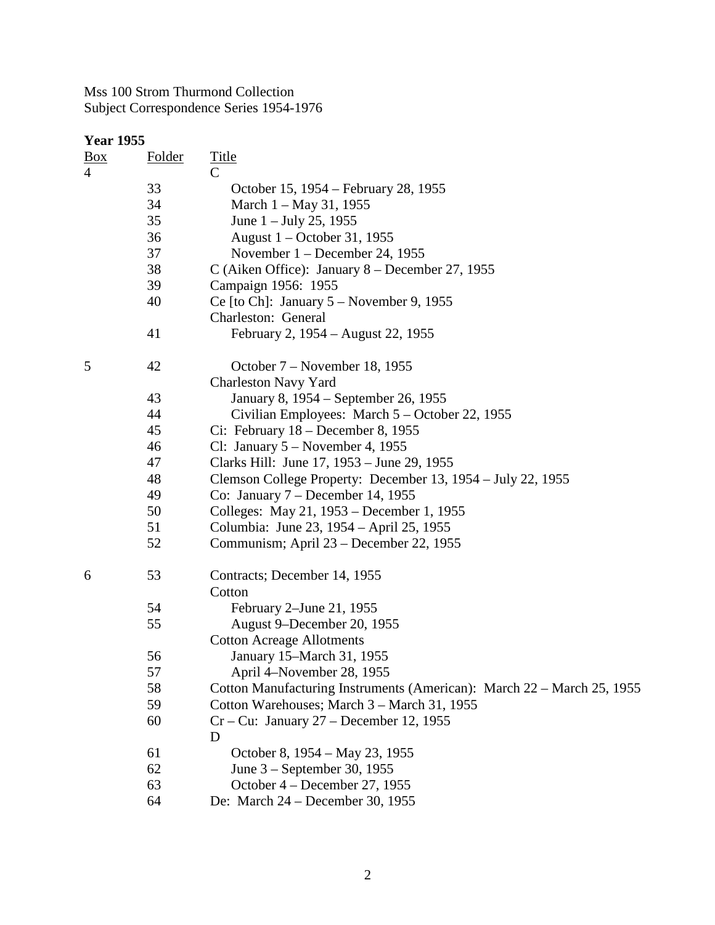| <b>Year 1955</b>  |               |                                                                        |
|-------------------|---------------|------------------------------------------------------------------------|
| $\underline{Box}$ | <u>Folder</u> | <b>Title</b>                                                           |
| $\overline{4}$    |               | $\mathcal{C}$                                                          |
|                   | 33            | October 15, 1954 – February 28, 1955                                   |
|                   | 34            | March 1 – May 31, 1955                                                 |
|                   | 35            | June $1 -$ July 25, 1955                                               |
|                   | 36            | August 1 – October 31, 1955                                            |
|                   | 37            | November $1 -$ December 24, 1955                                       |
|                   | 38            | C (Aiken Office): January 8 - December 27, 1955                        |
|                   | 39            | Campaign 1956: 1955                                                    |
|                   | 40            | Ce [to Ch]: January $5 -$ November 9, 1955                             |
|                   |               | Charleston: General                                                    |
|                   | 41            | February 2, 1954 – August 22, 1955                                     |
| 5                 | 42            | October 7 - November 18, 1955                                          |
|                   |               | <b>Charleston Navy Yard</b>                                            |
|                   | 43            | January 8, 1954 – September 26, 1955                                   |
|                   | 44            | Civilian Employees: March 5 – October 22, 1955                         |
|                   | 45            | Ci: February $18$ – December 8, 1955                                   |
|                   | 46            | Cl: January $5 -$ November 4, 1955                                     |
|                   | 47            | Clarks Hill: June 17, 1953 – June 29, 1955                             |
|                   | 48            | Clemson College Property: December 13, 1954 – July 22, 1955            |
|                   | 49            | Co: January $7 - December 14, 1955$                                    |
|                   | 50            | Colleges: May 21, 1953 – December 1, 1955                              |
|                   | 51            | Columbia: June 23, 1954 – April 25, 1955                               |
|                   | 52            | Communism; April 23 – December 22, 1955                                |
| 6                 | 53            | Contracts; December 14, 1955                                           |
|                   |               | Cotton                                                                 |
|                   | 54            | February 2–June 21, 1955                                               |
|                   | 55            | August 9–December 20, 1955                                             |
|                   |               | <b>Cotton Acreage Allotments</b>                                       |
|                   | 56            | January 15–March 31, 1955                                              |
|                   | 57            | April 4–November 28, 1955                                              |
|                   | 58            | Cotton Manufacturing Instruments (American): March 22 – March 25, 1955 |
|                   | 59            | Cotton Warehouses; March 3 - March 31, 1955                            |
|                   | 60            | $Cr - Cu$ : January 27 – December 12, 1955<br>D                        |
|                   | 61            | October 8, 1954 – May 23, 1955                                         |
|                   | 62            | June 3 – September 30, 1955                                            |
|                   | 63            | October 4 – December 27, 1955                                          |
|                   | 64            | De: March 24 – December 30, 1955                                       |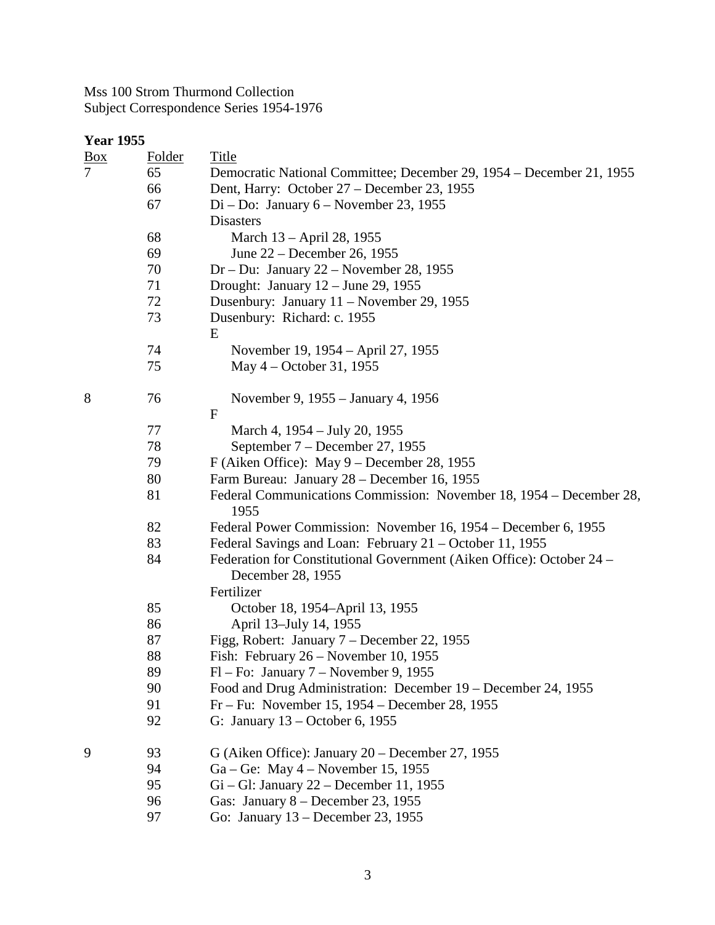|                   | <b>Year 1955</b> |                                                                                            |  |  |  |
|-------------------|------------------|--------------------------------------------------------------------------------------------|--|--|--|
| $\underline{Box}$ | <b>Folder</b>    | <b>Title</b>                                                                               |  |  |  |
| 7                 | 65               | Democratic National Committee; December 29, 1954 – December 21, 1955                       |  |  |  |
|                   | 66               | Dent, Harry: October 27 – December 23, 1955                                                |  |  |  |
|                   | 67               | $Di - Do: January 6 - November 23, 1955$                                                   |  |  |  |
|                   |                  | <b>Disasters</b>                                                                           |  |  |  |
|                   | 68               | March 13 – April 28, 1955                                                                  |  |  |  |
|                   | 69               | June 22 – December 26, 1955                                                                |  |  |  |
|                   | 70               | Dr – Du: January 22 – November 28, 1955                                                    |  |  |  |
|                   | 71               | Drought: January $12 -$ June 29, 1955                                                      |  |  |  |
|                   | 72               | Dusenbury: January 11 – November 29, 1955                                                  |  |  |  |
|                   | 73               | Dusenbury: Richard: c. 1955<br>E                                                           |  |  |  |
|                   | 74               | November 19, 1954 – April 27, 1955                                                         |  |  |  |
|                   | 75               | May 4 – October 31, 1955                                                                   |  |  |  |
| 8                 | 76               | November 9, 1955 – January 4, 1956<br>$\mathbf{F}$                                         |  |  |  |
|                   | 77               | March 4, 1954 – July 20, 1955                                                              |  |  |  |
|                   | 78               | September 7 – December 27, 1955                                                            |  |  |  |
|                   | 79               | F (Aiken Office): May $9$ – December 28, 1955                                              |  |  |  |
|                   | 80               | Farm Bureau: January 28 – December 16, 1955                                                |  |  |  |
|                   | 81               | Federal Communications Commission: November 18, 1954 – December 28,<br>1955                |  |  |  |
|                   | 82               | Federal Power Commission: November 16, 1954 – December 6, 1955                             |  |  |  |
|                   | 83               | Federal Savings and Loan: February 21 - October 11, 1955                                   |  |  |  |
|                   | 84               | Federation for Constitutional Government (Aiken Office): October 24 –<br>December 28, 1955 |  |  |  |
|                   |                  | Fertilizer                                                                                 |  |  |  |
|                   | 85               | October 18, 1954–April 13, 1955                                                            |  |  |  |
|                   | 86               | April 13-July 14, 1955                                                                     |  |  |  |
|                   | 87               | Figg, Robert: January 7 – December 22, 1955                                                |  |  |  |
|                   | 88               | Fish: February 26 – November 10, 1955                                                      |  |  |  |
|                   | 89               | $Fl$ – Fo: January $7$ – November 9, 1955                                                  |  |  |  |
|                   | 90               | Food and Drug Administration: December 19 – December 24, 1955                              |  |  |  |
|                   | 91               | $Fr - Fu$ : November 15, 1954 – December 28, 1955                                          |  |  |  |
|                   | 92               | G: January $13$ – October 6, 1955                                                          |  |  |  |
| 9                 | 93               | G (Aiken Office): January $20$ – December 27, 1955                                         |  |  |  |
|                   | 94               | $Ga - Ge$ : May 4 – November 15, 1955                                                      |  |  |  |
|                   | 95               | $Gi - Gl$ : January 22 – December 11, 1955                                                 |  |  |  |
|                   | 96               | Gas: January $8 -$ December 23, 1955                                                       |  |  |  |

97 Go: January 13 – December 23, 1955

3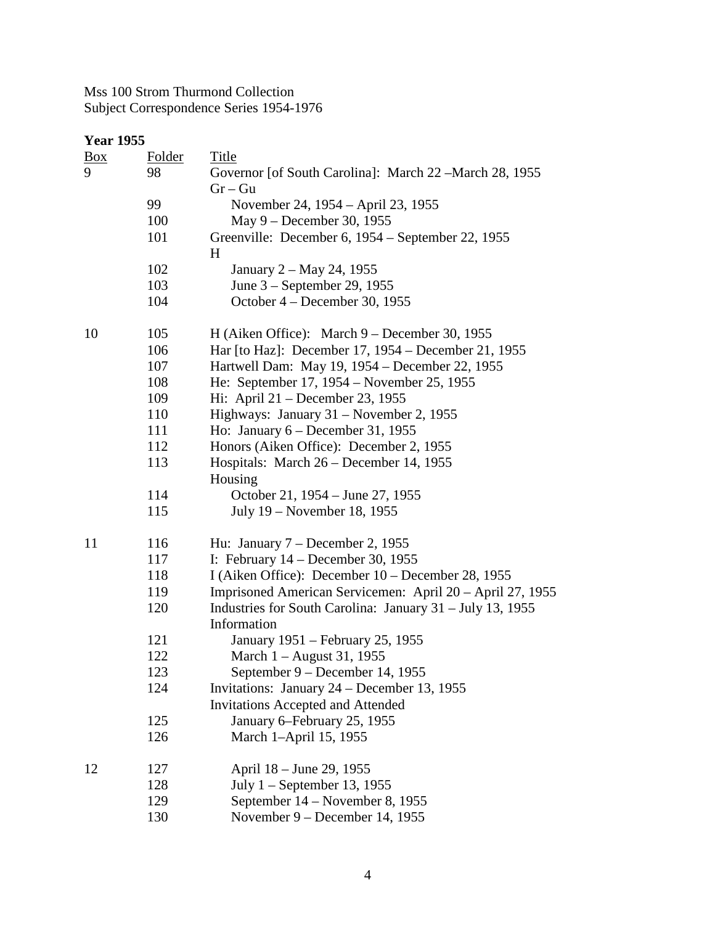| <b>Year 1955</b> |               |                                                                          |
|------------------|---------------|--------------------------------------------------------------------------|
| $\frac{Box}{}$   | <b>Folder</b> | <b>Title</b>                                                             |
| 9                | 98            | Governor [of South Carolina]: March 22 – March 28, 1955<br>$Gr - Gu$     |
|                  | 99            | November 24, 1954 – April 23, 1955                                       |
|                  | 100           | May 9 – December 30, 1955                                                |
|                  | 101           | Greenville: December 6, 1954 – September 22, 1955                        |
|                  |               | H                                                                        |
|                  | 102           | January 2 – May 24, 1955                                                 |
|                  | 103           | June 3 – September 29, 1955                                              |
|                  | 104           | October 4 – December 30, 1955                                            |
| 10               | 105           | H (Aiken Office): March $9 -$ December 30, 1955                          |
|                  | 106           | Har [to Haz]: December 17, 1954 – December 21, 1955                      |
|                  | 107           | Hartwell Dam: May 19, 1954 – December 22, 1955                           |
|                  | 108           | He: September 17, 1954 – November 25, 1955                               |
|                  | 109           | Hi: April 21 – December 23, 1955                                         |
|                  | 110           | Highways: January 31 – November 2, 1955                                  |
|                  | 111           | Ho: January $6 - December 31, 1955$                                      |
|                  | 112           | Honors (Aiken Office): December 2, 1955                                  |
|                  | 113           | Hospitals: March 26 – December 14, 1955<br>Housing                       |
|                  | 114           | October 21, 1954 – June 27, 1955                                         |
|                  | 115           | July 19 – November 18, 1955                                              |
| 11               | 116           | Hu: January $7 - December 2, 1955$                                       |
|                  | 117           | I: February $14$ – December 30, 1955                                     |
|                  | 118           | I (Aiken Office): December $10$ – December 28, 1955                      |
|                  | 119           | Imprisoned American Servicemen: April 20 – April 27, 1955                |
|                  | 120           | Industries for South Carolina: January 31 – July 13, 1955<br>Information |
|                  | 121           | January 1951 - February 25, 1955                                         |
|                  | 122           | March 1 - August 31, 1955                                                |
|                  | 123           | September 9 – December 14, 1955                                          |
|                  | 124           | Invitations: January 24 – December 13, 1955                              |
|                  |               | <b>Invitations Accepted and Attended</b>                                 |
|                  | 125           | January 6–February 25, 1955                                              |
|                  | 126           | March 1-April 15, 1955                                                   |
| 12               | 127           | April 18 - June 29, 1955                                                 |
|                  | 128           | July $1$ – September 13, 1955                                            |
|                  | 129           | September 14 – November 8, 1955                                          |
|                  | 130           | November 9 – December 14, 1955                                           |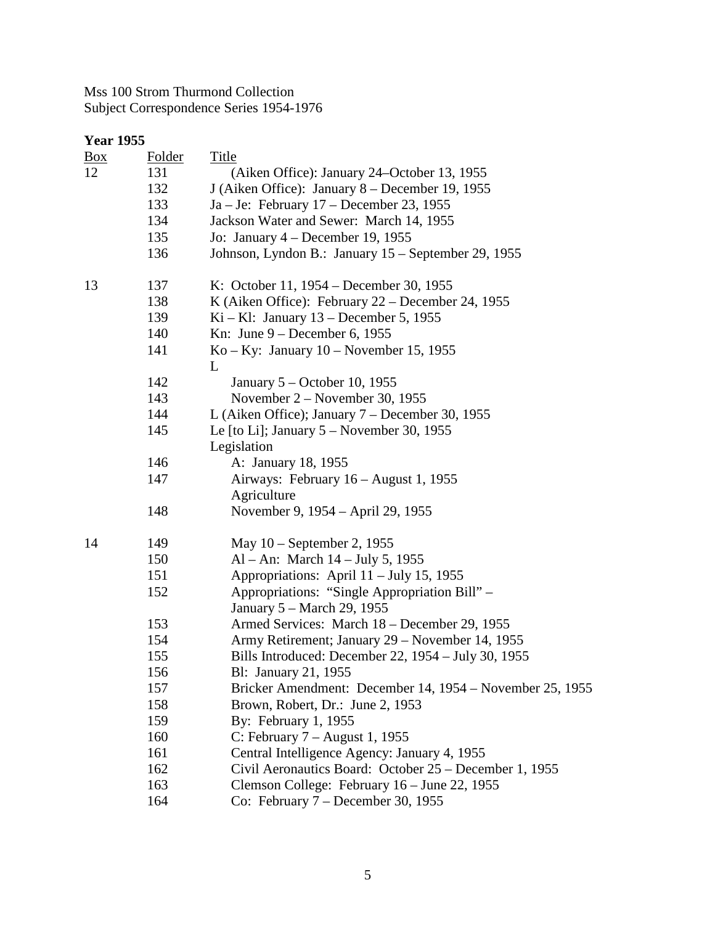| <b>Year 1955</b> |               |                                                            |
|------------------|---------------|------------------------------------------------------------|
| <u>Box</u>       | <b>Folder</b> | <b>Title</b>                                               |
| 12               | 131           | (Aiken Office): January 24–October 13, 1955                |
|                  | 132           | J (Aiken Office): January 8 – December 19, 1955            |
|                  | 133           | Ja – Je: February 17 – December 23, 1955                   |
|                  | 134           | Jackson Water and Sewer: March 14, 1955                    |
|                  | 135           | Jo: January $4$ – December 19, 1955                        |
|                  | 136           | Johnson, Lyndon B.: January 15 – September 29, 1955        |
| 13               | 137           | K: October 11, 1954 – December 30, 1955                    |
|                  | 138           | K (Aiken Office): February $22$ – December 24, 1955        |
|                  | 139           | $Ki - Kl$ : January 13 – December 5, 1955                  |
|                  | 140           | Kn: June $9$ – December 6, 1955                            |
|                  | 141           | $Ko - Ky$ : January 10 – November 15, 1955<br>L            |
|                  | 142           | January 5 – October 10, 1955                               |
|                  | 143           | November $2 -$ November 30, 1955                           |
|                  | 144           | L (Aiken Office); January $7 -$ December 30, 1955          |
|                  | 145           | Le [to Li]; January $5 -$ November 30, 1955<br>Legislation |
|                  | 146           | A: January 18, 1955                                        |
|                  | 147           | Airways: February 16 – August 1, 1955                      |
|                  |               | Agriculture                                                |
|                  | 148           | November 9, 1954 – April 29, 1955                          |
| 14               | 149           | May 10 - September 2, 1955                                 |
|                  | 150           | Al – An: March $14$ – July 5, 1955                         |
|                  | 151           | Appropriations: April 11 – July 15, 1955                   |
|                  | 152           | Appropriations: "Single Appropriation Bill" -              |
|                  |               | January 5 – March 29, 1955                                 |
|                  | 153           | Armed Services: March 18 – December 29, 1955               |
|                  | 154           | Army Retirement; January 29 – November 14, 1955            |
|                  | 155           | Bills Introduced: December 22, 1954 – July 30, 1955        |
|                  | 156           | Bl: January 21, 1955                                       |
|                  | 157           | Bricker Amendment: December 14, 1954 – November 25, 1955   |
|                  | 158           | Brown, Robert, Dr.: June 2, 1953                           |
|                  | 159           | By: February 1, 1955                                       |
|                  | 160           | C: February $7 -$ August 1, 1955                           |
|                  | 161           | Central Intelligence Agency: January 4, 1955               |
|                  | 162           | Civil Aeronautics Board: October 25 – December 1, 1955     |
|                  | 163           | Clemson College: February 16 - June 22, 1955               |
|                  | 164           | Co: February $7 - December 30, 1955$                       |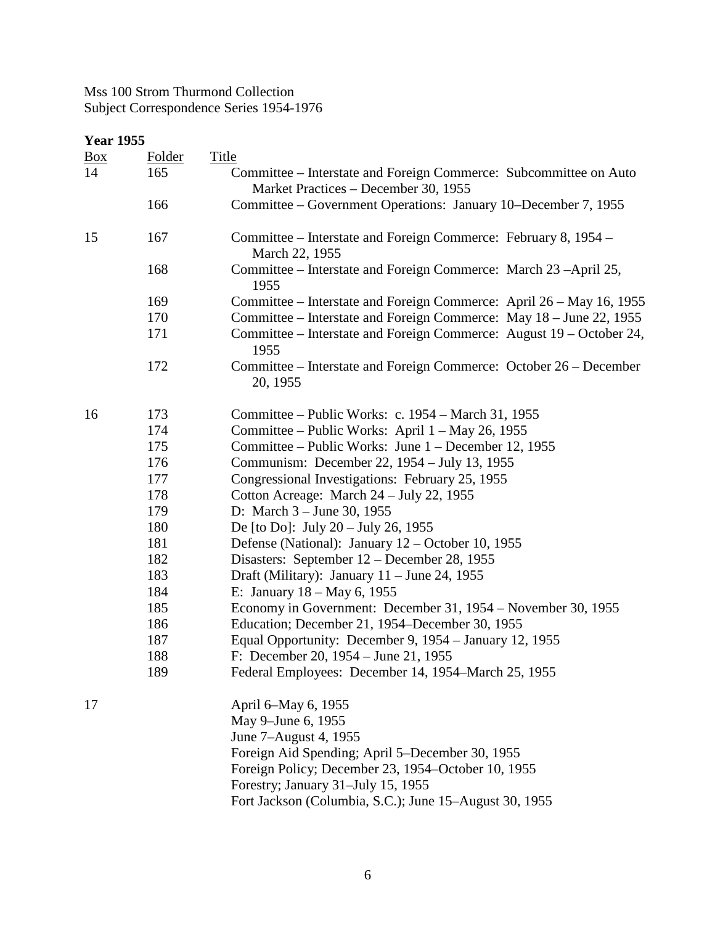| <b>Year 1955</b> |               |                                                                                                           |
|------------------|---------------|-----------------------------------------------------------------------------------------------------------|
| $\frac{Box}{}$   | <b>Folder</b> | <b>Title</b>                                                                                              |
| 14               | 165           | Committee – Interstate and Foreign Commerce: Subcommittee on Auto<br>Market Practices - December 30, 1955 |
|                  | 166           | Committee - Government Operations: January 10-December 7, 1955                                            |
| 15               | 167           | Committee – Interstate and Foreign Commerce: February 8, 1954 –<br>March 22, 1955                         |
|                  | 168           | Committee – Interstate and Foreign Commerce: March 23 – April 25,<br>1955                                 |
|                  | 169           | Committee – Interstate and Foreign Commerce: April 26 – May 16, 1955                                      |
|                  | 170           | Committee – Interstate and Foreign Commerce: May 18 – June 22, 1955                                       |
|                  | 171           | Committee – Interstate and Foreign Commerce: August 19 – October 24,<br>1955                              |
|                  | 172           | Committee – Interstate and Foreign Commerce: October 26 – December<br>20, 1955                            |
| 16               | 173           | Committee – Public Works: c. 1954 – March 31, 1955                                                        |
|                  | 174           | Committee – Public Works: April 1 – May 26, 1955                                                          |
|                  | 175           | Committee – Public Works: June 1 – December 12, 1955                                                      |
|                  | 176           | Communism: December 22, 1954 – July 13, 1955                                                              |
|                  | 177           | Congressional Investigations: February 25, 1955                                                           |
|                  | 178           | Cotton Acreage: March 24 – July 22, 1955                                                                  |
|                  | 179           | D: March $3 -$ June 30, 1955                                                                              |
|                  | 180           | De [to Do]: July 20 – July 26, 1955                                                                       |
|                  | 181           | Defense (National): January $12 -$ October 10, 1955                                                       |
|                  | 182           | Disasters: September 12 – December 28, 1955                                                               |
|                  | 183           | Draft (Military): January $11 -$ June 24, 1955                                                            |
|                  | 184           | E: January $18 - May 6$ , 1955                                                                            |
|                  | 185           | Economy in Government: December 31, 1954 – November 30, 1955                                              |
|                  | 186           | Education; December 21, 1954–December 30, 1955                                                            |
|                  | 187           | Equal Opportunity: December 9, 1954 – January 12, 1955                                                    |
|                  | 188           | F: December 20, $1954 - June 21$ , $1955$                                                                 |
|                  | 189           | Federal Employees: December 14, 1954–March 25, 1955                                                       |
| 17               |               | April 6–May 6, 1955                                                                                       |
|                  |               | May 9-June 6, 1955                                                                                        |
|                  |               | June 7-August 4, 1955                                                                                     |
|                  |               | Foreign Aid Spending; April 5–December 30, 1955                                                           |
|                  |               | Foreign Policy; December 23, 1954–October 10, 1955                                                        |
|                  |               | Forestry; January 31-July 15, 1955                                                                        |
|                  |               | Fort Jackson (Columbia, S.C.); June 15–August 30, 1955                                                    |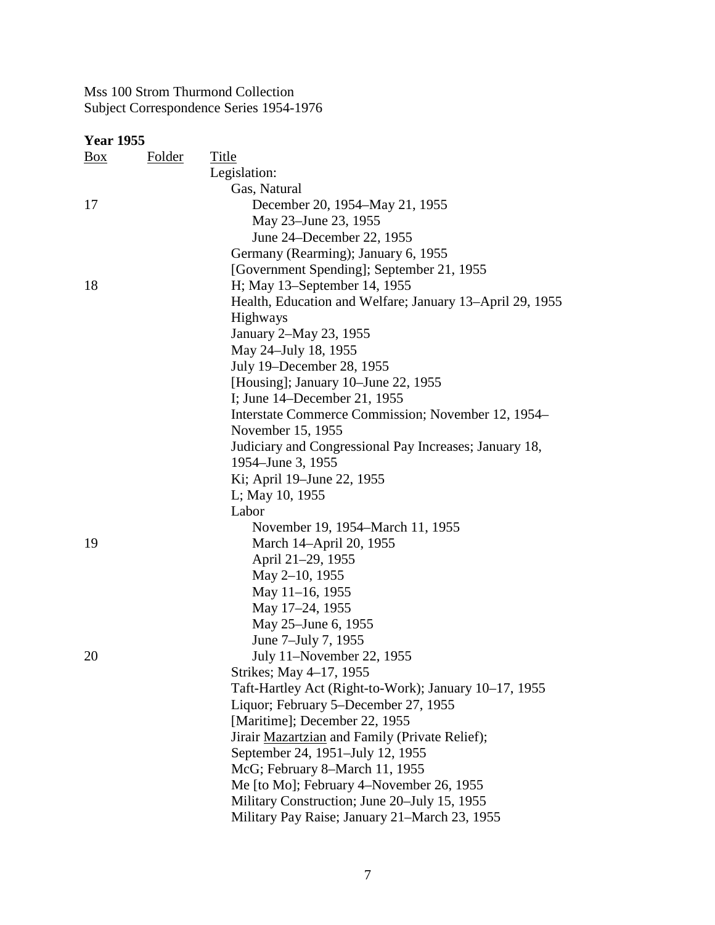| <b>Year 1955</b> |        |                                                          |
|------------------|--------|----------------------------------------------------------|
| $\frac{Box}{}$   | Folder | Title                                                    |
|                  |        | Legislation:                                             |
|                  |        | Gas, Natural                                             |
| 17               |        | December 20, 1954–May 21, 1955                           |
|                  |        | May 23–June 23, 1955                                     |
|                  |        | June 24–December 22, 1955                                |
|                  |        | Germany (Rearming); January 6, 1955                      |
|                  |        | [Government Spending]; September 21, 1955                |
| 18               |        | H; May 13–September 14, 1955                             |
|                  |        | Health, Education and Welfare; January 13-April 29, 1955 |
|                  |        | Highways                                                 |
|                  |        | January 2-May 23, 1955                                   |
|                  |        | May 24-July 18, 1955                                     |
|                  |        | July 19–December 28, 1955                                |
|                  |        | [Housing]; January 10–June 22, 1955                      |
|                  |        | I; June 14–December 21, 1955                             |
|                  |        | Interstate Commerce Commission; November 12, 1954–       |
|                  |        | November 15, 1955                                        |
|                  |        | Judiciary and Congressional Pay Increases; January 18,   |
|                  |        | 1954–June 3, 1955                                        |
|                  |        | Ki; April 19-June 22, 1955                               |
|                  |        | L; May 10, 1955                                          |
|                  |        | Labor                                                    |
|                  |        | November 19, 1954–March 11, 1955                         |
| 19               |        | March 14-April 20, 1955                                  |
|                  |        | April 21-29, 1955                                        |
|                  |        | May 2-10, 1955                                           |
|                  |        | May 11-16, 1955                                          |
|                  |        | May 17-24, 1955                                          |
|                  |        | May 25-June 6, 1955                                      |
|                  |        | June 7-July 7, 1955                                      |
| 20               |        | July 11-November 22, 1955                                |
|                  |        | Strikes; May 4–17, 1955                                  |
|                  |        | Taft-Hartley Act (Right-to-Work); January 10–17, 1955    |
|                  |        | Liquor; February 5–December 27, 1955                     |
|                  |        | [Maritime]; December 22, 1955                            |
|                  |        | Jirair Mazartzian and Family (Private Relief);           |
|                  |        | September 24, 1951–July 12, 1955                         |
|                  |        | McG; February 8–March 11, 1955                           |
|                  |        | Me [to Mo]; February 4–November 26, 1955                 |
|                  |        | Military Construction; June 20–July 15, 1955             |
|                  |        | Military Pay Raise; January 21–March 23, 1955            |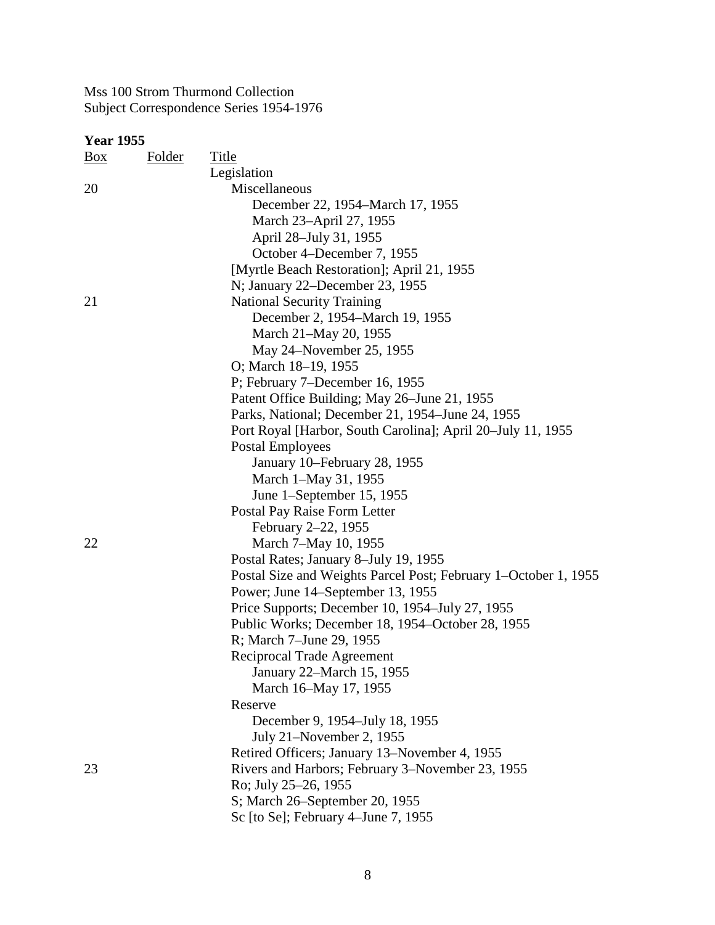| $\frac{Box}{}$ | <b>Folder</b> | <b>Title</b>                                                    |
|----------------|---------------|-----------------------------------------------------------------|
|                |               | Legislation                                                     |
| 20             |               | Miscellaneous                                                   |
|                |               | December 22, 1954–March 17, 1955                                |
|                |               | March 23–April 27, 1955                                         |
|                |               | April 28–July 31, 1955                                          |
|                |               | October 4–December 7, 1955                                      |
|                |               | [Myrtle Beach Restoration]; April 21, 1955                      |
|                |               | N; January 22–December 23, 1955                                 |
| 21             |               | <b>National Security Training</b>                               |
|                |               | December 2, 1954–March 19, 1955                                 |
|                |               | March 21-May 20, 1955                                           |
|                |               | May 24–November 25, 1955                                        |
|                |               | O; March 18–19, 1955                                            |
|                |               | P; February 7-December 16, 1955                                 |
|                |               | Patent Office Building; May 26–June 21, 1955                    |
|                |               | Parks, National; December 21, 1954–June 24, 1955                |
|                |               | Port Royal [Harbor, South Carolina]; April 20–July 11, 1955     |
|                |               | <b>Postal Employees</b>                                         |
|                |               | January 10–February 28, 1955                                    |
|                |               | March 1-May 31, 1955                                            |
|                |               | June 1-September 15, 1955                                       |
|                |               | Postal Pay Raise Form Letter                                    |
|                |               | February 2–22, 1955                                             |
| 22             |               | March 7–May 10, 1955                                            |
|                |               | Postal Rates; January 8-July 19, 1955                           |
|                |               | Postal Size and Weights Parcel Post; February 1-October 1, 1955 |
|                |               | Power; June 14–September 13, 1955                               |
|                |               | Price Supports; December 10, 1954–July 27, 1955                 |
|                |               | Public Works; December 18, 1954–October 28, 1955                |
|                |               | R; March 7-June 29, 1955                                        |
|                |               | Reciprocal Trade Agreement                                      |
|                |               | January 22-March 15, 1955                                       |
|                |               | March 16-May 17, 1955                                           |
|                |               | Reserve                                                         |
|                |               | December 9, 1954–July 18, 1955                                  |
|                |               | July 21–November 2, 1955                                        |
|                |               | Retired Officers; January 13–November 4, 1955                   |
| 23             |               | Rivers and Harbors; February 3–November 23, 1955                |
|                |               | Ro; July 25–26, 1955                                            |
|                |               | S; March 26–September 20, 1955                                  |
|                |               | Sc [to Se]; February 4–June 7, 1955                             |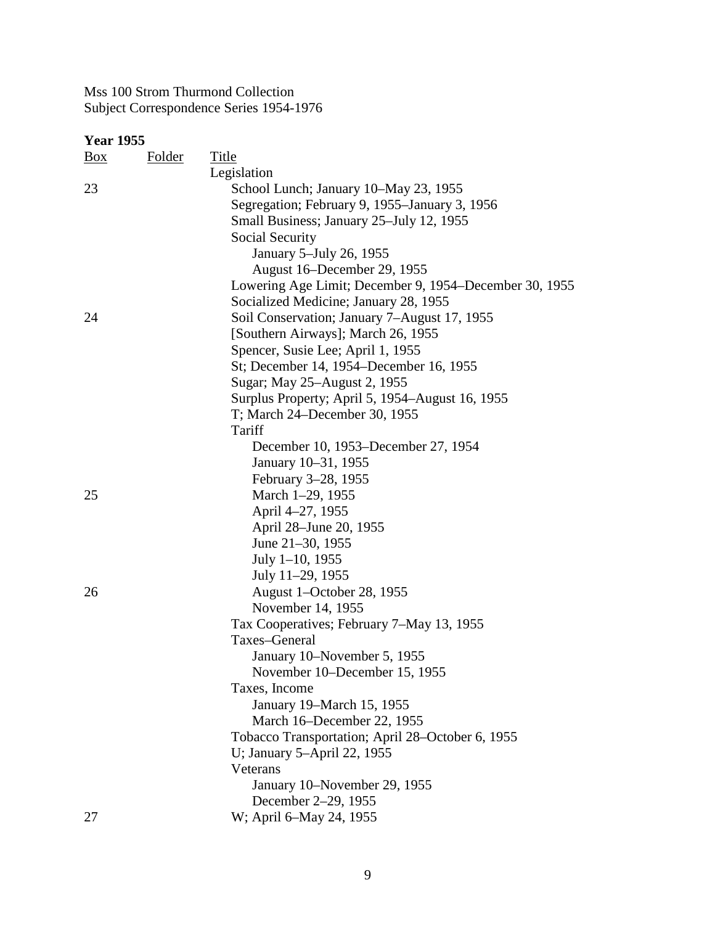| $\frac{Box}{}$ | Folder | Title                                                  |
|----------------|--------|--------------------------------------------------------|
|                |        | Legislation                                            |
| 23             |        | School Lunch; January 10–May 23, 1955                  |
|                |        | Segregation; February 9, 1955–January 3, 1956          |
|                |        | Small Business; January 25–July 12, 1955               |
|                |        | Social Security                                        |
|                |        | January 5-July 26, 1955                                |
|                |        | August 16–December 29, 1955                            |
|                |        | Lowering Age Limit; December 9, 1954–December 30, 1955 |
|                |        | Socialized Medicine; January 28, 1955                  |
| 24             |        | Soil Conservation; January 7-August 17, 1955           |
|                |        | [Southern Airways]; March 26, 1955                     |
|                |        | Spencer, Susie Lee; April 1, 1955                      |
|                |        | St; December 14, 1954–December 16, 1955                |
|                |        | Sugar; May 25-August 2, 1955                           |
|                |        | Surplus Property; April 5, 1954–August 16, 1955        |
|                |        | T; March 24–December 30, 1955                          |
|                |        | Tariff                                                 |
|                |        | December 10, 1953–December 27, 1954                    |
|                |        | January 10-31, 1955                                    |
|                |        | February 3-28, 1955                                    |
| 25             |        | March 1-29, 1955                                       |
|                |        | April 4-27, 1955                                       |
|                |        | April 28–June 20, 1955                                 |
|                |        | June 21-30, 1955                                       |
|                |        | July 1-10, 1955                                        |
|                |        | July 11-29, 1955                                       |
| 26             |        | August 1-October 28, 1955                              |
|                |        | November 14, 1955                                      |
|                |        | Tax Cooperatives; February 7-May 13, 1955              |
|                |        | Taxes-General                                          |
|                |        | January 10–November 5, 1955                            |
|                |        | November 10–December 15, 1955                          |
|                |        | Taxes, Income                                          |
|                |        | January 19–March 15, 1955                              |
|                |        | March 16–December 22, 1955                             |
|                |        | Tobacco Transportation; April 28–October 6, 1955       |
|                |        | U; January 5-April 22, 1955                            |
|                |        | Veterans                                               |
|                |        | January 10–November 29, 1955                           |
|                |        | December 2-29, 1955                                    |
| 27             |        | W; April 6-May 24, 1955                                |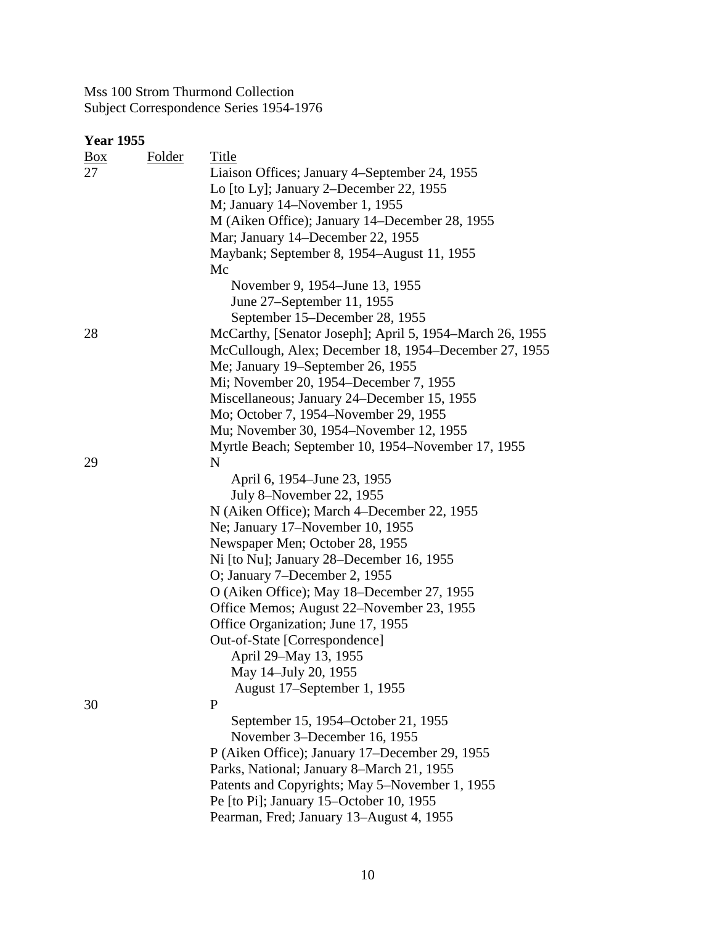| <b>Box</b> | Folder | Title                                                    |
|------------|--------|----------------------------------------------------------|
| 27         |        | Liaison Offices; January 4–September 24, 1955            |
|            |        | Lo [to Ly]; January 2–December 22, 1955                  |
|            |        | M; January 14–November 1, 1955                           |
|            |        | M (Aiken Office); January 14–December 28, 1955           |
|            |        | Mar; January 14–December 22, 1955                        |
|            |        | Maybank; September 8, 1954–August 11, 1955               |
|            |        | Mc                                                       |
|            |        | November 9, 1954–June 13, 1955                           |
|            |        | June 27–September 11, 1955                               |
|            |        | September 15–December 28, 1955                           |
| 28         |        | McCarthy, [Senator Joseph]; April 5, 1954–March 26, 1955 |
|            |        | McCullough, Alex; December 18, 1954–December 27, 1955    |
|            |        | Me; January 19-September 26, 1955                        |
|            |        | Mi; November 20, 1954–December 7, 1955                   |
|            |        | Miscellaneous; January 24–December 15, 1955              |
|            |        | Mo; October 7, 1954–November 29, 1955                    |
|            |        | Mu; November 30, 1954–November 12, 1955                  |
|            |        | Myrtle Beach; September 10, 1954–November 17, 1955       |
| 29         |        | N                                                        |
|            |        | April 6, 1954–June 23, 1955                              |
|            |        | July 8-November 22, 1955                                 |
|            |        | N (Aiken Office); March 4–December 22, 1955              |
|            |        | Ne; January 17–November 10, 1955                         |
|            |        | Newspaper Men; October 28, 1955                          |
|            |        | Ni [to Nu]; January 28–December 16, 1955                 |
|            |        | O; January 7–December 2, 1955                            |
|            |        | O (Aiken Office); May 18–December 27, 1955               |
|            |        | Office Memos; August 22–November 23, 1955                |
|            |        | Office Organization; June 17, 1955                       |
|            |        | Out-of-State [Correspondence]                            |
|            |        | April 29-May 13, 1955                                    |
|            |        | May 14–July 20, 1955                                     |
|            |        | August 17–September 1, 1955                              |
| 30         |        | $\mathbf{P}$                                             |
|            |        | September 15, 1954–October 21, 1955                      |
|            |        | November 3–December 16, 1955                             |
|            |        | P (Aiken Office); January 17–December 29, 1955           |
|            |        | Parks, National; January 8–March 21, 1955                |
|            |        | Patents and Copyrights; May 5–November 1, 1955           |
|            |        | Pe [to Pi]; January 15–October 10, 1955                  |
|            |        | Pearman, Fred; January 13-August 4, 1955                 |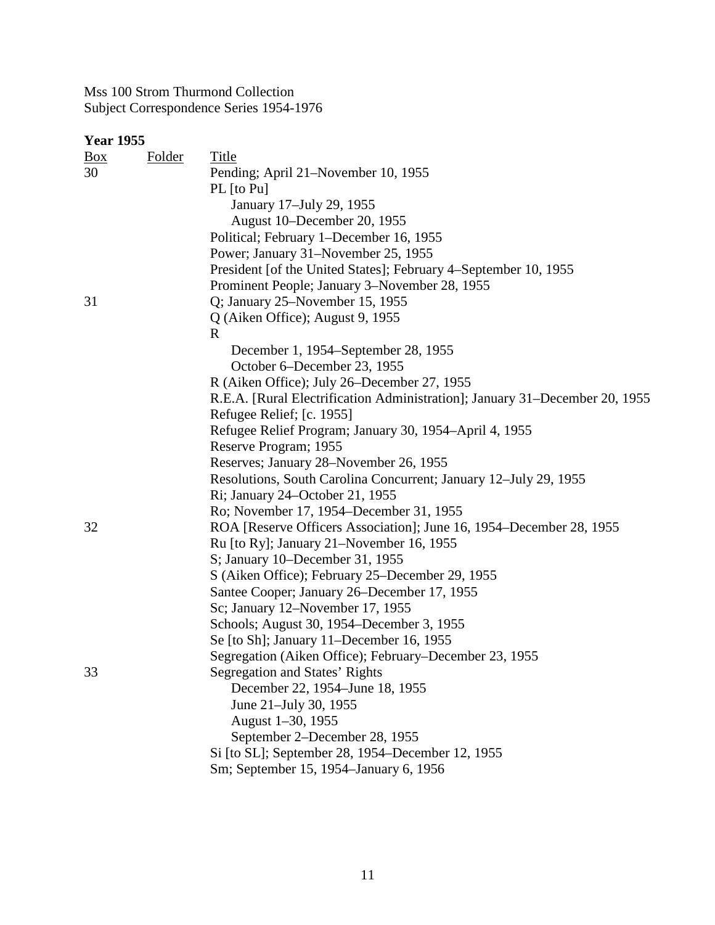| <b>Year 1955</b> |               |                                                                             |
|------------------|---------------|-----------------------------------------------------------------------------|
| $\frac{Box}{}$   | <b>Folder</b> | <b>Title</b>                                                                |
| 30               |               | Pending; April 21-November 10, 1955                                         |
|                  |               | PL [to Pu]                                                                  |
|                  |               | January 17-July 29, 1955                                                    |
|                  |               | August 10–December 20, 1955                                                 |
|                  |               | Political; February 1–December 16, 1955                                     |
|                  |               | Power; January 31–November 25, 1955                                         |
|                  |               | President [of the United States]; February 4–September 10, 1955             |
|                  |               | Prominent People; January 3-November 28, 1955                               |
| 31               |               | Q; January 25–November 15, 1955                                             |
|                  |               | Q (Aiken Office); August 9, 1955                                            |
|                  |               | R                                                                           |
|                  |               | December 1, 1954–September 28, 1955                                         |
|                  |               | October 6–December 23, 1955                                                 |
|                  |               | R (Aiken Office); July 26-December 27, 1955                                 |
|                  |               | R.E.A. [Rural Electrification Administration]; January 31-December 20, 1955 |
|                  |               | Refugee Relief; [c. 1955]                                                   |
|                  |               | Refugee Relief Program; January 30, 1954-April 4, 1955                      |
|                  |               | Reserve Program; 1955                                                       |
|                  |               | Reserves; January 28-November 26, 1955                                      |
|                  |               | Resolutions, South Carolina Concurrent; January 12–July 29, 1955            |
|                  |               | Ri; January 24–October 21, 1955                                             |
|                  |               | Ro; November 17, 1954–December 31, 1955                                     |
| 32               |               | ROA [Reserve Officers Association]; June 16, 1954–December 28, 1955         |
|                  |               | Ru [to Ry]; January 21–November 16, 1955                                    |
|                  |               | S; January 10–December 31, 1955                                             |
|                  |               | S (Aiken Office); February 25–December 29, 1955                             |
|                  |               | Santee Cooper; January 26–December 17, 1955                                 |
|                  |               | Sc; January 12-November 17, 1955                                            |
|                  |               | Schools; August 30, 1954–December 3, 1955                                   |
|                  |               | Se [to Sh]; January 11-December 16, 1955                                    |
|                  |               | Segregation (Aiken Office); February–December 23, 1955                      |
| 33               |               | Segregation and States' Rights                                              |
|                  |               | December 22, 1954–June 18, 1955                                             |
|                  |               | June 21-July 30, 1955                                                       |
|                  |               | August 1-30, 1955                                                           |
|                  |               | September 2–December 28, 1955                                               |
|                  |               | Si [to SL]; September 28, 1954–December 12, 1955                            |
|                  |               | Sm; September 15, 1954–January 6, 1956                                      |
|                  |               |                                                                             |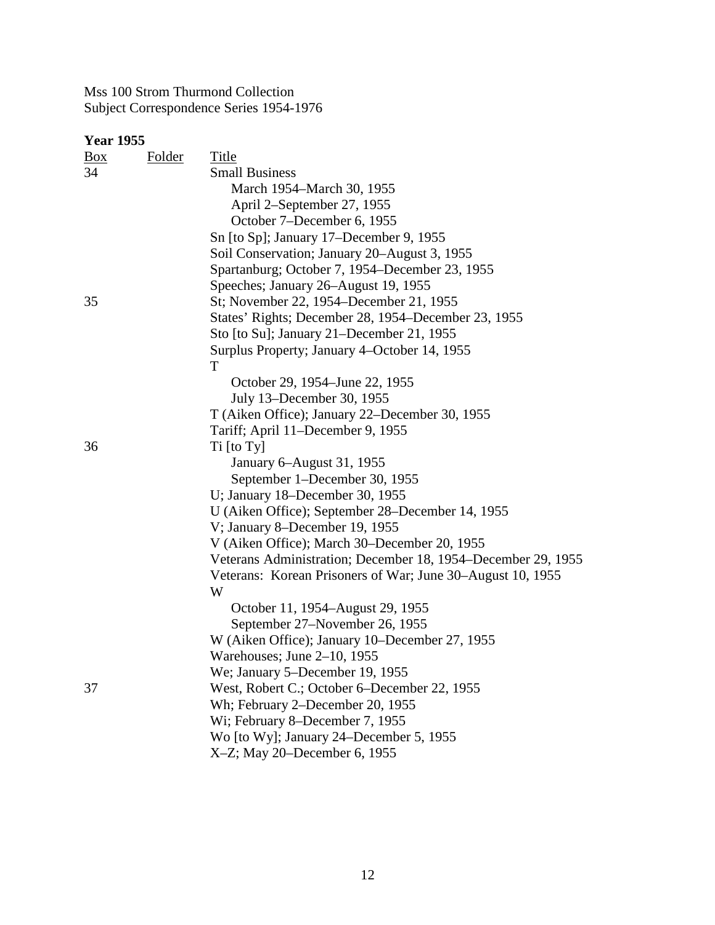| <u>Box</u> | Folder | Title                                                        |
|------------|--------|--------------------------------------------------------------|
| 34         |        | <b>Small Business</b>                                        |
|            |        | March 1954–March 30, 1955                                    |
|            |        | April 2–September 27, 1955                                   |
|            |        | October 7–December 6, 1955                                   |
|            |        | Sn [to Sp]; January 17–December 9, 1955                      |
|            |        | Soil Conservation; January 20–August 3, 1955                 |
|            |        | Spartanburg; October 7, 1954–December 23, 1955               |
|            |        | Speeches; January 26-August 19, 1955                         |
| 35         |        | St; November 22, 1954–December 21, 1955                      |
|            |        | States' Rights; December 28, 1954–December 23, 1955          |
|            |        | Sto [to Su]; January 21–December 21, 1955                    |
|            |        | Surplus Property; January 4–October 14, 1955                 |
|            |        | T                                                            |
|            |        | October 29, 1954–June 22, 1955                               |
|            |        | July 13–December 30, 1955                                    |
|            |        | T (Aiken Office); January 22–December 30, 1955               |
|            |        | Tariff; April 11–December 9, 1955                            |
| 36         |        | Ti [to Ty]                                                   |
|            |        | January 6–August 31, 1955                                    |
|            |        | September 1–December 30, 1955                                |
|            |        | U; January 18–December 30, 1955                              |
|            |        | U (Aiken Office); September 28–December 14, 1955             |
|            |        | V; January 8–December 19, 1955                               |
|            |        | V (Aiken Office); March 30–December 20, 1955                 |
|            |        | Veterans Administration; December 18, 1954–December 29, 1955 |
|            |        | Veterans: Korean Prisoners of War; June 30–August 10, 1955   |
|            |        | W                                                            |
|            |        | October 11, 1954–August 29, 1955                             |
|            |        | September 27–November 26, 1955                               |
|            |        | W (Aiken Office); January 10–December 27, 1955               |
|            |        | Warehouses; June $2-10$ , 1955                               |
|            |        | We; January 5–December 19, 1955                              |
| 37         |        | West, Robert C.; October 6–December 22, 1955                 |
|            |        | Wh; February 2-December 20, 1955                             |
|            |        | Wi; February 8–December 7, 1955                              |
|            |        | Wo [to Wy]; January 24–December 5, 1955                      |
|            |        | X-Z; May 20-December 6, 1955                                 |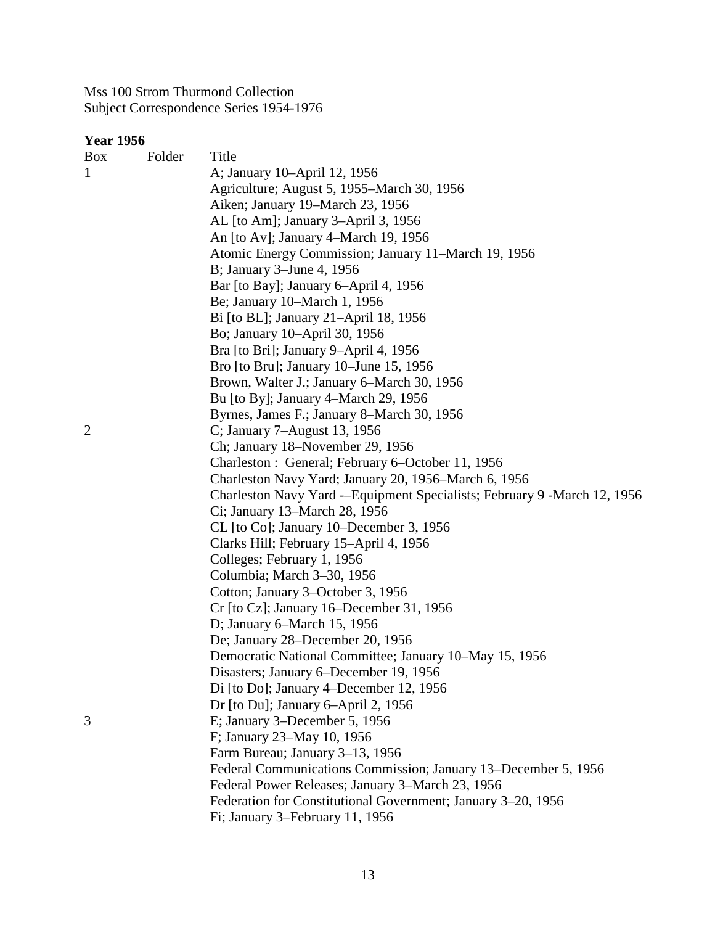| <u>Box</u>     | <b>Folder</b> | Title                                                                      |
|----------------|---------------|----------------------------------------------------------------------------|
| $\mathbf{1}$   |               | A; January 10–April 12, 1956                                               |
|                |               | Agriculture; August 5, 1955–March 30, 1956                                 |
|                |               | Aiken; January 19-March 23, 1956                                           |
|                |               | AL [to Am]; January 3-April 3, 1956                                        |
|                |               | An [to Av]; January 4–March 19, 1956                                       |
|                |               | Atomic Energy Commission; January 11–March 19, 1956                        |
|                |               | B; January 3–June 4, 1956                                                  |
|                |               | Bar [to Bay]; January 6-April 4, 1956                                      |
|                |               | Be; January 10–March 1, 1956                                               |
|                |               | Bi [to BL]; January 21–April 18, 1956                                      |
|                |               | Bo; January 10-April 30, 1956                                              |
|                |               | Bra [to Bri]; January 9-April 4, 1956                                      |
|                |               | Bro [to Bru]; January 10–June 15, 1956                                     |
|                |               | Brown, Walter J.; January 6-March 30, 1956                                 |
|                |               | Bu [to By]; January 4–March 29, 1956                                       |
|                |               | Byrnes, James F.; January 8–March 30, 1956                                 |
| $\overline{2}$ |               | C; January 7-August 13, 1956                                               |
|                |               | Ch; January 18–November 29, 1956                                           |
|                |               | Charleston : General; February 6–October 11, 1956                          |
|                |               | Charleston Navy Yard; January 20, 1956–March 6, 1956                       |
|                |               | Charleston Navy Yard -- Equipment Specialists; February 9 - March 12, 1956 |
|                |               | Ci; January 13–March 28, 1956                                              |
|                |               | CL [to Co]; January 10–December 3, 1956                                    |
|                |               | Clarks Hill; February 15-April 4, 1956                                     |
|                |               | Colleges; February 1, 1956                                                 |
|                |               | Columbia; March 3-30, 1956                                                 |
|                |               | Cotton; January 3–October 3, 1956                                          |
|                |               | Cr [to Cz]; January 16–December 31, 1956                                   |
|                |               | D; January 6–March 15, 1956                                                |
|                |               | De; January 28–December 20, 1956                                           |
|                |               | Democratic National Committee; January 10-May 15, 1956                     |
|                |               | Disasters; January 6–December 19, 1956                                     |
|                |               | Di [to Do]; January 4–December 12, 1956                                    |
|                |               | Dr [to Du]; January 6-April 2, 1956                                        |
| 3              |               | E; January 3–December 5, 1956                                              |
|                |               | F; January 23-May 10, 1956                                                 |
|                |               | Farm Bureau; January 3-13, 1956                                            |
|                |               | Federal Communications Commission; January 13–December 5, 1956             |
|                |               | Federal Power Releases; January 3-March 23, 1956                           |
|                |               | Federation for Constitutional Government; January 3-20, 1956               |
|                |               | Fi; January 3-February 11, 1956                                            |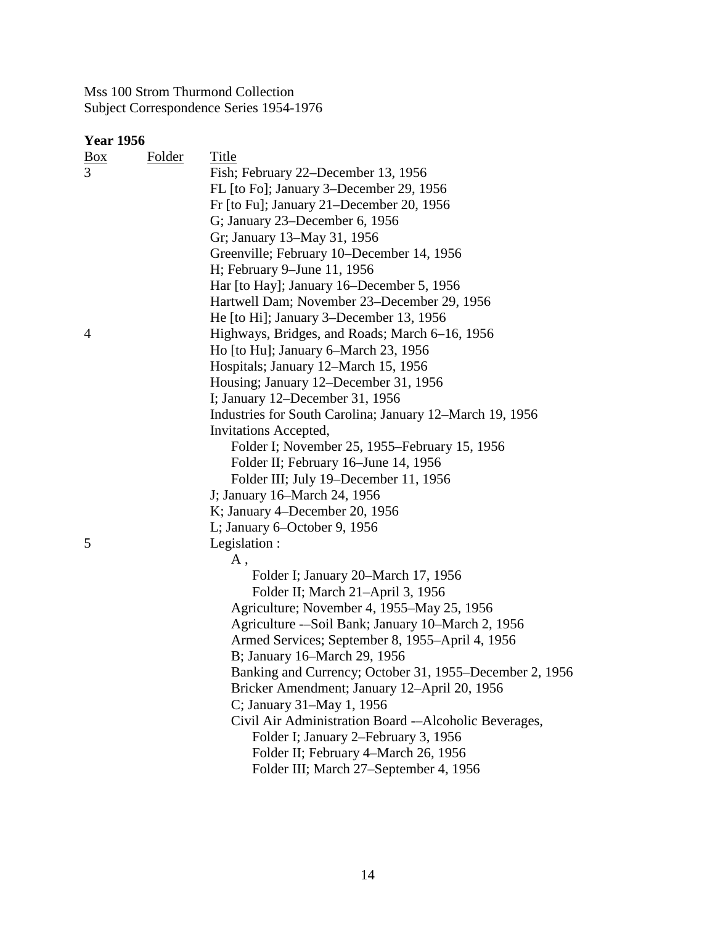| <u>Box</u> | <b>Folder</b> | Title                                                    |
|------------|---------------|----------------------------------------------------------|
| 3          |               | Fish; February 22–December 13, 1956                      |
|            |               | FL [to Fo]; January 3–December 29, 1956                  |
|            |               | Fr [to Fu]; January 21–December 20, 1956                 |
|            |               | G; January 23–December 6, 1956                           |
|            |               | Gr; January 13–May 31, 1956                              |
|            |               | Greenville; February 10–December 14, 1956                |
|            |               | H; February 9-June 11, 1956                              |
|            |               | Har [to Hay]; January 16–December 5, 1956                |
|            |               | Hartwell Dam; November 23–December 29, 1956              |
|            |               | He [to Hi]; January 3–December 13, 1956                  |
| 4          |               | Highways, Bridges, and Roads; March 6-16, 1956           |
|            |               | Ho [to Hu]; January 6–March 23, 1956                     |
|            |               | Hospitals; January 12–March 15, 1956                     |
|            |               | Housing; January 12–December 31, 1956                    |
|            |               | I; January 12–December 31, 1956                          |
|            |               | Industries for South Carolina; January 12–March 19, 1956 |
|            |               | Invitations Accepted,                                    |
|            |               | Folder I; November 25, 1955–February 15, 1956            |
|            |               | Folder II; February 16-June 14, 1956                     |
|            |               | Folder III; July 19–December 11, 1956                    |
|            |               | J; January 16–March 24, 1956                             |
|            |               | K; January 4–December 20, 1956                           |
|            |               | L; January 6–October 9, 1956                             |
| 5          |               | Legislation:                                             |
|            |               | Α,                                                       |
|            |               | Folder I; January 20–March 17, 1956                      |
|            |               | Folder II; March 21-April 3, 1956                        |
|            |               | Agriculture; November 4, 1955–May 25, 1956               |
|            |               | Agriculture --Soil Bank; January 10-March 2, 1956        |
|            |               | Armed Services; September 8, 1955–April 4, 1956          |
|            |               | B; January 16-March 29, 1956                             |
|            |               | Banking and Currency; October 31, 1955–December 2, 1956  |
|            |               | Bricker Amendment; January 12-April 20, 1956             |
|            |               | C; January 31–May 1, 1956                                |
|            |               | Civil Air Administration Board -- Alcoholic Beverages,   |
|            |               | Folder I; January 2–February 3, 1956                     |
|            |               | Folder II; February 4-March 26, 1956                     |
|            |               | Folder III; March 27-September 4, 1956                   |
|            |               |                                                          |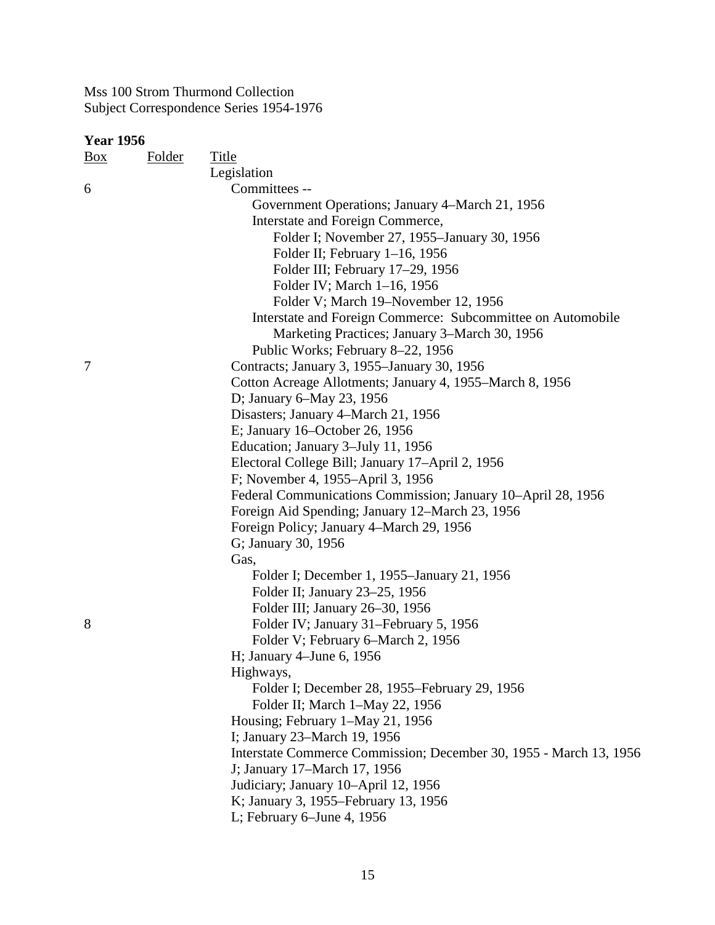| <b>Box</b> | <b>Folder</b> | Title                                                              |
|------------|---------------|--------------------------------------------------------------------|
|            |               | Legislation                                                        |
| 6          |               | Committees --                                                      |
|            |               | Government Operations; January 4–March 21, 1956                    |
|            |               | Interstate and Foreign Commerce,                                   |
|            |               | Folder I; November 27, 1955-January 30, 1956                       |
|            |               | Folder II; February 1-16, 1956                                     |
|            |               | Folder III; February 17-29, 1956                                   |
|            |               | Folder IV; March 1-16, 1956                                        |
|            |               | Folder V; March 19–November 12, 1956                               |
|            |               | Interstate and Foreign Commerce: Subcommittee on Automobile        |
|            |               | Marketing Practices; January 3–March 30, 1956                      |
|            |               | Public Works; February 8-22, 1956                                  |
| 7          |               | Contracts; January 3, 1955–January 30, 1956                        |
|            |               | Cotton Acreage Allotments; January 4, 1955–March 8, 1956           |
|            |               | D; January 6–May 23, 1956                                          |
|            |               | Disasters; January 4–March 21, 1956                                |
|            |               | E; January 16–October 26, 1956                                     |
|            |               | Education; January 3-July 11, 1956                                 |
|            |               | Electoral College Bill; January 17-April 2, 1956                   |
|            |               | F; November 4, 1955–April 3, 1956                                  |
|            |               | Federal Communications Commission; January 10–April 28, 1956       |
|            |               | Foreign Aid Spending; January 12–March 23, 1956                    |
|            |               | Foreign Policy; January 4–March 29, 1956                           |
|            |               | G; January 30, 1956                                                |
|            |               | Gas,                                                               |
|            |               | Folder I; December 1, 1955–January 21, 1956                        |
|            |               | Folder II; January 23–25, 1956                                     |
|            |               | Folder III; January 26–30, 1956                                    |
| 8          |               | Folder IV; January 31-February 5, 1956                             |
|            |               | Folder V; February 6–March 2, 1956                                 |
|            |               | H; January 4–June 6, 1956                                          |
|            |               | Highways,                                                          |
|            |               | Folder I; December 28, 1955–February 29, 1956                      |
|            |               | Folder II; March 1-May 22, 1956                                    |
|            |               | Housing; February 1-May 21, 1956                                   |
|            |               | I; January 23-March 19, 1956                                       |
|            |               | Interstate Commerce Commission; December 30, 1955 - March 13, 1956 |
|            |               | J; January 17–March 17, 1956                                       |
|            |               | Judiciary; January 10-April 12, 1956                               |
|            |               | K; January 3, 1955–February 13, 1956                               |
|            |               | L; February 6-June 4, 1956                                         |
|            |               |                                                                    |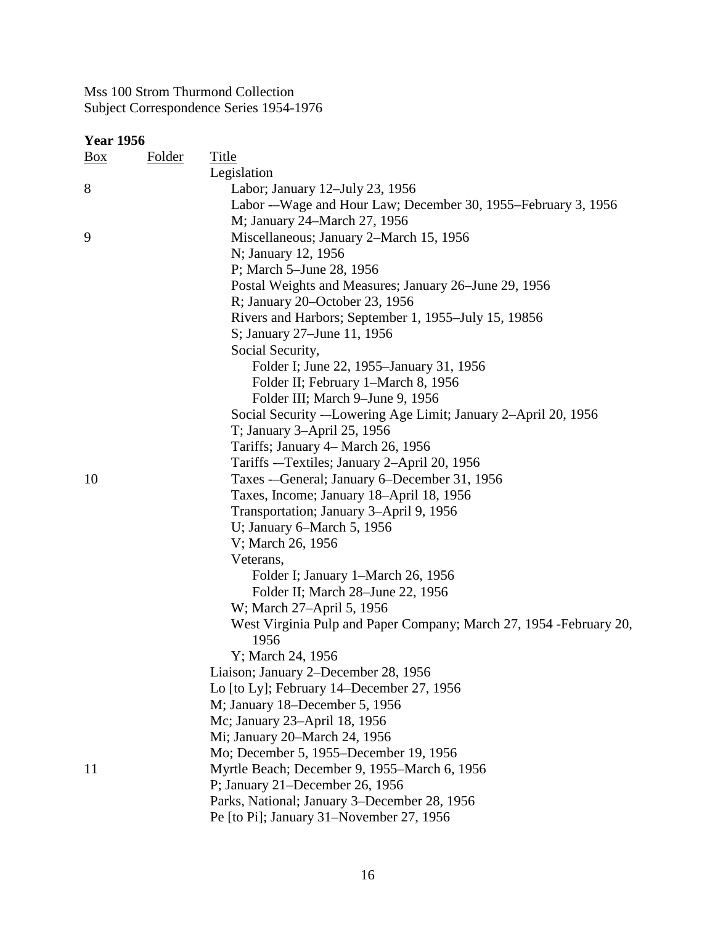| <u>Box</u> | <b>Folder</b> | <b>Title</b>                                                        |
|------------|---------------|---------------------------------------------------------------------|
|            |               | Legislation                                                         |
| 8          |               | Labor; January 12–July 23, 1956                                     |
|            |               | Labor --Wage and Hour Law; December 30, 1955–February 3, 1956       |
|            |               | M; January 24–March 27, 1956                                        |
| 9          |               | Miscellaneous; January 2-March 15, 1956                             |
|            |               | N; January 12, 1956                                                 |
|            |               | P; March 5-June 28, 1956                                            |
|            |               | Postal Weights and Measures; January 26–June 29, 1956               |
|            |               | R; January 20–October 23, 1956                                      |
|            |               | Rivers and Harbors; September 1, 1955–July 15, 19856                |
|            |               | S; January 27–June 11, 1956                                         |
|            |               | Social Security,                                                    |
|            |               | Folder I; June 22, 1955–January 31, 1956                            |
|            |               | Folder II; February 1–March 8, 1956                                 |
|            |               | Folder III; March 9-June 9, 1956                                    |
|            |               | Social Security --Lowering Age Limit; January 2-April 20, 1956      |
|            |               | T; January 3-April 25, 1956                                         |
|            |               | Tariffs; January 4– March 26, 1956                                  |
|            |               | Tariffs --Textiles; January 2-April 20, 1956                        |
| 10         |               | Taxes ---General; January 6-December 31, 1956                       |
|            |               | Taxes, Income; January 18-April 18, 1956                            |
|            |               | Transportation; January 3-April 9, 1956                             |
|            |               | U; January 6–March 5, $1956$                                        |
|            |               | V; March 26, 1956                                                   |
|            |               | Veterans,                                                           |
|            |               | Folder I; January 1–March 26, 1956                                  |
|            |               | Folder II; March 28–June 22, 1956                                   |
|            |               | W; March 27-April 5, 1956                                           |
|            |               | West Virginia Pulp and Paper Company; March 27, 1954 - February 20, |
|            |               | 1956                                                                |
|            |               | Y; March 24, 1956                                                   |
|            |               | Liaison; January 2-December 28, 1956                                |
|            |               | Lo [to Ly]; February 14–December 27, 1956                           |
|            |               | M; January 18–December 5, 1956                                      |
|            |               | Mc; January 23-April 18, 1956                                       |
|            |               | Mi; January 20–March 24, 1956                                       |
|            |               | Mo; December 5, 1955–December 19, 1956                              |
| 11         |               | Myrtle Beach; December 9, 1955–March 6, 1956                        |
|            |               | P; January 21–December 26, 1956                                     |
|            |               | Parks, National; January 3–December 28, 1956                        |
|            |               | Pe [to Pi]; January 31-November 27, 1956                            |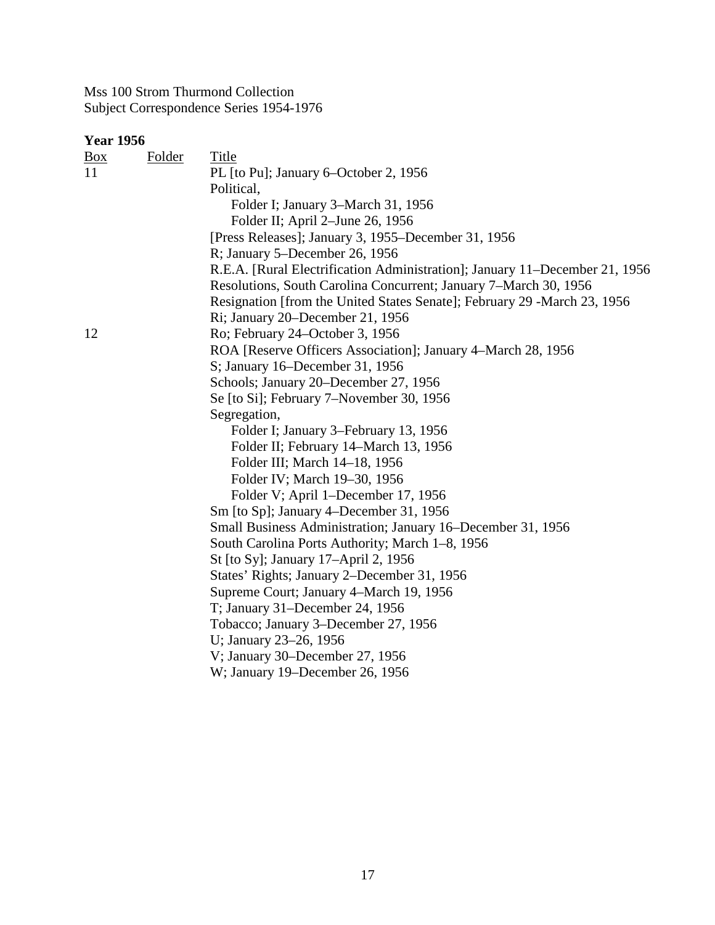| $\frac{Box}{}$ | <b>Folder</b> | Title                                                                       |
|----------------|---------------|-----------------------------------------------------------------------------|
| 11             |               | PL [to Pu]; January 6–October 2, 1956                                       |
|                |               | Political,                                                                  |
|                |               | Folder I; January 3–March 31, 1956                                          |
|                |               | Folder II; April 2–June 26, 1956                                            |
|                |               | [Press Releases]; January 3, 1955–December 31, 1956                         |
|                |               | R; January 5–December 26, 1956                                              |
|                |               | R.E.A. [Rural Electrification Administration]; January 11–December 21, 1956 |
|                |               | Resolutions, South Carolina Concurrent; January 7–March 30, 1956            |
|                |               | Resignation [from the United States Senate]; February 29 -March 23, 1956    |
|                |               | Ri; January 20–December 21, 1956                                            |
| 12             |               | Ro; February 24–October 3, 1956                                             |
|                |               | ROA [Reserve Officers Association]; January 4–March 28, 1956                |
|                |               | S; January 16–December 31, 1956                                             |
|                |               | Schools; January 20–December 27, 1956                                       |
|                |               | Se [to Si]; February 7–November 30, 1956                                    |
|                |               | Segregation,                                                                |
|                |               | Folder I; January 3–February 13, 1956                                       |
|                |               | Folder II; February 14–March 13, 1956                                       |
|                |               | Folder III; March 14–18, 1956                                               |
|                |               | Folder IV; March 19–30, 1956                                                |
|                |               | Folder V; April 1-December 17, 1956                                         |
|                |               | Sm [to Sp]; January 4–December 31, 1956                                     |
|                |               | Small Business Administration; January 16–December 31, 1956                 |
|                |               | South Carolina Ports Authority; March 1–8, 1956                             |
|                |               | St [to Sy]; January 17–April 2, 1956                                        |
|                |               | States' Rights; January 2–December 31, 1956                                 |
|                |               | Supreme Court; January 4-March 19, 1956                                     |
|                |               | T; January 31–December 24, 1956                                             |
|                |               | Tobacco; January 3-December 27, 1956                                        |
|                |               | U; January 23-26, 1956                                                      |
|                |               | V; January 30–December 27, 1956                                             |
|                |               | W; January 19–December 26, 1956                                             |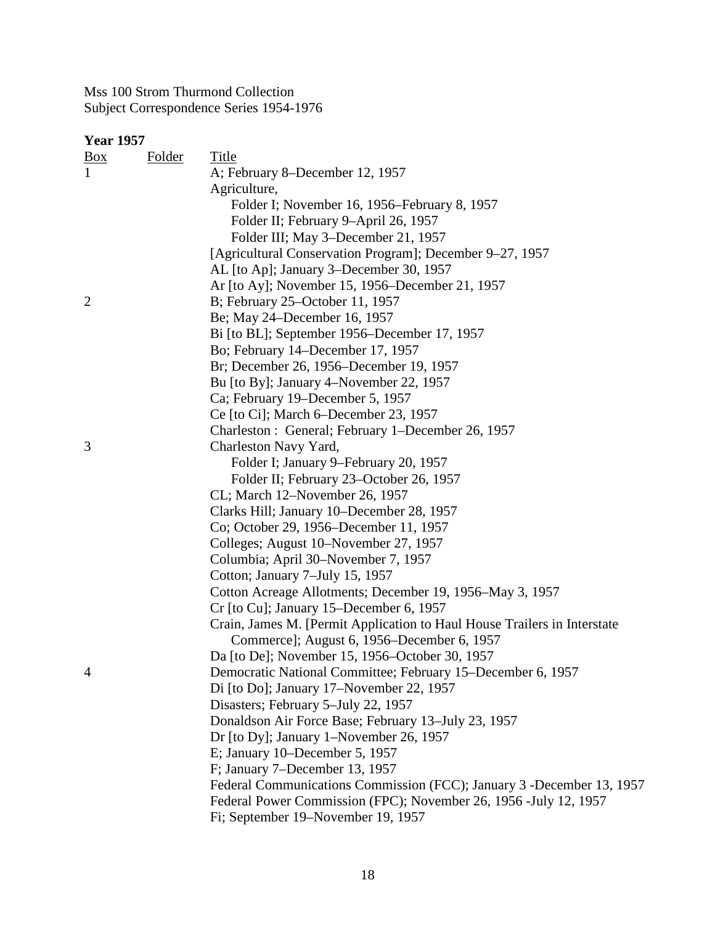| ır<br>22 | IDE<br>٦<br>ı. |
|----------|----------------|
|----------|----------------|

| <u>Box</u>     | <b>Folder</b> | Title                                                                    |
|----------------|---------------|--------------------------------------------------------------------------|
| 1              |               | A; February 8–December 12, 1957                                          |
|                |               | Agriculture,                                                             |
|                |               | Folder I; November 16, 1956–February 8, 1957                             |
|                |               | Folder II; February 9-April 26, 1957                                     |
|                |               | Folder III; May 3-December 21, 1957                                      |
|                |               | [Agricultural Conservation Program]; December 9–27, 1957                 |
|                |               | AL [to Ap]; January 3-December 30, 1957                                  |
|                |               | Ar [to Ay]; November 15, 1956–December 21, 1957                          |
| $\overline{2}$ |               | B; February 25–October 11, 1957                                          |
|                |               | Be; May 24–December 16, 1957                                             |
|                |               | Bi [to BL]; September 1956–December 17, 1957                             |
|                |               | Bo; February 14–December 17, 1957                                        |
|                |               | Br; December 26, 1956–December 19, 1957                                  |
|                |               | Bu [to By]; January 4–November 22, 1957                                  |
|                |               | Ca; February 19–December 5, 1957                                         |
|                |               | Ce [to Ci]; March 6–December 23, 1957                                    |
|                |               | Charleston : General; February 1-December 26, 1957                       |
| 3              |               | Charleston Navy Yard,                                                    |
|                |               | Folder I; January 9–February 20, 1957                                    |
|                |               | Folder II; February 23–October 26, 1957                                  |
|                |               | CL; March 12–November 26, 1957                                           |
|                |               | Clarks Hill; January 10–December 28, 1957                                |
|                |               | Co; October 29, 1956–December 11, 1957                                   |
|                |               | Colleges; August 10–November 27, 1957                                    |
|                |               | Columbia; April 30–November 7, 1957                                      |
|                |               | Cotton; January 7-July 15, 1957                                          |
|                |               | Cotton Acreage Allotments; December 19, 1956–May 3, 1957                 |
|                |               | Cr [to Cu]; January 15–December 6, 1957                                  |
|                |               | Crain, James M. [Permit Application to Haul House Trailers in Interstate |
|                |               | Commerce]; August 6, 1956–December 6, 1957                               |
|                |               | Da [to De]; November 15, 1956–October 30, 1957                           |
| 4              |               | Democratic National Committee; February 15–December 6, 1957              |
|                |               | Di [to Do]; January 17–November 22, 1957                                 |
|                |               | Disasters; February 5-July 22, 1957                                      |
|                |               | Donaldson Air Force Base; February 13–July 23, 1957                      |
|                |               | Dr [to Dy]; January 1–November 26, 1957                                  |
|                |               | E; January 10–December 5, 1957                                           |
|                |               | F; January 7-December 13, 1957                                           |
|                |               | Federal Communications Commission (FCC); January 3 - December 13, 1957   |
|                |               | Federal Power Commission (FPC); November 26, 1956 -July 12, 1957         |
|                |               | Fi; September 19–November 19, 1957                                       |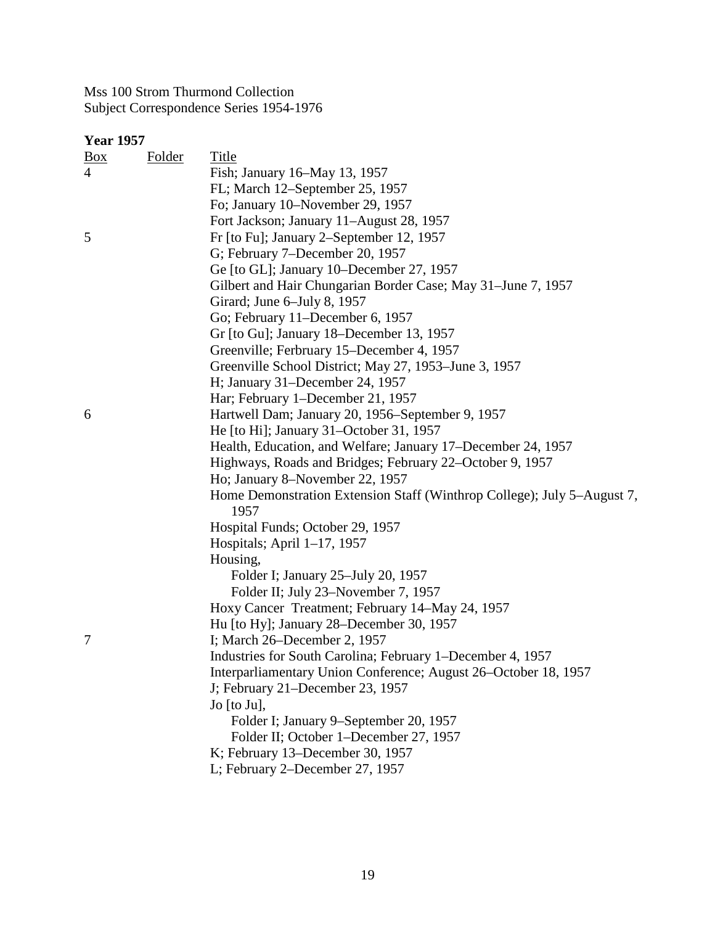| <u>Box</u> | Folder | <b>Title</b>                                                            |
|------------|--------|-------------------------------------------------------------------------|
| 4          |        | Fish; January 16–May 13, 1957                                           |
|            |        | FL; March 12–September 25, 1957                                         |
|            |        | Fo; January 10–November 29, 1957                                        |
|            |        | Fort Jackson; January 11–August 28, 1957                                |
| 5          |        | Fr [to Fu]; January 2–September 12, 1957                                |
|            |        | G; February 7-December 20, 1957                                         |
|            |        | Ge [to GL]; January 10–December 27, 1957                                |
|            |        | Gilbert and Hair Chungarian Border Case; May 31–June 7, 1957            |
|            |        | Girard; June 6-July 8, 1957                                             |
|            |        | Go; February 11–December 6, 1957                                        |
|            |        | Gr [to Gu]; January 18–December 13, 1957                                |
|            |        | Greenville; Ferbruary 15–December 4, 1957                               |
|            |        | Greenville School District; May 27, 1953–June 3, 1957                   |
|            |        | H; January 31–December 24, 1957                                         |
|            |        | Har; February 1–December 21, 1957                                       |
| 6          |        | Hartwell Dam; January 20, 1956–September 9, 1957                        |
|            |        | He [to Hi]; January 31–October 31, 1957                                 |
|            |        | Health, Education, and Welfare; January 17–December 24, 1957            |
|            |        | Highways, Roads and Bridges; February 22–October 9, 1957                |
|            |        | Ho; January 8–November 22, 1957                                         |
|            |        | Home Demonstration Extension Staff (Winthrop College); July 5–August 7, |
|            |        | 1957                                                                    |
|            |        | Hospital Funds; October 29, 1957                                        |
|            |        | Hospitals; April $1-17$ , 1957                                          |
|            |        | Housing,                                                                |
|            |        | Folder I; January 25–July 20, 1957                                      |
|            |        | Folder II; July 23-November 7, 1957                                     |
|            |        | Hoxy Cancer Treatment; February 14–May 24, 1957                         |
|            |        | Hu [to Hy]; January 28–December 30, 1957                                |
| 7          |        | I; March 26–December 2, 1957                                            |
|            |        | Industries for South Carolina; February 1–December 4, 1957              |
|            |        | Interparliamentary Union Conference; August 26–October 18, 1957         |
|            |        | J; February 21–December 23, 1957                                        |
|            |        | Jo [to Ju],                                                             |
|            |        | Folder I; January 9-September 20, 1957                                  |
|            |        | Folder II; October 1–December 27, 1957                                  |
|            |        | K; February 13–December 30, 1957                                        |
|            |        | L; February 2–December 27, 1957                                         |
|            |        |                                                                         |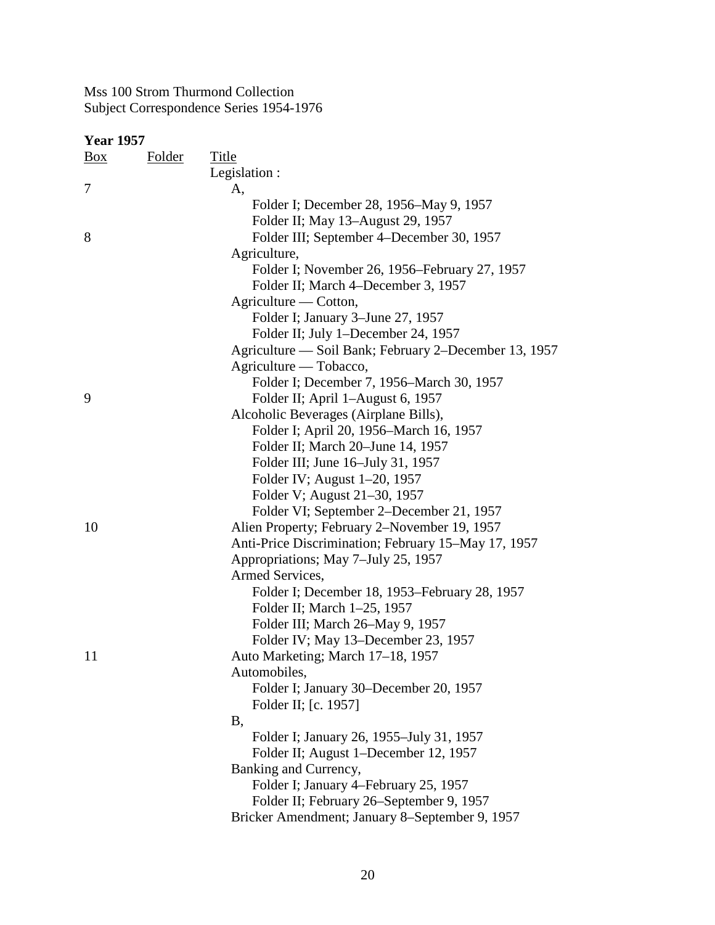| $\frac{Box}{}$ | <b>Folder</b> | <b>Title</b>                                          |
|----------------|---------------|-------------------------------------------------------|
|                |               | Legislation :                                         |
| 7              |               | A,                                                    |
|                |               | Folder I; December 28, 1956–May 9, 1957               |
|                |               | Folder II; May 13–August 29, 1957                     |
| 8              |               | Folder III; September 4–December 30, 1957             |
|                |               | Agriculture,                                          |
|                |               | Folder I; November 26, 1956–February 27, 1957         |
|                |               | Folder II; March 4–December 3, 1957                   |
|                |               | Agriculture — Cotton,                                 |
|                |               | Folder I; January 3–June 27, 1957                     |
|                |               | Folder II; July 1–December 24, 1957                   |
|                |               | Agriculture — Soil Bank; February 2–December 13, 1957 |
|                |               | Agriculture — Tobacco,                                |
|                |               | Folder I; December 7, 1956-March 30, 1957             |
| 9              |               | Folder II; April 1–August 6, 1957                     |
|                |               | Alcoholic Beverages (Airplane Bills),                 |
|                |               | Folder I; April 20, 1956–March 16, 1957               |
|                |               | Folder II; March 20–June 14, 1957                     |
|                |               | Folder III; June 16–July 31, 1957                     |
|                |               | Folder IV; August 1-20, 1957                          |
|                |               | Folder V; August 21–30, 1957                          |
|                |               | Folder VI; September 2–December 21, 1957              |
| 10             |               | Alien Property; February 2-November 19, 1957          |
|                |               | Anti-Price Discrimination; February 15–May 17, 1957   |
|                |               | Appropriations; May 7-July 25, 1957                   |
|                |               | Armed Services,                                       |
|                |               | Folder I; December 18, 1953–February 28, 1957         |
|                |               | Folder II; March 1–25, 1957                           |
|                |               | Folder III; March 26–May 9, 1957                      |
|                |               | Folder IV; May 13–December 23, 1957                   |
| 11             |               | Auto Marketing; March 17-18, 1957                     |
|                |               | Automobiles,                                          |
|                |               | Folder I; January 30–December 20, 1957                |
|                |               | Folder II; [c. 1957]                                  |
|                |               | Β,                                                    |
|                |               | Folder I; January 26, 1955–July 31, 1957              |
|                |               | Folder II; August 1-December 12, 1957                 |
|                |               | Banking and Currency,                                 |
|                |               | Folder I; January 4–February 25, 1957                 |
|                |               | Folder II; February 26–September 9, 1957              |
|                |               | Bricker Amendment; January 8-September 9, 1957        |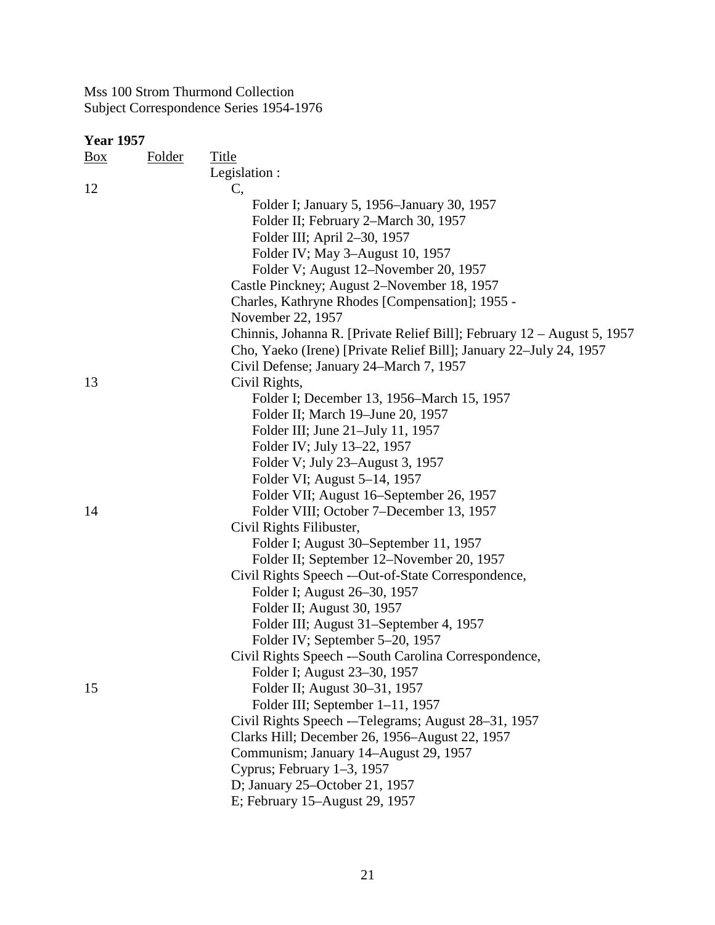| <b>Box</b> | <b>Folder</b> | Title                                                                   |
|------------|---------------|-------------------------------------------------------------------------|
|            |               | Legislation :                                                           |
| 12         |               | C,                                                                      |
|            |               | Folder I; January 5, 1956–January 30, 1957                              |
|            |               | Folder II; February 2-March 30, 1957                                    |
|            |               | Folder III; April 2-30, 1957                                            |
|            |               | Folder IV; May 3-August 10, 1957                                        |
|            |               | Folder V; August 12–November 20, 1957                                   |
|            |               | Castle Pinckney; August 2–November 18, 1957                             |
|            |               | Charles, Kathryne Rhodes [Compensation]; 1955 -                         |
|            |               | November 22, 1957                                                       |
|            |               | Chinnis, Johanna R. [Private Relief Bill]; February 12 – August 5, 1957 |
|            |               | Cho, Yaeko (Irene) [Private Relief Bill]; January 22–July 24, 1957      |
|            |               | Civil Defense; January 24–March 7, 1957                                 |
| 13         |               | Civil Rights,                                                           |
|            |               | Folder I; December 13, 1956–March 15, 1957                              |
|            |               | Folder II; March 19–June 20, 1957                                       |
|            |               | Folder III; June 21–July 11, 1957                                       |
|            |               | Folder IV; July 13–22, 1957                                             |
|            |               | Folder V; July 23–August 3, 1957                                        |
|            |               | Folder VI; August 5–14, 1957                                            |
|            |               | Folder VII; August 16–September 26, 1957                                |
| 14         |               | Folder VIII; October 7–December 13, 1957                                |
|            |               | Civil Rights Filibuster,                                                |
|            |               | Folder I; August 30–September 11, 1957                                  |
|            |               | Folder II; September 12–November 20, 1957                               |
|            |               | Civil Rights Speech -- Out-of-State Correspondence,                     |
|            |               | Folder I; August 26–30, 1957                                            |
|            |               | Folder II; August 30, 1957                                              |
|            |               | Folder III; August 31–September 4, 1957                                 |
|            |               | Folder IV; September 5-20, 1957                                         |
|            |               | Civil Rights Speech --South Carolina Correspondence,                    |
|            |               | Folder I; August 23–30, 1957                                            |
| 15         |               | Folder II; August 30–31, 1957                                           |
|            |               | Folder III; September 1–11, 1957                                        |
|            |               | Civil Rights Speech -- Telegrams; August 28-31, 1957                    |
|            |               | Clarks Hill; December 26, 1956–August 22, 1957                          |
|            |               | Communism; January 14–August 29, 1957                                   |
|            |               | Cyprus; February 1-3, 1957                                              |
|            |               | D; January 25-October 21, 1957                                          |
|            |               | E; February 15-August 29, 1957                                          |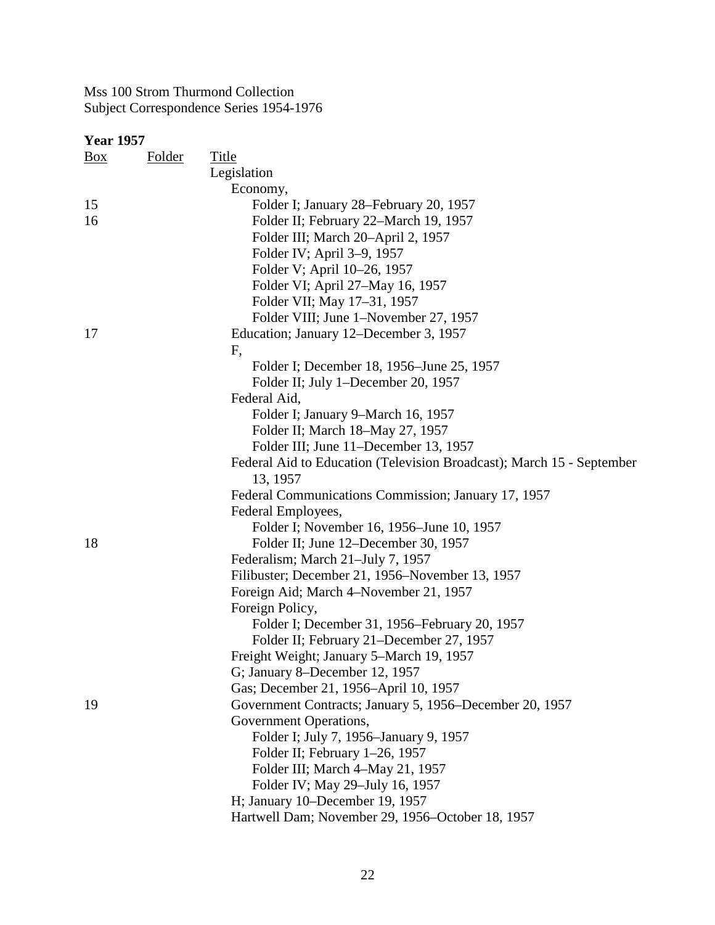| $\frac{Box}{}$ | <b>Folder</b> | <b>Title</b>                                                          |
|----------------|---------------|-----------------------------------------------------------------------|
|                |               | Legislation                                                           |
|                |               | Economy,                                                              |
| 15             |               | Folder I; January 28-February 20, 1957                                |
| 16             |               | Folder II; February 22–March 19, 1957                                 |
|                |               | Folder III; March 20-April 2, 1957                                    |
|                |               | Folder IV; April 3–9, 1957                                            |
|                |               | Folder V; April 10-26, 1957                                           |
|                |               | Folder VI; April 27–May 16, 1957                                      |
|                |               | Folder VII; May 17–31, 1957                                           |
|                |               | Folder VIII; June 1-November 27, 1957                                 |
| 17             |               | Education; January 12–December 3, 1957                                |
|                |               | F,                                                                    |
|                |               | Folder I; December 18, 1956–June 25, 1957                             |
|                |               | Folder II; July 1–December 20, 1957                                   |
|                |               | Federal Aid,                                                          |
|                |               | Folder I; January 9–March 16, 1957                                    |
|                |               | Folder II; March 18-May 27, 1957                                      |
|                |               | Folder III; June 11–December 13, 1957                                 |
|                |               | Federal Aid to Education (Television Broadcast); March 15 - September |
|                |               | 13, 1957                                                              |
|                |               | Federal Communications Commission; January 17, 1957                   |
|                |               | Federal Employees,                                                    |
|                |               | Folder I; November 16, 1956–June 10, 1957                             |
| 18             |               | Folder II; June 12–December 30, 1957                                  |
|                |               | Federalism; March 21-July 7, 1957                                     |
|                |               | Filibuster; December 21, 1956–November 13, 1957                       |
|                |               | Foreign Aid; March 4–November 21, 1957                                |
|                |               | Foreign Policy,                                                       |
|                |               | Folder I; December 31, 1956–February 20, 1957                         |
|                |               | Folder II; February 21-December 27, 1957                              |
|                |               | Freight Weight; January 5–March 19, 1957                              |
|                |               | G; January 8–December 12, 1957                                        |
|                |               | Gas; December 21, 1956–April 10, 1957                                 |
| 19             |               | Government Contracts; January 5, 1956–December 20, 1957               |
|                |               | Government Operations,                                                |
|                |               | Folder I; July 7, 1956–January 9, 1957                                |
|                |               | Folder II; February 1–26, 1957                                        |
|                |               | Folder III; March 4-May 21, 1957                                      |
|                |               | Folder IV; May 29–July 16, 1957                                       |
|                |               | H; January 10–December 19, 1957                                       |
|                |               | Hartwell Dam; November 29, 1956–October 18, 1957                      |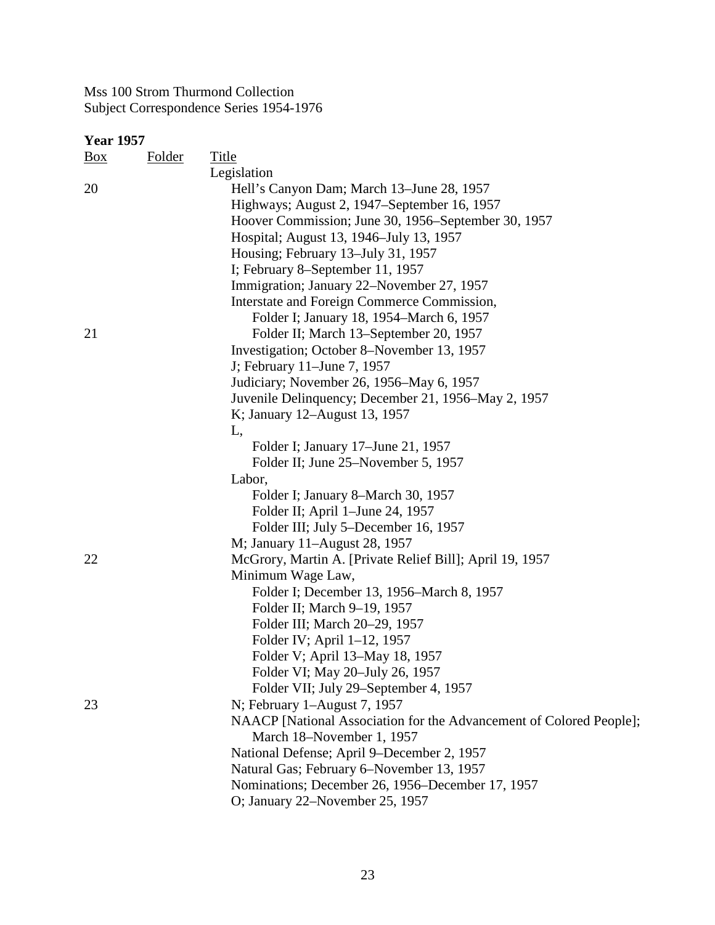| <b>Year 1957</b> |               |                                                                     |
|------------------|---------------|---------------------------------------------------------------------|
| $\frac{Box}{}$   | <b>Folder</b> | <b>Title</b>                                                        |
|                  |               | Legislation                                                         |
| 20               |               | Hell's Canyon Dam; March 13-June 28, 1957                           |
|                  |               | Highways; August 2, 1947–September 16, 1957                         |
|                  |               | Hoover Commission; June 30, 1956–September 30, 1957                 |
|                  |               | Hospital; August 13, 1946–July 13, 1957                             |
|                  |               | Housing; February 13–July 31, 1957                                  |
|                  |               | I; February 8–September 11, 1957                                    |
|                  |               | Immigration; January 22–November 27, 1957                           |
|                  |               | Interstate and Foreign Commerce Commission,                         |
|                  |               | Folder I; January 18, 1954–March 6, 1957                            |
| 21               |               | Folder II; March 13–September 20, 1957                              |
|                  |               | Investigation; October 8–November 13, 1957                          |
|                  |               | J; February 11–June 7, 1957                                         |
|                  |               | Judiciary; November 26, 1956–May 6, 1957                            |
|                  |               | Juvenile Delinquency; December 21, 1956–May 2, 1957                 |
|                  |               | K; January 12–August 13, 1957                                       |
|                  |               | L,                                                                  |
|                  |               | Folder I; January 17–June 21, 1957                                  |
|                  |               | Folder II; June 25–November 5, 1957                                 |
|                  |               | Labor,                                                              |
|                  |               | Folder I; January 8–March 30, 1957                                  |
|                  |               | Folder II; April 1–June 24, 1957                                    |
|                  |               | Folder III; July 5–December 16, 1957                                |
|                  |               | M; January 11-August 28, 1957                                       |
| 22               |               | McGrory, Martin A. [Private Relief Bill]; April 19, 1957            |
|                  |               | Minimum Wage Law,                                                   |
|                  |               | Folder I; December 13, 1956–March 8, 1957                           |
|                  |               | Folder II; March 9-19, 1957                                         |
|                  |               | Folder III; March 20-29, 1957                                       |
|                  |               |                                                                     |
|                  |               | Folder IV; April 1-12, 1957                                         |
|                  |               | Folder V; April 13-May 18, 1957                                     |
|                  |               | Folder VI; May 20–July 26, 1957                                     |
|                  |               | Folder VII; July 29–September 4, 1957                               |
| 23               |               | N; February 1-August 7, 1957                                        |
|                  |               | NAACP [National Association for the Advancement of Colored People]; |
|                  |               | March 18-November 1, 1957                                           |
|                  |               | National Defense; April 9–December 2, 1957                          |
|                  |               | Natural Gas; February 6-November 13, 1957                           |
|                  |               | Nominations; December 26, 1956–December 17, 1957                    |
|                  |               | O; January 22-November 25, 1957                                     |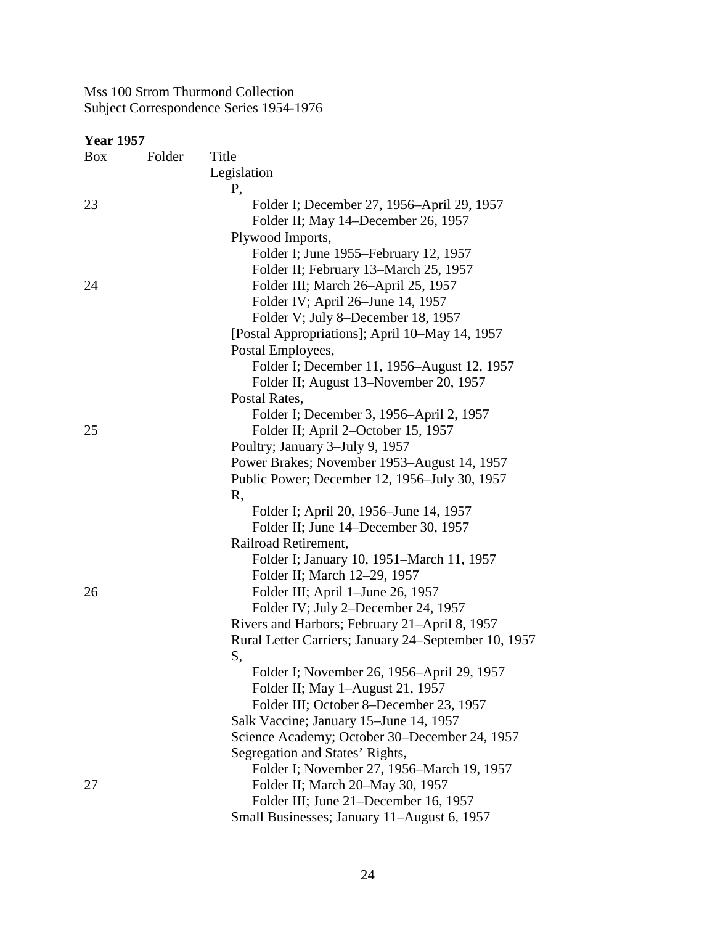| Box | Folder | Title                                                |
|-----|--------|------------------------------------------------------|
|     |        | Legislation                                          |
|     |        | Ρ,                                                   |
| 23  |        | Folder I; December 27, 1956–April 29, 1957           |
|     |        | Folder II; May 14–December 26, 1957                  |
|     |        | Plywood Imports,                                     |
|     |        | Folder I; June 1955–February 12, 1957                |
|     |        | Folder II; February 13–March 25, 1957                |
| 24  |        | Folder III; March 26-April 25, 1957                  |
|     |        | Folder IV; April 26-June 14, 1957                    |
|     |        | Folder V; July 8–December 18, 1957                   |
|     |        | [Postal Appropriations]; April 10–May 14, 1957       |
|     |        | Postal Employees,                                    |
|     |        | Folder I; December 11, 1956–August 12, 1957          |
|     |        | Folder II; August 13–November 20, 1957               |
|     |        | Postal Rates,                                        |
|     |        | Folder I; December 3, 1956–April 2, 1957             |
| 25  |        | Folder II; April 2–October 15, 1957                  |
|     |        | Poultry; January 3-July 9, 1957                      |
|     |        | Power Brakes; November 1953–August 14, 1957          |
|     |        | Public Power; December 12, 1956–July 30, 1957        |
|     |        | R,                                                   |
|     |        | Folder I; April 20, 1956–June 14, 1957               |
|     |        | Folder II; June 14–December 30, 1957                 |
|     |        | Railroad Retirement,                                 |
|     |        | Folder I; January 10, 1951–March 11, 1957            |
|     |        | Folder II; March 12-29, 1957                         |
| 26  |        | Folder III; April 1–June 26, 1957                    |
|     |        | Folder IV; July 2-December 24, 1957                  |
|     |        | Rivers and Harbors; February 21–April 8, 1957        |
|     |        | Rural Letter Carriers; January 24–September 10, 1957 |
|     |        | S,                                                   |
|     |        | Folder I; November 26, 1956–April 29, 1957           |
|     |        | Folder II; May 1-August 21, 1957                     |
|     |        | Folder III; October 8–December 23, 1957              |
|     |        | Salk Vaccine; January 15–June 14, 1957               |
|     |        | Science Academy; October 30–December 24, 1957        |
|     |        | Segregation and States' Rights,                      |
|     |        | Folder I; November 27, 1956–March 19, 1957           |
| 27  |        | Folder II; March 20-May 30, 1957                     |
|     |        | Folder III; June 21–December 16, 1957                |
|     |        | Small Businesses; January 11–August 6, 1957          |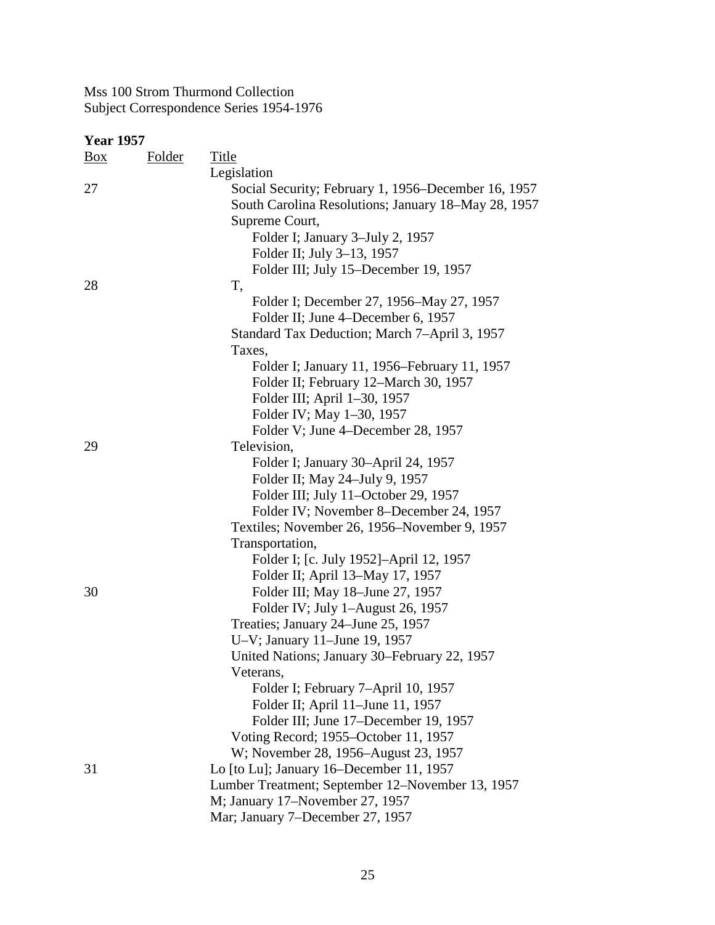| $\underline{Box}$ | <b>Folder</b> | <u>Title</u>                                        |
|-------------------|---------------|-----------------------------------------------------|
|                   |               | Legislation                                         |
| 27                |               | Social Security; February 1, 1956–December 16, 1957 |
|                   |               | South Carolina Resolutions; January 18–May 28, 1957 |
|                   |               | Supreme Court,                                      |
|                   |               | Folder I; January 3–July 2, 1957                    |
|                   |               | Folder II; July 3–13, 1957                          |
|                   |               | Folder III; July 15–December 19, 1957               |
| 28                |               | T,                                                  |
|                   |               | Folder I; December 27, 1956–May 27, 1957            |
|                   |               | Folder II; June 4–December 6, 1957                  |
|                   |               | Standard Tax Deduction; March 7-April 3, 1957       |
|                   |               | Taxes,                                              |
|                   |               | Folder I; January 11, 1956–February 11, 1957        |
|                   |               | Folder II; February 12–March 30, 1957               |
|                   |               | Folder III; April 1-30, 1957                        |
|                   |               | Folder IV; May 1-30, 1957                           |
|                   |               | Folder V; June 4–December 28, 1957                  |
| 29                |               | Television,                                         |
|                   |               | Folder I; January 30–April 24, 1957                 |
|                   |               | Folder II; May 24-July 9, 1957                      |
|                   |               | Folder III; July 11-October 29, 1957                |
|                   |               | Folder IV; November 8–December 24, 1957             |
|                   |               | Textiles; November 26, 1956–November 9, 1957        |
|                   |               | Transportation,                                     |
|                   |               | Folder I; [c. July 1952]–April 12, 1957             |
|                   |               | Folder II; April 13–May 17, 1957                    |
| 30                |               | Folder III; May 18-June 27, 1957                    |
|                   |               | Folder IV; July 1-August 26, 1957                   |
|                   |               | Treaties; January 24–June 25, 1957                  |
|                   |               | U-V; January 11-June 19, 1957                       |
|                   |               | United Nations; January 30–February 22, 1957        |
|                   |               | Veterans.                                           |
|                   |               | Folder I; February 7-April 10, 1957                 |
|                   |               | Folder II; April 11–June 11, 1957                   |
|                   |               | Folder III; June 17–December 19, 1957               |
|                   |               | Voting Record; 1955–October 11, 1957                |
|                   |               | W; November 28, 1956–August 23, 1957                |
| 31                |               | Lo [to Lu]; January 16–December 11, 1957            |
|                   |               | Lumber Treatment; September 12–November 13, 1957    |
|                   |               | M; January 17–November 27, 1957                     |
|                   |               | Mar; January 7–December 27, 1957                    |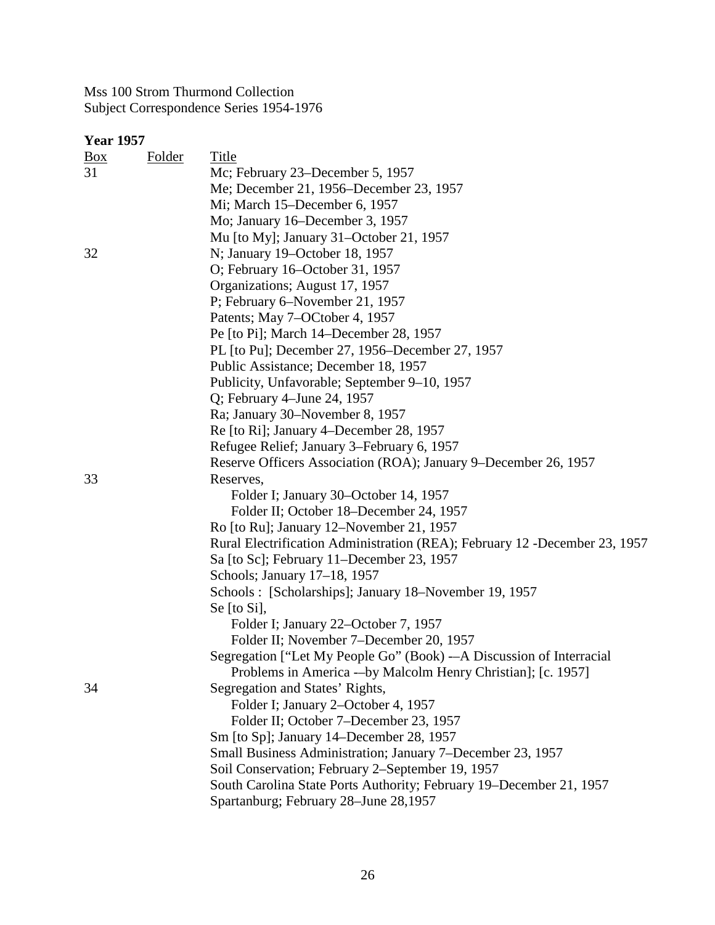| <u>Box</u> | <b>Folder</b> | Title                                                                       |
|------------|---------------|-----------------------------------------------------------------------------|
| 31         |               | Mc; February 23–December 5, 1957                                            |
|            |               | Me; December 21, 1956–December 23, 1957                                     |
|            |               | Mi; March 15–December 6, 1957                                               |
|            |               | Mo; January 16–December 3, 1957                                             |
|            |               | Mu [to My]; January 31–October 21, 1957                                     |
| 32         |               | N; January 19–October 18, 1957                                              |
|            |               | O; February 16–October 31, 1957                                             |
|            |               | Organizations; August 17, 1957                                              |
|            |               | P; February 6–November 21, 1957                                             |
|            |               | Patents; May 7-OCtober 4, 1957                                              |
|            |               | Pe [to Pi]; March 14–December 28, 1957                                      |
|            |               | PL [to Pu]; December 27, 1956–December 27, 1957                             |
|            |               | Public Assistance; December 18, 1957                                        |
|            |               | Publicity, Unfavorable; September 9–10, 1957                                |
|            |               | Q; February 4–June 24, 1957                                                 |
|            |               | Ra; January 30–November 8, 1957                                             |
|            |               | Re [to Ri]; January 4–December 28, 1957                                     |
|            |               | Refugee Relief; January 3–February 6, 1957                                  |
|            |               | Reserve Officers Association (ROA); January 9–December 26, 1957             |
| 33         |               | Reserves,                                                                   |
|            |               | Folder I; January 30–October 14, 1957                                       |
|            |               | Folder II; October 18–December 24, 1957                                     |
|            |               | Ro [to Ru]; January 12–November 21, 1957                                    |
|            |               | Rural Electrification Administration (REA); February 12 - December 23, 1957 |
|            |               | Sa [to Sc]; February 11-December 23, 1957                                   |
|            |               | Schools; January 17–18, 1957                                                |
|            |               | Schools: [Scholarships]; January 18-November 19, 1957                       |
|            |               | Se $[$ to Si $]$ ,                                                          |
|            |               | Folder I; January 22–October 7, 1957                                        |
|            |               | Folder II; November 7-December 20, 1957                                     |
|            |               | Segregation ["Let My People Go" (Book) - A Discussion of Interracial        |
|            |               | Problems in America ---by Malcolm Henry Christian]; [c. 1957]               |
| 34         |               | Segregation and States' Rights,                                             |
|            |               | Folder I; January 2–October 4, 1957                                         |
|            |               | Folder II; October 7-December 23, 1957                                      |
|            |               | Sm [to Sp]; January 14–December 28, 1957                                    |
|            |               | Small Business Administration; January 7–December 23, 1957                  |
|            |               | Soil Conservation; February 2–September 19, 1957                            |
|            |               | South Carolina State Ports Authority; February 19–December 21, 1957         |
|            |               | Spartanburg; February 28–June 28,1957                                       |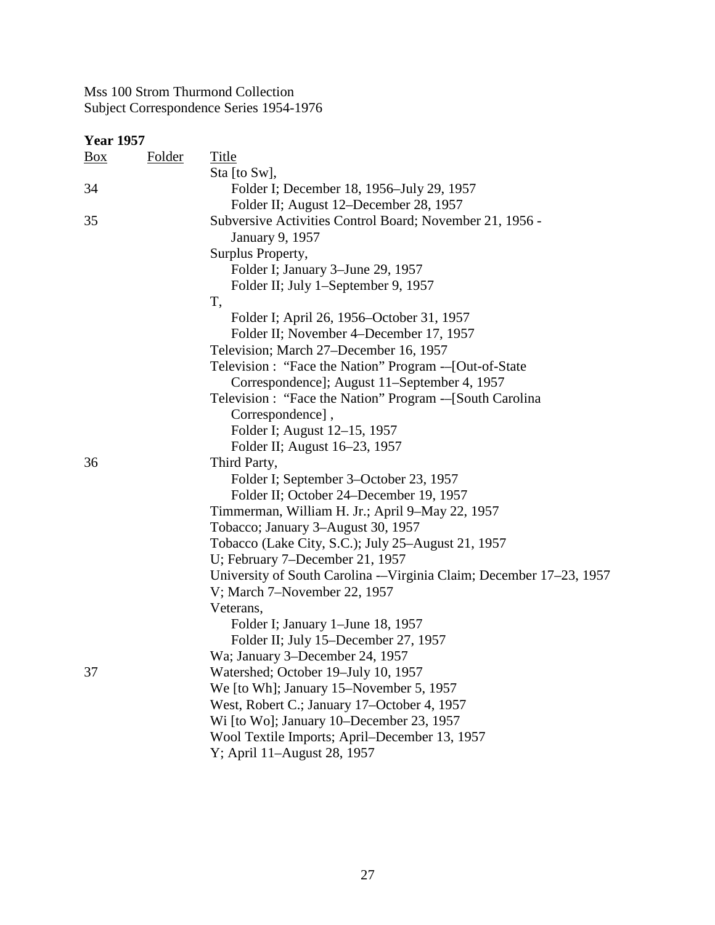| <b>Year 1957</b> |               |                                                                      |
|------------------|---------------|----------------------------------------------------------------------|
| $\frac{Box}{}$   | <u>Folder</u> | <b>Title</b>                                                         |
|                  |               | Sta [to Sw],                                                         |
| 34               |               | Folder I; December 18, 1956-July 29, 1957                            |
|                  |               | Folder II; August 12–December 28, 1957                               |
| 35               |               | Subversive Activities Control Board; November 21, 1956 -             |
|                  |               | January 9, 1957                                                      |
|                  |               | Surplus Property,                                                    |
|                  |               | Folder I; January 3–June 29, 1957                                    |
|                  |               | Folder II; July 1-September 9, 1957                                  |
|                  |               | T,                                                                   |
|                  |               | Folder I; April 26, 1956–October 31, 1957                            |
|                  |               | Folder II; November 4–December 17, 1957                              |
|                  |               | Television; March 27–December 16, 1957                               |
|                  |               | Television : "Face the Nation" Program -- [Out-of-State              |
|                  |               | Correspondence]; August 11–September 4, 1957                         |
|                  |               | Television : "Face the Nation" Program --[South Carolina             |
|                  |               | Correspondence],                                                     |
|                  |               | Folder I; August 12–15, 1957                                         |
|                  |               | Folder II; August 16–23, 1957                                        |
| 36               |               | Third Party,                                                         |
|                  |               | Folder I; September 3–October 23, 1957                               |
|                  |               | Folder II; October 24–December 19, 1957                              |
|                  |               | Timmerman, William H. Jr.; April 9-May 22, 1957                      |
|                  |               | Tobacco; January 3-August 30, 1957                                   |
|                  |               | Tobacco (Lake City, S.C.); July 25–August 21, 1957                   |
|                  |               | U; February 7–December 21, 1957                                      |
|                  |               | University of South Carolina -- Virginia Claim; December 17–23, 1957 |
|                  |               | V; March 7-November 22, 1957                                         |
|                  |               | Veterans,                                                            |
|                  |               | Folder I; January 1–June 18, 1957                                    |
|                  |               | Folder II; July 15–December 27, 1957                                 |
|                  |               | Wa; January 3-December 24, 1957                                      |
| 37               |               | Watershed; October 19-July 10, 1957                                  |
|                  |               | We [to Wh]; January 15–November 5, 1957                              |
|                  |               | West, Robert C.; January 17–October 4, 1957                          |
|                  |               | Wi [to Wo]; January 10–December 23, 1957                             |
|                  |               | Wool Textile Imports; April–December 13, 1957                        |
|                  |               | Y; April 11-August 28, 1957                                          |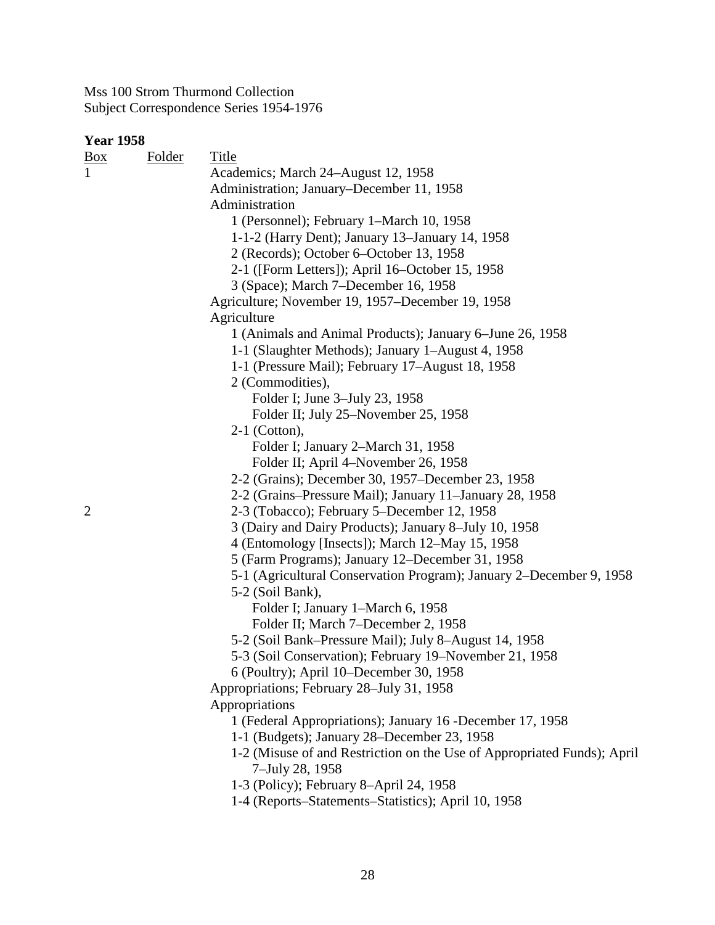| <b>Year 1958</b> |        |                                                                         |
|------------------|--------|-------------------------------------------------------------------------|
| $\frac{Box}{}$   | Folder | Title                                                                   |
| $\mathbf{1}$     |        | Academics; March 24–August 12, 1958                                     |
|                  |        | Administration; January–December 11, 1958                               |
|                  |        | Administration                                                          |
|                  |        | 1 (Personnel); February 1–March 10, 1958                                |
|                  |        | 1-1-2 (Harry Dent); January 13–January 14, 1958                         |
|                  |        | 2 (Records); October 6–October 13, 1958                                 |
|                  |        | 2-1 ([Form Letters]); April 16–October 15, 1958                         |
|                  |        | 3 (Space); March 7-December 16, 1958                                    |
|                  |        | Agriculture; November 19, 1957–December 19, 1958                        |
|                  |        | Agriculture                                                             |
|                  |        | 1 (Animals and Animal Products); January 6–June 26, 1958                |
|                  |        | 1-1 (Slaughter Methods); January 1-August 4, 1958                       |
|                  |        | 1-1 (Pressure Mail); February 17–August 18, 1958                        |
|                  |        | 2 (Commodities),                                                        |
|                  |        | Folder I; June 3–July 23, 1958                                          |
|                  |        | Folder II; July 25–November 25, 1958                                    |
|                  |        | $2-1$ (Cotton),                                                         |
|                  |        | Folder I; January 2–March 31, 1958                                      |
|                  |        | Folder II; April 4–November 26, 1958                                    |
|                  |        | 2-2 (Grains); December 30, 1957–December 23, 1958                       |
|                  |        | 2-2 (Grains–Pressure Mail); January 11–January 28, 1958                 |
| $\overline{2}$   |        | 2-3 (Tobacco); February 5–December 12, 1958                             |
|                  |        | 3 (Dairy and Dairy Products); January 8-July 10, 1958                   |
|                  |        | 4 (Entomology [Insects]); March 12–May 15, 1958                         |
|                  |        | 5 (Farm Programs); January 12–December 31, 1958                         |
|                  |        | 5-1 (Agricultural Conservation Program); January 2-December 9, 1958     |
|                  |        | 5-2 (Soil Bank),                                                        |
|                  |        | Folder I; January 1-March 6, 1958                                       |
|                  |        | Folder II; March 7-December 2, 1958                                     |
|                  |        | 5-2 (Soil Bank–Pressure Mail); July 8–August 14, 1958                   |
|                  |        | 5-3 (Soil Conservation); February 19-November 21, 1958                  |
|                  |        | 6 (Poultry); April 10–December 30, 1958                                 |
|                  |        | Appropriations; February 28–July 31, 1958                               |
|                  |        | Appropriations                                                          |
|                  |        | 1 (Federal Appropriations); January 16 -December 17, 1958               |
|                  |        | 1-1 (Budgets); January 28–December 23, 1958                             |
|                  |        | 1-2 (Misuse of and Restriction on the Use of Appropriated Funds); April |
|                  |        | 7–July 28, 1958                                                         |
|                  |        | 1-3 (Policy); February 8-April 24, 1958                                 |
|                  |        | 1-4 (Reports–Statements–Statistics); April 10, 1958                     |
|                  |        |                                                                         |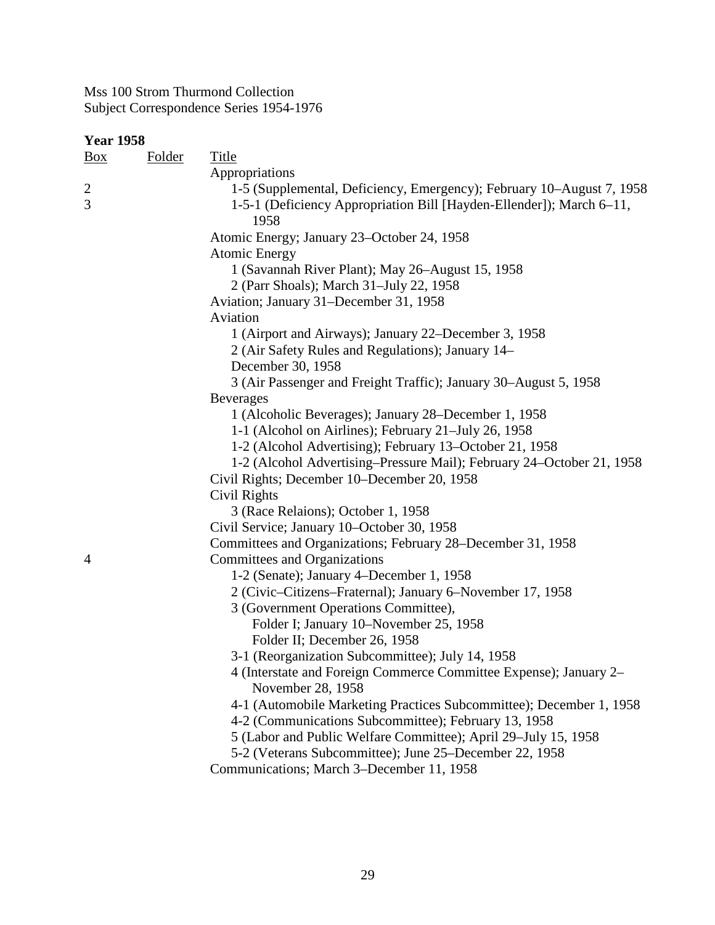| <b>Year 1958</b>    |               |                                                                                                                                                       |  |
|---------------------|---------------|-------------------------------------------------------------------------------------------------------------------------------------------------------|--|
| $\frac{Box}{}$      | <b>Folder</b> | <b>Title</b>                                                                                                                                          |  |
|                     |               | Appropriations                                                                                                                                        |  |
| $\overline{c}$<br>3 |               | 1-5 (Supplemental, Deficiency, Emergency); February 10–August 7, 1958<br>1-5-1 (Deficiency Appropriation Bill [Hayden-Ellender]); March 6-11,<br>1958 |  |
|                     |               | Atomic Energy; January 23-October 24, 1958                                                                                                            |  |
|                     |               | <b>Atomic Energy</b>                                                                                                                                  |  |
|                     |               | 1 (Savannah River Plant); May 26-August 15, 1958                                                                                                      |  |
|                     |               | 2 (Parr Shoals); March 31-July 22, 1958                                                                                                               |  |
|                     |               | Aviation; January 31–December 31, 1958                                                                                                                |  |
|                     |               | Aviation                                                                                                                                              |  |
|                     |               | 1 (Airport and Airways); January 22–December 3, 1958                                                                                                  |  |
|                     |               | 2 (Air Safety Rules and Regulations); January 14–                                                                                                     |  |
|                     |               | December 30, 1958                                                                                                                                     |  |
|                     |               | 3 (Air Passenger and Freight Traffic); January 30–August 5, 1958                                                                                      |  |
|                     |               | <b>Beverages</b>                                                                                                                                      |  |
|                     |               | 1 (Alcoholic Beverages); January 28–December 1, 1958                                                                                                  |  |
|                     |               | 1-1 (Alcohol on Airlines); February 21-July 26, 1958                                                                                                  |  |
|                     |               | 1-2 (Alcohol Advertising); February 13–October 21, 1958                                                                                               |  |
|                     |               | 1-2 (Alcohol Advertising–Pressure Mail); February 24–October 21, 1958                                                                                 |  |
|                     |               | Civil Rights; December 10–December 20, 1958                                                                                                           |  |
|                     |               | Civil Rights                                                                                                                                          |  |
|                     |               | 3 (Race Relaions); October 1, 1958                                                                                                                    |  |
|                     |               | Civil Service; January 10-October 30, 1958                                                                                                            |  |
|                     |               | Committees and Organizations; February 28–December 31, 1958                                                                                           |  |
| 4                   |               | <b>Committees and Organizations</b>                                                                                                                   |  |
|                     |               | 1-2 (Senate); January 4–December 1, 1958                                                                                                              |  |
|                     |               | 2 (Civic–Citizens–Fraternal); January 6–November 17, 1958                                                                                             |  |
|                     |               | 3 (Government Operations Committee),                                                                                                                  |  |
|                     |               | Folder I; January 10-November 25, 1958                                                                                                                |  |
|                     |               | Folder II; December 26, 1958                                                                                                                          |  |
|                     |               | 3-1 (Reorganization Subcommittee); July 14, 1958                                                                                                      |  |
|                     |               | 4 (Interstate and Foreign Commerce Committee Expense); January 2–<br>November 28, 1958                                                                |  |
|                     |               | 4-1 (Automobile Marketing Practices Subcommittee); December 1, 1958                                                                                   |  |
|                     |               | 4-2 (Communications Subcommittee); February 13, 1958                                                                                                  |  |
|                     |               | 5 (Labor and Public Welfare Committee); April 29–July 15, 1958                                                                                        |  |
|                     |               | 5-2 (Veterans Subcommittee); June 25–December 22, 1958                                                                                                |  |
|                     |               | Communications; March 3-December 11, 1958                                                                                                             |  |
|                     |               |                                                                                                                                                       |  |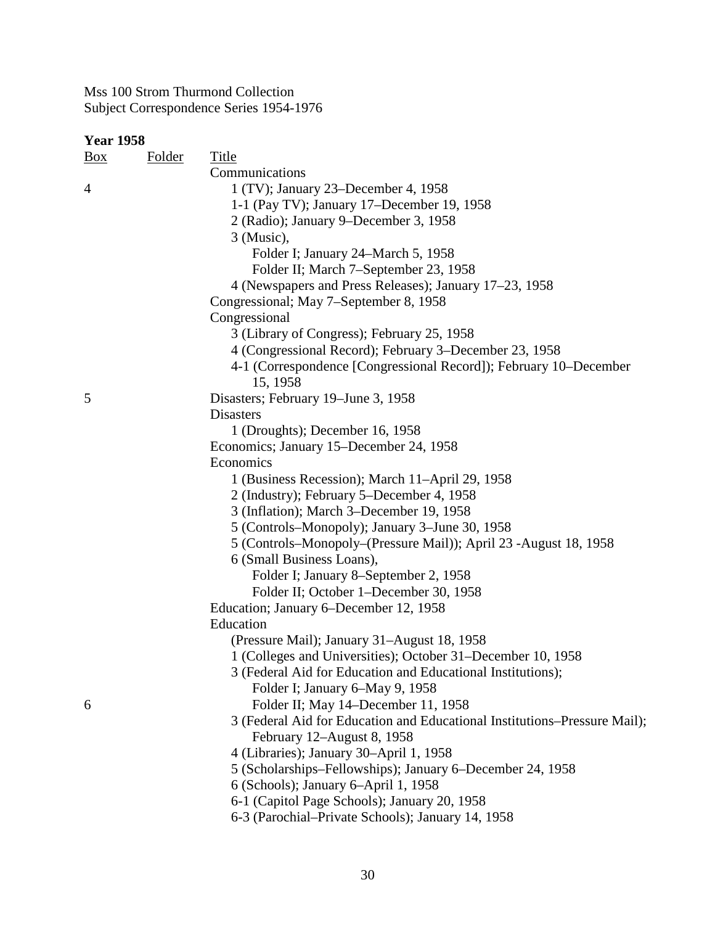| $\frac{Box}{}$ | <b>Folder</b> | <b>Title</b>                                                                                               |
|----------------|---------------|------------------------------------------------------------------------------------------------------------|
|                |               | Communications                                                                                             |
| $\overline{4}$ |               | 1 (TV); January 23–December 4, 1958                                                                        |
|                |               | 1-1 (Pay TV); January 17–December 19, 1958                                                                 |
|                |               | 2 (Radio); January 9–December 3, 1958                                                                      |
|                |               | 3 (Music),                                                                                                 |
|                |               | Folder I; January 24–March 5, 1958                                                                         |
|                |               | Folder II; March 7-September 23, 1958                                                                      |
|                |               | 4 (Newspapers and Press Releases); January 17–23, 1958                                                     |
|                |               | Congressional; May 7-September 8, 1958                                                                     |
|                |               | Congressional                                                                                              |
|                |               | 3 (Library of Congress); February 25, 1958                                                                 |
|                |               | 4 (Congressional Record); February 3–December 23, 1958                                                     |
|                |               | 4-1 (Correspondence [Congressional Record]); February 10–December                                          |
|                |               | 15, 1958                                                                                                   |
| 5              |               | Disasters; February 19–June 3, 1958                                                                        |
|                |               | <b>Disasters</b>                                                                                           |
|                |               | 1 (Droughts); December 16, 1958                                                                            |
|                |               | Economics; January 15-December 24, 1958                                                                    |
|                |               | Economics                                                                                                  |
|                |               | 1 (Business Recession); March 11-April 29, 1958                                                            |
|                |               | 2 (Industry); February 5–December 4, 1958                                                                  |
|                |               | 3 (Inflation); March 3–December 19, 1958                                                                   |
|                |               | 5 (Controls–Monopoly); January 3–June 30, 1958                                                             |
|                |               | 5 (Controls-Monopoly-(Pressure Mail)); April 23 -August 18, 1958                                           |
|                |               | 6 (Small Business Loans),                                                                                  |
|                |               | Folder I; January 8-September 2, 1958                                                                      |
|                |               | Folder II; October 1-December 30, 1958                                                                     |
|                |               | Education; January 6–December 12, 1958                                                                     |
|                |               | Education                                                                                                  |
|                |               |                                                                                                            |
|                |               | (Pressure Mail); January 31–August 18, 1958<br>1 (Colleges and Universities); October 31–December 10, 1958 |
|                |               |                                                                                                            |
|                |               | 3 (Federal Aid for Education and Educational Institutions);                                                |
| 6              |               | Folder I; January 6–May 9, 1958                                                                            |
|                |               | Folder II; May 14–December 11, 1958                                                                        |
|                |               | 3 (Federal Aid for Education and Educational Institutions-Pressure Mail);                                  |
|                |               | February 12–August 8, 1958                                                                                 |
|                |               | 4 (Libraries); January 30-April 1, 1958                                                                    |
|                |               | 5 (Scholarships–Fellowships); January 6–December 24, 1958                                                  |
|                |               | 6 (Schools); January 6-April 1, 1958                                                                       |
|                |               | 6-1 (Capitol Page Schools); January 20, 1958                                                               |
|                |               | 6-3 (Parochial–Private Schools); January 14, 1958                                                          |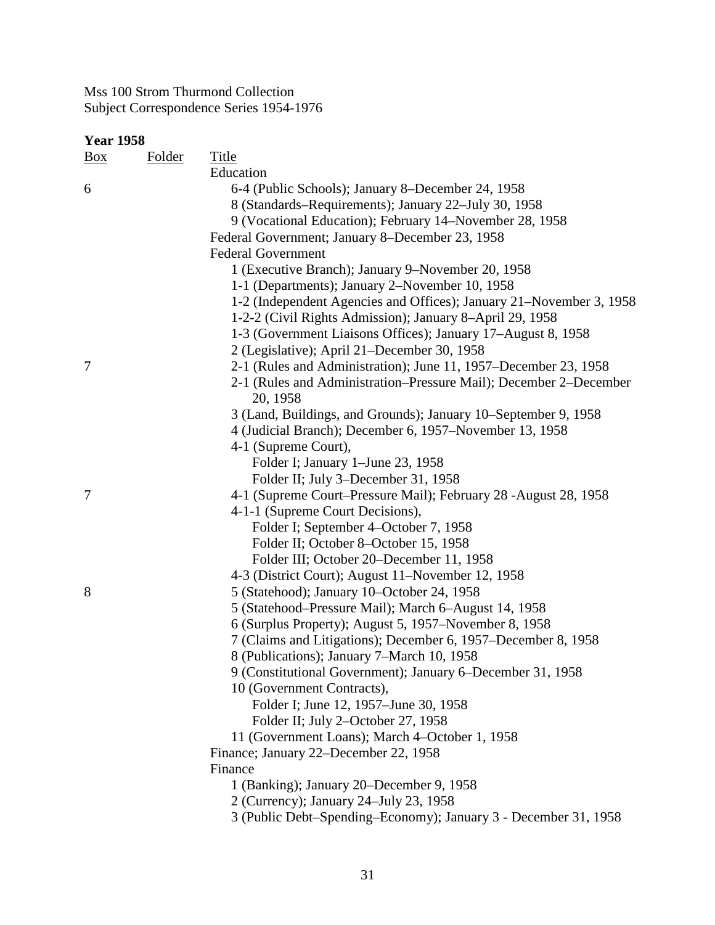| <u>Box</u> | <b>Folder</b> | <b>Title</b>                                                                  |
|------------|---------------|-------------------------------------------------------------------------------|
|            |               | Education                                                                     |
| 6          |               | 6-4 (Public Schools); January 8–December 24, 1958                             |
|            |               | 8 (Standards–Requirements); January 22–July 30, 1958                          |
|            |               | 9 (Vocational Education); February 14–November 28, 1958                       |
|            |               | Federal Government; January 8-December 23, 1958                               |
|            |               | <b>Federal Government</b>                                                     |
|            |               | 1 (Executive Branch); January 9–November 20, 1958                             |
|            |               | 1-1 (Departments); January 2-November 10, 1958                                |
|            |               | 1-2 (Independent Agencies and Offices); January 21–November 3, 1958           |
|            |               | 1-2-2 (Civil Rights Admission); January 8-April 29, 1958                      |
|            |               | 1-3 (Government Liaisons Offices); January 17–August 8, 1958                  |
|            |               | 2 (Legislative); April 21–December 30, 1958                                   |
| 7          |               | 2-1 (Rules and Administration); June 11, 1957–December 23, 1958               |
|            |               | 2-1 (Rules and Administration–Pressure Mail); December 2–December<br>20, 1958 |
|            |               | 3 (Land, Buildings, and Grounds); January 10–September 9, 1958                |
|            |               | 4 (Judicial Branch); December 6, 1957-November 13, 1958                       |
|            |               | 4-1 (Supreme Court),                                                          |
|            |               | Folder I; January 1-June 23, 1958                                             |
|            |               | Folder II; July 3-December 31, 1958                                           |
| 7          |               | 4-1 (Supreme Court–Pressure Mail); February 28 -August 28, 1958               |
|            |               | 4-1-1 (Supreme Court Decisions),                                              |
|            |               | Folder I; September 4–October 7, 1958                                         |
|            |               | Folder II; October 8-October 15, 1958                                         |
|            |               | Folder III; October 20–December 11, 1958                                      |
|            |               | 4-3 (District Court); August 11–November 12, 1958                             |
| 8          |               | 5 (Statehood); January 10–October 24, 1958                                    |
|            |               | 5 (Statehood–Pressure Mail); March 6–August 14, 1958                          |
|            |               | 6 (Surplus Property); August 5, 1957–November 8, 1958                         |
|            |               | 7 (Claims and Litigations); December 6, 1957–December 8, 1958                 |
|            |               | 8 (Publications); January 7–March 10, 1958                                    |
|            |               | 9 (Constitutional Government); January 6-December 31, 1958                    |
|            |               | 10 (Government Contracts),                                                    |
|            |               | Folder I; June 12, 1957–June 30, 1958                                         |
|            |               | Folder II; July 2-October 27, 1958                                            |
|            |               | 11 (Government Loans); March 4-October 1, 1958                                |
|            |               | Finance; January 22–December 22, 1958                                         |
|            |               | Finance                                                                       |
|            |               | 1 (Banking); January 20–December 9, 1958                                      |
|            |               | 2 (Currency); January 24–July 23, 1958                                        |
|            |               | 3 (Public Debt-Spending-Economy); January 3 - December 31, 1958               |
|            |               |                                                                               |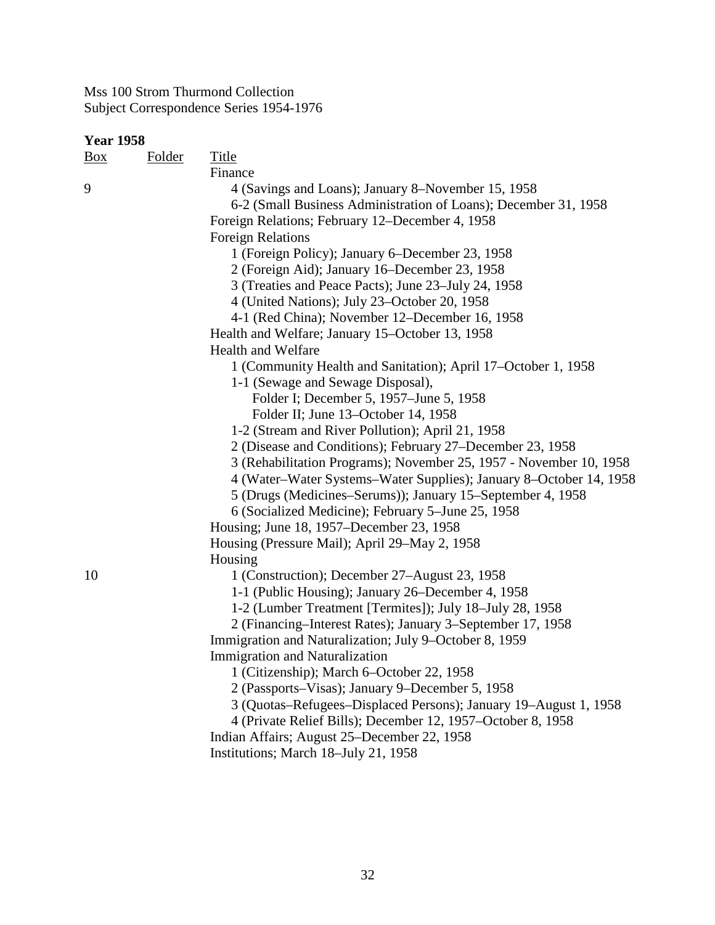| Box | <b>Folder</b> | <u>Title</u>                                                       |
|-----|---------------|--------------------------------------------------------------------|
|     |               | Finance                                                            |
| 9   |               | 4 (Savings and Loans); January 8–November 15, 1958                 |
|     |               | 6-2 (Small Business Administration of Loans); December 31, 1958    |
|     |               | Foreign Relations; February 12–December 4, 1958                    |
|     |               | <b>Foreign Relations</b>                                           |
|     |               | 1 (Foreign Policy); January 6–December 23, 1958                    |
|     |               | 2 (Foreign Aid); January 16–December 23, 1958                      |
|     |               | 3 (Treaties and Peace Pacts); June 23–July 24, 1958                |
|     |               | 4 (United Nations); July 23–October 20, 1958                       |
|     |               | 4-1 (Red China); November 12–December 16, 1958                     |
|     |               | Health and Welfare; January 15–October 13, 1958                    |
|     |               | <b>Health and Welfare</b>                                          |
|     |               | 1 (Community Health and Sanitation); April 17–October 1, 1958      |
|     |               | 1-1 (Sewage and Sewage Disposal),                                  |
|     |               | Folder I; December 5, 1957–June 5, 1958                            |
|     |               | Folder II; June 13-October 14, 1958                                |
|     |               | 1-2 (Stream and River Pollution); April 21, 1958                   |
|     |               | 2 (Disease and Conditions); February 27–December 23, 1958          |
|     |               | 3 (Rehabilitation Programs); November 25, 1957 - November 10, 1958 |
|     |               | 4 (Water–Water Systems–Water Supplies); January 8–October 14, 1958 |
|     |               | 5 (Drugs (Medicines–Serums)); January 15–September 4, 1958         |
|     |               | 6 (Socialized Medicine); February 5–June 25, 1958                  |
|     |               | Housing; June 18, 1957–December 23, 1958                           |
|     |               | Housing (Pressure Mail); April 29–May 2, 1958                      |
|     |               | Housing                                                            |
| 10  |               | 1 (Construction); December 27–August 23, 1958                      |
|     |               | 1-1 (Public Housing); January 26–December 4, 1958                  |
|     |               | 1-2 (Lumber Treatment [Termites]); July 18–July 28, 1958           |
|     |               | 2 (Financing–Interest Rates); January 3–September 17, 1958         |
|     |               | Immigration and Naturalization; July 9–October 8, 1959             |
|     |               | <b>Immigration and Naturalization</b>                              |
|     |               | 1 (Citizenship); March 6–October 22, 1958                          |
|     |               | 2 (Passports–Visas); January 9–December 5, 1958                    |
|     |               | 3 (Quotas-Refugees-Displaced Persons); January 19-August 1, 1958   |
|     |               | 4 (Private Relief Bills); December 12, 1957-October 8, 1958        |
|     |               | Indian Affairs; August 25–December 22, 1958                        |
|     |               | Institutions; March 18-July 21, 1958                               |
|     |               |                                                                    |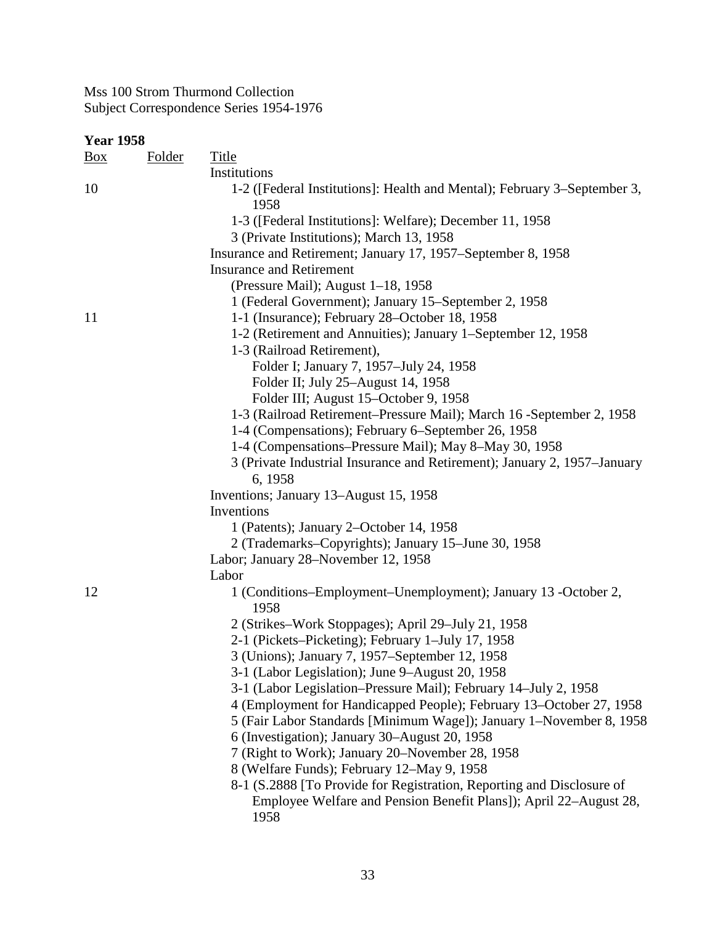| <b>Year 1958</b> |               |                                                                                  |
|------------------|---------------|----------------------------------------------------------------------------------|
| Box              | <u>Folder</u> | <b>Title</b>                                                                     |
|                  |               | Institutions                                                                     |
| 10               |               | 1-2 ([Federal Institutions]: Health and Mental); February 3–September 3,<br>1958 |
|                  |               | 1-3 ([Federal Institutions]: Welfare); December 11, 1958                         |
|                  |               | 3 (Private Institutions); March 13, 1958                                         |
|                  |               | Insurance and Retirement; January 17, 1957–September 8, 1958                     |
|                  |               | <b>Insurance and Retirement</b>                                                  |
|                  |               | (Pressure Mail); August 1–18, 1958                                               |
|                  |               | 1 (Federal Government); January 15–September 2, 1958                             |
| 11               |               | 1-1 (Insurance); February 28–October 18, 1958                                    |
|                  |               | 1-2 (Retirement and Annuities); January 1–September 12, 1958                     |
|                  |               | 1-3 (Railroad Retirement),                                                       |
|                  |               | Folder I; January 7, 1957-July 24, 1958                                          |
|                  |               | Folder II; July 25–August 14, 1958                                               |
|                  |               | Folder III; August 15-October 9, 1958                                            |
|                  |               | 1-3 (Railroad Retirement–Pressure Mail); March 16 - September 2, 1958            |
|                  |               | 1-4 (Compensations); February 6–September 26, 1958                               |
|                  |               | 1-4 (Compensations–Pressure Mail); May 8–May 30, 1958                            |
|                  |               | 3 (Private Industrial Insurance and Retirement); January 2, 1957–January         |
|                  |               | 6, 1958                                                                          |
|                  |               | Inventions; January 13–August 15, 1958                                           |
|                  |               | Inventions                                                                       |
|                  |               | 1 (Patents); January 2-October 14, 1958                                          |
|                  |               | 2 (Trademarks–Copyrights); January 15–June 30, 1958                              |
|                  |               | Labor; January 28–November 12, 1958                                              |
|                  |               | Labor                                                                            |
| 12               |               | 1 (Conditions–Employment–Unemployment); January 13 -October 2,<br>1958           |
|                  |               | 2 (Strikes–Work Stoppages); April 29–July 21, 1958                               |
|                  |               | 2-1 (Pickets–Picketing); February 1–July 17, 1958                                |
|                  |               | 3 (Unions); January 7, 1957–September 12, 1958                                   |
|                  |               | 3-1 (Labor Legislation); June 9–August 20, 1958                                  |
|                  |               | 3-1 (Labor Legislation–Pressure Mail); February 14–July 2, 1958                  |
|                  |               | 4 (Employment for Handicapped People); February 13–October 27, 1958              |
|                  |               | 5 (Fair Labor Standards [Minimum Wage]); January 1–November 8, 1958              |
|                  |               | 6 (Investigation); January 30–August 20, 1958                                    |
|                  |               | 7 (Right to Work); January 20–November 28, 1958                                  |
|                  |               | 8 (Welfare Funds); February 12–May 9, 1958                                       |
|                  |               | 8-1 (S.2888 [To Provide for Registration, Reporting and Disclosure of            |
|                  |               | Employee Welfare and Pension Benefit Plans]); April 22–August 28,                |
|                  |               | 1958                                                                             |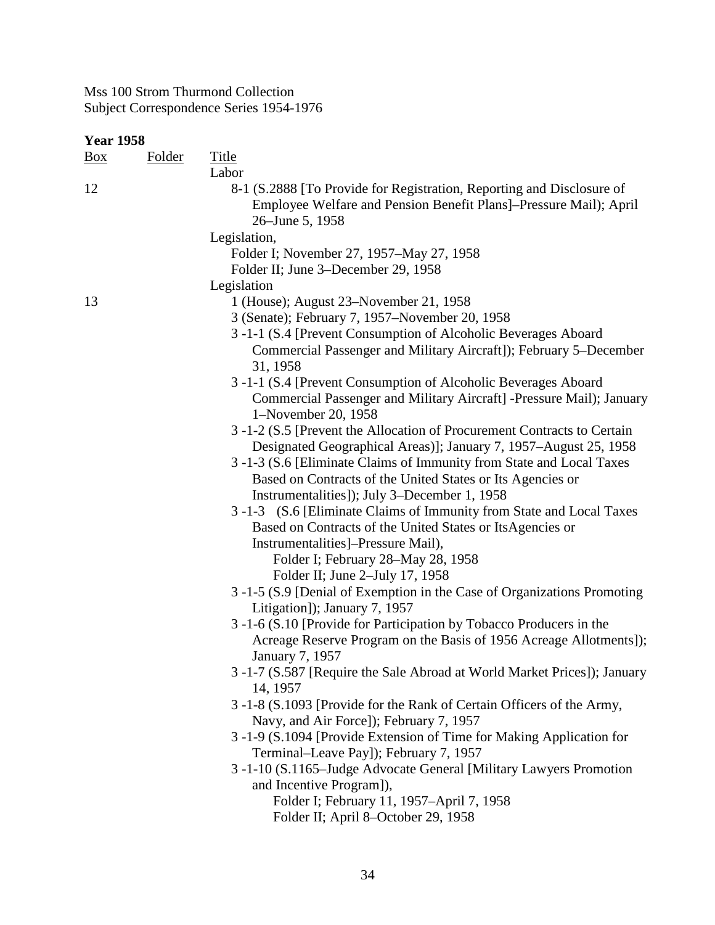| <b>Title</b><br><b>Folder</b><br>Labor<br>8-1 (S.2888 [To Provide for Registration, Reporting and Disclosure of<br>Employee Welfare and Pension Benefit Plans]-Pressure Mail); April<br>26–June 5, 1958<br>Legislation,<br>Folder I; November 27, 1957–May 27, 1958<br>Folder II; June 3–December 29, 1958<br>Legislation<br>1 (House); August 23–November 21, 1958<br>3 (Senate); February 7, 1957–November 20, 1958<br>3-1-1 (S.4 [Prevent Consumption of Alcoholic Beverages Aboard<br>Commercial Passenger and Military Aircraft]); February 5–December<br>31, 1958<br>3-1-1 (S.4 [Prevent Consumption of Alcoholic Beverages Aboard<br>Commercial Passenger and Military Aircraft] -Pressure Mail); January<br>1-November 20, 1958<br>3 -1-2 (S.5 [Prevent the Allocation of Procurement Contracts to Certain<br>Designated Geographical Areas)]; January 7, 1957–August 25, 1958<br>3 -1-3 (S.6 [Eliminate Claims of Immunity from State and Local Taxes<br>Based on Contracts of the United States or Its Agencies or<br>Instrumentalities]); July 3–December 1, 1958<br>3-1-3 (S.6 [Eliminate Claims of Immunity from State and Local Taxes<br>Based on Contracts of the United States or ItsAgencies or<br>Instrumentalities]–Pressure Mail),<br>Folder I; February 28–May 28, 1958<br>Folder II; June 2-July 17, 1958<br>3-1-5 (S.9 [Denial of Exemption in the Case of Organizations Promoting<br>Litigation]); January 7, 1957<br>3-1-6 (S.10 [Provide for Participation by Tobacco Producers in the<br>Acreage Reserve Program on the Basis of 1956 Acreage Allotments]);<br>January 7, 1957<br>3-1-7 (S.587 [Require the Sale Abroad at World Market Prices]); January<br>14, 1957<br>3-1-8 (S.1093 [Provide for the Rank of Certain Officers of the Army,<br>Navy, and Air Force]); February 7, 1957<br>3 -1-9 (S.1094 [Provide Extension of Time for Making Application for<br>Terminal-Leave Payl); February 7, 1957<br>3 -1-10 (S.1165–Judge Advocate General [Military Lawyers Promotion | <b>Year 1958</b> |  |                          |  |  |  |  |
|-------------------------------------------------------------------------------------------------------------------------------------------------------------------------------------------------------------------------------------------------------------------------------------------------------------------------------------------------------------------------------------------------------------------------------------------------------------------------------------------------------------------------------------------------------------------------------------------------------------------------------------------------------------------------------------------------------------------------------------------------------------------------------------------------------------------------------------------------------------------------------------------------------------------------------------------------------------------------------------------------------------------------------------------------------------------------------------------------------------------------------------------------------------------------------------------------------------------------------------------------------------------------------------------------------------------------------------------------------------------------------------------------------------------------------------------------------------------------------------------------------------------------------------------------------------------------------------------------------------------------------------------------------------------------------------------------------------------------------------------------------------------------------------------------------------------------------------------------------------------------------------------------------------------------------------------------------------------------------------------------------------|------------------|--|--------------------------|--|--|--|--|
|                                                                                                                                                                                                                                                                                                                                                                                                                                                                                                                                                                                                                                                                                                                                                                                                                                                                                                                                                                                                                                                                                                                                                                                                                                                                                                                                                                                                                                                                                                                                                                                                                                                                                                                                                                                                                                                                                                                                                                                                             | $\frac{Box}{}$   |  |                          |  |  |  |  |
|                                                                                                                                                                                                                                                                                                                                                                                                                                                                                                                                                                                                                                                                                                                                                                                                                                                                                                                                                                                                                                                                                                                                                                                                                                                                                                                                                                                                                                                                                                                                                                                                                                                                                                                                                                                                                                                                                                                                                                                                             |                  |  |                          |  |  |  |  |
|                                                                                                                                                                                                                                                                                                                                                                                                                                                                                                                                                                                                                                                                                                                                                                                                                                                                                                                                                                                                                                                                                                                                                                                                                                                                                                                                                                                                                                                                                                                                                                                                                                                                                                                                                                                                                                                                                                                                                                                                             | 12               |  |                          |  |  |  |  |
|                                                                                                                                                                                                                                                                                                                                                                                                                                                                                                                                                                                                                                                                                                                                                                                                                                                                                                                                                                                                                                                                                                                                                                                                                                                                                                                                                                                                                                                                                                                                                                                                                                                                                                                                                                                                                                                                                                                                                                                                             |                  |  |                          |  |  |  |  |
|                                                                                                                                                                                                                                                                                                                                                                                                                                                                                                                                                                                                                                                                                                                                                                                                                                                                                                                                                                                                                                                                                                                                                                                                                                                                                                                                                                                                                                                                                                                                                                                                                                                                                                                                                                                                                                                                                                                                                                                                             |                  |  |                          |  |  |  |  |
|                                                                                                                                                                                                                                                                                                                                                                                                                                                                                                                                                                                                                                                                                                                                                                                                                                                                                                                                                                                                                                                                                                                                                                                                                                                                                                                                                                                                                                                                                                                                                                                                                                                                                                                                                                                                                                                                                                                                                                                                             |                  |  |                          |  |  |  |  |
|                                                                                                                                                                                                                                                                                                                                                                                                                                                                                                                                                                                                                                                                                                                                                                                                                                                                                                                                                                                                                                                                                                                                                                                                                                                                                                                                                                                                                                                                                                                                                                                                                                                                                                                                                                                                                                                                                                                                                                                                             |                  |  |                          |  |  |  |  |
|                                                                                                                                                                                                                                                                                                                                                                                                                                                                                                                                                                                                                                                                                                                                                                                                                                                                                                                                                                                                                                                                                                                                                                                                                                                                                                                                                                                                                                                                                                                                                                                                                                                                                                                                                                                                                                                                                                                                                                                                             | 13               |  |                          |  |  |  |  |
|                                                                                                                                                                                                                                                                                                                                                                                                                                                                                                                                                                                                                                                                                                                                                                                                                                                                                                                                                                                                                                                                                                                                                                                                                                                                                                                                                                                                                                                                                                                                                                                                                                                                                                                                                                                                                                                                                                                                                                                                             |                  |  |                          |  |  |  |  |
|                                                                                                                                                                                                                                                                                                                                                                                                                                                                                                                                                                                                                                                                                                                                                                                                                                                                                                                                                                                                                                                                                                                                                                                                                                                                                                                                                                                                                                                                                                                                                                                                                                                                                                                                                                                                                                                                                                                                                                                                             |                  |  |                          |  |  |  |  |
|                                                                                                                                                                                                                                                                                                                                                                                                                                                                                                                                                                                                                                                                                                                                                                                                                                                                                                                                                                                                                                                                                                                                                                                                                                                                                                                                                                                                                                                                                                                                                                                                                                                                                                                                                                                                                                                                                                                                                                                                             |                  |  |                          |  |  |  |  |
|                                                                                                                                                                                                                                                                                                                                                                                                                                                                                                                                                                                                                                                                                                                                                                                                                                                                                                                                                                                                                                                                                                                                                                                                                                                                                                                                                                                                                                                                                                                                                                                                                                                                                                                                                                                                                                                                                                                                                                                                             |                  |  |                          |  |  |  |  |
|                                                                                                                                                                                                                                                                                                                                                                                                                                                                                                                                                                                                                                                                                                                                                                                                                                                                                                                                                                                                                                                                                                                                                                                                                                                                                                                                                                                                                                                                                                                                                                                                                                                                                                                                                                                                                                                                                                                                                                                                             |                  |  |                          |  |  |  |  |
|                                                                                                                                                                                                                                                                                                                                                                                                                                                                                                                                                                                                                                                                                                                                                                                                                                                                                                                                                                                                                                                                                                                                                                                                                                                                                                                                                                                                                                                                                                                                                                                                                                                                                                                                                                                                                                                                                                                                                                                                             |                  |  |                          |  |  |  |  |
|                                                                                                                                                                                                                                                                                                                                                                                                                                                                                                                                                                                                                                                                                                                                                                                                                                                                                                                                                                                                                                                                                                                                                                                                                                                                                                                                                                                                                                                                                                                                                                                                                                                                                                                                                                                                                                                                                                                                                                                                             |                  |  |                          |  |  |  |  |
|                                                                                                                                                                                                                                                                                                                                                                                                                                                                                                                                                                                                                                                                                                                                                                                                                                                                                                                                                                                                                                                                                                                                                                                                                                                                                                                                                                                                                                                                                                                                                                                                                                                                                                                                                                                                                                                                                                                                                                                                             |                  |  |                          |  |  |  |  |
|                                                                                                                                                                                                                                                                                                                                                                                                                                                                                                                                                                                                                                                                                                                                                                                                                                                                                                                                                                                                                                                                                                                                                                                                                                                                                                                                                                                                                                                                                                                                                                                                                                                                                                                                                                                                                                                                                                                                                                                                             |                  |  |                          |  |  |  |  |
|                                                                                                                                                                                                                                                                                                                                                                                                                                                                                                                                                                                                                                                                                                                                                                                                                                                                                                                                                                                                                                                                                                                                                                                                                                                                                                                                                                                                                                                                                                                                                                                                                                                                                                                                                                                                                                                                                                                                                                                                             |                  |  |                          |  |  |  |  |
|                                                                                                                                                                                                                                                                                                                                                                                                                                                                                                                                                                                                                                                                                                                                                                                                                                                                                                                                                                                                                                                                                                                                                                                                                                                                                                                                                                                                                                                                                                                                                                                                                                                                                                                                                                                                                                                                                                                                                                                                             |                  |  |                          |  |  |  |  |
|                                                                                                                                                                                                                                                                                                                                                                                                                                                                                                                                                                                                                                                                                                                                                                                                                                                                                                                                                                                                                                                                                                                                                                                                                                                                                                                                                                                                                                                                                                                                                                                                                                                                                                                                                                                                                                                                                                                                                                                                             |                  |  |                          |  |  |  |  |
|                                                                                                                                                                                                                                                                                                                                                                                                                                                                                                                                                                                                                                                                                                                                                                                                                                                                                                                                                                                                                                                                                                                                                                                                                                                                                                                                                                                                                                                                                                                                                                                                                                                                                                                                                                                                                                                                                                                                                                                                             |                  |  |                          |  |  |  |  |
|                                                                                                                                                                                                                                                                                                                                                                                                                                                                                                                                                                                                                                                                                                                                                                                                                                                                                                                                                                                                                                                                                                                                                                                                                                                                                                                                                                                                                                                                                                                                                                                                                                                                                                                                                                                                                                                                                                                                                                                                             |                  |  |                          |  |  |  |  |
|                                                                                                                                                                                                                                                                                                                                                                                                                                                                                                                                                                                                                                                                                                                                                                                                                                                                                                                                                                                                                                                                                                                                                                                                                                                                                                                                                                                                                                                                                                                                                                                                                                                                                                                                                                                                                                                                                                                                                                                                             |                  |  |                          |  |  |  |  |
|                                                                                                                                                                                                                                                                                                                                                                                                                                                                                                                                                                                                                                                                                                                                                                                                                                                                                                                                                                                                                                                                                                                                                                                                                                                                                                                                                                                                                                                                                                                                                                                                                                                                                                                                                                                                                                                                                                                                                                                                             |                  |  |                          |  |  |  |  |
|                                                                                                                                                                                                                                                                                                                                                                                                                                                                                                                                                                                                                                                                                                                                                                                                                                                                                                                                                                                                                                                                                                                                                                                                                                                                                                                                                                                                                                                                                                                                                                                                                                                                                                                                                                                                                                                                                                                                                                                                             |                  |  |                          |  |  |  |  |
|                                                                                                                                                                                                                                                                                                                                                                                                                                                                                                                                                                                                                                                                                                                                                                                                                                                                                                                                                                                                                                                                                                                                                                                                                                                                                                                                                                                                                                                                                                                                                                                                                                                                                                                                                                                                                                                                                                                                                                                                             |                  |  |                          |  |  |  |  |
|                                                                                                                                                                                                                                                                                                                                                                                                                                                                                                                                                                                                                                                                                                                                                                                                                                                                                                                                                                                                                                                                                                                                                                                                                                                                                                                                                                                                                                                                                                                                                                                                                                                                                                                                                                                                                                                                                                                                                                                                             |                  |  |                          |  |  |  |  |
|                                                                                                                                                                                                                                                                                                                                                                                                                                                                                                                                                                                                                                                                                                                                                                                                                                                                                                                                                                                                                                                                                                                                                                                                                                                                                                                                                                                                                                                                                                                                                                                                                                                                                                                                                                                                                                                                                                                                                                                                             |                  |  |                          |  |  |  |  |
|                                                                                                                                                                                                                                                                                                                                                                                                                                                                                                                                                                                                                                                                                                                                                                                                                                                                                                                                                                                                                                                                                                                                                                                                                                                                                                                                                                                                                                                                                                                                                                                                                                                                                                                                                                                                                                                                                                                                                                                                             |                  |  |                          |  |  |  |  |
|                                                                                                                                                                                                                                                                                                                                                                                                                                                                                                                                                                                                                                                                                                                                                                                                                                                                                                                                                                                                                                                                                                                                                                                                                                                                                                                                                                                                                                                                                                                                                                                                                                                                                                                                                                                                                                                                                                                                                                                                             |                  |  |                          |  |  |  |  |
|                                                                                                                                                                                                                                                                                                                                                                                                                                                                                                                                                                                                                                                                                                                                                                                                                                                                                                                                                                                                                                                                                                                                                                                                                                                                                                                                                                                                                                                                                                                                                                                                                                                                                                                                                                                                                                                                                                                                                                                                             |                  |  | and Incentive Program]), |  |  |  |  |
| Folder I; February 11, 1957–April 7, 1958                                                                                                                                                                                                                                                                                                                                                                                                                                                                                                                                                                                                                                                                                                                                                                                                                                                                                                                                                                                                                                                                                                                                                                                                                                                                                                                                                                                                                                                                                                                                                                                                                                                                                                                                                                                                                                                                                                                                                                   |                  |  |                          |  |  |  |  |
| Folder II; April 8-October 29, 1958                                                                                                                                                                                                                                                                                                                                                                                                                                                                                                                                                                                                                                                                                                                                                                                                                                                                                                                                                                                                                                                                                                                                                                                                                                                                                                                                                                                                                                                                                                                                                                                                                                                                                                                                                                                                                                                                                                                                                                         |                  |  |                          |  |  |  |  |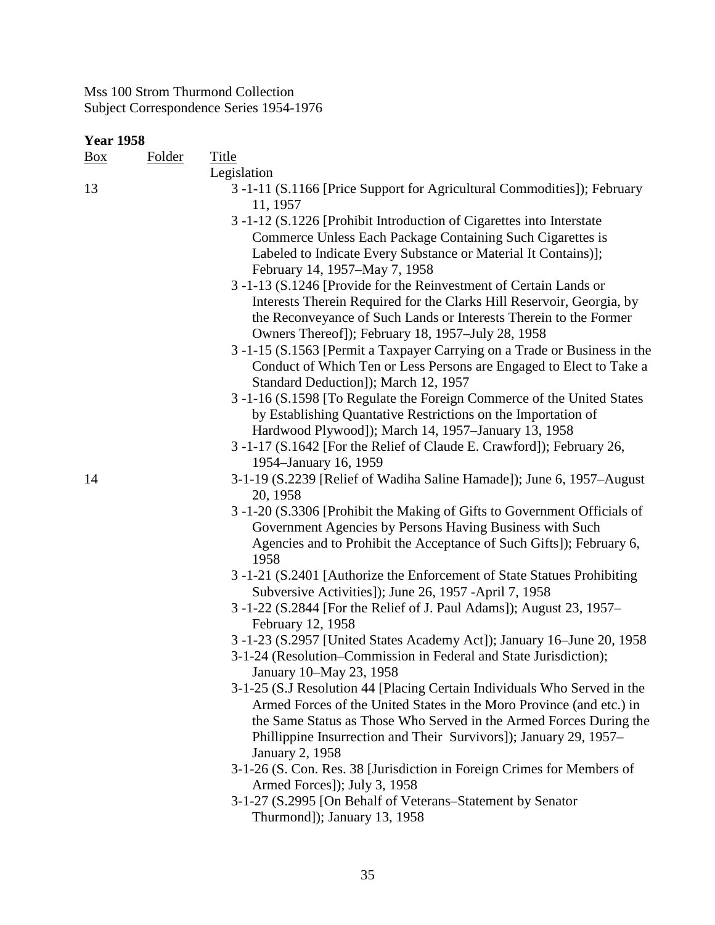| <b>Year 1958</b> |               |                                                                                                                                                                                          |
|------------------|---------------|------------------------------------------------------------------------------------------------------------------------------------------------------------------------------------------|
| $\frac{Box}{}$   | <b>Folder</b> | <b>Title</b>                                                                                                                                                                             |
|                  |               | Legislation                                                                                                                                                                              |
| 13               |               | 3 -1-11 (S.1166 [Price Support for Agricultural Commodities]); February<br>11, 1957                                                                                                      |
|                  |               | 3 -1-12 (S.1226 [Prohibit Introduction of Cigarettes into Interstate<br>Commerce Unless Each Package Containing Such Cigarettes is                                                       |
|                  |               | Labeled to Indicate Every Substance or Material It Contains)];<br>February 14, 1957–May 7, 1958                                                                                          |
|                  |               | 3 -1-13 (S.1246 [Provide for the Reinvestment of Certain Lands or                                                                                                                        |
|                  |               | Interests Therein Required for the Clarks Hill Reservoir, Georgia, by<br>the Reconveyance of Such Lands or Interests Therein to the Former                                               |
|                  |               | Owners Thereof]); February 18, 1957–July 28, 1958                                                                                                                                        |
|                  |               | 3 -1-15 (S.1563 [Permit a Taxpayer Carrying on a Trade or Business in the<br>Conduct of Which Ten or Less Persons are Engaged to Elect to Take a<br>Standard Deduction]); March 12, 1957 |
|                  |               | 3 -1-16 (S.1598 [To Regulate the Foreign Commerce of the United States                                                                                                                   |
|                  |               | by Establishing Quantative Restrictions on the Importation of                                                                                                                            |
|                  |               | Hardwood Plywood]); March 14, 1957–January 13, 1958<br>3 -1-17 (S.1642 [For the Relief of Claude E. Crawford]); February 26,                                                             |
|                  |               | 1954–January 16, 1959                                                                                                                                                                    |
| 14               |               | 3-1-19 (S.2239 [Relief of Wadiha Saline Hamade]); June 6, 1957–August<br>20, 1958                                                                                                        |
|                  |               | 3 -1-20 (S.3306 [Prohibit the Making of Gifts to Government Officials of<br>Government Agencies by Persons Having Business with Such                                                     |
|                  |               | Agencies and to Prohibit the Acceptance of Such Gifts]); February 6,<br>1958                                                                                                             |
|                  |               | 3-1-21 (S.2401 [Authorize the Enforcement of State Statues Prohibiting<br>Subversive Activities]); June 26, 1957 -April 7, 1958                                                          |
|                  |               | 3 -1-22 (S.2844 [For the Relief of J. Paul Adams]); August 23, 1957–<br>February 12, 1958                                                                                                |
|                  |               | 3 -1-23 (S.2957 [United States Academy Act]); January 16–June 20, 1958                                                                                                                   |
|                  |               | 3-1-24 (Resolution–Commission in Federal and State Jurisdiction);<br>January 10–May 23, 1958                                                                                             |
|                  |               | 3-1-25 (S.J Resolution 44 [Placing Certain Individuals Who Served in the<br>Armed Forces of the United States in the Moro Province (and etc.) in                                         |
|                  |               | the Same Status as Those Who Served in the Armed Forces During the                                                                                                                       |
|                  |               | Phillippine Insurrection and Their Survivors]); January 29, 1957–                                                                                                                        |
|                  |               | <b>January 2, 1958</b><br>3-1-26 (S. Con. Res. 38 [Jurisdiction in Foreign Crimes for Members of                                                                                         |
|                  |               | Armed Forces]); July 3, 1958                                                                                                                                                             |
|                  |               | 3-1-27 (S.2995 [On Behalf of Veterans–Statement by Senator                                                                                                                               |
|                  |               | Thurmond]); January 13, 1958                                                                                                                                                             |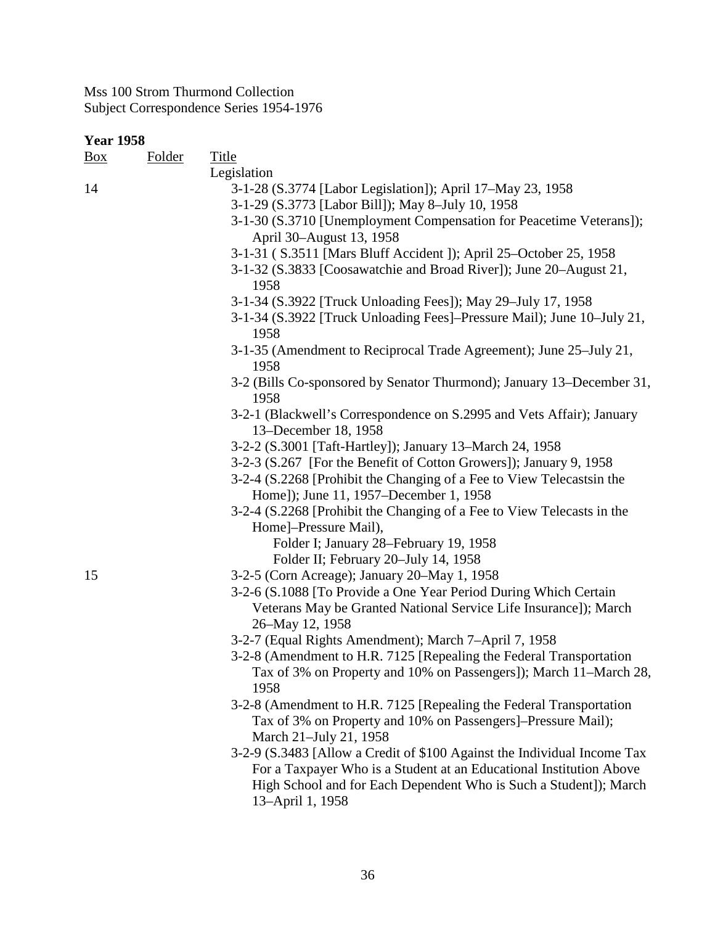### **Year 1958**

| $\frac{Box}{}$ | Folder | <b>Title</b>                                                                                                                         |
|----------------|--------|--------------------------------------------------------------------------------------------------------------------------------------|
|                |        | Legislation                                                                                                                          |
| 14             |        | 3-1-28 (S.3774 [Labor Legislation]); April 17-May 23, 1958                                                                           |
|                |        | 3-1-29 (S.3773 [Labor Bill]); May 8-July 10, 1958                                                                                    |
|                |        | 3-1-30 (S.3710 [Unemployment Compensation for Peacetime Veterans]);                                                                  |
|                |        | April 30–August 13, 1958                                                                                                             |
|                |        | 3-1-31 (S.3511 [Mars Bluff Accident ]); April 25-October 25, 1958                                                                    |
|                |        | 3-1-32 (S.3833 [Coosawatchie and Broad River]); June 20–August 21,<br>1958                                                           |
|                |        | 3-1-34 (S.3922 [Truck Unloading Fees]); May 29-July 17, 1958                                                                         |
|                |        | 3-1-34 (S.3922 [Truck Unloading Fees]-Pressure Mail); June 10-July 21,<br>1958                                                       |
|                |        | 3-1-35 (Amendment to Reciprocal Trade Agreement); June 25–July 21,<br>1958                                                           |
|                |        | 3-2 (Bills Co-sponsored by Senator Thurmond); January 13-December 31,<br>1958                                                        |
|                |        | 3-2-1 (Blackwell's Correspondence on S.2995 and Vets Affair); January<br>13-December 18, 1958                                        |
|                |        | 3-2-2 (S.3001 [Taft-Hartley]); January 13–March 24, 1958                                                                             |
|                |        | 3-2-3 (S.267 [For the Benefit of Cotton Growers]); January 9, 1958                                                                   |
|                |        | 3-2-4 (S.2268 [Prohibit the Changing of a Fee to View Telecastsin the<br>Home]); June 11, 1957–December 1, 1958                      |
|                |        | 3-2-4 (S.2268 [Prohibit the Changing of a Fee to View Telecasts in the                                                               |
|                |        | Home]-Pressure Mail),                                                                                                                |
|                |        | Folder I; January 28–February 19, 1958                                                                                               |
|                |        | Folder II; February 20-July 14, 1958                                                                                                 |
| 15             |        | 3-2-5 (Corn Acreage); January 20–May 1, 1958                                                                                         |
|                |        | 3-2-6 (S.1088 [To Provide a One Year Period During Which Certain<br>Veterans May be Granted National Service Life Insurance]); March |
|                |        | 26-May 12, 1958                                                                                                                      |
|                |        | 3-2-7 (Equal Rights Amendment); March 7-April 7, 1958                                                                                |
|                |        | 3-2-8 (Amendment to H.R. 7125 [Repealing the Federal Transportation                                                                  |
|                |        | Tax of 3% on Property and 10% on Passengers]); March 11-March 28,<br>1958                                                            |
|                |        | 3-2-8 (Amendment to H.R. 7125 [Repealing the Federal Transportation                                                                  |
|                |        | Tax of 3% on Property and 10% on Passengers]-Pressure Mail);<br>March 21-July 21, 1958                                               |
|                |        | 3-2-9 (S.3483 [Allow a Credit of \$100 Against the Individual Income Tax                                                             |
|                |        | For a Taxpayer Who is a Student at an Educational Institution Above                                                                  |
|                |        | High School and for Each Dependent Who is Such a Student]); March<br>13-April 1, 1958                                                |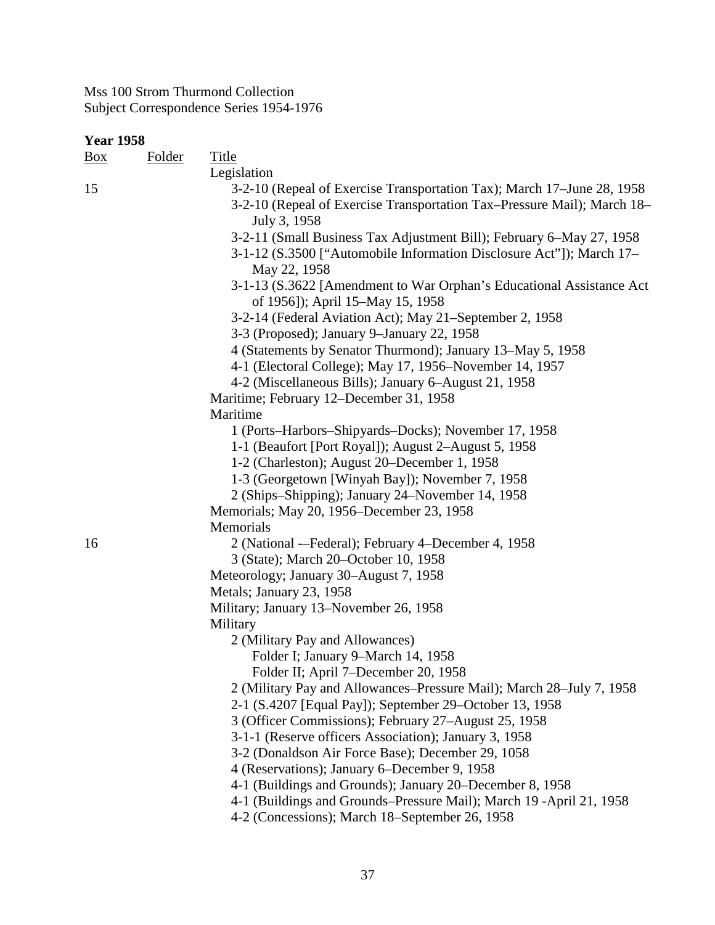| <u>Box</u> | <b>Folder</b> | Title                                                                   |
|------------|---------------|-------------------------------------------------------------------------|
|            |               | Legislation                                                             |
| 15         |               | 3-2-10 (Repeal of Exercise Transportation Tax); March 17–June 28, 1958  |
|            |               | 3-2-10 (Repeal of Exercise Transportation Tax–Pressure Mail); March 18– |
|            |               | July 3, 1958                                                            |
|            |               | 3-2-11 (Small Business Tax Adjustment Bill); February 6-May 27, 1958    |
|            |               | 3-1-12 (S.3500 ["Automobile Information Disclosure Act"]); March 17–    |
|            |               | May 22, 1958                                                            |
|            |               | 3-1-13 (S.3622 [Amendment to War Orphan's Educational Assistance Act    |
|            |               | of 1956]); April 15-May 15, 1958                                        |
|            |               | 3-2-14 (Federal Aviation Act); May 21-September 2, 1958                 |
|            |               | 3-3 (Proposed); January 9-January 22, 1958                              |
|            |               | 4 (Statements by Senator Thurmond); January 13–May 5, 1958              |
|            |               | 4-1 (Electoral College); May 17, 1956–November 14, 1957                 |
|            |               | 4-2 (Miscellaneous Bills); January 6–August 21, 1958                    |
|            |               | Maritime; February 12–December 31, 1958                                 |
|            |               | Maritime                                                                |
|            |               | 1 (Ports–Harbors–Shipyards–Docks); November 17, 1958                    |
|            |               | 1-1 (Beaufort [Port Royal]); August 2–August 5, 1958                    |
|            |               | 1-2 (Charleston); August 20–December 1, 1958                            |
|            |               | 1-3 (Georgetown [Winyah Bay]); November 7, 1958                         |
|            |               | 2 (Ships–Shipping); January 24–November 14, 1958                        |
|            |               | Memorials; May 20, 1956–December 23, 1958                               |
|            |               | Memorials                                                               |
| 16         |               | 2 (National --Federal); February 4-December 4, 1958                     |
|            |               | 3 (State); March 20-October 10, 1958                                    |
|            |               | Meteorology; January 30–August 7, 1958                                  |
|            |               | Metals; January 23, 1958                                                |
|            |               | Military; January 13–November 26, 1958                                  |
|            |               | Military                                                                |
|            |               | 2 (Military Pay and Allowances)                                         |
|            |               | Folder I; January 9-March 14, 1958                                      |
|            |               | Folder II; April 7-December 20, 1958                                    |
|            |               | 2 (Military Pay and Allowances-Pressure Mail); March 28-July 7, 1958    |
|            |               | 2-1 (S.4207 [Equal Pay]); September 29–October 13, 1958                 |
|            |               | 3 (Officer Commissions); February 27-August 25, 1958                    |
|            |               | 3-1-1 (Reserve officers Association); January 3, 1958                   |
|            |               | 3-2 (Donaldson Air Force Base); December 29, 1058                       |
|            |               | 4 (Reservations); January 6–December 9, 1958                            |
|            |               | 4-1 (Buildings and Grounds); January 20–December 8, 1958                |
|            |               | 4-1 (Buildings and Grounds-Pressure Mail); March 19 -April 21, 1958     |
|            |               | 4-2 (Concessions); March 18–September 26, 1958                          |
|            |               |                                                                         |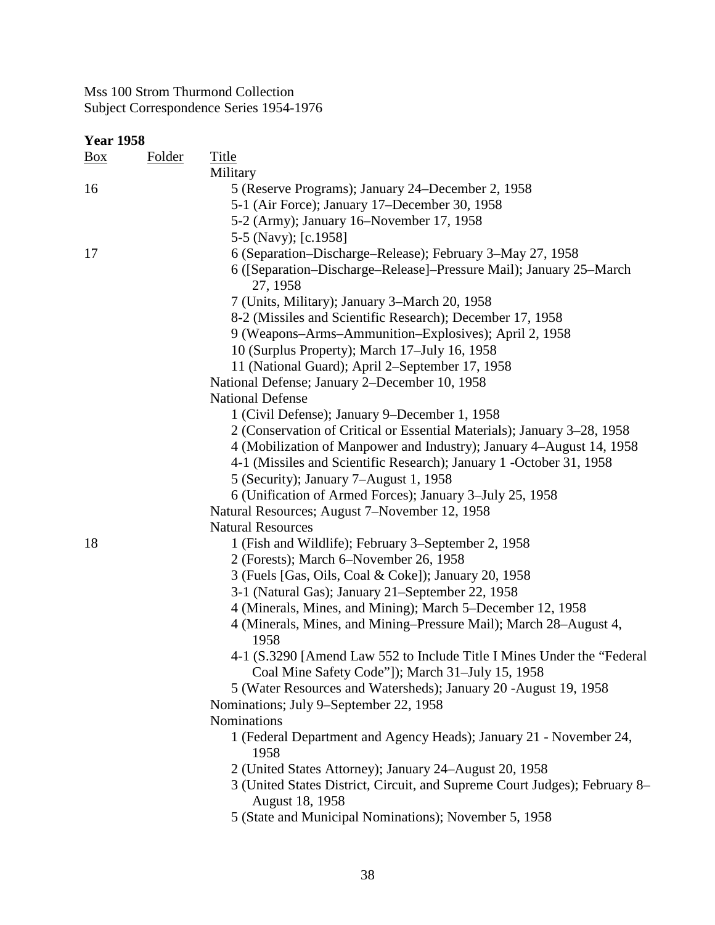| <b>Year 1958</b> |               |                                                                                                                            |
|------------------|---------------|----------------------------------------------------------------------------------------------------------------------------|
| $\frac{Box}{}$   | <b>Folder</b> | <b>Title</b>                                                                                                               |
|                  |               | Military                                                                                                                   |
| 16               |               | 5 (Reserve Programs); January 24–December 2, 1958                                                                          |
|                  |               | 5-1 (Air Force); January 17–December 30, 1958                                                                              |
|                  |               | 5-2 (Army); January 16–November 17, 1958                                                                                   |
|                  |               | 5-5 (Navy); [c.1958]                                                                                                       |
| 17               |               | 6 (Separation–Discharge–Release); February 3–May 27, 1958                                                                  |
|                  |               | 6 ([Separation-Discharge-Release]-Pressure Mail); January 25-March<br>27, 1958                                             |
|                  |               | 7 (Units, Military); January 3–March 20, 1958                                                                              |
|                  |               | 8-2 (Missiles and Scientific Research); December 17, 1958                                                                  |
|                  |               | 9 (Weapons–Arms–Ammunition–Explosives); April 2, 1958                                                                      |
|                  |               | 10 (Surplus Property); March 17-July 16, 1958                                                                              |
|                  |               | 11 (National Guard); April 2–September 17, 1958                                                                            |
|                  |               | National Defense; January 2-December 10, 1958                                                                              |
|                  |               | <b>National Defense</b>                                                                                                    |
|                  |               | 1 (Civil Defense); January 9–December 1, 1958                                                                              |
|                  |               | 2 (Conservation of Critical or Essential Materials); January 3–28, 1958                                                    |
|                  |               | 4 (Mobilization of Manpower and Industry); January 4–August 14, 1958                                                       |
|                  |               | 4-1 (Missiles and Scientific Research); January 1 - October 31, 1958                                                       |
|                  |               | 5 (Security); January 7-August 1, 1958                                                                                     |
|                  |               | 6 (Unification of Armed Forces); January 3–July 25, 1958                                                                   |
|                  |               | Natural Resources; August 7-November 12, 1958                                                                              |
|                  |               | <b>Natural Resources</b>                                                                                                   |
| 18               |               |                                                                                                                            |
|                  |               | 1 (Fish and Wildlife); February 3–September 2, 1958                                                                        |
|                  |               | 2 (Forests); March 6–November 26, 1958                                                                                     |
|                  |               | 3 (Fuels [Gas, Oils, Coal & Coke]); January 20, 1958                                                                       |
|                  |               | 3-1 (Natural Gas); January 21–September 22, 1958                                                                           |
|                  |               | 4 (Minerals, Mines, and Mining); March 5–December 12, 1958                                                                 |
|                  |               | 4 (Minerals, Mines, and Mining–Pressure Mail); March 28–August 4,<br>1958                                                  |
|                  |               | 4-1 (S.3290 [Amend Law 552 to Include Title I Mines Under the "Federal<br>Coal Mine Safety Code"]); March 31-July 15, 1958 |
|                  |               | 5 (Water Resources and Watersheds); January 20 -August 19, 1958                                                            |
|                  |               | Nominations; July 9-September 22, 1958                                                                                     |
|                  |               | Nominations                                                                                                                |
|                  |               | 1 (Federal Department and Agency Heads); January 21 - November 24,<br>1958                                                 |
|                  |               | 2 (United States Attorney); January 24–August 20, 1958                                                                     |
|                  |               | 3 (United States District, Circuit, and Supreme Court Judges); February 8-<br>August 18, 1958                              |
|                  |               | 5 (State and Municipal Nominations); November 5, 1958                                                                      |
|                  |               |                                                                                                                            |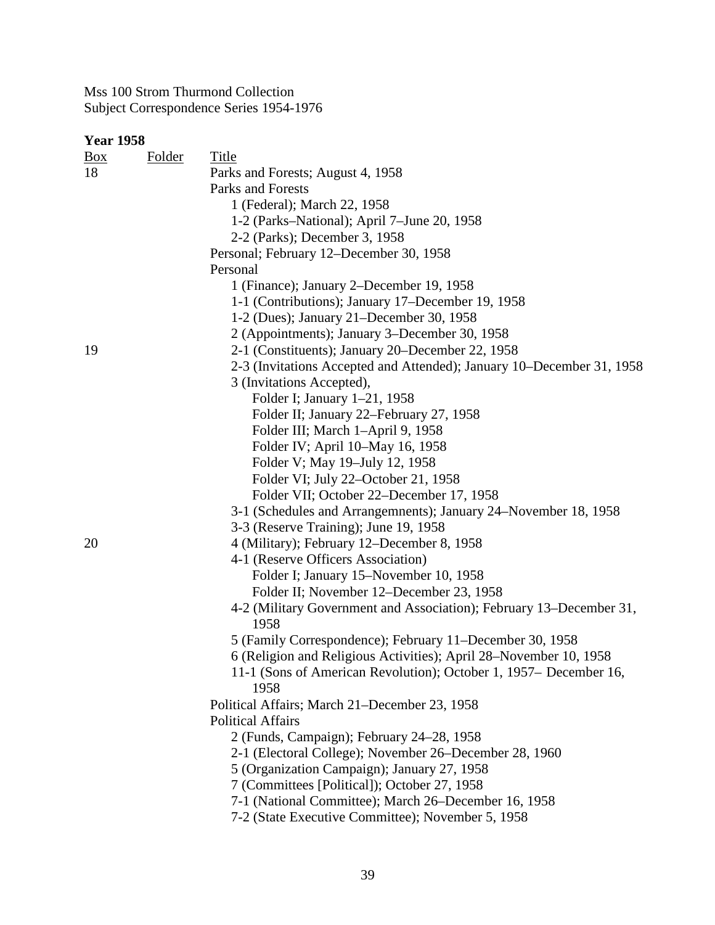| <b>Year 1958</b> |               |                                                                       |
|------------------|---------------|-----------------------------------------------------------------------|
| $\frac{Box}{}$   | <b>Folder</b> | <b>Title</b>                                                          |
| 18               |               | Parks and Forests; August 4, 1958                                     |
|                  |               | Parks and Forests                                                     |
|                  |               | 1 (Federal); March 22, 1958                                           |
|                  |               | 1-2 (Parks-National); April 7-June 20, 1958                           |
|                  |               | 2-2 (Parks); December 3, 1958                                         |
|                  |               | Personal; February 12–December 30, 1958                               |
|                  |               | Personal                                                              |
|                  |               | 1 (Finance); January 2–December 19, 1958                              |
|                  |               | 1-1 (Contributions); January 17–December 19, 1958                     |
|                  |               | 1-2 (Dues); January 21–December 30, 1958                              |
|                  |               | 2 (Appointments); January 3–December 30, 1958                         |
| 19               |               | 2-1 (Constituents); January 20–December 22, 1958                      |
|                  |               | 2-3 (Invitations Accepted and Attended); January 10–December 31, 1958 |
|                  |               | 3 (Invitations Accepted),                                             |
|                  |               | Folder I; January 1-21, 1958                                          |
|                  |               | Folder II; January 22–February 27, 1958                               |
|                  |               | Folder III; March 1-April 9, 1958                                     |
|                  |               | Folder IV; April 10–May 16, 1958                                      |
|                  |               | Folder V; May 19-July 12, 1958                                        |
|                  |               | Folder VI; July 22–October 21, 1958                                   |
|                  |               | Folder VII; October 22–December 17, 1958                              |
|                  |               | 3-1 (Schedules and Arrangemnents); January 24–November 18, 1958       |
|                  |               | 3-3 (Reserve Training); June 19, 1958                                 |
| 20               |               | 4 (Military); February 12-December 8, 1958                            |
|                  |               | 4-1 (Reserve Officers Association)                                    |
|                  |               | Folder I; January 15–November 10, 1958                                |
|                  |               | Folder II; November 12–December 23, 1958                              |
|                  |               | 4-2 (Military Government and Association); February 13–December 31,   |
|                  |               | 1958                                                                  |
|                  |               | 5 (Family Correspondence); February 11–December 30, 1958              |
|                  |               | 6 (Religion and Religious Activities); April 28-November 10, 1958     |
|                  |               | 11-1 (Sons of American Revolution); October 1, 1957– December 16,     |
|                  |               | 1958                                                                  |
|                  |               | Political Affairs; March 21–December 23, 1958                         |
|                  |               | <b>Political Affairs</b>                                              |
|                  |               | 2 (Funds, Campaign); February 24–28, 1958                             |
|                  |               | 2-1 (Electoral College); November 26–December 28, 1960                |
|                  |               | 5 (Organization Campaign); January 27, 1958                           |
|                  |               | 7 (Committees [Political]); October 27, 1958                          |
|                  |               | 7-1 (National Committee); March 26–December 16, 1958                  |
|                  |               | 7-2 (State Executive Committee); November 5, 1958                     |
|                  |               |                                                                       |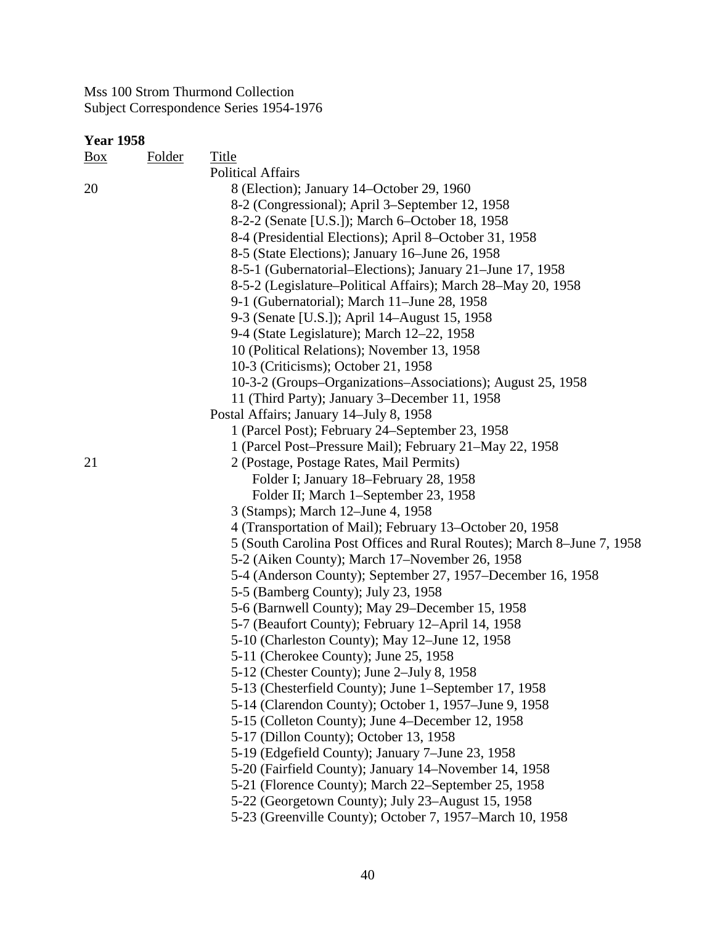# **Year 1958**

| Box | <b>Folder</b> | Title                                                                  |
|-----|---------------|------------------------------------------------------------------------|
|     |               | <b>Political Affairs</b>                                               |
| 20  |               | 8 (Election); January 14–October 29, 1960                              |
|     |               | 8-2 (Congressional); April 3–September 12, 1958                        |
|     |               | 8-2-2 (Senate [U.S.]); March 6-October 18, 1958                        |
|     |               | 8-4 (Presidential Elections); April 8–October 31, 1958                 |
|     |               | 8-5 (State Elections); January 16–June 26, 1958                        |
|     |               | 8-5-1 (Gubernatorial–Elections); January 21–June 17, 1958              |
|     |               | 8-5-2 (Legislature–Political Affairs); March 28–May 20, 1958           |
|     |               | 9-1 (Gubernatorial); March 11–June 28, 1958                            |
|     |               | 9-3 (Senate [U.S.]); April 14–August 15, 1958                          |
|     |               | 9-4 (State Legislature); March 12-22, 1958                             |
|     |               | 10 (Political Relations); November 13, 1958                            |
|     |               | 10-3 (Criticisms); October 21, 1958                                    |
|     |               | 10-3-2 (Groups-Organizations-Associations); August 25, 1958            |
|     |               | 11 (Third Party); January 3–December 11, 1958                          |
|     |               | Postal Affairs; January 14-July 8, 1958                                |
|     |               | 1 (Parcel Post); February 24–September 23, 1958                        |
|     |               | 1 (Parcel Post-Pressure Mail); February 21-May 22, 1958                |
| 21  |               | 2 (Postage, Postage Rates, Mail Permits)                               |
|     |               | Folder I; January 18–February 28, 1958                                 |
|     |               | Folder II; March 1-September 23, 1958                                  |
|     |               | 3 (Stamps); March 12–June 4, 1958                                      |
|     |               | 4 (Transportation of Mail); February 13–October 20, 1958               |
|     |               | 5 (South Carolina Post Offices and Rural Routes); March 8–June 7, 1958 |
|     |               | 5-2 (Aiken County); March 17–November 26, 1958                         |
|     |               | 5-4 (Anderson County); September 27, 1957–December 16, 1958            |
|     |               | 5-5 (Bamberg County); July 23, 1958                                    |
|     |               | 5-6 (Barnwell County); May 29–December 15, 1958                        |
|     |               | 5-7 (Beaufort County); February 12–April 14, 1958                      |
|     |               | 5-10 (Charleston County); May 12-June 12, 1958                         |
|     |               | 5-11 (Cherokee County); June 25, 1958                                  |
|     |               | 5-12 (Chester County); June 2–July 8, 1958                             |
|     |               | 5-13 (Chesterfield County); June 1–September 17, 1958                  |
|     |               | 5-14 (Clarendon County); October 1, 1957-June 9, 1958                  |
|     |               | 5-15 (Colleton County); June 4–December 12, 1958                       |
|     |               | 5-17 (Dillon County); October 13, 1958                                 |
|     |               | 5-19 (Edgefield County); January 7-June 23, 1958                       |
|     |               | 5-20 (Fairfield County); January 14–November 14, 1958                  |
|     |               | 5-21 (Florence County); March 22–September 25, 1958                    |
|     |               | 5-22 (Georgetown County); July 23–August 15, 1958                      |
|     |               | 5-23 (Greenville County); October 7, 1957–March 10, 1958               |
|     |               |                                                                        |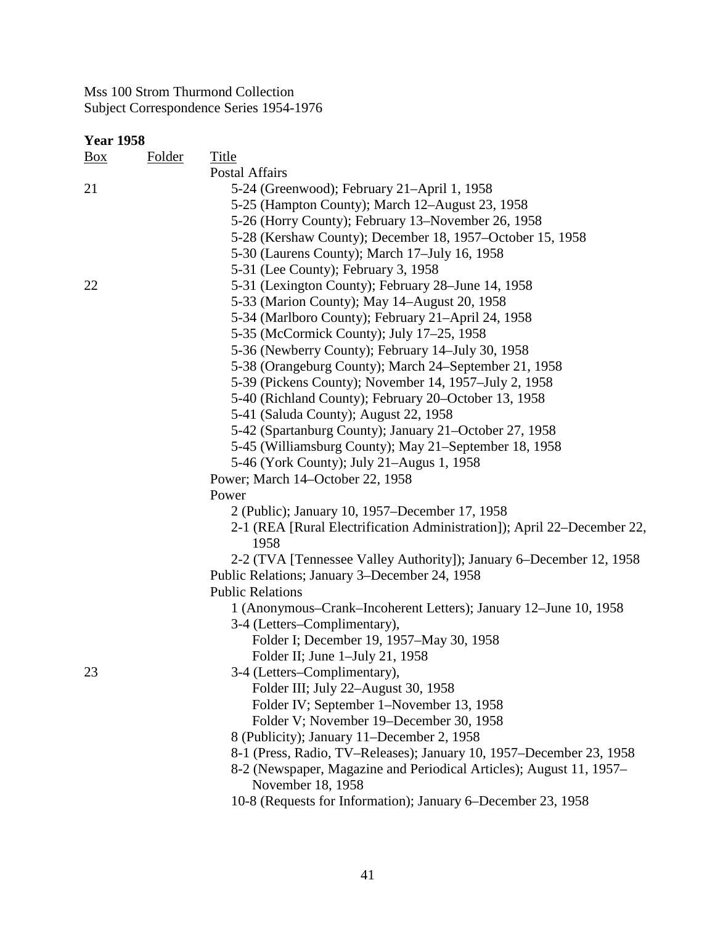| <b>Year 1958</b> |               |                                                                         |
|------------------|---------------|-------------------------------------------------------------------------|
| $\frac{Box}{}$   | <b>Folder</b> | <b>Title</b>                                                            |
|                  |               | Postal Affairs                                                          |
| 21               |               | 5-24 (Greenwood); February 21–April 1, 1958                             |
|                  |               | 5-25 (Hampton County); March 12–August 23, 1958                         |
|                  |               | 5-26 (Horry County); February 13–November 26, 1958                      |
|                  |               | 5-28 (Kershaw County); December 18, 1957–October 15, 1958               |
|                  |               | 5-30 (Laurens County); March 17-July 16, 1958                           |
|                  |               | 5-31 (Lee County); February 3, 1958                                     |
| 22               |               | 5-31 (Lexington County); February 28–June 14, 1958                      |
|                  |               | 5-33 (Marion County); May 14–August 20, 1958                            |
|                  |               | 5-34 (Marlboro County); February 21-April 24, 1958                      |
|                  |               | 5-35 (McCormick County); July 17-25, 1958                               |
|                  |               | 5-36 (Newberry County); February 14–July 30, 1958                       |
|                  |               | 5-38 (Orangeburg County); March 24–September 21, 1958                   |
|                  |               | 5-39 (Pickens County); November 14, 1957–July 2, 1958                   |
|                  |               | 5-40 (Richland County); February 20–October 13, 1958                    |
|                  |               | 5-41 (Saluda County); August 22, 1958                                   |
|                  |               | 5-42 (Spartanburg County); January 21–October 27, 1958                  |
|                  |               | 5-45 (Williamsburg County); May 21–September 18, 1958                   |
|                  |               | 5-46 (York County); July 21–Augus 1, 1958                               |
|                  |               | Power; March 14–October 22, 1958                                        |
|                  |               | Power                                                                   |
|                  |               | 2 (Public); January 10, 1957–December 17, 1958                          |
|                  |               | 2-1 (REA [Rural Electrification Administration]); April 22–December 22, |
|                  |               | 1958                                                                    |
|                  |               | 2-2 (TVA [Tennessee Valley Authority]); January 6–December 12, 1958     |
|                  |               | Public Relations; January 3–December 24, 1958                           |
|                  |               | <b>Public Relations</b>                                                 |
|                  |               | 1 (Anonymous–Crank–Incoherent Letters); January 12–June 10, 1958        |
|                  |               | 3-4 (Letters-Complimentary),                                            |
|                  |               | Folder I; December 19, 1957-May 30, 1958                                |
|                  |               | Folder II; June 1-July 21, 1958                                         |
| 23               |               | 3-4 (Letters–Complimentary),                                            |
|                  |               | Folder III; July 22–August 30, 1958                                     |
|                  |               | Folder IV; September 1–November 13, 1958                                |
|                  |               | Folder V; November 19–December 30, 1958                                 |
|                  |               | 8 (Publicity); January 11–December 2, 1958                              |
|                  |               | 8-1 (Press, Radio, TV-Releases); January 10, 1957–December 23, 1958     |
|                  |               | 8-2 (Newspaper, Magazine and Periodical Articles); August 11, 1957–     |
|                  |               | November 18, 1958                                                       |
|                  |               | 10-8 (Requests for Information); January 6–December 23, 1958            |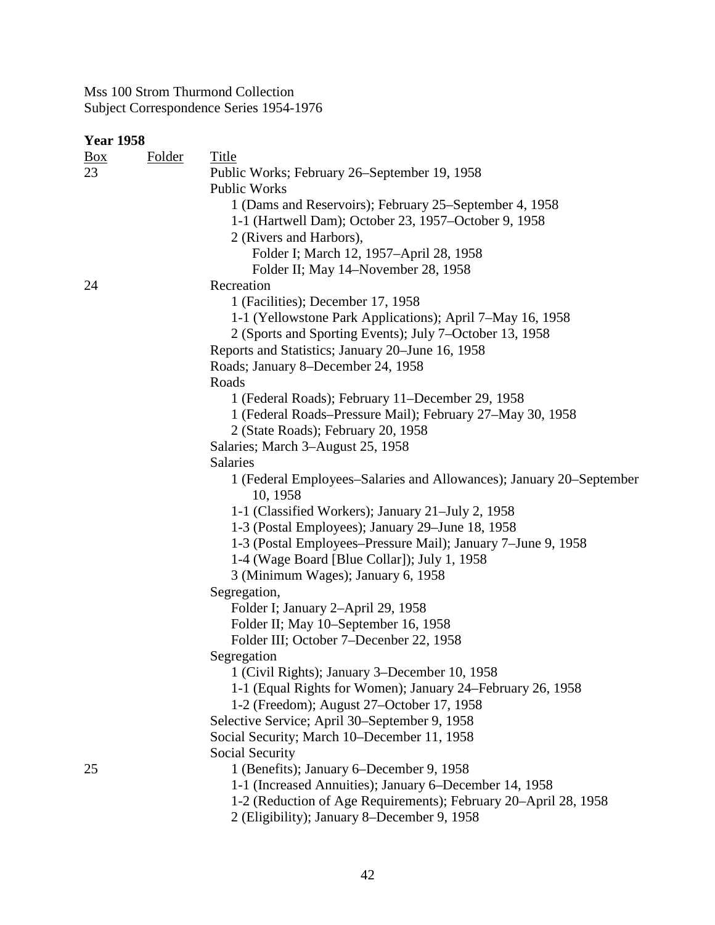| <b>Title</b><br><b>Folder</b><br>$\underline{Box}$<br>23<br>Public Works; February 26–September 19, 1958<br>Public Works<br>1 (Dams and Reservoirs); February 25–September 4, 1958<br>1-1 (Hartwell Dam); October 23, 1957–October 9, 1958 |  |
|--------------------------------------------------------------------------------------------------------------------------------------------------------------------------------------------------------------------------------------------|--|
|                                                                                                                                                                                                                                            |  |
|                                                                                                                                                                                                                                            |  |
|                                                                                                                                                                                                                                            |  |
|                                                                                                                                                                                                                                            |  |
|                                                                                                                                                                                                                                            |  |
| 2 (Rivers and Harbors),                                                                                                                                                                                                                    |  |
| Folder I; March 12, 1957-April 28, 1958                                                                                                                                                                                                    |  |
| Folder II; May 14–November 28, 1958                                                                                                                                                                                                        |  |
| Recreation<br>24                                                                                                                                                                                                                           |  |
| 1 (Facilities); December 17, 1958                                                                                                                                                                                                          |  |
| 1-1 (Yellowstone Park Applications); April 7–May 16, 1958                                                                                                                                                                                  |  |
| 2 (Sports and Sporting Events); July 7–October 13, 1958                                                                                                                                                                                    |  |
| Reports and Statistics; January 20–June 16, 1958                                                                                                                                                                                           |  |
| Roads; January 8-December 24, 1958                                                                                                                                                                                                         |  |
| Roads                                                                                                                                                                                                                                      |  |
| 1 (Federal Roads); February 11-December 29, 1958                                                                                                                                                                                           |  |
| 1 (Federal Roads-Pressure Mail); February 27-May 30, 1958                                                                                                                                                                                  |  |
| 2 (State Roads); February 20, 1958                                                                                                                                                                                                         |  |
| Salaries; March 3-August 25, 1958                                                                                                                                                                                                          |  |
| Salaries                                                                                                                                                                                                                                   |  |
| 1 (Federal Employees–Salaries and Allowances); January 20–September                                                                                                                                                                        |  |
| 10, 1958                                                                                                                                                                                                                                   |  |
| 1-1 (Classified Workers); January 21-July 2, 1958                                                                                                                                                                                          |  |
| 1-3 (Postal Employees); January 29–June 18, 1958                                                                                                                                                                                           |  |
| 1-3 (Postal Employees–Pressure Mail); January 7–June 9, 1958                                                                                                                                                                               |  |
| 1-4 (Wage Board [Blue Collar]); July 1, 1958                                                                                                                                                                                               |  |
| 3 (Minimum Wages); January 6, 1958                                                                                                                                                                                                         |  |
| Segregation,                                                                                                                                                                                                                               |  |
| Folder I; January 2-April 29, 1958<br>Folder II; May 10-September 16, 1958                                                                                                                                                                 |  |
| Folder III; October 7-December 22, 1958                                                                                                                                                                                                    |  |
| Segregation                                                                                                                                                                                                                                |  |
| 1 (Civil Rights); January 3–December 10, 1958                                                                                                                                                                                              |  |
| 1-1 (Equal Rights for Women); January 24–February 26, 1958                                                                                                                                                                                 |  |
| 1-2 (Freedom); August 27–October 17, 1958                                                                                                                                                                                                  |  |
| Selective Service; April 30–September 9, 1958                                                                                                                                                                                              |  |
| Social Security; March 10–December 11, 1958                                                                                                                                                                                                |  |
| Social Security                                                                                                                                                                                                                            |  |
| 1 (Benefits); January 6-December 9, 1958<br>25                                                                                                                                                                                             |  |
| 1-1 (Increased Annuities); January 6–December 14, 1958                                                                                                                                                                                     |  |
| 1-2 (Reduction of Age Requirements); February 20–April 28, 1958                                                                                                                                                                            |  |
| 2 (Eligibility); January 8–December 9, 1958                                                                                                                                                                                                |  |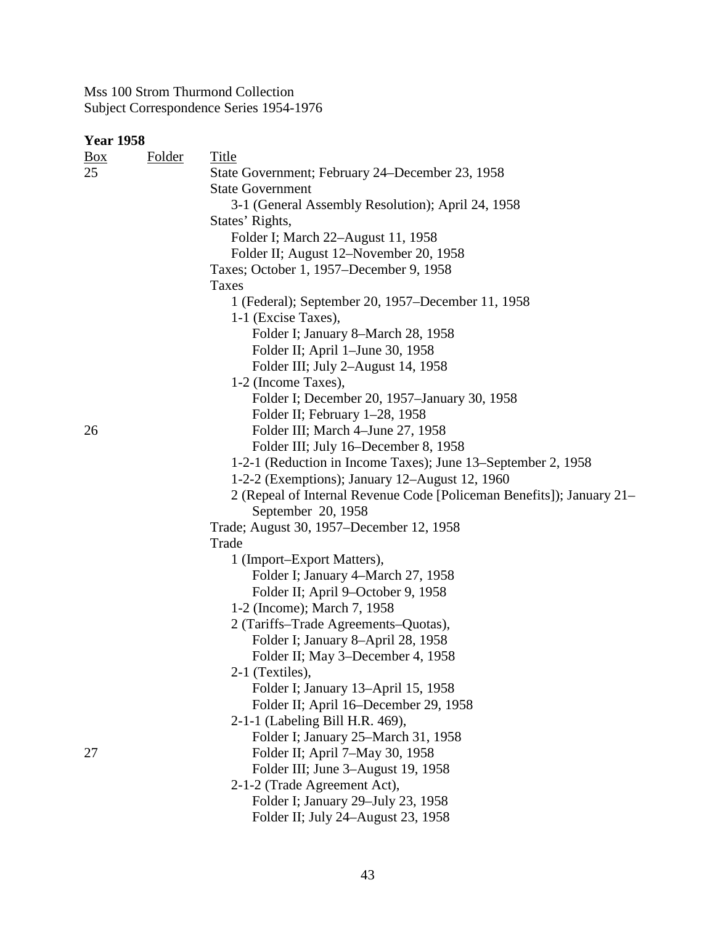## **Year 1958**

| $\underline{Box}$ | <b>Folder</b> | Title                                                                 |
|-------------------|---------------|-----------------------------------------------------------------------|
| 25                |               | State Government; February 24–December 23, 1958                       |
|                   |               | <b>State Government</b>                                               |
|                   |               | 3-1 (General Assembly Resolution); April 24, 1958                     |
|                   |               | States' Rights,                                                       |
|                   |               | Folder I; March 22-August 11, 1958                                    |
|                   |               | Folder II; August 12–November 20, 1958                                |
|                   |               | Taxes; October 1, 1957–December 9, 1958                               |
|                   |               | <b>Taxes</b>                                                          |
|                   |               | 1 (Federal); September 20, 1957-December 11, 1958                     |
|                   |               | 1-1 (Excise Taxes),                                                   |
|                   |               | Folder I; January 8-March 28, 1958                                    |
|                   |               | Folder II; April 1–June 30, 1958                                      |
|                   |               | Folder III; July 2-August 14, 1958                                    |
|                   |               | 1-2 (Income Taxes),                                                   |
|                   |               | Folder I; December 20, 1957–January 30, 1958                          |
|                   |               | Folder II; February 1-28, 1958                                        |
| 26                |               | Folder III; March 4–June 27, 1958                                     |
|                   |               | Folder III; July 16–December 8, 1958                                  |
|                   |               | 1-2-1 (Reduction in Income Taxes); June 13–September 2, 1958          |
|                   |               | 1-2-2 (Exemptions); January 12–August 12, 1960                        |
|                   |               | 2 (Repeal of Internal Revenue Code [Policeman Benefits]); January 21– |
|                   |               | September 20, 1958                                                    |
|                   |               | Trade; August 30, 1957–December 12, 1958                              |
|                   |               | Trade                                                                 |
|                   |               | 1 (Import–Export Matters),                                            |
|                   |               | Folder I; January 4–March 27, 1958                                    |
|                   |               | Folder II; April 9–October 9, 1958                                    |
|                   |               | 1-2 (Income); March 7, 1958                                           |
|                   |               | 2 (Tariffs-Trade Agreements-Quotas),                                  |
|                   |               | Folder I; January 8-April 28, 1958                                    |
|                   |               | Folder II; May 3-December 4, 1958                                     |
|                   |               | 2-1 (Textiles),                                                       |
|                   |               | Folder I; January 13–April 15, 1958                                   |
|                   |               | Folder II; April 16–December 29, 1958                                 |
|                   |               | 2-1-1 (Labeling Bill H.R. 469),                                       |
|                   |               | Folder I; January 25–March 31, 1958                                   |
| 27                |               | Folder II; April 7-May 30, 1958                                       |
|                   |               | Folder III; June 3–August 19, 1958                                    |
|                   |               | 2-1-2 (Trade Agreement Act),                                          |
|                   |               | Folder I; January 29–July 23, 1958                                    |
|                   |               | Folder II; July 24-August 23, 1958                                    |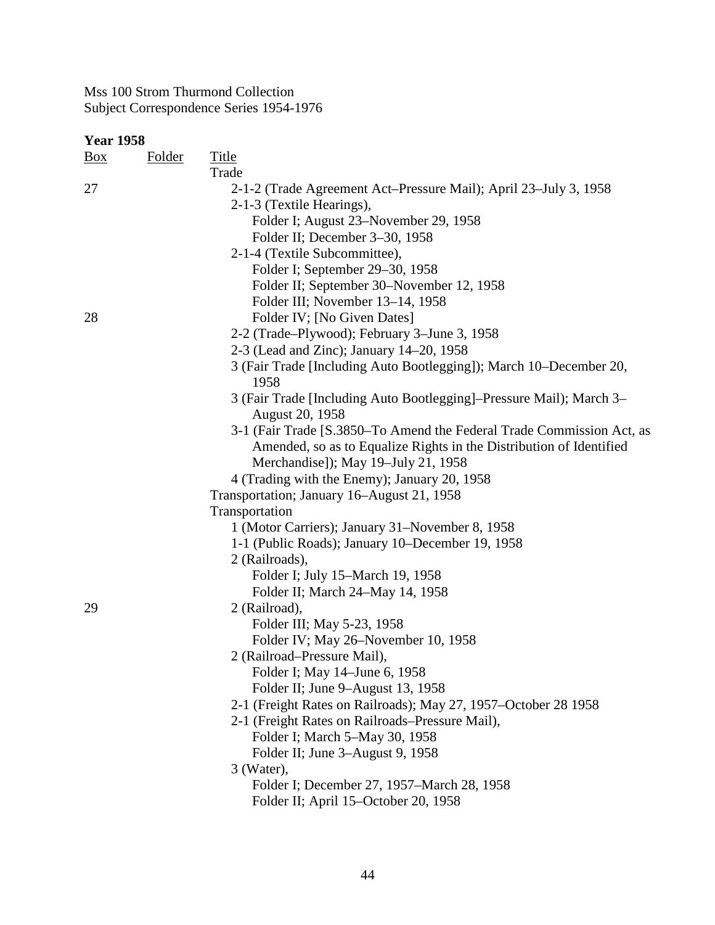| <b>Year 1958</b> |               |                                                                       |
|------------------|---------------|-----------------------------------------------------------------------|
| $\frac{Box}{}$   | <b>Folder</b> | <b>Title</b>                                                          |
|                  |               | Trade                                                                 |
| 27               |               | 2-1-2 (Trade Agreement Act-Pressure Mail); April 23-July 3, 1958      |
|                  |               | 2-1-3 (Textile Hearings),                                             |
|                  |               | Folder I; August 23-November 29, 1958                                 |
|                  |               | Folder II; December 3-30, 1958                                        |
|                  |               | 2-1-4 (Textile Subcommittee),                                         |
|                  |               | Folder I; September 29–30, 1958                                       |
|                  |               | Folder II; September 30–November 12, 1958                             |
|                  |               | Folder III; November 13–14, 1958                                      |
| 28               |               | Folder IV; [No Given Dates]                                           |
|                  |               | 2-2 (Trade–Plywood); February 3–June 3, 1958                          |
|                  |               | 2-3 (Lead and Zinc); January 14–20, 1958                              |
|                  |               | 3 (Fair Trade [Including Auto Bootlegging]); March 10–December 20,    |
|                  |               | 1958                                                                  |
|                  |               | 3 (Fair Trade [Including Auto Bootlegging]–Pressure Mail); March 3–   |
|                  |               | August 20, 1958                                                       |
|                  |               | 3-1 (Fair Trade [S.3850–To Amend the Federal Trade Commission Act, as |
|                  |               | Amended, so as to Equalize Rights in the Distribution of Identified   |
|                  |               | Merchandise]); May 19–July 21, 1958                                   |
|                  |               | 4 (Trading with the Enemy); January 20, 1958                          |
|                  |               | Transportation; January 16–August 21, 1958                            |
|                  |               | Transportation                                                        |
|                  |               | 1 (Motor Carriers); January 31–November 8, 1958                       |
|                  |               | 1-1 (Public Roads); January 10–December 19, 1958                      |
|                  |               | 2 (Railroads),                                                        |
|                  |               | Folder I; July 15-March 19, 1958                                      |
|                  |               | Folder II; March 24-May 14, 1958                                      |
| 29               |               | 2 (Railroad),                                                         |
|                  |               | Folder III; May 5-23, 1958                                            |
|                  |               | Folder IV; May 26–November 10, 1958                                   |
|                  |               | 2 (Railroad–Pressure Mail),                                           |
|                  |               | Folder I; May 14–June 6, 1958                                         |
|                  |               | Folder II; June 9-August 13, 1958                                     |
|                  |               | 2-1 (Freight Rates on Railroads); May 27, 1957–October 28 1958        |
|                  |               | 2-1 (Freight Rates on Railroads–Pressure Mail),                       |
|                  |               | Folder I; March 5–May 30, 1958                                        |
|                  |               | Folder II; June 3–August 9, 1958                                      |
|                  |               | 3 (Water),                                                            |
|                  |               | Folder I; December 27, 1957–March 28, 1958                            |
|                  |               | Folder II; April 15-October 20, 1958                                  |
|                  |               |                                                                       |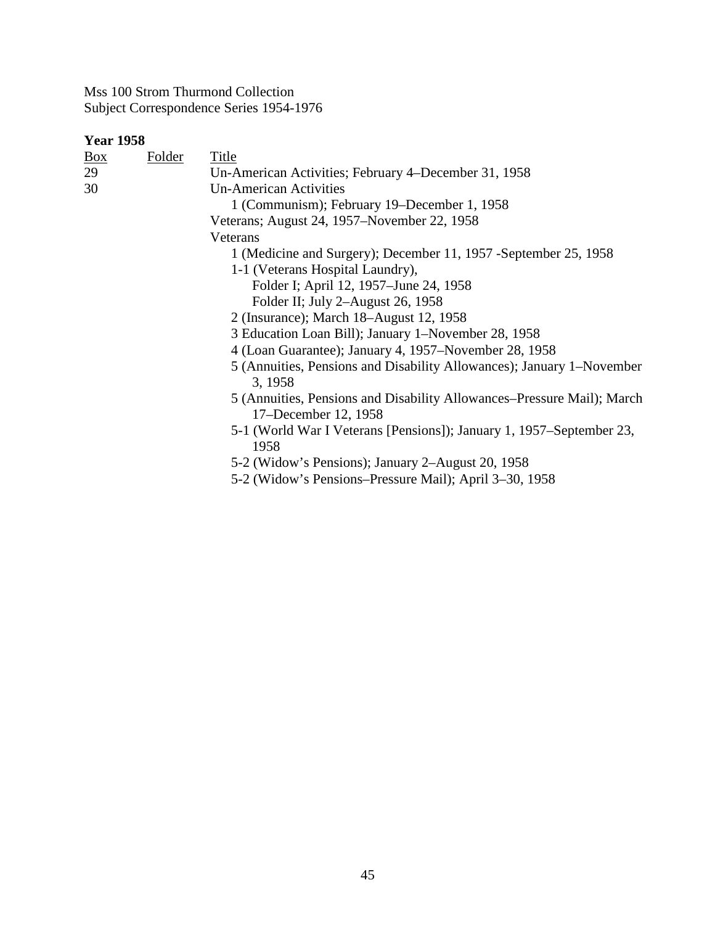| <b>Year 1958</b> |               |                                                                                                |
|------------------|---------------|------------------------------------------------------------------------------------------------|
| $\frac{Box}{}$   | <b>Folder</b> | <b>Title</b>                                                                                   |
| 29               |               | Un-American Activities; February 4–December 31, 1958                                           |
| 30               |               | <b>Un-American Activities</b>                                                                  |
|                  |               | 1 (Communism); February 19–December 1, 1958                                                    |
|                  |               | Veterans; August 24, 1957–November 22, 1958                                                    |
|                  |               | Veterans                                                                                       |
|                  |               | 1 (Medicine and Surgery); December 11, 1957 - September 25, 1958                               |
|                  |               | 1-1 (Veterans Hospital Laundry),                                                               |
|                  |               | Folder I; April 12, 1957–June 24, 1958                                                         |
|                  |               | Folder II; July 2-August 26, 1958                                                              |
|                  |               | 2 (Insurance); March 18–August 12, 1958                                                        |
|                  |               | 3 Education Loan Bill); January 1-November 28, 1958                                            |
|                  |               | 4 (Loan Guarantee); January 4, 1957–November 28, 1958                                          |
|                  |               | 5 (Annuities, Pensions and Disability Allowances); January 1–November<br>3, 1958               |
|                  |               | 5 (Annuities, Pensions and Disability Allowances–Pressure Mail); March<br>17–December 12, 1958 |
|                  |               | 5-1 (World War I Veterans [Pensions]); January 1, 1957–September 23,<br>1958                   |
|                  |               | 5-2 (Widow's Pensions); January 2–August 20, 1958                                              |
|                  |               | 5-2 (Widow's Pensions-Pressure Mail); April 3-30, 1958                                         |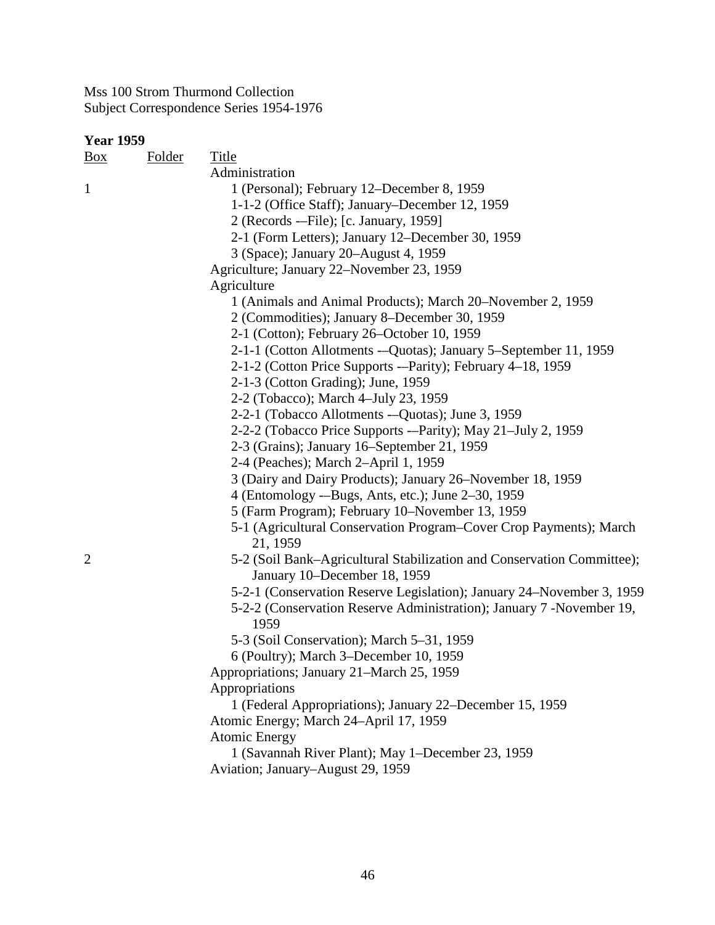| <b>Year 1959</b> |               |                                                                        |  |
|------------------|---------------|------------------------------------------------------------------------|--|
| $\frac{Box}{}$   | <b>Folder</b> | <b>Title</b>                                                           |  |
|                  |               | Administration                                                         |  |
| $\mathbf{1}$     |               | 1 (Personal); February 12–December 8, 1959                             |  |
|                  |               | 1-1-2 (Office Staff); January–December 12, 1959                        |  |
|                  |               | 2 (Records -- File); [c. January, 1959]                                |  |
|                  |               | 2-1 (Form Letters); January 12–December 30, 1959                       |  |
|                  |               | 3 (Space); January 20–August 4, 1959                                   |  |
|                  |               | Agriculture; January 22–November 23, 1959                              |  |
|                  |               | Agriculture                                                            |  |
|                  |               | 1 (Animals and Animal Products); March 20–November 2, 1959             |  |
|                  |               | 2 (Commodities); January 8–December 30, 1959                           |  |
|                  |               | 2-1 (Cotton); February 26–October 10, 1959                             |  |
|                  |               | 2-1-1 (Cotton Allotments -- Quotas); January 5-September 11, 1959      |  |
|                  |               | 2-1-2 (Cotton Price Supports ---Parity); February 4-18, 1959           |  |
|                  |               | 2-1-3 (Cotton Grading); June, 1959                                     |  |
|                  |               | 2-2 (Tobacco); March 4-July 23, 1959                                   |  |
|                  |               | 2-2-1 (Tobacco Allotments -- Quotas); June 3, 1959                     |  |
|                  |               | 2-2-2 (Tobacco Price Supports ---Parity); May 21-July 2, 1959          |  |
|                  |               | 2-3 (Grains); January 16–September 21, 1959                            |  |
|                  |               | 2-4 (Peaches); March 2-April 1, 1959                                   |  |
|                  |               | 3 (Dairy and Dairy Products); January 26–November 18, 1959             |  |
|                  |               | 4 (Entomology --Bugs, Ants, etc.); June 2-30, 1959                     |  |
|                  |               | 5 (Farm Program); February 10–November 13, 1959                        |  |
|                  |               | 5-1 (Agricultural Conservation Program-Cover Crop Payments); March     |  |
|                  |               | 21, 1959                                                               |  |
| $\overline{2}$   |               | 5-2 (Soil Bank–Agricultural Stabilization and Conservation Committee); |  |
|                  |               | January 10–December 18, 1959                                           |  |
|                  |               | 5-2-1 (Conservation Reserve Legislation); January 24–November 3, 1959  |  |
|                  |               | 5-2-2 (Conservation Reserve Administration); January 7 - November 19,  |  |
|                  |               | 1959                                                                   |  |
|                  |               | 5-3 (Soil Conservation); March 5-31, 1959                              |  |
|                  |               | 6 (Poultry); March 3–December 10, 1959                                 |  |
|                  |               | Appropriations; January 21–March 25, 1959                              |  |
|                  |               | Appropriations                                                         |  |
|                  |               | 1 (Federal Appropriations); January 22–December 15, 1959               |  |
|                  |               | Atomic Energy; March 24-April 17, 1959                                 |  |
|                  |               | <b>Atomic Energy</b>                                                   |  |
|                  |               | 1 (Savannah River Plant); May 1-December 23, 1959                      |  |
|                  |               | Aviation; January–August 29, 1959                                      |  |
|                  |               |                                                                        |  |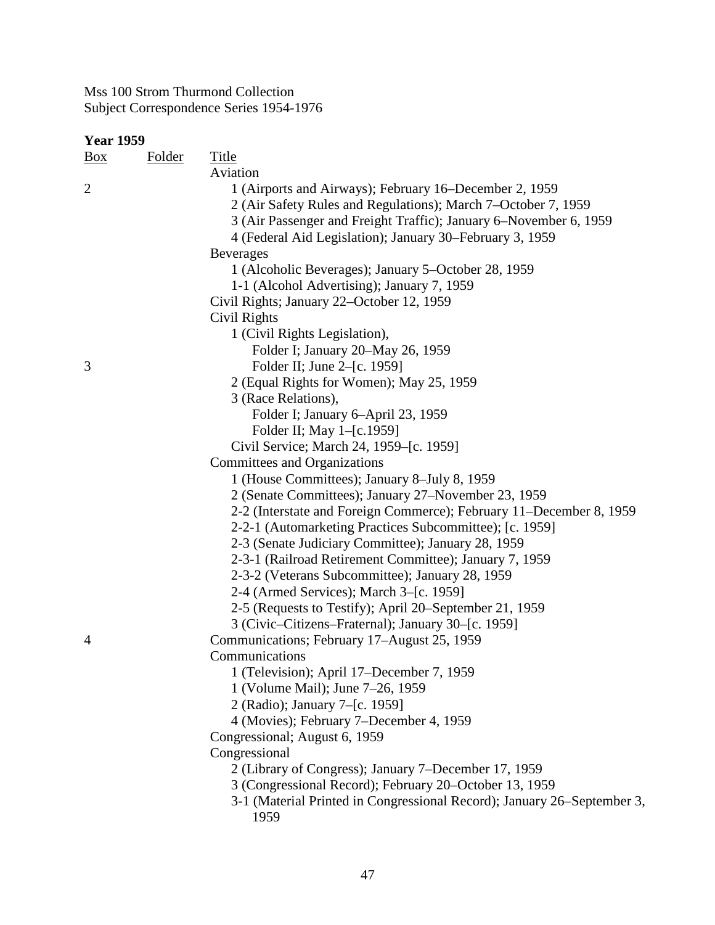| ear | 1959 |
|-----|------|
|-----|------|

| Year 1959      |               |                                                                         |
|----------------|---------------|-------------------------------------------------------------------------|
| <u>Box</u>     | <b>Folder</b> | <b>Title</b>                                                            |
|                |               | Aviation                                                                |
| $\overline{c}$ |               | 1 (Airports and Airways); February 16–December 2, 1959                  |
|                |               | 2 (Air Safety Rules and Regulations); March 7–October 7, 1959           |
|                |               | 3 (Air Passenger and Freight Traffic); January 6–November 6, 1959       |
|                |               | 4 (Federal Aid Legislation); January 30–February 3, 1959                |
|                |               | <b>Beverages</b>                                                        |
|                |               | 1 (Alcoholic Beverages); January 5–October 28, 1959                     |
|                |               | 1-1 (Alcohol Advertising); January 7, 1959                              |
|                |               | Civil Rights; January 22–October 12, 1959                               |
|                |               | Civil Rights                                                            |
|                |               | 1 (Civil Rights Legislation),                                           |
|                |               | Folder I; January 20–May 26, 1959                                       |
| 3              |               | Folder II; June 2–[c. 1959]                                             |
|                |               | 2 (Equal Rights for Women); May 25, 1959                                |
|                |               | 3 (Race Relations),                                                     |
|                |               | Folder I; January 6-April 23, 1959                                      |
|                |               | Folder II; May 1-[c.1959]                                               |
|                |               | Civil Service; March 24, 1959–[c. 1959]                                 |
|                |               | <b>Committees and Organizations</b>                                     |
|                |               | 1 (House Committees); January 8–July 8, 1959                            |
|                |               | 2 (Senate Committees); January 27–November 23, 1959                     |
|                |               | 2-2 (Interstate and Foreign Commerce); February 11–December 8, 1959     |
|                |               | 2-2-1 (Automarketing Practices Subcommittee); [c. 1959]                 |
|                |               | 2-3 (Senate Judiciary Committee); January 28, 1959                      |
|                |               | 2-3-1 (Railroad Retirement Committee); January 7, 1959                  |
|                |               | 2-3-2 (Veterans Subcommittee); January 28, 1959                         |
|                |               | 2-4 (Armed Services); March 3–[c. 1959]                                 |
|                |               | 2-5 (Requests to Testify); April 20–September 21, 1959                  |
|                |               | 3 (Civic–Citizens–Fraternal); January 30–[c. 1959]                      |
| 4              |               | Communications; February 17–August 25, 1959                             |
|                |               | Communications                                                          |
|                |               | 1 (Television); April 17–December 7, 1959                               |
|                |               | 1 (Volume Mail); June 7-26, 1959                                        |
|                |               | 2 (Radio); January 7-[c. 1959]                                          |
|                |               | 4 (Movies); February 7–December 4, 1959                                 |
|                |               | Congressional; August 6, 1959                                           |
|                |               | Congressional                                                           |
|                |               | 2 (Library of Congress); January 7–December 17, 1959                    |
|                |               | 3 (Congressional Record); February 20–October 13, 1959                  |
|                |               | 3-1 (Material Printed in Congressional Record); January 26–September 3, |
|                |               | 1959                                                                    |
|                |               |                                                                         |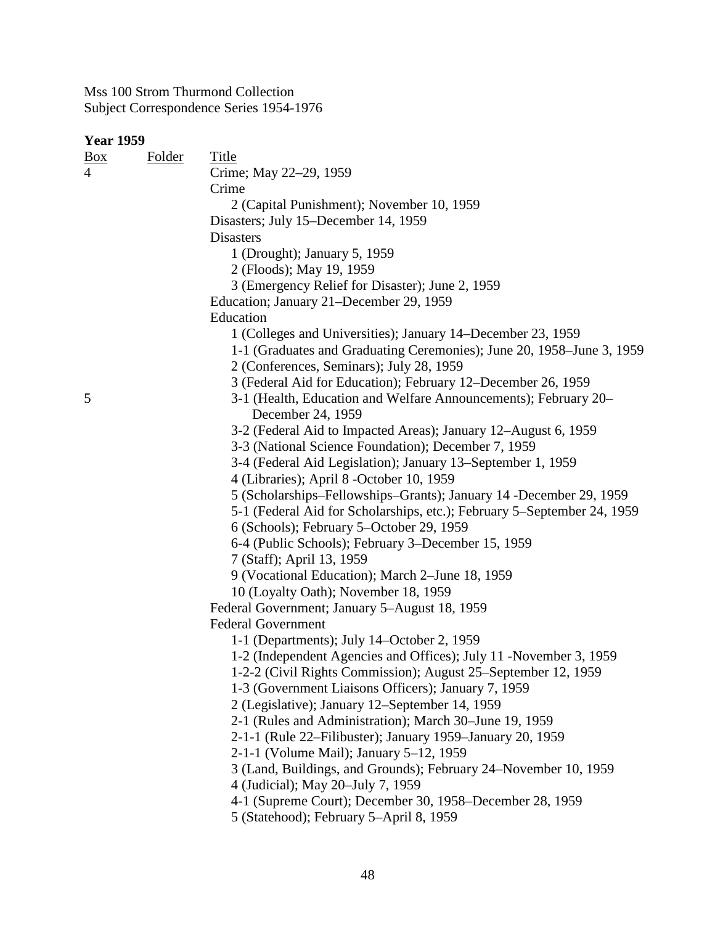### **Year 1959**

| <u>Box</u> | Folder | Title                                                                                |
|------------|--------|--------------------------------------------------------------------------------------|
| 4          |        | Crime; May 22-29, 1959                                                               |
|            |        | Crime                                                                                |
|            |        | 2 (Capital Punishment); November 10, 1959                                            |
|            |        | Disasters; July 15-December 14, 1959                                                 |
|            |        | <b>Disasters</b>                                                                     |
|            |        | 1 (Drought); January 5, 1959                                                         |
|            |        | 2 (Floods); May 19, 1959                                                             |
|            |        | 3 (Emergency Relief for Disaster); June 2, 1959                                      |
|            |        | Education; January 21–December 29, 1959                                              |
|            |        | Education                                                                            |
|            |        | 1 (Colleges and Universities); January 14–December 23, 1959                          |
|            |        | 1-1 (Graduates and Graduating Ceremonies); June 20, 1958–June 3, 1959                |
|            |        | 2 (Conferences, Seminars); July 28, 1959                                             |
|            |        | 3 (Federal Aid for Education); February 12–December 26, 1959                         |
| 5          |        | 3-1 (Health, Education and Welfare Announcements); February 20–<br>December 24, 1959 |
|            |        | 3-2 (Federal Aid to Impacted Areas); January 12-August 6, 1959                       |
|            |        | 3-3 (National Science Foundation); December 7, 1959                                  |
|            |        | 3-4 (Federal Aid Legislation); January 13–September 1, 1959                          |
|            |        | 4 (Libraries); April 8 -October 10, 1959                                             |
|            |        | 5 (Scholarships–Fellowships–Grants); January 14 -December 29, 1959                   |
|            |        | 5-1 (Federal Aid for Scholarships, etc.); February 5–September 24, 1959              |
|            |        | 6 (Schools); February 5–October 29, 1959                                             |
|            |        | 6-4 (Public Schools); February 3–December 15, 1959                                   |
|            |        | 7 (Staff); April 13, 1959                                                            |
|            |        | 9 (Vocational Education); March 2–June 18, 1959                                      |
|            |        | 10 (Loyalty Oath); November 18, 1959                                                 |
|            |        | Federal Government; January 5–August 18, 1959                                        |
|            |        | <b>Federal Government</b>                                                            |
|            |        | 1-1 (Departments); July 14–October 2, 1959                                           |
|            |        | 1-2 (Independent Agencies and Offices); July 11 -November 3, 1959                    |
|            |        | 1-2-2 (Civil Rights Commission); August 25–September 12, 1959                        |
|            |        | 1-3 (Government Liaisons Officers); January 7, 1959                                  |
|            |        | 2 (Legislative); January 12–September 14, 1959                                       |
|            |        | 2-1 (Rules and Administration); March 30–June 19, 1959                               |
|            |        | 2-1-1 (Rule 22–Filibuster); January 1959–January 20, 1959                            |
|            |        | 2-1-1 (Volume Mail); January 5-12, 1959                                              |
|            |        | 3 (Land, Buildings, and Grounds); February 24–November 10, 1959                      |
|            |        | 4 (Judicial); May 20–July 7, 1959                                                    |
|            |        | 4-1 (Supreme Court); December 30, 1958–December 28, 1959                             |
|            |        | 5 (Statehood); February 5-April 8, 1959                                              |
|            |        |                                                                                      |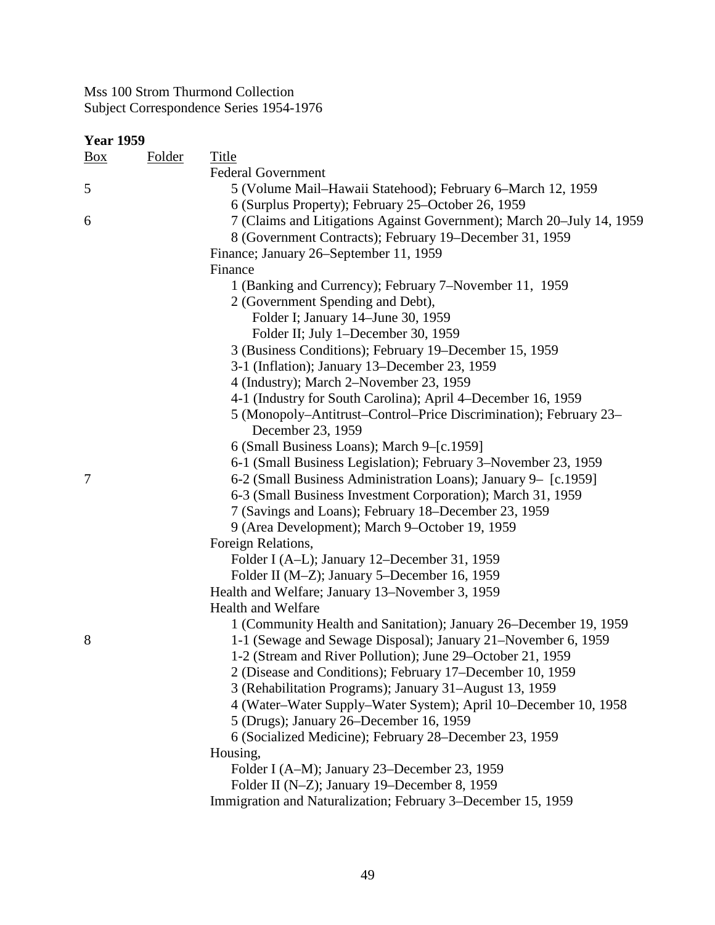| <b>Year 1959</b> |               |                                                                       |  |
|------------------|---------------|-----------------------------------------------------------------------|--|
| $\frac{Box}{}$   | <b>Folder</b> | <b>Title</b>                                                          |  |
|                  |               | <b>Federal Government</b>                                             |  |
| 5                |               | 5 (Volume Mail-Hawaii Statehood); February 6-March 12, 1959           |  |
|                  |               | 6 (Surplus Property); February 25–October 26, 1959                    |  |
| 6                |               | 7 (Claims and Litigations Against Government); March 20–July 14, 1959 |  |
|                  |               | 8 (Government Contracts); February 19–December 31, 1959               |  |
|                  |               | Finance; January 26–September 11, 1959                                |  |
|                  |               | Finance                                                               |  |
|                  |               | 1 (Banking and Currency); February 7–November 11, 1959                |  |
|                  |               | 2 (Government Spending and Debt),                                     |  |
|                  |               | Folder I; January 14–June 30, 1959                                    |  |
|                  |               | Folder II; July 1-December 30, 1959                                   |  |
|                  |               | 3 (Business Conditions); February 19–December 15, 1959                |  |
|                  |               | 3-1 (Inflation); January 13–December 23, 1959                         |  |
|                  |               | 4 (Industry); March 2-November 23, 1959                               |  |
|                  |               | 4-1 (Industry for South Carolina); April 4–December 16, 1959          |  |
|                  |               | 5 (Monopoly–Antitrust–Control–Price Discrimination); February 23–     |  |
|                  |               | December 23, 1959                                                     |  |
|                  |               | 6 (Small Business Loans); March 9-[c.1959]                            |  |
|                  |               | 6-1 (Small Business Legislation); February 3–November 23, 1959        |  |
| $\overline{7}$   |               | 6-2 (Small Business Administration Loans); January 9– [c.1959]        |  |
|                  |               | 6-3 (Small Business Investment Corporation); March 31, 1959           |  |
|                  |               | 7 (Savings and Loans); February 18–December 23, 1959                  |  |
|                  |               | 9 (Area Development); March 9-October 19, 1959                        |  |
|                  |               | Foreign Relations,                                                    |  |
|                  |               | Folder I (A-L); January 12–December 31, 1959                          |  |
|                  |               | Folder II (M-Z); January 5-December 16, 1959                          |  |
|                  |               | Health and Welfare; January 13–November 3, 1959                       |  |
|                  |               | <b>Health and Welfare</b>                                             |  |
|                  |               | 1 (Community Health and Sanitation); January 26–December 19, 1959     |  |
| 8                |               | 1-1 (Sewage and Sewage Disposal); January 21–November 6, 1959         |  |
|                  |               | 1-2 (Stream and River Pollution); June 29–October 21, 1959            |  |
|                  |               | 2 (Disease and Conditions); February 17–December 10, 1959             |  |
|                  |               | 3 (Rehabilitation Programs); January 31–August 13, 1959               |  |
|                  |               | 4 (Water–Water Supply–Water System); April 10–December 10, 1958       |  |
|                  |               | 5 (Drugs); January 26–December 16, 1959                               |  |
|                  |               | 6 (Socialized Medicine); February 28–December 23, 1959                |  |
|                  |               | Housing,                                                              |  |
|                  |               | Folder I (A-M); January 23–December 23, 1959                          |  |
|                  |               | Folder II (N-Z); January 19–December 8, 1959                          |  |
|                  |               | Immigration and Naturalization; February 3–December 15, 1959          |  |
|                  |               |                                                                       |  |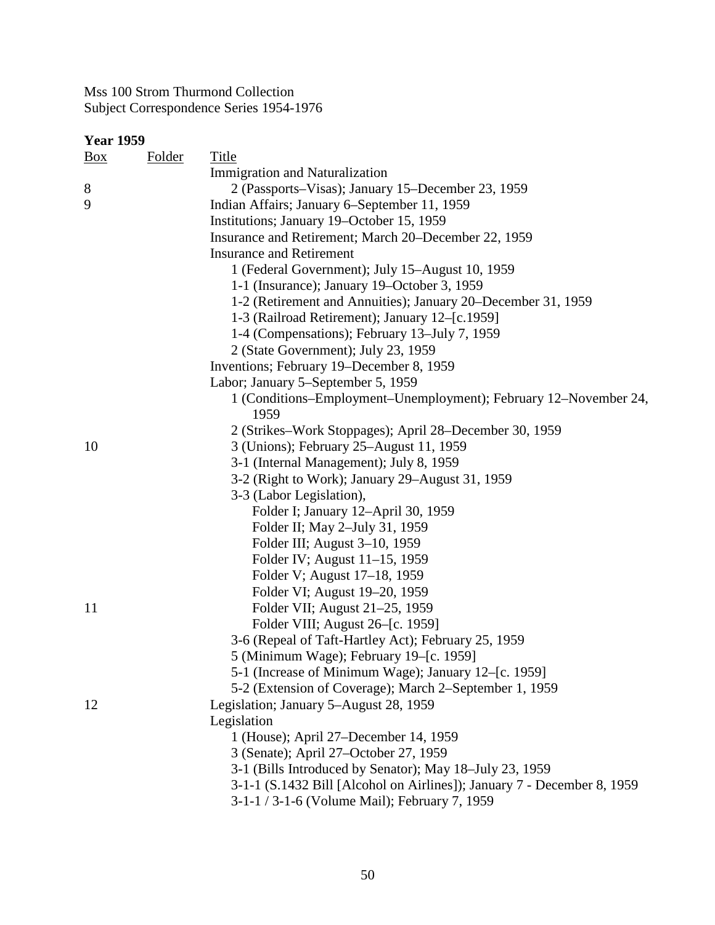### **Year 1959**

| <u>Box</u> | <b>Folder</b> | <b>Title</b>                                                            |
|------------|---------------|-------------------------------------------------------------------------|
|            |               | Immigration and Naturalization                                          |
| 8          |               | 2 (Passports-Visas); January 15-December 23, 1959                       |
| 9          |               | Indian Affairs; January 6–September 11, 1959                            |
|            |               | Institutions; January 19–October 15, 1959                               |
|            |               | Insurance and Retirement; March 20–December 22, 1959                    |
|            |               | <b>Insurance and Retirement</b>                                         |
|            |               | 1 (Federal Government); July 15–August 10, 1959                         |
|            |               | 1-1 (Insurance); January 19–October 3, 1959                             |
|            |               | 1-2 (Retirement and Annuities); January 20–December 31, 1959            |
|            |               | 1-3 (Railroad Retirement); January 12–[c.1959]                          |
|            |               | 1-4 (Compensations); February 13–July 7, 1959                           |
|            |               | 2 (State Government); July 23, 1959                                     |
|            |               | Inventions; February 19–December 8, 1959                                |
|            |               | Labor; January 5–September 5, 1959                                      |
|            |               | 1 (Conditions–Employment–Unemployment); February 12–November 24,        |
|            |               | 1959                                                                    |
|            |               | 2 (Strikes–Work Stoppages); April 28–December 30, 1959                  |
| 10         |               | 3 (Unions); February 25–August 11, 1959                                 |
|            |               | 3-1 (Internal Management); July 8, 1959                                 |
|            |               | 3-2 (Right to Work); January 29-August 31, 1959                         |
|            |               | 3-3 (Labor Legislation),                                                |
|            |               | Folder I; January 12–April 30, 1959                                     |
|            |               | Folder II; May 2-July 31, 1959                                          |
|            |               | Folder III; August 3-10, 1959                                           |
|            |               | Folder IV; August 11–15, 1959                                           |
|            |               | Folder V; August 17–18, 1959                                            |
|            |               | Folder VI; August 19–20, 1959                                           |
| 11         |               | Folder VII; August 21–25, 1959                                          |
|            |               | Folder VIII; August 26–[c. 1959]                                        |
|            |               | 3-6 (Repeal of Taft-Hartley Act); February 25, 1959                     |
|            |               | 5 (Minimum Wage); February 19–[c. 1959]                                 |
|            |               | 5-1 (Increase of Minimum Wage); January 12–[c. 1959]                    |
|            |               | 5-2 (Extension of Coverage); March 2–September 1, 1959                  |
| 12         |               | Legislation; January 5–August 28, 1959                                  |
|            |               | Legislation                                                             |
|            |               | 1 (House); April 27–December 14, 1959                                   |
|            |               | 3 (Senate); April 27-October 27, 1959                                   |
|            |               | 3-1 (Bills Introduced by Senator); May 18-July 23, 1959                 |
|            |               | 3-1-1 (S.1432 Bill [Alcohol on Airlines]); January 7 - December 8, 1959 |
|            |               | 3-1-1 / 3-1-6 (Volume Mail); February 7, 1959                           |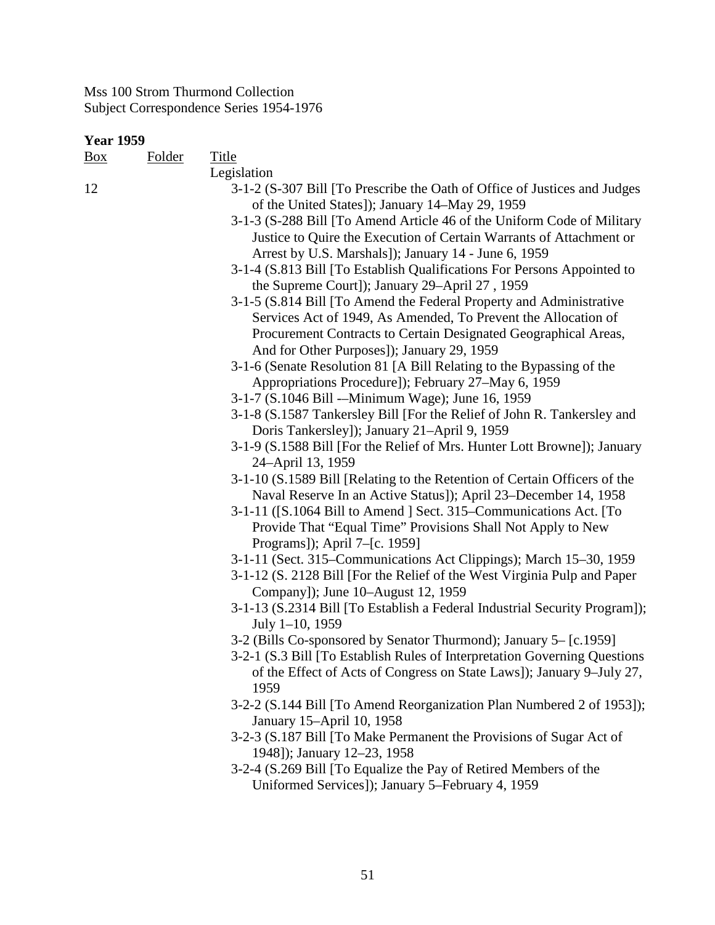Box Folder Title Legislation 12 3-1-2 (S-307 Bill [To Prescribe the Oath of Office of Justices and Judges of the United States]); January 14–May 29, 1959 3-1-3 (S-288 Bill [To Amend Article 46 of the Uniform Code of Military Justice to Quire the Execution of Certain Warrants of Attachment or Arrest by U.S. Marshals]); January 14 - June 6, 1959 3-1-4 (S.813 Bill [To Establish Qualifications For Persons Appointed to the Supreme Court]); January 29–April 27 , 1959 3-1-5 (S.814 Bill [To Amend the Federal Property and Administrative Services Act of 1949, As Amended, To Prevent the Allocation of Procurement Contracts to Certain Designated Geographical Areas, And for Other Purposes]); January 29, 1959 3-1-6 (Senate Resolution 81 [A Bill Relating to the Bypassing of the Appropriations Procedure]); February 27–May 6, 1959 3-1-7 (S.1046 Bill -–Minimum Wage); June 16, 1959 3-1-8 (S.1587 Tankersley Bill [For the Relief of John R. Tankersley and Doris Tankersley]); January 21–April 9, 1959 3-1-9 (S.1588 Bill [For the Relief of Mrs. Hunter Lott Browne]); January 24–April 13, 1959 3-1-10 (S.1589 Bill [Relating to the Retention of Certain Officers of the Naval Reserve In an Active Status]); April 23–December 14, 1958 3-1-11 ([S.1064 Bill to Amend ] Sect. 315–Communications Act. [To Provide That "Equal Time" Provisions Shall Not Apply to New Programs]); April 7–[c. 1959] 3-1-11 (Sect. 315–Communications Act Clippings); March 15–30, 1959 3-1-12 (S. 2128 Bill [For the Relief of the West Virginia Pulp and Paper Company]); June 10–August 12, 1959 3-1-13 (S.2314 Bill [To Establish a Federal Industrial Security Program]); July 1–10, 1959 3-2 (Bills Co-sponsored by Senator Thurmond); January 5– [c.1959] 3-2-1 (S.3 Bill [To Establish Rules of Interpretation Governing Questions of the Effect of Acts of Congress on State Laws]); January 9–July 27, 1959 3-2-2 (S.144 Bill [To Amend Reorganization Plan Numbered 2 of 1953]); January 15–April 10, 1958 3-2-3 (S.187 Bill [To Make Permanent the Provisions of Sugar Act of 1948]); January 12–23, 1958 3-2-4 (S.269 Bill [To Equalize the Pay of Retired Members of the Uniformed Services]); January 5–February 4, 1959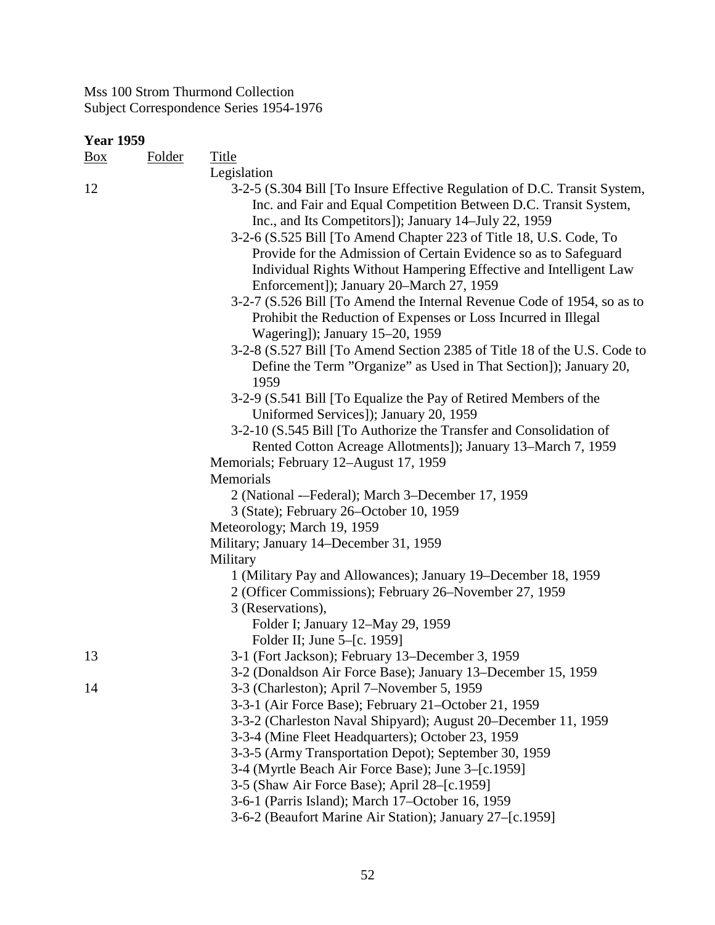| Year 1959 |               |                                                                           |
|-----------|---------------|---------------------------------------------------------------------------|
| Box       | <b>Folder</b> | <b>Title</b>                                                              |
|           |               | Legislation                                                               |
| 12        |               | 3-2-5 (S.304 Bill [To Insure Effective Regulation of D.C. Transit System, |
|           |               | Inc. and Fair and Equal Competition Between D.C. Transit System,          |
|           |               | Inc., and Its Competitors]); January 14–July 22, 1959                     |
|           |               | 3-2-6 (S.525 Bill [To Amend Chapter 223 of Title 18, U.S. Code, To        |
|           |               | Provide for the Admission of Certain Evidence so as to Safeguard          |
|           |               | Individual Rights Without Hampering Effective and Intelligent Law         |
|           |               | Enforcement]); January 20–March 27, 1959                                  |
|           |               | 3-2-7 (S.526 Bill [To Amend the Internal Revenue Code of 1954, so as to   |
|           |               | Prohibit the Reduction of Expenses or Loss Incurred in Illegal            |
|           |               | Wagering]); January 15–20, 1959                                           |
|           |               | 3-2-8 (S.527 Bill [To Amend Section 2385 of Title 18 of the U.S. Code to  |
|           |               | Define the Term "Organize" as Used in That Section]); January 20,<br>1959 |
|           |               | 3-2-9 (S.541 Bill [To Equalize the Pay of Retired Members of the          |
|           |               | Uniformed Services]); January 20, 1959                                    |
|           |               | 3-2-10 (S.545 Bill [To Authorize the Transfer and Consolidation of        |
|           |               | Rented Cotton Acreage Allotments]); January 13–March 7, 1959              |
|           |               | Memorials; February 12–August 17, 1959                                    |
|           |               | Memorials                                                                 |
|           |               | 2 (National --Federal); March 3-December 17, 1959                         |
|           |               | 3 (State); February 26–October 10, 1959                                   |
|           |               | Meteorology; March 19, 1959                                               |
|           |               | Military; January 14-December 31, 1959                                    |
|           |               | Military                                                                  |
|           |               | 1 (Military Pay and Allowances); January 19–December 18, 1959             |
|           |               | 2 (Officer Commissions); February 26–November 27, 1959                    |
|           |               | 3 (Reservations),                                                         |
|           |               | Folder I; January 12–May 29, 1959                                         |
|           |               | Folder II; June 5–[c. 1959]                                               |
| 13        |               | 3-1 (Fort Jackson); February 13–December 3, 1959                          |
|           |               | 3-2 (Donaldson Air Force Base); January 13–December 15, 1959              |
| 14        |               | 3-3 (Charleston); April 7–November 5, 1959                                |
|           |               | 3-3-1 (Air Force Base); February 21–October 21, 1959                      |
|           |               | 3-3-2 (Charleston Naval Shipyard); August 20–December 11, 1959            |
|           |               | 3-3-4 (Mine Fleet Headquarters); October 23, 1959                         |
|           |               | 3-3-5 (Army Transportation Depot); September 30, 1959                     |
|           |               | 3-4 (Myrtle Beach Air Force Base); June 3–[c.1959]                        |
|           |               | 3-5 (Shaw Air Force Base); April 28–[c.1959]                              |
|           |               | 3-6-1 (Parris Island); March 17-October 16, 1959                          |
|           |               | 3-6-2 (Beaufort Marine Air Station); January 27–[c.1959]                  |
|           |               |                                                                           |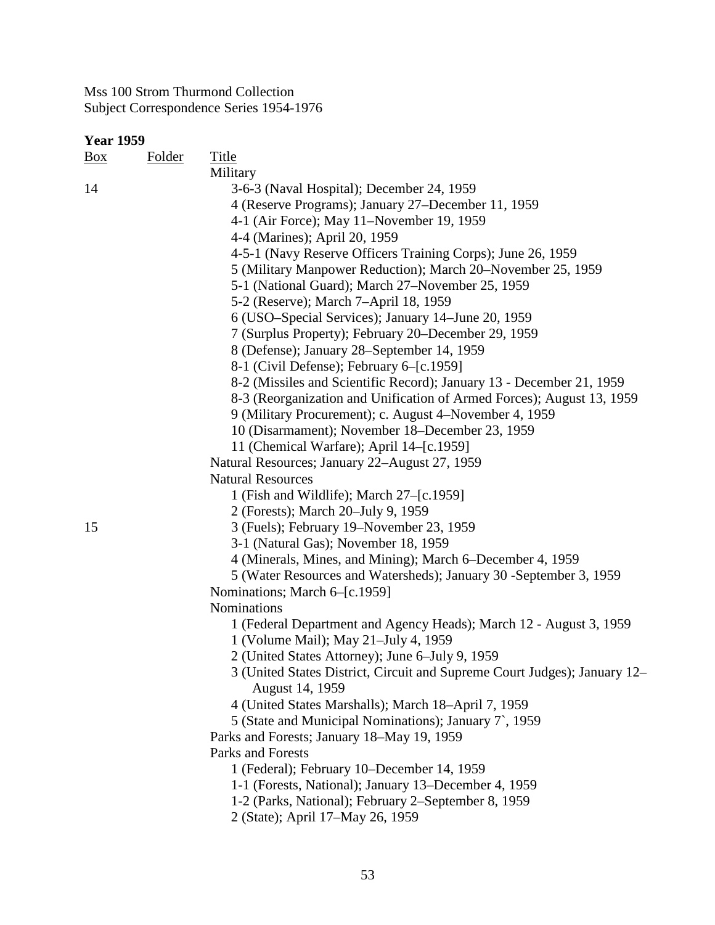| Box | <b>Folder</b> | <b>Title</b>                                                              |
|-----|---------------|---------------------------------------------------------------------------|
|     |               | Military                                                                  |
| 14  |               | 3-6-3 (Naval Hospital); December 24, 1959                                 |
|     |               | 4 (Reserve Programs); January 27–December 11, 1959                        |
|     |               | 4-1 (Air Force); May 11–November 19, 1959                                 |
|     |               | 4-4 (Marines); April 20, 1959                                             |
|     |               | 4-5-1 (Navy Reserve Officers Training Corps); June 26, 1959               |
|     |               | 5 (Military Manpower Reduction); March 20–November 25, 1959               |
|     |               | 5-1 (National Guard); March 27–November 25, 1959                          |
|     |               | 5-2 (Reserve); March 7-April 18, 1959                                     |
|     |               | 6 (USO-Special Services); January 14–June 20, 1959                        |
|     |               | 7 (Surplus Property); February 20–December 29, 1959                       |
|     |               | 8 (Defense); January 28–September 14, 1959                                |
|     |               | 8-1 (Civil Defense); February 6–[c.1959]                                  |
|     |               | 8-2 (Missiles and Scientific Record); January 13 - December 21, 1959      |
|     |               | 8-3 (Reorganization and Unification of Armed Forces); August 13, 1959     |
|     |               | 9 (Military Procurement); c. August 4–November 4, 1959                    |
|     |               | 10 (Disarmament); November 18–December 23, 1959                           |
|     |               | 11 (Chemical Warfare); April 14–[c.1959]                                  |
|     |               | Natural Resources; January 22–August 27, 1959                             |
|     |               | <b>Natural Resources</b>                                                  |
|     |               | 1 (Fish and Wildlife); March 27-[c.1959]                                  |
|     |               | 2 (Forests); March 20–July 9, 1959                                        |
| 15  |               | 3 (Fuels); February 19–November 23, 1959                                  |
|     |               | 3-1 (Natural Gas); November 18, 1959                                      |
|     |               | 4 (Minerals, Mines, and Mining); March 6–December 4, 1959                 |
|     |               | 5 (Water Resources and Watersheds); January 30 - September 3, 1959        |
|     |               | Nominations; March 6–[c.1959]<br>Nominations                              |
|     |               | 1 (Federal Department and Agency Heads); March 12 - August 3, 1959        |
|     |               | 1 (Volume Mail); May 21-July 4, 1959                                      |
|     |               | 2 (United States Attorney); June 6–July 9, 1959                           |
|     |               | 3 (United States District, Circuit and Supreme Court Judges); January 12- |
|     |               | August 14, 1959                                                           |
|     |               | 4 (United States Marshalls); March 18-April 7, 1959                       |
|     |               | 5 (State and Municipal Nominations); January 7, 1959                      |
|     |               | Parks and Forests; January 18–May 19, 1959                                |
|     |               | Parks and Forests                                                         |
|     |               | 1 (Federal); February 10–December 14, 1959                                |
|     |               | 1-1 (Forests, National); January 13–December 4, 1959                      |
|     |               | 1-2 (Parks, National); February 2–September 8, 1959                       |
|     |               | 2 (State); April 17-May 26, 1959                                          |
|     |               |                                                                           |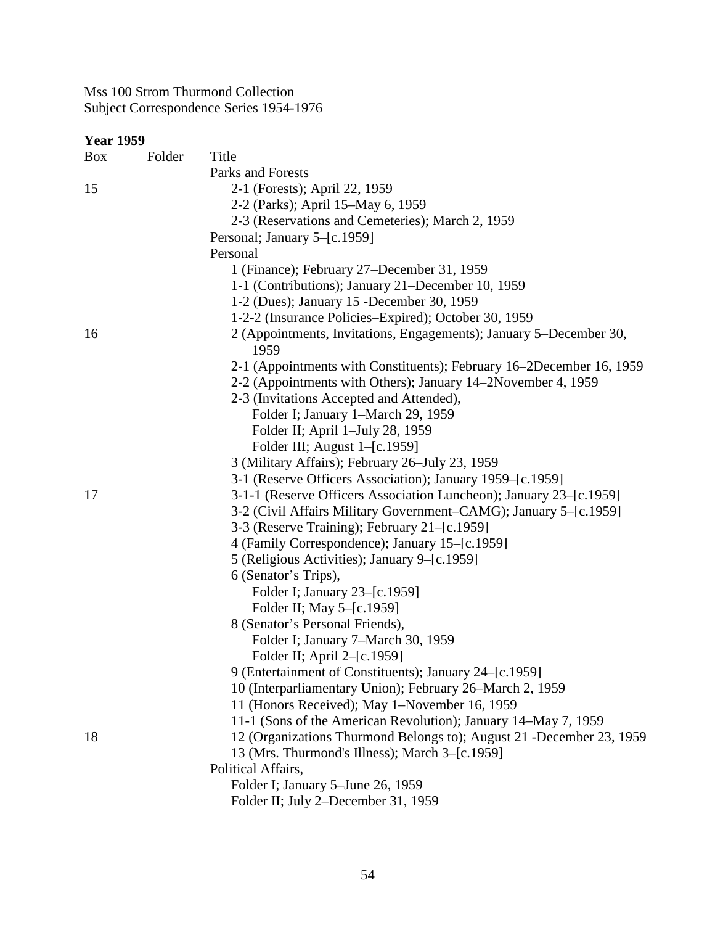| <b>Year 1959</b> |               |                                                                            |  |
|------------------|---------------|----------------------------------------------------------------------------|--|
| $\frac{Box}{}$   | <b>Folder</b> | <b>Title</b>                                                               |  |
|                  |               | Parks and Forests                                                          |  |
| 15               |               | 2-1 (Forests); April 22, 1959                                              |  |
|                  |               | 2-2 (Parks); April 15–May 6, 1959                                          |  |
|                  |               | 2-3 (Reservations and Cemeteries); March 2, 1959                           |  |
|                  |               | Personal; January 5-[c.1959]                                               |  |
|                  |               | Personal                                                                   |  |
|                  |               | 1 (Finance); February 27–December 31, 1959                                 |  |
|                  |               | 1-1 (Contributions); January 21–December 10, 1959                          |  |
|                  |               | 1-2 (Dues); January 15 -December 30, 1959                                  |  |
|                  |               | 1-2-2 (Insurance Policies–Expired); October 30, 1959                       |  |
| 16               |               | 2 (Appointments, Invitations, Engagements); January 5–December 30,<br>1959 |  |
|                  |               | 2-1 (Appointments with Constituents); February 16–2December 16, 1959       |  |
|                  |               | 2-2 (Appointments with Others); January 14–2November 4, 1959               |  |
|                  |               | 2-3 (Invitations Accepted and Attended),                                   |  |
|                  |               | Folder I; January 1-March 29, 1959                                         |  |
|                  |               | Folder II; April 1-July 28, 1959                                           |  |
|                  |               | Folder III; August 1–[c.1959]                                              |  |
|                  |               | 3 (Military Affairs); February 26-July 23, 1959                            |  |
|                  |               | 3-1 (Reserve Officers Association); January 1959–[c.1959]                  |  |
| 17               |               | 3-1-1 (Reserve Officers Association Luncheon); January 23–[c.1959]         |  |
|                  |               | 3-2 (Civil Affairs Military Government–CAMG); January 5–[c.1959]           |  |
|                  |               | 3-3 (Reserve Training); February 21–[c.1959]                               |  |
|                  |               | 4 (Family Correspondence); January 15–[c.1959]                             |  |
|                  |               | 5 (Religious Activities); January 9–[c.1959]                               |  |
|                  |               | 6 (Senator's Trips),                                                       |  |
|                  |               | Folder I; January 23–[c.1959]                                              |  |
|                  |               | Folder II; May 5-[c.1959]                                                  |  |
|                  |               | 8 (Senator's Personal Friends),                                            |  |
|                  |               | Folder I; January 7–March 30, 1959                                         |  |
|                  |               | Folder II; April 2–[c.1959]                                                |  |
|                  |               | 9 (Entertainment of Constituents); January 24–[c.1959]                     |  |
|                  |               | 10 (Interparliamentary Union); February 26-March 2, 1959                   |  |
|                  |               | 11 (Honors Received); May 1-November 16, 1959                              |  |
|                  |               | 11-1 (Sons of the American Revolution); January 14–May 7, 1959             |  |
| 18               |               | 12 (Organizations Thurmond Belongs to); August 21 - December 23, 1959      |  |
|                  |               | 13 (Mrs. Thurmond's Illness); March 3–[c.1959]                             |  |
|                  |               | Political Affairs,                                                         |  |
|                  |               | Folder I; January 5-June 26, 1959                                          |  |
|                  |               |                                                                            |  |
|                  |               | Folder II; July 2-December 31, 1959                                        |  |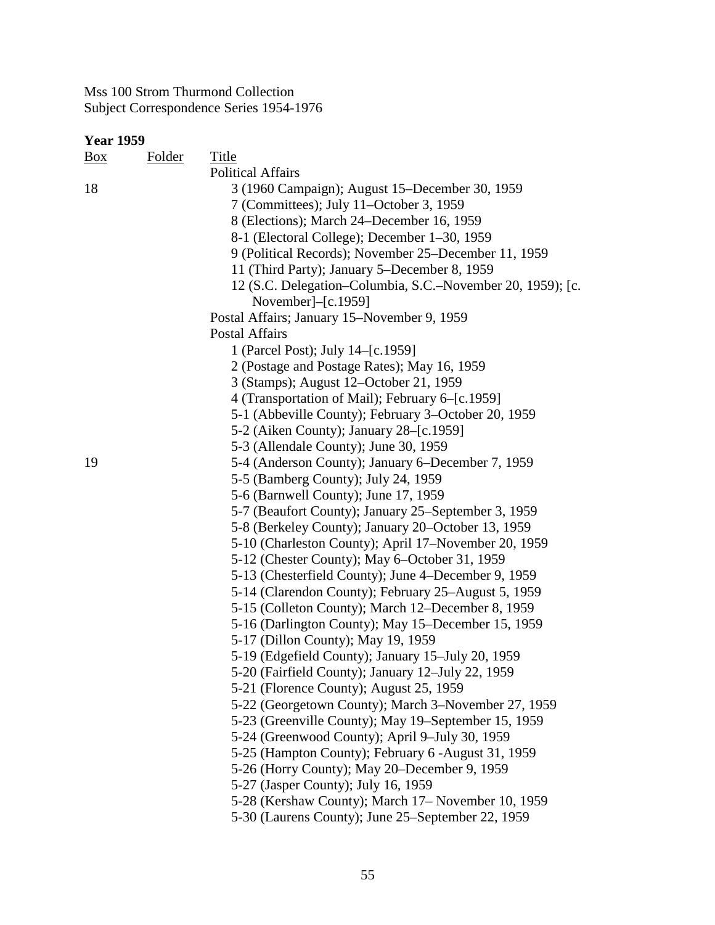| <b>Year 1959</b> |        |                                                            |
|------------------|--------|------------------------------------------------------------|
| Box              | Folder | Title                                                      |
|                  |        | <b>Political Affairs</b>                                   |
| 18               |        | 3 (1960 Campaign); August 15–December 30, 1959             |
|                  |        | 7 (Committees); July 11–October 3, 1959                    |
|                  |        | 8 (Elections); March 24–December 16, 1959                  |
|                  |        | 8-1 (Electoral College); December 1–30, 1959               |
|                  |        | 9 (Political Records); November 25–December 11, 1959       |
|                  |        | 11 (Third Party); January 5–December 8, 1959               |
|                  |        | 12 (S.C. Delegation-Columbia, S.C.-November 20, 1959); [c. |
|                  |        | November $]-[c.1959]$                                      |
|                  |        | Postal Affairs; January 15–November 9, 1959                |
|                  |        | <b>Postal Affairs</b>                                      |
|                  |        | 1 (Parcel Post); July 14–[c.1959]                          |
|                  |        | 2 (Postage and Postage Rates); May 16, 1959                |
|                  |        | 3 (Stamps); August 12–October 21, 1959                     |
|                  |        | 4 (Transportation of Mail); February 6–[c.1959]            |
|                  |        | 5-1 (Abbeville County); February 3–October 20, 1959        |
|                  |        | 5-2 (Aiken County); January 28–[c.1959]                    |
|                  |        | 5-3 (Allendale County); June 30, 1959                      |
| 19               |        | 5-4 (Anderson County); January 6–December 7, 1959          |
|                  |        | 5-5 (Bamberg County); July 24, 1959                        |
|                  |        | 5-6 (Barnwell County); June 17, 1959                       |
|                  |        | 5-7 (Beaufort County); January 25–September 3, 1959        |
|                  |        | 5-8 (Berkeley County); January 20–October 13, 1959         |
|                  |        | 5-10 (Charleston County); April 17–November 20, 1959       |
|                  |        | 5-12 (Chester County); May 6–October 31, 1959              |
|                  |        | 5-13 (Chesterfield County); June 4–December 9, 1959        |
|                  |        | 5-14 (Clarendon County); February 25–August 5, 1959        |
|                  |        | 5-15 (Colleton County); March 12-December 8, 1959          |
|                  |        | 5-16 (Darlington County); May 15–December 15, 1959         |
|                  |        | 5-17 (Dillon County); May 19, 1959                         |
|                  |        | 5-19 (Edgefield County); January 15-July 20, 1959          |
|                  |        | 5-20 (Fairfield County); January 12–July 22, 1959          |
|                  |        | 5-21 (Florence County); August 25, 1959                    |
|                  |        | 5-22 (Georgetown County); March 3–November 27, 1959        |
|                  |        | 5-23 (Greenville County); May 19–September 15, 1959        |
|                  |        | 5-24 (Greenwood County); April 9-July 30, 1959             |
|                  |        | 5-25 (Hampton County); February 6 - August 31, 1959        |
|                  |        | 5-26 (Horry County); May 20–December 9, 1959               |
|                  |        | 5-27 (Jasper County); July 16, 1959                        |
|                  |        | 5-28 (Kershaw County); March 17– November 10, 1959         |
|                  |        | 5-30 (Laurens County); June 25–September 22, 1959          |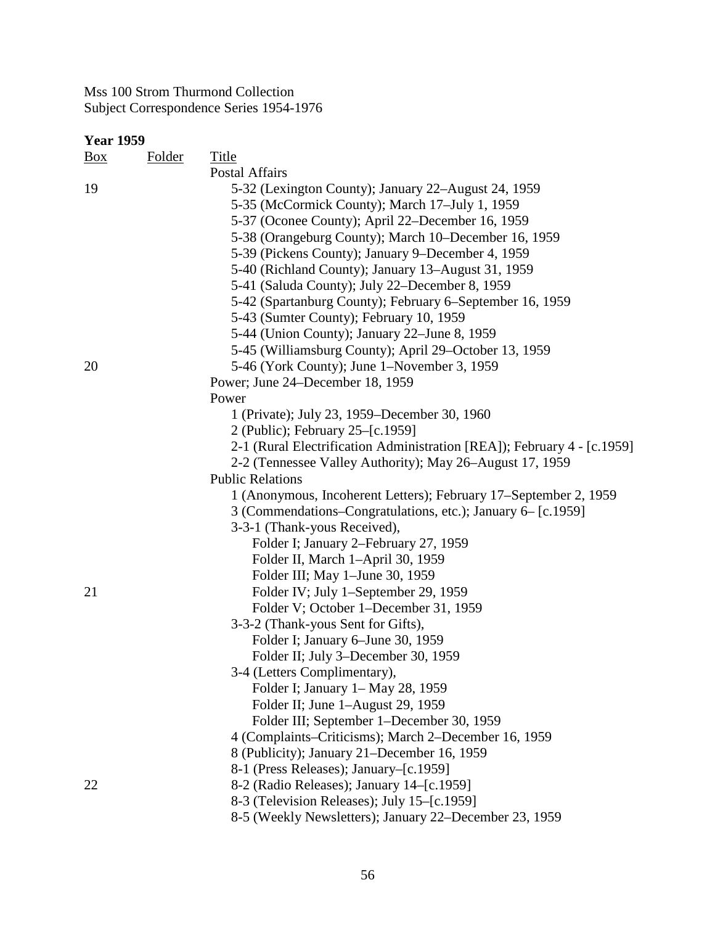| <u>Box</u> | Title<br>Folder                                                         |
|------------|-------------------------------------------------------------------------|
|            | Postal Affairs                                                          |
| 19         | 5-32 (Lexington County); January 22–August 24, 1959                     |
|            | 5-35 (McCormick County); March 17–July 1, 1959                          |
|            | 5-37 (Oconee County); April 22–December 16, 1959                        |
|            | 5-38 (Orangeburg County); March 10–December 16, 1959                    |
|            | 5-39 (Pickens County); January 9–December 4, 1959                       |
|            | 5-40 (Richland County); January 13–August 31, 1959                      |
|            | 5-41 (Saluda County); July 22–December 8, 1959                          |
|            | 5-42 (Spartanburg County); February 6-September 16, 1959                |
|            | 5-43 (Sumter County); February 10, 1959                                 |
|            | 5-44 (Union County); January 22–June 8, 1959                            |
|            | 5-45 (Williamsburg County); April 29–October 13, 1959                   |
| 20         | 5-46 (York County); June 1–November 3, 1959                             |
|            | Power; June 24–December 18, 1959                                        |
|            | Power                                                                   |
|            | 1 (Private); July 23, 1959–December 30, 1960                            |
|            | 2 (Public); February 25–[c.1959]                                        |
|            | 2-1 (Rural Electrification Administration [REA]); February 4 - [c.1959] |
|            | 2-2 (Tennessee Valley Authority); May 26–August 17, 1959                |
|            | <b>Public Relations</b>                                                 |
|            | 1 (Anonymous, Incoherent Letters); February 17–September 2, 1959        |
|            | 3 (Commendations–Congratulations, etc.); January 6– [c.1959]            |
|            | 3-3-1 (Thank-yous Received),                                            |
|            | Folder I; January 2–February 27, 1959                                   |
|            | Folder II, March 1-April 30, 1959                                       |
|            | Folder III; May 1-June 30, 1959                                         |
| 21         | Folder IV; July 1-September 29, 1959                                    |
|            | Folder V; October 1–December 31, 1959                                   |
|            | 3-3-2 (Thank-yous Sent for Gifts),                                      |
|            | Folder I; January 6–June 30, 1959                                       |
|            | Folder II; July 3-December 30, 1959                                     |
|            | 3-4 (Letters Complimentary),                                            |
|            | Folder I; January 1– May 28, 1959                                       |
|            | Folder II; June 1-August 29, 1959                                       |
|            | Folder III; September 1–December 30, 1959                               |
|            | 4 (Complaints–Criticisms); March 2–December 16, 1959                    |
|            | 8 (Publicity); January 21–December 16, 1959                             |
|            | 8-1 (Press Releases); January–[c.1959]                                  |
| 22         | 8-2 (Radio Releases); January 14–[c.1959]                               |
|            | 8-3 (Television Releases); July 15-[c.1959]                             |
|            | 8-5 (Weekly Newsletters); January 22–December 23, 1959                  |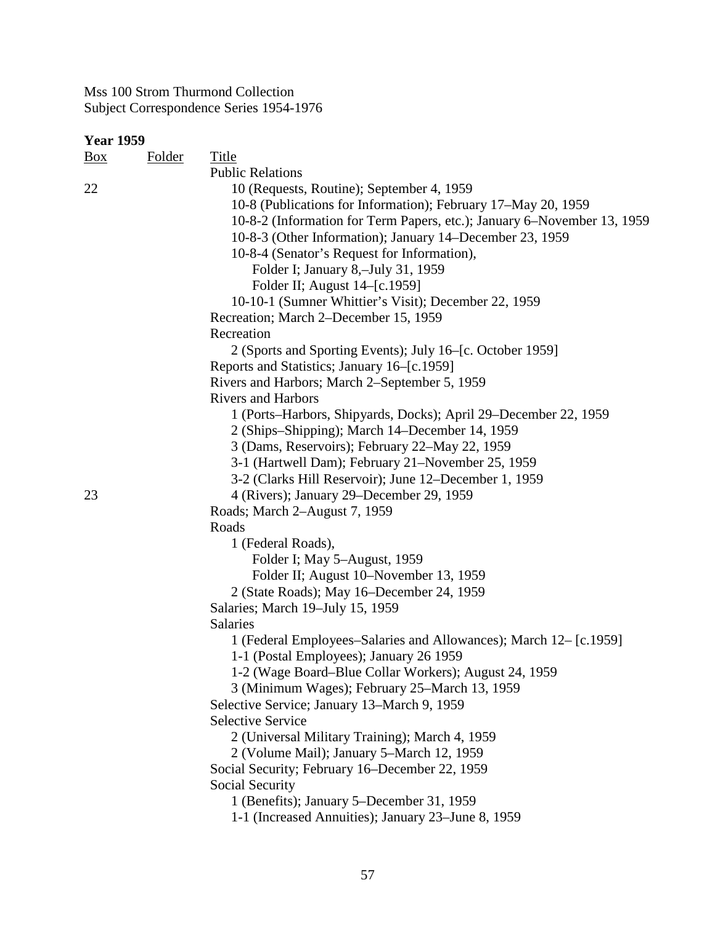| <b>Year 1959</b> |               |                                                                         |
|------------------|---------------|-------------------------------------------------------------------------|
| $\frac{Box}{}$   | <b>Folder</b> | Title                                                                   |
|                  |               | <b>Public Relations</b>                                                 |
| 22               |               | 10 (Requests, Routine); September 4, 1959                               |
|                  |               | 10-8 (Publications for Information); February 17–May 20, 1959           |
|                  |               | 10-8-2 (Information for Term Papers, etc.); January 6–November 13, 1959 |
|                  |               | 10-8-3 (Other Information); January 14–December 23, 1959                |
|                  |               | 10-8-4 (Senator's Request for Information),                             |
|                  |               | Folder I; January 8,-July 31, 1959                                      |
|                  |               | Folder II; August 14–[c.1959]                                           |
|                  |               | 10-10-1 (Sumner Whittier's Visit); December 22, 1959                    |
|                  |               | Recreation; March 2–December 15, 1959                                   |
|                  |               | Recreation                                                              |
|                  |               | 2 (Sports and Sporting Events); July 16-[c. October 1959]               |
|                  |               | Reports and Statistics; January 16–[c.1959]                             |
|                  |               | Rivers and Harbors; March 2-September 5, 1959                           |
|                  |               | <b>Rivers and Harbors</b>                                               |
|                  |               | 1 (Ports–Harbors, Shipyards, Docks); April 29–December 22, 1959         |
|                  |               | 2 (Ships–Shipping); March 14–December 14, 1959                          |
|                  |               | 3 (Dams, Reservoirs); February 22–May 22, 1959                          |
|                  |               | 3-1 (Hartwell Dam); February 21–November 25, 1959                       |
|                  |               | 3-2 (Clarks Hill Reservoir); June 12–December 1, 1959                   |
| 23               |               | 4 (Rivers); January 29–December 29, 1959                                |
|                  |               | Roads; March 2-August 7, 1959                                           |
|                  |               | Roads                                                                   |
|                  |               | 1 (Federal Roads),                                                      |
|                  |               | Folder I; May 5-August, 1959                                            |
|                  |               | Folder II; August 10–November 13, 1959                                  |
|                  |               | 2 (State Roads); May 16–December 24, 1959                               |
|                  |               | Salaries; March 19-July 15, 1959                                        |
|                  |               | Salaries                                                                |
|                  |               | 1 (Federal Employees–Salaries and Allowances); March 12- [c.1959]       |
|                  |               | 1-1 (Postal Employees); January 26 1959                                 |
|                  |               | 1-2 (Wage Board–Blue Collar Workers); August 24, 1959                   |
|                  |               | 3 (Minimum Wages); February 25–March 13, 1959                           |
|                  |               | Selective Service; January 13–March 9, 1959                             |
|                  |               | <b>Selective Service</b>                                                |
|                  |               | 2 (Universal Military Training); March 4, 1959                          |
|                  |               | 2 (Volume Mail); January 5–March 12, 1959                               |
|                  |               | Social Security; February 16–December 22, 1959                          |
|                  |               | Social Security                                                         |
|                  |               | 1 (Benefits); January 5–December 31, 1959                               |
|                  |               | 1-1 (Increased Annuities); January 23–June 8, 1959                      |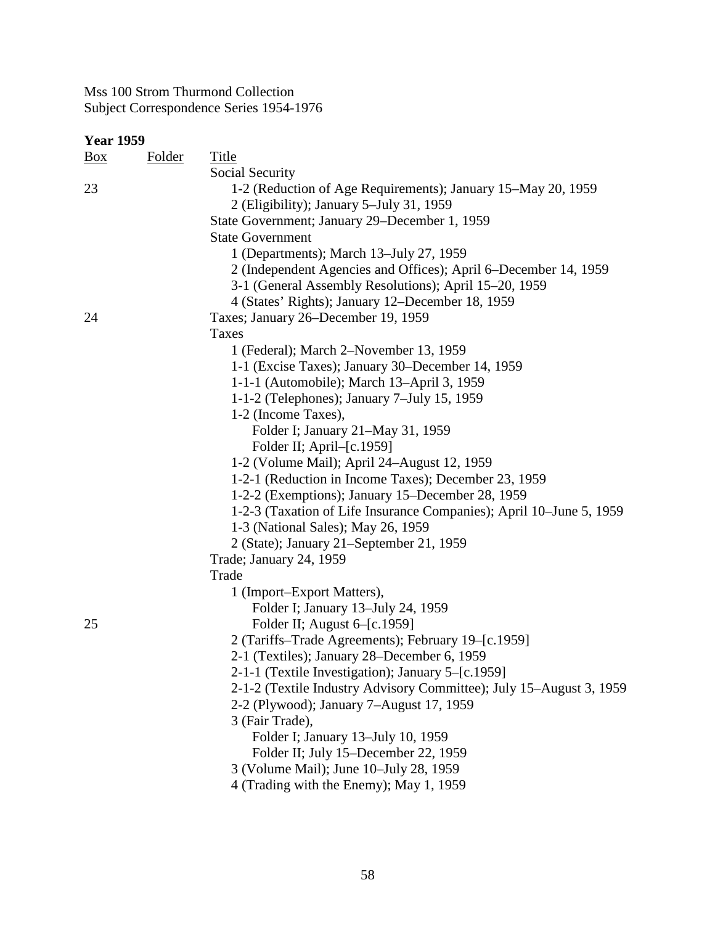| <b>Year 1959</b> |               |                                                                     |  |
|------------------|---------------|---------------------------------------------------------------------|--|
| $\frac{Box}{}$   | <b>Folder</b> | <b>Title</b>                                                        |  |
|                  |               | Social Security                                                     |  |
| 23               |               | 1-2 (Reduction of Age Requirements); January 15–May 20, 1959        |  |
|                  |               | 2 (Eligibility); January 5-July 31, 1959                            |  |
|                  |               | State Government; January 29–December 1, 1959                       |  |
|                  |               | <b>State Government</b>                                             |  |
|                  |               | 1 (Departments); March 13-July 27, 1959                             |  |
|                  |               | 2 (Independent Agencies and Offices); April 6–December 14, 1959     |  |
|                  |               | 3-1 (General Assembly Resolutions); April 15-20, 1959               |  |
|                  |               | 4 (States' Rights); January 12–December 18, 1959                    |  |
| 24               |               | Taxes; January 26–December 19, 1959                                 |  |
|                  |               | Taxes                                                               |  |
|                  |               | 1 (Federal); March 2-November 13, 1959                              |  |
|                  |               | 1-1 (Excise Taxes); January 30–December 14, 1959                    |  |
|                  |               | 1-1-1 (Automobile); March 13-April 3, 1959                          |  |
|                  |               | 1-1-2 (Telephones); January 7-July 15, 1959                         |  |
|                  |               | 1-2 (Income Taxes),                                                 |  |
|                  |               | Folder I; January 21-May 31, 1959                                   |  |
|                  |               | Folder II; April–[c.1959]                                           |  |
|                  |               | 1-2 (Volume Mail); April 24-August 12, 1959                         |  |
|                  |               | 1-2-1 (Reduction in Income Taxes); December 23, 1959                |  |
|                  |               | 1-2-2 (Exemptions); January 15–December 28, 1959                    |  |
|                  |               | 1-2-3 (Taxation of Life Insurance Companies); April 10–June 5, 1959 |  |
|                  |               | 1-3 (National Sales); May 26, 1959                                  |  |
|                  |               | 2 (State); January 21–September 21, 1959                            |  |
|                  |               | Trade; January 24, 1959                                             |  |
|                  |               | Trade                                                               |  |
|                  |               | 1 (Import–Export Matters),                                          |  |
|                  |               | Folder I; January 13-July 24, 1959                                  |  |
| 25               |               | Folder II; August 6–[c.1959]                                        |  |
|                  |               | 2 (Tariffs-Trade Agreements); February 19-[c.1959]                  |  |
|                  |               | 2-1 (Textiles); January 28–December 6, 1959                         |  |
|                  |               | 2-1-1 (Textile Investigation); January 5–[c.1959]                   |  |
|                  |               | 2-1-2 (Textile Industry Advisory Committee); July 15–August 3, 1959 |  |
|                  |               | 2-2 (Plywood); January 7–August 17, 1959                            |  |
|                  |               | 3 (Fair Trade),                                                     |  |
|                  |               | Folder I; January 13-July 10, 1959                                  |  |
|                  |               | Folder II; July 15–December 22, 1959                                |  |
|                  |               | 3 (Volume Mail); June 10–July 28, 1959                              |  |
|                  |               | 4 (Trading with the Enemy); May 1, 1959                             |  |
|                  |               |                                                                     |  |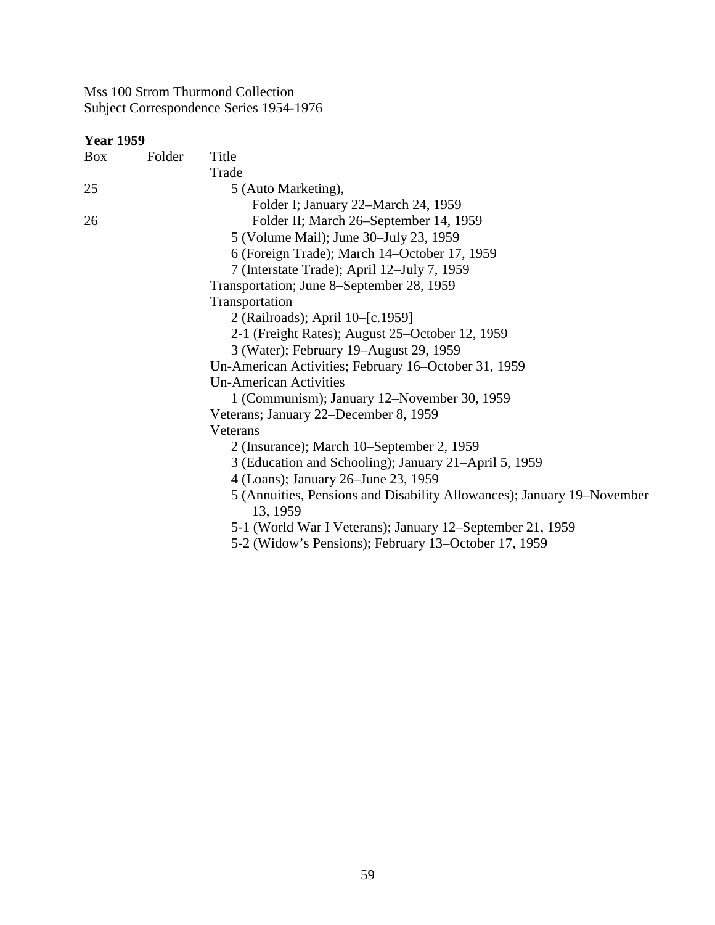| <b>Year 1959</b>  |               |                                                                                    |
|-------------------|---------------|------------------------------------------------------------------------------------|
| $\underline{Box}$ | <b>Folder</b> | <b>Title</b>                                                                       |
|                   |               | Trade                                                                              |
| 25                |               | 5 (Auto Marketing),                                                                |
|                   |               | Folder I; January 22–March 24, 1959                                                |
| 26                |               | Folder II; March 26–September 14, 1959                                             |
|                   |               | 5 (Volume Mail); June 30–July 23, 1959                                             |
|                   |               | 6 (Foreign Trade); March 14-October 17, 1959                                       |
|                   |               | 7 (Interstate Trade); April 12–July 7, 1959                                        |
|                   |               | Transportation; June 8–September 28, 1959                                          |
|                   |               | Transportation                                                                     |
|                   |               | 2 (Railroads); April 10-[c.1959]                                                   |
|                   |               | 2-1 (Freight Rates); August 25-October 12, 1959                                    |
|                   |               | 3 (Water); February 19–August 29, 1959                                             |
|                   |               | Un-American Activities; February 16–October 31, 1959                               |
|                   |               | <b>Un-American Activities</b>                                                      |
|                   |               | 1 (Communism); January 12–November 30, 1959                                        |
|                   |               | Veterans; January 22–December 8, 1959                                              |
|                   |               | Veterans                                                                           |
|                   |               | 2 (Insurance); March 10–September 2, 1959                                          |
|                   |               | 3 (Education and Schooling); January 21–April 5, 1959                              |
|                   |               | 4 (Loans); January 26–June 23, 1959                                                |
|                   |               | 5 (Annuities, Pensions and Disability Allowances); January 19–November<br>13, 1959 |
|                   |               | 5-1 (World War I Veterans); January 12–September 21, 1959                          |
|                   |               | 5-2 (Widow's Pensions); February 13–October 17, 1959                               |
|                   |               |                                                                                    |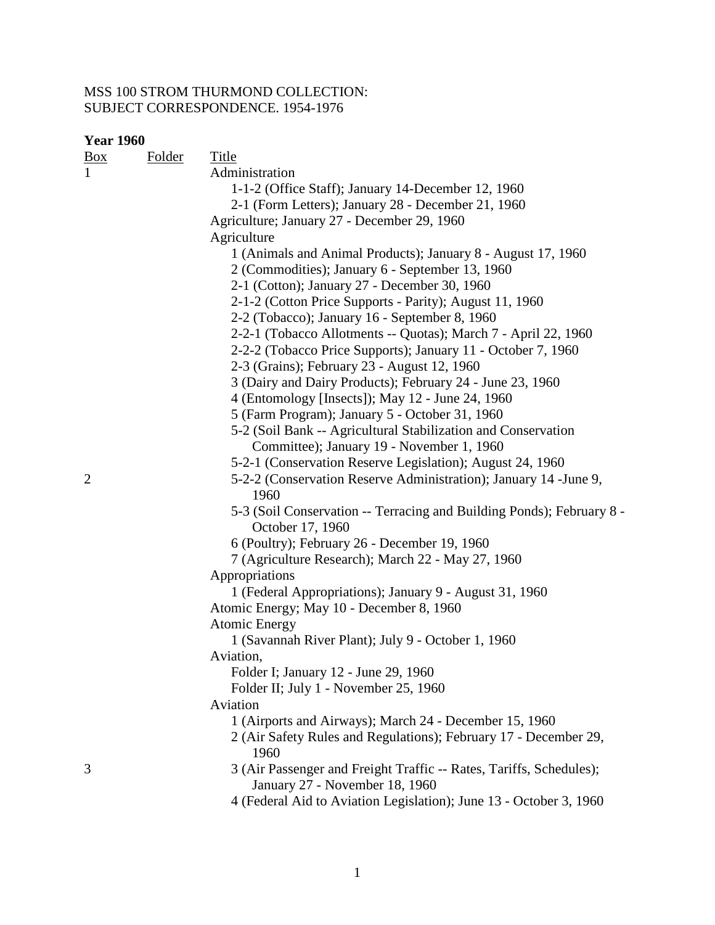| <b>Year 1960</b>  |               |                                                                                                       |  |
|-------------------|---------------|-------------------------------------------------------------------------------------------------------|--|
| $\underline{Box}$ | <b>Folder</b> | <b>Title</b>                                                                                          |  |
| $\mathbf{1}$      |               | Administration                                                                                        |  |
|                   |               | 1-1-2 (Office Staff); January 14-December 12, 1960                                                    |  |
|                   |               | 2-1 (Form Letters); January 28 - December 21, 1960                                                    |  |
|                   |               | Agriculture; January 27 - December 29, 1960                                                           |  |
|                   |               | Agriculture                                                                                           |  |
|                   |               | 1 (Animals and Animal Products); January 8 - August 17, 1960                                          |  |
|                   |               | 2 (Commodities); January 6 - September 13, 1960                                                       |  |
|                   |               | 2-1 (Cotton); January 27 - December 30, 1960                                                          |  |
|                   |               | 2-1-2 (Cotton Price Supports - Parity); August 11, 1960                                               |  |
|                   |               | 2-2 (Tobacco); January 16 - September 8, 1960                                                         |  |
|                   |               | 2-2-1 (Tobacco Allotments -- Quotas); March 7 - April 22, 1960                                        |  |
|                   |               | 2-2-2 (Tobacco Price Supports); January 11 - October 7, 1960                                          |  |
|                   |               | 2-3 (Grains); February 23 - August 12, 1960                                                           |  |
|                   |               | 3 (Dairy and Dairy Products); February 24 - June 23, 1960                                             |  |
|                   |               | 4 (Entomology [Insects]); May 12 - June 24, 1960                                                      |  |
|                   |               | 5 (Farm Program); January 5 - October 31, 1960                                                        |  |
|                   |               | 5-2 (Soil Bank -- Agricultural Stabilization and Conservation                                         |  |
|                   |               | Committee); January 19 - November 1, 1960                                                             |  |
|                   |               | 5-2-1 (Conservation Reserve Legislation); August 24, 1960                                             |  |
| $\overline{2}$    |               | 5-2-2 (Conservation Reserve Administration); January 14 - June 9,<br>1960                             |  |
|                   |               | 5-3 (Soil Conservation -- Terracing and Building Ponds); February 8 -<br>October 17, 1960             |  |
|                   |               | 6 (Poultry); February 26 - December 19, 1960                                                          |  |
|                   |               | 7 (Agriculture Research); March 22 - May 27, 1960                                                     |  |
|                   |               | Appropriations                                                                                        |  |
|                   |               | 1 (Federal Appropriations); January 9 - August 31, 1960                                               |  |
|                   |               | Atomic Energy; May 10 - December 8, 1960                                                              |  |
|                   |               | <b>Atomic Energy</b>                                                                                  |  |
|                   |               | 1 (Savannah River Plant); July 9 - October 1, 1960                                                    |  |
|                   |               | Aviation,                                                                                             |  |
|                   |               | Folder I; January 12 - June 29, 1960                                                                  |  |
|                   |               | Folder II; July 1 - November 25, 1960                                                                 |  |
|                   |               | Aviation                                                                                              |  |
|                   |               | 1 (Airports and Airways); March 24 - December 15, 1960                                                |  |
|                   |               | 2 (Air Safety Rules and Regulations); February 17 - December 29,<br>1960                              |  |
| 3                 |               | 3 (Air Passenger and Freight Traffic -- Rates, Tariffs, Schedules);<br>January 27 - November 18, 1960 |  |
|                   |               | 4 (Federal Aid to Aviation Legislation); June 13 - October 3, 1960                                    |  |
|                   |               |                                                                                                       |  |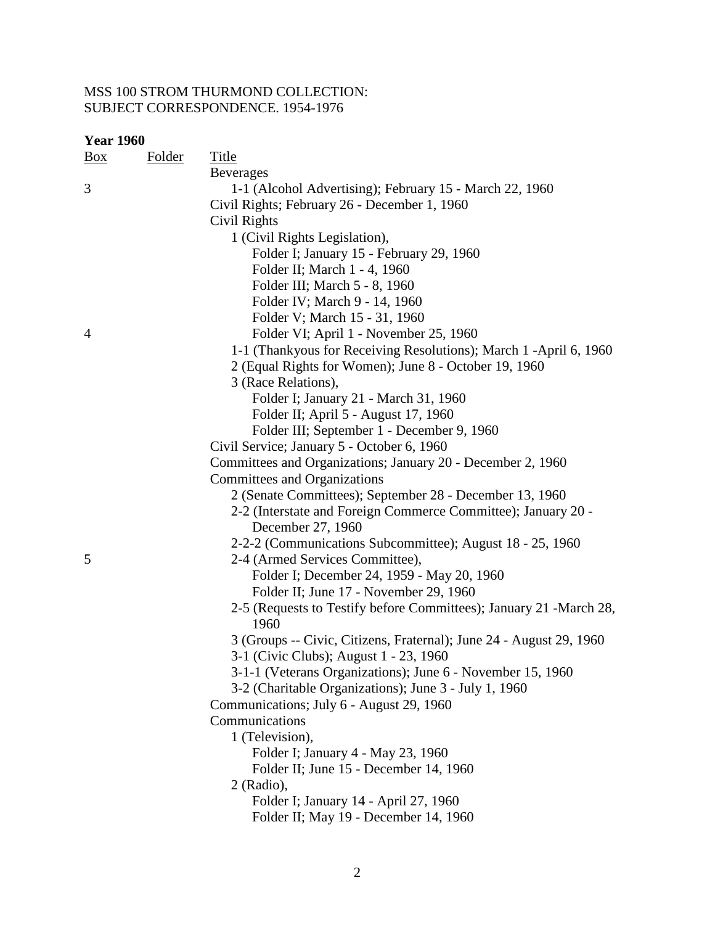| <b>Year 1960</b> |  |
|------------------|--|
|------------------|--|

| <b>Teal TOO</b><br>Box | <b>Folder</b> | <b>Title</b>                                                        |
|------------------------|---------------|---------------------------------------------------------------------|
|                        |               | <b>Beverages</b>                                                    |
| 3                      |               | 1-1 (Alcohol Advertising); February 15 - March 22, 1960             |
|                        |               | Civil Rights; February 26 - December 1, 1960                        |
|                        |               | Civil Rights                                                        |
|                        |               | 1 (Civil Rights Legislation),                                       |
|                        |               | Folder I; January 15 - February 29, 1960                            |
|                        |               | Folder II; March 1 - 4, 1960                                        |
|                        |               | Folder III; March 5 - 8, 1960                                       |
|                        |               | Folder IV; March 9 - 14, 1960                                       |
|                        |               | Folder V; March 15 - 31, 1960                                       |
| 4                      |               | Folder VI; April 1 - November 25, 1960                              |
|                        |               | 1-1 (Thankyous for Receiving Resolutions); March 1 -April 6, 1960   |
|                        |               | 2 (Equal Rights for Women); June 8 - October 19, 1960               |
|                        |               | 3 (Race Relations),                                                 |
|                        |               | Folder I; January 21 - March 31, 1960                               |
|                        |               | Folder II; April 5 - August 17, 1960                                |
|                        |               | Folder III; September 1 - December 9, 1960                          |
|                        |               | Civil Service; January 5 - October 6, 1960                          |
|                        |               | Committees and Organizations; January 20 - December 2, 1960         |
|                        |               | Committees and Organizations                                        |
|                        |               | 2 (Senate Committees); September 28 - December 13, 1960             |
|                        |               | 2-2 (Interstate and Foreign Commerce Committee); January 20 -       |
|                        |               | December 27, 1960                                                   |
|                        |               | 2-2-2 (Communications Subcommittee); August 18 - 25, 1960           |
| 5                      |               | 2-4 (Armed Services Committee),                                     |
|                        |               | Folder I; December 24, 1959 - May 20, 1960                          |
|                        |               | Folder II; June 17 - November 29, 1960                              |
|                        |               | 2-5 (Requests to Testify before Committees); January 21 -March 28,  |
|                        |               | 1960                                                                |
|                        |               | 3 (Groups -- Civic, Citizens, Fraternal); June 24 - August 29, 1960 |
|                        |               | 3-1 (Civic Clubs); August 1 - 23, 1960                              |
|                        |               | 3-1-1 (Veterans Organizations); June 6 - November 15, 1960          |
|                        |               | 3-2 (Charitable Organizations); June 3 - July 1, 1960               |
|                        |               | Communications; July 6 - August 29, 1960                            |
|                        |               | Communications                                                      |
|                        |               | 1 (Television),                                                     |
|                        |               | Folder I; January 4 - May 23, 1960                                  |
|                        |               | Folder II; June 15 - December 14, 1960                              |
|                        |               | 2 (Radio),                                                          |
|                        |               | Folder I; January 14 - April 27, 1960                               |
|                        |               | Folder II; May 19 - December 14, 1960                               |
|                        |               |                                                                     |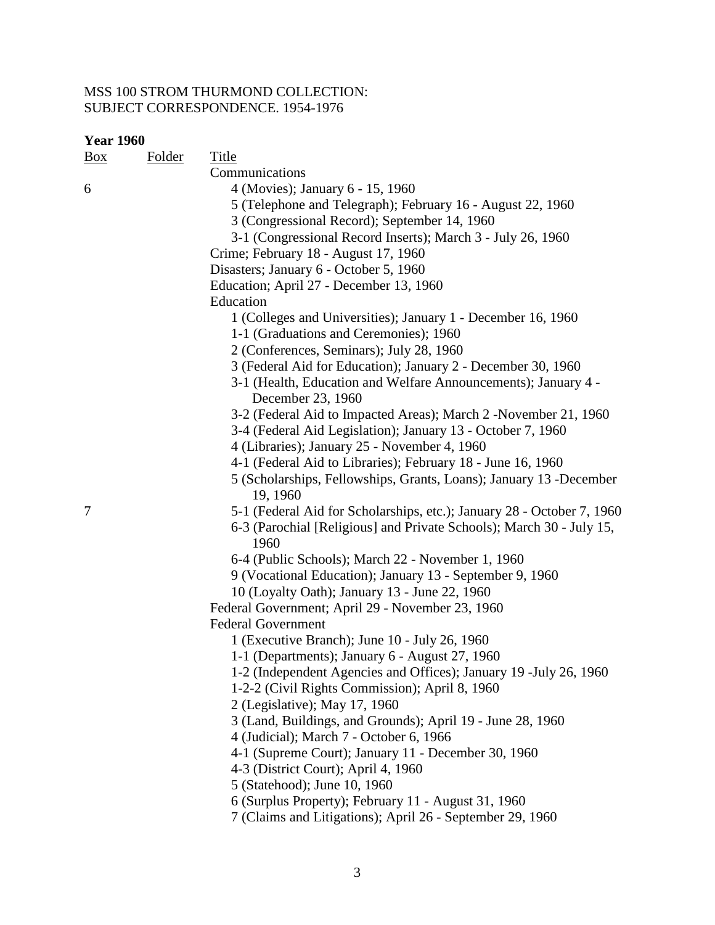| <b>Year 1960</b> |        |                                                                                     |  |
|------------------|--------|-------------------------------------------------------------------------------------|--|
| $\frac{Box}{}$   | Folder | <b>Title</b>                                                                        |  |
|                  |        | Communications                                                                      |  |
| 6                |        | 4 (Movies); January 6 - 15, 1960                                                    |  |
|                  |        | 5 (Telephone and Telegraph); February 16 - August 22, 1960                          |  |
|                  |        | 3 (Congressional Record); September 14, 1960                                        |  |
|                  |        | 3-1 (Congressional Record Inserts); March 3 - July 26, 1960                         |  |
|                  |        | Crime; February 18 - August 17, 1960                                                |  |
|                  |        | Disasters; January 6 - October 5, 1960                                              |  |
|                  |        | Education; April 27 - December 13, 1960                                             |  |
|                  |        | Education                                                                           |  |
|                  |        | 1 (Colleges and Universities); January 1 - December 16, 1960                        |  |
|                  |        | 1-1 (Graduations and Ceremonies); 1960                                              |  |
|                  |        | 2 (Conferences, Seminars); July 28, 1960                                            |  |
|                  |        | 3 (Federal Aid for Education); January 2 - December 30, 1960                        |  |
|                  |        | 3-1 (Health, Education and Welfare Announcements); January 4 -<br>December 23, 1960 |  |
|                  |        | 3-2 (Federal Aid to Impacted Areas); March 2 -November 21, 1960                     |  |
|                  |        | 3-4 (Federal Aid Legislation); January 13 - October 7, 1960                         |  |
|                  |        | 4 (Libraries); January 25 - November 4, 1960                                        |  |
|                  |        | 4-1 (Federal Aid to Libraries); February 18 - June 16, 1960                         |  |
|                  |        | 5 (Scholarships, Fellowships, Grants, Loans); January 13 -December<br>19, 1960      |  |
| 7                |        | 5-1 (Federal Aid for Scholarships, etc.); January 28 - October 7, 1960              |  |
|                  |        | 6-3 (Parochial [Religious] and Private Schools); March 30 - July 15,<br>1960        |  |
|                  |        | 6-4 (Public Schools); March 22 - November 1, 1960                                   |  |
|                  |        | 9 (Vocational Education); January 13 - September 9, 1960                            |  |
|                  |        | 10 (Loyalty Oath); January 13 - June 22, 1960                                       |  |
|                  |        | Federal Government; April 29 - November 23, 1960                                    |  |
|                  |        | <b>Federal Government</b>                                                           |  |
|                  |        | 1 (Executive Branch); June 10 - July 26, 1960                                       |  |
|                  |        | 1-1 (Departments); January 6 - August 27, 1960                                      |  |
|                  |        | 1-2 (Independent Agencies and Offices); January 19 - July 26, 1960                  |  |
|                  |        | 1-2-2 (Civil Rights Commission); April 8, 1960                                      |  |
|                  |        | 2 (Legislative); May 17, 1960                                                       |  |
|                  |        | 3 (Land, Buildings, and Grounds); April 19 - June 28, 1960                          |  |
|                  |        | 4 (Judicial); March 7 - October 6, 1966                                             |  |
|                  |        | 4-1 (Supreme Court); January 11 - December 30, 1960                                 |  |
|                  |        | 4-3 (District Court); April 4, 1960                                                 |  |
|                  |        | 5 (Statehood); June 10, 1960                                                        |  |
|                  |        | 6 (Surplus Property); February 11 - August 31, 1960                                 |  |
|                  |        | 7 (Claims and Litigations); April 26 - September 29, 1960                           |  |
|                  |        |                                                                                     |  |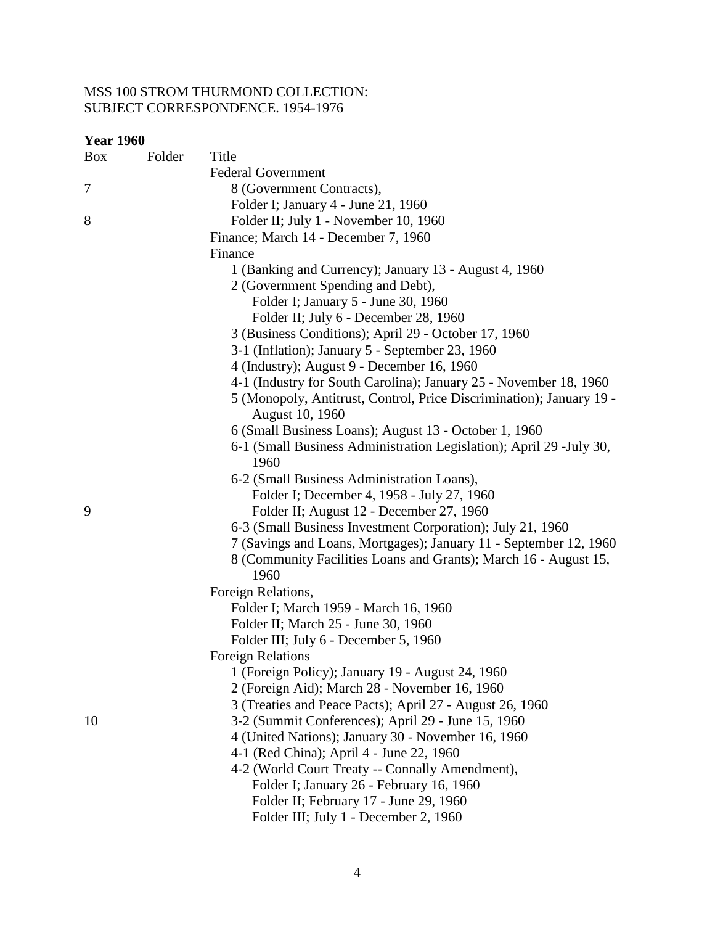| <b>Year 1960</b> |               |                                                                                         |
|------------------|---------------|-----------------------------------------------------------------------------------------|
| <u>Box</u>       | <u>Folder</u> | <b>Title</b>                                                                            |
|                  |               | <b>Federal Government</b>                                                               |
| 7                |               | 8 (Government Contracts),                                                               |
|                  |               | Folder I; January 4 - June 21, 1960                                                     |
| 8                |               | Folder II; July 1 - November 10, 1960                                                   |
|                  |               | Finance; March 14 - December 7, 1960                                                    |
|                  |               | Finance                                                                                 |
|                  |               | 1 (Banking and Currency); January 13 - August 4, 1960                                   |
|                  |               | 2 (Government Spending and Debt),                                                       |
|                  |               | Folder I; January 5 - June 30, 1960                                                     |
|                  |               | Folder II; July 6 - December 28, 1960                                                   |
|                  |               | 3 (Business Conditions); April 29 - October 17, 1960                                    |
|                  |               | 3-1 (Inflation); January 5 - September 23, 1960                                         |
|                  |               | 4 (Industry); August 9 - December 16, 1960                                              |
|                  |               | 4-1 (Industry for South Carolina); January 25 - November 18, 1960                       |
|                  |               | 5 (Monopoly, Antitrust, Control, Price Discrimination); January 19 -<br>August 10, 1960 |
|                  |               | 6 (Small Business Loans); August 13 - October 1, 1960                                   |
|                  |               | 6-1 (Small Business Administration Legislation); April 29 -July 30,<br>1960             |
|                  |               | 6-2 (Small Business Administration Loans),                                              |
|                  |               | Folder I; December 4, 1958 - July 27, 1960                                              |
| 9                |               | Folder II; August 12 - December 27, 1960                                                |
|                  |               | 6-3 (Small Business Investment Corporation); July 21, 1960                              |
|                  |               | 7 (Savings and Loans, Mortgages); January 11 - September 12, 1960                       |
|                  |               | 8 (Community Facilities Loans and Grants); March 16 - August 15,<br>1960                |
|                  |               | Foreign Relations,                                                                      |
|                  |               | Folder I; March 1959 - March 16, 1960                                                   |
|                  |               | Folder II; March 25 - June 30, 1960                                                     |
|                  |               | Folder III; July 6 - December 5, 1960                                                   |
|                  |               | <b>Foreign Relations</b>                                                                |
|                  |               | 1 (Foreign Policy); January 19 - August 24, 1960                                        |
|                  |               | 2 (Foreign Aid); March 28 - November 16, 1960                                           |
|                  |               | 3 (Treaties and Peace Pacts); April 27 - August 26, 1960                                |
| 10               |               | 3-2 (Summit Conferences); April 29 - June 15, 1960                                      |
|                  |               | 4 (United Nations); January 30 - November 16, 1960                                      |
|                  |               | 4-1 (Red China); April 4 - June 22, 1960                                                |
|                  |               | 4-2 (World Court Treaty -- Connally Amendment),                                         |
|                  |               | Folder I; January 26 - February 16, 1960                                                |
|                  |               | Folder II; February 17 - June 29, 1960                                                  |
|                  |               | Folder III; July 1 - December 2, 1960                                                   |
|                  |               |                                                                                         |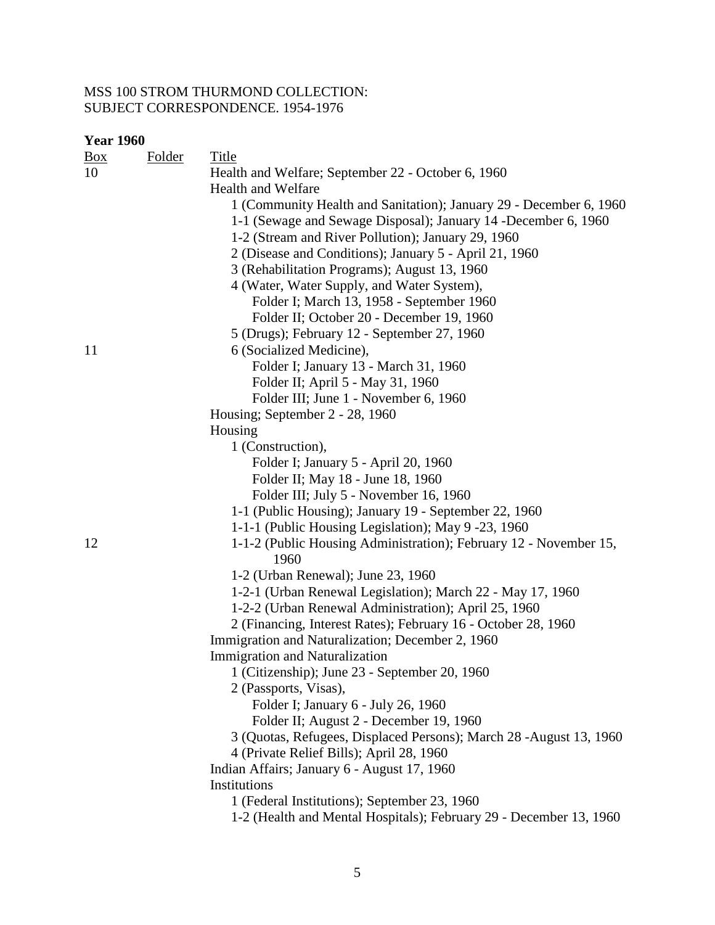### **Year 1960**

| <u>Box</u><br><b>Folder</b> | <b>Title</b>                                                       |
|-----------------------------|--------------------------------------------------------------------|
| 10                          | Health and Welfare; September 22 - October 6, 1960                 |
|                             | <b>Health and Welfare</b>                                          |
|                             | 1 (Community Health and Sanitation); January 29 - December 6, 1960 |
|                             | 1-1 (Sewage and Sewage Disposal); January 14 - December 6, 1960    |
|                             | 1-2 (Stream and River Pollution); January 29, 1960                 |
|                             | 2 (Disease and Conditions); January 5 - April 21, 1960             |
|                             | 3 (Rehabilitation Programs); August 13, 1960                       |
|                             | 4 (Water, Water Supply, and Water System),                         |
|                             | Folder I; March 13, 1958 - September 1960                          |
|                             | Folder II; October 20 - December 19, 1960                          |
|                             | 5 (Drugs); February 12 - September 27, 1960                        |
| 11                          | 6 (Socialized Medicine),                                           |
|                             | Folder I; January 13 - March 31, 1960                              |
|                             | Folder II; April 5 - May 31, 1960                                  |
|                             | Folder III; June 1 - November 6, 1960                              |
|                             | Housing; September 2 - 28, 1960                                    |
|                             | Housing                                                            |
|                             | 1 (Construction),                                                  |
|                             | Folder I; January 5 - April 20, 1960                               |
|                             | Folder II; May 18 - June 18, 1960                                  |
|                             | Folder III; July 5 - November 16, 1960                             |
|                             | 1-1 (Public Housing); January 19 - September 22, 1960              |
|                             | 1-1-1 (Public Housing Legislation); May 9 -23, 1960                |
| 12                          | 1-1-2 (Public Housing Administration); February 12 - November 15,  |
|                             | 1960                                                               |
|                             | 1-2 (Urban Renewal); June 23, 1960                                 |
|                             | 1-2-1 (Urban Renewal Legislation); March 22 - May 17, 1960         |
|                             | 1-2-2 (Urban Renewal Administration); April 25, 1960               |
|                             | 2 (Financing, Interest Rates); February 16 - October 28, 1960      |
|                             | Immigration and Naturalization; December 2, 1960                   |
|                             | Immigration and Naturalization                                     |
|                             | 1 (Citizenship); June 23 - September 20, 1960                      |
|                             | 2 (Passports, Visas),                                              |
|                             | Folder I; January 6 - July 26, 1960                                |
|                             | Folder II; August 2 - December 19, 1960                            |
|                             | 3 (Quotas, Refugees, Displaced Persons); March 28 -August 13, 1960 |
|                             | 4 (Private Relief Bills); April 28, 1960                           |
|                             | Indian Affairs; January 6 - August 17, 1960                        |
|                             | Institutions                                                       |
|                             | 1 (Federal Institutions); September 23, 1960                       |
|                             | 1-2 (Health and Mental Hospitals); February 29 - December 13, 1960 |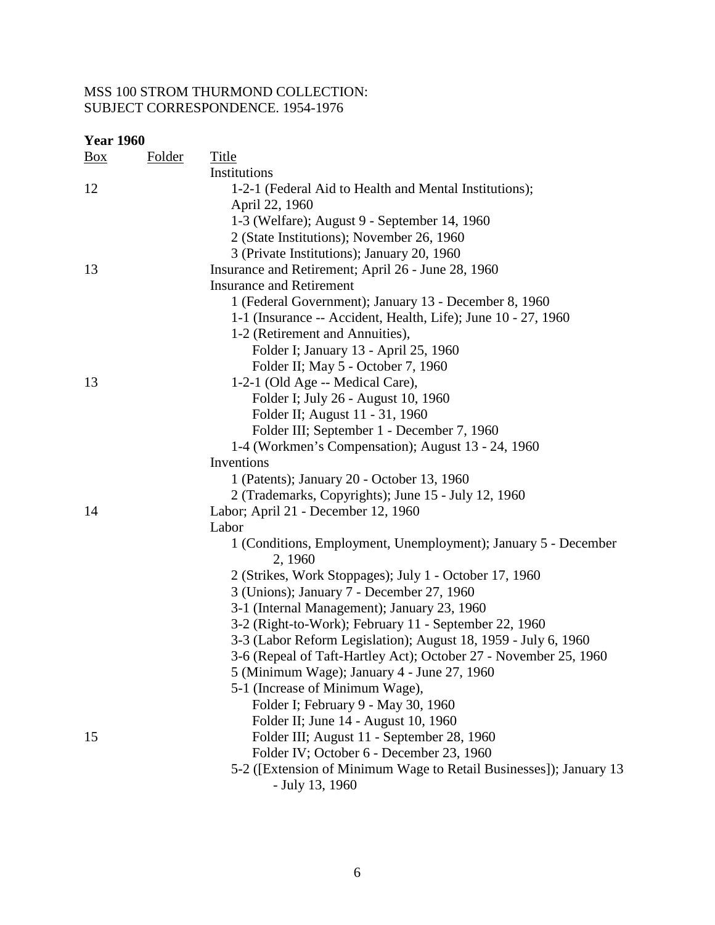| <b>Year 1960</b> |               |                                                                    |  |  |  |
|------------------|---------------|--------------------------------------------------------------------|--|--|--|
| $\frac{Box}{}$   | <b>Folder</b> | <b>Title</b>                                                       |  |  |  |
|                  |               | Institutions                                                       |  |  |  |
| 12               |               | 1-2-1 (Federal Aid to Health and Mental Institutions);             |  |  |  |
|                  |               | April 22, 1960                                                     |  |  |  |
|                  |               | 1-3 (Welfare); August 9 - September 14, 1960                       |  |  |  |
|                  |               | 2 (State Institutions); November 26, 1960                          |  |  |  |
|                  |               | 3 (Private Institutions); January 20, 1960                         |  |  |  |
| 13               |               | Insurance and Retirement; April 26 - June 28, 1960                 |  |  |  |
|                  |               | <b>Insurance and Retirement</b>                                    |  |  |  |
|                  |               | 1 (Federal Government); January 13 - December 8, 1960              |  |  |  |
|                  |               | 1-1 (Insurance -- Accident, Health, Life); June 10 - 27, 1960      |  |  |  |
|                  |               | 1-2 (Retirement and Annuities),                                    |  |  |  |
|                  |               | Folder I; January 13 - April 25, 1960                              |  |  |  |
|                  |               | Folder II; May 5 - October 7, 1960                                 |  |  |  |
| 13               |               | 1-2-1 (Old Age -- Medical Care),                                   |  |  |  |
|                  |               | Folder I; July 26 - August 10, 1960                                |  |  |  |
|                  |               | Folder II; August 11 - 31, 1960                                    |  |  |  |
|                  |               | Folder III; September 1 - December 7, 1960                         |  |  |  |
|                  |               | 1-4 (Workmen's Compensation); August 13 - 24, 1960                 |  |  |  |
|                  |               | Inventions                                                         |  |  |  |
|                  |               | 1 (Patents); January 20 - October 13, 1960                         |  |  |  |
|                  |               | 2 (Trademarks, Copyrights); June 15 - July 12, 1960                |  |  |  |
| 14               |               | Labor; April 21 - December 12, 1960                                |  |  |  |
|                  |               | Labor                                                              |  |  |  |
|                  |               | 1 (Conditions, Employment, Unemployment); January 5 - December     |  |  |  |
|                  |               | 2, 1960                                                            |  |  |  |
|                  |               | 2 (Strikes, Work Stoppages); July 1 - October 17, 1960             |  |  |  |
|                  |               | 3 (Unions); January 7 - December 27, 1960                          |  |  |  |
|                  |               | 3-1 (Internal Management); January 23, 1960                        |  |  |  |
|                  |               | 3-2 (Right-to-Work); February 11 - September 22, 1960              |  |  |  |
|                  |               | 3-3 (Labor Reform Legislation); August 18, 1959 - July 6, 1960     |  |  |  |
|                  |               | 3-6 (Repeal of Taft-Hartley Act); October 27 - November 25, 1960   |  |  |  |
|                  |               | 5 (Minimum Wage); January 4 - June 27, 1960                        |  |  |  |
|                  |               | 5-1 (Increase of Minimum Wage),                                    |  |  |  |
|                  |               | Folder I; February 9 - May 30, 1960                                |  |  |  |
|                  |               | Folder II; June 14 - August 10, 1960                               |  |  |  |
| 15               |               | Folder III; August 11 - September 28, 1960                         |  |  |  |
|                  |               | Folder IV; October 6 - December 23, 1960                           |  |  |  |
|                  |               | 5-2 ([Extension of Minimum Wage to Retail Businesses]); January 13 |  |  |  |
|                  |               | - July 13, 1960                                                    |  |  |  |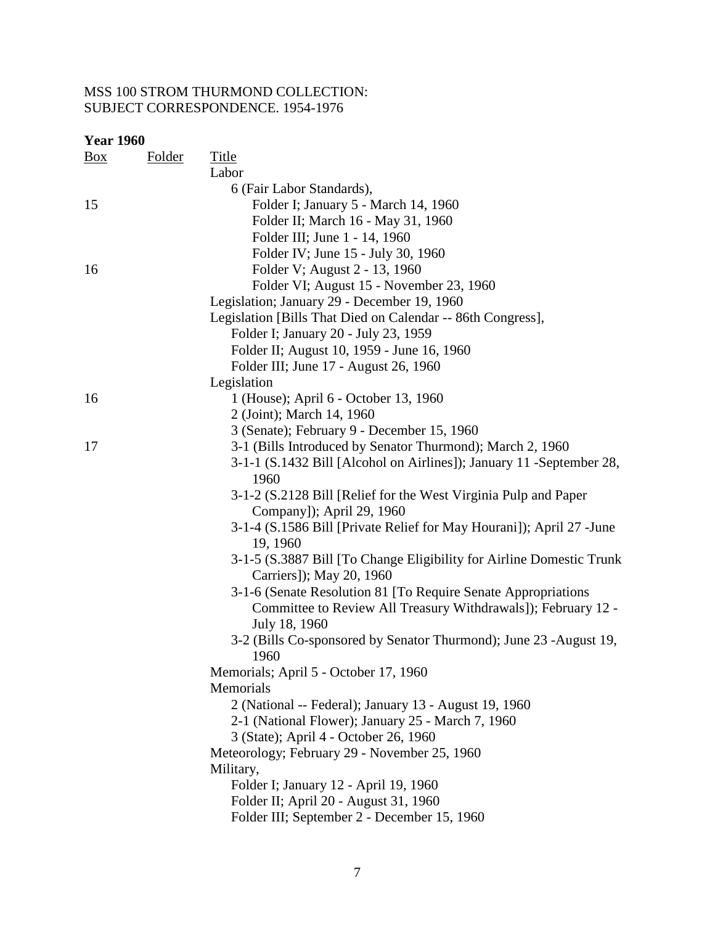| <b>Year 1960</b> |               |                                                                                   |
|------------------|---------------|-----------------------------------------------------------------------------------|
| <u>Box</u>       | <b>Folder</b> | <b>Title</b>                                                                      |
|                  |               | Labor                                                                             |
|                  |               | 6 (Fair Labor Standards),                                                         |
| 15               |               | Folder I; January 5 - March 14, 1960                                              |
|                  |               | Folder II; March 16 - May 31, 1960                                                |
|                  |               | Folder III; June 1 - 14, 1960                                                     |
|                  |               | Folder IV; June 15 - July 30, 1960                                                |
| 16               |               | Folder V; August 2 - 13, 1960                                                     |
|                  |               | Folder VI; August 15 - November 23, 1960                                          |
|                  |               | Legislation; January 29 - December 19, 1960                                       |
|                  |               | Legislation [Bills That Died on Calendar -- 86th Congress],                       |
|                  |               | Folder I; January 20 - July 23, 1959                                              |
|                  |               | Folder II; August 10, 1959 - June 16, 1960                                        |
|                  |               | Folder III; June 17 - August 26, 1960                                             |
|                  |               | Legislation                                                                       |
| 16               |               | 1 (House); April 6 - October 13, 1960                                             |
|                  |               | 2 (Joint); March 14, 1960                                                         |
|                  |               | 3 (Senate); February 9 - December 15, 1960                                        |
| 17               |               | 3-1 (Bills Introduced by Senator Thurmond); March 2, 1960                         |
|                  |               | 3-1-1 (S.1432 Bill [Alcohol on Airlines]); January 11 - September 28,<br>1960     |
|                  |               | 3-1-2 (S.2128 Bill [Relief for the West Virginia Pulp and Paper                   |
|                  |               | Company]); April 29, 1960                                                         |
|                  |               | 3-1-4 (S.1586 Bill [Private Relief for May Hourani]); April 27 - June<br>19, 1960 |
|                  |               | 3-1-5 (S.3887 Bill [To Change Eligibility for Airline Domestic Trunk              |
|                  |               | Carriers]); May 20, 1960                                                          |
|                  |               | 3-1-6 (Senate Resolution 81 [To Require Senate Appropriations                     |
|                  |               | Committee to Review All Treasury Withdrawals]); February 12 -                     |
|                  |               | July 18, 1960                                                                     |
|                  |               | 3-2 (Bills Co-sponsored by Senator Thurmond); June 23 -August 19,<br>1960         |
|                  |               | Memorials; April 5 - October 17, 1960                                             |
|                  |               | Memorials                                                                         |
|                  |               | 2 (National -- Federal); January 13 - August 19, 1960                             |
|                  |               | 2-1 (National Flower); January 25 - March 7, 1960                                 |
|                  |               | 3 (State); April 4 - October 26, 1960                                             |
|                  |               | Meteorology; February 29 - November 25, 1960                                      |
|                  |               | Military,                                                                         |
|                  |               | Folder I; January 12 - April 19, 1960                                             |
|                  |               | Folder II; April 20 - August 31, 1960                                             |
|                  |               | Folder III; September 2 - December 15, 1960                                       |
|                  |               |                                                                                   |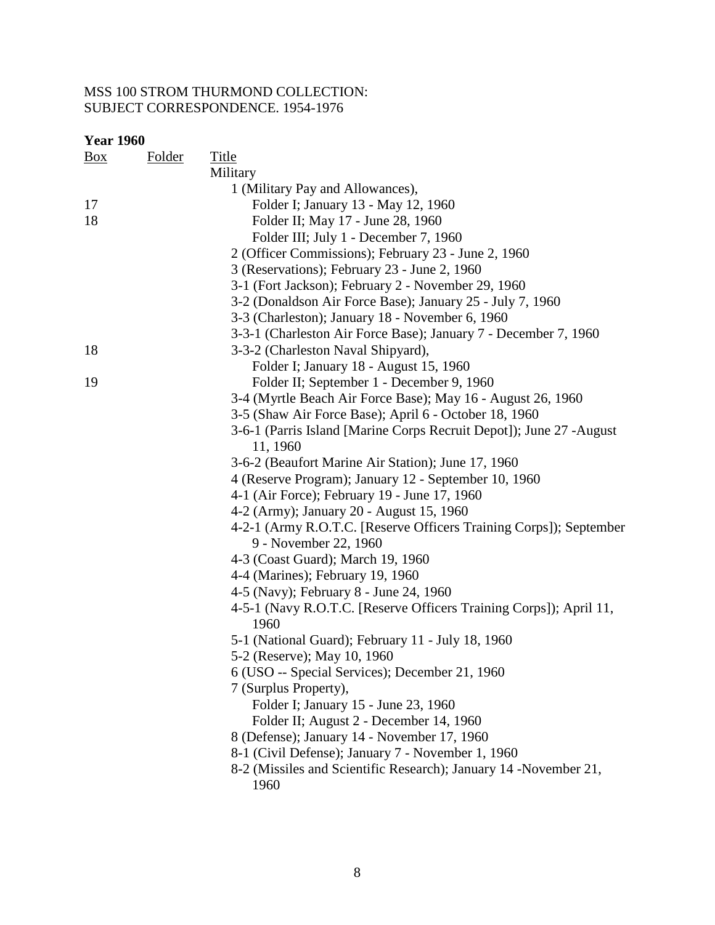| <b>Year 1960</b> |               |                                                                                             |
|------------------|---------------|---------------------------------------------------------------------------------------------|
| $\frac{Box}{}$   | <b>Folder</b> | <b>Title</b>                                                                                |
|                  |               | Military                                                                                    |
|                  |               | 1 (Military Pay and Allowances),                                                            |
| 17               |               | Folder I; January 13 - May 12, 1960                                                         |
| 18               |               | Folder II; May 17 - June 28, 1960                                                           |
|                  |               | Folder III; July 1 - December 7, 1960                                                       |
|                  |               | 2 (Officer Commissions); February 23 - June 2, 1960                                         |
|                  |               | 3 (Reservations); February 23 - June 2, 1960                                                |
|                  |               | 3-1 (Fort Jackson); February 2 - November 29, 1960                                          |
|                  |               | 3-2 (Donaldson Air Force Base); January 25 - July 7, 1960                                   |
|                  |               | 3-3 (Charleston); January 18 - November 6, 1960                                             |
|                  |               | 3-3-1 (Charleston Air Force Base); January 7 - December 7, 1960                             |
| 18               |               | 3-3-2 (Charleston Naval Shipyard),                                                          |
|                  |               | Folder I; January 18 - August 15, 1960                                                      |
| 19               |               | Folder II; September 1 - December 9, 1960                                                   |
|                  |               | 3-4 (Myrtle Beach Air Force Base); May 16 - August 26, 1960                                 |
|                  |               | 3-5 (Shaw Air Force Base); April 6 - October 18, 1960                                       |
|                  |               | 3-6-1 (Parris Island [Marine Corps Recruit Depot]); June 27 -August<br>11, 1960             |
|                  |               | 3-6-2 (Beaufort Marine Air Station); June 17, 1960                                          |
|                  |               | 4 (Reserve Program); January 12 - September 10, 1960                                        |
|                  |               | 4-1 (Air Force); February 19 - June 17, 1960                                                |
|                  |               | 4-2 (Army); January 20 - August 15, 1960                                                    |
|                  |               | 4-2-1 (Army R.O.T.C. [Reserve Officers Training Corps]); September<br>9 - November 22, 1960 |
|                  |               | 4-3 (Coast Guard); March 19, 1960                                                           |
|                  |               | 4-4 (Marines); February 19, 1960                                                            |
|                  |               | 4-5 (Navy); February 8 - June 24, 1960                                                      |
|                  |               | 4-5-1 (Navy R.O.T.C. [Reserve Officers Training Corps]); April 11,<br>1960                  |
|                  |               | 5-1 (National Guard); February 11 - July 18, 1960                                           |
|                  |               | 5-2 (Reserve); May 10, 1960                                                                 |
|                  |               | 6 (USO -- Special Services); December 21, 1960                                              |
|                  |               | 7 (Surplus Property),                                                                       |
|                  |               | Folder I; January 15 - June 23, 1960                                                        |
|                  |               | Folder II; August 2 - December 14, 1960                                                     |
|                  |               | 8 (Defense); January 14 - November 17, 1960                                                 |
|                  |               | 8-1 (Civil Defense); January 7 - November 1, 1960                                           |
|                  |               | 8-2 (Missiles and Scientific Research); January 14 -November 21,<br>1960                    |
|                  |               |                                                                                             |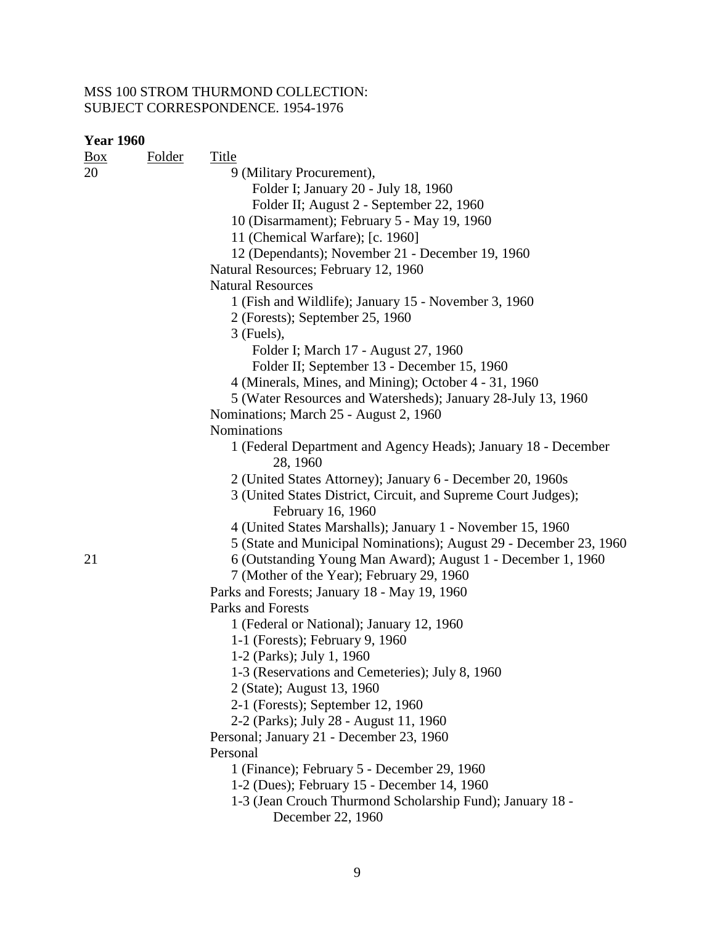| <b>Year 1960</b> |        |                                                                    |
|------------------|--------|--------------------------------------------------------------------|
| $\frac{Box}{}$   | Folder | <b>Title</b>                                                       |
| 20               |        | 9 (Military Procurement),                                          |
|                  |        | Folder I; January 20 - July 18, 1960                               |
|                  |        | Folder II; August 2 - September 22, 1960                           |
|                  |        | 10 (Disarmament); February 5 - May 19, 1960                        |
|                  |        | 11 (Chemical Warfare); [c. 1960]                                   |
|                  |        | 12 (Dependants); November 21 - December 19, 1960                   |
|                  |        | Natural Resources; February 12, 1960                               |
|                  |        | <b>Natural Resources</b>                                           |
|                  |        | 1 (Fish and Wildlife); January 15 - November 3, 1960               |
|                  |        | 2 (Forests); September 25, 1960                                    |
|                  |        | $3$ (Fuels),                                                       |
|                  |        | Folder I; March 17 - August 27, 1960                               |
|                  |        | Folder II; September 13 - December 15, 1960                        |
|                  |        | 4 (Minerals, Mines, and Mining); October 4 - 31, 1960              |
|                  |        | 5 (Water Resources and Watersheds); January 28-July 13, 1960       |
|                  |        | Nominations; March 25 - August 2, 1960                             |
|                  |        | Nominations                                                        |
|                  |        | 1 (Federal Department and Agency Heads); January 18 - December     |
|                  |        | 28, 1960                                                           |
|                  |        | 2 (United States Attorney); January 6 - December 20, 1960s         |
|                  |        | 3 (United States District, Circuit, and Supreme Court Judges);     |
|                  |        | February 16, 1960                                                  |
|                  |        | 4 (United States Marshalls); January 1 - November 15, 1960         |
|                  |        | 5 (State and Municipal Nominations); August 29 - December 23, 1960 |
| 21               |        | 6 (Outstanding Young Man Award); August 1 - December 1, 1960       |
|                  |        | 7 (Mother of the Year); February 29, 1960                          |
|                  |        | Parks and Forests; January 18 - May 19, 1960                       |
|                  |        | Parks and Forests                                                  |
|                  |        | 1 (Federal or National); January 12, 1960                          |
|                  |        | 1-1 (Forests); February 9, 1960                                    |
|                  |        | 1-2 (Parks); July 1, 1960                                          |
|                  |        | 1-3 (Reservations and Cemeteries); July 8, 1960                    |
|                  |        | 2 (State); August 13, 1960                                         |
|                  |        | 2-1 (Forests); September 12, 1960                                  |
|                  |        | 2-2 (Parks); July 28 - August 11, 1960                             |
|                  |        | Personal; January 21 - December 23, 1960                           |
|                  |        | Personal                                                           |
|                  |        | 1 (Finance); February 5 - December 29, 1960                        |
|                  |        | 1-2 (Dues); February 15 - December 14, 1960                        |
|                  |        | 1-3 (Jean Crouch Thurmond Scholarship Fund); January 18 -          |
|                  |        | December 22, 1960                                                  |
|                  |        |                                                                    |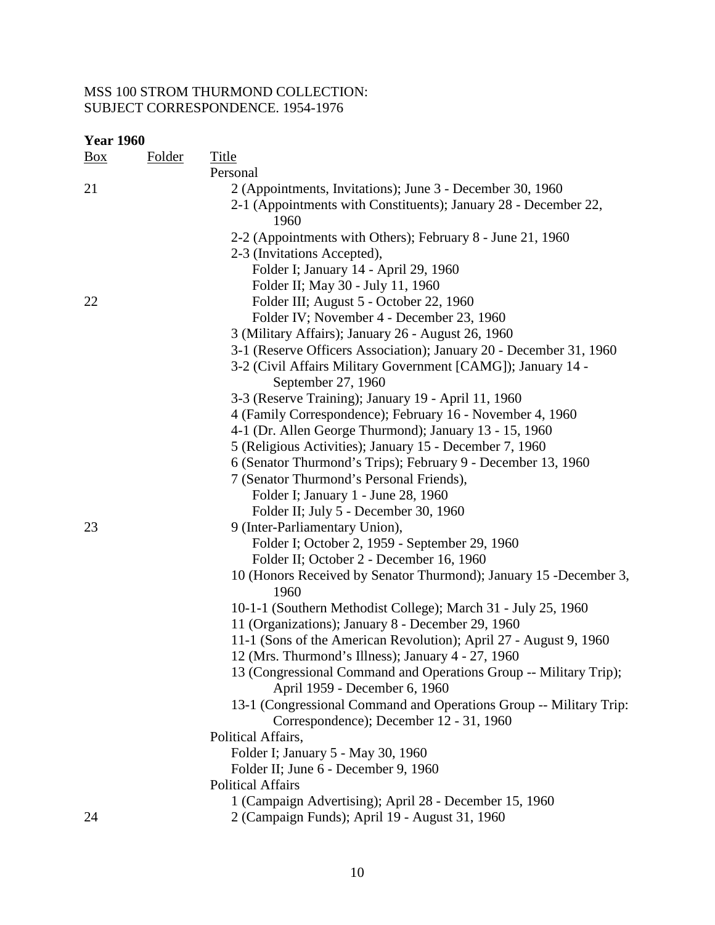| <b>Year 1960</b> |        |                                                                                                                  |
|------------------|--------|------------------------------------------------------------------------------------------------------------------|
| <u>Box</u>       | Folder | <b>Title</b>                                                                                                     |
|                  |        | Personal                                                                                                         |
| 21               |        | 2 (Appointments, Invitations); June 3 - December 30, 1960                                                        |
|                  |        | 2-1 (Appointments with Constituents); January 28 - December 22,                                                  |
|                  |        | 1960                                                                                                             |
|                  |        | 2-2 (Appointments with Others); February 8 - June 21, 1960                                                       |
|                  |        | 2-3 (Invitations Accepted),                                                                                      |
|                  |        | Folder I; January 14 - April 29, 1960                                                                            |
|                  |        | Folder II; May 30 - July 11, 1960                                                                                |
| 22               |        | Folder III; August 5 - October 22, 1960                                                                          |
|                  |        | Folder IV; November 4 - December 23, 1960                                                                        |
|                  |        | 3 (Military Affairs); January 26 - August 26, 1960                                                               |
|                  |        | 3-1 (Reserve Officers Association); January 20 - December 31, 1960                                               |
|                  |        | 3-2 (Civil Affairs Military Government [CAMG]); January 14 -                                                     |
|                  |        | September 27, 1960                                                                                               |
|                  |        | 3-3 (Reserve Training); January 19 - April 11, 1960<br>4 (Family Correspondence); February 16 - November 4, 1960 |
|                  |        | 4-1 (Dr. Allen George Thurmond); January 13 - 15, 1960                                                           |
|                  |        | 5 (Religious Activities); January 15 - December 7, 1960                                                          |
|                  |        | 6 (Senator Thurmond's Trips); February 9 - December 13, 1960                                                     |
|                  |        | 7 (Senator Thurmond's Personal Friends),                                                                         |
|                  |        | Folder I; January 1 - June 28, 1960                                                                              |
|                  |        | Folder II; July 5 - December 30, 1960                                                                            |
| 23               |        | 9 (Inter-Parliamentary Union),                                                                                   |
|                  |        | Folder I; October 2, 1959 - September 29, 1960                                                                   |
|                  |        | Folder II; October 2 - December 16, 1960                                                                         |
|                  |        | 10 (Honors Received by Senator Thurmond); January 15 -December 3,                                                |
|                  |        | 1960                                                                                                             |
|                  |        | 10-1-1 (Southern Methodist College); March 31 - July 25, 1960                                                    |
|                  |        | 11 (Organizations); January 8 - December 29, 1960                                                                |
|                  |        | 11-1 (Sons of the American Revolution); April 27 - August 9, 1960                                                |
|                  |        | 12 (Mrs. Thurmond's Illness); January 4 - 27, 1960                                                               |
|                  |        | 13 (Congressional Command and Operations Group -- Military Trip);                                                |
|                  |        | April 1959 - December 6, 1960                                                                                    |
|                  |        | 13-1 (Congressional Command and Operations Group -- Military Trip:                                               |
|                  |        | Correspondence); December 12 - 31, 1960                                                                          |
|                  |        | Political Affairs,<br>Folder I; January 5 - May 30, 1960                                                         |
|                  |        | Folder II; June 6 - December 9, 1960                                                                             |
|                  |        | <b>Political Affairs</b>                                                                                         |
|                  |        | 1 (Campaign Advertising); April 28 - December 15, 1960                                                           |
| 24               |        | 2 (Campaign Funds); April 19 - August 31, 1960                                                                   |
|                  |        |                                                                                                                  |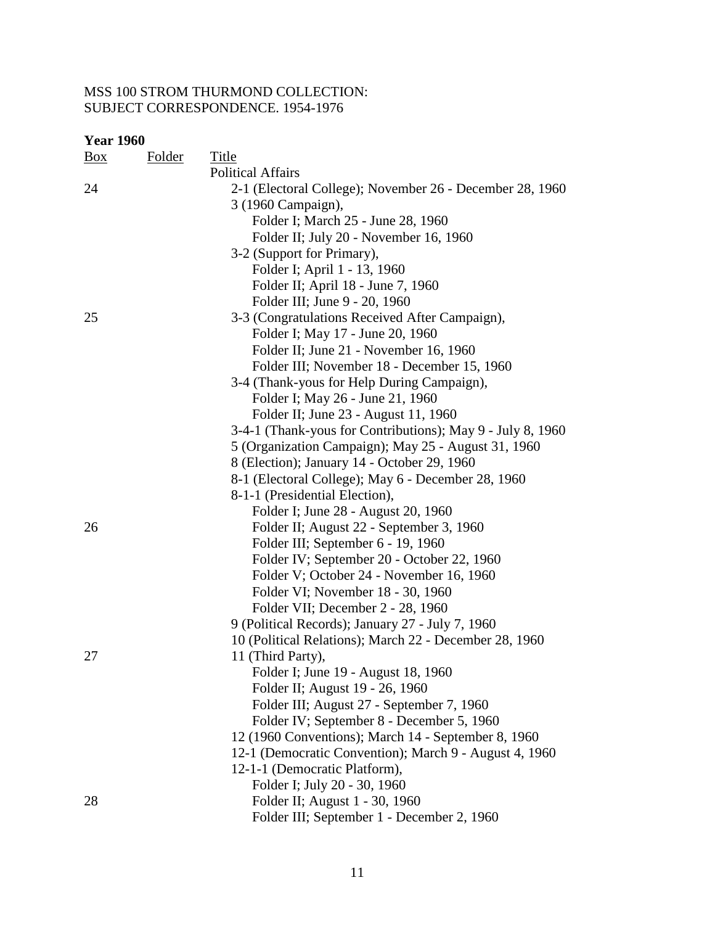| <b>Year 1960</b> |        |                                                            |  |  |  |
|------------------|--------|------------------------------------------------------------|--|--|--|
| Box              | Folder | <b>Title</b>                                               |  |  |  |
|                  |        | <b>Political Affairs</b>                                   |  |  |  |
| 24               |        | 2-1 (Electoral College); November 26 - December 28, 1960   |  |  |  |
|                  |        | 3 (1960 Campaign),                                         |  |  |  |
|                  |        | Folder I; March 25 - June 28, 1960                         |  |  |  |
|                  |        | Folder II; July 20 - November 16, 1960                     |  |  |  |
|                  |        | 3-2 (Support for Primary),                                 |  |  |  |
|                  |        | Folder I; April 1 - 13, 1960                               |  |  |  |
|                  |        | Folder II; April 18 - June 7, 1960                         |  |  |  |
|                  |        | Folder III; June 9 - 20, 1960                              |  |  |  |
| 25               |        | 3-3 (Congratulations Received After Campaign),             |  |  |  |
|                  |        | Folder I; May 17 - June 20, 1960                           |  |  |  |
|                  |        | Folder II; June 21 - November 16, 1960                     |  |  |  |
|                  |        | Folder III; November 18 - December 15, 1960                |  |  |  |
|                  |        | 3-4 (Thank-yous for Help During Campaign),                 |  |  |  |
|                  |        | Folder I; May 26 - June 21, 1960                           |  |  |  |
|                  |        | Folder II; June 23 - August 11, 1960                       |  |  |  |
|                  |        | 3-4-1 (Thank-yous for Contributions); May 9 - July 8, 1960 |  |  |  |
|                  |        | 5 (Organization Campaign); May 25 - August 31, 1960        |  |  |  |
|                  |        | 8 (Election); January 14 - October 29, 1960                |  |  |  |
|                  |        | 8-1 (Electoral College); May 6 - December 28, 1960         |  |  |  |
|                  |        | 8-1-1 (Presidential Election),                             |  |  |  |
|                  |        | Folder I; June 28 - August 20, 1960                        |  |  |  |
| 26               |        | Folder II; August 22 - September 3, 1960                   |  |  |  |
|                  |        | Folder III; September 6 - 19, 1960                         |  |  |  |
|                  |        | Folder IV; September 20 - October 22, 1960                 |  |  |  |
|                  |        | Folder V; October 24 - November 16, 1960                   |  |  |  |
|                  |        | Folder VI; November 18 - 30, 1960                          |  |  |  |
|                  |        | Folder VII; December 2 - 28, 1960                          |  |  |  |
|                  |        | 9 (Political Records); January 27 - July 7, 1960           |  |  |  |
|                  |        | 10 (Political Relations); March 22 - December 28, 1960     |  |  |  |
| 27               |        | 11 (Third Party),                                          |  |  |  |
|                  |        | Folder I; June 19 - August 18, 1960                        |  |  |  |
|                  |        | Folder II; August 19 - 26, 1960                            |  |  |  |
|                  |        | Folder III; August 27 - September 7, 1960                  |  |  |  |
|                  |        | Folder IV; September 8 - December 5, 1960                  |  |  |  |
|                  |        | 12 (1960 Conventions); March 14 - September 8, 1960        |  |  |  |
|                  |        | 12-1 (Democratic Convention); March 9 - August 4, 1960     |  |  |  |
|                  |        | 12-1-1 (Democratic Platform),                              |  |  |  |
|                  |        | Folder I; July 20 - 30, 1960                               |  |  |  |
| 28               |        | Folder II; August 1 - 30, 1960                             |  |  |  |
|                  |        | Folder III; September 1 - December 2, 1960                 |  |  |  |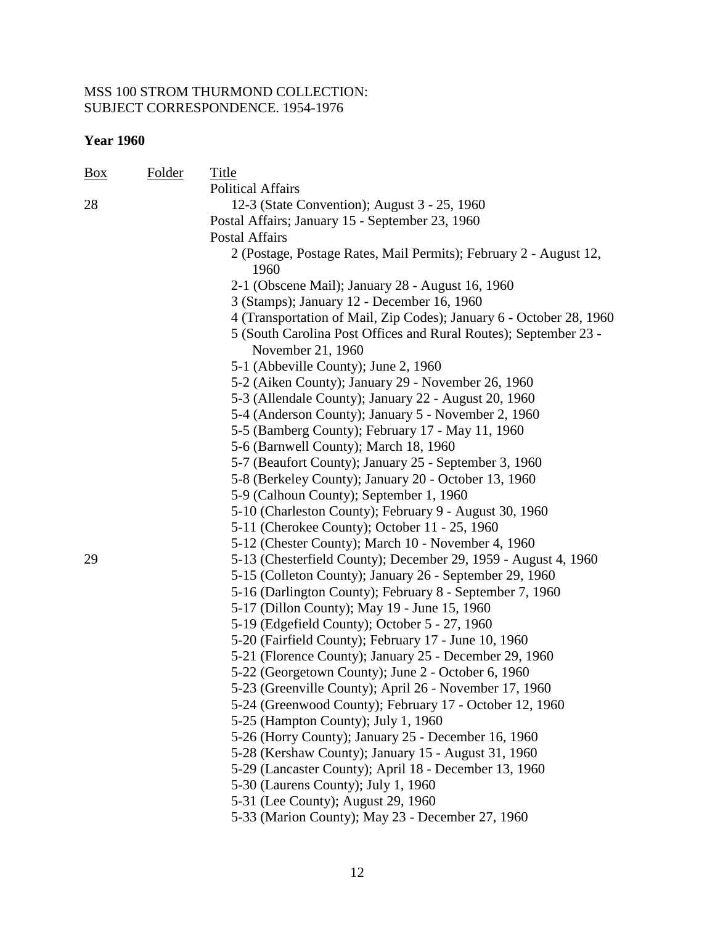| Folder | Title                                                                                 |
|--------|---------------------------------------------------------------------------------------|
|        | <b>Political Affairs</b>                                                              |
|        | 12-3 (State Convention); August 3 - 25, 1960                                          |
|        | Postal Affairs; January 15 - September 23, 1960                                       |
|        | <b>Postal Affairs</b>                                                                 |
|        | 2 (Postage, Postage Rates, Mail Permits); February 2 - August 12,<br>1960             |
|        | 2-1 (Obscene Mail); January 28 - August 16, 1960                                      |
|        | 3 (Stamps); January 12 - December 16, 1960                                            |
|        | 4 (Transportation of Mail, Zip Codes); January 6 - October 28, 1960                   |
|        | 5 (South Carolina Post Offices and Rural Routes); September 23 -<br>November 21, 1960 |
|        | 5-1 (Abbeville County); June 2, 1960                                                  |
|        | 5-2 (Aiken County); January 29 - November 26, 1960                                    |
|        | 5-3 (Allendale County); January 22 - August 20, 1960                                  |
|        | 5-4 (Anderson County); January 5 - November 2, 1960                                   |
|        | 5-5 (Bamberg County); February 17 - May 11, 1960                                      |
|        | 5-6 (Barnwell County); March 18, 1960                                                 |
|        | 5-7 (Beaufort County); January 25 - September 3, 1960                                 |
|        | 5-8 (Berkeley County); January 20 - October 13, 1960                                  |
|        | 5-9 (Calhoun County); September 1, 1960                                               |
|        | 5-10 (Charleston County); February 9 - August 30, 1960                                |
|        | 5-11 (Cherokee County); October 11 - 25, 1960                                         |
|        | 5-12 (Chester County); March 10 - November 4, 1960                                    |
|        | 5-13 (Chesterfield County); December 29, 1959 - August 4, 1960                        |
|        | 5-15 (Colleton County); January 26 - September 29, 1960                               |
|        | 5-16 (Darlington County); February 8 - September 7, 1960                              |
|        | 5-17 (Dillon County); May 19 - June 15, 1960                                          |
|        | 5-19 (Edgefield County); October 5 - 27, 1960                                         |
|        | 5-20 (Fairfield County); February 17 - June 10, 1960                                  |
|        | 5-21 (Florence County); January 25 - December 29, 1960                                |
|        | 5-22 (Georgetown County); June 2 - October 6, 1960                                    |
|        | 5-23 (Greenville County); April 26 - November 17, 1960                                |
|        | 5-24 (Greenwood County); February 17 - October 12, 1960                               |
|        | 5-25 (Hampton County); July 1, 1960                                                   |
|        | 5-26 (Horry County); January 25 - December 16, 1960                                   |
|        | 5-28 (Kershaw County); January 15 - August 31, 1960                                   |
|        | 5-29 (Lancaster County); April 18 - December 13, 1960                                 |
|        | 5-30 (Laurens County); July 1, 1960                                                   |
|        | 5-31 (Lee County); August 29, 1960                                                    |
|        | 5-33 (Marion County); May 23 - December 27, 1960                                      |
|        |                                                                                       |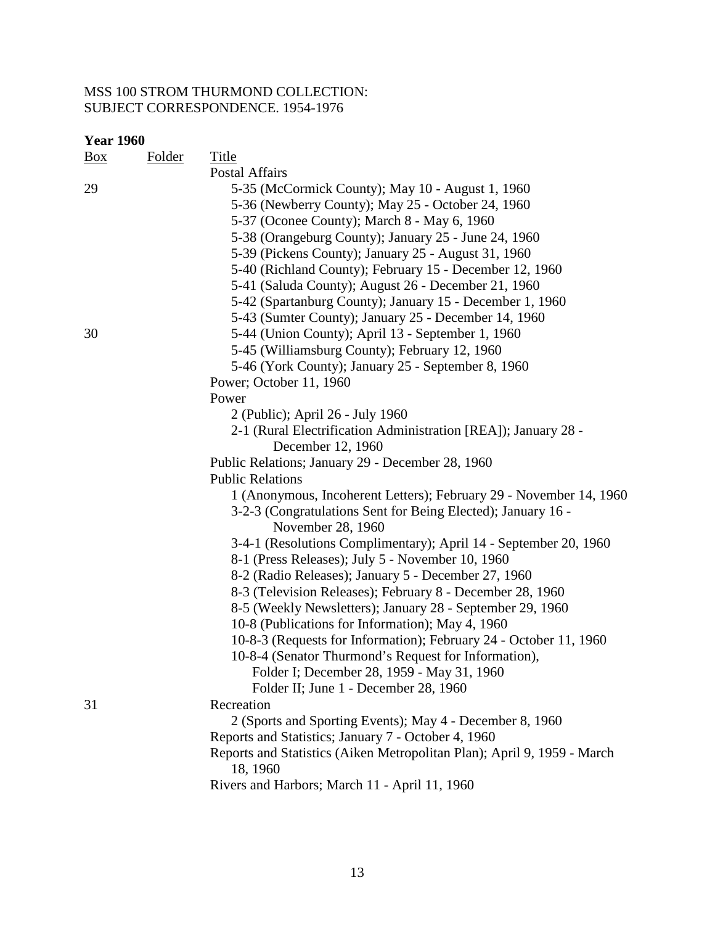| <b>Year 1960</b> |               |                                                                         |
|------------------|---------------|-------------------------------------------------------------------------|
| Box              | <b>Folder</b> | <b>Title</b>                                                            |
|                  |               | <b>Postal Affairs</b>                                                   |
| 29               |               | 5-35 (McCormick County); May 10 - August 1, 1960                        |
|                  |               | 5-36 (Newberry County); May 25 - October 24, 1960                       |
|                  |               | 5-37 (Oconee County); March 8 - May 6, 1960                             |
|                  |               | 5-38 (Orangeburg County); January 25 - June 24, 1960                    |
|                  |               | 5-39 (Pickens County); January 25 - August 31, 1960                     |
|                  |               | 5-40 (Richland County); February 15 - December 12, 1960                 |
|                  |               | 5-41 (Saluda County); August 26 - December 21, 1960                     |
|                  |               | 5-42 (Spartanburg County); January 15 - December 1, 1960                |
|                  |               | 5-43 (Sumter County); January 25 - December 14, 1960                    |
| 30               |               | 5-44 (Union County); April 13 - September 1, 1960                       |
|                  |               | 5-45 (Williamsburg County); February 12, 1960                           |
|                  |               | 5-46 (York County); January 25 - September 8, 1960                      |
|                  |               | Power; October 11, 1960                                                 |
|                  |               | Power                                                                   |
|                  |               | 2 (Public); April 26 - July 1960                                        |
|                  |               | 2-1 (Rural Electrification Administration [REA]); January 28 -          |
|                  |               | December 12, 1960                                                       |
|                  |               | Public Relations; January 29 - December 28, 1960                        |
|                  |               | <b>Public Relations</b>                                                 |
|                  |               | 1 (Anonymous, Incoherent Letters); February 29 - November 14, 1960      |
|                  |               | 3-2-3 (Congratulations Sent for Being Elected); January 16 -            |
|                  |               | November 28, 1960                                                       |
|                  |               | 3-4-1 (Resolutions Complimentary); April 14 - September 20, 1960        |
|                  |               | 8-1 (Press Releases); July 5 - November 10, 1960                        |
|                  |               | 8-2 (Radio Releases); January 5 - December 27, 1960                     |
|                  |               | 8-3 (Television Releases); February 8 - December 28, 1960               |
|                  |               | 8-5 (Weekly Newsletters); January 28 - September 29, 1960               |
|                  |               | 10-8 (Publications for Information); May 4, 1960                        |
|                  |               | 10-8-3 (Requests for Information); February 24 - October 11, 1960       |
|                  |               | 10-8-4 (Senator Thurmond's Request for Information),                    |
|                  |               | Folder I; December 28, 1959 - May 31, 1960                              |
|                  |               | Folder II; June 1 - December 28, 1960                                   |
| 31               |               | Recreation                                                              |
|                  |               | 2 (Sports and Sporting Events); May 4 - December 8, 1960                |
|                  |               | Reports and Statistics; January 7 - October 4, 1960                     |
|                  |               | Reports and Statistics (Aiken Metropolitan Plan); April 9, 1959 - March |
|                  |               | 18, 1960                                                                |
|                  |               | Rivers and Harbors; March 11 - April 11, 1960                           |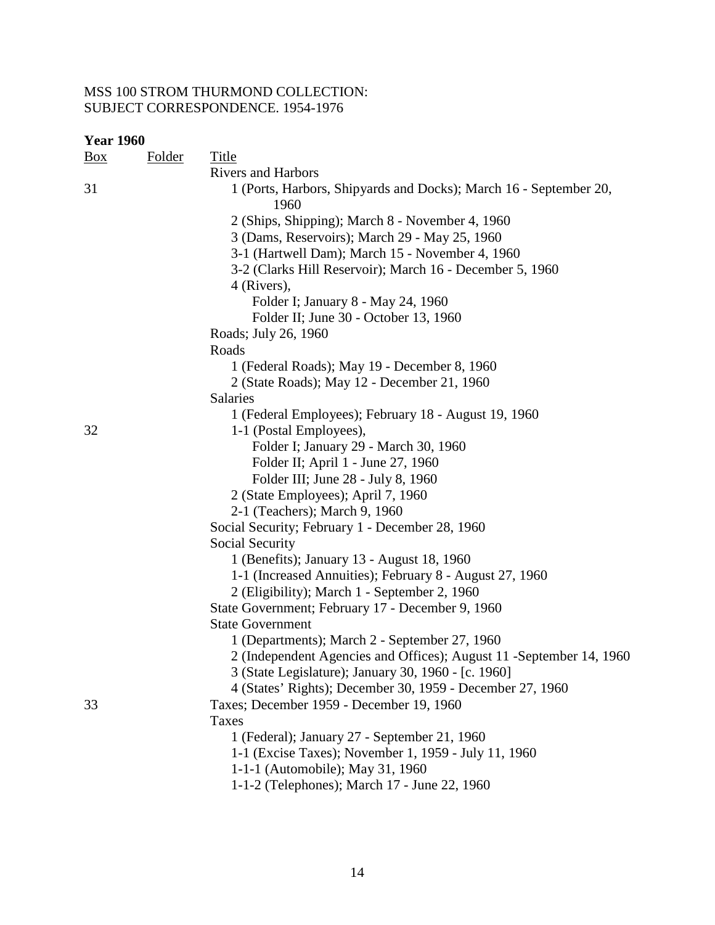| <b>Year 1960</b> |               |                                                                           |
|------------------|---------------|---------------------------------------------------------------------------|
| <u>Box</u>       | <b>Folder</b> | Title                                                                     |
|                  |               | <b>Rivers and Harbors</b>                                                 |
| 31               |               | 1 (Ports, Harbors, Shipyards and Docks); March 16 - September 20,<br>1960 |
|                  |               | 2 (Ships, Shipping); March 8 - November 4, 1960                           |
|                  |               | 3 (Dams, Reservoirs); March 29 - May 25, 1960                             |
|                  |               | 3-1 (Hartwell Dam); March 15 - November 4, 1960                           |
|                  |               | 3-2 (Clarks Hill Reservoir); March 16 - December 5, 1960                  |
|                  |               | 4 (Rivers),                                                               |
|                  |               | Folder I; January 8 - May 24, 1960                                        |
|                  |               | Folder II; June 30 - October 13, 1960                                     |
|                  |               | Roads; July 26, 1960                                                      |
|                  |               | Roads                                                                     |
|                  |               | 1 (Federal Roads); May 19 - December 8, 1960                              |
|                  |               | 2 (State Roads); May 12 - December 21, 1960                               |
|                  |               | <b>Salaries</b>                                                           |
|                  |               | 1 (Federal Employees); February 18 - August 19, 1960                      |
| 32               |               | 1-1 (Postal Employees),                                                   |
|                  |               | Folder I; January 29 - March 30, 1960                                     |
|                  |               | Folder II; April 1 - June 27, 1960                                        |
|                  |               | Folder III; June 28 - July 8, 1960                                        |
|                  |               | 2 (State Employees); April 7, 1960                                        |
|                  |               | 2-1 (Teachers); March 9, 1960                                             |
|                  |               | Social Security; February 1 - December 28, 1960                           |
|                  |               | Social Security                                                           |
|                  |               | 1 (Benefits); January 13 - August 18, 1960                                |
|                  |               | 1-1 (Increased Annuities); February 8 - August 27, 1960                   |
|                  |               | 2 (Eligibility); March 1 - September 2, 1960                              |
|                  |               | State Government; February 17 - December 9, 1960                          |
|                  |               | <b>State Government</b>                                                   |
|                  |               | 1 (Departments); March 2 - September 27, 1960                             |
|                  |               | 2 (Independent Agencies and Offices); August 11 - September 14, 1960      |
|                  |               | 3 (State Legislature); January 30, 1960 - [c. 1960]                       |
|                  |               | 4 (States' Rights); December 30, 1959 - December 27, 1960                 |
| 33               |               | Taxes; December 1959 - December 19, 1960                                  |
|                  |               | Taxes                                                                     |
|                  |               | 1 (Federal); January 27 - September 21, 1960                              |
|                  |               | 1-1 (Excise Taxes); November 1, 1959 - July 11, 1960                      |
|                  |               | 1-1-1 (Automobile); May 31, 1960                                          |
|                  |               | 1-1-2 (Telephones); March 17 - June 22, 1960                              |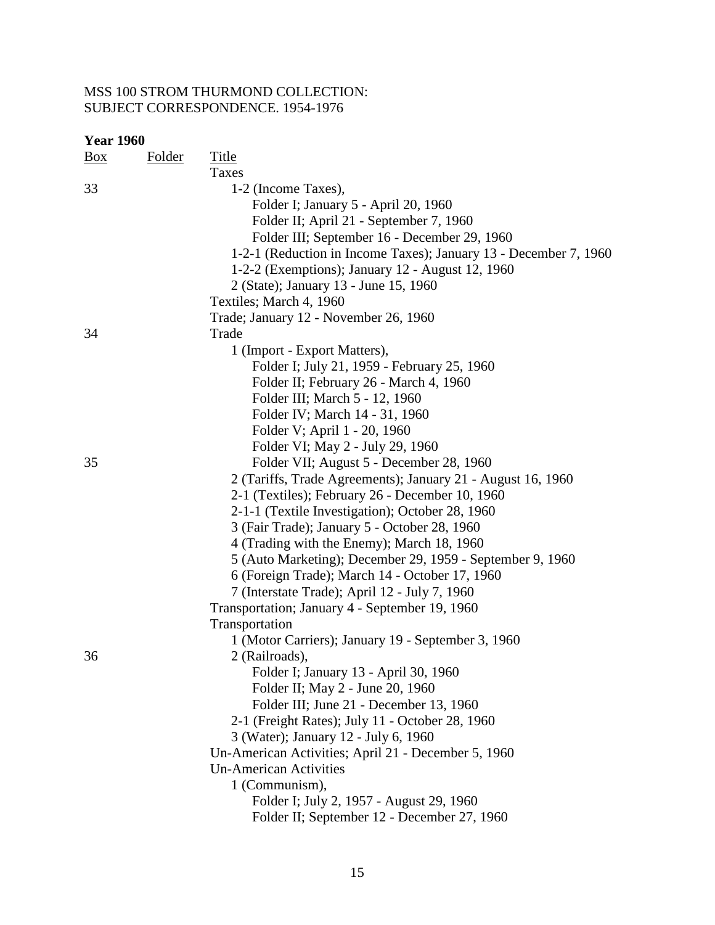| <b>Year 1960</b> |               |                                                                  |
|------------------|---------------|------------------------------------------------------------------|
| <u>Box</u>       | <b>Folder</b> | <b>Title</b>                                                     |
|                  |               | Taxes                                                            |
| 33               |               | 1-2 (Income Taxes),                                              |
|                  |               | Folder I; January 5 - April 20, 1960                             |
|                  |               | Folder II; April 21 - September 7, 1960                          |
|                  |               | Folder III; September 16 - December 29, 1960                     |
|                  |               | 1-2-1 (Reduction in Income Taxes); January 13 - December 7, 1960 |
|                  |               | 1-2-2 (Exemptions); January 12 - August 12, 1960                 |
|                  |               | 2 (State); January 13 - June 15, 1960                            |
|                  |               | Textiles; March 4, 1960                                          |
|                  |               | Trade; January 12 - November 26, 1960                            |
| 34               |               | Trade                                                            |
|                  |               | 1 (Import - Export Matters),                                     |
|                  |               | Folder I; July 21, 1959 - February 25, 1960                      |
|                  |               | Folder II; February 26 - March 4, 1960                           |
|                  |               | Folder III; March 5 - 12, 1960                                   |
|                  |               | Folder IV; March 14 - 31, 1960                                   |
|                  |               | Folder V; April 1 - 20, 1960                                     |
|                  |               | Folder VI; May 2 - July 29, 1960                                 |
| 35               |               | Folder VII; August 5 - December 28, 1960                         |
|                  |               | 2 (Tariffs, Trade Agreements); January 21 - August 16, 1960      |
|                  |               | 2-1 (Textiles); February 26 - December 10, 1960                  |
|                  |               | 2-1-1 (Textile Investigation); October 28, 1960                  |
|                  |               | 3 (Fair Trade); January 5 - October 28, 1960                     |
|                  |               | 4 (Trading with the Enemy); March 18, 1960                       |
|                  |               | 5 (Auto Marketing); December 29, 1959 - September 9, 1960        |
|                  |               | 6 (Foreign Trade); March 14 - October 17, 1960                   |
|                  |               | 7 (Interstate Trade); April 12 - July 7, 1960                    |
|                  |               | Transportation; January 4 - September 19, 1960                   |
|                  |               | Transportation                                                   |
|                  |               | 1 (Motor Carriers); January 19 - September 3, 1960               |
| 36               |               | 2 (Railroads),                                                   |
|                  |               | Folder I; January 13 - April 30, 1960                            |
|                  |               | Folder II; May 2 - June 20, 1960                                 |
|                  |               | Folder III; June 21 - December 13, 1960                          |
|                  |               | 2-1 (Freight Rates); July 11 - October 28, 1960                  |
|                  |               | 3 (Water); January 12 - July 6, 1960                             |
|                  |               | Un-American Activities; April 21 - December 5, 1960              |
|                  |               | <b>Un-American Activities</b>                                    |
|                  |               | 1 (Communism),                                                   |
|                  |               |                                                                  |
|                  |               | Folder I; July 2, 1957 - August 29, 1960                         |
|                  |               | Folder II; September 12 - December 27, 1960                      |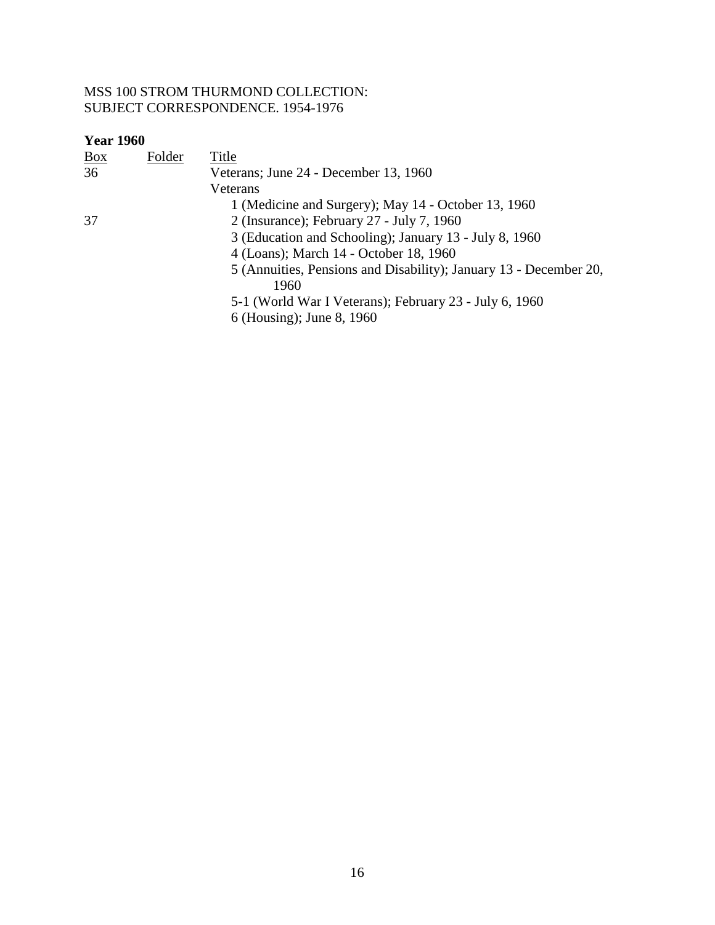| $\underline{Box}$ | Folder | Title                                                             |
|-------------------|--------|-------------------------------------------------------------------|
| 36                |        | Veterans; June 24 - December 13, 1960                             |
|                   |        | Veterans                                                          |
|                   |        | 1 (Medicine and Surgery); May 14 - October 13, 1960               |
| 37                |        | 2 (Insurance); February 27 - July 7, 1960                         |
|                   |        | 3 (Education and Schooling); January 13 - July 8, 1960            |
|                   |        | 4 (Loans); March 14 - October 18, 1960                            |
|                   |        | 5 (Annuities, Pensions and Disability); January 13 - December 20, |
|                   |        | 1960                                                              |
|                   |        | 5-1 (World War I Veterans); February 23 - July 6, 1960            |
|                   |        | 6 (Housing); June 8, 1960                                         |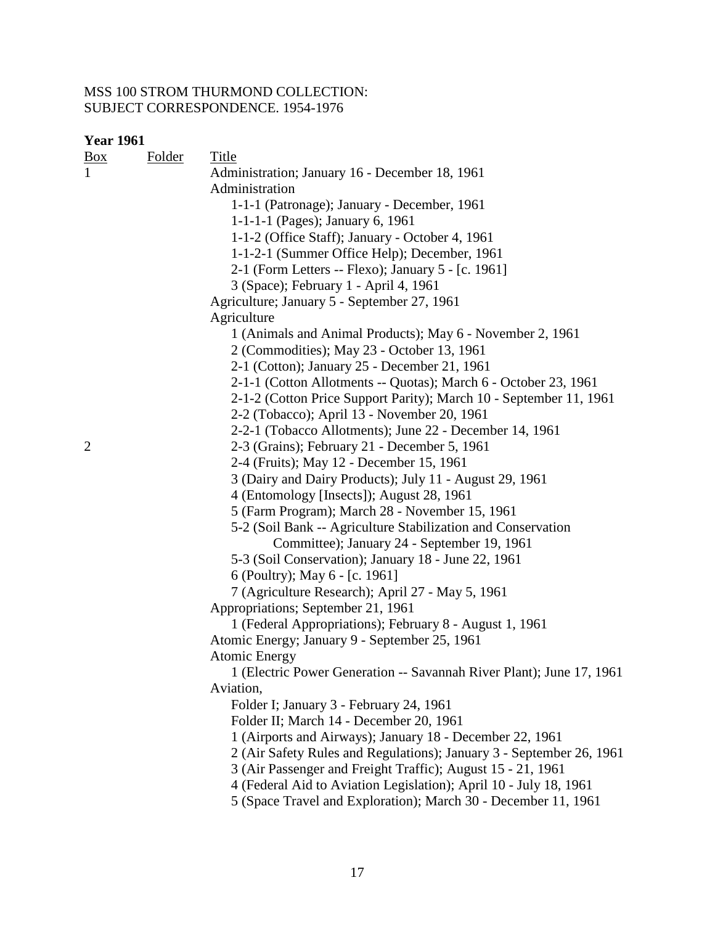| <b>Year 1961</b> |               |                                                                      |
|------------------|---------------|----------------------------------------------------------------------|
| <u>Box</u>       | <b>Folder</b> | <b>Title</b>                                                         |
| $\mathbf{1}$     |               | Administration; January 16 - December 18, 1961                       |
|                  |               | Administration                                                       |
|                  |               | 1-1-1 (Patronage); January - December, 1961                          |
|                  |               | 1-1-1-1 (Pages); January 6, 1961                                     |
|                  |               | 1-1-2 (Office Staff); January - October 4, 1961                      |
|                  |               | 1-1-2-1 (Summer Office Help); December, 1961                         |
|                  |               | 2-1 (Form Letters -- Flexo); January 5 - [c. 1961]                   |
|                  |               | 3 (Space); February 1 - April 4, 1961                                |
|                  |               | Agriculture; January 5 - September 27, 1961                          |
|                  |               | Agriculture                                                          |
|                  |               | 1 (Animals and Animal Products); May 6 - November 2, 1961            |
|                  |               | 2 (Commodities); May 23 - October 13, 1961                           |
|                  |               | 2-1 (Cotton); January 25 - December 21, 1961                         |
|                  |               | 2-1-1 (Cotton Allotments -- Quotas); March 6 - October 23, 1961      |
|                  |               | 2-1-2 (Cotton Price Support Parity); March 10 - September 11, 1961   |
|                  |               | 2-2 (Tobacco); April 13 - November 20, 1961                          |
|                  |               | 2-2-1 (Tobacco Allotments); June 22 - December 14, 1961              |
| $\overline{2}$   |               | 2-3 (Grains); February 21 - December 5, 1961                         |
|                  |               | 2-4 (Fruits); May 12 - December 15, 1961                             |
|                  |               | 3 (Dairy and Dairy Products); July 11 - August 29, 1961              |
|                  |               | 4 (Entomology [Insects]); August 28, 1961                            |
|                  |               | 5 (Farm Program); March 28 - November 15, 1961                       |
|                  |               | 5-2 (Soil Bank -- Agriculture Stabilization and Conservation         |
|                  |               | Committee); January 24 - September 19, 1961                          |
|                  |               | 5-3 (Soil Conservation); January 18 - June 22, 1961                  |
|                  |               | 6 (Poultry); May 6 - [c. 1961]                                       |
|                  |               | 7 (Agriculture Research); April 27 - May 5, 1961                     |
|                  |               | Appropriations; September 21, 1961                                   |
|                  |               | 1 (Federal Appropriations); February 8 - August 1, 1961              |
|                  |               | Atomic Energy; January 9 - September 25, 1961                        |
|                  |               | Atomic Energy                                                        |
|                  |               | 1 (Electric Power Generation -- Savannah River Plant); June 17, 1961 |
|                  |               | Aviation,                                                            |
|                  |               | Folder I; January 3 - February 24, 1961                              |
|                  |               | Folder II; March 14 - December 20, 1961                              |
|                  |               | 1 (Airports and Airways); January 18 - December 22, 1961             |
|                  |               | 2 (Air Safety Rules and Regulations); January 3 - September 26, 1961 |
|                  |               | 3 (Air Passenger and Freight Traffic); August 15 - 21, 1961          |
|                  |               | 4 (Federal Aid to Aviation Legislation); April 10 - July 18, 1961    |
|                  |               | 5 (Space Travel and Exploration); March 30 - December 11, 1961       |
|                  |               |                                                                      |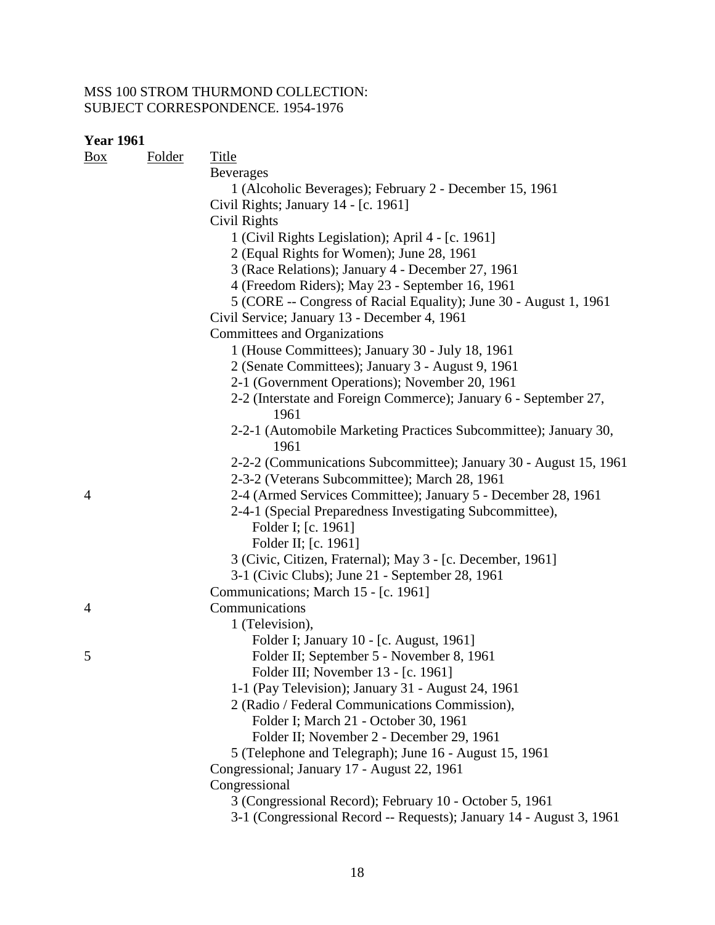| $\frac{Box}{}$ | <b>Folder</b> | <b>Title</b>                                                             |
|----------------|---------------|--------------------------------------------------------------------------|
|                |               | <b>Beverages</b>                                                         |
|                |               | 1 (Alcoholic Beverages); February 2 - December 15, 1961                  |
|                |               | Civil Rights; January 14 - [c. 1961]                                     |
|                |               | Civil Rights                                                             |
|                |               | 1 (Civil Rights Legislation); April 4 - [c. 1961]                        |
|                |               | 2 (Equal Rights for Women); June 28, 1961                                |
|                |               | 3 (Race Relations); January 4 - December 27, 1961                        |
|                |               | 4 (Freedom Riders); May 23 - September 16, 1961                          |
|                |               | 5 (CORE -- Congress of Racial Equality); June 30 - August 1, 1961        |
|                |               | Civil Service; January 13 - December 4, 1961                             |
|                |               | Committees and Organizations                                             |
|                |               | 1 (House Committees); January 30 - July 18, 1961                         |
|                |               | 2 (Senate Committees); January 3 - August 9, 1961                        |
|                |               | 2-1 (Government Operations); November 20, 1961                           |
|                |               | 2-2 (Interstate and Foreign Commerce); January 6 - September 27,<br>1961 |
|                |               | 2-2-1 (Automobile Marketing Practices Subcommittee); January 30,<br>1961 |
|                |               | 2-2-2 (Communications Subcommittee); January 30 - August 15, 1961        |
|                |               | 2-3-2 (Veterans Subcommittee); March 28, 1961                            |
| $\overline{4}$ |               | 2-4 (Armed Services Committee); January 5 - December 28, 1961            |
|                |               | 2-4-1 (Special Preparedness Investigating Subcommittee),                 |
|                |               | Folder I; [c. 1961]                                                      |
|                |               | Folder II; [c. 1961]                                                     |
|                |               | 3 (Civic, Citizen, Fraternal); May 3 - [c. December, 1961]               |
|                |               | 3-1 (Civic Clubs); June 21 - September 28, 1961                          |
|                |               | Communications; March 15 - [c. 1961]                                     |
| $\overline{4}$ |               | Communications                                                           |
|                |               | 1 (Television),                                                          |
|                |               | Folder I; January 10 - [c. August, 1961]                                 |
| 5              |               | Folder II; September 5 - November 8, 1961                                |
|                |               | Folder III; November 13 - [c. 1961]                                      |
|                |               | 1-1 (Pay Television); January 31 - August 24, 1961                       |
|                |               | 2 (Radio / Federal Communications Commission),                           |
|                |               | Folder I; March 21 - October 30, 1961                                    |
|                |               | Folder II; November 2 - December 29, 1961                                |
|                |               | 5 (Telephone and Telegraph); June 16 - August 15, 1961                   |
|                |               | Congressional; January 17 - August 22, 1961                              |
|                |               | Congressional                                                            |
|                |               | 3 (Congressional Record); February 10 - October 5, 1961                  |
|                |               | 3-1 (Congressional Record -- Requests); January 14 - August 3, 1961      |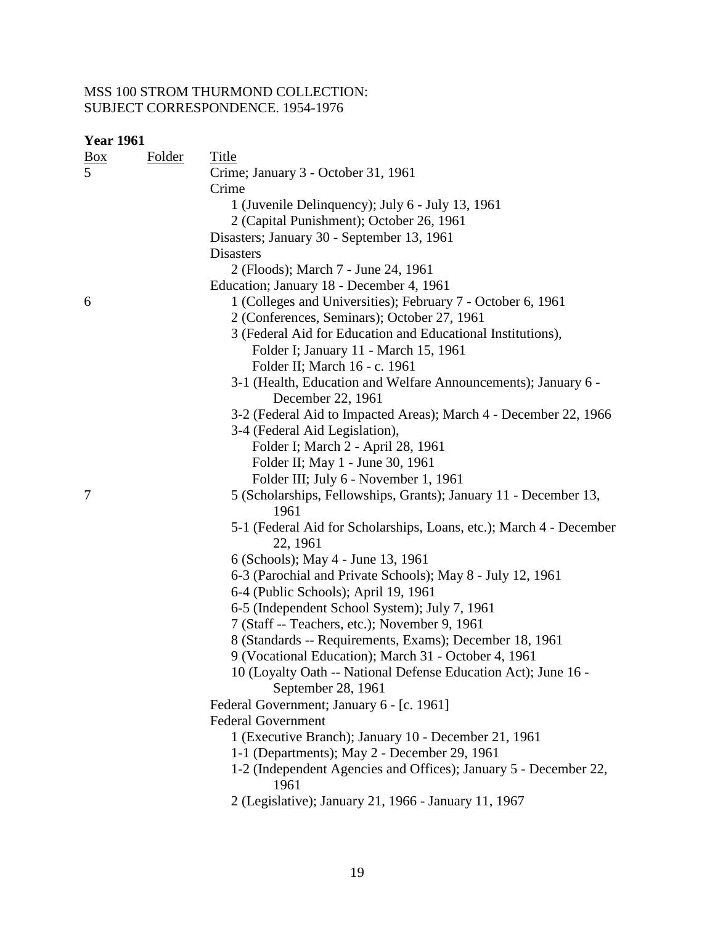| <b>Year 1961</b>         |               |                                                                                                                  |
|--------------------------|---------------|------------------------------------------------------------------------------------------------------------------|
| $\frac{Box}{\sqrt{Box}}$ | <b>Folder</b> | <u>Title</u>                                                                                                     |
| 5                        |               | Crime; January 3 - October 31, 1961                                                                              |
|                          |               | Crime                                                                                                            |
|                          |               | 1 (Juvenile Delinquency); July 6 - July 13, 1961                                                                 |
|                          |               | 2 (Capital Punishment); October 26, 1961                                                                         |
|                          |               | Disasters; January 30 - September 13, 1961                                                                       |
|                          |               | <b>Disasters</b>                                                                                                 |
|                          |               | 2 (Floods); March 7 - June 24, 1961                                                                              |
|                          |               | Education; January 18 - December 4, 1961                                                                         |
| 6                        |               | 1 (Colleges and Universities); February 7 - October 6, 1961                                                      |
|                          |               | 2 (Conferences, Seminars); October 27, 1961                                                                      |
|                          |               | 3 (Federal Aid for Education and Educational Institutions),                                                      |
|                          |               | Folder I; January 11 - March 15, 1961                                                                            |
|                          |               | Folder II; March 16 - c. 1961                                                                                    |
|                          |               | 3-1 (Health, Education and Welfare Announcements); January 6 -                                                   |
|                          |               | December 22, 1961                                                                                                |
|                          |               | 3-2 (Federal Aid to Impacted Areas); March 4 - December 22, 1966                                                 |
|                          |               | 3-4 (Federal Aid Legislation),                                                                                   |
|                          |               | Folder I; March 2 - April 28, 1961                                                                               |
|                          |               | Folder II; May 1 - June 30, 1961                                                                                 |
|                          |               | Folder III; July 6 - November 1, 1961                                                                            |
| 7                        |               | 5 (Scholarships, Fellowships, Grants); January 11 - December 13,                                                 |
|                          |               | 1961                                                                                                             |
|                          |               | 5-1 (Federal Aid for Scholarships, Loans, etc.); March 4 - December                                              |
|                          |               | 22, 1961                                                                                                         |
|                          |               | 6 (Schools); May 4 - June 13, 1961                                                                               |
|                          |               | 6-3 (Parochial and Private Schools); May 8 - July 12, 1961                                                       |
|                          |               | 6-4 (Public Schools); April 19, 1961                                                                             |
|                          |               | 6-5 (Independent School System); July 7, 1961                                                                    |
|                          |               | 7 (Staff -- Teachers, etc.); November 9, 1961                                                                    |
|                          |               | 8 (Standards -- Requirements, Exams); December 18, 1961                                                          |
|                          |               | 9 (Vocational Education); March 31 - October 4, 1961                                                             |
|                          |               | 10 (Loyalty Oath -- National Defense Education Act); June 16 -                                                   |
|                          |               | September 28, 1961                                                                                               |
|                          |               | Federal Government; January 6 - [c. 1961]                                                                        |
|                          |               | <b>Federal Government</b>                                                                                        |
|                          |               | 1 (Executive Branch); January 10 - December 21, 1961                                                             |
|                          |               | 1-1 (Departments); May 2 - December 29, 1961<br>1-2 (Independent Agencies and Offices); January 5 - December 22, |
|                          |               | 1961                                                                                                             |
|                          |               | 2 (Legislative); January 21, 1966 - January 11, 1967                                                             |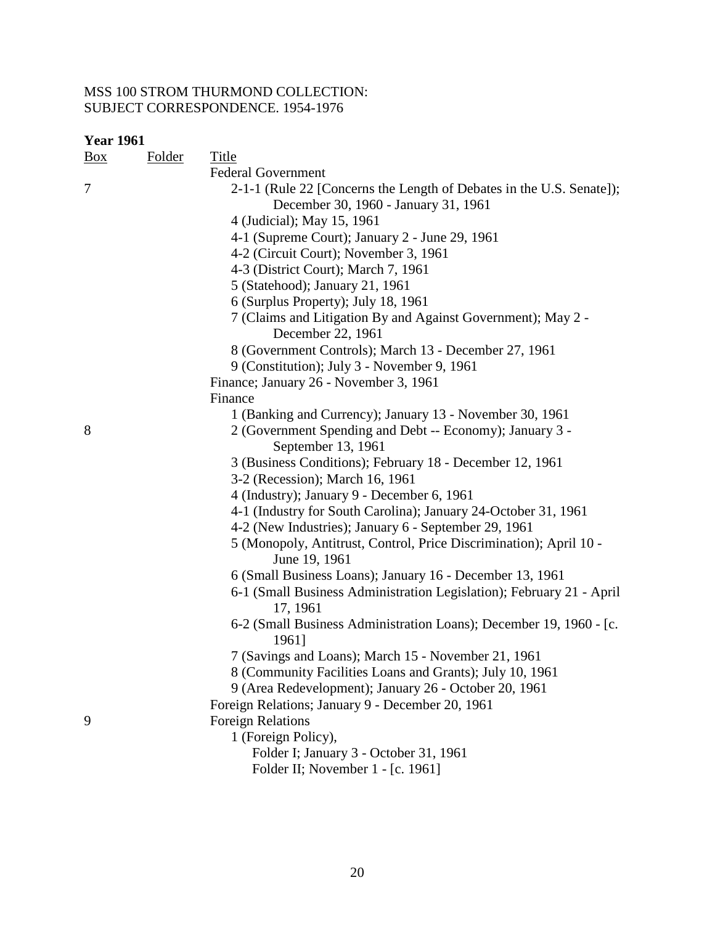| <b>Year 1961</b> |               |                                                                                                              |
|------------------|---------------|--------------------------------------------------------------------------------------------------------------|
| $\frac{Box}{}$   | <b>Folder</b> | Title                                                                                                        |
|                  |               | <b>Federal Government</b>                                                                                    |
| 7                |               | 2-1-1 (Rule 22 [Concerns the Length of Debates in the U.S. Senate]);<br>December 30, 1960 - January 31, 1961 |
|                  |               |                                                                                                              |
|                  |               | 4 (Judicial); May 15, 1961                                                                                   |
|                  |               | 4-1 (Supreme Court); January 2 - June 29, 1961                                                               |
|                  |               | 4-2 (Circuit Court); November 3, 1961                                                                        |
|                  |               | 4-3 (District Court); March 7, 1961                                                                          |
|                  |               | 5 (Statehood); January 21, 1961                                                                              |
|                  |               | 6 (Surplus Property); July 18, 1961                                                                          |
|                  |               | 7 (Claims and Litigation By and Against Government); May 2 -<br>December 22, 1961                            |
|                  |               | 8 (Government Controls); March 13 - December 27, 1961                                                        |
|                  |               | 9 (Constitution); July 3 - November 9, 1961                                                                  |
|                  |               | Finance; January 26 - November 3, 1961                                                                       |
|                  |               | Finance                                                                                                      |
|                  |               | 1 (Banking and Currency); January 13 - November 30, 1961                                                     |
| 8                |               | 2 (Government Spending and Debt -- Economy); January 3 -<br>September 13, 1961                               |
|                  |               | 3 (Business Conditions); February 18 - December 12, 1961                                                     |
|                  |               | 3-2 (Recession); March 16, 1961                                                                              |
|                  |               | 4 (Industry); January 9 - December 6, 1961                                                                   |
|                  |               | 4-1 (Industry for South Carolina); January 24-October 31, 1961                                               |
|                  |               | 4-2 (New Industries); January 6 - September 29, 1961                                                         |
|                  |               | 5 (Monopoly, Antitrust, Control, Price Discrimination); April 10 -                                           |
|                  |               | June 19, 1961                                                                                                |
|                  |               | 6 (Small Business Loans); January 16 - December 13, 1961                                                     |
|                  |               | 6-1 (Small Business Administration Legislation); February 21 - April                                         |
|                  |               | 17, 1961                                                                                                     |
|                  |               | 6-2 (Small Business Administration Loans); December 19, 1960 - [c.<br>1961]                                  |
|                  |               | 7 (Savings and Loans); March 15 - November 21, 1961                                                          |
|                  |               | 8 (Community Facilities Loans and Grants); July 10, 1961                                                     |
|                  |               | 9 (Area Redevelopment); January 26 - October 20, 1961                                                        |
|                  |               | Foreign Relations; January 9 - December 20, 1961                                                             |
| 9                |               | <b>Foreign Relations</b>                                                                                     |
|                  |               | 1 (Foreign Policy),                                                                                          |
|                  |               | Folder I; January 3 - October 31, 1961                                                                       |
|                  |               |                                                                                                              |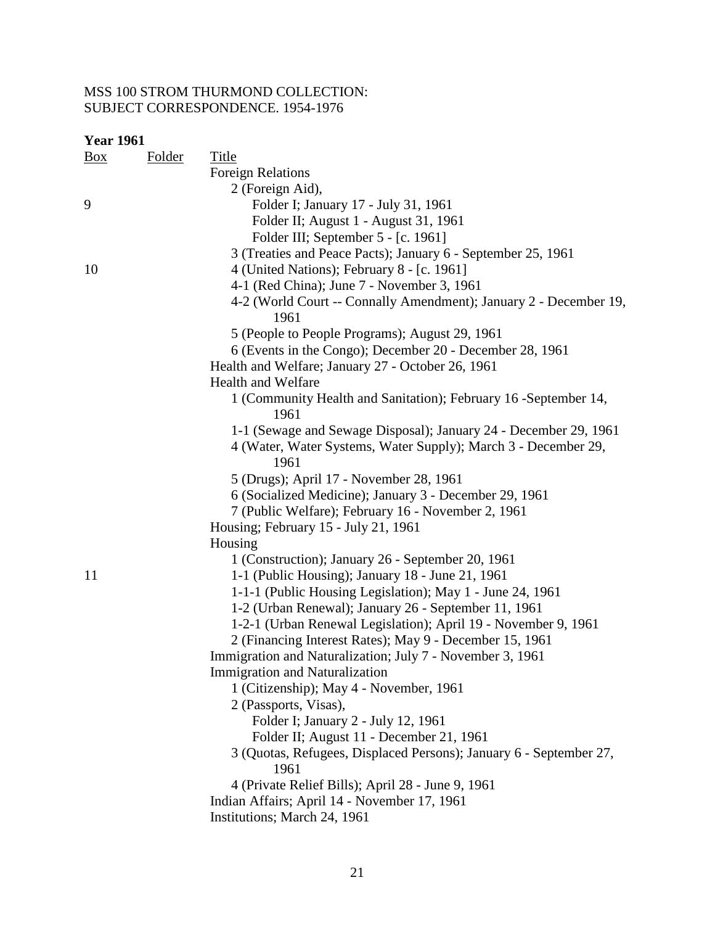| <b>Year 1961</b> |               |                                                                    |
|------------------|---------------|--------------------------------------------------------------------|
| Box              | <b>Folder</b> | <b>Title</b>                                                       |
|                  |               | <b>Foreign Relations</b>                                           |
|                  |               | 2 (Foreign Aid),                                                   |
| 9                |               | Folder I; January 17 - July 31, 1961                               |
|                  |               | Folder II; August 1 - August 31, 1961                              |
|                  |               | Folder III; September 5 - [c. 1961]                                |
|                  |               | 3 (Treaties and Peace Pacts); January 6 - September 25, 1961       |
| 10               |               | 4 (United Nations); February 8 - [c. 1961]                         |
|                  |               | 4-1 (Red China); June 7 - November 3, 1961                         |
|                  |               | 4-2 (World Court -- Connally Amendment); January 2 - December 19,  |
|                  |               | 1961                                                               |
|                  |               | 5 (People to People Programs); August 29, 1961                     |
|                  |               | 6 (Events in the Congo); December 20 - December 28, 1961           |
|                  |               | Health and Welfare; January 27 - October 26, 1961                  |
|                  |               | <b>Health and Welfare</b>                                          |
|                  |               | 1 (Community Health and Sanitation); February 16 - September 14,   |
|                  |               | 1961                                                               |
|                  |               | 1-1 (Sewage and Sewage Disposal); January 24 - December 29, 1961   |
|                  |               | 4 (Water, Water Systems, Water Supply); March 3 - December 29,     |
|                  |               | 1961                                                               |
|                  |               | 5 (Drugs); April 17 - November 28, 1961                            |
|                  |               | 6 (Socialized Medicine); January 3 - December 29, 1961             |
|                  |               | 7 (Public Welfare); February 16 - November 2, 1961                 |
|                  |               | Housing; February 15 - July 21, 1961                               |
|                  |               | Housing                                                            |
|                  |               | 1 (Construction); January 26 - September 20, 1961                  |
| 11               |               | 1-1 (Public Housing); January 18 - June 21, 1961                   |
|                  |               | 1-1-1 (Public Housing Legislation); May 1 - June 24, 1961          |
|                  |               | 1-2 (Urban Renewal); January 26 - September 11, 1961               |
|                  |               | 1-2-1 (Urban Renewal Legislation); April 19 - November 9, 1961     |
|                  |               | 2 (Financing Interest Rates); May 9 - December 15, 1961            |
|                  |               | Immigration and Naturalization; July 7 - November 3, 1961          |
|                  |               | Immigration and Naturalization                                     |
|                  |               | 1 (Citizenship); May 4 - November, 1961                            |
|                  |               | 2 (Passports, Visas),                                              |
|                  |               | Folder I; January 2 - July 12, 1961                                |
|                  |               | Folder II; August 11 - December 21, 1961                           |
|                  |               | 3 (Quotas, Refugees, Displaced Persons); January 6 - September 27, |
|                  |               | 1961                                                               |
|                  |               | 4 (Private Relief Bills); April 28 - June 9, 1961                  |
|                  |               | Indian Affairs; April 14 - November 17, 1961                       |
|                  |               | Institutions; March 24, 1961                                       |
|                  |               |                                                                    |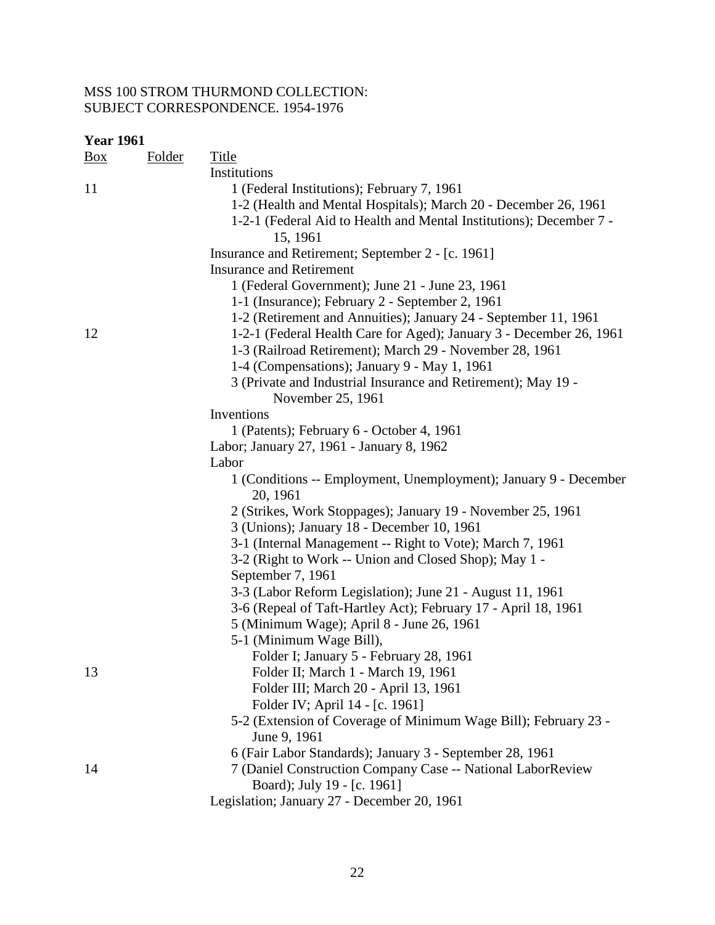| <b>Year 1961</b> |               |                                                                              |
|------------------|---------------|------------------------------------------------------------------------------|
| <u>Box</u>       | <u>Folder</u> | <b>Title</b>                                                                 |
|                  |               | Institutions                                                                 |
| 11               |               | 1 (Federal Institutions); February 7, 1961                                   |
|                  |               | 1-2 (Health and Mental Hospitals); March 20 - December 26, 1961              |
|                  |               | 1-2-1 (Federal Aid to Health and Mental Institutions); December 7 -          |
|                  |               | 15, 1961                                                                     |
|                  |               | Insurance and Retirement; September 2 - [c. 1961]                            |
|                  |               | <b>Insurance and Retirement</b>                                              |
|                  |               | 1 (Federal Government); June 21 - June 23, 1961                              |
|                  |               | 1-1 (Insurance); February 2 - September 2, 1961                              |
|                  |               | 1-2 (Retirement and Annuities); January 24 - September 11, 1961              |
| 12               |               | 1-2-1 (Federal Health Care for Aged); January 3 - December 26, 1961          |
|                  |               | 1-3 (Railroad Retirement); March 29 - November 28, 1961                      |
|                  |               | 1-4 (Compensations); January 9 - May 1, 1961                                 |
|                  |               | 3 (Private and Industrial Insurance and Retirement); May 19 -                |
|                  |               | November 25, 1961                                                            |
|                  |               | Inventions                                                                   |
|                  |               | 1 (Patents); February 6 - October 4, 1961                                    |
|                  |               | Labor; January 27, 1961 - January 8, 1962                                    |
|                  |               | Labor                                                                        |
|                  |               | 1 (Conditions -- Employment, Unemployment); January 9 - December<br>20, 1961 |
|                  |               | 2 (Strikes, Work Stoppages); January 19 - November 25, 1961                  |
|                  |               | 3 (Unions); January 18 - December 10, 1961                                   |
|                  |               | 3-1 (Internal Management -- Right to Vote); March 7, 1961                    |
|                  |               | 3-2 (Right to Work -- Union and Closed Shop); May 1 -                        |
|                  |               | September 7, 1961                                                            |
|                  |               | 3-3 (Labor Reform Legislation); June 21 - August 11, 1961                    |
|                  |               | 3-6 (Repeal of Taft-Hartley Act); February 17 - April 18, 1961               |
|                  |               | 5 (Minimum Wage); April 8 - June 26, 1961                                    |
|                  |               | 5-1 (Minimum Wage Bill),                                                     |
|                  |               | Folder I; January 5 - February 28, 1961                                      |
| 13               |               | Folder II; March 1 - March 19, 1961                                          |
|                  |               | Folder III; March 20 - April 13, 1961                                        |
|                  |               | Folder IV; April 14 - [c. 1961]                                              |
|                  |               | 5-2 (Extension of Coverage of Minimum Wage Bill); February 23 -              |
|                  |               | June 9, 1961                                                                 |
|                  |               | 6 (Fair Labor Standards); January 3 - September 28, 1961                     |
| 14               |               | 7 (Daniel Construction Company Case -- National LaborReview                  |
|                  |               | Board); July 19 - [c. 1961]                                                  |
|                  |               | Legislation; January 27 - December 20, 1961                                  |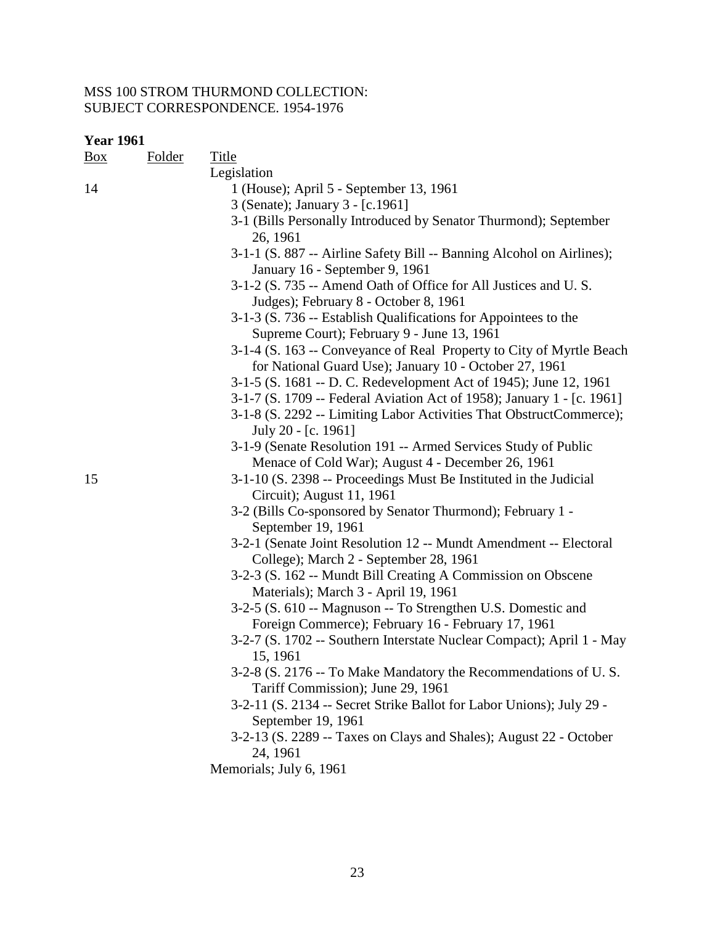| Box | Folder | <b>Title</b>                                                                                                  |
|-----|--------|---------------------------------------------------------------------------------------------------------------|
|     |        | Legislation                                                                                                   |
| 14  |        | 1 (House); April 5 - September 13, 1961                                                                       |
|     |        | 3 (Senate); January 3 - [c.1961]                                                                              |
|     |        | 3-1 (Bills Personally Introduced by Senator Thurmond); September                                              |
|     |        | 26, 1961                                                                                                      |
|     |        | 3-1-1 (S. 887 -- Airline Safety Bill -- Banning Alcohol on Airlines);                                         |
|     |        | January 16 - September 9, 1961                                                                                |
|     |        | 3-1-2 (S. 735 -- Amend Oath of Office for All Justices and U.S.                                               |
|     |        | Judges); February 8 - October 8, 1961                                                                         |
|     |        | 3-1-3 (S. 736 -- Establish Qualifications for Appointees to the<br>Supreme Court); February 9 - June 13, 1961 |
|     |        | 3-1-4 (S. 163 -- Conveyance of Real Property to City of Myrtle Beach                                          |
|     |        | for National Guard Use); January 10 - October 27, 1961                                                        |
|     |        | 3-1-5 (S. 1681 -- D. C. Redevelopment Act of 1945); June 12, 1961                                             |
|     |        | 3-1-7 (S. 1709 -- Federal Aviation Act of 1958); January 1 - [c. 1961]                                        |
|     |        | 3-1-8 (S. 2292 -- Limiting Labor Activities That ObstructCommerce);<br>July 20 - [c. 1961]                    |
|     |        | 3-1-9 (Senate Resolution 191 -- Armed Services Study of Public                                                |
|     |        | Menace of Cold War); August 4 - December 26, 1961                                                             |
| 15  |        | 3-1-10 (S. 2398 -- Proceedings Must Be Instituted in the Judicial                                             |
|     |        | Circuit); August 11, 1961                                                                                     |
|     |        | 3-2 (Bills Co-sponsored by Senator Thurmond); February 1 -                                                    |
|     |        | September 19, 1961                                                                                            |
|     |        | 3-2-1 (Senate Joint Resolution 12 -- Mundt Amendment -- Electoral<br>College); March 2 - September 28, 1961   |
|     |        | 3-2-3 (S. 162 -- Mundt Bill Creating A Commission on Obscene                                                  |
|     |        | Materials); March 3 - April 19, 1961                                                                          |
|     |        | 3-2-5 (S. 610 -- Magnuson -- To Strengthen U.S. Domestic and                                                  |
|     |        | Foreign Commerce); February 16 - February 17, 1961                                                            |
|     |        | 3-2-7 (S. 1702 -- Southern Interstate Nuclear Compact); April 1 - May                                         |
|     |        | 15, 1961                                                                                                      |
|     |        | 3-2-8 (S. 2176 -- To Make Mandatory the Recommendations of U.S.<br>Tariff Commission); June 29, 1961          |
|     |        | 3-2-11 (S. 2134 -- Secret Strike Ballot for Labor Unions); July 29 -<br>September 19, 1961                    |
|     |        | 3-2-13 (S. 2289 -- Taxes on Clays and Shales); August 22 - October                                            |
|     |        | 24, 1961                                                                                                      |
|     |        | Memorials; July 6, 1961                                                                                       |
|     |        |                                                                                                               |
|     |        |                                                                                                               |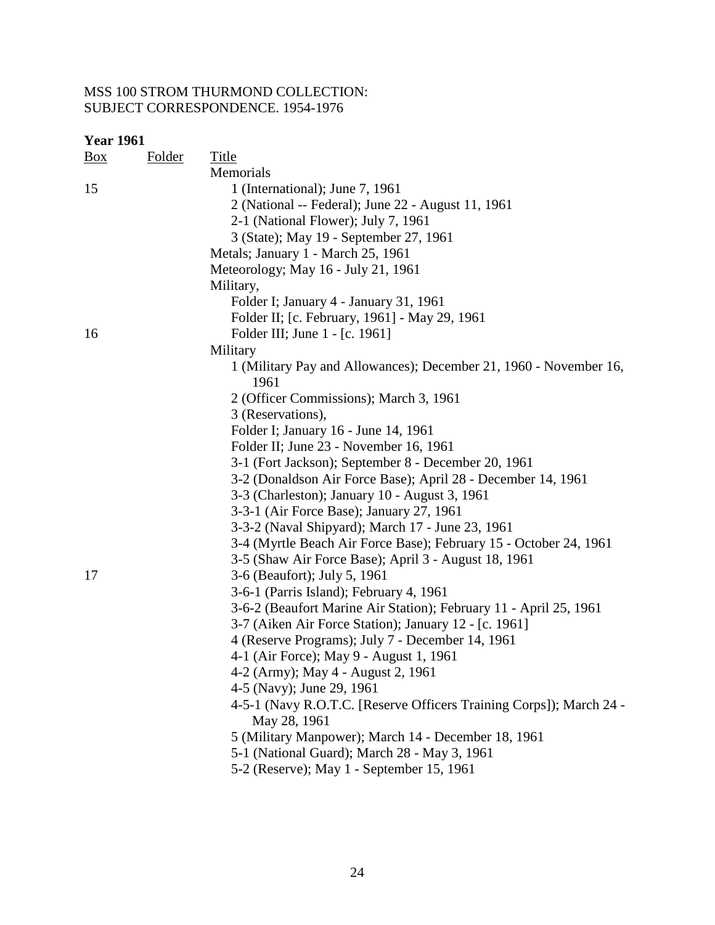| <b>Year 1961</b> |        |                                                                                     |
|------------------|--------|-------------------------------------------------------------------------------------|
| $\frac{Box}{}$   | Folder | <b>Title</b>                                                                        |
|                  |        | Memorials                                                                           |
| 15               |        | 1 (International); June 7, 1961                                                     |
|                  |        | 2 (National -- Federal); June 22 - August 11, 1961                                  |
|                  |        | 2-1 (National Flower); July 7, 1961                                                 |
|                  |        | 3 (State); May 19 - September 27, 1961                                              |
|                  |        | Metals; January 1 - March 25, 1961                                                  |
|                  |        | Meteorology; May 16 - July 21, 1961                                                 |
|                  |        | Military,                                                                           |
|                  |        | Folder I; January 4 - January 31, 1961                                              |
|                  |        | Folder II; [c. February, 1961] - May 29, 1961                                       |
| 16               |        | Folder III; June 1 - [c. 1961]                                                      |
|                  |        | Military                                                                            |
|                  |        | 1 (Military Pay and Allowances); December 21, 1960 - November 16,<br>1961           |
|                  |        | 2 (Officer Commissions); March 3, 1961                                              |
|                  |        | 3 (Reservations),                                                                   |
|                  |        | Folder I; January 16 - June 14, 1961                                                |
|                  |        | Folder II; June 23 - November 16, 1961                                              |
|                  |        | 3-1 (Fort Jackson); September 8 - December 20, 1961                                 |
|                  |        | 3-2 (Donaldson Air Force Base); April 28 - December 14, 1961                        |
|                  |        | 3-3 (Charleston); January 10 - August 3, 1961                                       |
|                  |        | 3-3-1 (Air Force Base); January 27, 1961                                            |
|                  |        | 3-3-2 (Naval Shipyard); March 17 - June 23, 1961                                    |
|                  |        | 3-4 (Myrtle Beach Air Force Base); February 15 - October 24, 1961                   |
|                  |        | 3-5 (Shaw Air Force Base); April 3 - August 18, 1961                                |
| 17               |        | 3-6 (Beaufort); July 5, 1961                                                        |
|                  |        | 3-6-1 (Parris Island); February 4, 1961                                             |
|                  |        | 3-6-2 (Beaufort Marine Air Station); February 11 - April 25, 1961                   |
|                  |        | 3-7 (Aiken Air Force Station); January 12 - [c. 1961]                               |
|                  |        | 4 (Reserve Programs); July 7 - December 14, 1961                                    |
|                  |        | 4-1 (Air Force); May 9 - August 1, 1961                                             |
|                  |        | 4-2 (Army); May 4 - August 2, 1961                                                  |
|                  |        | 4-5 (Navy); June 29, 1961                                                           |
|                  |        | 4-5-1 (Navy R.O.T.C. [Reserve Officers Training Corps]); March 24 -<br>May 28, 1961 |
|                  |        | 5 (Military Manpower); March 14 - December 18, 1961                                 |
|                  |        | 5-1 (National Guard); March 28 - May 3, 1961                                        |
|                  |        | 5-2 (Reserve); May 1 - September 15, 1961                                           |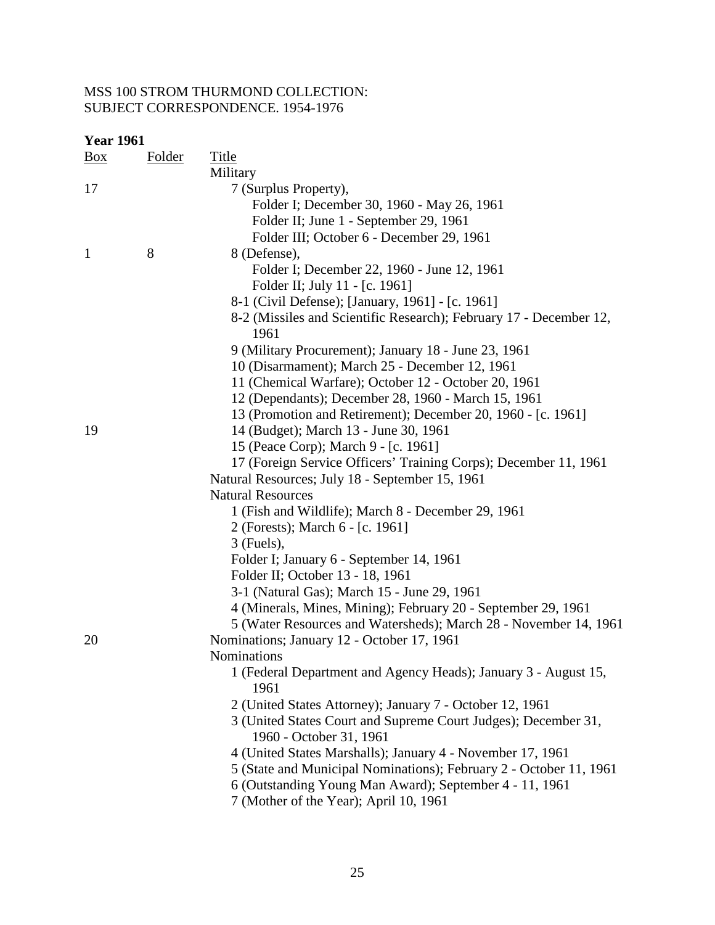| <b>Year 1961</b> |               |                                                                                           |
|------------------|---------------|-------------------------------------------------------------------------------------------|
| $\frac{Box}{}$   | <b>Folder</b> | <b>Title</b>                                                                              |
|                  |               | Military                                                                                  |
| 17               |               | 7 (Surplus Property),                                                                     |
|                  |               | Folder I; December 30, 1960 - May 26, 1961                                                |
|                  |               | Folder II; June 1 - September 29, 1961                                                    |
|                  |               | Folder III; October 6 - December 29, 1961                                                 |
| $\mathbf{1}$     | 8             | 8 (Defense),                                                                              |
|                  |               | Folder I; December 22, 1960 - June 12, 1961                                               |
|                  |               | Folder II; July 11 - [c. 1961]                                                            |
|                  |               | 8-1 (Civil Defense); [January, 1961] - [c. 1961]                                          |
|                  |               | 8-2 (Missiles and Scientific Research); February 17 - December 12,<br>1961                |
|                  |               | 9 (Military Procurement); January 18 - June 23, 1961                                      |
|                  |               | 10 (Disarmament); March 25 - December 12, 1961                                            |
|                  |               | 11 (Chemical Warfare); October 12 - October 20, 1961                                      |
|                  |               | 12 (Dependants); December 28, 1960 - March 15, 1961                                       |
|                  |               | 13 (Promotion and Retirement); December 20, 1960 - [c. 1961]                              |
| 19               |               | 14 (Budget); March 13 - June 30, 1961                                                     |
|                  |               | 15 (Peace Corp); March 9 - [c. 1961]                                                      |
|                  |               | 17 (Foreign Service Officers' Training Corps); December 11, 1961                          |
|                  |               | Natural Resources; July 18 - September 15, 1961                                           |
|                  |               | <b>Natural Resources</b>                                                                  |
|                  |               | 1 (Fish and Wildlife); March 8 - December 29, 1961                                        |
|                  |               | 2 (Forests); March 6 - [c. 1961]                                                          |
|                  |               | $3$ (Fuels),                                                                              |
|                  |               | Folder I; January 6 - September 14, 1961                                                  |
|                  |               | Folder II; October 13 - 18, 1961                                                          |
|                  |               | 3-1 (Natural Gas); March 15 - June 29, 1961                                               |
|                  |               | 4 (Minerals, Mines, Mining); February 20 - September 29, 1961                             |
|                  |               | 5 (Water Resources and Watersheds); March 28 - November 14, 1961                          |
| 20               |               | Nominations; January 12 - October 17, 1961                                                |
|                  |               | <b>Nominations</b>                                                                        |
|                  |               | 1 (Federal Department and Agency Heads); January 3 - August 15,<br>1961                   |
|                  |               | 2 (United States Attorney); January 7 - October 12, 1961                                  |
|                  |               | 3 (United States Court and Supreme Court Judges); December 31,<br>1960 - October 31, 1961 |
|                  |               | 4 (United States Marshalls); January 4 - November 17, 1961                                |
|                  |               | 5 (State and Municipal Nominations); February 2 - October 11, 1961                        |
|                  |               | 6 (Outstanding Young Man Award); September 4 - 11, 1961                                   |
|                  |               | 7 (Mother of the Year); April 10, 1961                                                    |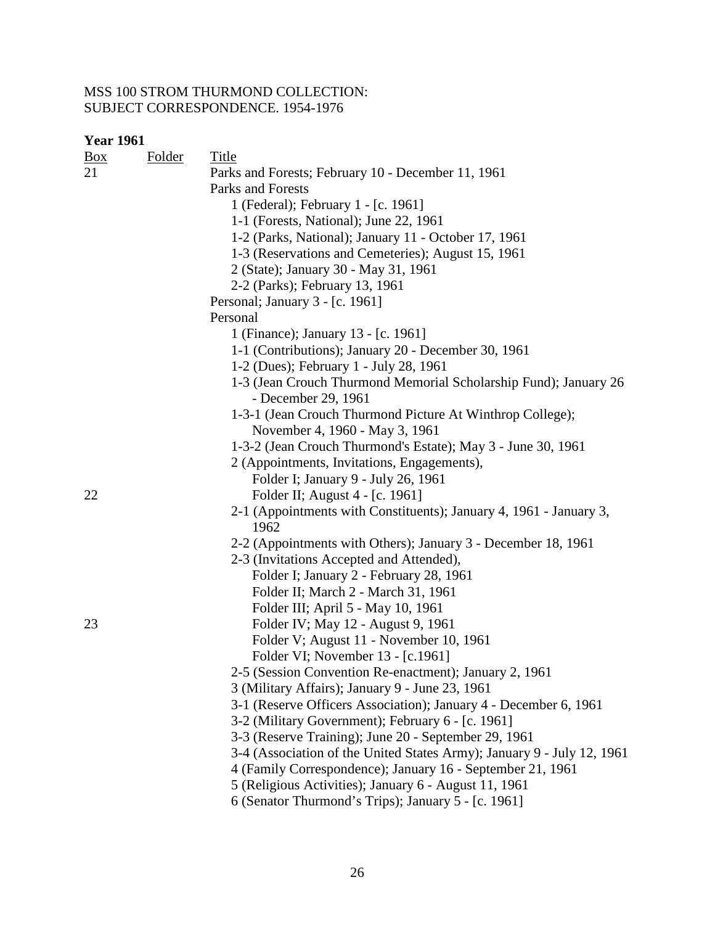| <b>Box</b> | <b>Folder</b> | <b>Title</b>                                                           |
|------------|---------------|------------------------------------------------------------------------|
| 21         |               | Parks and Forests; February 10 - December 11, 1961                     |
|            |               | Parks and Forests                                                      |
|            |               | 1 (Federal); February 1 - [c. 1961]                                    |
|            |               | 1-1 (Forests, National); June 22, 1961                                 |
|            |               | 1-2 (Parks, National); January 11 - October 17, 1961                   |
|            |               | 1-3 (Reservations and Cemeteries); August 15, 1961                     |
|            |               | 2 (State); January 30 - May 31, 1961                                   |
|            |               | 2-2 (Parks); February 13, 1961                                         |
|            |               | Personal; January 3 - [c. 1961]                                        |
|            |               | Personal                                                               |
|            |               | 1 (Finance); January 13 - [c. 1961]                                    |
|            |               | 1-1 (Contributions); January 20 - December 30, 1961                    |
|            |               | 1-2 (Dues); February 1 - July 28, 1961                                 |
|            |               | 1-3 (Jean Crouch Thurmond Memorial Scholarship Fund); January 26       |
|            |               | - December 29, 1961                                                    |
|            |               | 1-3-1 (Jean Crouch Thurmond Picture At Winthrop College);              |
|            |               | November 4, 1960 - May 3, 1961                                         |
|            |               | 1-3-2 (Jean Crouch Thurmond's Estate); May 3 - June 30, 1961           |
|            |               | 2 (Appointments, Invitations, Engagements),                            |
|            |               | Folder I; January 9 - July 26, 1961                                    |
| 22         |               | Folder II; August 4 - [c. 1961]                                        |
|            |               | 2-1 (Appointments with Constituents); January 4, 1961 - January 3,     |
|            |               | 1962                                                                   |
|            |               | 2-2 (Appointments with Others); January 3 - December 18, 1961          |
|            |               | 2-3 (Invitations Accepted and Attended),                               |
|            |               | Folder I; January 2 - February 28, 1961                                |
|            |               | Folder II; March 2 - March 31, 1961                                    |
|            |               | Folder III; April 5 - May 10, 1961                                     |
| 23         |               | Folder IV; May 12 - August 9, 1961                                     |
|            |               | Folder V; August 11 - November 10, 1961                                |
|            |               | Folder VI; November 13 - [c.1961]                                      |
|            |               | 2-5 (Session Convention Re-enactment); January 2, 1961                 |
|            |               | 3 (Military Affairs); January 9 - June 23, 1961                        |
|            |               | 3-1 (Reserve Officers Association); January 4 - December 6, 1961       |
|            |               | 3-2 (Military Government); February 6 - [c. 1961]                      |
|            |               | 3-3 (Reserve Training); June 20 - September 29, 1961                   |
|            |               | 3-4 (Association of the United States Army); January 9 - July 12, 1961 |
|            |               | 4 (Family Correspondence); January 16 - September 21, 1961             |
|            |               | 5 (Religious Activities); January 6 - August 11, 1961                  |
|            |               | 6 (Senator Thurmond's Trips); January 5 - [c. 1961]                    |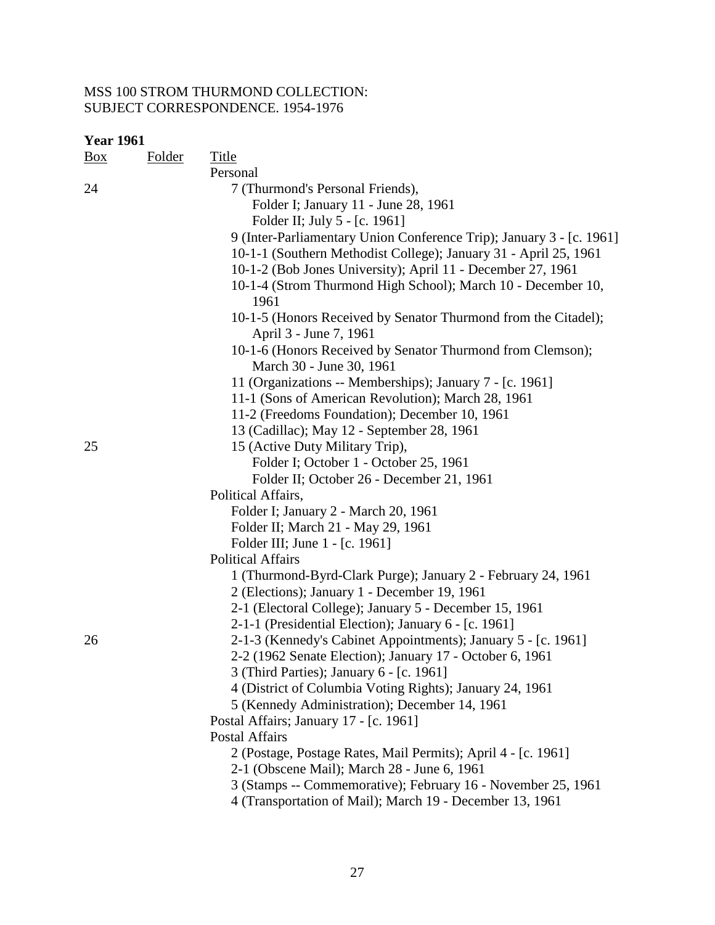| Box | <b>Folder</b> | Title                                                                                                        |
|-----|---------------|--------------------------------------------------------------------------------------------------------------|
|     |               | Personal                                                                                                     |
| 24  |               | 7 (Thurmond's Personal Friends),                                                                             |
|     |               | Folder I; January 11 - June 28, 1961                                                                         |
|     |               | Folder II; July 5 - [c. 1961]                                                                                |
|     |               | 9 (Inter-Parliamentary Union Conference Trip); January 3 - [c. 1961]                                         |
|     |               | 10-1-1 (Southern Methodist College); January 31 - April 25, 1961                                             |
|     |               | 10-1-2 (Bob Jones University); April 11 - December 27, 1961                                                  |
|     |               | 10-1-4 (Strom Thurmond High School); March 10 - December 10,                                                 |
|     |               | 1961                                                                                                         |
|     |               | 10-1-5 (Honors Received by Senator Thurmond from the Citadel);                                               |
|     |               | April 3 - June 7, 1961                                                                                       |
|     |               | 10-1-6 (Honors Received by Senator Thurmond from Clemson);                                                   |
|     |               | March 30 - June 30, 1961                                                                                     |
|     |               | 11 (Organizations -- Memberships); January 7 - [c. 1961]                                                     |
|     |               | 11-1 (Sons of American Revolution); March 28, 1961                                                           |
|     |               | 11-2 (Freedoms Foundation); December 10, 1961                                                                |
|     |               | 13 (Cadillac); May 12 - September 28, 1961                                                                   |
| 25  |               | 15 (Active Duty Military Trip),                                                                              |
|     |               | Folder I; October 1 - October 25, 1961                                                                       |
|     |               | Folder II; October 26 - December 21, 1961                                                                    |
|     |               | Political Affairs,                                                                                           |
|     |               | Folder I; January 2 - March 20, 1961                                                                         |
|     |               | Folder II; March 21 - May 29, 1961                                                                           |
|     |               | Folder III; June 1 - [c. 1961]                                                                               |
|     |               | <b>Political Affairs</b>                                                                                     |
|     |               | 1 (Thurmond-Byrd-Clark Purge); January 2 - February 24, 1961                                                 |
|     |               | 2 (Elections); January 1 - December 19, 1961                                                                 |
|     |               | 2-1 (Electoral College); January 5 - December 15, 1961                                                       |
|     |               | 2-1-1 (Presidential Election); January 6 - [c. 1961]                                                         |
| 26  |               | 2-1-3 (Kennedy's Cabinet Appointments); January 5 - [c. 1961]                                                |
|     |               | 2-2 (1962 Senate Election); January 17 - October 6, 1961                                                     |
|     |               | 3 (Third Parties); January 6 - [c. 1961]                                                                     |
|     |               | 4 (District of Columbia Voting Rights); January 24, 1961                                                     |
|     |               | 5 (Kennedy Administration); December 14, 1961<br>Postal Affairs; January 17 - [c. 1961]                      |
|     |               | <b>Postal Affairs</b>                                                                                        |
|     |               |                                                                                                              |
|     |               | 2 (Postage, Postage Rates, Mail Permits); April 4 - [c. 1961]<br>2-1 (Obscene Mail); March 28 - June 6, 1961 |
|     |               | 3 (Stamps -- Commemorative); February 16 - November 25, 1961                                                 |
|     |               | 4 (Transportation of Mail); March 19 - December 13, 1961                                                     |
|     |               |                                                                                                              |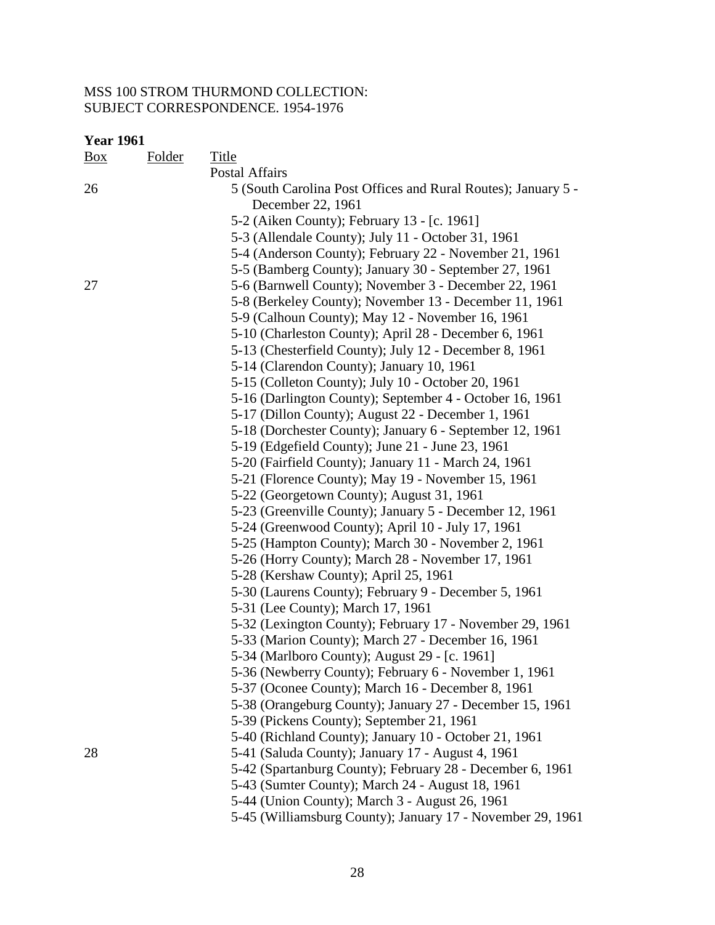| <b>Year 1961</b> |        |                                                                                    |
|------------------|--------|------------------------------------------------------------------------------------|
| $\frac{Box}{}$   | Folder | Title                                                                              |
|                  |        | <b>Postal Affairs</b>                                                              |
| 26               |        | 5 (South Carolina Post Offices and Rural Routes); January 5 -<br>December 22, 1961 |
|                  |        | 5-2 (Aiken County); February 13 - [c. 1961]                                        |
|                  |        | 5-3 (Allendale County); July 11 - October 31, 1961                                 |
|                  |        | 5-4 (Anderson County); February 22 - November 21, 1961                             |
|                  |        | 5-5 (Bamberg County); January 30 - September 27, 1961                              |
| 27               |        | 5-6 (Barnwell County); November 3 - December 22, 1961                              |
|                  |        | 5-8 (Berkeley County); November 13 - December 11, 1961                             |
|                  |        | 5-9 (Calhoun County); May 12 - November 16, 1961                                   |
|                  |        | 5-10 (Charleston County); April 28 - December 6, 1961                              |
|                  |        | 5-13 (Chesterfield County); July 12 - December 8, 1961                             |
|                  |        | 5-14 (Clarendon County); January 10, 1961                                          |
|                  |        | 5-15 (Colleton County); July 10 - October 20, 1961                                 |
|                  |        | 5-16 (Darlington County); September 4 - October 16, 1961                           |
|                  |        | 5-17 (Dillon County); August 22 - December 1, 1961                                 |
|                  |        | 5-18 (Dorchester County); January 6 - September 12, 1961                           |
|                  |        | 5-19 (Edgefield County); June 21 - June 23, 1961                                   |
|                  |        | 5-20 (Fairfield County); January 11 - March 24, 1961                               |
|                  |        | 5-21 (Florence County); May 19 - November 15, 1961                                 |
|                  |        | 5-22 (Georgetown County); August 31, 1961                                          |
|                  |        | 5-23 (Greenville County); January 5 - December 12, 1961                            |
|                  |        | 5-24 (Greenwood County); April 10 - July 17, 1961                                  |
|                  |        | 5-25 (Hampton County); March 30 - November 2, 1961                                 |
|                  |        | 5-26 (Horry County); March 28 - November 17, 1961                                  |
|                  |        | 5-28 (Kershaw County); April 25, 1961                                              |
|                  |        | 5-30 (Laurens County); February 9 - December 5, 1961                               |
|                  |        | 5-31 (Lee County); March 17, 1961                                                  |
|                  |        | 5-32 (Lexington County); February 17 - November 29, 1961                           |
|                  |        | 5-33 (Marion County); March 27 - December 16, 1961                                 |
|                  |        | 5-34 (Marlboro County); August 29 - [c. 1961]                                      |
|                  |        | 5-36 (Newberry County); February 6 - November 1, 1961                              |
|                  |        | 5-37 (Oconee County); March 16 - December 8, 1961                                  |
|                  |        | 5-38 (Orangeburg County); January 27 - December 15, 1961                           |
|                  |        | 5-39 (Pickens County); September 21, 1961                                          |
|                  |        | 5-40 (Richland County); January 10 - October 21, 1961                              |
| 28               |        | 5-41 (Saluda County); January 17 - August 4, 1961                                  |
|                  |        | 5-42 (Spartanburg County); February 28 - December 6, 1961                          |
|                  |        | 5-43 (Sumter County); March 24 - August 18, 1961                                   |
|                  |        | 5-44 (Union County); March 3 - August 26, 1961                                     |

5-45 (Williamsburg County); January 17 - November 29, 1961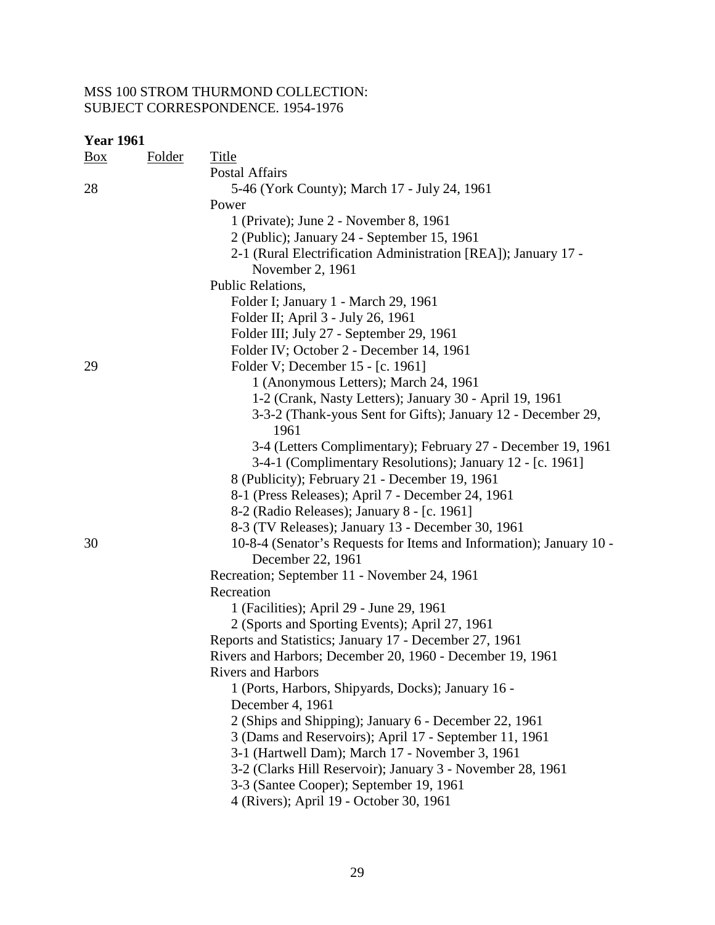| <b>Year 1961</b> |               |                                                                                    |
|------------------|---------------|------------------------------------------------------------------------------------|
| <u>Box</u>       | <b>Folder</b> | <b>Title</b>                                                                       |
|                  |               | Postal Affairs                                                                     |
| 28               |               | 5-46 (York County); March 17 - July 24, 1961                                       |
|                  |               | Power                                                                              |
|                  |               | 1 (Private); June 2 - November 8, 1961                                             |
|                  |               | 2 (Public); January 24 - September 15, 1961                                        |
|                  |               | 2-1 (Rural Electrification Administration [REA]); January 17 -<br>November 2, 1961 |
|                  |               | Public Relations,                                                                  |
|                  |               | Folder I; January 1 - March 29, 1961                                               |
|                  |               | Folder II; April 3 - July 26, 1961                                                 |
|                  |               | Folder III; July 27 - September 29, 1961                                           |
|                  |               | Folder IV; October 2 - December 14, 1961                                           |
| 29               |               | Folder V; December 15 - [c. 1961]                                                  |
|                  |               | 1 (Anonymous Letters); March 24, 1961                                              |
|                  |               | 1-2 (Crank, Nasty Letters); January 30 - April 19, 1961                            |
|                  |               | 3-3-2 (Thank-yous Sent for Gifts); January 12 - December 29,<br>1961               |
|                  |               | 3-4 (Letters Complimentary); February 27 - December 19, 1961                       |
|                  |               | 3-4-1 (Complimentary Resolutions); January 12 - [c. 1961]                          |
|                  |               | 8 (Publicity); February 21 - December 19, 1961                                     |
|                  |               | 8-1 (Press Releases); April 7 - December 24, 1961                                  |
|                  |               | 8-2 (Radio Releases); January 8 - [c. 1961]                                        |
|                  |               | 8-3 (TV Releases); January 13 - December 30, 1961                                  |
| 30               |               | 10-8-4 (Senator's Requests for Items and Information); January 10 -                |
|                  |               | December 22, 1961                                                                  |
|                  |               | Recreation; September 11 - November 24, 1961                                       |
|                  |               | Recreation                                                                         |
|                  |               | 1 (Facilities); April 29 - June 29, 1961                                           |
|                  |               | 2 (Sports and Sporting Events); April 27, 1961                                     |
|                  |               | Reports and Statistics; January 17 - December 27, 1961                             |
|                  |               | Rivers and Harbors; December 20, 1960 - December 19, 1961                          |
|                  |               | <b>Rivers and Harbors</b>                                                          |
|                  |               | 1 (Ports, Harbors, Shipyards, Docks); January 16 -                                 |
|                  |               | December 4, 1961                                                                   |
|                  |               | 2 (Ships and Shipping); January 6 - December 22, 1961                              |
|                  |               | 3 (Dams and Reservoirs); April 17 - September 11, 1961                             |
|                  |               | 3-1 (Hartwell Dam); March 17 - November 3, 1961                                    |
|                  |               | 3-2 (Clarks Hill Reservoir); January 3 - November 28, 1961                         |
|                  |               | 3-3 (Santee Cooper); September 19, 1961                                            |
|                  |               | 4 (Rivers); April 19 - October 30, 1961                                            |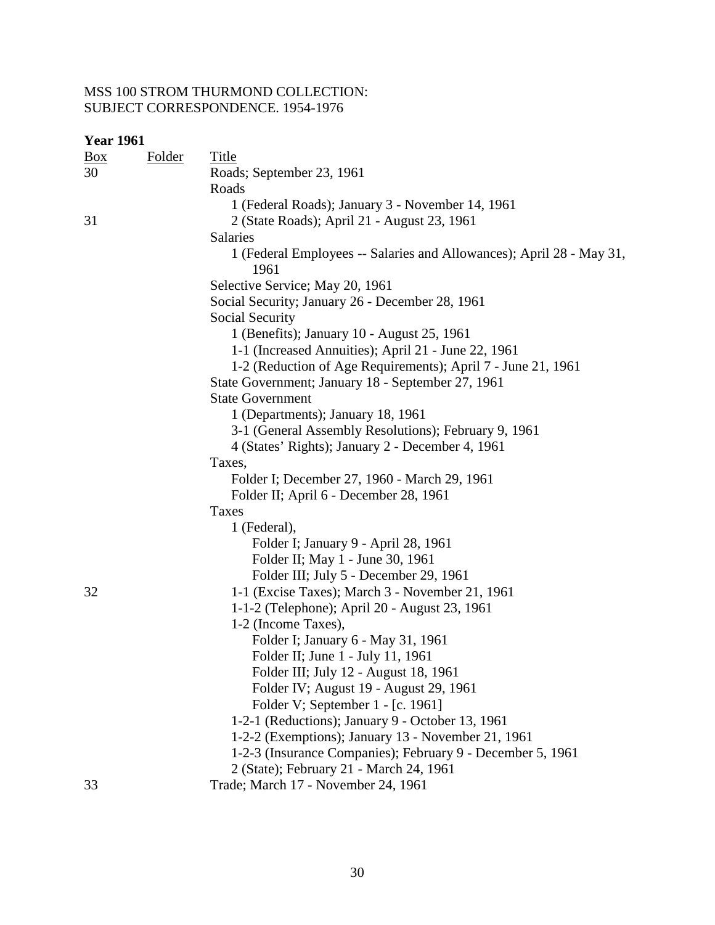| <b>Year 1961</b> |               |                                                                              |
|------------------|---------------|------------------------------------------------------------------------------|
| Box              | <b>Folder</b> | <b>Title</b>                                                                 |
| 30               |               | Roads; September 23, 1961                                                    |
|                  |               | Roads                                                                        |
|                  |               | 1 (Federal Roads); January 3 - November 14, 1961                             |
| 31               |               | 2 (State Roads); April 21 - August 23, 1961                                  |
|                  |               | <b>Salaries</b>                                                              |
|                  |               | 1 (Federal Employees -- Salaries and Allowances); April 28 - May 31,<br>1961 |
|                  |               | Selective Service; May 20, 1961                                              |
|                  |               | Social Security; January 26 - December 28, 1961                              |
|                  |               | Social Security                                                              |
|                  |               | 1 (Benefits); January 10 - August 25, 1961                                   |
|                  |               | 1-1 (Increased Annuities); April 21 - June 22, 1961                          |
|                  |               | 1-2 (Reduction of Age Requirements); April 7 - June 21, 1961                 |
|                  |               | State Government; January 18 - September 27, 1961                            |
|                  |               | <b>State Government</b>                                                      |
|                  |               | 1 (Departments); January 18, 1961                                            |
|                  |               | 3-1 (General Assembly Resolutions); February 9, 1961                         |
|                  |               | 4 (States' Rights); January 2 - December 4, 1961                             |
|                  |               | Taxes,                                                                       |
|                  |               | Folder I; December 27, 1960 - March 29, 1961                                 |
|                  |               | Folder II; April 6 - December 28, 1961                                       |
|                  |               | Taxes                                                                        |
|                  |               | 1 (Federal),                                                                 |
|                  |               | Folder I; January 9 - April 28, 1961                                         |
|                  |               | Folder II; May 1 - June 30, 1961                                             |
|                  |               | Folder III; July 5 - December 29, 1961                                       |
| 32               |               | 1-1 (Excise Taxes); March 3 - November 21, 1961                              |
|                  |               | 1-1-2 (Telephone); April 20 - August 23, 1961                                |
|                  |               | 1-2 (Income Taxes),                                                          |
|                  |               | Folder I; January 6 - May 31, 1961                                           |
|                  |               | Folder II; June 1 - July 11, 1961                                            |
|                  |               | Folder III; July 12 - August 18, 1961                                        |
|                  |               | Folder IV; August 19 - August 29, 1961                                       |
|                  |               | Folder V; September 1 - [c. 1961]                                            |
|                  |               | 1-2-1 (Reductions); January 9 - October 13, 1961                             |
|                  |               | 1-2-2 (Exemptions); January 13 - November 21, 1961                           |
|                  |               | 1-2-3 (Insurance Companies); February 9 - December 5, 1961                   |
|                  |               | 2 (State); February 21 - March 24, 1961                                      |
| 33               |               | Trade; March 17 - November 24, 1961                                          |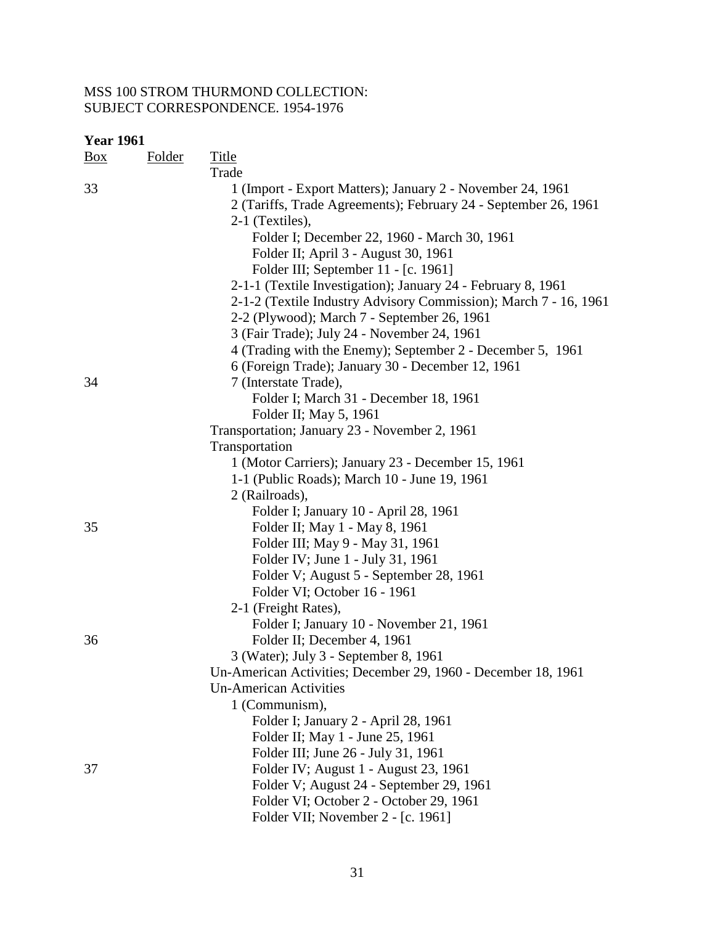| <b>Year 1961</b> |               |                                                                  |  |  |
|------------------|---------------|------------------------------------------------------------------|--|--|
| Box              | <b>Folder</b> | <b>Title</b>                                                     |  |  |
|                  |               | Trade                                                            |  |  |
| 33               |               | 1 (Import - Export Matters); January 2 - November 24, 1961       |  |  |
|                  |               | 2 (Tariffs, Trade Agreements); February 24 - September 26, 1961  |  |  |
|                  |               | 2-1 (Textiles),                                                  |  |  |
|                  |               | Folder I; December 22, 1960 - March 30, 1961                     |  |  |
|                  |               | Folder II; April 3 - August 30, 1961                             |  |  |
|                  |               | Folder III; September 11 - [c. 1961]                             |  |  |
|                  |               | 2-1-1 (Textile Investigation); January 24 - February 8, 1961     |  |  |
|                  |               | 2-1-2 (Textile Industry Advisory Commission); March 7 - 16, 1961 |  |  |
|                  |               | 2-2 (Plywood); March 7 - September 26, 1961                      |  |  |
|                  |               | 3 (Fair Trade); July 24 - November 24, 1961                      |  |  |
|                  |               | 4 (Trading with the Enemy); September 2 - December 5, 1961       |  |  |
|                  |               | 6 (Foreign Trade); January 30 - December 12, 1961                |  |  |
| 34               |               | 7 (Interstate Trade),                                            |  |  |
|                  |               | Folder I; March 31 - December 18, 1961                           |  |  |
|                  |               | Folder II; May 5, 1961                                           |  |  |
|                  |               | Transportation; January 23 - November 2, 1961                    |  |  |
|                  |               | Transportation                                                   |  |  |
|                  |               | 1 (Motor Carriers); January 23 - December 15, 1961               |  |  |
|                  |               | 1-1 (Public Roads); March 10 - June 19, 1961                     |  |  |
|                  |               | 2 (Railroads),                                                   |  |  |
|                  |               | Folder I; January 10 - April 28, 1961                            |  |  |
| 35               |               | Folder II; May 1 - May 8, 1961                                   |  |  |
|                  |               | Folder III; May 9 - May 31, 1961                                 |  |  |
|                  |               | Folder IV; June 1 - July 31, 1961                                |  |  |
|                  |               | Folder V; August 5 - September 28, 1961                          |  |  |
|                  |               | Folder VI; October 16 - 1961                                     |  |  |
|                  |               | 2-1 (Freight Rates),                                             |  |  |
|                  |               | Folder I; January 10 - November 21, 1961                         |  |  |
| 36               |               | Folder II; December 4, 1961                                      |  |  |
|                  |               | 3 (Water); July 3 - September 8, 1961                            |  |  |
|                  |               | Un-American Activities; December 29, 1960 - December 18, 1961    |  |  |
|                  |               | <b>Un-American Activities</b>                                    |  |  |
|                  |               | 1 (Communism),                                                   |  |  |
|                  |               | Folder I; January 2 - April 28, 1961                             |  |  |
|                  |               | Folder II; May 1 - June 25, 1961                                 |  |  |
|                  |               | Folder III; June 26 - July 31, 1961                              |  |  |
| 37               |               | Folder IV; August 1 - August 23, 1961                            |  |  |
|                  |               | Folder V; August 24 - September 29, 1961                         |  |  |
|                  |               | Folder VI; October 2 - October 29, 1961                          |  |  |
|                  |               | Folder VII; November 2 - [c. 1961]                               |  |  |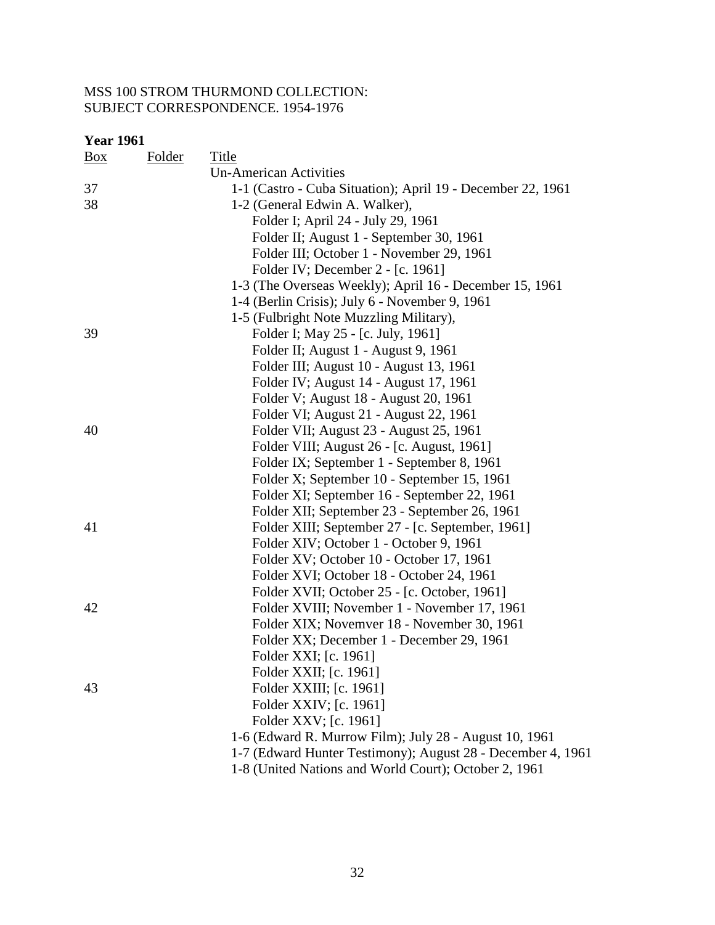| <b>Box</b> | <b>Folder</b> | Title                                                       |
|------------|---------------|-------------------------------------------------------------|
|            |               | <b>Un-American Activities</b>                               |
| 37         |               | 1-1 (Castro - Cuba Situation); April 19 - December 22, 1961 |
| 38         |               | 1-2 (General Edwin A. Walker),                              |
|            |               | Folder I; April 24 - July 29, 1961                          |
|            |               | Folder II; August 1 - September 30, 1961                    |
|            |               | Folder III; October 1 - November 29, 1961                   |
|            |               | Folder IV; December 2 - [c. 1961]                           |
|            |               | 1-3 (The Overseas Weekly); April 16 - December 15, 1961     |
|            |               | 1-4 (Berlin Crisis); July 6 - November 9, 1961              |
|            |               | 1-5 (Fulbright Note Muzzling Military),                     |
| 39         |               | Folder I; May 25 - [c. July, 1961]                          |
|            |               | Folder II; August 1 - August 9, 1961                        |
|            |               | Folder III; August 10 - August 13, 1961                     |
|            |               | Folder IV; August 14 - August 17, 1961                      |
|            |               | Folder V; August 18 - August 20, 1961                       |
|            |               | Folder VI; August 21 - August 22, 1961                      |
| 40         |               | Folder VII; August 23 - August 25, 1961                     |
|            |               | Folder VIII; August 26 - [c. August, 1961]                  |
|            |               | Folder IX; September 1 - September 8, 1961                  |
|            |               | Folder X; September 10 - September 15, 1961                 |
|            |               | Folder XI; September 16 - September 22, 1961                |
|            |               | Folder XII; September 23 - September 26, 1961               |
| 41         |               | Folder XIII; September 27 - [c. September, 1961]            |
|            |               | Folder XIV; October 1 - October 9, 1961                     |
|            |               | Folder XV; October 10 - October 17, 1961                    |
|            |               | Folder XVI; October 18 - October 24, 1961                   |
|            |               | Folder XVII; October 25 - [c. October, 1961]                |
| 42         |               | Folder XVIII; November 1 - November 17, 1961                |
|            |               | Folder XIX; Novemver 18 - November 30, 1961                 |
|            |               | Folder XX; December 1 - December 29, 1961                   |
|            |               | Folder XXI; [c. 1961]                                       |
|            |               | Folder XXII; [c. 1961]                                      |
| 43         |               | Folder XXIII; [c. 1961]                                     |
|            |               | Folder XXIV; [c. 1961]                                      |
|            |               | Folder XXV; [c. 1961]                                       |
|            |               | 1-6 (Edward R. Murrow Film); July 28 - August 10, 1961      |
|            |               | 1-7 (Edward Hunter Testimony); August 28 - December 4, 1961 |
|            |               | 1-8 (United Nations and World Court); October 2, 1961       |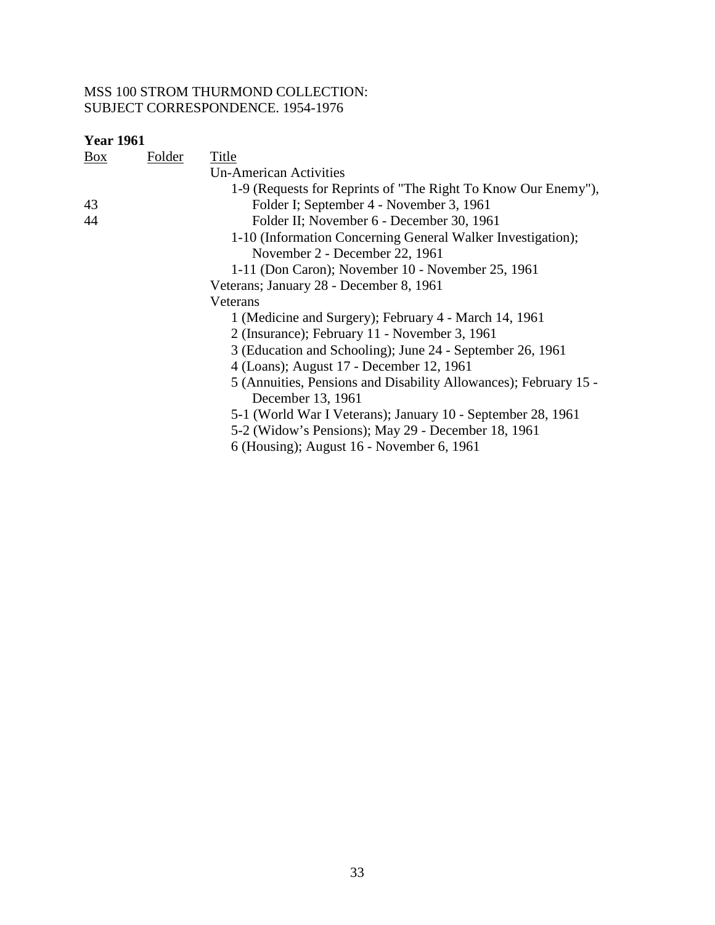| <b>Year 1961</b> |               |                                                                  |
|------------------|---------------|------------------------------------------------------------------|
| $\frac{Box}{}$   | <b>Folder</b> | Title                                                            |
|                  |               | <b>Un-American Activities</b>                                    |
|                  |               | 1-9 (Requests for Reprints of "The Right To Know Our Enemy"),    |
| 43               |               | Folder I; September 4 - November 3, 1961                         |
| 44               |               | Folder II; November 6 - December 30, 1961                        |
|                  |               | 1-10 (Information Concerning General Walker Investigation);      |
|                  |               | November 2 - December 22, 1961                                   |
|                  |               | 1-11 (Don Caron); November 10 - November 25, 1961                |
|                  |               | Veterans; January 28 - December 8, 1961                          |
|                  |               | Veterans                                                         |
|                  |               | 1 (Medicine and Surgery); February 4 - March 14, 1961            |
|                  |               | 2 (Insurance); February 11 - November 3, 1961                    |
|                  |               | 3 (Education and Schooling); June 24 - September 26, 1961        |
|                  |               | 4 (Loans); August 17 - December 12, 1961                         |
|                  |               | 5 (Annuities, Pensions and Disability Allowances); February 15 - |
|                  |               | December 13, 1961                                                |
|                  |               | 5-1 (World War I Veterans); January 10 - September 28, 1961      |
|                  |               | 5-2 (Widow's Pensions); May 29 - December 18, 1961               |
|                  |               | 6 (Housing); August 16 - November 6, 1961                        |
|                  |               |                                                                  |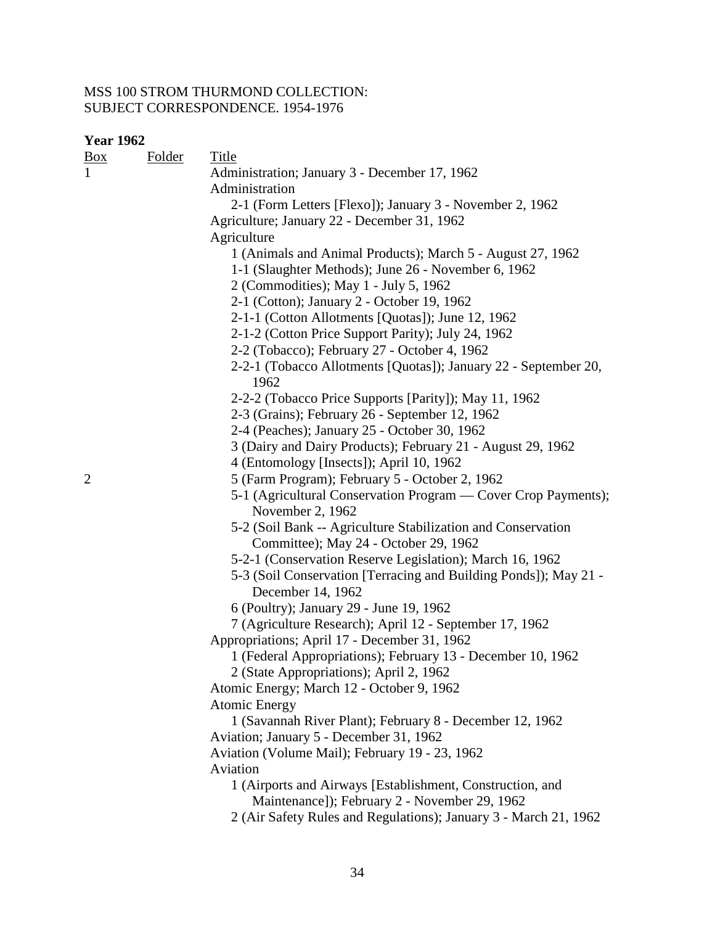| $1 \, \mathrm{u}$ $1 \, \mathrm{v}$<br><b>Folder</b><br>Box | <b>Title</b>                                                                       |
|-------------------------------------------------------------|------------------------------------------------------------------------------------|
|                                                             | Administration; January 3 - December 17, 1962                                      |
|                                                             | Administration                                                                     |
|                                                             | 2-1 (Form Letters [Flexo]); January 3 - November 2, 1962                           |
|                                                             | Agriculture; January 22 - December 31, 1962                                        |
|                                                             | Agriculture                                                                        |
|                                                             | 1 (Animals and Animal Products); March 5 - August 27, 1962                         |
|                                                             | 1-1 (Slaughter Methods); June 26 - November 6, 1962                                |
|                                                             | 2 (Commodities); May 1 - July 5, 1962                                              |
|                                                             | 2-1 (Cotton); January 2 - October 19, 1962                                         |
|                                                             | 2-1-1 (Cotton Allotments [Quotas]); June 12, 1962                                  |
|                                                             | 2-1-2 (Cotton Price Support Parity); July 24, 1962                                 |
|                                                             | 2-2 (Tobacco); February 27 - October 4, 1962                                       |
|                                                             | 2-2-1 (Tobacco Allotments [Quotas]); January 22 - September 20,<br>1962            |
|                                                             | 2-2-2 (Tobacco Price Supports [Parity]); May 11, 1962                              |
|                                                             | 2-3 (Grains); February 26 - September 12, 1962                                     |
|                                                             | 2-4 (Peaches); January 25 - October 30, 1962                                       |
|                                                             | 3 (Dairy and Dairy Products); February 21 - August 29, 1962                        |
|                                                             | 4 (Entomology [Insects]); April 10, 1962                                           |
| $\overline{c}$                                              | 5 (Farm Program); February 5 - October 2, 1962                                     |
|                                                             | 5-1 (Agricultural Conservation Program — Cover Crop Payments);<br>November 2, 1962 |
|                                                             | 5-2 (Soil Bank -- Agriculture Stabilization and Conservation                       |
|                                                             | Committee); May 24 - October 29, 1962                                              |
|                                                             | 5-2-1 (Conservation Reserve Legislation); March 16, 1962                           |
|                                                             | 5-3 (Soil Conservation [Terracing and Building Ponds]); May 21 -                   |
|                                                             | December 14, 1962                                                                  |
|                                                             | 6 (Poultry); January 29 - June 19, 1962                                            |
|                                                             | 7 (Agriculture Research); April 12 - September 17, 1962                            |
|                                                             | Appropriations; April 17 - December 31, 1962                                       |
|                                                             | 1 (Federal Appropriations); February 13 - December 10, 1962                        |
|                                                             | 2 (State Appropriations); April 2, 1962                                            |
|                                                             | Atomic Energy; March 12 - October 9, 1962                                          |
|                                                             | <b>Atomic Energy</b>                                                               |
|                                                             | 1 (Savannah River Plant); February 8 - December 12, 1962                           |
|                                                             | Aviation; January 5 - December 31, 1962                                            |
|                                                             | Aviation (Volume Mail); February 19 - 23, 1962                                     |
|                                                             | Aviation                                                                           |
|                                                             | 1 (Airports and Airways [Establishment, Construction, and                          |
|                                                             | Maintenance]); February 2 - November 29, 1962                                      |
|                                                             | 2 (Air Safety Rules and Regulations); January 3 - March 21, 1962                   |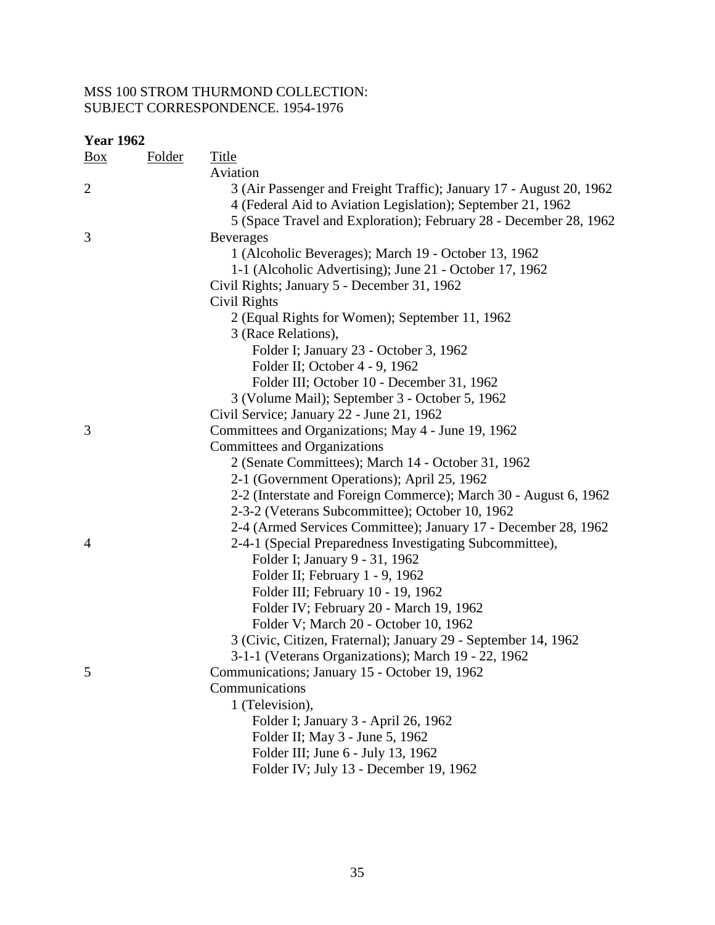| <b>Year 1962</b>  |               |                                                                                                                                                                                                         |
|-------------------|---------------|---------------------------------------------------------------------------------------------------------------------------------------------------------------------------------------------------------|
| $\underline{Box}$ | <u>Folder</u> | <b>Title</b>                                                                                                                                                                                            |
|                   |               | Aviation                                                                                                                                                                                                |
| $\mathfrak{2}$    |               | 3 (Air Passenger and Freight Traffic); January 17 - August 20, 1962<br>4 (Federal Aid to Aviation Legislation); September 21, 1962<br>5 (Space Travel and Exploration); February 28 - December 28, 1962 |
| 3                 |               | <b>Beverages</b>                                                                                                                                                                                        |
|                   |               | 1 (Alcoholic Beverages); March 19 - October 13, 1962                                                                                                                                                    |
|                   |               | 1-1 (Alcoholic Advertising); June 21 - October 17, 1962                                                                                                                                                 |
|                   |               | Civil Rights; January 5 - December 31, 1962                                                                                                                                                             |
|                   |               | Civil Rights                                                                                                                                                                                            |
|                   |               | 2 (Equal Rights for Women); September 11, 1962                                                                                                                                                          |
|                   |               | 3 (Race Relations),                                                                                                                                                                                     |
|                   |               | Folder I; January 23 - October 3, 1962                                                                                                                                                                  |
|                   |               | Folder II; October 4 - 9, 1962                                                                                                                                                                          |
|                   |               | Folder III; October 10 - December 31, 1962                                                                                                                                                              |
|                   |               | 3 (Volume Mail); September 3 - October 5, 1962                                                                                                                                                          |
|                   |               | Civil Service; January 22 - June 21, 1962                                                                                                                                                               |
| 3                 |               | Committees and Organizations; May 4 - June 19, 1962                                                                                                                                                     |
|                   |               | Committees and Organizations                                                                                                                                                                            |
|                   |               | 2 (Senate Committees); March 14 - October 31, 1962                                                                                                                                                      |
|                   |               | 2-1 (Government Operations); April 25, 1962                                                                                                                                                             |
|                   |               | 2-2 (Interstate and Foreign Commerce); March 30 - August 6, 1962                                                                                                                                        |
|                   |               | 2-3-2 (Veterans Subcommittee); October 10, 1962                                                                                                                                                         |
|                   |               | 2-4 (Armed Services Committee); January 17 - December 28, 1962                                                                                                                                          |
| 4                 |               | 2-4-1 (Special Preparedness Investigating Subcommittee),                                                                                                                                                |
|                   |               | Folder I; January 9 - 31, 1962                                                                                                                                                                          |
|                   |               | Folder II; February 1 - 9, 1962                                                                                                                                                                         |
|                   |               | Folder III; February 10 - 19, 1962                                                                                                                                                                      |
|                   |               | Folder IV; February 20 - March 19, 1962                                                                                                                                                                 |
|                   |               | Folder V; March 20 - October 10, 1962                                                                                                                                                                   |
|                   |               | 3 (Civic, Citizen, Fraternal); January 29 - September 14, 1962                                                                                                                                          |
|                   |               | 3-1-1 (Veterans Organizations); March 19 - 22, 1962                                                                                                                                                     |
| 5                 |               | Communications; January 15 - October 19, 1962                                                                                                                                                           |
|                   |               | Communications                                                                                                                                                                                          |
|                   |               | 1 (Television),                                                                                                                                                                                         |
|                   |               | Folder I; January 3 - April 26, 1962                                                                                                                                                                    |
|                   |               | Folder II; May 3 - June 5, 1962                                                                                                                                                                         |
|                   |               | Folder III; June 6 - July 13, 1962                                                                                                                                                                      |
|                   |               | Folder IV; July 13 - December 19, 1962                                                                                                                                                                  |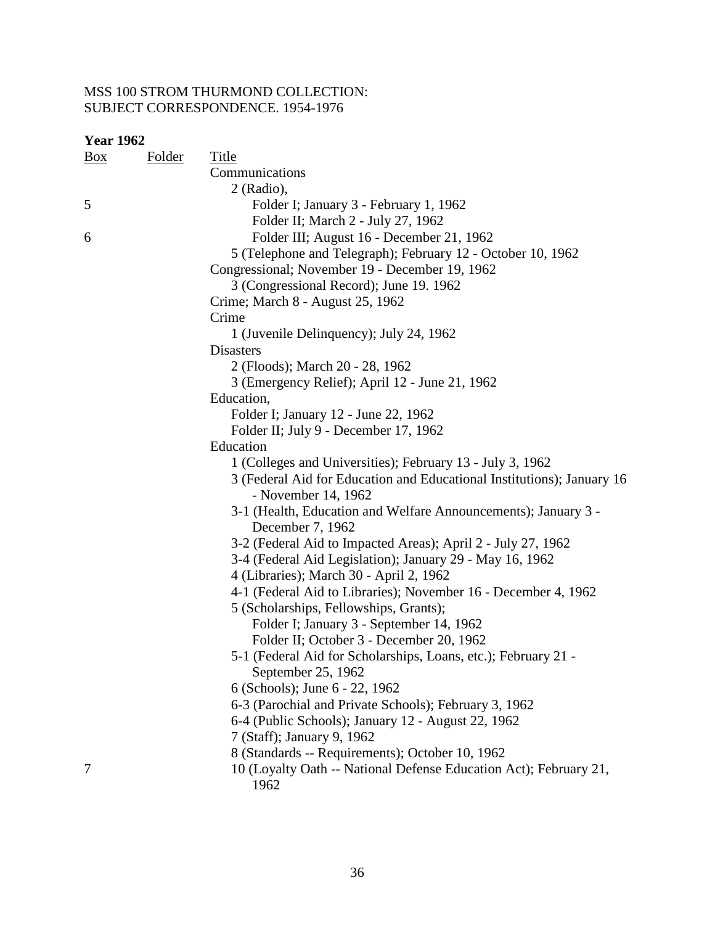| <b>Year 1962</b> |               |                                                                           |
|------------------|---------------|---------------------------------------------------------------------------|
| $\frac{Box}{}$   | <b>Folder</b> | <b>Title</b>                                                              |
|                  |               | Communications                                                            |
|                  |               | $2$ (Radio),                                                              |
| 5                |               | Folder I; January 3 - February 1, 1962                                    |
|                  |               | Folder II; March 2 - July 27, 1962                                        |
| 6                |               | Folder III; August 16 - December 21, 1962                                 |
|                  |               | 5 (Telephone and Telegraph); February 12 - October 10, 1962               |
|                  |               | Congressional; November 19 - December 19, 1962                            |
|                  |               | 3 (Congressional Record); June 19. 1962                                   |
|                  |               | Crime; March 8 - August 25, 1962                                          |
|                  |               | Crime                                                                     |
|                  |               | 1 (Juvenile Delinquency); July 24, 1962                                   |
|                  |               | Disasters                                                                 |
|                  |               | 2 (Floods); March 20 - 28, 1962                                           |
|                  |               | 3 (Emergency Relief); April 12 - June 21, 1962                            |
|                  |               | Education,                                                                |
|                  |               | Folder I; January 12 - June 22, 1962                                      |
|                  |               | Folder II; July 9 - December 17, 1962                                     |
|                  |               | Education                                                                 |
|                  |               | 1 (Colleges and Universities); February 13 - July 3, 1962                 |
|                  |               | 3 (Federal Aid for Education and Educational Institutions); January 16    |
|                  |               | - November 14, 1962                                                       |
|                  |               | 3-1 (Health, Education and Welfare Announcements); January 3 -            |
|                  |               | December 7, 1962                                                          |
|                  |               | 3-2 (Federal Aid to Impacted Areas); April 2 - July 27, 1962              |
|                  |               | 3-4 (Federal Aid Legislation); January 29 - May 16, 1962                  |
|                  |               | 4 (Libraries); March 30 - April 2, 1962                                   |
|                  |               | 4-1 (Federal Aid to Libraries); November 16 - December 4, 1962            |
|                  |               | 5 (Scholarships, Fellowships, Grants);                                    |
|                  |               | Folder I; January 3 - September 14, 1962                                  |
|                  |               | Folder II; October 3 - December 20, 1962                                  |
|                  |               | 5-1 (Federal Aid for Scholarships, Loans, etc.); February 21 -            |
|                  |               | September 25, 1962                                                        |
|                  |               | 6 (Schools); June 6 - 22, 1962                                            |
|                  |               | 6-3 (Parochial and Private Schools); February 3, 1962                     |
|                  |               | 6-4 (Public Schools); January 12 - August 22, 1962                        |
|                  |               | 7 (Staff); January 9, 1962                                                |
|                  |               | 8 (Standards -- Requirements); October 10, 1962                           |
| 7                |               | 10 (Loyalty Oath -- National Defense Education Act); February 21,<br>1962 |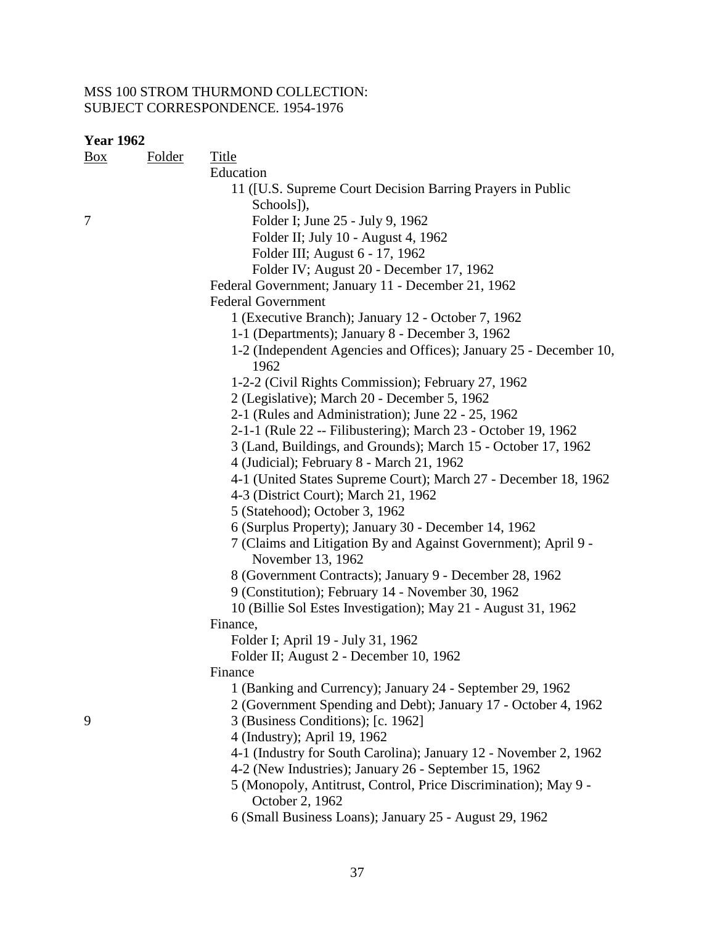| <b>Year 1962</b> |               |                                                                   |
|------------------|---------------|-------------------------------------------------------------------|
| $\frac{Box}{}$   | <b>Folder</b> | <b>Title</b>                                                      |
|                  |               | Education                                                         |
|                  |               | 11 ([U.S. Supreme Court Decision Barring Prayers in Public        |
|                  |               | Schools]),                                                        |
| 7                |               | Folder I; June 25 - July 9, 1962                                  |
|                  |               | Folder II; July 10 - August 4, 1962                               |
|                  |               | Folder III; August 6 - 17, 1962                                   |
|                  |               | Folder IV; August 20 - December 17, 1962                          |
|                  |               | Federal Government; January 11 - December 21, 1962                |
|                  |               | <b>Federal Government</b>                                         |
|                  |               | 1 (Executive Branch); January 12 - October 7, 1962                |
|                  |               | 1-1 (Departments); January 8 - December 3, 1962                   |
|                  |               | 1-2 (Independent Agencies and Offices); January 25 - December 10, |
|                  |               | 1962                                                              |
|                  |               | 1-2-2 (Civil Rights Commission); February 27, 1962                |
|                  |               | 2 (Legislative); March 20 - December 5, 1962                      |
|                  |               | 2-1 (Rules and Administration); June 22 - 25, 1962                |
|                  |               | 2-1-1 (Rule 22 -- Filibustering); March 23 - October 19, 1962     |
|                  |               | 3 (Land, Buildings, and Grounds); March 15 - October 17, 1962     |
|                  |               | 4 (Judicial); February 8 - March 21, 1962                         |
|                  |               | 4-1 (United States Supreme Court); March 27 - December 18, 1962   |
|                  |               | 4-3 (District Court); March 21, 1962                              |
|                  |               | 5 (Statehood); October 3, 1962                                    |
|                  |               | 6 (Surplus Property); January 30 - December 14, 1962              |
|                  |               | 7 (Claims and Litigation By and Against Government); April 9 -    |
|                  |               | November 13, 1962                                                 |
|                  |               | 8 (Government Contracts); January 9 - December 28, 1962           |
|                  |               | 9 (Constitution); February 14 - November 30, 1962                 |
|                  |               | 10 (Billie Sol Estes Investigation); May 21 - August 31, 1962     |
|                  |               | Finance,                                                          |
|                  |               | Folder I; April 19 - July 31, 1962                                |
|                  |               | Folder II; August 2 - December 10, 1962                           |
|                  |               | Finance                                                           |
|                  |               | 1 (Banking and Currency); January 24 - September 29, 1962         |
|                  |               | 2 (Government Spending and Debt); January 17 - October 4, 1962    |
| 9                |               | 3 (Business Conditions); [c. 1962]                                |
|                  |               | 4 (Industry); April 19, 1962                                      |
|                  |               | 4-1 (Industry for South Carolina); January 12 - November 2, 1962  |
|                  |               | 4-2 (New Industries); January 26 - September 15, 1962             |
|                  |               | 5 (Monopoly, Antitrust, Control, Price Discrimination); May 9 -   |
|                  |               | October 2, 1962                                                   |
|                  |               | 6 (Small Business Loans); January 25 - August 29, 1962            |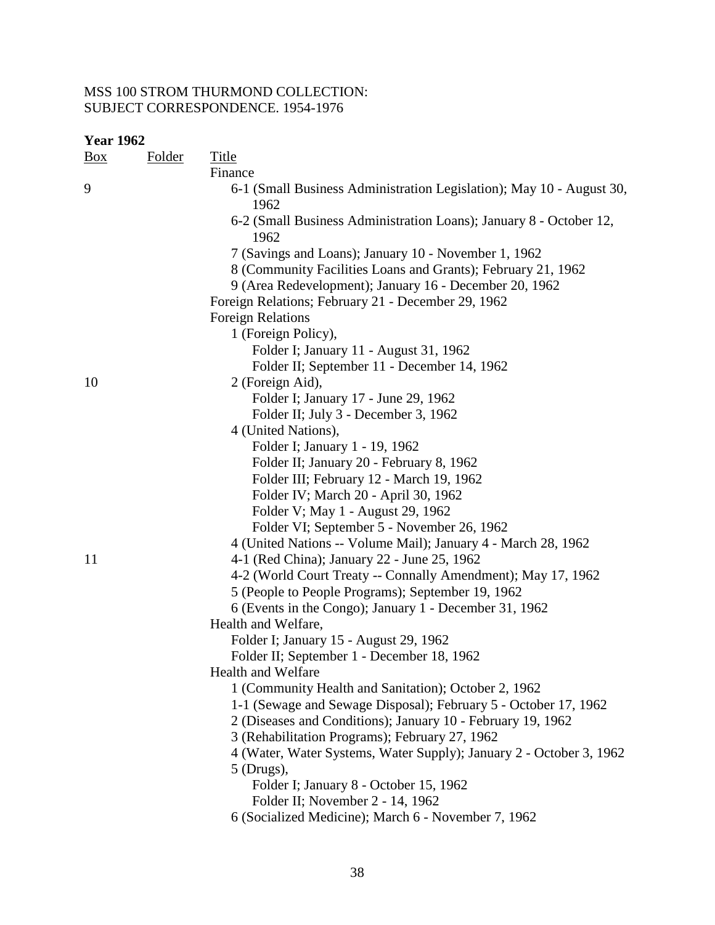| <b>Year 1962</b> |               |                                                                              |  |  |
|------------------|---------------|------------------------------------------------------------------------------|--|--|
| $\frac{Box}{}$   | <b>Folder</b> | <b>Title</b>                                                                 |  |  |
|                  |               | Finance                                                                      |  |  |
| 9                |               | 6-1 (Small Business Administration Legislation); May 10 - August 30,<br>1962 |  |  |
|                  |               | 6-2 (Small Business Administration Loans); January 8 - October 12,<br>1962   |  |  |
|                  |               | 7 (Savings and Loans); January 10 - November 1, 1962                         |  |  |
|                  |               | 8 (Community Facilities Loans and Grants); February 21, 1962                 |  |  |
|                  |               | 9 (Area Redevelopment); January 16 - December 20, 1962                       |  |  |
|                  |               | Foreign Relations; February 21 - December 29, 1962                           |  |  |
|                  |               | <b>Foreign Relations</b>                                                     |  |  |
|                  |               | 1 (Foreign Policy),                                                          |  |  |
|                  |               | Folder I; January 11 - August 31, 1962                                       |  |  |
|                  |               | Folder II; September 11 - December 14, 1962                                  |  |  |
| 10               |               | 2 (Foreign Aid),                                                             |  |  |
|                  |               | Folder I; January 17 - June 29, 1962                                         |  |  |
|                  |               | Folder II; July 3 - December 3, 1962                                         |  |  |
|                  |               | 4 (United Nations),                                                          |  |  |
|                  |               | Folder I; January 1 - 19, 1962                                               |  |  |
|                  |               | Folder II; January 20 - February 8, 1962                                     |  |  |
|                  |               | Folder III; February 12 - March 19, 1962                                     |  |  |
|                  |               | Folder IV; March 20 - April 30, 1962                                         |  |  |
|                  |               | Folder V; May 1 - August 29, 1962                                            |  |  |
|                  |               | Folder VI; September 5 - November 26, 1962                                   |  |  |
|                  |               | 4 (United Nations -- Volume Mail); January 4 - March 28, 1962                |  |  |
| 11               |               | 4-1 (Red China); January 22 - June 25, 1962                                  |  |  |
|                  |               | 4-2 (World Court Treaty -- Connally Amendment); May 17, 1962                 |  |  |
|                  |               | 5 (People to People Programs); September 19, 1962                            |  |  |
|                  |               | 6 (Events in the Congo); January 1 - December 31, 1962                       |  |  |
|                  |               | Health and Welfare,                                                          |  |  |
|                  |               | Folder I; January 15 - August 29, 1962                                       |  |  |
|                  |               | Folder II; September 1 - December 18, 1962                                   |  |  |
|                  |               | <b>Health and Welfare</b>                                                    |  |  |
|                  |               | 1 (Community Health and Sanitation); October 2, 1962                         |  |  |
|                  |               | 1-1 (Sewage and Sewage Disposal); February 5 - October 17, 1962              |  |  |
|                  |               | 2 (Diseases and Conditions); January 10 - February 19, 1962                  |  |  |
|                  |               | 3 (Rehabilitation Programs); February 27, 1962                               |  |  |
|                  |               | 4 (Water, Water Systems, Water Supply); January 2 - October 3, 1962          |  |  |
|                  |               | $5$ (Drugs),                                                                 |  |  |
|                  |               | Folder I; January 8 - October 15, 1962                                       |  |  |
|                  |               | Folder II; November 2 - 14, 1962                                             |  |  |
|                  |               | 6 (Socialized Medicine); March 6 - November 7, 1962                          |  |  |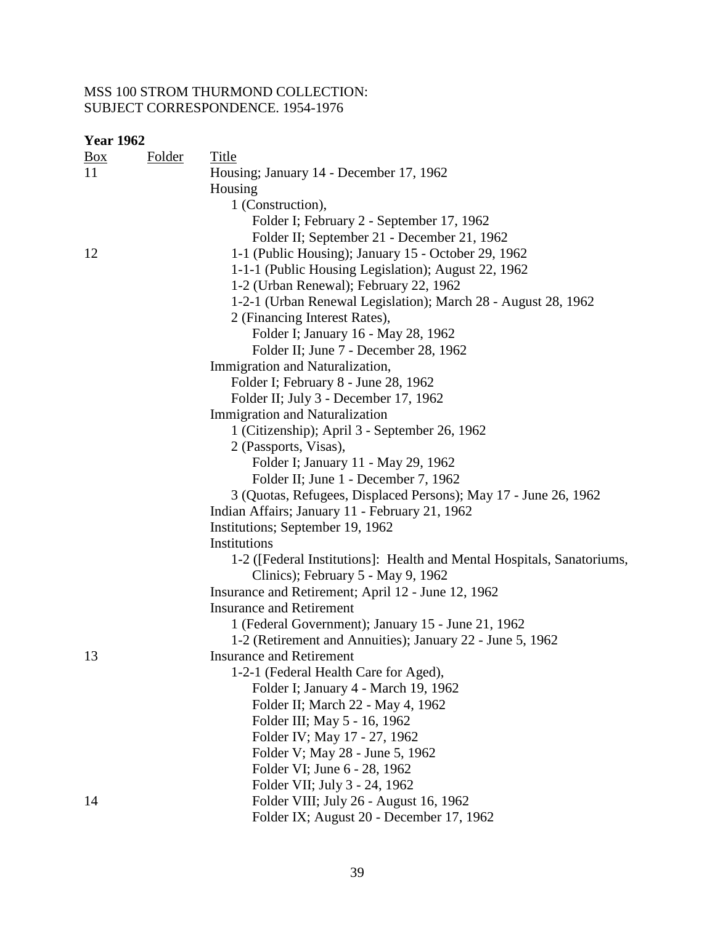| $\underline{Box}$ | Folder | Title                                                                  |
|-------------------|--------|------------------------------------------------------------------------|
| 11                |        | Housing; January 14 - December 17, 1962                                |
|                   |        | Housing                                                                |
|                   |        | 1 (Construction),                                                      |
|                   |        | Folder I; February 2 - September 17, 1962                              |
|                   |        | Folder II; September 21 - December 21, 1962                            |
| 12                |        | 1-1 (Public Housing); January 15 - October 29, 1962                    |
|                   |        | 1-1-1 (Public Housing Legislation); August 22, 1962                    |
|                   |        | 1-2 (Urban Renewal); February 22, 1962                                 |
|                   |        | 1-2-1 (Urban Renewal Legislation); March 28 - August 28, 1962          |
|                   |        | 2 (Financing Interest Rates),                                          |
|                   |        | Folder I; January 16 - May 28, 1962                                    |
|                   |        | Folder II; June 7 - December 28, 1962                                  |
|                   |        | Immigration and Naturalization,                                        |
|                   |        | Folder I; February 8 - June 28, 1962                                   |
|                   |        | Folder II; July 3 - December 17, 1962                                  |
|                   |        | <b>Immigration and Naturalization</b>                                  |
|                   |        | 1 (Citizenship); April 3 - September 26, 1962                          |
|                   |        | 2 (Passports, Visas),                                                  |
|                   |        | Folder I; January 11 - May 29, 1962                                    |
|                   |        | Folder II; June 1 - December 7, 1962                                   |
|                   |        | 3 (Quotas, Refugees, Displaced Persons); May 17 - June 26, 1962        |
|                   |        | Indian Affairs; January 11 - February 21, 1962                         |
|                   |        | Institutions; September 19, 1962                                       |
|                   |        | Institutions                                                           |
|                   |        | 1-2 ([Federal Institutions]: Health and Mental Hospitals, Sanatoriums, |
|                   |        | Clinics); February 5 - May 9, 1962                                     |
|                   |        | Insurance and Retirement; April 12 - June 12, 1962                     |
|                   |        | <b>Insurance and Retirement</b>                                        |
|                   |        | 1 (Federal Government); January 15 - June 21, 1962                     |
|                   |        | 1-2 (Retirement and Annuities); January 22 - June 5, 1962              |
| 13                |        | <b>Insurance and Retirement</b>                                        |
|                   |        | 1-2-1 (Federal Health Care for Aged),                                  |
|                   |        | Folder I; January 4 - March 19, 1962                                   |
|                   |        | Folder II; March 22 - May 4, 1962                                      |
|                   |        | Folder III; May 5 - 16, 1962                                           |
|                   |        | Folder IV; May 17 - 27, 1962                                           |
|                   |        | Folder V; May 28 - June 5, 1962                                        |
|                   |        | Folder VI; June 6 - 28, 1962                                           |
|                   |        | Folder VII; July 3 - 24, 1962                                          |
| 14                |        | Folder VIII; July 26 - August 16, 1962                                 |
|                   |        | Folder IX; August 20 - December 17, 1962                               |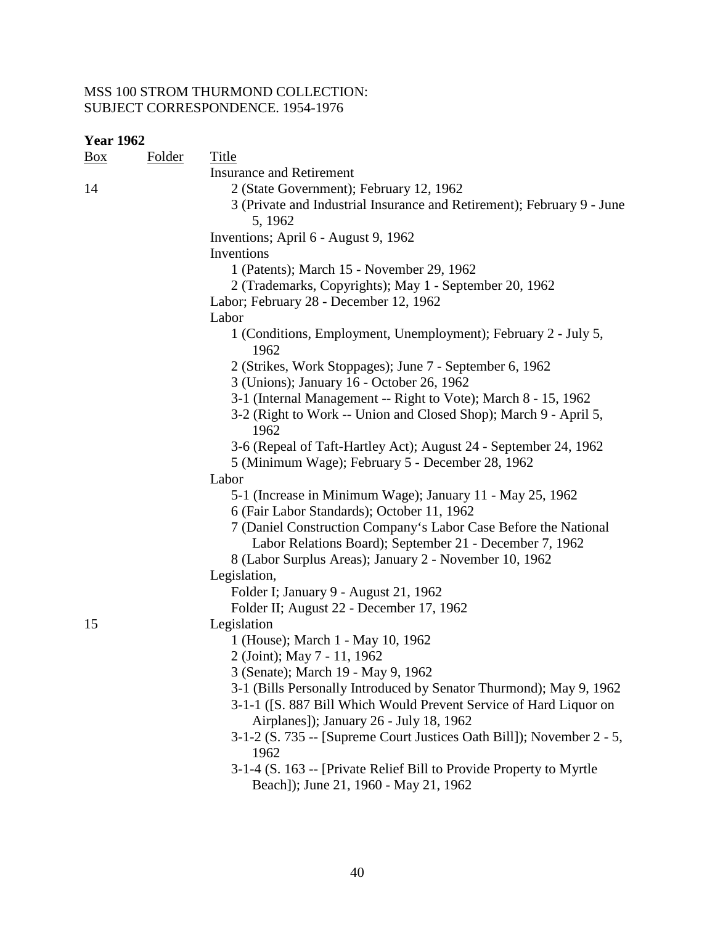| Box | <b>Folder</b> | <b>Title</b>                                                                                                 |
|-----|---------------|--------------------------------------------------------------------------------------------------------------|
|     |               | <b>Insurance and Retirement</b>                                                                              |
| 14  |               | 2 (State Government); February 12, 1962                                                                      |
|     |               | 3 (Private and Industrial Insurance and Retirement); February 9 - June<br>5, 1962                            |
|     |               | Inventions; April 6 - August 9, 1962                                                                         |
|     |               | Inventions                                                                                                   |
|     |               | 1 (Patents); March 15 - November 29, 1962                                                                    |
|     |               | 2 (Trademarks, Copyrights); May 1 - September 20, 1962                                                       |
|     |               | Labor; February 28 - December 12, 1962                                                                       |
|     |               | Labor                                                                                                        |
|     |               | 1 (Conditions, Employment, Unemployment); February 2 - July 5,<br>1962                                       |
|     |               | 2 (Strikes, Work Stoppages); June 7 - September 6, 1962                                                      |
|     |               | 3 (Unions); January 16 - October 26, 1962                                                                    |
|     |               | 3-1 (Internal Management -- Right to Vote); March 8 - 15, 1962                                               |
|     |               | 3-2 (Right to Work -- Union and Closed Shop); March 9 - April 5,<br>1962                                     |
|     |               | 3-6 (Repeal of Taft-Hartley Act); August 24 - September 24, 1962                                             |
|     |               | 5 (Minimum Wage); February 5 - December 28, 1962                                                             |
|     |               | Labor                                                                                                        |
|     |               | 5-1 (Increase in Minimum Wage); January 11 - May 25, 1962                                                    |
|     |               | 6 (Fair Labor Standards); October 11, 1962                                                                   |
|     |               | 7 (Daniel Construction Company's Labor Case Before the National                                              |
|     |               | Labor Relations Board); September 21 - December 7, 1962                                                      |
|     |               | 8 (Labor Surplus Areas); January 2 - November 10, 1962                                                       |
|     |               | Legislation,                                                                                                 |
|     |               | Folder I; January 9 - August 21, 1962                                                                        |
| 15  |               | Folder II; August 22 - December 17, 1962                                                                     |
|     |               | Legislation<br>1 (House); March 1 - May 10, 1962                                                             |
|     |               | 2 (Joint); May 7 - 11, 1962                                                                                  |
|     |               | 3 (Senate); March 19 - May 9, 1962                                                                           |
|     |               | 3-1 (Bills Personally Introduced by Senator Thurmond); May 9, 1962                                           |
|     |               | 3-1-1 ([S. 887 Bill Which Would Prevent Service of Hard Liquor on<br>Airplanes]); January 26 - July 18, 1962 |
|     |               | 3-1-2 (S. 735 -- [Supreme Court Justices Oath Bill]); November 2 - 5,<br>1962                                |
|     |               | 3-1-4 (S. 163 -- [Private Relief Bill to Provide Property to Myrtle<br>Beach]); June 21, 1960 - May 21, 1962 |
|     |               |                                                                                                              |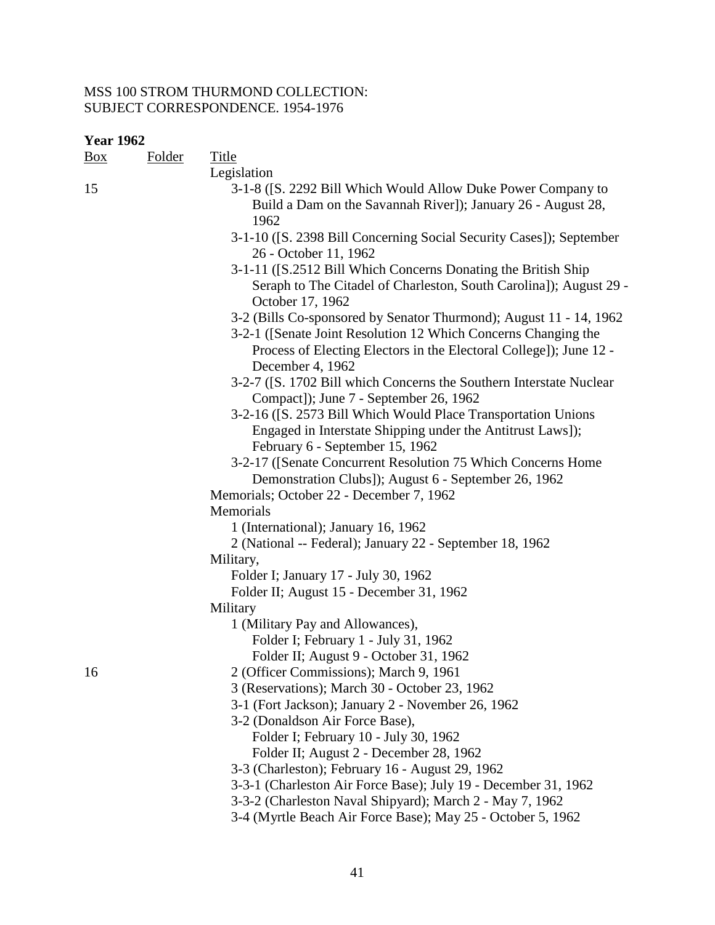| Box | <b>Folder</b> | Title                                                                                                                                                          |
|-----|---------------|----------------------------------------------------------------------------------------------------------------------------------------------------------------|
| 15  |               | Legislation<br>3-1-8 ([S. 2292 Bill Which Would Allow Duke Power Company to<br>Build a Dam on the Savannah River]); January 26 - August 28,<br>1962            |
|     |               | 3-1-10 ([S. 2398 Bill Concerning Social Security Cases]); September<br>26 - October 11, 1962                                                                   |
|     |               | 3-1-11 ([S.2512 Bill Which Concerns Donating the British Ship<br>Seraph to The Citadel of Charleston, South Carolina]); August 29 -<br>October 17, 1962        |
|     |               | 3-2 (Bills Co-sponsored by Senator Thurmond); August 11 - 14, 1962<br>3-2-1 (Senate Joint Resolution 12 Which Concerns Changing the                            |
|     |               | Process of Electing Electors in the Electoral College]); June 12 -<br>December 4, 1962                                                                         |
|     |               | 3-2-7 ([S. 1702 Bill which Concerns the Southern Interstate Nuclear<br>Compact]); June 7 - September 26, 1962                                                  |
|     |               | 3-2-16 ([S. 2573 Bill Which Would Place Transportation Unions<br>Engaged in Interstate Shipping under the Antitrust Laws]);<br>February 6 - September 15, 1962 |
|     |               | 3-2-17 (Senate Concurrent Resolution 75 Which Concerns Home<br>Demonstration Clubs]); August 6 - September 26, 1962                                            |
|     |               | Memorials; October 22 - December 7, 1962<br>Memorials                                                                                                          |
|     |               | 1 (International); January 16, 1962                                                                                                                            |
|     |               | 2 (National -- Federal); January 22 - September 18, 1962                                                                                                       |
|     |               | Military,                                                                                                                                                      |
|     |               | Folder I; January 17 - July 30, 1962                                                                                                                           |
|     |               | Folder II; August 15 - December 31, 1962<br>Military                                                                                                           |
|     |               | 1 (Military Pay and Allowances),                                                                                                                               |
|     |               | Folder I; February 1 - July 31, 1962                                                                                                                           |
|     |               | Folder II; August 9 - October 31, 1962                                                                                                                         |
| 16  |               | 2 (Officer Commissions); March 9, 1961                                                                                                                         |
|     |               | 3 (Reservations); March 30 - October 23, 1962                                                                                                                  |
|     |               | 3-1 (Fort Jackson); January 2 - November 26, 1962                                                                                                              |
|     |               | 3-2 (Donaldson Air Force Base),                                                                                                                                |
|     |               | Folder I; February 10 - July 30, 1962                                                                                                                          |
|     |               | Folder II; August 2 - December 28, 1962                                                                                                                        |
|     |               | 3-3 (Charleston); February 16 - August 29, 1962                                                                                                                |
|     |               | 3-3-1 (Charleston Air Force Base); July 19 - December 31, 1962                                                                                                 |
|     |               | 3-3-2 (Charleston Naval Shipyard); March 2 - May 7, 1962                                                                                                       |
|     |               | 3-4 (Myrtle Beach Air Force Base); May 25 - October 5, 1962                                                                                                    |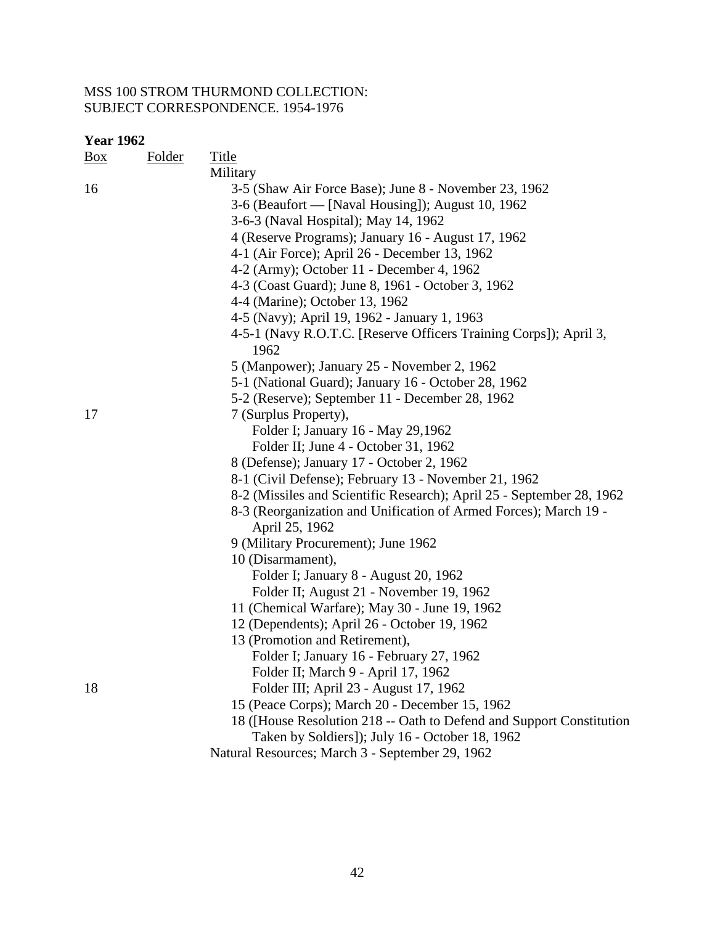| <u>Box</u> | Folder | Title                                                                              |
|------------|--------|------------------------------------------------------------------------------------|
|            |        | Military                                                                           |
| 16         |        | 3-5 (Shaw Air Force Base); June 8 - November 23, 1962                              |
|            |        | 3-6 (Beaufort — [Naval Housing]); August 10, 1962                                  |
|            |        | 3-6-3 (Naval Hospital); May 14, 1962                                               |
|            |        | 4 (Reserve Programs); January 16 - August 17, 1962                                 |
|            |        | 4-1 (Air Force); April 26 - December 13, 1962                                      |
|            |        | 4-2 (Army); October 11 - December 4, 1962                                          |
|            |        | 4-3 (Coast Guard); June 8, 1961 - October 3, 1962                                  |
|            |        | 4-4 (Marine); October 13, 1962                                                     |
|            |        | 4-5 (Navy); April 19, 1962 - January 1, 1963                                       |
|            |        | 4-5-1 (Navy R.O.T.C. [Reserve Officers Training Corps]); April 3,<br>1962          |
|            |        | 5 (Manpower); January 25 - November 2, 1962                                        |
|            |        | 5-1 (National Guard); January 16 - October 28, 1962                                |
|            |        | 5-2 (Reserve); September 11 - December 28, 1962                                    |
| 17         |        | 7 (Surplus Property),                                                              |
|            |        | Folder I; January 16 - May 29,1962                                                 |
|            |        | Folder II; June 4 - October 31, 1962                                               |
|            |        | 8 (Defense); January 17 - October 2, 1962                                          |
|            |        | 8-1 (Civil Defense); February 13 - November 21, 1962                               |
|            |        | 8-2 (Missiles and Scientific Research); April 25 - September 28, 1962              |
|            |        | 8-3 (Reorganization and Unification of Armed Forces); March 19 -<br>April 25, 1962 |
|            |        | 9 (Military Procurement); June 1962                                                |
|            |        | 10 (Disarmament),                                                                  |
|            |        | Folder I; January 8 - August 20, 1962                                              |
|            |        | Folder II; August 21 - November 19, 1962                                           |
|            |        | 11 (Chemical Warfare); May 30 - June 19, 1962                                      |
|            |        | 12 (Dependents); April 26 - October 19, 1962                                       |
|            |        | 13 (Promotion and Retirement),                                                     |
|            |        | Folder I; January 16 - February 27, 1962                                           |
|            |        | Folder II; March 9 - April 17, 1962                                                |
| 18         |        | Folder III; April 23 - August 17, 1962                                             |
|            |        | 15 (Peace Corps); March 20 - December 15, 1962                                     |
|            |        | 18 (House Resolution 218 -- Oath to Defend and Support Constitution                |
|            |        | Taken by Soldiers]); July 16 - October 18, 1962                                    |
|            |        | Natural Resources; March 3 - September 29, 1962                                    |
|            |        |                                                                                    |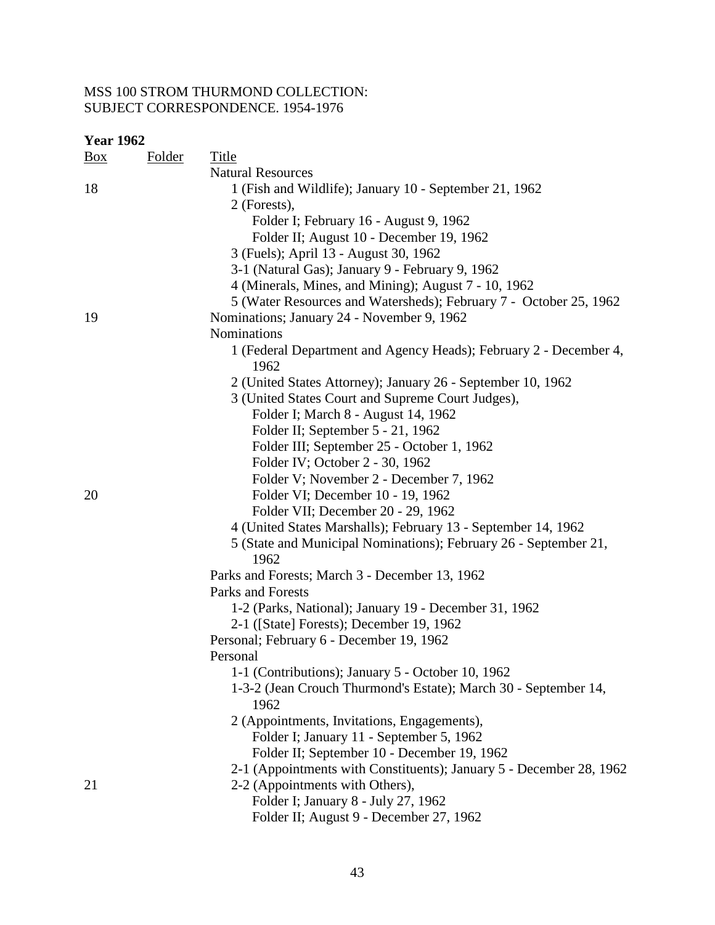| <b>Year 1962</b> |               |                                                                           |
|------------------|---------------|---------------------------------------------------------------------------|
| <u>Box</u>       | <b>Folder</b> | <b>Title</b>                                                              |
|                  |               | <b>Natural Resources</b>                                                  |
| 18               |               | 1 (Fish and Wildlife); January 10 - September 21, 1962                    |
|                  |               | 2 (Forests),                                                              |
|                  |               | Folder I; February 16 - August 9, 1962                                    |
|                  |               | Folder II; August 10 - December 19, 1962                                  |
|                  |               | 3 (Fuels); April 13 - August 30, 1962                                     |
|                  |               | 3-1 (Natural Gas); January 9 - February 9, 1962                           |
|                  |               | 4 (Minerals, Mines, and Mining); August 7 - 10, 1962                      |
|                  |               | 5 (Water Resources and Watersheds); February 7 - October 25, 1962         |
| 19               |               | Nominations; January 24 - November 9, 1962                                |
|                  |               | <b>Nominations</b>                                                        |
|                  |               | 1 (Federal Department and Agency Heads); February 2 - December 4,<br>1962 |
|                  |               | 2 (United States Attorney); January 26 - September 10, 1962               |
|                  |               | 3 (United States Court and Supreme Court Judges),                         |
|                  |               | Folder I; March 8 - August 14, 1962                                       |
|                  |               | Folder II; September 5 - 21, 1962                                         |
|                  |               | Folder III; September 25 - October 1, 1962                                |
|                  |               | Folder IV; October 2 - 30, 1962                                           |
|                  |               | Folder V; November 2 - December 7, 1962                                   |
| 20               |               | Folder VI; December 10 - 19, 1962                                         |
|                  |               | Folder VII; December 20 - 29, 1962                                        |
|                  |               | 4 (United States Marshalls); February 13 - September 14, 1962             |
|                  |               | 5 (State and Municipal Nominations); February 26 - September 21,<br>1962  |
|                  |               | Parks and Forests; March 3 - December 13, 1962                            |
|                  |               | <b>Parks and Forests</b>                                                  |
|                  |               | 1-2 (Parks, National); January 19 - December 31, 1962                     |
|                  |               | 2-1 ([State] Forests); December 19, 1962                                  |
|                  |               | Personal; February 6 - December 19, 1962                                  |
|                  |               | Personal                                                                  |
|                  |               | 1-1 (Contributions); January 5 - October 10, 1962                         |
|                  |               | 1-3-2 (Jean Crouch Thurmond's Estate); March 30 - September 14,           |
|                  |               | 1962                                                                      |
|                  |               | 2 (Appointments, Invitations, Engagements),                               |
|                  |               | Folder I; January 11 - September 5, 1962                                  |
|                  |               | Folder II; September 10 - December 19, 1962                               |
|                  |               | 2-1 (Appointments with Constituents); January 5 - December 28, 1962       |
| 21               |               | 2-2 (Appointments with Others),                                           |
|                  |               | Folder I; January 8 - July 27, 1962                                       |
|                  |               | Folder II; August 9 - December 27, 1962                                   |
|                  |               |                                                                           |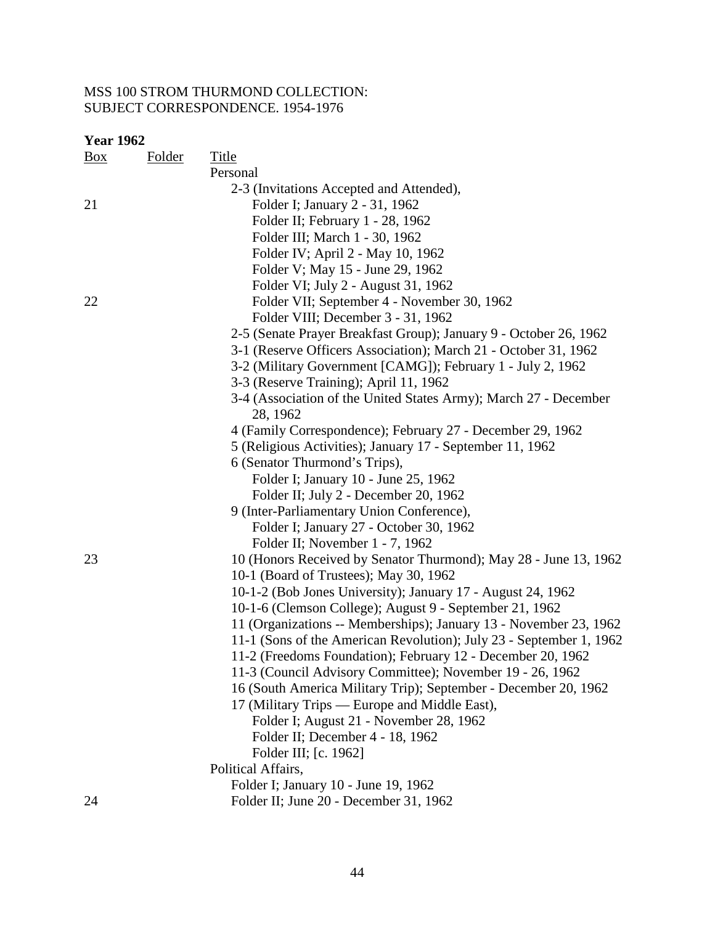| Box | <b>Folder</b> | <b>Title</b>                                                        |
|-----|---------------|---------------------------------------------------------------------|
|     |               | Personal                                                            |
|     |               | 2-3 (Invitations Accepted and Attended),                            |
| 21  |               | Folder I; January 2 - 31, 1962                                      |
|     |               | Folder II; February 1 - 28, 1962                                    |
|     |               | Folder III; March 1 - 30, 1962                                      |
|     |               | Folder IV; April 2 - May 10, 1962                                   |
|     |               | Folder V; May 15 - June 29, 1962                                    |
|     |               | Folder VI; July 2 - August 31, 1962                                 |
| 22  |               | Folder VII; September 4 - November 30, 1962                         |
|     |               | Folder VIII; December 3 - 31, 1962                                  |
|     |               | 2-5 (Senate Prayer Breakfast Group); January 9 - October 26, 1962   |
|     |               | 3-1 (Reserve Officers Association); March 21 - October 31, 1962     |
|     |               | 3-2 (Military Government [CAMG]); February 1 - July 2, 1962         |
|     |               | 3-3 (Reserve Training); April 11, 1962                              |
|     |               | 3-4 (Association of the United States Army); March 27 - December    |
|     |               | 28, 1962                                                            |
|     |               | 4 (Family Correspondence); February 27 - December 29, 1962          |
|     |               | 5 (Religious Activities); January 17 - September 11, 1962           |
|     |               | 6 (Senator Thurmond's Trips),                                       |
|     |               | Folder I; January 10 - June 25, 1962                                |
|     |               | Folder II; July 2 - December 20, 1962                               |
|     |               | 9 (Inter-Parliamentary Union Conference),                           |
|     |               | Folder I; January 27 - October 30, 1962                             |
|     |               | Folder II; November 1 - 7, 1962                                     |
| 23  |               | 10 (Honors Received by Senator Thurmond); May 28 - June 13, 1962    |
|     |               | 10-1 (Board of Trustees); May 30, 1962                              |
|     |               | 10-1-2 (Bob Jones University); January 17 - August 24, 1962         |
|     |               | 10-1-6 (Clemson College); August 9 - September 21, 1962             |
|     |               | 11 (Organizations -- Memberships); January 13 - November 23, 1962   |
|     |               | 11-1 (Sons of the American Revolution); July 23 - September 1, 1962 |
|     |               | 11-2 (Freedoms Foundation); February 12 - December 20, 1962         |
|     |               | 11-3 (Council Advisory Committee); November 19 - 26, 1962           |
|     |               | 16 (South America Military Trip); September - December 20, 1962     |
|     |               | 17 (Military Trips — Europe and Middle East),                       |
|     |               | Folder I; August 21 - November 28, 1962                             |
|     |               | Folder II; December 4 - 18, 1962                                    |
|     |               | Folder III; [c. 1962]                                               |
|     |               | Political Affairs,                                                  |
|     |               | Folder I; January 10 - June 19, 1962                                |
| 24  |               | Folder II; June 20 - December 31, 1962                              |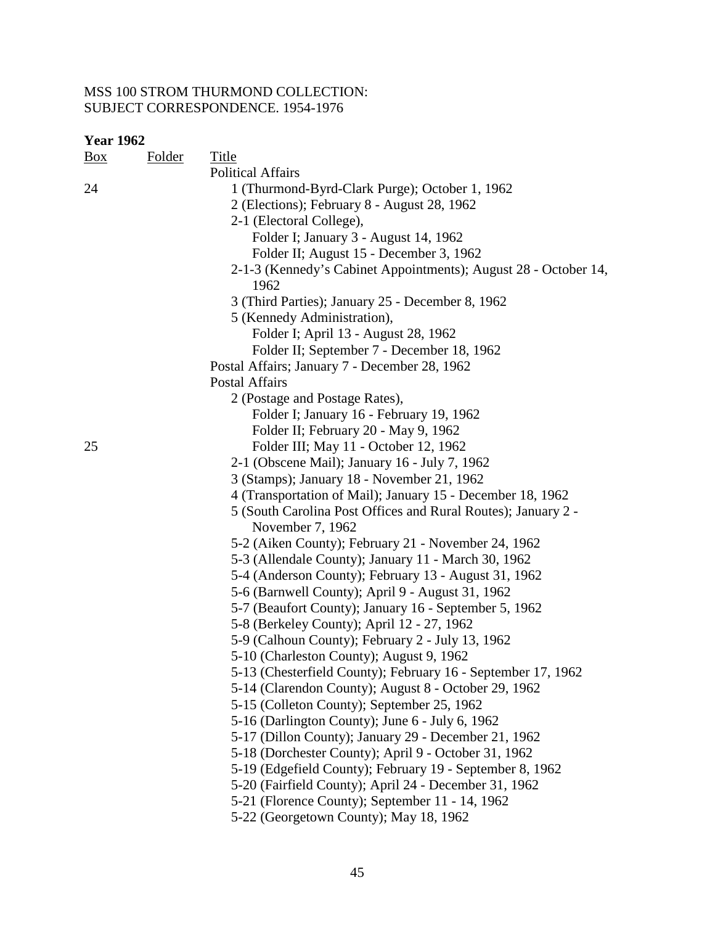| <b>Year 1962</b> |               |                                                                 |
|------------------|---------------|-----------------------------------------------------------------|
| $\frac{Box}{}$   | <b>Folder</b> | Title                                                           |
|                  |               | <b>Political Affairs</b>                                        |
| 24               |               | 1 (Thurmond-Byrd-Clark Purge); October 1, 1962                  |
|                  |               | 2 (Elections); February 8 - August 28, 1962                     |
|                  |               | 2-1 (Electoral College),                                        |
|                  |               | Folder I; January 3 - August 14, 1962                           |
|                  |               | Folder II; August 15 - December 3, 1962                         |
|                  |               | 2-1-3 (Kennedy's Cabinet Appointments); August 28 - October 14, |
|                  |               | 1962                                                            |
|                  |               | 3 (Third Parties); January 25 - December 8, 1962                |
|                  |               | 5 (Kennedy Administration),                                     |
|                  |               | Folder I; April 13 - August 28, 1962                            |
|                  |               | Folder II; September 7 - December 18, 1962                      |
|                  |               | Postal Affairs; January 7 - December 28, 1962                   |
|                  |               | <b>Postal Affairs</b>                                           |
|                  |               | 2 (Postage and Postage Rates),                                  |
|                  |               | Folder I; January 16 - February 19, 1962                        |
|                  |               | Folder II; February 20 - May 9, 1962                            |
| 25               |               | Folder III; May 11 - October 12, 1962                           |
|                  |               | 2-1 (Obscene Mail); January 16 - July 7, 1962                   |
|                  |               | 3 (Stamps); January 18 - November 21, 1962                      |
|                  |               | 4 (Transportation of Mail); January 15 - December 18, 1962      |
|                  |               | 5 (South Carolina Post Offices and Rural Routes); January 2 -   |
|                  |               | November 7, 1962                                                |
|                  |               | 5-2 (Aiken County); February 21 - November 24, 1962             |
|                  |               | 5-3 (Allendale County); January 11 - March 30, 1962             |
|                  |               | 5-4 (Anderson County); February 13 - August 31, 1962            |
|                  |               | 5-6 (Barnwell County); April 9 - August 31, 1962                |
|                  |               | 5-7 (Beaufort County); January 16 - September 5, 1962           |
|                  |               | 5-8 (Berkeley County); April 12 - 27, 1962                      |
|                  |               | 5-9 (Calhoun County); February 2 - July 13, 1962                |
|                  |               | 5-10 (Charleston County); August 9, 1962                        |
|                  |               | 5-13 (Chesterfield County); February 16 - September 17, 1962    |
|                  |               | 5-14 (Clarendon County); August 8 - October 29, 1962            |
|                  |               | 5-15 (Colleton County); September 25, 1962                      |
|                  |               | 5-16 (Darlington County); June 6 - July 6, 1962                 |
|                  |               | 5-17 (Dillon County); January 29 - December 21, 1962            |
|                  |               | 5-18 (Dorchester County); April 9 - October 31, 1962            |
|                  |               | 5-19 (Edgefield County); February 19 - September 8, 1962        |
|                  |               | 5-20 (Fairfield County); April 24 - December 31, 1962           |
|                  |               | 5-21 (Florence County); September 11 - 14, 1962                 |
|                  |               | 5-22 (Georgetown County); May 18, 1962                          |
|                  |               |                                                                 |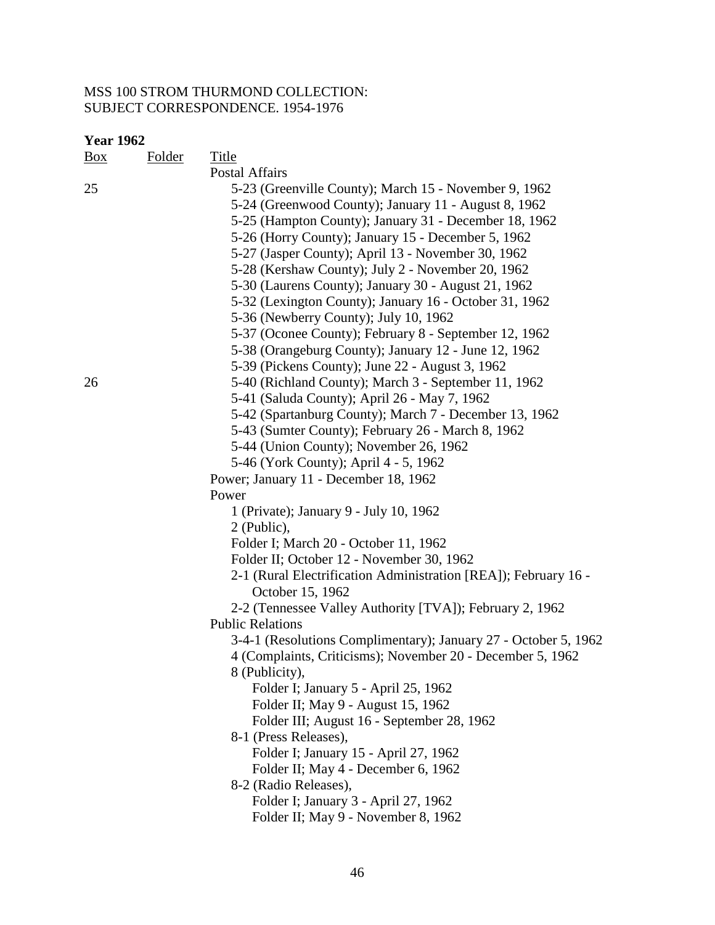| <b>Year 1962</b> |               |                                                                                                                                                                                                                                                                                                                                                                                                |  |
|------------------|---------------|------------------------------------------------------------------------------------------------------------------------------------------------------------------------------------------------------------------------------------------------------------------------------------------------------------------------------------------------------------------------------------------------|--|
| $\frac{Box}{}$   | <b>Folder</b> | <b>Title</b>                                                                                                                                                                                                                                                                                                                                                                                   |  |
|                  |               | <b>Postal Affairs</b>                                                                                                                                                                                                                                                                                                                                                                          |  |
| 25               |               | 5-23 (Greenville County); March 15 - November 9, 1962<br>5-24 (Greenwood County); January 11 - August 8, 1962<br>5-25 (Hampton County); January 31 - December 18, 1962<br>5-26 (Horry County); January 15 - December 5, 1962<br>5-27 (Jasper County); April 13 - November 30, 1962<br>5-28 (Kershaw County); July 2 - November 20, 1962<br>5-30 (Laurens County); January 30 - August 21, 1962 |  |
|                  |               | 5-32 (Lexington County); January 16 - October 31, 1962                                                                                                                                                                                                                                                                                                                                         |  |
|                  |               | 5-36 (Newberry County); July 10, 1962                                                                                                                                                                                                                                                                                                                                                          |  |
|                  |               | 5-37 (Oconee County); February 8 - September 12, 1962                                                                                                                                                                                                                                                                                                                                          |  |
|                  |               | 5-38 (Orangeburg County); January 12 - June 12, 1962                                                                                                                                                                                                                                                                                                                                           |  |
|                  |               | 5-39 (Pickens County); June 22 - August 3, 1962                                                                                                                                                                                                                                                                                                                                                |  |
| 26               |               | 5-40 (Richland County); March 3 - September 11, 1962                                                                                                                                                                                                                                                                                                                                           |  |
|                  |               | 5-41 (Saluda County); April 26 - May 7, 1962                                                                                                                                                                                                                                                                                                                                                   |  |
|                  |               | 5-42 (Spartanburg County); March 7 - December 13, 1962                                                                                                                                                                                                                                                                                                                                         |  |
|                  |               | 5-43 (Sumter County); February 26 - March 8, 1962                                                                                                                                                                                                                                                                                                                                              |  |
|                  |               | 5-44 (Union County); November 26, 1962                                                                                                                                                                                                                                                                                                                                                         |  |
|                  |               | 5-46 (York County); April 4 - 5, 1962                                                                                                                                                                                                                                                                                                                                                          |  |
|                  |               | Power; January 11 - December 18, 1962                                                                                                                                                                                                                                                                                                                                                          |  |
|                  |               | Power                                                                                                                                                                                                                                                                                                                                                                                          |  |
|                  |               | 1 (Private); January 9 - July 10, 1962                                                                                                                                                                                                                                                                                                                                                         |  |
|                  |               | 2 (Public),                                                                                                                                                                                                                                                                                                                                                                                    |  |
|                  |               | Folder I; March 20 - October 11, 1962                                                                                                                                                                                                                                                                                                                                                          |  |
|                  |               | Folder II; October 12 - November 30, 1962                                                                                                                                                                                                                                                                                                                                                      |  |
|                  |               | 2-1 (Rural Electrification Administration [REA]); February 16 -<br>October 15, 1962                                                                                                                                                                                                                                                                                                            |  |
|                  |               | 2-2 (Tennessee Valley Authority [TVA]); February 2, 1962                                                                                                                                                                                                                                                                                                                                       |  |
|                  |               | <b>Public Relations</b>                                                                                                                                                                                                                                                                                                                                                                        |  |
|                  |               | 3-4-1 (Resolutions Complimentary); January 27 - October 5, 1962                                                                                                                                                                                                                                                                                                                                |  |
|                  |               | 4 (Complaints, Criticisms); November 20 - December 5, 1962                                                                                                                                                                                                                                                                                                                                     |  |
|                  |               | 8 (Publicity),                                                                                                                                                                                                                                                                                                                                                                                 |  |
|                  |               | Folder I; January 5 - April 25, 1962                                                                                                                                                                                                                                                                                                                                                           |  |
|                  |               | Folder II; May 9 - August 15, 1962                                                                                                                                                                                                                                                                                                                                                             |  |
|                  |               | Folder III; August 16 - September 28, 1962                                                                                                                                                                                                                                                                                                                                                     |  |
|                  |               | 8-1 (Press Releases),                                                                                                                                                                                                                                                                                                                                                                          |  |
|                  |               |                                                                                                                                                                                                                                                                                                                                                                                                |  |
|                  |               |                                                                                                                                                                                                                                                                                                                                                                                                |  |
|                  |               |                                                                                                                                                                                                                                                                                                                                                                                                |  |
|                  |               |                                                                                                                                                                                                                                                                                                                                                                                                |  |
|                  |               |                                                                                                                                                                                                                                                                                                                                                                                                |  |
|                  |               | Folder I; January 15 - April 27, 1962<br>Folder II; May 4 - December 6, 1962<br>8-2 (Radio Releases),<br>Folder I; January 3 - April 27, 1962<br>Folder II; May 9 - November 8, 1962                                                                                                                                                                                                           |  |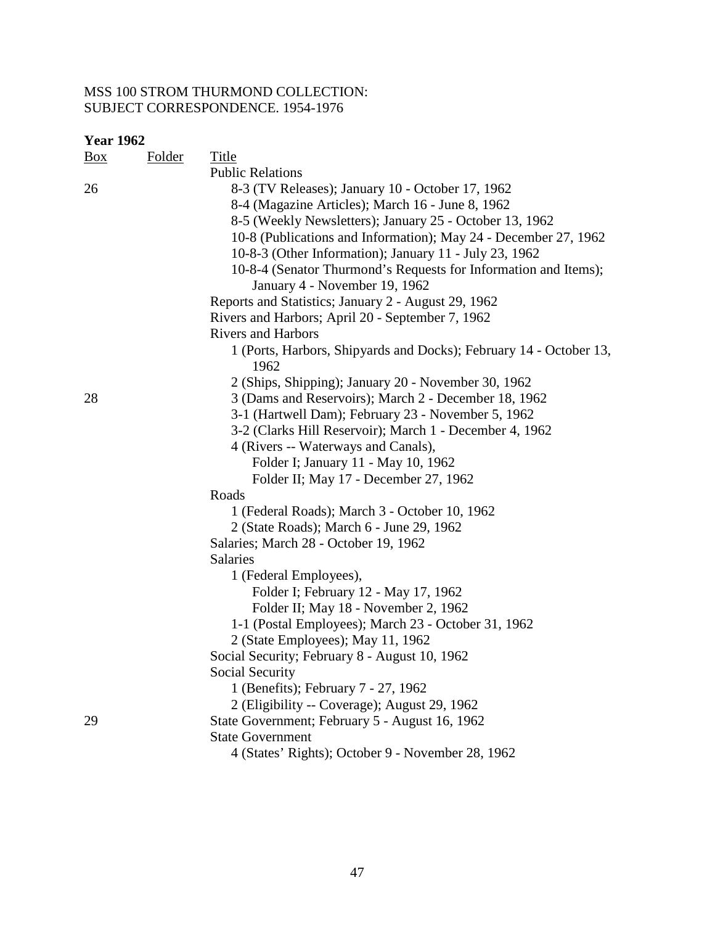| Box | <b>Folder</b> | Title                                                                      |
|-----|---------------|----------------------------------------------------------------------------|
|     |               | <b>Public Relations</b>                                                    |
| 26  |               | 8-3 (TV Releases); January 10 - October 17, 1962                           |
|     |               | 8-4 (Magazine Articles); March 16 - June 8, 1962                           |
|     |               | 8-5 (Weekly Newsletters); January 25 - October 13, 1962                    |
|     |               | 10-8 (Publications and Information); May 24 - December 27, 1962            |
|     |               | 10-8-3 (Other Information); January 11 - July 23, 1962                     |
|     |               | 10-8-4 (Senator Thurmond's Requests for Information and Items);            |
|     |               | January 4 - November 19, 1962                                              |
|     |               | Reports and Statistics; January 2 - August 29, 1962                        |
|     |               | Rivers and Harbors; April 20 - September 7, 1962                           |
|     |               | <b>Rivers and Harbors</b>                                                  |
|     |               | 1 (Ports, Harbors, Shipyards and Docks); February 14 - October 13,<br>1962 |
|     |               | 2 (Ships, Shipping); January 20 - November 30, 1962                        |
| 28  |               | 3 (Dams and Reservoirs); March 2 - December 18, 1962                       |
|     |               | 3-1 (Hartwell Dam); February 23 - November 5, 1962                         |
|     |               | 3-2 (Clarks Hill Reservoir); March 1 - December 4, 1962                    |
|     |               | 4 (Rivers -- Waterways and Canals),                                        |
|     |               | Folder I; January 11 - May 10, 1962                                        |
|     |               | Folder II; May 17 - December 27, 1962                                      |
|     |               | Roads                                                                      |
|     |               | 1 (Federal Roads); March 3 - October 10, 1962                              |
|     |               | 2 (State Roads); March 6 - June 29, 1962                                   |
|     |               | Salaries; March 28 - October 19, 1962                                      |
|     |               | Salaries                                                                   |
|     |               | 1 (Federal Employees),                                                     |
|     |               | Folder I; February 12 - May 17, 1962                                       |
|     |               | Folder II; May 18 - November 2, 1962                                       |
|     |               | 1-1 (Postal Employees); March 23 - October 31, 1962                        |
|     |               | 2 (State Employees); May 11, 1962                                          |
|     |               | Social Security; February 8 - August 10, 1962                              |
|     |               | Social Security                                                            |
|     |               | 1 (Benefits); February 7 - 27, 1962                                        |
|     |               | 2 (Eligibility -- Coverage); August 29, 1962                               |
| 29  |               | State Government; February 5 - August 16, 1962                             |
|     |               | <b>State Government</b>                                                    |
|     |               | 4 (States' Rights); October 9 - November 28, 1962                          |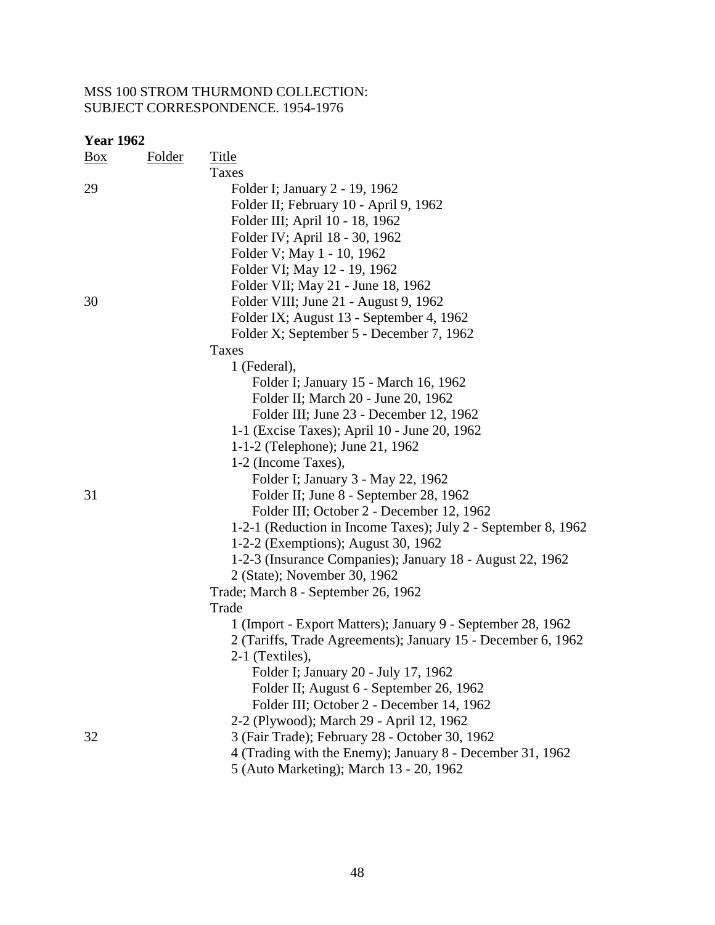| $\frac{Box}{}$ | <b>Folder</b> | <b>Title</b>                                                  |
|----------------|---------------|---------------------------------------------------------------|
|                |               | <b>Taxes</b>                                                  |
| 29             |               | Folder I; January 2 - 19, 1962                                |
|                |               | Folder II; February 10 - April 9, 1962                        |
|                |               | Folder III; April 10 - 18, 1962                               |
|                |               | Folder IV; April 18 - 30, 1962                                |
|                |               | Folder V; May 1 - 10, 1962                                    |
|                |               | Folder VI; May 12 - 19, 1962                                  |
|                |               | Folder VII; May 21 - June 18, 1962                            |
| 30             |               | Folder VIII; June 21 - August 9, 1962                         |
|                |               | Folder IX; August 13 - September 4, 1962                      |
|                |               | Folder X; September 5 - December 7, 1962                      |
|                |               | Taxes                                                         |
|                |               | 1 (Federal),                                                  |
|                |               | Folder I; January 15 - March 16, 1962                         |
|                |               | Folder II; March 20 - June 20, 1962                           |
|                |               | Folder III; June 23 - December 12, 1962                       |
|                |               | 1-1 (Excise Taxes); April 10 - June 20, 1962                  |
|                |               | 1-1-2 (Telephone); June 21, 1962                              |
|                |               | 1-2 (Income Taxes),                                           |
|                |               | Folder I; January 3 - May 22, 1962                            |
| 31             |               | Folder II; June 8 - September 28, 1962                        |
|                |               | Folder III; October 2 - December 12, 1962                     |
|                |               | 1-2-1 (Reduction in Income Taxes); July 2 - September 8, 1962 |
|                |               | 1-2-2 (Exemptions); August 30, 1962                           |
|                |               | 1-2-3 (Insurance Companies); January 18 - August 22, 1962     |
|                |               | 2 (State); November 30, 1962                                  |
|                |               | Trade; March 8 - September 26, 1962                           |
|                |               | Trade                                                         |
|                |               | 1 (Import - Export Matters); January 9 - September 28, 1962   |
|                |               | 2 (Tariffs, Trade Agreements); January 15 - December 6, 1962  |
|                |               | 2-1 (Textiles),                                               |
|                |               | Folder I; January 20 - July 17, 1962                          |
|                |               | Folder II; August 6 - September 26, 1962                      |
|                |               | Folder III; October 2 - December 14, 1962                     |
|                |               | 2-2 (Plywood); March 29 - April 12, 1962                      |
| 32             |               | 3 (Fair Trade); February 28 - October 30, 1962                |
|                |               | 4 (Trading with the Enemy); January 8 - December 31, 1962     |
|                |               | 5 (Auto Marketing); March 13 - 20, 1962                       |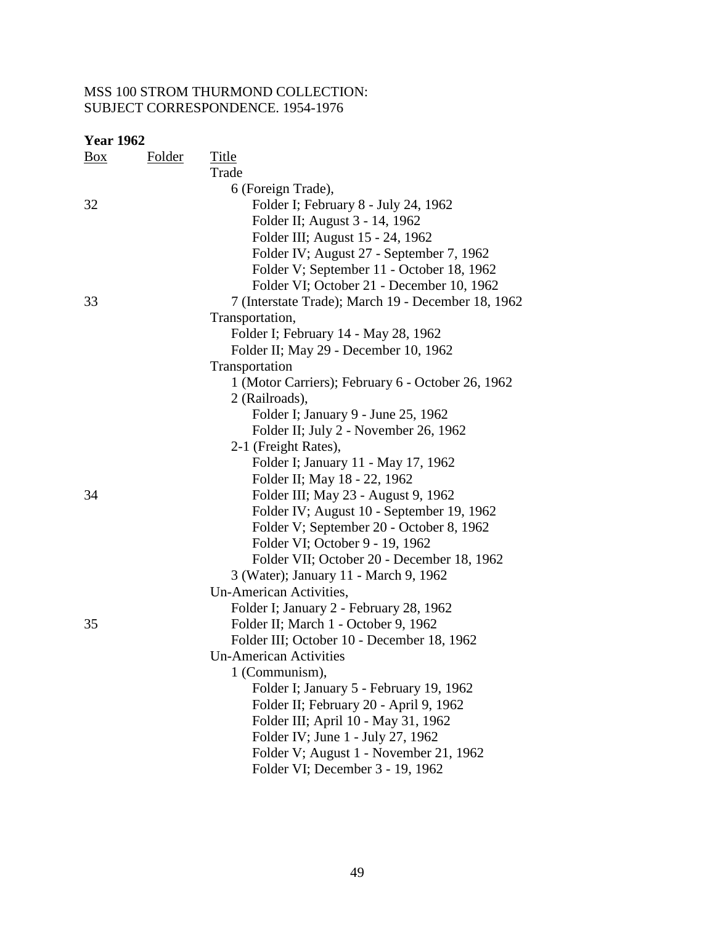| <b>Box</b> | <b>Folder</b> | <b>Title</b>                                       |
|------------|---------------|----------------------------------------------------|
|            |               | Trade                                              |
|            |               | 6 (Foreign Trade),                                 |
| 32         |               | Folder I; February 8 - July 24, 1962               |
|            |               | Folder II; August 3 - 14, 1962                     |
|            |               | Folder III; August 15 - 24, 1962                   |
|            |               | Folder IV; August 27 - September 7, 1962           |
|            |               | Folder V; September 11 - October 18, 1962          |
|            |               | Folder VI; October 21 - December 10, 1962          |
| 33         |               | 7 (Interstate Trade); March 19 - December 18, 1962 |
|            |               | Transportation,                                    |
|            |               | Folder I; February 14 - May 28, 1962               |
|            |               | Folder II; May 29 - December 10, 1962              |
|            |               | Transportation                                     |
|            |               | 1 (Motor Carriers); February 6 - October 26, 1962  |
|            |               | 2 (Railroads),                                     |
|            |               | Folder I; January 9 - June 25, 1962                |
|            |               | Folder II; July 2 - November 26, 1962              |
|            |               | 2-1 (Freight Rates),                               |
|            |               | Folder I; January 11 - May 17, 1962                |
|            |               | Folder II; May 18 - 22, 1962                       |
| 34         |               | Folder III; May 23 - August 9, 1962                |
|            |               | Folder IV; August 10 - September 19, 1962          |
|            |               | Folder V; September 20 - October 8, 1962           |
|            |               | Folder VI; October 9 - 19, 1962                    |
|            |               | Folder VII; October 20 - December 18, 1962         |
|            |               | 3 (Water); January 11 - March 9, 1962              |
|            |               | Un-American Activities,                            |
|            |               | Folder I; January 2 - February 28, 1962            |
| 35         |               | Folder II; March 1 - October 9, 1962               |
|            |               | Folder III; October 10 - December 18, 1962         |
|            |               | <b>Un-American Activities</b>                      |
|            |               | 1 (Communism),                                     |
|            |               | Folder I; January 5 - February 19, 1962            |
|            |               | Folder II; February 20 - April 9, 1962             |
|            |               | Folder III; April 10 - May 31, 1962                |
|            |               | Folder IV; June 1 - July 27, 1962                  |
|            |               | Folder V; August 1 - November 21, 1962             |
|            |               | Folder VI; December 3 - 19, 1962                   |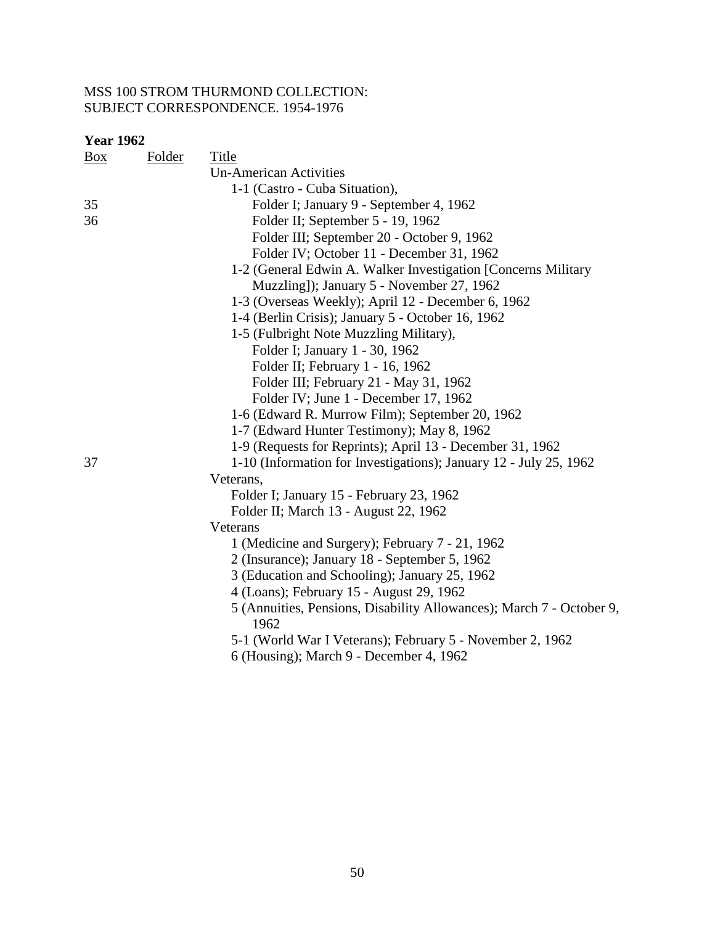| <b>Year 1962</b> |               |                                                                              |
|------------------|---------------|------------------------------------------------------------------------------|
| Box              | <b>Folder</b> | Title                                                                        |
|                  |               | <b>Un-American Activities</b>                                                |
|                  |               | 1-1 (Castro - Cuba Situation),                                               |
| 35               |               | Folder I; January 9 - September 4, 1962                                      |
| 36               |               | Folder II; September 5 - 19, 1962                                            |
|                  |               | Folder III; September 20 - October 9, 1962                                   |
|                  |               | Folder IV; October 11 - December 31, 1962                                    |
|                  |               | 1-2 (General Edwin A. Walker Investigation [Concerns Military                |
|                  |               | Muzzling]); January 5 - November 27, 1962                                    |
|                  |               | 1-3 (Overseas Weekly); April 12 - December 6, 1962                           |
|                  |               | 1-4 (Berlin Crisis); January 5 - October 16, 1962                            |
|                  |               | 1-5 (Fulbright Note Muzzling Military),                                      |
|                  |               | Folder I; January 1 - 30, 1962                                               |
|                  |               | Folder II; February 1 - 16, 1962                                             |
|                  |               | Folder III; February 21 - May 31, 1962                                       |
|                  |               | Folder IV; June 1 - December 17, 1962                                        |
|                  |               | 1-6 (Edward R. Murrow Film); September 20, 1962                              |
|                  |               | 1-7 (Edward Hunter Testimony); May 8, 1962                                   |
|                  |               | 1-9 (Requests for Reprints); April 13 - December 31, 1962                    |
| 37               |               | 1-10 (Information for Investigations); January 12 - July 25, 1962            |
|                  |               | Veterans,                                                                    |
|                  |               | Folder I; January 15 - February 23, 1962                                     |
|                  |               | Folder II; March 13 - August 22, 1962                                        |
|                  |               | Veterans                                                                     |
|                  |               | 1 (Medicine and Surgery); February 7 - 21, 1962                              |
|                  |               | 2 (Insurance); January 18 - September 5, 1962                                |
|                  |               | 3 (Education and Schooling); January 25, 1962                                |
|                  |               | 4 (Loans); February 15 - August 29, 1962                                     |
|                  |               | 5 (Annuities, Pensions, Disability Allowances); March 7 - October 9,<br>1962 |
|                  |               | 5-1 (World War I Veterans); February 5 - November 2, 1962                    |
|                  |               | 6 (Housing); March 9 - December 4, 1962                                      |
|                  |               |                                                                              |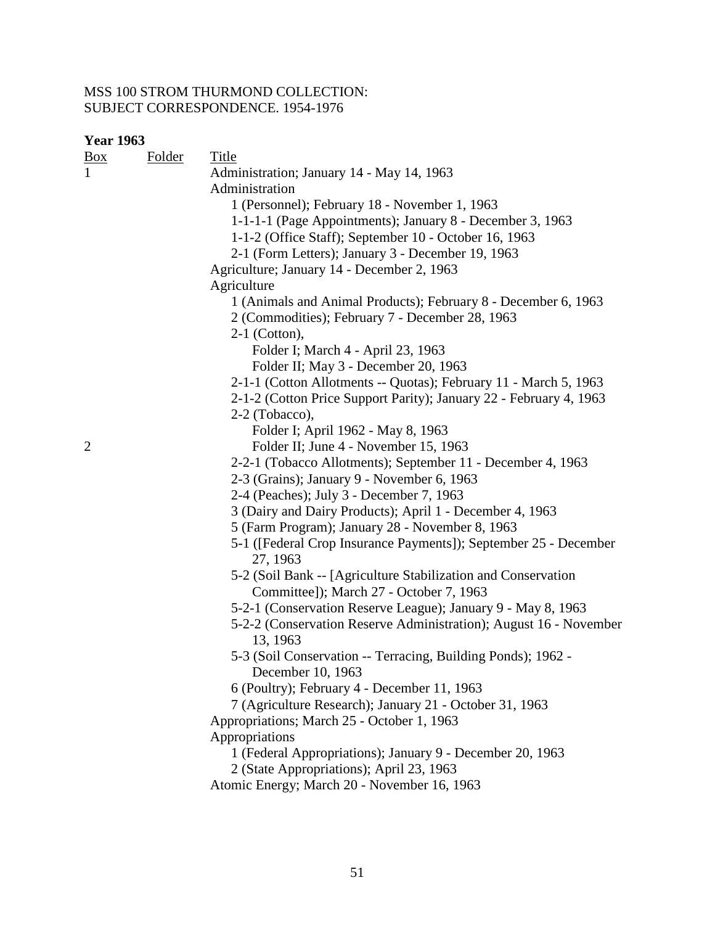| <b>Year 1963</b> |        |                                                                    |
|------------------|--------|--------------------------------------------------------------------|
| <u>Box</u>       | Folder | <b>Title</b>                                                       |
| $\mathbf{1}$     |        | Administration; January 14 - May 14, 1963                          |
|                  |        | Administration                                                     |
|                  |        | 1 (Personnel); February 18 - November 1, 1963                      |
|                  |        | 1-1-1-1 (Page Appointments); January 8 - December 3, 1963          |
|                  |        | 1-1-2 (Office Staff); September 10 - October 16, 1963              |
|                  |        | 2-1 (Form Letters); January 3 - December 19, 1963                  |
|                  |        | Agriculture; January 14 - December 2, 1963                         |
|                  |        | Agriculture                                                        |
|                  |        | 1 (Animals and Animal Products); February 8 - December 6, 1963     |
|                  |        | 2 (Commodities); February 7 - December 28, 1963                    |
|                  |        | $2-1$ (Cotton),                                                    |
|                  |        | Folder I; March 4 - April 23, 1963                                 |
|                  |        | Folder II; May 3 - December 20, 1963                               |
|                  |        | 2-1-1 (Cotton Allotments -- Quotas); February 11 - March 5, 1963   |
|                  |        | 2-1-2 (Cotton Price Support Parity); January 22 - February 4, 1963 |
|                  |        | 2-2 (Tobacco),                                                     |
|                  |        | Folder I; April 1962 - May 8, 1963                                 |
| $\overline{2}$   |        | Folder II; June 4 - November 15, 1963                              |
|                  |        | 2-2-1 (Tobacco Allotments); September 11 - December 4, 1963        |
|                  |        | 2-3 (Grains); January 9 - November 6, 1963                         |
|                  |        | 2-4 (Peaches); July 3 - December 7, 1963                           |
|                  |        | 3 (Dairy and Dairy Products); April 1 - December 4, 1963           |
|                  |        | 5 (Farm Program); January 28 - November 8, 1963                    |
|                  |        | 5-1 ([Federal Crop Insurance Payments]); September 25 - December   |
|                  |        | 27, 1963                                                           |
|                  |        | 5-2 (Soil Bank -- [Agriculture Stabilization and Conservation      |
|                  |        | Committee]); March 27 - October 7, 1963                            |
|                  |        | 5-2-1 (Conservation Reserve League); January 9 - May 8, 1963       |
|                  |        | 5-2-2 (Conservation Reserve Administration); August 16 - November  |
|                  |        | 13, 1963                                                           |
|                  |        | 5-3 (Soil Conservation -- Terracing, Building Ponds); 1962 -       |
|                  |        | December 10, 1963                                                  |
|                  |        | 6 (Poultry); February 4 - December 11, 1963                        |
|                  |        | 7 (Agriculture Research); January 21 - October 31, 1963            |
|                  |        | Appropriations; March 25 - October 1, 1963                         |
|                  |        | Appropriations                                                     |
|                  |        | 1 (Federal Appropriations); January 9 - December 20, 1963          |
|                  |        | 2 (State Appropriations); April 23, 1963                           |
|                  |        | Atomic Energy; March 20 - November 16, 1963                        |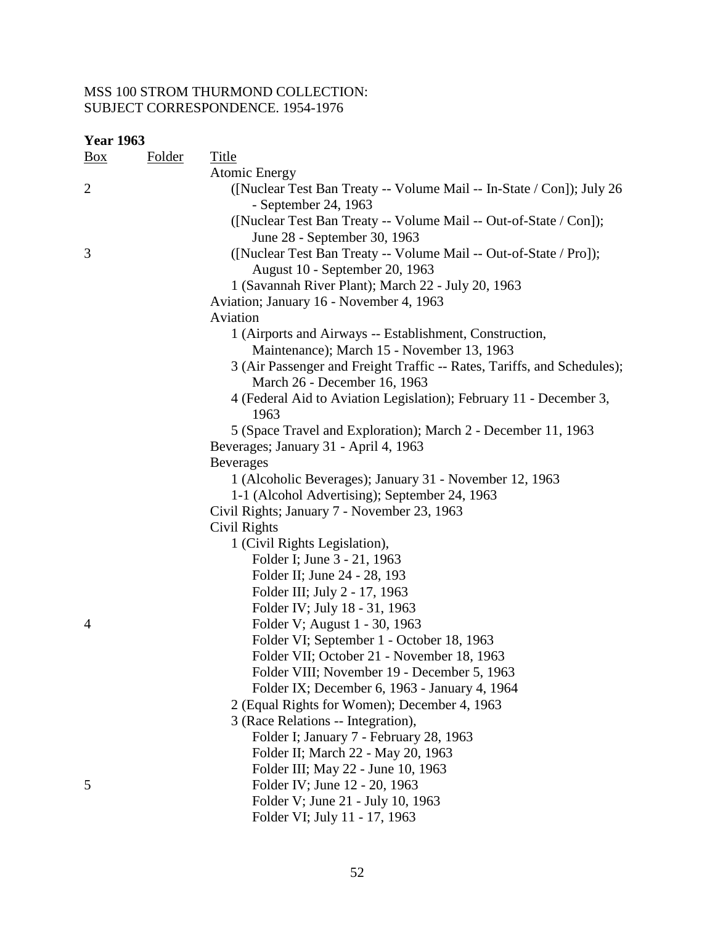| <b>Year 1963</b> |               |                                                                                                         |
|------------------|---------------|---------------------------------------------------------------------------------------------------------|
| $\frac{Box}{}$   | <b>Folder</b> | Title                                                                                                   |
|                  |               | <b>Atomic Energy</b>                                                                                    |
| $\overline{2}$   |               | ([Nuclear Test Ban Treaty -- Volume Mail -- In-State / Con]); July 26<br>- September 24, 1963           |
|                  |               | ([Nuclear Test Ban Treaty -- Volume Mail -- Out-of-State / Con]);<br>June 28 - September 30, 1963       |
| 3                |               | ([Nuclear Test Ban Treaty -- Volume Mail -- Out-of-State / Pro]);                                       |
|                  |               | August 10 - September 20, 1963                                                                          |
|                  |               | 1 (Savannah River Plant); March 22 - July 20, 1963                                                      |
|                  |               | Aviation; January 16 - November 4, 1963                                                                 |
|                  |               | Aviation                                                                                                |
|                  |               | 1 (Airports and Airways -- Establishment, Construction,                                                 |
|                  |               | Maintenance); March 15 - November 13, 1963                                                              |
|                  |               | 3 (Air Passenger and Freight Traffic -- Rates, Tariffs, and Schedules);<br>March 26 - December 16, 1963 |
|                  |               | 4 (Federal Aid to Aviation Legislation); February 11 - December 3,<br>1963                              |
|                  |               | 5 (Space Travel and Exploration); March 2 - December 11, 1963                                           |
|                  |               | Beverages; January 31 - April 4, 1963                                                                   |
|                  |               | <b>Beverages</b>                                                                                        |
|                  |               | 1 (Alcoholic Beverages); January 31 - November 12, 1963                                                 |
|                  |               | 1-1 (Alcohol Advertising); September 24, 1963                                                           |
|                  |               | Civil Rights; January 7 - November 23, 1963                                                             |
|                  |               | Civil Rights                                                                                            |
|                  |               | 1 (Civil Rights Legislation),                                                                           |
|                  |               | Folder I; June 3 - 21, 1963                                                                             |
|                  |               | Folder II; June 24 - 28, 193                                                                            |
|                  |               | Folder III; July 2 - 17, 1963                                                                           |
|                  |               | Folder IV; July 18 - 31, 1963                                                                           |
| 4                |               | Folder V; August 1 - 30, 1963                                                                           |
|                  |               | Folder VI; September 1 - October 18, 1963                                                               |
|                  |               | Folder VII: October 21 - November 18, 1963                                                              |
|                  |               | Folder VIII; November 19 - December 5, 1963                                                             |
|                  |               | Folder IX; December 6, 1963 - January 4, 1964                                                           |
|                  |               | 2 (Equal Rights for Women); December 4, 1963                                                            |
|                  |               | 3 (Race Relations -- Integration),                                                                      |
|                  |               | Folder I; January 7 - February 28, 1963                                                                 |
|                  |               | Folder II; March 22 - May 20, 1963                                                                      |
|                  |               | Folder III; May 22 - June 10, 1963                                                                      |
| 5                |               | Folder IV; June 12 - 20, 1963                                                                           |
|                  |               | Folder V; June 21 - July 10, 1963                                                                       |
|                  |               | Folder VI; July 11 - 17, 1963                                                                           |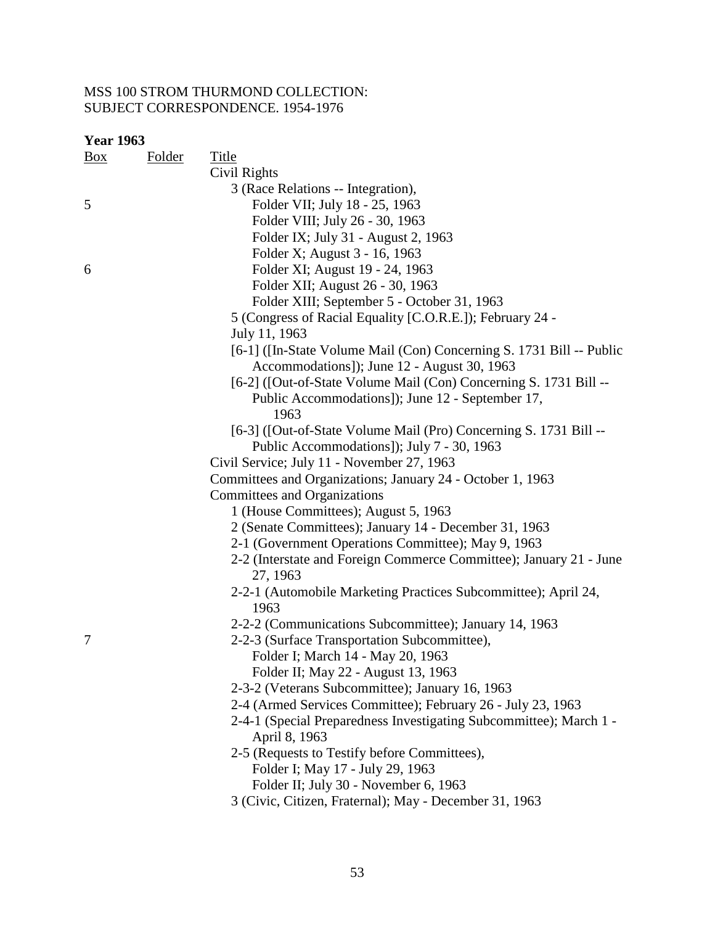| <b>Year 1963</b> |               |                                                                                                                     |
|------------------|---------------|---------------------------------------------------------------------------------------------------------------------|
| <u>Box</u>       | <b>Folder</b> | <b>Title</b>                                                                                                        |
|                  |               | Civil Rights                                                                                                        |
|                  |               | 3 (Race Relations -- Integration),                                                                                  |
| 5                |               | Folder VII; July 18 - 25, 1963                                                                                      |
|                  |               | Folder VIII; July 26 - 30, 1963                                                                                     |
|                  |               | Folder IX; July 31 - August 2, 1963                                                                                 |
|                  |               | Folder X; August 3 - 16, 1963                                                                                       |
| 6                |               | Folder XI; August 19 - 24, 1963                                                                                     |
|                  |               | Folder XII; August 26 - 30, 1963                                                                                    |
|                  |               | Folder XIII; September 5 - October 31, 1963                                                                         |
|                  |               | 5 (Congress of Racial Equality [C.O.R.E.]); February 24 -                                                           |
|                  |               | July 11, 1963                                                                                                       |
|                  |               | [6-1] ([In-State Volume Mail (Con) Concerning S. 1731 Bill -- Public<br>Accommodations]); June 12 - August 30, 1963 |
|                  |               | [6-2] ([Out-of-State Volume Mail (Con) Concerning S. 1731 Bill --                                                   |
|                  |               | Public Accommodations]); June 12 - September 17,                                                                    |
|                  |               | 1963                                                                                                                |
|                  |               | [6-3] ([Out-of-State Volume Mail (Pro) Concerning S. 1731 Bill --                                                   |
|                  |               | Public Accommodations]); July 7 - 30, 1963                                                                          |
|                  |               | Civil Service; July 11 - November 27, 1963                                                                          |
|                  |               | Committees and Organizations; January 24 - October 1, 1963                                                          |
|                  |               | Committees and Organizations                                                                                        |
|                  |               | 1 (House Committees); August 5, 1963                                                                                |
|                  |               | 2 (Senate Committees); January 14 - December 31, 1963                                                               |
|                  |               | 2-1 (Government Operations Committee); May 9, 1963                                                                  |
|                  |               | 2-2 (Interstate and Foreign Commerce Committee); January 21 - June<br>27, 1963                                      |
|                  |               | 2-2-1 (Automobile Marketing Practices Subcommittee); April 24,<br>1963                                              |
|                  |               | 2-2-2 (Communications Subcommittee); January 14, 1963                                                               |
| 7                |               | 2-2-3 (Surface Transportation Subcommittee),                                                                        |
|                  |               | Folder I; March 14 - May 20, 1963                                                                                   |
|                  |               | Folder II; May 22 - August 13, 1963                                                                                 |
|                  |               | 2-3-2 (Veterans Subcommittee); January 16, 1963                                                                     |
|                  |               | 2-4 (Armed Services Committee); February 26 - July 23, 1963                                                         |
|                  |               | 2-4-1 (Special Preparedness Investigating Subcommittee); March 1 -                                                  |
|                  |               | April 8, 1963                                                                                                       |
|                  |               | 2-5 (Requests to Testify before Committees),                                                                        |
|                  |               | Folder I; May 17 - July 29, 1963                                                                                    |
|                  |               |                                                                                                                     |

Folder II; July 30 - November 6, 1963

3 (Civic, Citizen, Fraternal); May - December 31, 1963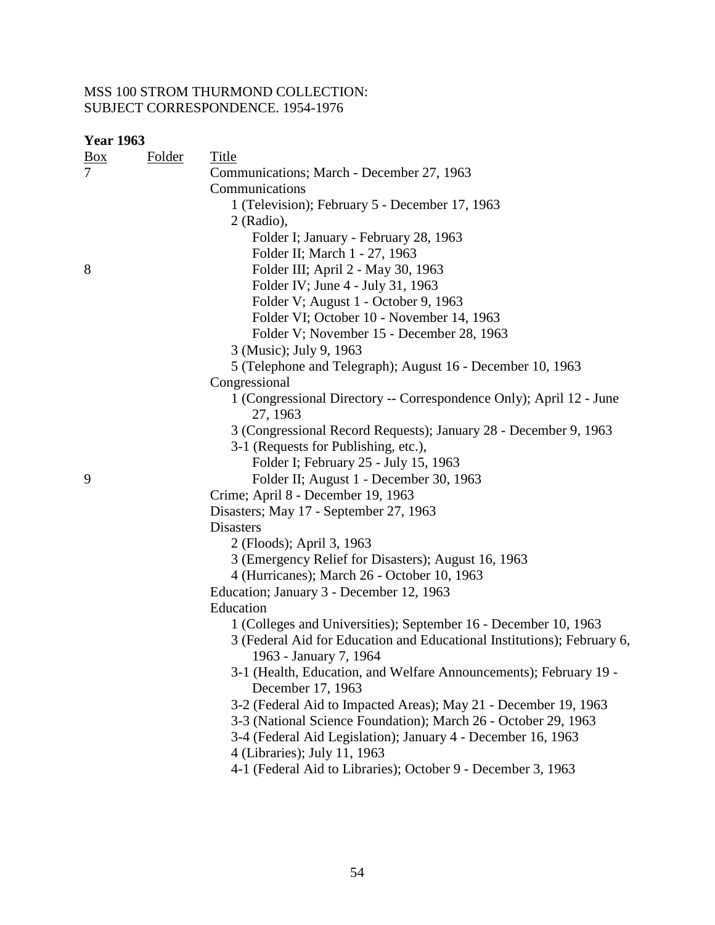| <u>Box</u>     | Folder | Title                                                                                  |
|----------------|--------|----------------------------------------------------------------------------------------|
| $\overline{7}$ |        | Communications; March - December 27, 1963                                              |
|                |        | Communications                                                                         |
|                |        | 1 (Television); February 5 - December 17, 1963                                         |
|                |        | $2$ (Radio),                                                                           |
|                |        | Folder I; January - February 28, 1963                                                  |
|                |        | Folder II; March 1 - 27, 1963                                                          |
| 8              |        | Folder III; April 2 - May 30, 1963                                                     |
|                |        | Folder IV; June 4 - July 31, 1963                                                      |
|                |        | Folder V; August 1 - October 9, 1963                                                   |
|                |        | Folder VI; October 10 - November 14, 1963                                              |
|                |        | Folder V; November 15 - December 28, 1963                                              |
|                |        | 3 (Music); July 9, 1963                                                                |
|                |        | 5 (Telephone and Telegraph); August 16 - December 10, 1963                             |
|                |        | Congressional                                                                          |
|                |        | 1 (Congressional Directory -- Correspondence Only); April 12 - June                    |
|                |        | 27, 1963                                                                               |
|                |        | 3 (Congressional Record Requests); January 28 - December 9, 1963                       |
|                |        | 3-1 (Requests for Publishing, etc.),                                                   |
|                |        | Folder I; February 25 - July 15, 1963                                                  |
| 9              |        | Folder II; August 1 - December 30, 1963                                                |
|                |        | Crime; April 8 - December 19, 1963                                                     |
|                |        | Disasters; May 17 - September 27, 1963                                                 |
|                |        | <b>Disasters</b>                                                                       |
|                |        | 2 (Floods); April 3, 1963                                                              |
|                |        | 3 (Emergency Relief for Disasters); August 16, 1963                                    |
|                |        | 4 (Hurricanes); March 26 - October 10, 1963                                            |
|                |        | Education; January 3 - December 12, 1963                                               |
|                |        | Education                                                                              |
|                |        | 1 (Colleges and Universities); September 16 - December 10, 1963                        |
|                |        | 3 (Federal Aid for Education and Educational Institutions); February 6,                |
|                |        | 1963 - January 7, 1964                                                                 |
|                |        | 3-1 (Health, Education, and Welfare Announcements); February 19 -<br>December 17, 1963 |
|                |        | 3-2 (Federal Aid to Impacted Areas); May 21 - December 19, 1963                        |
|                |        | 3-3 (National Science Foundation); March 26 - October 29, 1963                         |
|                |        | 3-4 (Federal Aid Legislation); January 4 - December 16, 1963                           |
|                |        | 4 (Libraries); July 11, 1963                                                           |
|                |        | 4-1 (Federal Aid to Libraries); October 9 - December 3, 1963                           |
|                |        |                                                                                        |
|                |        |                                                                                        |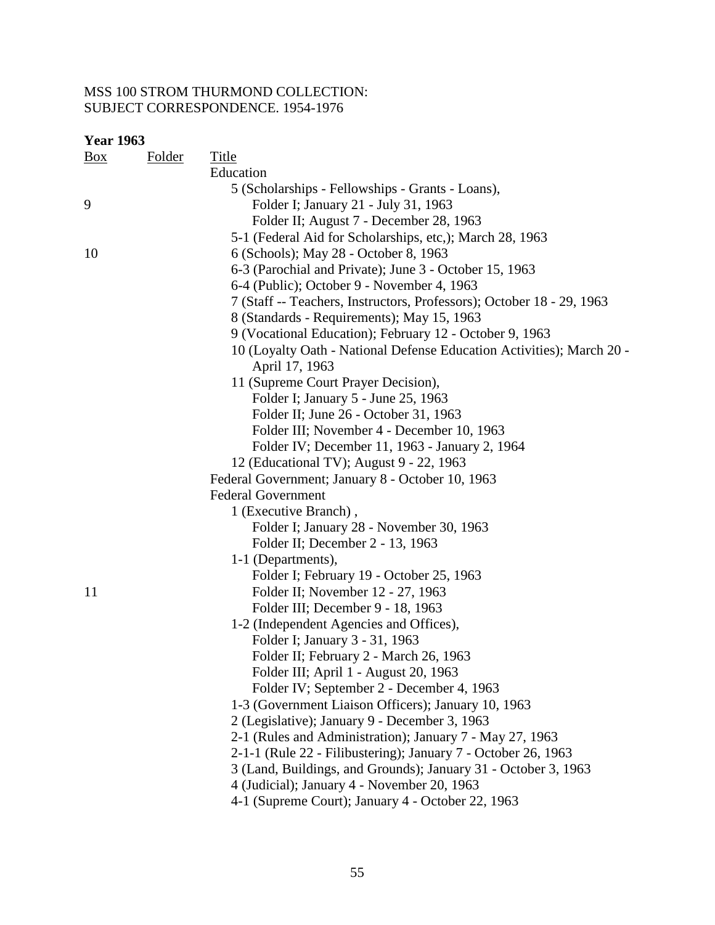| <b>Year 1963</b> |               |                                                                       |
|------------------|---------------|-----------------------------------------------------------------------|
| $\frac{Box}{}$   | <b>Folder</b> | <b>Title</b>                                                          |
|                  |               | Education                                                             |
|                  |               | 5 (Scholarships - Fellowships - Grants - Loans),                      |
| 9                |               | Folder I; January 21 - July 31, 1963                                  |
|                  |               | Folder II; August 7 - December 28, 1963                               |
|                  |               | 5-1 (Federal Aid for Scholarships, etc.); March 28, 1963              |
| 10               |               | 6 (Schools); May 28 - October 8, 1963                                 |
|                  |               | 6-3 (Parochial and Private); June 3 - October 15, 1963                |
|                  |               | 6-4 (Public); October 9 - November 4, 1963                            |
|                  |               | 7 (Staff -- Teachers, Instructors, Professors); October 18 - 29, 1963 |
|                  |               | 8 (Standards - Requirements); May 15, 1963                            |
|                  |               | 9 (Vocational Education); February 12 - October 9, 1963               |
|                  |               | 10 (Loyalty Oath - National Defense Education Activities); March 20 - |
|                  |               | April 17, 1963                                                        |
|                  |               | 11 (Supreme Court Prayer Decision),                                   |
|                  |               | Folder I; January 5 - June 25, 1963                                   |
|                  |               | Folder II; June 26 - October 31, 1963                                 |
|                  |               | Folder III; November 4 - December 10, 1963                            |
|                  |               | Folder IV; December 11, 1963 - January 2, 1964                        |
|                  |               | 12 (Educational TV); August 9 - 22, 1963                              |
|                  |               | Federal Government; January 8 - October 10, 1963                      |
|                  |               | <b>Federal Government</b>                                             |
|                  |               | 1 (Executive Branch),                                                 |
|                  |               | Folder I; January 28 - November 30, 1963                              |
|                  |               | Folder II; December 2 - 13, 1963                                      |
|                  |               | 1-1 (Departments),                                                    |
|                  |               | Folder I; February 19 - October 25, 1963                              |
| 11               |               | Folder II; November 12 - 27, 1963                                     |
|                  |               | Folder III; December 9 - 18, 1963                                     |
|                  |               | 1-2 (Independent Agencies and Offices),                               |
|                  |               | Folder I; January 3 - 31, 1963                                        |
|                  |               | Folder II; February 2 - March 26, 1963                                |
|                  |               | Folder III; April 1 - August 20, 1963                                 |
|                  |               | Folder IV; September 2 - December 4, 1963                             |
|                  |               | 1-3 (Government Liaison Officers); January 10, 1963                   |
|                  |               | 2 (Legislative); January 9 - December 3, 1963                         |
|                  |               | 2-1 (Rules and Administration); January 7 - May 27, 1963              |
|                  |               | 2-1-1 (Rule 22 - Filibustering); January 7 - October 26, 1963         |
|                  |               | 3 (Land, Buildings, and Grounds); January 31 - October 3, 1963        |
|                  |               | 4 (Judicial); January 4 - November 20, 1963                           |
|                  |               | 4-1 (Supreme Court); January 4 - October 22, 1963                     |
|                  |               |                                                                       |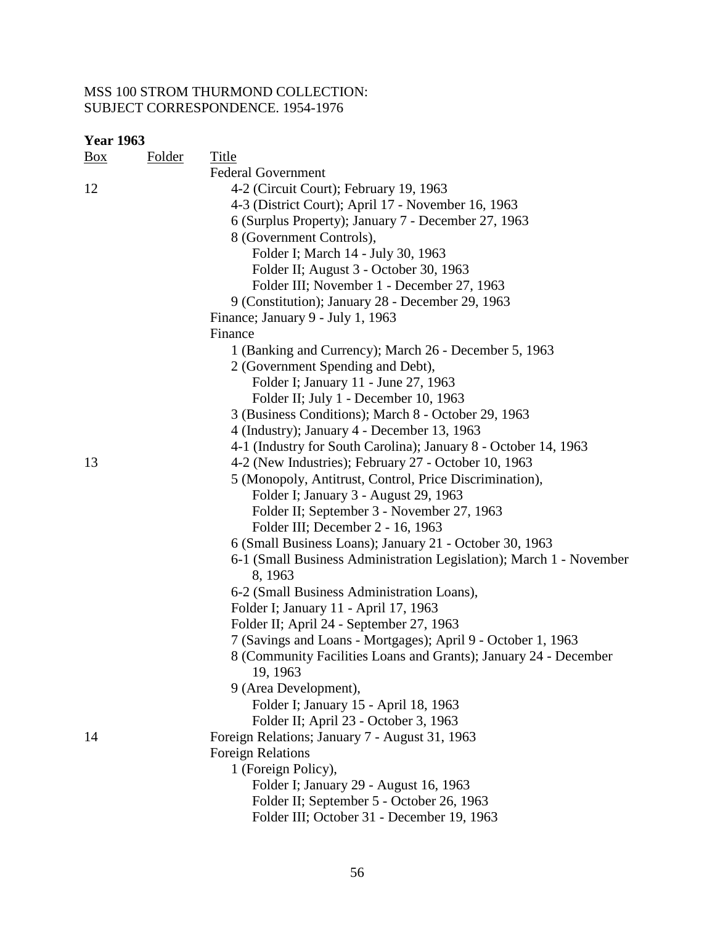| Box | <b>Folder</b> | <b>Title</b>                                                        |
|-----|---------------|---------------------------------------------------------------------|
|     |               | <b>Federal Government</b>                                           |
| 12  |               | 4-2 (Circuit Court); February 19, 1963                              |
|     |               | 4-3 (District Court); April 17 - November 16, 1963                  |
|     |               | 6 (Surplus Property); January 7 - December 27, 1963                 |
|     |               | 8 (Government Controls),                                            |
|     |               | Folder I; March 14 - July 30, 1963                                  |
|     |               | Folder II; August 3 - October 30, 1963                              |
|     |               | Folder III; November 1 - December 27, 1963                          |
|     |               | 9 (Constitution); January 28 - December 29, 1963                    |
|     |               | Finance; January 9 - July 1, 1963                                   |
|     |               | Finance                                                             |
|     |               | 1 (Banking and Currency); March 26 - December 5, 1963               |
|     |               | 2 (Government Spending and Debt),                                   |
|     |               | Folder I; January 11 - June 27, 1963                                |
|     |               | Folder II; July 1 - December 10, 1963                               |
|     |               | 3 (Business Conditions); March 8 - October 29, 1963                 |
|     |               | 4 (Industry); January 4 - December 13, 1963                         |
|     |               | 4-1 (Industry for South Carolina); January 8 - October 14, 1963     |
| 13  |               | 4-2 (New Industries); February 27 - October 10, 1963                |
|     |               | 5 (Monopoly, Antitrust, Control, Price Discrimination),             |
|     |               | Folder I; January 3 - August 29, 1963                               |
|     |               | Folder II; September 3 - November 27, 1963                          |
|     |               | Folder III; December 2 - 16, 1963                                   |
|     |               | 6 (Small Business Loans); January 21 - October 30, 1963             |
|     |               | 6-1 (Small Business Administration Legislation); March 1 - November |
|     |               | 8, 1963                                                             |
|     |               | 6-2 (Small Business Administration Loans),                          |
|     |               | Folder I; January 11 - April 17, 1963                               |
|     |               | Folder II; April 24 - September 27, 1963                            |
|     |               | 7 (Savings and Loans - Mortgages); April 9 - October 1, 1963        |
|     |               | 8 (Community Facilities Loans and Grants); January 24 - December    |
|     |               | 19, 1963                                                            |
|     |               | 9 (Area Development),                                               |
|     |               | Folder I; January 15 - April 18, 1963                               |
|     |               | Folder II; April 23 - October 3, 1963                               |
| 14  |               | Foreign Relations; January 7 - August 31, 1963                      |
|     |               | <b>Foreign Relations</b>                                            |
|     |               | 1 (Foreign Policy),                                                 |
|     |               | Folder I; January 29 - August 16, 1963                              |
|     |               | Folder II; September 5 - October 26, 1963                           |
|     |               | Folder III; October 31 - December 19, 1963                          |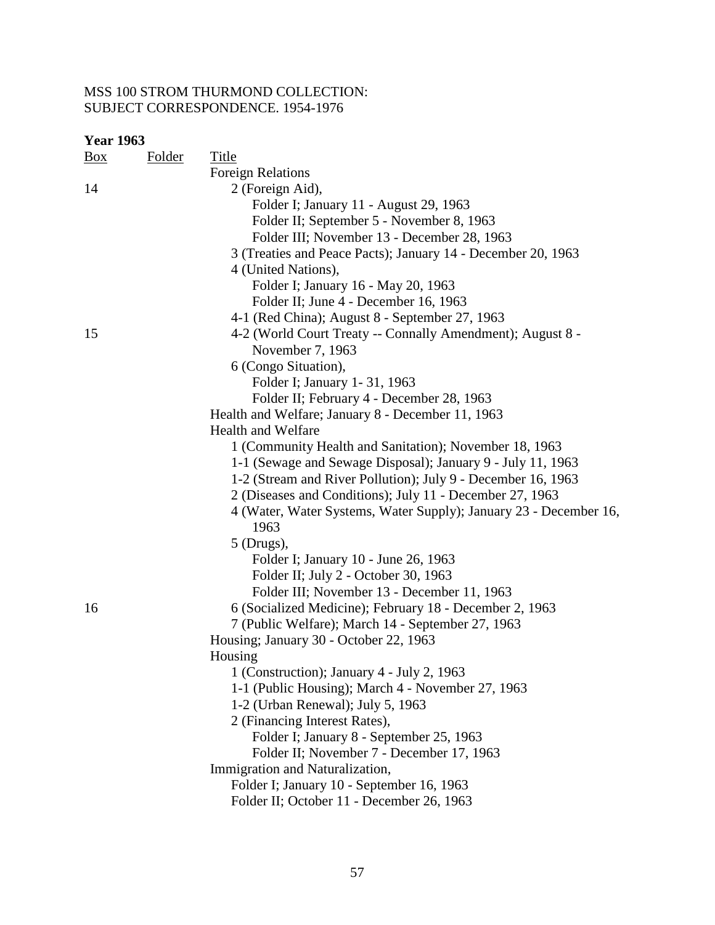| <b>Year 1963</b> |               |                                                                                                 |
|------------------|---------------|-------------------------------------------------------------------------------------------------|
| Box              | <b>Folder</b> | <b>Title</b>                                                                                    |
|                  |               | <b>Foreign Relations</b>                                                                        |
| 14               |               | 2 (Foreign Aid),                                                                                |
|                  |               | Folder I; January 11 - August 29, 1963                                                          |
|                  |               | Folder II; September 5 - November 8, 1963                                                       |
|                  |               | Folder III; November 13 - December 28, 1963                                                     |
|                  |               | 3 (Treaties and Peace Pacts); January 14 - December 20, 1963                                    |
|                  |               | 4 (United Nations),                                                                             |
|                  |               | Folder I; January 16 - May 20, 1963                                                             |
|                  |               | Folder II; June 4 - December 16, 1963                                                           |
|                  |               | 4-1 (Red China); August 8 - September 27, 1963                                                  |
| 15               |               | 4-2 (World Court Treaty -- Connally Amendment); August 8 -                                      |
|                  |               | November 7, 1963                                                                                |
|                  |               | 6 (Congo Situation),                                                                            |
|                  |               | Folder I; January 1-31, 1963                                                                    |
|                  |               | Folder II; February 4 - December 28, 1963                                                       |
|                  |               | Health and Welfare; January 8 - December 11, 1963                                               |
|                  |               | <b>Health and Welfare</b>                                                                       |
|                  |               | 1 (Community Health and Sanitation); November 18, 1963                                          |
|                  |               | 1-1 (Sewage and Sewage Disposal); January 9 - July 11, 1963                                     |
|                  |               | 1-2 (Stream and River Pollution); July 9 - December 16, 1963                                    |
|                  |               | 2 (Diseases and Conditions); July 11 - December 27, 1963                                        |
|                  |               | 4 (Water, Water Systems, Water Supply); January 23 - December 16,                               |
|                  |               | 1963                                                                                            |
|                  |               | $5$ (Drugs),                                                                                    |
|                  |               | Folder I; January 10 - June 26, 1963                                                            |
|                  |               | Folder II; July 2 - October 30, 1963                                                            |
|                  |               | Folder III; November 13 - December 11, 1963                                                     |
| 16               |               | 6 (Socialized Medicine); February 18 - December 2, 1963                                         |
|                  |               | 7 (Public Welfare); March 14 - September 27, 1963                                               |
|                  |               | Housing; January 30 - October 22, 1963                                                          |
|                  |               |                                                                                                 |
|                  |               | Housing                                                                                         |
|                  |               | 1 (Construction); January 4 - July 2, 1963<br>1-1 (Public Housing); March 4 - November 27, 1963 |
|                  |               |                                                                                                 |
|                  |               | 1-2 (Urban Renewal); July 5, 1963                                                               |
|                  |               | 2 (Financing Interest Rates),                                                                   |
|                  |               | Folder I; January 8 - September 25, 1963                                                        |
|                  |               | Folder II; November 7 - December 17, 1963                                                       |
|                  |               | Immigration and Naturalization,                                                                 |
|                  |               | Folder I; January 10 - September 16, 1963                                                       |
|                  |               | Folder II; October 11 - December 26, 1963                                                       |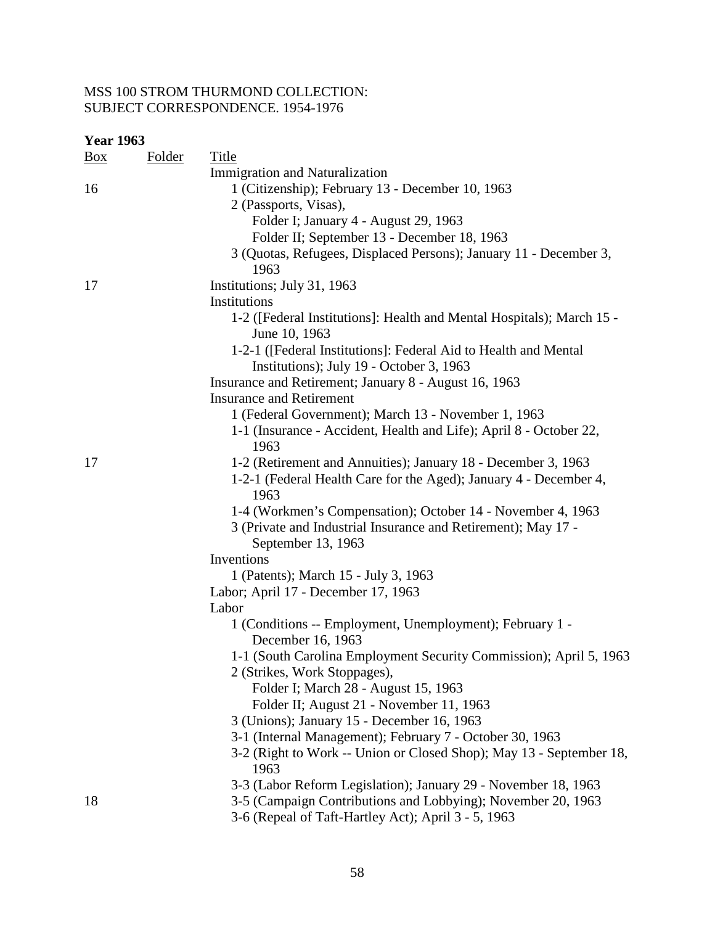| <b>Year 1963</b> |               |                                                                                                             |
|------------------|---------------|-------------------------------------------------------------------------------------------------------------|
| $\frac{Box}{}$   | <b>Folder</b> | <b>Title</b>                                                                                                |
|                  |               | <b>Immigration and Naturalization</b>                                                                       |
| 16               |               | 1 (Citizenship); February 13 - December 10, 1963                                                            |
|                  |               | 2 (Passports, Visas),                                                                                       |
|                  |               | Folder I; January 4 - August 29, 1963                                                                       |
|                  |               | Folder II; September 13 - December 18, 1963                                                                 |
|                  |               | 3 (Quotas, Refugees, Displaced Persons); January 11 - December 3,<br>1963                                   |
| 17               |               | Institutions; July 31, 1963                                                                                 |
|                  |               | Institutions                                                                                                |
|                  |               | 1-2 ([Federal Institutions]: Health and Mental Hospitals); March 15 -<br>June 10, 1963                      |
|                  |               | 1-2-1 ([Federal Institutions]: Federal Aid to Health and Mental<br>Institutions); July 19 - October 3, 1963 |
|                  |               | Insurance and Retirement; January 8 - August 16, 1963                                                       |
|                  |               | <b>Insurance and Retirement</b>                                                                             |
|                  |               | 1 (Federal Government); March 13 - November 1, 1963                                                         |
|                  |               | 1-1 (Insurance - Accident, Health and Life); April 8 - October 22,<br>1963                                  |
| 17               |               | 1-2 (Retirement and Annuities); January 18 - December 3, 1963                                               |
|                  |               | 1-2-1 (Federal Health Care for the Aged); January 4 - December 4,<br>1963                                   |
|                  |               | 1-4 (Workmen's Compensation); October 14 - November 4, 1963                                                 |
|                  |               | 3 (Private and Industrial Insurance and Retirement); May 17 -                                               |
|                  |               | September 13, 1963                                                                                          |
|                  |               | Inventions                                                                                                  |
|                  |               | 1 (Patents); March 15 - July 3, 1963                                                                        |
|                  |               | Labor; April 17 - December 17, 1963                                                                         |
|                  |               | Labor                                                                                                       |
|                  |               | 1 (Conditions -- Employment, Unemployment); February 1 -                                                    |
|                  |               | December 16, 1963                                                                                           |
|                  |               | 1-1 (South Carolina Employment Security Commission); April 5, 1963                                          |
|                  |               | 2 (Strikes, Work Stoppages),                                                                                |
|                  |               | Folder I; March 28 - August 15, 1963                                                                        |
|                  |               | Folder II; August 21 - November 11, 1963                                                                    |
|                  |               | 3 (Unions); January 15 - December 16, 1963                                                                  |
|                  |               | 3-1 (Internal Management); February 7 - October 30, 1963                                                    |
|                  |               | 3-2 (Right to Work -- Union or Closed Shop); May 13 - September 18,<br>1963                                 |
|                  |               | 3-3 (Labor Reform Legislation); January 29 - November 18, 1963                                              |
| 18               |               | 3-5 (Campaign Contributions and Lobbying); November 20, 1963                                                |
|                  |               |                                                                                                             |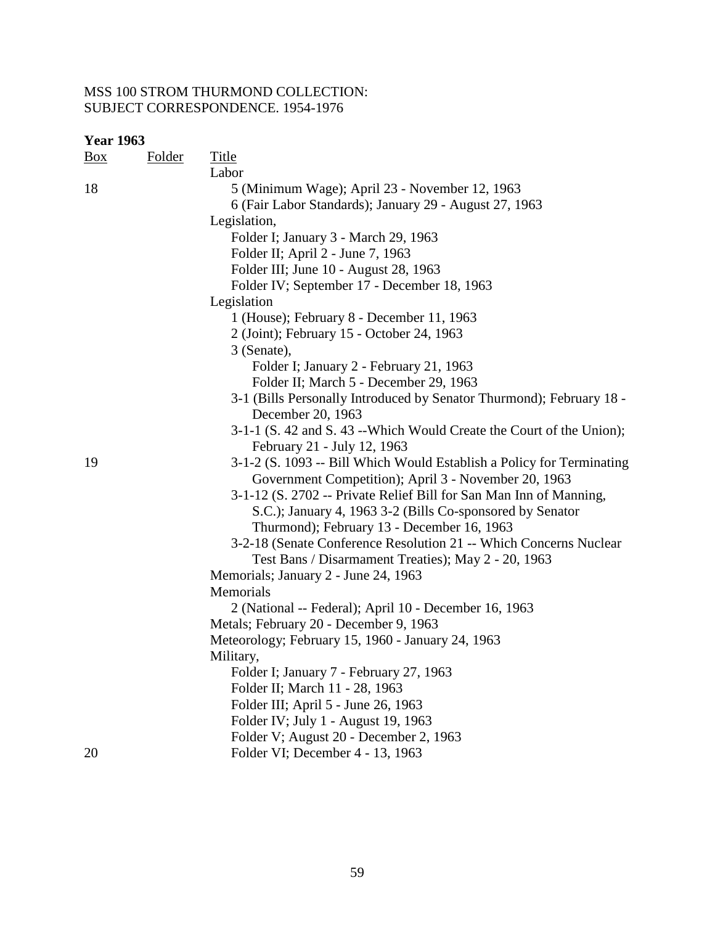| <b>Box</b> | <b>Folder</b> | <b>Title</b>                                                          |
|------------|---------------|-----------------------------------------------------------------------|
|            |               | Labor                                                                 |
| 18         |               | 5 (Minimum Wage); April 23 - November 12, 1963                        |
|            |               | 6 (Fair Labor Standards); January 29 - August 27, 1963                |
|            |               | Legislation,                                                          |
|            |               | Folder I; January 3 - March 29, 1963                                  |
|            |               | Folder II; April 2 - June 7, 1963                                     |
|            |               | Folder III; June 10 - August 28, 1963                                 |
|            |               | Folder IV; September 17 - December 18, 1963                           |
|            |               | Legislation                                                           |
|            |               | 1 (House); February 8 - December 11, 1963                             |
|            |               | 2 (Joint); February 15 - October 24, 1963                             |
|            |               | 3 (Senate),                                                           |
|            |               | Folder I; January 2 - February 21, 1963                               |
|            |               | Folder II; March 5 - December 29, 1963                                |
|            |               | 3-1 (Bills Personally Introduced by Senator Thurmond); February 18 -  |
|            |               | December 20, 1963                                                     |
|            |               | 3-1-1 (S. 42 and S. 43 -- Which Would Create the Court of the Union); |
|            |               | February 21 - July 12, 1963                                           |
| 19         |               | 3-1-2 (S. 1093 -- Bill Which Would Establish a Policy for Terminating |
|            |               | Government Competition); April 3 - November 20, 1963                  |
|            |               | 3-1-12 (S. 2702 -- Private Relief Bill for San Man Inn of Manning,    |
|            |               | S.C.); January 4, 1963 3-2 (Bills Co-sponsored by Senator             |
|            |               | Thurmond); February 13 - December 16, 1963                            |
|            |               | 3-2-18 (Senate Conference Resolution 21 -- Which Concerns Nuclear     |
|            |               | Test Bans / Disarmament Treaties); May 2 - 20, 1963                   |
|            |               | Memorials; January 2 - June 24, 1963                                  |
|            |               | Memorials                                                             |
|            |               | 2 (National -- Federal); April 10 - December 16, 1963                 |
|            |               | Metals; February 20 - December 9, 1963                                |
|            |               | Meteorology; February 15, 1960 - January 24, 1963                     |
|            |               | Military,                                                             |
|            |               | Folder I; January 7 - February 27, 1963                               |
|            |               | Folder II; March 11 - 28, 1963                                        |
|            |               | Folder III; April 5 - June 26, 1963                                   |
|            |               | Folder IV; July 1 - August 19, 1963                                   |
|            |               | Folder V; August 20 - December 2, 1963                                |
| 20         |               | Folder VI; December 4 - 13, 1963                                      |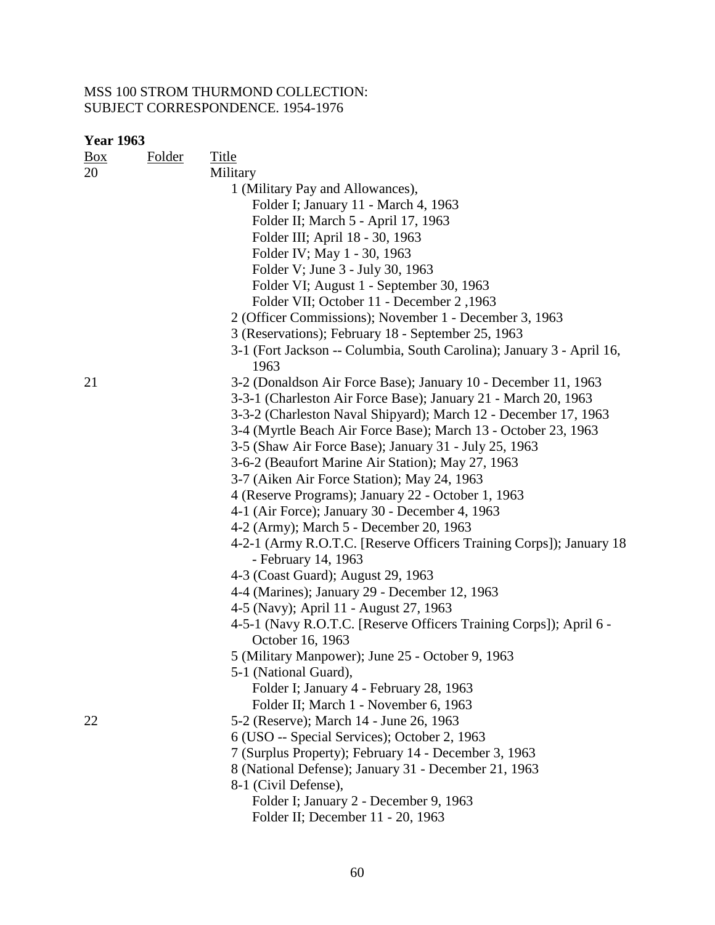| <u>Box</u> | Folder | <b>Title</b>                                                                  |
|------------|--------|-------------------------------------------------------------------------------|
| 20         |        | Military                                                                      |
|            |        | 1 (Military Pay and Allowances),                                              |
|            |        | Folder I; January 11 - March 4, 1963                                          |
|            |        | Folder II; March 5 - April 17, 1963                                           |
|            |        | Folder III; April 18 - 30, 1963                                               |
|            |        | Folder IV; May 1 - 30, 1963                                                   |
|            |        | Folder V; June 3 - July 30, 1963                                              |
|            |        | Folder VI; August 1 - September 30, 1963                                      |
|            |        | Folder VII; October 11 - December 2,1963                                      |
|            |        | 2 (Officer Commissions); November 1 - December 3, 1963                        |
|            |        | 3 (Reservations); February 18 - September 25, 1963                            |
|            |        | 3-1 (Fort Jackson -- Columbia, South Carolina); January 3 - April 16,<br>1963 |
| 21         |        | 3-2 (Donaldson Air Force Base); January 10 - December 11, 1963                |
|            |        | 3-3-1 (Charleston Air Force Base); January 21 - March 20, 1963                |
|            |        | 3-3-2 (Charleston Naval Shipyard); March 12 - December 17, 1963               |
|            |        | 3-4 (Myrtle Beach Air Force Base); March 13 - October 23, 1963                |
|            |        | 3-5 (Shaw Air Force Base); January 31 - July 25, 1963                         |
|            |        | 3-6-2 (Beaufort Marine Air Station); May 27, 1963                             |
|            |        | 3-7 (Aiken Air Force Station); May 24, 1963                                   |
|            |        | 4 (Reserve Programs); January 22 - October 1, 1963                            |
|            |        | 4-1 (Air Force); January 30 - December 4, 1963                                |
|            |        | 4-2 (Army); March 5 - December 20, 1963                                       |
|            |        | 4-2-1 (Army R.O.T.C. [Reserve Officers Training Corps]); January 18           |
|            |        | - February 14, 1963                                                           |
|            |        | 4-3 (Coast Guard); August 29, 1963                                            |
|            |        | 4-4 (Marines); January 29 - December 12, 1963                                 |
|            |        | 4-5 (Navy); April 11 - August 27, 1963                                        |
|            |        | 4-5-1 (Navy R.O.T.C. [Reserve Officers Training Corps]); April 6 -            |
|            |        | October 16, 1963                                                              |
|            |        | 5 (Military Manpower); June 25 - October 9, 1963                              |
|            |        | 5-1 (National Guard),                                                         |
|            |        | Folder I; January 4 - February 28, 1963                                       |
|            |        | Folder II; March 1 - November 6, 1963                                         |
| 22         |        | 5-2 (Reserve); March 14 - June 26, 1963                                       |
|            |        | 6 (USO -- Special Services); October 2, 1963                                  |
|            |        | 7 (Surplus Property); February 14 - December 3, 1963                          |
|            |        | 8 (National Defense); January 31 - December 21, 1963                          |
|            |        | 8-1 (Civil Defense),                                                          |
|            |        | Folder I; January 2 - December 9, 1963                                        |
|            |        | Folder II; December 11 - 20, 1963                                             |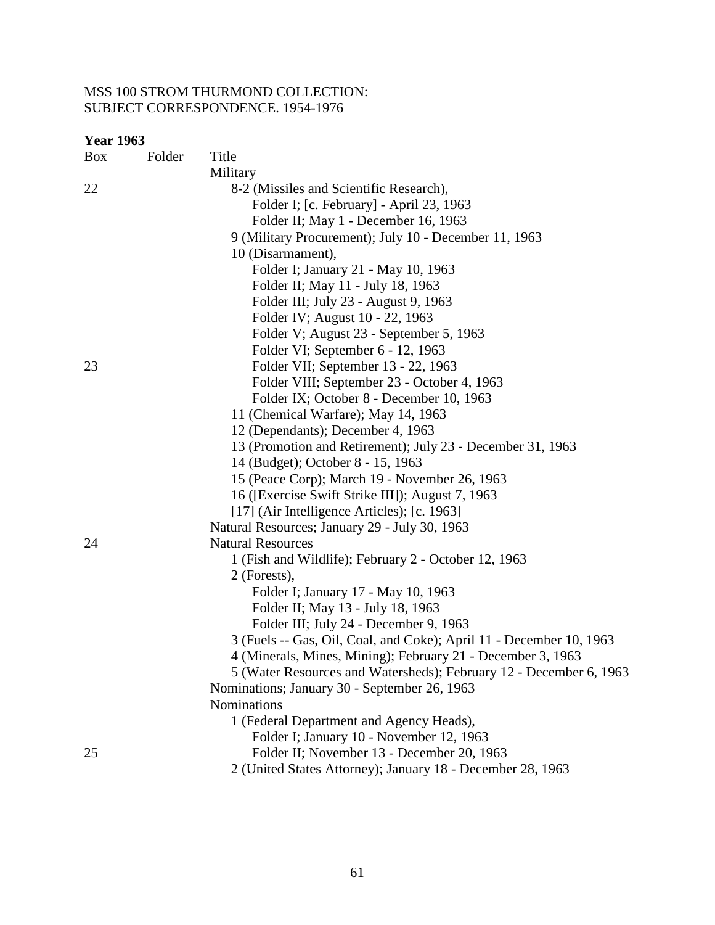| $\frac{Box}{\sqrt{Box}}$ | <b>Folder</b> | Title                                                               |
|--------------------------|---------------|---------------------------------------------------------------------|
|                          |               | Military                                                            |
| 22                       |               | 8-2 (Missiles and Scientific Research),                             |
|                          |               | Folder I; [c. February] - April 23, 1963                            |
|                          |               | Folder II; May 1 - December 16, 1963                                |
|                          |               | 9 (Military Procurement); July 10 - December 11, 1963               |
|                          |               | 10 (Disarmament),                                                   |
|                          |               | Folder I; January 21 - May 10, 1963                                 |
|                          |               | Folder II; May 11 - July 18, 1963                                   |
|                          |               | Folder III; July 23 - August 9, 1963                                |
|                          |               | Folder IV; August 10 - 22, 1963                                     |
|                          |               | Folder V; August 23 - September 5, 1963                             |
|                          |               | Folder VI; September 6 - 12, 1963                                   |
| 23                       |               | Folder VII; September 13 - 22, 1963                                 |
|                          |               | Folder VIII; September 23 - October 4, 1963                         |
|                          |               | Folder IX; October 8 - December 10, 1963                            |
|                          |               | 11 (Chemical Warfare); May 14, 1963                                 |
|                          |               | 12 (Dependants); December 4, 1963                                   |
|                          |               | 13 (Promotion and Retirement); July 23 - December 31, 1963          |
|                          |               | 14 (Budget); October 8 - 15, 1963                                   |
|                          |               | 15 (Peace Corp); March 19 - November 26, 1963                       |
|                          |               | 16 (Exercise Swift Strike III); August 7, 1963                      |
|                          |               | [17] (Air Intelligence Articles); [c. 1963]                         |
|                          |               | Natural Resources; January 29 - July 30, 1963                       |
| 24                       |               | <b>Natural Resources</b>                                            |
|                          |               | 1 (Fish and Wildlife); February 2 - October 12, 1963                |
|                          |               | 2 (Forests),                                                        |
|                          |               | Folder I; January 17 - May 10, 1963                                 |
|                          |               | Folder II; May 13 - July 18, 1963                                   |
|                          |               | Folder III; July 24 - December 9, 1963                              |
|                          |               | 3 (Fuels -- Gas, Oil, Coal, and Coke); April 11 - December 10, 1963 |
|                          |               | 4 (Minerals, Mines, Mining); February 21 - December 3, 1963         |
|                          |               | 5 (Water Resources and Watersheds); February 12 - December 6, 1963  |
|                          |               | Nominations; January 30 - September 26, 1963                        |
|                          |               | <b>Nominations</b>                                                  |
|                          |               | 1 (Federal Department and Agency Heads),                            |
|                          |               | Folder I; January 10 - November 12, 1963                            |
| 25                       |               | Folder II; November 13 - December 20, 1963                          |
|                          |               | 2 (United States Attorney); January 18 - December 28, 1963          |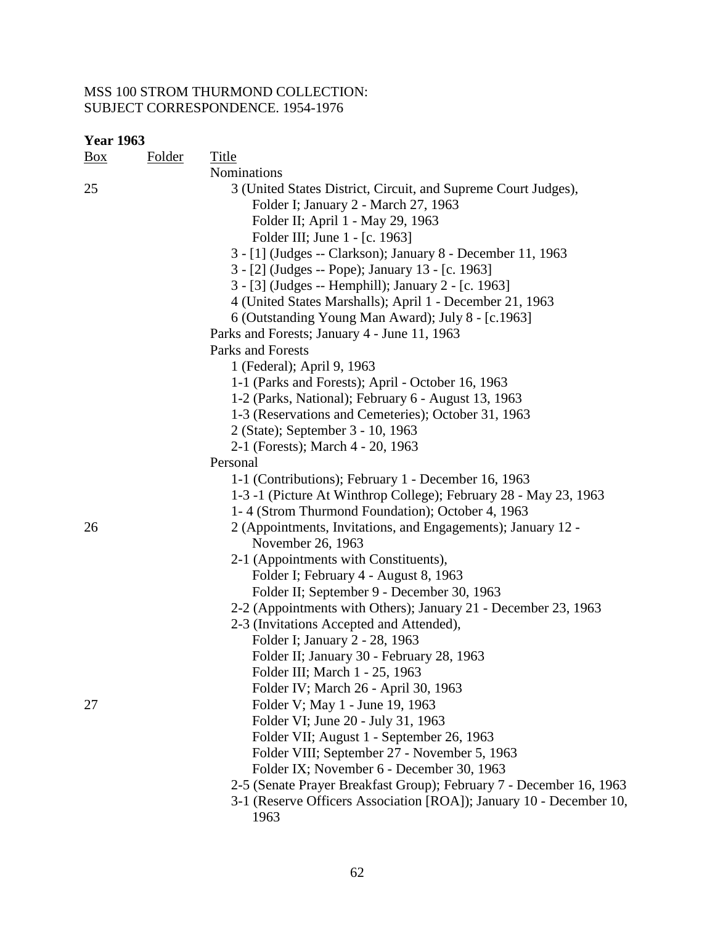| <b>Year 1963</b> |               |                                                                     |
|------------------|---------------|---------------------------------------------------------------------|
| $\frac{Box}{}$   | <b>Folder</b> | <b>Title</b>                                                        |
|                  |               | Nominations                                                         |
| 25               |               | 3 (United States District, Circuit, and Supreme Court Judges),      |
|                  |               | Folder I; January 2 - March 27, 1963                                |
|                  |               | Folder II; April 1 - May 29, 1963                                   |
|                  |               | Folder III; June 1 - [c. 1963]                                      |
|                  |               | 3 - [1] (Judges -- Clarkson); January 8 - December 11, 1963         |
|                  |               | 3 - [2] (Judges -- Pope); January 13 - [c. 1963]                    |
|                  |               | 3 - [3] (Judges -- Hemphill); January 2 - [c. 1963]                 |
|                  |               | 4 (United States Marshalls); April 1 - December 21, 1963            |
|                  |               | 6 (Outstanding Young Man Award); July 8 - [c.1963]                  |
|                  |               | Parks and Forests; January 4 - June 11, 1963                        |
|                  |               | Parks and Forests                                                   |
|                  |               | 1 (Federal); April 9, 1963                                          |
|                  |               | 1-1 (Parks and Forests); April - October 16, 1963                   |
|                  |               | 1-2 (Parks, National); February 6 - August 13, 1963                 |
|                  |               | 1-3 (Reservations and Cemeteries); October 31, 1963                 |
|                  |               | 2 (State); September 3 - 10, 1963                                   |
|                  |               | 2-1 (Forests); March 4 - 20, 1963                                   |
|                  |               | Personal                                                            |
|                  |               | 1-1 (Contributions); February 1 - December 16, 1963                 |
|                  |               | 1-3 -1 (Picture At Winthrop College); February 28 - May 23, 1963    |
|                  |               | 1-4 (Strom Thurmond Foundation); October 4, 1963                    |
| 26               |               | 2 (Appointments, Invitations, and Engagements); January 12 -        |
|                  |               | November 26, 1963                                                   |
|                  |               | 2-1 (Appointments with Constituents),                               |
|                  |               | Folder I; February 4 - August 8, 1963                               |
|                  |               | Folder II; September 9 - December 30, 1963                          |
|                  |               | 2-2 (Appointments with Others); January 21 - December 23, 1963      |
|                  |               | 2-3 (Invitations Accepted and Attended),                            |
|                  |               | Folder I; January 2 - 28, 1963                                      |
|                  |               | Folder II; January 30 - February 28, 1963                           |
|                  |               | Folder III; March 1 - 25, 1963                                      |
|                  |               | Folder IV; March 26 - April 30, 1963                                |
| 27               |               | Folder V; May 1 - June 19, 1963                                     |
|                  |               | Folder VI; June 20 - July 31, 1963                                  |
|                  |               | Folder VII; August 1 - September 26, 1963                           |
|                  |               | Folder VIII; September 27 - November 5, 1963                        |
|                  |               | Folder IX; November 6 - December 30, 1963                           |
|                  |               | 2-5 (Senate Prayer Breakfast Group); February 7 - December 16, 1963 |
|                  |               | 3-1 (Reserve Officers Association [ROA]); January 10 - December 10, |
|                  |               | 1963                                                                |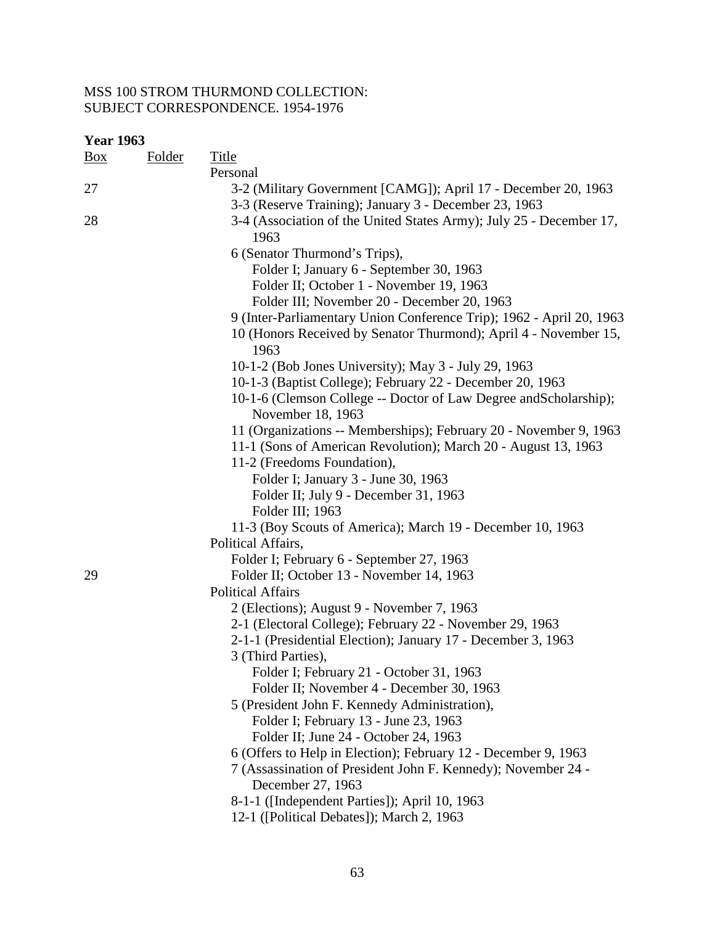| <b>Box</b> | <b>Folder</b> | <b>Title</b>                                                                                                                        |
|------------|---------------|-------------------------------------------------------------------------------------------------------------------------------------|
|            |               | Personal                                                                                                                            |
| 27         |               | 3-2 (Military Government [CAMG]); April 17 - December 20, 1963<br>3-3 (Reserve Training); January 3 - December 23, 1963             |
| 28         |               | 3-4 (Association of the United States Army); July 25 - December 17,<br>1963                                                         |
|            |               | 6 (Senator Thurmond's Trips),                                                                                                       |
|            |               | Folder I; January 6 - September 30, 1963                                                                                            |
|            |               | Folder II; October 1 - November 19, 1963                                                                                            |
|            |               | Folder III; November 20 - December 20, 1963                                                                                         |
|            |               | 9 (Inter-Parliamentary Union Conference Trip); 1962 - April 20, 1963                                                                |
|            |               | 10 (Honors Received by Senator Thurmond); April 4 - November 15,<br>1963                                                            |
|            |               | 10-1-2 (Bob Jones University); May 3 - July 29, 1963                                                                                |
|            |               | 10-1-3 (Baptist College); February 22 - December 20, 1963                                                                           |
|            |               | 10-1-6 (Clemson College -- Doctor of Law Degree and Scholarship);<br>November 18, 1963                                              |
|            |               | 11 (Organizations -- Memberships); February 20 - November 9, 1963<br>11-1 (Sons of American Revolution); March 20 - August 13, 1963 |
|            |               | 11-2 (Freedoms Foundation),                                                                                                         |
|            |               | Folder I; January 3 - June 30, 1963                                                                                                 |
|            |               | Folder II; July 9 - December 31, 1963                                                                                               |
|            |               | Folder III; 1963                                                                                                                    |
|            |               | 11-3 (Boy Scouts of America); March 19 - December 10, 1963                                                                          |
|            |               | Political Affairs,                                                                                                                  |
|            |               | Folder I; February 6 - September 27, 1963                                                                                           |
| 29         |               | Folder II; October 13 - November 14, 1963                                                                                           |
|            |               | <b>Political Affairs</b>                                                                                                            |
|            |               | 2 (Elections); August 9 - November 7, 1963                                                                                          |
|            |               | 2-1 (Electoral College); February 22 - November 29, 1963                                                                            |
|            |               | 2-1-1 (Presidential Election); January 17 - December 3, 1963                                                                        |
|            |               | 3 (Third Parties),                                                                                                                  |
|            |               | Folder I; February 21 - October 31, 1963                                                                                            |
|            |               | Folder II; November 4 - December 30, 1963                                                                                           |
|            |               | 5 (President John F. Kennedy Administration),                                                                                       |
|            |               | Folder I; February 13 - June 23, 1963                                                                                               |
|            |               | Folder II; June 24 - October 24, 1963                                                                                               |
|            |               | 6 (Offers to Help in Election); February 12 - December 9, 1963                                                                      |
|            |               | 7 (Assassination of President John F. Kennedy); November 24 -                                                                       |
|            |               | December 27, 1963                                                                                                                   |
|            |               | 8-1-1 ([Independent Parties]); April 10, 1963                                                                                       |
|            |               | 12-1 ([Political Debates]); March 2, 1963                                                                                           |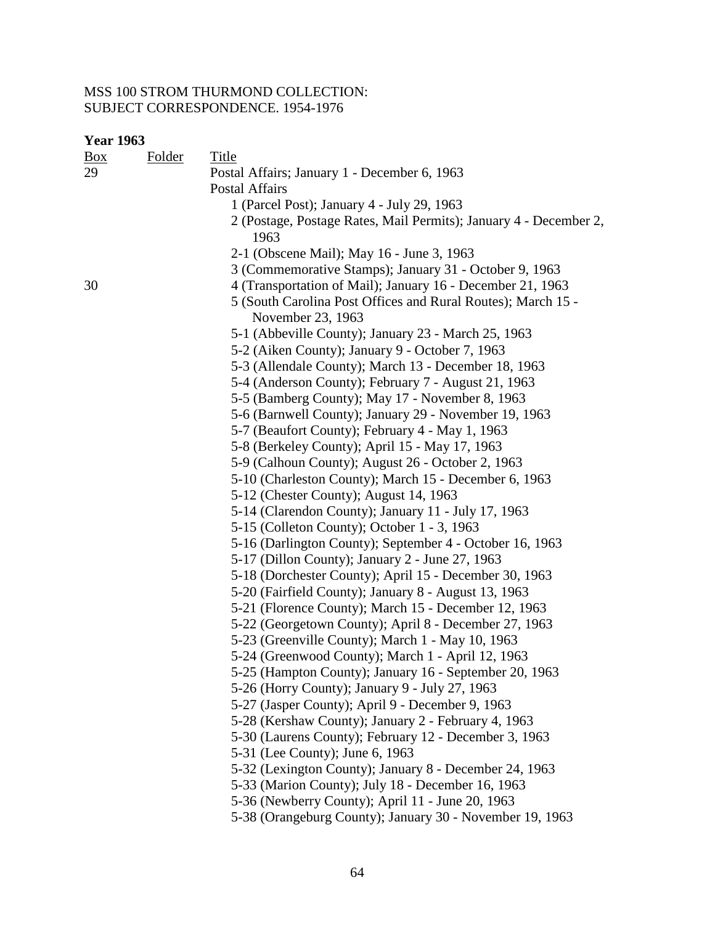| <b>Box</b> | Folder | <b>Title</b>                                                                      |
|------------|--------|-----------------------------------------------------------------------------------|
| 29         |        | Postal Affairs; January 1 - December 6, 1963                                      |
|            |        | <b>Postal Affairs</b>                                                             |
|            |        | 1 (Parcel Post); January 4 - July 29, 1963                                        |
|            |        | 2 (Postage, Postage Rates, Mail Permits); January 4 - December 2,                 |
|            |        | 1963                                                                              |
|            |        | 2-1 (Obscene Mail); May 16 - June 3, 1963                                         |
|            |        | 3 (Commemorative Stamps); January 31 - October 9, 1963                            |
| 30         |        | 4 (Transportation of Mail); January 16 - December 21, 1963                        |
|            |        | 5 (South Carolina Post Offices and Rural Routes); March 15 -<br>November 23, 1963 |
|            |        | 5-1 (Abbeville County); January 23 - March 25, 1963                               |
|            |        | 5-2 (Aiken County); January 9 - October 7, 1963                                   |
|            |        | 5-3 (Allendale County); March 13 - December 18, 1963                              |
|            |        | 5-4 (Anderson County); February 7 - August 21, 1963                               |
|            |        | 5-5 (Bamberg County); May 17 - November 8, 1963                                   |
|            |        | 5-6 (Barnwell County); January 29 - November 19, 1963                             |
|            |        | 5-7 (Beaufort County); February 4 - May 1, 1963                                   |
|            |        | 5-8 (Berkeley County); April 15 - May 17, 1963                                    |
|            |        | 5-9 (Calhoun County); August 26 - October 2, 1963                                 |
|            |        | 5-10 (Charleston County); March 15 - December 6, 1963                             |
|            |        | 5-12 (Chester County); August 14, 1963                                            |
|            |        | 5-14 (Clarendon County); January 11 - July 17, 1963                               |
|            |        | 5-15 (Colleton County); October 1 - 3, 1963                                       |
|            |        | 5-16 (Darlington County); September 4 - October 16, 1963                          |
|            |        | 5-17 (Dillon County); January 2 - June 27, 1963                                   |
|            |        | 5-18 (Dorchester County); April 15 - December 30, 1963                            |
|            |        | 5-20 (Fairfield County); January 8 - August 13, 1963                              |
|            |        | 5-21 (Florence County); March 15 - December 12, 1963                              |
|            |        | 5-22 (Georgetown County); April 8 - December 27, 1963                             |
|            |        | 5-23 (Greenville County); March 1 - May 10, 1963                                  |
|            |        | 5-24 (Greenwood County); March 1 - April 12, 1963                                 |
|            |        | 5-25 (Hampton County); January 16 - September 20, 1963                            |
|            |        | 5-26 (Horry County); January 9 - July 27, 1963                                    |
|            |        | 5-27 (Jasper County); April 9 - December 9, 1963                                  |
|            |        | 5-28 (Kershaw County); January 2 - February 4, 1963                               |
|            |        | 5-30 (Laurens County); February 12 - December 3, 1963                             |
|            |        | 5-31 (Lee County); June 6, 1963                                                   |
|            |        | 5-32 (Lexington County); January 8 - December 24, 1963                            |
|            |        | 5-33 (Marion County); July 18 - December 16, 1963                                 |
|            |        | 5-36 (Newberry County); April 11 - June 20, 1963                                  |
|            |        | 5-38 (Orangeburg County); January 30 - November 19, 1963                          |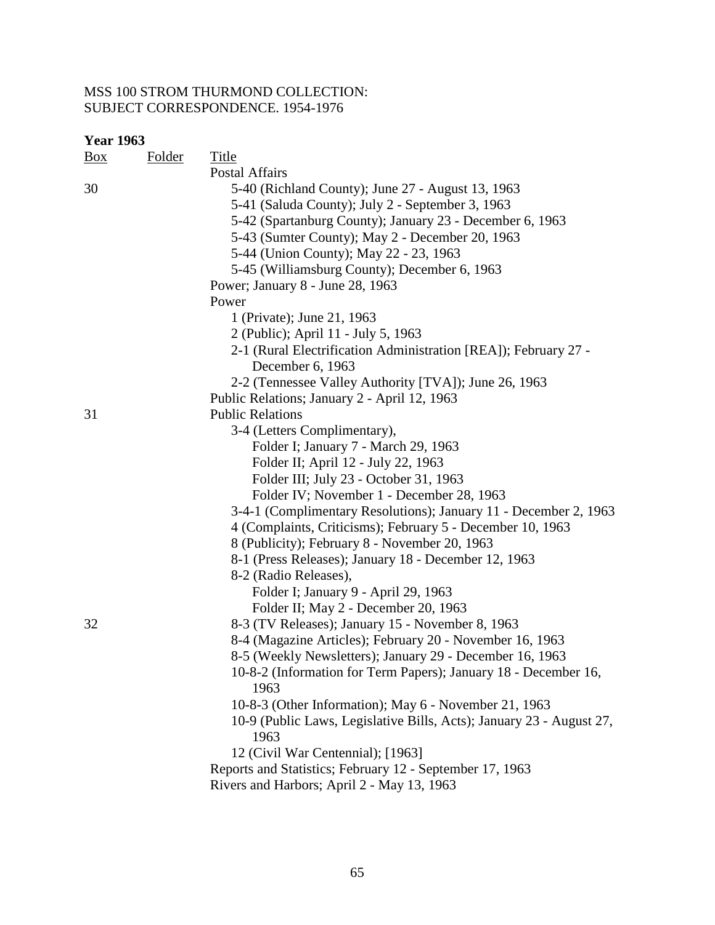| <b>Year 1963</b> |               |                                                                      |
|------------------|---------------|----------------------------------------------------------------------|
| $\frac{Box}{}$   | <b>Folder</b> | Title                                                                |
|                  |               | Postal Affairs                                                       |
| 30               |               | 5-40 (Richland County); June 27 - August 13, 1963                    |
|                  |               | 5-41 (Saluda County); July 2 - September 3, 1963                     |
|                  |               | 5-42 (Spartanburg County); January 23 - December 6, 1963             |
|                  |               | 5-43 (Sumter County); May 2 - December 20, 1963                      |
|                  |               | 5-44 (Union County); May 22 - 23, 1963                               |
|                  |               | 5-45 (Williamsburg County); December 6, 1963                         |
|                  |               | Power; January 8 - June 28, 1963                                     |
|                  |               | Power                                                                |
|                  |               | 1 (Private); June 21, 1963                                           |
|                  |               | 2 (Public); April 11 - July 5, 1963                                  |
|                  |               | 2-1 (Rural Electrification Administration [REA]); February 27 -      |
|                  |               | December 6, 1963                                                     |
|                  |               | 2-2 (Tennessee Valley Authority [TVA]); June 26, 1963                |
|                  |               | Public Relations; January 2 - April 12, 1963                         |
| 31               |               | <b>Public Relations</b>                                              |
|                  |               | 3-4 (Letters Complimentary),                                         |
|                  |               | Folder I; January 7 - March 29, 1963                                 |
|                  |               | Folder II; April 12 - July 22, 1963                                  |
|                  |               | Folder III; July 23 - October 31, 1963                               |
|                  |               | Folder IV; November 1 - December 28, 1963                            |
|                  |               | 3-4-1 (Complimentary Resolutions); January 11 - December 2, 1963     |
|                  |               | 4 (Complaints, Criticisms); February 5 - December 10, 1963           |
|                  |               | 8 (Publicity); February 8 - November 20, 1963                        |
|                  |               | 8-1 (Press Releases); January 18 - December 12, 1963                 |
|                  |               | 8-2 (Radio Releases),                                                |
|                  |               | Folder I; January 9 - April 29, 1963                                 |
|                  |               | Folder II; May 2 - December 20, 1963                                 |
| 32               |               | 8-3 (TV Releases); January 15 - November 8, 1963                     |
|                  |               | 8-4 (Magazine Articles); February 20 - November 16, 1963             |
|                  |               | 8-5 (Weekly Newsletters); January 29 - December 16, 1963             |
|                  |               | 10-8-2 (Information for Term Papers); January 18 - December 16,      |
|                  |               | 1963                                                                 |
|                  |               | 10-8-3 (Other Information); May 6 - November 21, 1963                |
|                  |               | 10-9 (Public Laws, Legislative Bills, Acts); January 23 - August 27, |
|                  |               | 1963                                                                 |
|                  |               | 12 (Civil War Centennial); [1963]                                    |
|                  |               | Reports and Statistics; February 12 - September 17, 1963             |
|                  |               | Rivers and Harbors; April 2 - May 13, 1963                           |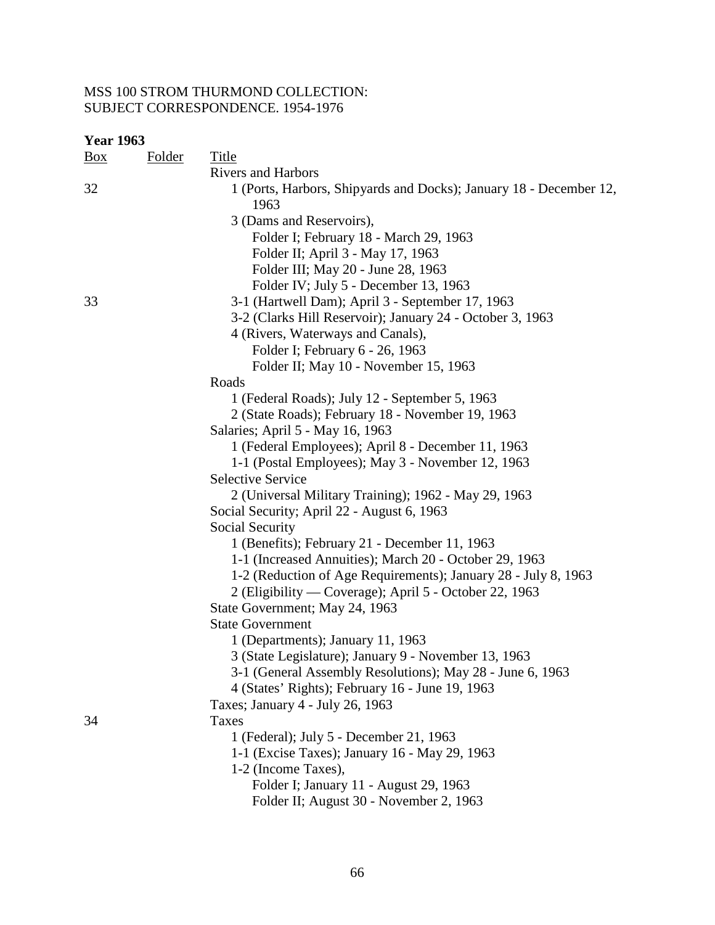| <b>Year 1963</b> |               |                                                                            |
|------------------|---------------|----------------------------------------------------------------------------|
| $\frac{Box}{}$   | <b>Folder</b> | <u>Title</u>                                                               |
|                  |               | <b>Rivers and Harbors</b>                                                  |
| 32               |               | 1 (Ports, Harbors, Shipyards and Docks); January 18 - December 12,<br>1963 |
|                  |               | 3 (Dams and Reservoirs),                                                   |
|                  |               | Folder I; February 18 - March 29, 1963                                     |
|                  |               | Folder II; April 3 - May 17, 1963                                          |
|                  |               | Folder III; May 20 - June 28, 1963                                         |
|                  |               | Folder IV; July 5 - December 13, 1963                                      |
| 33               |               | 3-1 (Hartwell Dam); April 3 - September 17, 1963                           |
|                  |               | 3-2 (Clarks Hill Reservoir); January 24 - October 3, 1963                  |
|                  |               | 4 (Rivers, Waterways and Canals),                                          |
|                  |               | Folder I; February 6 - 26, 1963                                            |
|                  |               | Folder II; May 10 - November 15, 1963                                      |
|                  |               | Roads                                                                      |
|                  |               | 1 (Federal Roads); July 12 - September 5, 1963                             |
|                  |               | 2 (State Roads); February 18 - November 19, 1963                           |
|                  |               | Salaries; April 5 - May 16, 1963                                           |
|                  |               | 1 (Federal Employees); April 8 - December 11, 1963                         |
|                  |               | 1-1 (Postal Employees); May 3 - November 12, 1963                          |
|                  |               | <b>Selective Service</b>                                                   |
|                  |               | 2 (Universal Military Training); 1962 - May 29, 1963                       |
|                  |               | Social Security; April 22 - August 6, 1963                                 |
|                  |               | Social Security                                                            |
|                  |               | 1 (Benefits); February 21 - December 11, 1963                              |
|                  |               | 1-1 (Increased Annuities); March 20 - October 29, 1963                     |
|                  |               | 1-2 (Reduction of Age Requirements); January 28 - July 8, 1963             |
|                  |               | 2 (Eligibility — Coverage); April 5 - October 22, 1963                     |
|                  |               | State Government; May 24, 1963                                             |
|                  |               | <b>State Government</b>                                                    |
|                  |               | 1 (Departments); January 11, 1963                                          |
|                  |               | 3 (State Legislature); January 9 - November 13, 1963                       |
|                  |               | 3-1 (General Assembly Resolutions); May 28 - June 6, 1963                  |
|                  |               | 4 (States' Rights); February 16 - June 19, 1963                            |
|                  |               | Taxes; January 4 - July 26, 1963                                           |
| 34               |               | Taxes                                                                      |
|                  |               | 1 (Federal); July 5 - December 21, 1963                                    |
|                  |               | 1-1 (Excise Taxes); January 16 - May 29, 1963                              |
|                  |               | 1-2 (Income Taxes),                                                        |
|                  |               | Folder I; January 11 - August 29, 1963                                     |
|                  |               | Folder II; August 30 - November 2, 1963                                    |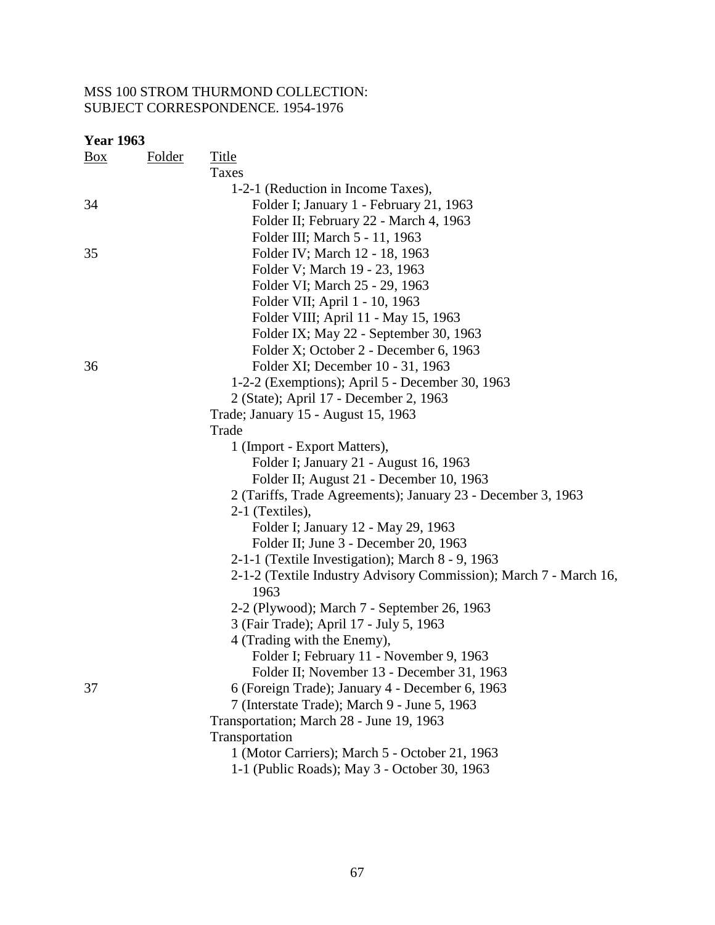| <b>Year 1963</b> |               |                                                                   |
|------------------|---------------|-------------------------------------------------------------------|
| Box              | <u>Folder</u> | <b>Title</b>                                                      |
|                  |               | Taxes                                                             |
|                  |               | 1-2-1 (Reduction in Income Taxes),                                |
| 34               |               | Folder I; January 1 - February 21, 1963                           |
|                  |               | Folder II; February 22 - March 4, 1963                            |
|                  |               | Folder III; March 5 - 11, 1963                                    |
| 35               |               | Folder IV; March 12 - 18, 1963                                    |
|                  |               | Folder V; March 19 - 23, 1963                                     |
|                  |               | Folder VI; March 25 - 29, 1963                                    |
|                  |               | Folder VII; April 1 - 10, 1963                                    |
|                  |               | Folder VIII; April 11 - May 15, 1963                              |
|                  |               | Folder IX; May 22 - September 30, 1963                            |
|                  |               | Folder X; October 2 - December 6, 1963                            |
| 36               |               | Folder XI; December 10 - 31, 1963                                 |
|                  |               | 1-2-2 (Exemptions); April 5 - December 30, 1963                   |
|                  |               | 2 (State); April 17 - December 2, 1963                            |
|                  |               | Trade; January 15 - August 15, 1963                               |
|                  |               | Trade                                                             |
|                  |               | 1 (Import - Export Matters),                                      |
|                  |               | Folder I; January 21 - August 16, 1963                            |
|                  |               | Folder II; August 21 - December 10, 1963                          |
|                  |               | 2 (Tariffs, Trade Agreements); January 23 - December 3, 1963      |
|                  |               | 2-1 (Textiles),                                                   |
|                  |               | Folder I; January 12 - May 29, 1963                               |
|                  |               | Folder II; June 3 - December 20, 1963                             |
|                  |               | 2-1-1 (Textile Investigation); March 8 - 9, 1963                  |
|                  |               | 2-1-2 (Textile Industry Advisory Commission); March 7 - March 16, |
|                  |               | 1963                                                              |
|                  |               | 2-2 (Plywood); March 7 - September 26, 1963                       |
|                  |               | 3 (Fair Trade); April 17 - July 5, 1963                           |
|                  |               | 4 (Trading with the Enemy),                                       |
|                  |               | Folder I; February 11 - November 9, 1963                          |
|                  |               | Folder II; November 13 - December 31, 1963                        |
| 37               |               | 6 (Foreign Trade); January 4 - December 6, 1963                   |
|                  |               | 7 (Interstate Trade); March 9 - June 5, 1963                      |
|                  |               | Transportation; March 28 - June 19, 1963                          |
|                  |               | Transportation                                                    |
|                  |               | 1 (Motor Carriers); March 5 - October 21, 1963                    |
|                  |               | 1-1 (Public Roads); May 3 - October 30, 1963                      |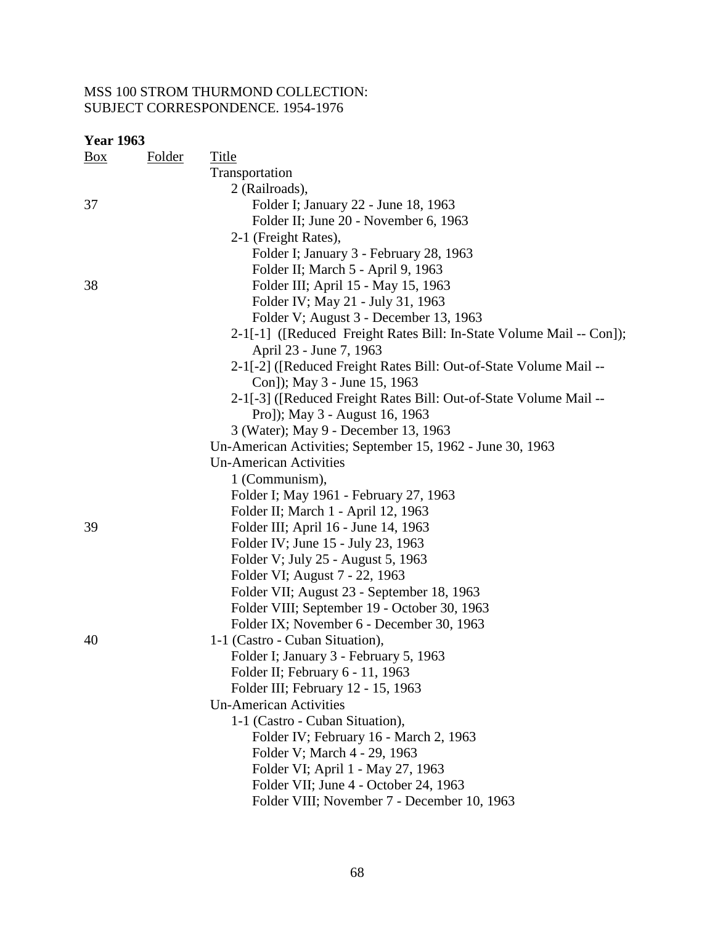| <b>Year 1963</b> |               |                                                                      |
|------------------|---------------|----------------------------------------------------------------------|
| $\frac{Box}{}$   | <u>Folder</u> | Title                                                                |
|                  |               | Transportation                                                       |
|                  |               | 2 (Railroads),                                                       |
| 37               |               | Folder I; January 22 - June 18, 1963                                 |
|                  |               | Folder II; June 20 - November 6, 1963                                |
|                  |               | 2-1 (Freight Rates),                                                 |
|                  |               | Folder I; January 3 - February 28, 1963                              |
|                  |               | Folder II; March 5 - April 9, 1963                                   |
| 38               |               | Folder III; April 15 - May 15, 1963                                  |
|                  |               | Folder IV; May 21 - July 31, 1963                                    |
|                  |               | Folder V; August 3 - December 13, 1963                               |
|                  |               | 2-1[-1] ([Reduced Freight Rates Bill: In-State Volume Mail -- Con]); |
|                  |               | April 23 - June 7, 1963                                              |
|                  |               | 2-1[-2] ([Reduced Freight Rates Bill: Out-of-State Volume Mail --    |
|                  |               | Con]); May 3 - June 15, 1963                                         |
|                  |               | 2-1[-3] ([Reduced Freight Rates Bill: Out-of-State Volume Mail --    |
|                  |               | Pro]); May 3 - August 16, 1963                                       |
|                  |               | 3 (Water); May 9 - December 13, 1963                                 |
|                  |               | Un-American Activities; September 15, 1962 - June 30, 1963           |
|                  |               | <b>Un-American Activities</b>                                        |
|                  |               | 1 (Communism),                                                       |
|                  |               | Folder I; May 1961 - February 27, 1963                               |
|                  |               | Folder II; March 1 - April 12, 1963                                  |
| 39               |               | Folder III; April 16 - June 14, 1963                                 |
|                  |               | Folder IV; June 15 - July 23, 1963                                   |
|                  |               | Folder V; July 25 - August 5, 1963                                   |
|                  |               | Folder VI; August 7 - 22, 1963                                       |
|                  |               | Folder VII; August 23 - September 18, 1963                           |
|                  |               | Folder VIII; September 19 - October 30, 1963                         |
|                  |               | Folder IX; November 6 - December 30, 1963                            |
| 40               |               | 1-1 (Castro - Cuban Situation),                                      |
|                  |               | Folder I; January 3 - February 5, 1963                               |
|                  |               | Folder II; February 6 - 11, 1963                                     |
|                  |               | Folder III; February 12 - 15, 1963                                   |
|                  |               | <b>Un-American Activities</b>                                        |
|                  |               | 1-1 (Castro - Cuban Situation),                                      |
|                  |               | Folder IV; February 16 - March 2, 1963                               |
|                  |               | Folder V; March 4 - 29, 1963                                         |
|                  |               | Folder VI; April 1 - May 27, 1963                                    |
|                  |               | Folder VII; June 4 - October 24, 1963                                |
|                  |               | Folder VIII; November 7 - December 10, 1963                          |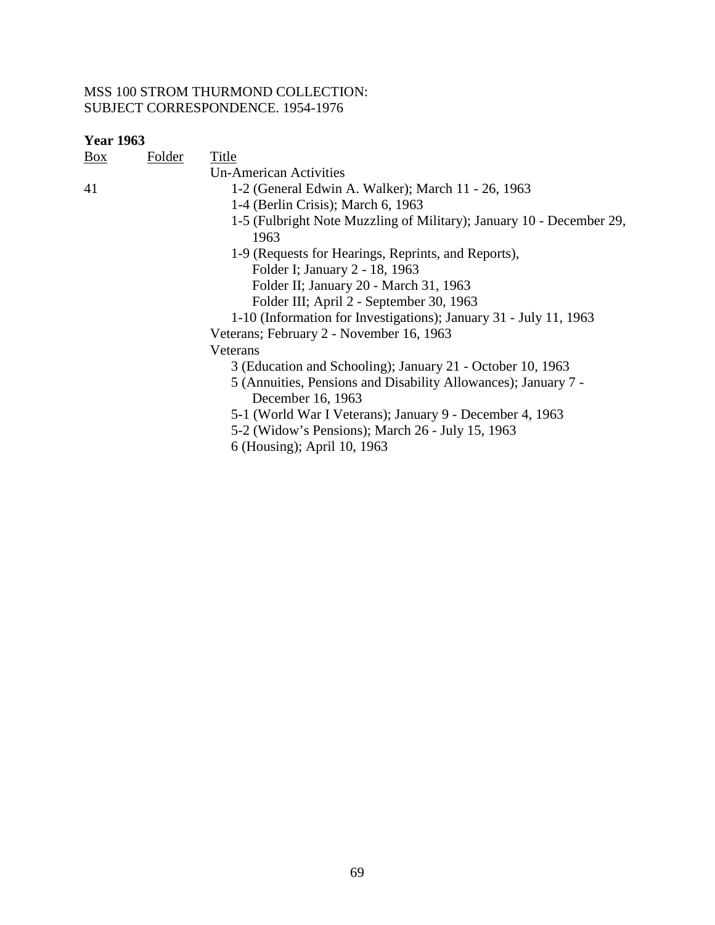| <b>Box</b> | Folder | Title                                                                |
|------------|--------|----------------------------------------------------------------------|
|            |        | Un-American Activities                                               |
| 41         |        | 1-2 (General Edwin A. Walker); March 11 - 26, 1963                   |
|            |        | 1-4 (Berlin Crisis); March 6, 1963                                   |
|            |        | 1-5 (Fulbright Note Muzzling of Military); January 10 - December 29, |
|            |        | 1963                                                                 |
|            |        | 1-9 (Requests for Hearings, Reprints, and Reports),                  |
|            |        | Folder I; January 2 - 18, 1963                                       |
|            |        | Folder II; January 20 - March 31, 1963                               |
|            |        | Folder III; April 2 - September 30, 1963                             |
|            |        | 1-10 (Information for Investigations); January 31 - July 11, 1963    |
|            |        | Veterans; February 2 - November 16, 1963                             |
|            |        | Veterans                                                             |
|            |        | 3 (Education and Schooling); January 21 - October 10, 1963           |
|            |        | 5 (Annuities, Pensions and Disability Allowances); January 7 -       |
|            |        | December 16, 1963                                                    |
|            |        | 5-1 (World War I Veterans); January 9 - December 4, 1963             |
|            |        | 5-2 (Widow's Pensions); March 26 - July 15, 1963                     |
|            |        | 6 (Housing); April 10, 1963                                          |
|            |        |                                                                      |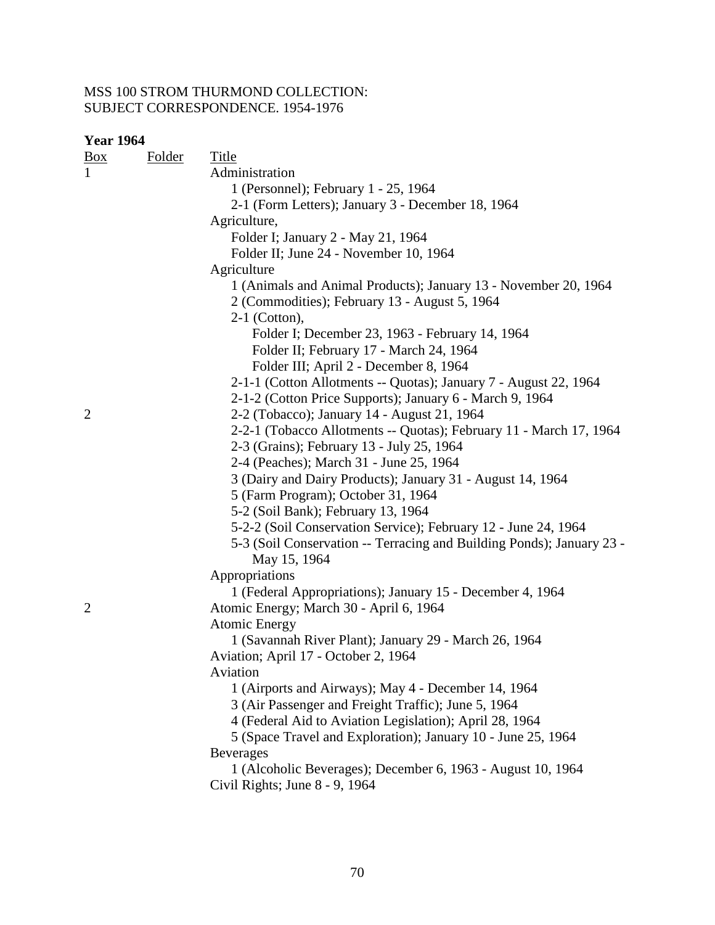| <u>Box</u>     | <b>Folder</b> | <b>Title</b>                                                                                                     |
|----------------|---------------|------------------------------------------------------------------------------------------------------------------|
| $\mathbf{1}$   |               | Administration                                                                                                   |
|                |               | 1 (Personnel); February 1 - 25, 1964                                                                             |
|                |               | 2-1 (Form Letters); January 3 - December 18, 1964                                                                |
|                |               | Agriculture,                                                                                                     |
|                |               | Folder I; January 2 - May 21, 1964                                                                               |
|                |               | Folder II; June 24 - November 10, 1964                                                                           |
|                |               | Agriculture                                                                                                      |
|                |               | 1 (Animals and Animal Products); January 13 - November 20, 1964<br>2 (Commodities); February 13 - August 5, 1964 |
|                |               | $2-1$ (Cotton),                                                                                                  |
|                |               | Folder I; December 23, 1963 - February 14, 1964                                                                  |
|                |               | Folder II; February 17 - March 24, 1964                                                                          |
|                |               | Folder III; April 2 - December 8, 1964                                                                           |
|                |               | 2-1-1 (Cotton Allotments -- Quotas); January 7 - August 22, 1964                                                 |
|                |               | 2-1-2 (Cotton Price Supports); January 6 - March 9, 1964                                                         |
| $\overline{c}$ |               | 2-2 (Tobacco); January 14 - August 21, 1964                                                                      |
|                |               | 2-2-1 (Tobacco Allotments -- Quotas); February 11 - March 17, 1964                                               |
|                |               | 2-3 (Grains); February 13 - July 25, 1964                                                                        |
|                |               | 2-4 (Peaches); March 31 - June 25, 1964                                                                          |
|                |               | 3 (Dairy and Dairy Products); January 31 - August 14, 1964                                                       |
|                |               | 5 (Farm Program); October 31, 1964                                                                               |
|                |               | 5-2 (Soil Bank); February 13, 1964                                                                               |
|                |               | 5-2-2 (Soil Conservation Service); February 12 - June 24, 1964                                                   |
|                |               |                                                                                                                  |
|                |               | 5-3 (Soil Conservation -- Terracing and Building Ponds); January 23 -<br>May 15, 1964                            |
|                |               | Appropriations                                                                                                   |
|                |               | 1 (Federal Appropriations); January 15 - December 4, 1964                                                        |
| $\overline{2}$ |               | Atomic Energy; March 30 - April 6, 1964                                                                          |
|                |               | <b>Atomic Energy</b>                                                                                             |
|                |               | 1 (Savannah River Plant); January 29 - March 26, 1964                                                            |
|                |               | Aviation; April 17 - October 2, 1964                                                                             |
|                |               | Aviation                                                                                                         |
|                |               | 1 (Airports and Airways); May 4 - December 14, 1964                                                              |
|                |               | 3 (Air Passenger and Freight Traffic); June 5, 1964                                                              |
|                |               | 4 (Federal Aid to Aviation Legislation); April 28, 1964                                                          |
|                |               | 5 (Space Travel and Exploration); January 10 - June 25, 1964                                                     |
|                |               | <b>Beverages</b>                                                                                                 |
|                |               | 1 (Alcoholic Beverages); December 6, 1963 - August 10, 1964                                                      |
|                |               | Civil Rights; June 8 - 9, 1964                                                                                   |
|                |               |                                                                                                                  |
|                |               |                                                                                                                  |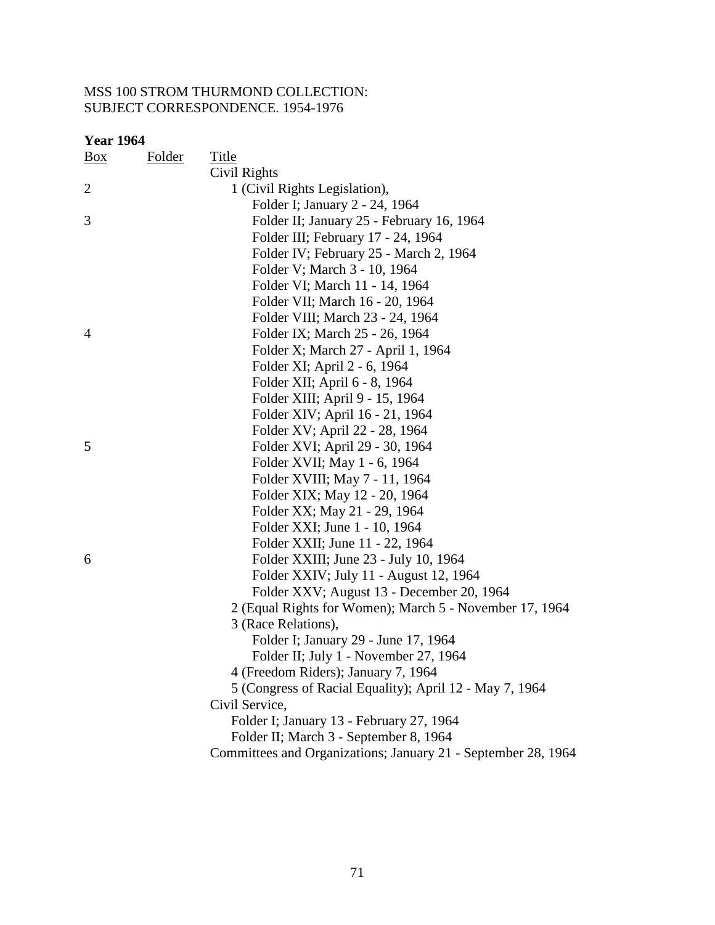| Box            | <b>Folder</b> | <b>Title</b>                                                  |
|----------------|---------------|---------------------------------------------------------------|
|                |               | Civil Rights                                                  |
| $\overline{2}$ |               | 1 (Civil Rights Legislation),                                 |
|                |               | Folder I; January 2 - 24, 1964                                |
| 3              |               | Folder II; January 25 - February 16, 1964                     |
|                |               | Folder III; February 17 - 24, 1964                            |
|                |               | Folder IV; February 25 - March 2, 1964                        |
|                |               | Folder V; March 3 - 10, 1964                                  |
|                |               | Folder VI; March 11 - 14, 1964                                |
|                |               | Folder VII; March 16 - 20, 1964                               |
|                |               | Folder VIII; March 23 - 24, 1964                              |
| $\overline{4}$ |               | Folder IX; March 25 - 26, 1964                                |
|                |               | Folder X; March 27 - April 1, 1964                            |
|                |               | Folder XI; April 2 - 6, 1964                                  |
|                |               | Folder XII; April 6 - 8, 1964                                 |
|                |               | Folder XIII; April 9 - 15, 1964                               |
|                |               | Folder XIV; April 16 - 21, 1964                               |
|                |               | Folder XV; April 22 - 28, 1964                                |
| 5              |               | Folder XVI; April 29 - 30, 1964                               |
|                |               | Folder XVII; May 1 - 6, 1964                                  |
|                |               | Folder XVIII; May 7 - 11, 1964                                |
|                |               | Folder XIX; May 12 - 20, 1964                                 |
|                |               | Folder XX; May 21 - 29, 1964                                  |
|                |               | Folder XXI; June 1 - 10, 1964                                 |
|                |               | Folder XXII; June 11 - 22, 1964                               |
| 6              |               | Folder XXIII; June 23 - July 10, 1964                         |
|                |               | Folder XXIV; July 11 - August 12, 1964                        |
|                |               | Folder XXV; August 13 - December 20, 1964                     |
|                |               | 2 (Equal Rights for Women); March 5 - November 17, 1964       |
|                |               | 3 (Race Relations),                                           |
|                |               | Folder I; January 29 - June 17, 1964                          |
|                |               | Folder II; July 1 - November 27, 1964                         |
|                |               | 4 (Freedom Riders); January 7, 1964                           |
|                |               | 5 (Congress of Racial Equality); April 12 - May 7, 1964       |
|                |               | Civil Service,                                                |
|                |               | Folder I; January 13 - February 27, 1964                      |
|                |               | Folder II; March 3 - September 8, 1964                        |
|                |               | Committees and Organizations; January 21 - September 28, 1964 |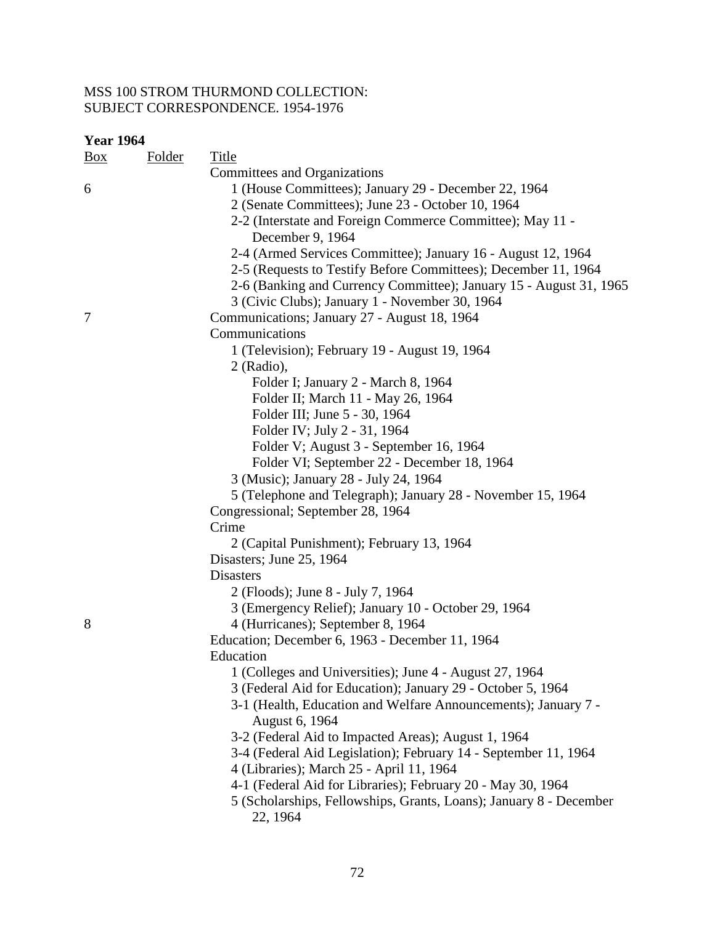| <b>Year 1964</b> |               |                                                                                |
|------------------|---------------|--------------------------------------------------------------------------------|
| $\frac{Box}{}$   | <b>Folder</b> | <b>Title</b>                                                                   |
|                  |               | Committees and Organizations                                                   |
| 6                |               | 1 (House Committees); January 29 - December 22, 1964                           |
|                  |               | 2 (Senate Committees); June 23 - October 10, 1964                              |
|                  |               | 2-2 (Interstate and Foreign Commerce Committee); May 11 -<br>December 9, 1964  |
|                  |               | 2-4 (Armed Services Committee); January 16 - August 12, 1964                   |
|                  |               | 2-5 (Requests to Testify Before Committees); December 11, 1964                 |
|                  |               | 2-6 (Banking and Currency Committee); January 15 - August 31, 1965             |
|                  |               | 3 (Civic Clubs); January 1 - November 30, 1964                                 |
| 7                |               | Communications; January 27 - August 18, 1964                                   |
|                  |               | Communications                                                                 |
|                  |               | 1 (Television); February 19 - August 19, 1964                                  |
|                  |               | $2$ (Radio),                                                                   |
|                  |               | Folder I; January 2 - March 8, 1964                                            |
|                  |               | Folder II; March 11 - May 26, 1964                                             |
|                  |               | Folder III; June 5 - 30, 1964                                                  |
|                  |               | Folder IV; July 2 - 31, 1964                                                   |
|                  |               | Folder V; August 3 - September 16, 1964                                        |
|                  |               | Folder VI; September 22 - December 18, 1964                                    |
|                  |               | 3 (Music); January 28 - July 24, 1964                                          |
|                  |               | 5 (Telephone and Telegraph); January 28 - November 15, 1964                    |
|                  |               | Congressional; September 28, 1964                                              |
|                  |               | Crime                                                                          |
|                  |               | 2 (Capital Punishment); February 13, 1964                                      |
|                  |               | Disasters; June 25, 1964                                                       |
|                  |               | <b>Disasters</b>                                                               |
|                  |               | 2 (Floods); June 8 - July 7, 1964                                              |
|                  |               | 3 (Emergency Relief); January 10 - October 29, 1964                            |
| 8                |               | 4 (Hurricanes); September 8, 1964                                              |
|                  |               | Education; December 6, 1963 - December 11, 1964                                |
|                  |               | Education                                                                      |
|                  |               | 1 (Colleges and Universities); June 4 - August 27, 1964                        |
|                  |               | 3 (Federal Aid for Education); January 29 - October 5, 1964                    |
|                  |               | 3-1 (Health, Education and Welfare Announcements); January 7 -                 |
|                  |               | August 6, 1964                                                                 |
|                  |               | 3-2 (Federal Aid to Impacted Areas); August 1, 1964                            |
|                  |               | 3-4 (Federal Aid Legislation); February 14 - September 11, 1964                |
|                  |               | 4 (Libraries); March 25 - April 11, 1964                                       |
|                  |               | 4-1 (Federal Aid for Libraries); February 20 - May 30, 1964                    |
|                  |               | 5 (Scholarships, Fellowships, Grants, Loans); January 8 - December<br>22, 1964 |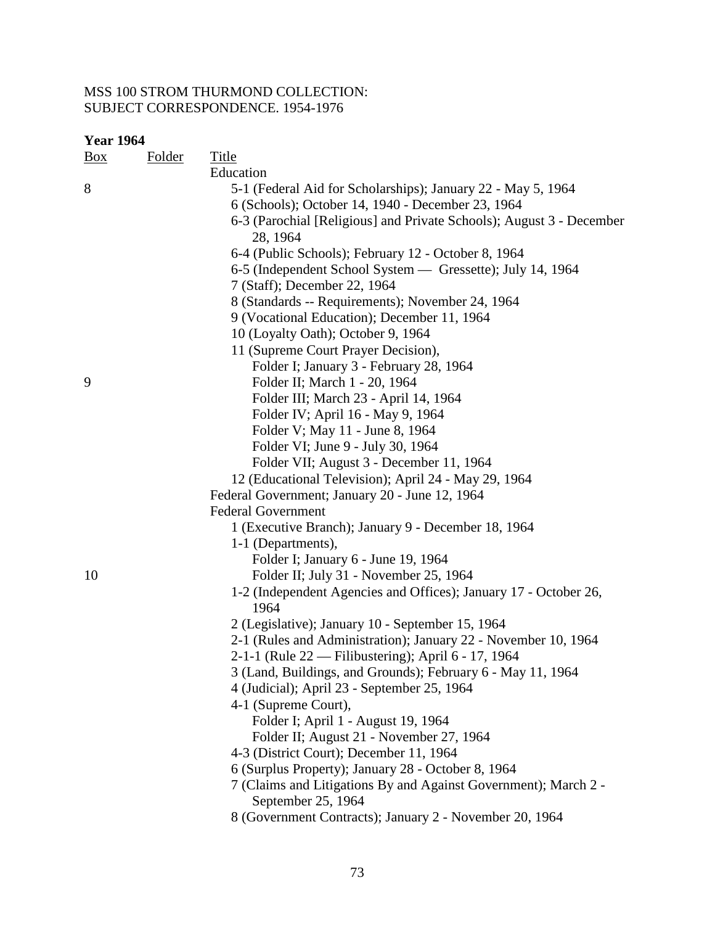| <b>Year 1964</b> |  |
|------------------|--|
|------------------|--|

| $\frac{Box}{}$ | <b>Folder</b> | <b>Title</b>                                                             |
|----------------|---------------|--------------------------------------------------------------------------|
|                |               | Education                                                                |
| 8              |               | 5-1 (Federal Aid for Scholarships); January 22 - May 5, 1964             |
|                |               | 6 (Schools); October 14, 1940 - December 23, 1964                        |
|                |               | 6-3 (Parochial [Religious] and Private Schools); August 3 - December     |
|                |               | 28, 1964                                                                 |
|                |               | 6-4 (Public Schools); February 12 - October 8, 1964                      |
|                |               | 6-5 (Independent School System — Gressette); July 14, 1964               |
|                |               | 7 (Staff); December 22, 1964                                             |
|                |               | 8 (Standards -- Requirements); November 24, 1964                         |
|                |               | 9 (Vocational Education); December 11, 1964                              |
|                |               | 10 (Loyalty Oath); October 9, 1964                                       |
|                |               | 11 (Supreme Court Prayer Decision),                                      |
|                |               | Folder I; January 3 - February 28, 1964                                  |
| 9              |               | Folder II; March 1 - 20, 1964                                            |
|                |               | Folder III; March 23 - April 14, 1964                                    |
|                |               | Folder IV; April 16 - May 9, 1964                                        |
|                |               | Folder V; May 11 - June 8, 1964                                          |
|                |               | Folder VI; June 9 - July 30, 1964                                        |
|                |               | Folder VII; August 3 - December 11, 1964                                 |
|                |               | 12 (Educational Television); April 24 - May 29, 1964                     |
|                |               | Federal Government; January 20 - June 12, 1964                           |
|                |               | <b>Federal Government</b>                                                |
|                |               | 1 (Executive Branch); January 9 - December 18, 1964                      |
|                |               | 1-1 (Departments),                                                       |
|                |               | Folder I; January 6 - June 19, 1964                                      |
| 10             |               | Folder II; July 31 - November 25, 1964                                   |
|                |               | 1-2 (Independent Agencies and Offices); January 17 - October 26,<br>1964 |
|                |               | 2 (Legislative); January 10 - September 15, 1964                         |
|                |               | 2-1 (Rules and Administration); January 22 - November 10, 1964           |
|                |               | 2-1-1 (Rule 22 — Filibustering); April 6 - 17, 1964                      |
|                |               | 3 (Land, Buildings, and Grounds); February 6 - May 11, 1964              |
|                |               | 4 (Judicial); April 23 - September 25, 1964                              |
|                |               | 4-1 (Supreme Court),                                                     |
|                |               | Folder I; April 1 - August 19, 1964                                      |
|                |               | Folder II; August 21 - November 27, 1964                                 |
|                |               | 4-3 (District Court); December 11, 1964                                  |
|                |               | 6 (Surplus Property); January 28 - October 8, 1964                       |
|                |               | 7 (Claims and Litigations By and Against Government); March 2 -          |
|                |               | September 25, 1964                                                       |
|                |               | 8 (Government Contracts); January 2 - November 20, 1964                  |
|                |               |                                                                          |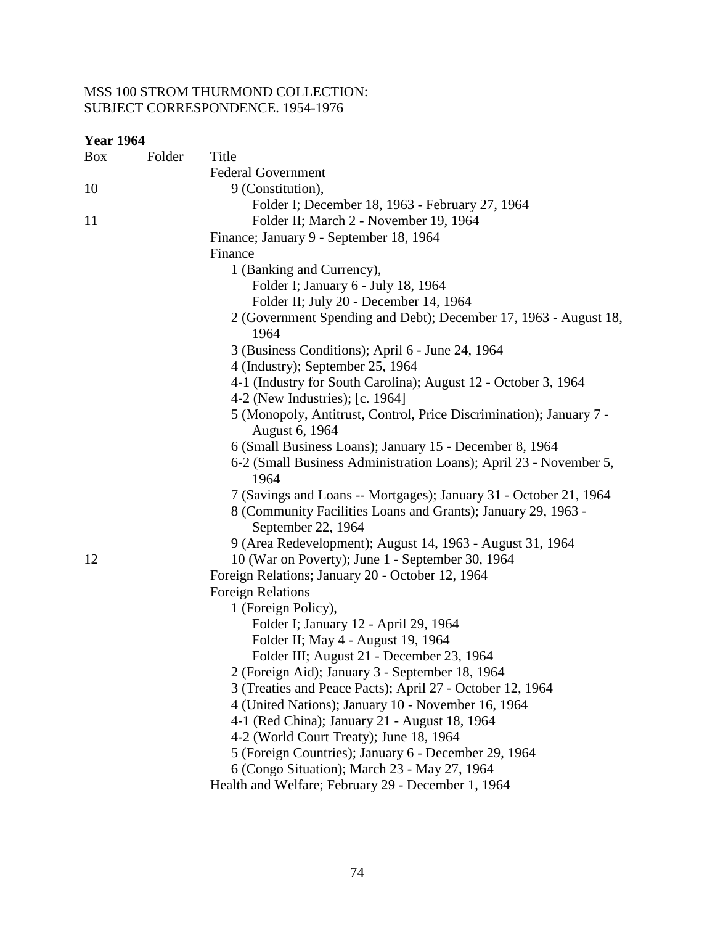| <b>Year 1964</b> |               |                                                                                       |
|------------------|---------------|---------------------------------------------------------------------------------------|
| <u>Box</u>       | <b>Folder</b> | <b>Title</b>                                                                          |
|                  |               | <b>Federal Government</b>                                                             |
| 10               |               | 9 (Constitution),                                                                     |
|                  |               | Folder I; December 18, 1963 - February 27, 1964                                       |
| 11               |               | Folder II; March 2 - November 19, 1964                                                |
|                  |               | Finance; January 9 - September 18, 1964                                               |
|                  |               | Finance                                                                               |
|                  |               | 1 (Banking and Currency),                                                             |
|                  |               | Folder I; January 6 - July 18, 1964                                                   |
|                  |               | Folder II; July 20 - December 14, 1964                                                |
|                  |               | 2 (Government Spending and Debt); December 17, 1963 - August 18,<br>1964              |
|                  |               | 3 (Business Conditions); April 6 - June 24, 1964                                      |
|                  |               | 4 (Industry); September 25, 1964                                                      |
|                  |               | 4-1 (Industry for South Carolina); August 12 - October 3, 1964                        |
|                  |               | 4-2 (New Industries); [c. 1964]                                                       |
|                  |               | 5 (Monopoly, Antitrust, Control, Price Discrimination); January 7 -<br>August 6, 1964 |
|                  |               | 6 (Small Business Loans); January 15 - December 8, 1964                               |
|                  |               | 6-2 (Small Business Administration Loans); April 23 - November 5,<br>1964             |
|                  |               | 7 (Savings and Loans -- Mortgages); January 31 - October 21, 1964                     |
|                  |               | 8 (Community Facilities Loans and Grants); January 29, 1963 -<br>September 22, 1964   |
|                  |               | 9 (Area Redevelopment); August 14, 1963 - August 31, 1964                             |
| 12               |               | 10 (War on Poverty); June 1 - September 30, 1964                                      |
|                  |               | Foreign Relations; January 20 - October 12, 1964                                      |
|                  |               | <b>Foreign Relations</b>                                                              |
|                  |               | 1 (Foreign Policy),                                                                   |
|                  |               | Folder I; January 12 - April 29, 1964                                                 |
|                  |               | Folder II; May 4 - August 19, 1964                                                    |
|                  |               | Folder III; August 21 - December 23, 1964                                             |
|                  |               | 2 (Foreign Aid); January 3 - September 18, 1964                                       |
|                  |               | 3 (Treaties and Peace Pacts); April 27 - October 12, 1964                             |
|                  |               | 4 (United Nations); January 10 - November 16, 1964                                    |
|                  |               | 4-1 (Red China); January 21 - August 18, 1964                                         |
|                  |               | 4-2 (World Court Treaty); June 18, 1964                                               |
|                  |               | 5 (Foreign Countries); January 6 - December 29, 1964                                  |
|                  |               | 6 (Congo Situation); March 23 - May 27, 1964                                          |
|                  |               | Health and Welfare; February 29 - December 1, 1964                                    |
|                  |               |                                                                                       |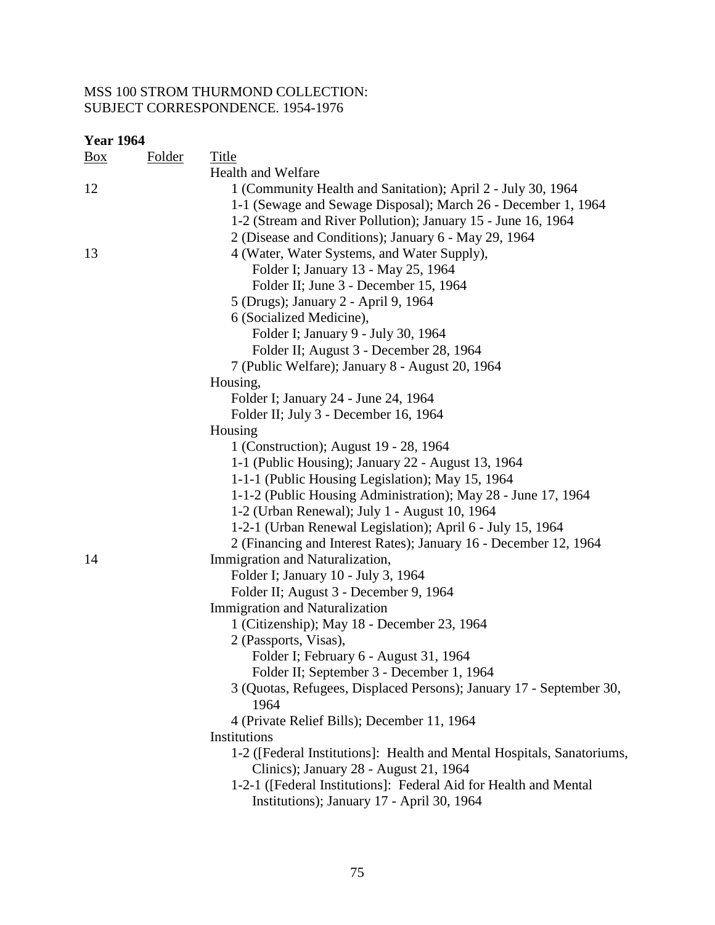#### **Year 1964**  Box Folder Title Health and Welfare 12 12 1 (Community Health and Sanitation); April 2 - July 30, 1964 1-1 (Sewage and Sewage Disposal); March 26 - December 1, 1964 1-2 (Stream and River Pollution); January 15 - June 16, 1964 2 (Disease and Conditions); January 6 - May 29, 1964 13 4 (Water, Water Systems, and Water Supply), Folder I; January 13 - May 25, 1964 Folder II; June 3 - December 15, 1964 5 (Drugs); January 2 - April 9, 1964 6 (Socialized Medicine), Folder I; January 9 - July 30, 1964 Folder II; August 3 - December 28, 1964 7 (Public Welfare); January 8 - August 20, 1964 Housing, Folder I; January 24 - June 24, 1964 Folder II; July 3 - December 16, 1964 Housing 1 (Construction); August 19 - 28, 1964 1-1 (Public Housing); January 22 - August 13, 1964 1-1-1 (Public Housing Legislation); May 15, 1964 1-1-2 (Public Housing Administration); May 28 - June 17, 1964 1-2 (Urban Renewal); July 1 - August 10, 1964 1-2-1 (Urban Renewal Legislation); April 6 - July 15, 1964 2 (Financing and Interest Rates); January 16 - December 12, 1964 14 Immigration and Naturalization, Folder I; January 10 - July 3, 1964 Folder II; August 3 - December 9, 1964 Immigration and Naturalization 1 (Citizenship); May 18 - December 23, 1964 2 (Passports, Visas), Folder I; February 6 - August 31, 1964 Folder II; September 3 - December 1, 1964 3 (Quotas, Refugees, Displaced Persons); January 17 - September 30, 1964 4 (Private Relief Bills); December 11, 1964 Institutions 1-2 ([Federal Institutions]: Health and Mental Hospitals, Sanatoriums, Clinics); January 28 - August 21, 1964 1-2-1 ([Federal Institutions]: Federal Aid for Health and Mental Institutions); January 17 - April 30, 1964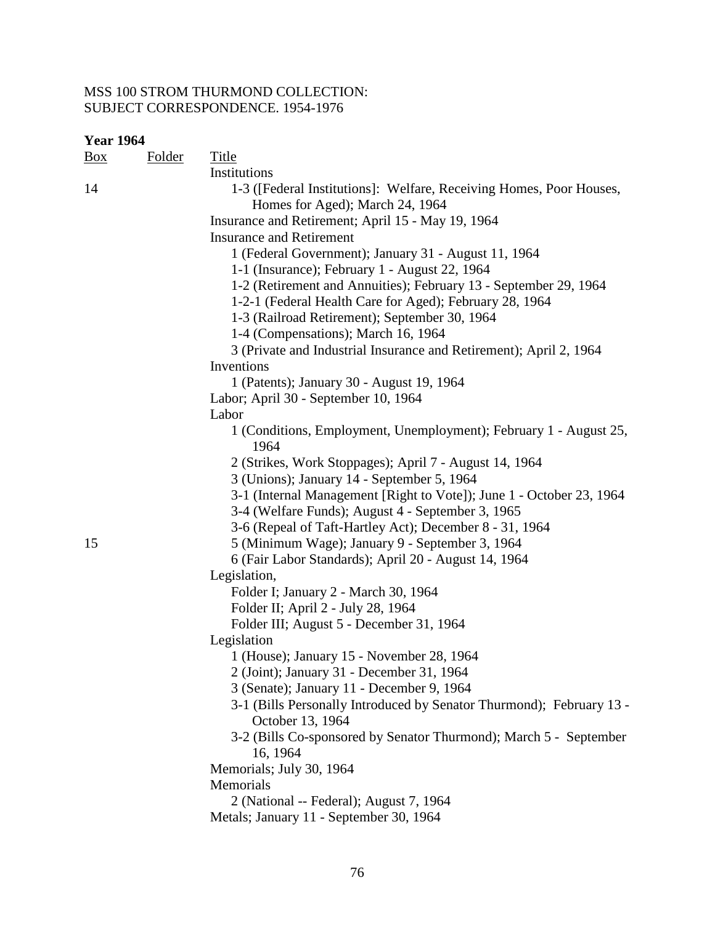| <b>Year 1964</b> |               |                                                                                                                             |
|------------------|---------------|-----------------------------------------------------------------------------------------------------------------------------|
| $\frac{Box}{}$   | <b>Folder</b> | <b>Title</b>                                                                                                                |
|                  |               | Institutions                                                                                                                |
| 14               |               | 1-3 ([Federal Institutions]: Welfare, Receiving Homes, Poor Houses,<br>Homes for Aged); March 24, 1964                      |
|                  |               | Insurance and Retirement; April 15 - May 19, 1964                                                                           |
|                  |               | <b>Insurance and Retirement</b>                                                                                             |
|                  |               | 1 (Federal Government); January 31 - August 11, 1964                                                                        |
|                  |               | 1-1 (Insurance); February 1 - August 22, 1964                                                                               |
|                  |               | 1-2 (Retirement and Annuities); February 13 - September 29, 1964<br>1-2-1 (Federal Health Care for Aged); February 28, 1964 |
|                  |               | 1-3 (Railroad Retirement); September 30, 1964                                                                               |
|                  |               | 1-4 (Compensations); March 16, 1964                                                                                         |
|                  |               | 3 (Private and Industrial Insurance and Retirement); April 2, 1964                                                          |
|                  |               | Inventions                                                                                                                  |
|                  |               | 1 (Patents); January 30 - August 19, 1964                                                                                   |
|                  |               | Labor; April 30 - September 10, 1964                                                                                        |
|                  |               | Labor                                                                                                                       |
|                  |               | 1 (Conditions, Employment, Unemployment); February 1 - August 25,<br>1964                                                   |
|                  |               | 2 (Strikes, Work Stoppages); April 7 - August 14, 1964                                                                      |
|                  |               | 3 (Unions); January 14 - September 5, 1964                                                                                  |
|                  |               | 3-1 (Internal Management [Right to Vote]); June 1 - October 23, 1964                                                        |
|                  |               | 3-4 (Welfare Funds); August 4 - September 3, 1965                                                                           |
|                  |               | 3-6 (Repeal of Taft-Hartley Act); December 8 - 31, 1964                                                                     |
| 15               |               | 5 (Minimum Wage); January 9 - September 3, 1964                                                                             |
|                  |               | 6 (Fair Labor Standards); April 20 - August 14, 1964                                                                        |
|                  |               | Legislation,                                                                                                                |
|                  |               | Folder I; January 2 - March 30, 1964                                                                                        |
|                  |               | Folder II; April 2 - July 28, 1964                                                                                          |
|                  |               | Folder III; August 5 - December 31, 1964                                                                                    |
|                  |               | Legislation                                                                                                                 |
|                  |               | 1 (House); January 15 - November 28, 1964                                                                                   |
|                  |               | 2 (Joint); January 31 - December 31, 1964                                                                                   |
|                  |               | 3 (Senate); January 11 - December 9, 1964                                                                                   |
|                  |               | 3-1 (Bills Personally Introduced by Senator Thurmond); February 13 -<br>October 13, 1964                                    |
|                  |               | 3-2 (Bills Co-sponsored by Senator Thurmond); March 5 - September                                                           |
|                  |               | 16, 1964                                                                                                                    |
|                  |               | Memorials; July 30, 1964                                                                                                    |
|                  |               | Memorials                                                                                                                   |
|                  |               | 2 (National -- Federal); August 7, 1964                                                                                     |
|                  |               | Metals; January 11 - September 30, 1964                                                                                     |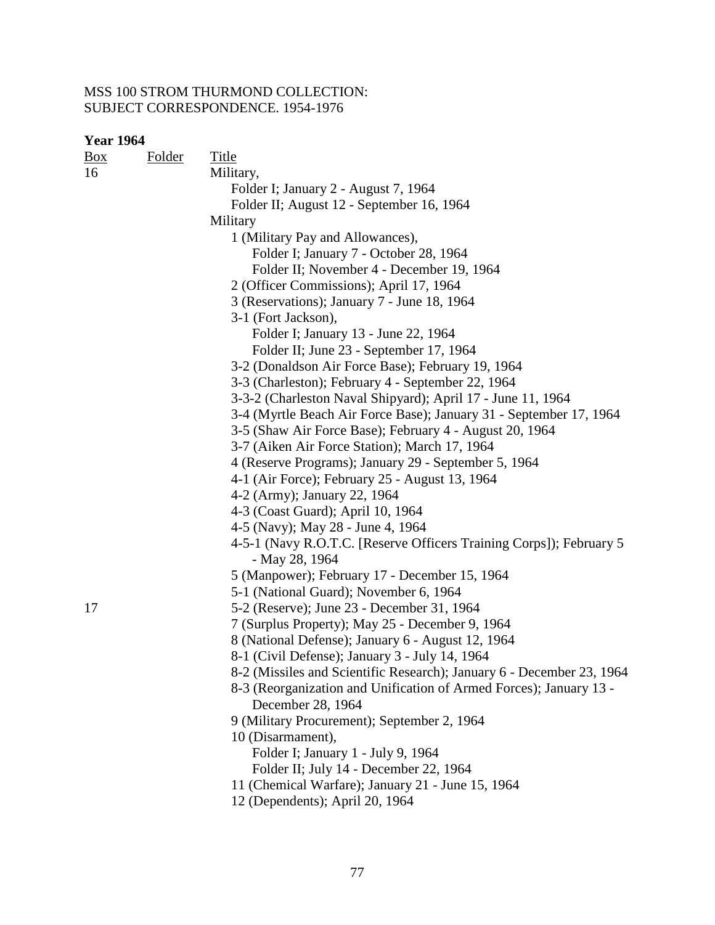| <u>Box</u> | <b>Folder</b> | <b>Title</b>                                                                            |
|------------|---------------|-----------------------------------------------------------------------------------------|
| 16         |               | Military,                                                                               |
|            |               | Folder I; January 2 - August 7, 1964                                                    |
|            |               | Folder II; August 12 - September 16, 1964                                               |
|            |               | Military                                                                                |
|            |               | 1 (Military Pay and Allowances),                                                        |
|            |               | Folder I; January 7 - October 28, 1964                                                  |
|            |               | Folder II; November 4 - December 19, 1964                                               |
|            |               | 2 (Officer Commissions); April 17, 1964                                                 |
|            |               | 3 (Reservations); January 7 - June 18, 1964                                             |
|            |               | 3-1 (Fort Jackson),                                                                     |
|            |               | Folder I; January 13 - June 22, 1964                                                    |
|            |               | Folder II; June 23 - September 17, 1964                                                 |
|            |               | 3-2 (Donaldson Air Force Base); February 19, 1964                                       |
|            |               | 3-3 (Charleston); February 4 - September 22, 1964                                       |
|            |               | 3-3-2 (Charleston Naval Shipyard); April 17 - June 11, 1964                             |
|            |               | 3-4 (Myrtle Beach Air Force Base); January 31 - September 17, 1964                      |
|            |               | 3-5 (Shaw Air Force Base); February 4 - August 20, 1964                                 |
|            |               | 3-7 (Aiken Air Force Station); March 17, 1964                                           |
|            |               | 4 (Reserve Programs); January 29 - September 5, 1964                                    |
|            |               | 4-1 (Air Force); February 25 - August 13, 1964                                          |
|            |               | 4-2 (Army); January 22, 1964                                                            |
|            |               | 4-3 (Coast Guard); April 10, 1964                                                       |
|            |               | 4-5 (Navy); May 28 - June 4, 1964                                                       |
|            |               | 4-5-1 (Navy R.O.T.C. [Reserve Officers Training Corps]); February 5                     |
|            |               | - May 28, 1964                                                                          |
|            |               | 5 (Manpower); February 17 - December 15, 1964                                           |
|            |               | 5-1 (National Guard); November 6, 1964                                                  |
| 17         |               | 5-2 (Reserve); June 23 - December 31, 1964                                              |
|            |               | 7 (Surplus Property); May 25 - December 9, 1964                                         |
|            |               | 8 (National Defense); January 6 - August 12, 1964                                       |
|            |               | 8-1 (Civil Defense); January 3 - July 14, 1964                                          |
|            |               | 8-2 (Missiles and Scientific Research); January 6 - December 23, 1964                   |
|            |               | 8-3 (Reorganization and Unification of Armed Forces); January 13 -<br>December 28, 1964 |
|            |               | 9 (Military Procurement); September 2, 1964                                             |
|            |               | 10 (Disarmament),                                                                       |
|            |               | Folder I; January 1 - July 9, 1964                                                      |
|            |               | Folder II; July 14 - December 22, 1964                                                  |
|            |               | 11 (Chemical Warfare); January 21 - June 15, 1964                                       |
|            |               | 12 (Dependents); April 20, 1964                                                         |
|            |               |                                                                                         |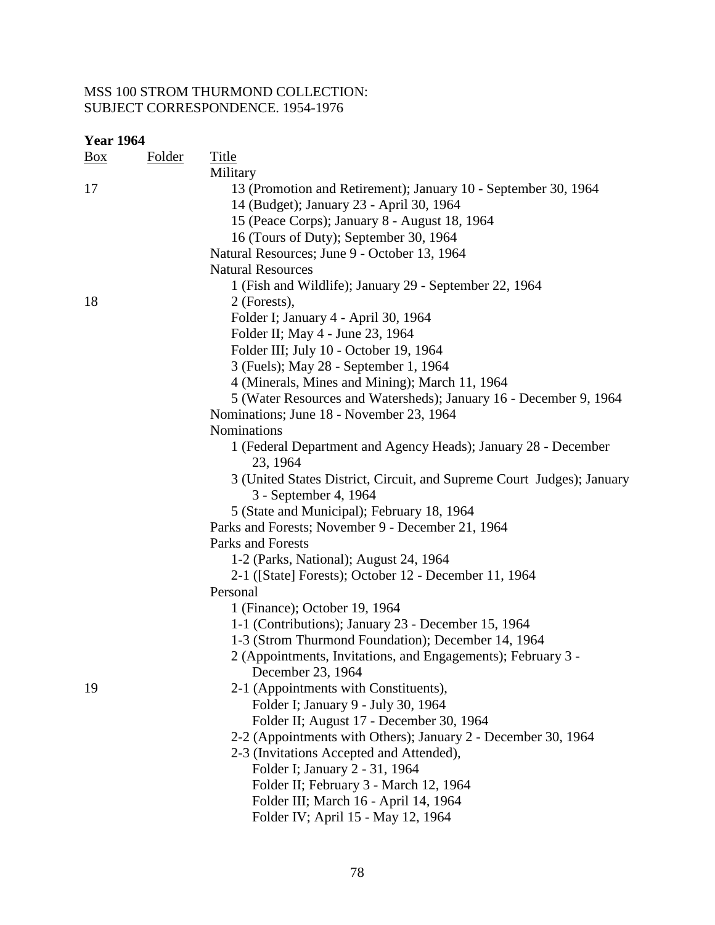| <b>Year 1964</b> |               |                                                                        |
|------------------|---------------|------------------------------------------------------------------------|
| $\frac{Box}{}$   | <b>Folder</b> | <b>Title</b>                                                           |
|                  |               | Military                                                               |
| 17               |               | 13 (Promotion and Retirement); January 10 - September 30, 1964         |
|                  |               | 14 (Budget); January 23 - April 30, 1964                               |
|                  |               | 15 (Peace Corps); January 8 - August 18, 1964                          |
|                  |               | 16 (Tours of Duty); September 30, 1964                                 |
|                  |               | Natural Resources; June 9 - October 13, 1964                           |
|                  |               | <b>Natural Resources</b>                                               |
|                  |               | 1 (Fish and Wildlife); January 29 - September 22, 1964                 |
| 18               |               | 2 (Forests),                                                           |
|                  |               | Folder I; January 4 - April 30, 1964                                   |
|                  |               | Folder II; May 4 - June 23, 1964                                       |
|                  |               | Folder III; July 10 - October 19, 1964                                 |
|                  |               | 3 (Fuels); May 28 - September 1, 1964                                  |
|                  |               | 4 (Minerals, Mines and Mining); March 11, 1964                         |
|                  |               | 5 (Water Resources and Watersheds); January 16 - December 9, 1964      |
|                  |               | Nominations; June 18 - November 23, 1964                               |
|                  |               | Nominations                                                            |
|                  |               | 1 (Federal Department and Agency Heads); January 28 - December         |
|                  |               | 23, 1964                                                               |
|                  |               | 3 (United States District, Circuit, and Supreme Court Judges); January |
|                  |               | 3 - September 4, 1964                                                  |
|                  |               | 5 (State and Municipal); February 18, 1964                             |
|                  |               | Parks and Forests; November 9 - December 21, 1964                      |
|                  |               | Parks and Forests                                                      |
|                  |               | 1-2 (Parks, National); August 24, 1964                                 |
|                  |               | 2-1 ([State] Forests); October 12 - December 11, 1964                  |
|                  |               | Personal                                                               |
|                  |               | 1 (Finance); October 19, 1964                                          |
|                  |               | 1-1 (Contributions); January 23 - December 15, 1964                    |
|                  |               | 1-3 (Strom Thurmond Foundation); December 14, 1964                     |
|                  |               | 2 (Appointments, Invitations, and Engagements); February 3 -           |
|                  |               | December 23, 1964                                                      |
| 19               |               | 2-1 (Appointments with Constituents),                                  |
|                  |               | Folder I; January 9 - July 30, 1964                                    |
|                  |               | Folder II; August 17 - December 30, 1964                               |
|                  |               | 2-2 (Appointments with Others); January 2 - December 30, 1964          |
|                  |               | 2-3 (Invitations Accepted and Attended),                               |
|                  |               | Folder I; January 2 - 31, 1964                                         |
|                  |               | Folder II; February 3 - March 12, 1964                                 |
|                  |               | Folder III; March 16 - April 14, 1964                                  |
|                  |               | Folder IV; April 15 - May 12, 1964                                     |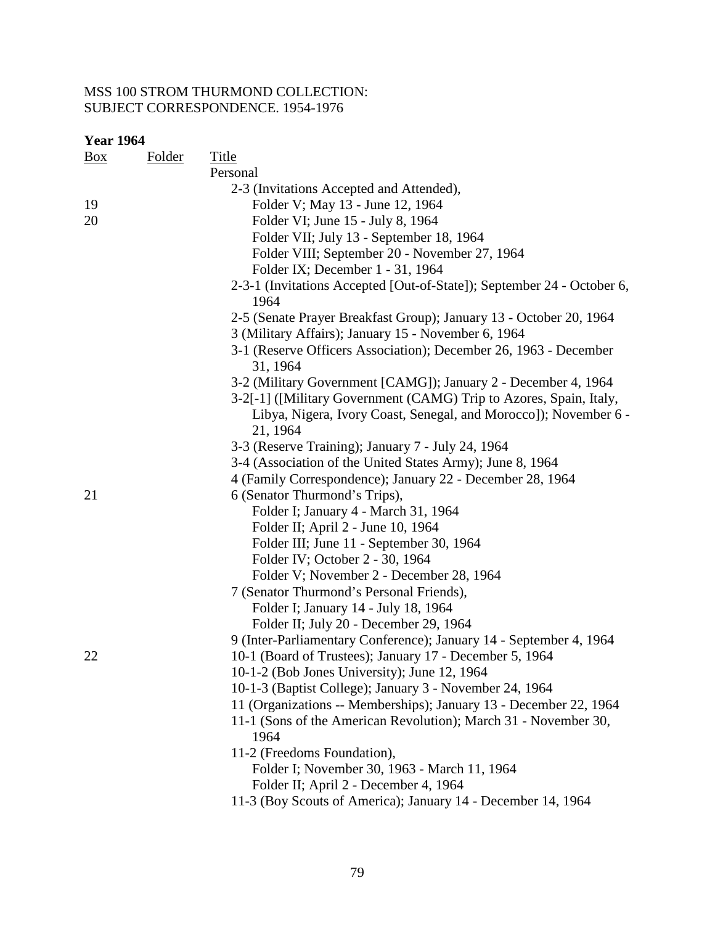| <b>Year 1964</b> |               |                                                                                |
|------------------|---------------|--------------------------------------------------------------------------------|
| $\frac{Box}{}$   | <b>Folder</b> | <b>Title</b>                                                                   |
|                  |               | Personal                                                                       |
|                  |               | 2-3 (Invitations Accepted and Attended),                                       |
| 19               |               | Folder V; May 13 - June 12, 1964                                               |
| 20               |               | Folder VI; June 15 - July 8, 1964                                              |
|                  |               | Folder VII; July 13 - September 18, 1964                                       |
|                  |               | Folder VIII; September 20 - November 27, 1964                                  |
|                  |               | Folder IX; December 1 - 31, 1964                                               |
|                  |               | 2-3-1 (Invitations Accepted [Out-of-State]); September 24 - October 6,<br>1964 |
|                  |               | 2-5 (Senate Prayer Breakfast Group); January 13 - October 20, 1964             |
|                  |               | 3 (Military Affairs); January 15 - November 6, 1964                            |
|                  |               | 3-1 (Reserve Officers Association); December 26, 1963 - December               |
|                  |               | 31, 1964                                                                       |
|                  |               | 3-2 (Military Government [CAMG]); January 2 - December 4, 1964                 |
|                  |               | 3-2[-1] ([Military Government (CAMG) Trip to Azores, Spain, Italy,             |
|                  |               | Libya, Nigera, Ivory Coast, Senegal, and Morocco]); November 6 -<br>21, 1964   |
|                  |               | 3-3 (Reserve Training); January 7 - July 24, 1964                              |
|                  |               | 3-4 (Association of the United States Army); June 8, 1964                      |
|                  |               | 4 (Family Correspondence); January 22 - December 28, 1964                      |
| 21               |               | 6 (Senator Thurmond's Trips),                                                  |
|                  |               | Folder I; January 4 - March 31, 1964                                           |
|                  |               | Folder II; April 2 - June 10, 1964                                             |
|                  |               | Folder III; June 11 - September 30, 1964                                       |
|                  |               | Folder IV; October 2 - 30, 1964                                                |
|                  |               | Folder V; November 2 - December 28, 1964                                       |
|                  |               | 7 (Senator Thurmond's Personal Friends),                                       |
|                  |               | Folder I; January 14 - July 18, 1964                                           |
|                  |               | Folder II; July 20 - December 29, 1964                                         |
|                  |               | 9 (Inter-Parliamentary Conference); January 14 - September 4, 1964             |
| 22               |               | 10-1 (Board of Trustees); January 17 - December 5, 1964                        |
|                  |               | 10-1-2 (Bob Jones University); June 12, 1964                                   |
|                  |               | 10-1-3 (Baptist College); January 3 - November 24, 1964                        |
|                  |               | 11 (Organizations -- Memberships); January 13 - December 22, 1964              |
|                  |               | 11-1 (Sons of the American Revolution); March 31 - November 30,<br>1964        |
|                  |               | 11-2 (Freedoms Foundation),                                                    |
|                  |               | Folder I; November 30, 1963 - March 11, 1964                                   |
|                  |               | Folder II; April 2 - December 4, 1964                                          |
|                  |               | 11-3 (Boy Scouts of America); January 14 - December 14, 1964                   |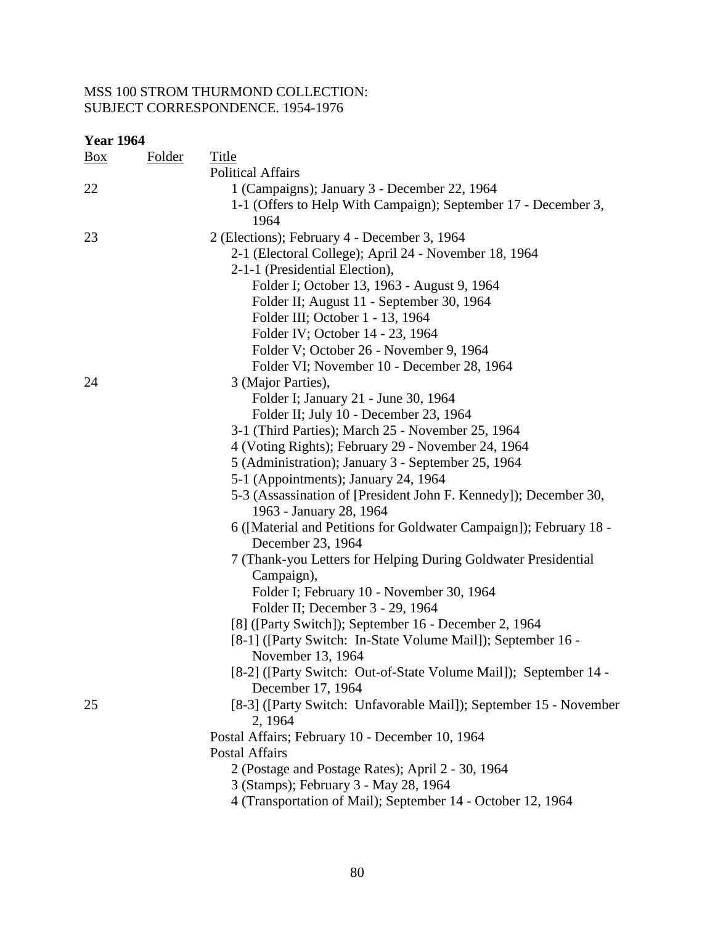| <b>Year 1964</b> |               |                                                                                     |
|------------------|---------------|-------------------------------------------------------------------------------------|
| $\frac{Box}{}$   | <u>Folder</u> | <b>Title</b>                                                                        |
|                  |               | <b>Political Affairs</b>                                                            |
| 22               |               | 1 (Campaigns); January 3 - December 22, 1964                                        |
|                  |               | 1-1 (Offers to Help With Campaign); September 17 - December 3,                      |
|                  |               | 1964                                                                                |
| 23               |               | 2 (Elections); February 4 - December 3, 1964                                        |
|                  |               | 2-1 (Electoral College); April 24 - November 18, 1964                               |
|                  |               | 2-1-1 (Presidential Election),                                                      |
|                  |               | Folder I; October 13, 1963 - August 9, 1964                                         |
|                  |               | Folder II; August 11 - September 30, 1964                                           |
|                  |               | Folder III; October 1 - 13, 1964                                                    |
|                  |               | Folder IV; October 14 - 23, 1964                                                    |
|                  |               | Folder V; October 26 - November 9, 1964                                             |
|                  |               | Folder VI; November 10 - December 28, 1964                                          |
| 24               |               | 3 (Major Parties),                                                                  |
|                  |               | Folder I; January 21 - June 30, 1964                                                |
|                  |               | Folder II; July 10 - December 23, 1964                                              |
|                  |               | 3-1 (Third Parties); March 25 - November 25, 1964                                   |
|                  |               | 4 (Voting Rights); February 29 - November 24, 1964                                  |
|                  |               | 5 (Administration); January 3 - September 25, 1964                                  |
|                  |               | 5-1 (Appointments); January 24, 1964                                                |
|                  |               | 5-3 (Assassination of [President John F. Kennedy]); December 30,                    |
|                  |               | 1963 - January 28, 1964                                                             |
|                  |               | 6 ([Material and Petitions for Goldwater Campaign]); February 18 -                  |
|                  |               | December 23, 1964<br>7 (Thank-you Letters for Helping During Goldwater Presidential |
|                  |               | Campaign),                                                                          |
|                  |               | Folder I; February 10 - November 30, 1964                                           |
|                  |               | Folder II; December 3 - 29, 1964                                                    |
|                  |               | [8] ([Party Switch]); September 16 - December 2, 1964                               |
|                  |               | [8-1] ([Party Switch: In-State Volume Mail]); September 16 -                        |
|                  |               | November 13, 1964                                                                   |
|                  |               | [8-2] ([Party Switch: Out-of-State Volume Mail]); September 14 -                    |
|                  |               | December 17, 1964                                                                   |
| 25               |               | [8-3] ([Party Switch: Unfavorable Mail]); September 15 - November                   |
|                  |               | 2, 1964                                                                             |
|                  |               | Postal Affairs; February 10 - December 10, 1964                                     |
|                  |               | <b>Postal Affairs</b>                                                               |
|                  |               | 2 (Postage and Postage Rates); April 2 - 30, 1964                                   |
|                  |               | 3 (Stamps); February 3 - May 28, 1964                                               |
|                  |               | 4 (Transportation of Mail); September 14 - October 12, 1964                         |
|                  |               |                                                                                     |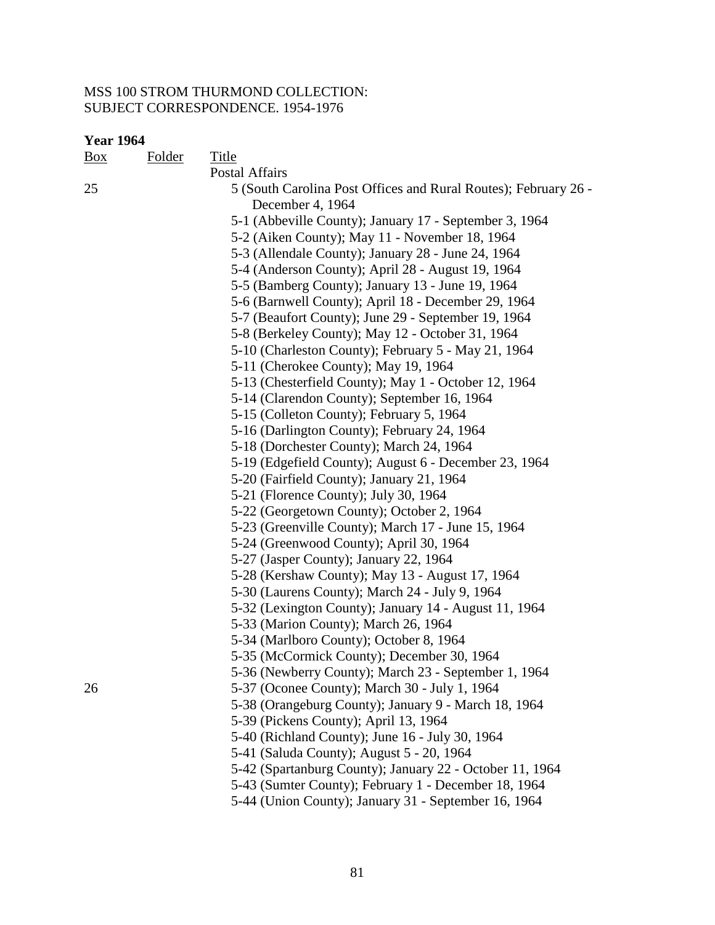| <b>Year 1964</b> |               |                                                                                     |
|------------------|---------------|-------------------------------------------------------------------------------------|
| $\frac{Box}{}$   | <b>Folder</b> | Title                                                                               |
|                  |               | <b>Postal Affairs</b>                                                               |
| 25               |               | 5 (South Carolina Post Offices and Rural Routes); February 26 -<br>December 4, 1964 |
|                  |               | 5-1 (Abbeville County); January 17 - September 3, 1964                              |
|                  |               | 5-2 (Aiken County); May 11 - November 18, 1964                                      |
|                  |               | 5-3 (Allendale County); January 28 - June 24, 1964                                  |
|                  |               | 5-4 (Anderson County); April 28 - August 19, 1964                                   |
|                  |               | 5-5 (Bamberg County); January 13 - June 19, 1964                                    |
|                  |               | 5-6 (Barnwell County); April 18 - December 29, 1964                                 |
|                  |               | 5-7 (Beaufort County); June 29 - September 19, 1964                                 |
|                  |               | 5-8 (Berkeley County); May 12 - October 31, 1964                                    |
|                  |               | 5-10 (Charleston County); February 5 - May 21, 1964                                 |
|                  |               | 5-11 (Cherokee County); May 19, 1964                                                |
|                  |               | 5-13 (Chesterfield County); May 1 - October 12, 1964                                |
|                  |               | 5-14 (Clarendon County); September 16, 1964                                         |
|                  |               | 5-15 (Colleton County); February 5, 1964                                            |
|                  |               | 5-16 (Darlington County); February 24, 1964                                         |
|                  |               | 5-18 (Dorchester County); March 24, 1964                                            |
|                  |               | 5-19 (Edgefield County); August 6 - December 23, 1964                               |
|                  |               | 5-20 (Fairfield County); January 21, 1964                                           |
|                  |               | 5-21 (Florence County); July 30, 1964                                               |
|                  |               | 5-22 (Georgetown County); October 2, 1964                                           |
|                  |               | 5-23 (Greenville County); March 17 - June 15, 1964                                  |
|                  |               | 5-24 (Greenwood County); April 30, 1964                                             |
|                  |               | 5-27 (Jasper County); January 22, 1964                                              |
|                  |               | 5-28 (Kershaw County); May 13 - August 17, 1964                                     |
|                  |               | 5-30 (Laurens County); March 24 - July 9, 1964                                      |
|                  |               | 5-32 (Lexington County); January 14 - August 11, 1964                               |
|                  |               | 5-33 (Marion County); March 26, 1964                                                |
|                  |               | 5-34 (Marlboro County); October 8, 1964                                             |
|                  |               | 5-35 (McCormick County); December 30, 1964                                          |
|                  |               | 5-36 (Newberry County); March 23 - September 1, 1964                                |
| 26               |               | 5-37 (Oconee County); March 30 - July 1, 1964                                       |
|                  |               | 5-38 (Orangeburg County); January 9 - March 18, 1964                                |
|                  |               | 5-39 (Pickens County); April 13, 1964                                               |
|                  |               | 5-40 (Richland County); June 16 - July 30, 1964                                     |
|                  |               | 5-41 (Saluda County); August 5 - 20, 1964                                           |
|                  |               | 5-42 (Spartanburg County); January 22 - October 11, 1964                            |
|                  |               | 5-43 (Sumter County); February 1 - December 18, 1964                                |

5-44 (Union County); January 31 - September 16, 1964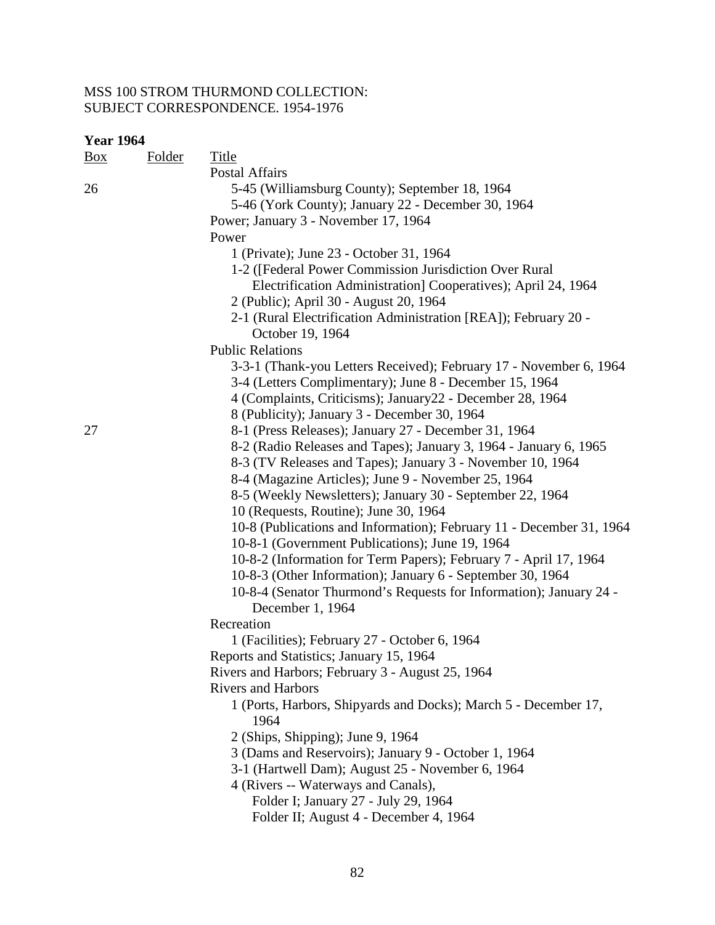| <b>Year 1964</b> |               |                                                                      |
|------------------|---------------|----------------------------------------------------------------------|
| $\frac{Box}{}$   | <b>Folder</b> | <b>Title</b>                                                         |
|                  |               | Postal Affairs                                                       |
| 26               |               | 5-45 (Williamsburg County); September 18, 1964                       |
|                  |               | 5-46 (York County); January 22 - December 30, 1964                   |
|                  |               | Power; January 3 - November 17, 1964                                 |
|                  |               | Power                                                                |
|                  |               | 1 (Private); June 23 - October 31, 1964                              |
|                  |               | 1-2 ([Federal Power Commission Jurisdiction Over Rural               |
|                  |               | Electrification Administration] Cooperatives); April 24, 1964        |
|                  |               | 2 (Public); April 30 - August 20, 1964                               |
|                  |               | 2-1 (Rural Electrification Administration [REA]); February 20 -      |
|                  |               | October 19, 1964                                                     |
|                  |               | <b>Public Relations</b>                                              |
|                  |               | 3-3-1 (Thank-you Letters Received); February 17 - November 6, 1964   |
|                  |               | 3-4 (Letters Complimentary); June 8 - December 15, 1964              |
|                  |               | 4 (Complaints, Criticisms); January22 - December 28, 1964            |
|                  |               | 8 (Publicity); January 3 - December 30, 1964                         |
| 27               |               | 8-1 (Press Releases); January 27 - December 31, 1964                 |
|                  |               | 8-2 (Radio Releases and Tapes); January 3, 1964 - January 6, 1965    |
|                  |               | 8-3 (TV Releases and Tapes); January 3 - November 10, 1964           |
|                  |               | 8-4 (Magazine Articles); June 9 - November 25, 1964                  |
|                  |               | 8-5 (Weekly Newsletters); January 30 - September 22, 1964            |
|                  |               | 10 (Requests, Routine); June 30, 1964                                |
|                  |               | 10-8 (Publications and Information); February 11 - December 31, 1964 |
|                  |               | 10-8-1 (Government Publications); June 19, 1964                      |
|                  |               | 10-8-2 (Information for Term Papers); February 7 - April 17, 1964    |
|                  |               | 10-8-3 (Other Information); January 6 - September 30, 1964           |
|                  |               | 10-8-4 (Senator Thurmond's Requests for Information); January 24 -   |
|                  |               | December 1, 1964                                                     |
|                  |               | Recreation                                                           |
|                  |               | 1 (Facilities); February 27 - October 6, 1964                        |
|                  |               | Reports and Statistics; January 15, 1964                             |
|                  |               | Rivers and Harbors; February 3 - August 25, 1964                     |
|                  |               | <b>Rivers and Harbors</b>                                            |
|                  |               | 1 (Ports, Harbors, Shipyards and Docks); March 5 - December 17,      |
|                  |               | 1964                                                                 |
|                  |               | 2 (Ships, Shipping); June 9, 1964                                    |
|                  |               | 3 (Dams and Reservoirs); January 9 - October 1, 1964                 |
|                  |               | 3-1 (Hartwell Dam); August 25 - November 6, 1964                     |
|                  |               | 4 (Rivers -- Waterways and Canals),                                  |
|                  |               | Folder I; January 27 - July 29, 1964                                 |
|                  |               | Folder II; August 4 - December 4, 1964                               |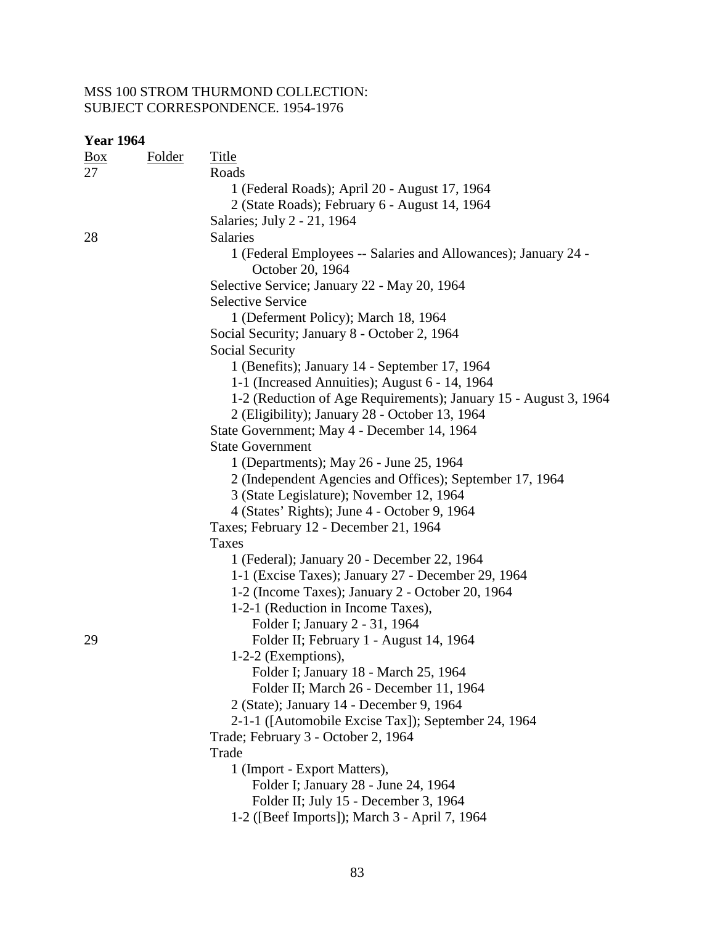| <b>Year 1964</b>     |               |                                                                                    |
|----------------------|---------------|------------------------------------------------------------------------------------|
| $\frac{Box}{}$<br>27 | <b>Folder</b> | <b>Title</b><br>Roads                                                              |
|                      |               | 1 (Federal Roads); April 20 - August 17, 1964                                      |
|                      |               | 2 (State Roads); February 6 - August 14, 1964                                      |
|                      |               | Salaries; July 2 - 21, 1964                                                        |
| 28                   |               | Salaries                                                                           |
|                      |               | 1 (Federal Employees -- Salaries and Allowances); January 24 -<br>October 20, 1964 |
|                      |               | Selective Service; January 22 - May 20, 1964                                       |
|                      |               | <b>Selective Service</b>                                                           |
|                      |               | 1 (Deferment Policy); March 18, 1964                                               |
|                      |               | Social Security; January 8 - October 2, 1964                                       |
|                      |               | Social Security                                                                    |
|                      |               | 1 (Benefits); January 14 - September 17, 1964                                      |
|                      |               | 1-1 (Increased Annuities); August 6 - 14, 1964                                     |
|                      |               | 1-2 (Reduction of Age Requirements); January 15 - August 3, 1964                   |
|                      |               | 2 (Eligibility); January 28 - October 13, 1964                                     |
|                      |               | State Government; May 4 - December 14, 1964                                        |
|                      |               | <b>State Government</b>                                                            |
|                      |               | 1 (Departments); May 26 - June 25, 1964                                            |
|                      |               | 2 (Independent Agencies and Offices); September 17, 1964                           |
|                      |               | 3 (State Legislature); November 12, 1964                                           |
|                      |               | 4 (States' Rights); June 4 - October 9, 1964                                       |
|                      |               | Taxes; February 12 - December 21, 1964                                             |
|                      |               | Taxes                                                                              |
|                      |               | 1 (Federal); January 20 - December 22, 1964                                        |
|                      |               | 1-1 (Excise Taxes); January 27 - December 29, 1964                                 |
|                      |               | 1-2 (Income Taxes); January 2 - October 20, 1964                                   |
|                      |               | 1-2-1 (Reduction in Income Taxes),                                                 |
|                      |               | Folder I; January 2 - 31, 1964                                                     |
| 29                   |               | Folder II; February 1 - August 14, 1964                                            |
|                      |               | $1-2-2$ (Exemptions),                                                              |
|                      |               | Folder I; January 18 - March 25, 1964                                              |
|                      |               | Folder II; March 26 - December 11, 1964                                            |
|                      |               | 2 (State); January 14 - December 9, 1964                                           |
|                      |               | 2-1-1 ([Automobile Excise Tax]); September 24, 1964                                |
|                      |               | Trade; February 3 - October 2, 1964                                                |
|                      |               | Trade                                                                              |
|                      |               | 1 (Import - Export Matters),                                                       |
|                      |               | Folder I; January 28 - June 24, 1964                                               |
|                      |               | Folder II; July 15 - December 3, 1964                                              |
|                      |               | 1-2 ([Beef Imports]); March 3 - April 7, 1964                                      |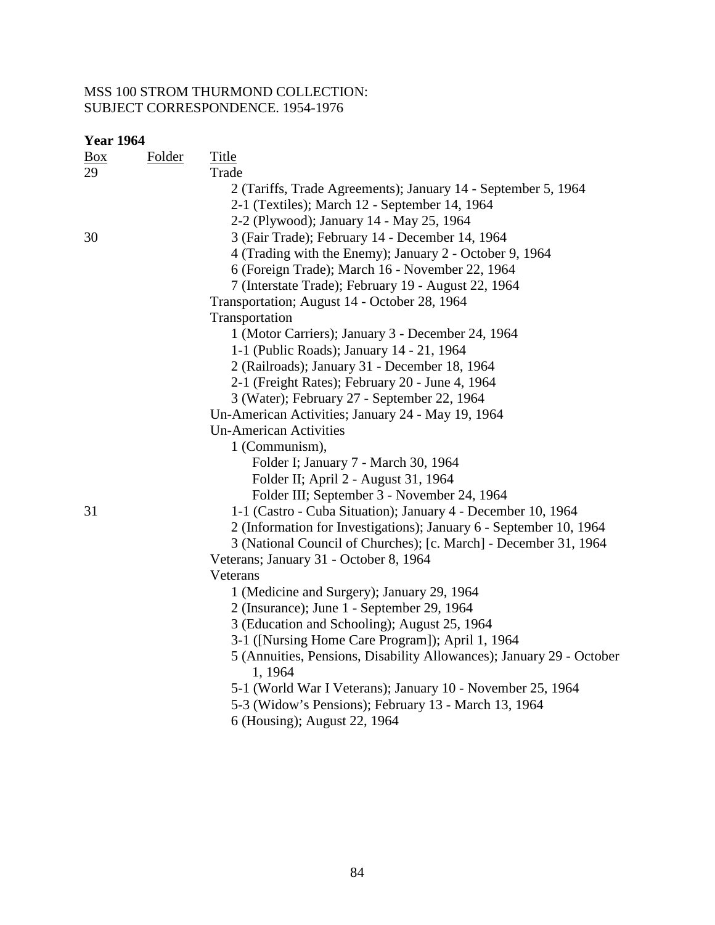#### MSS 100 STROM THURMOND COLLECTION: SUBJECT CORRESPONDENCE. 1954-1976

| <b>Year 1964</b> |               |                                                                                 |
|------------------|---------------|---------------------------------------------------------------------------------|
| $\frac{Box}{}$   | <b>Folder</b> | <b>Title</b>                                                                    |
| 29               |               | Trade                                                                           |
|                  |               | 2 (Tariffs, Trade Agreements); January 14 - September 5, 1964                   |
|                  |               | 2-1 (Textiles); March 12 - September 14, 1964                                   |
|                  |               | 2-2 (Plywood); January 14 - May 25, 1964                                        |
| 30               |               | 3 (Fair Trade); February 14 - December 14, 1964                                 |
|                  |               | 4 (Trading with the Enemy); January 2 - October 9, 1964                         |
|                  |               | 6 (Foreign Trade); March 16 - November 22, 1964                                 |
|                  |               | 7 (Interstate Trade); February 19 - August 22, 1964                             |
|                  |               | Transportation; August 14 - October 28, 1964                                    |
|                  |               | Transportation                                                                  |
|                  |               | 1 (Motor Carriers); January 3 - December 24, 1964                               |
|                  |               | 1-1 (Public Roads); January 14 - 21, 1964                                       |
|                  |               | 2 (Railroads); January 31 - December 18, 1964                                   |
|                  |               | 2-1 (Freight Rates); February 20 - June 4, 1964                                 |
|                  |               | 3 (Water); February 27 - September 22, 1964                                     |
|                  |               | Un-American Activities; January 24 - May 19, 1964                               |
|                  |               | <b>Un-American Activities</b>                                                   |
|                  |               | 1 (Communism),                                                                  |
|                  |               | Folder I; January 7 - March 30, 1964                                            |
|                  |               | Folder II; April 2 - August 31, 1964                                            |
|                  |               | Folder III; September 3 - November 24, 1964                                     |
| 31               |               | 1-1 (Castro - Cuba Situation); January 4 - December 10, 1964                    |
|                  |               | 2 (Information for Investigations); January 6 - September 10, 1964              |
|                  |               | 3 (National Council of Churches); [c. March] - December 31, 1964                |
|                  |               | Veterans; January 31 - October 8, 1964                                          |
|                  |               | Veterans                                                                        |
|                  |               | 1 (Medicine and Surgery); January 29, 1964                                      |
|                  |               | 2 (Insurance); June 1 - September 29, 1964                                      |
|                  |               | 3 (Education and Schooling); August 25, 1964                                    |
|                  |               | 3-1 ([Nursing Home Care Program]); April 1, 1964                                |
|                  |               | 5 (Annuities, Pensions, Disability Allowances); January 29 - October<br>1, 1964 |
|                  |               | 5-1 (World War I Veterans); January 10 - November 25, 1964                      |
|                  |               | 5-3 (Widow's Pensions); February 13 - March 13, 1964                            |
|                  |               | 6 (Housing); August 22, 1964                                                    |
|                  |               |                                                                                 |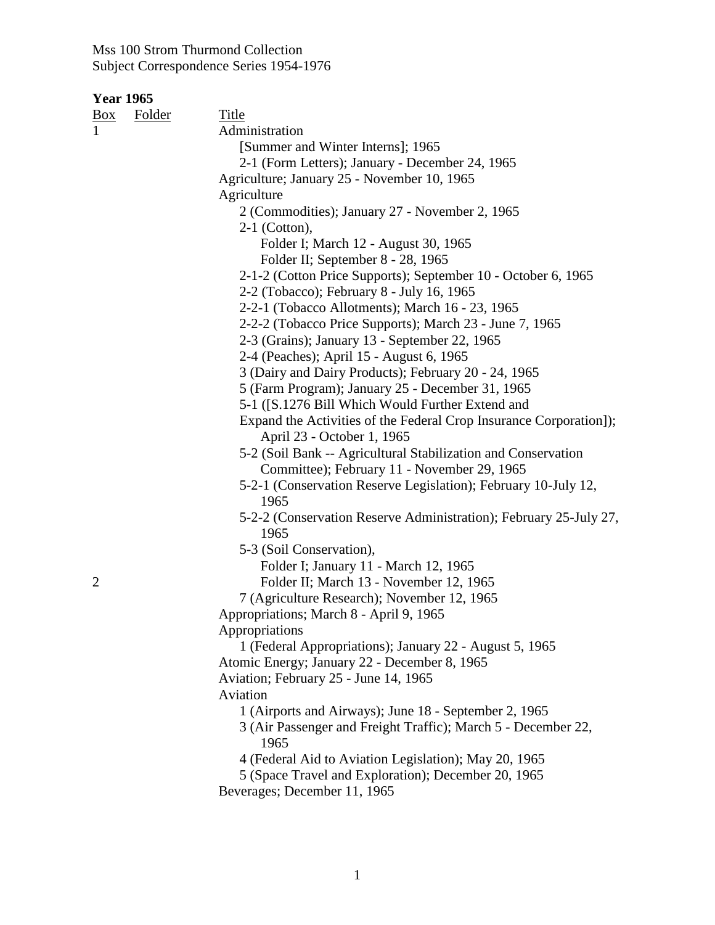| <b>Year 1965</b> |               |                                                                    |
|------------------|---------------|--------------------------------------------------------------------|
| $\frac{Box}{}$   | <b>Folder</b> | Title                                                              |
| $\mathbf{1}$     |               | Administration                                                     |
|                  |               | [Summer and Winter Interns]; 1965                                  |
|                  |               | 2-1 (Form Letters); January - December 24, 1965                    |
|                  |               | Agriculture; January 25 - November 10, 1965                        |
|                  |               | Agriculture                                                        |
|                  |               | 2 (Commodities); January 27 - November 2, 1965                     |
|                  |               | $2-1$ (Cotton),                                                    |
|                  |               | Folder I; March 12 - August 30, 1965                               |
|                  |               | Folder II; September 8 - 28, 1965                                  |
|                  |               | 2-1-2 (Cotton Price Supports); September 10 - October 6, 1965      |
|                  |               | 2-2 (Tobacco); February 8 - July 16, 1965                          |
|                  |               | 2-2-1 (Tobacco Allotments); March 16 - 23, 1965                    |
|                  |               | 2-2-2 (Tobacco Price Supports); March 23 - June 7, 1965            |
|                  |               | 2-3 (Grains); January 13 - September 22, 1965                      |
|                  |               | 2-4 (Peaches); April 15 - August 6, 1965                           |
|                  |               | 3 (Dairy and Dairy Products); February 20 - 24, 1965               |
|                  |               | 5 (Farm Program); January 25 - December 31, 1965                   |
|                  |               | 5-1 ([S.1276 Bill Which Would Further Extend and                   |
|                  |               | Expand the Activities of the Federal Crop Insurance Corporation]); |
|                  |               | April 23 - October 1, 1965                                         |
|                  |               | 5-2 (Soil Bank -- Agricultural Stabilization and Conservation      |
|                  |               | Committee); February 11 - November 29, 1965                        |
|                  |               | 5-2-1 (Conservation Reserve Legislation); February 10-July 12,     |
|                  |               | 1965                                                               |
|                  |               | 5-2-2 (Conservation Reserve Administration); February 25-July 27,  |
|                  |               | 1965                                                               |
|                  |               | 5-3 (Soil Conservation),                                           |
|                  |               | Folder I; January 11 - March 12, 1965                              |
| $\overline{2}$   |               | Folder II; March 13 - November 12, 1965                            |
|                  |               | 7 (Agriculture Research); November 12, 1965                        |
|                  |               | Appropriations; March 8 - April 9, 1965                            |
|                  |               | Appropriations                                                     |
|                  |               | 1 (Federal Appropriations); January 22 - August 5, 1965            |
|                  |               | Atomic Energy; January 22 - December 8, 1965                       |
|                  |               | Aviation; February 25 - June 14, 1965                              |
|                  |               | Aviation                                                           |
|                  |               | 1 (Airports and Airways); June 18 - September 2, 1965              |
|                  |               | 3 (Air Passenger and Freight Traffic); March 5 - December 22,      |
|                  |               | 1965                                                               |
|                  |               | 4 (Federal Aid to Aviation Legislation); May 20, 1965              |
|                  |               | 5 (Space Travel and Exploration); December 20, 1965                |
|                  |               | Beverages; December 11, 1965                                       |
|                  |               |                                                                    |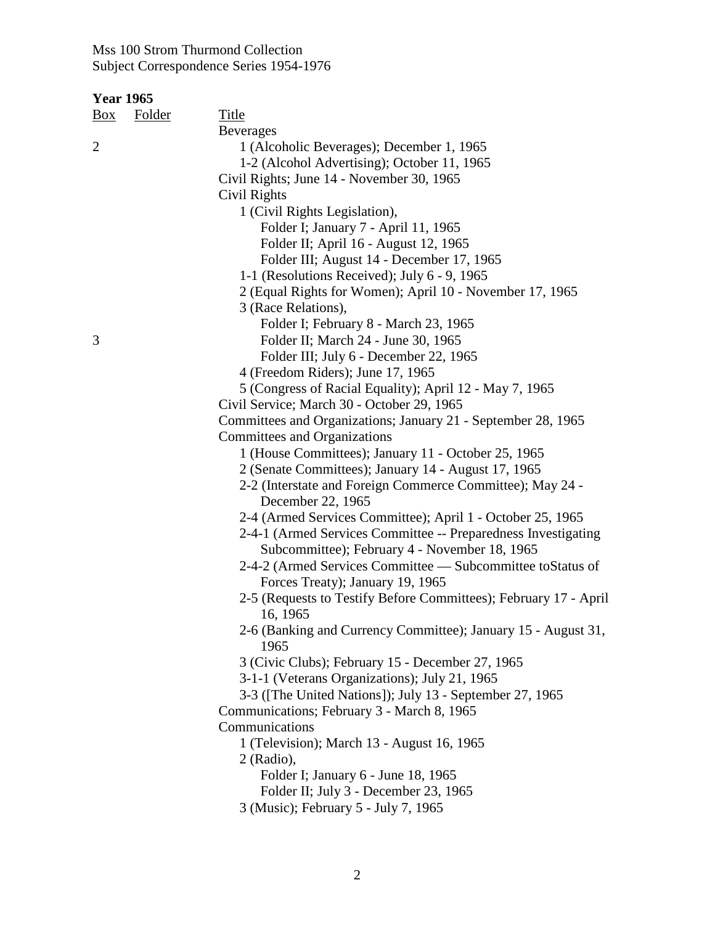| <b>Folder</b> | <b>Title</b>                                                     |
|---------------|------------------------------------------------------------------|
|               | <b>Beverages</b>                                                 |
|               | 1 (Alcoholic Beverages); December 1, 1965                        |
|               | 1-2 (Alcohol Advertising); October 11, 1965                      |
|               | Civil Rights; June 14 - November 30, 1965                        |
|               | Civil Rights                                                     |
|               | 1 (Civil Rights Legislation),                                    |
|               | Folder I; January 7 - April 11, 1965                             |
|               | Folder II; April 16 - August 12, 1965                            |
|               | Folder III; August 14 - December 17, 1965                        |
|               | 1-1 (Resolutions Received); July 6 - 9, 1965                     |
|               | 2 (Equal Rights for Women); April 10 - November 17, 1965         |
|               | 3 (Race Relations),                                              |
|               | Folder I; February 8 - March 23, 1965                            |
|               | Folder II; March 24 - June 30, 1965                              |
|               | Folder III; July 6 - December 22, 1965                           |
|               | 4 (Freedom Riders); June 17, 1965                                |
|               | 5 (Congress of Racial Equality); April 12 - May 7, 1965          |
|               | Civil Service; March 30 - October 29, 1965                       |
|               | Committees and Organizations; January 21 - September 28, 1965    |
|               | Committees and Organizations                                     |
|               | 1 (House Committees); January 11 - October 25, 1965              |
|               | 2 (Senate Committees); January 14 - August 17, 1965              |
|               | 2-2 (Interstate and Foreign Commerce Committee); May 24 -        |
|               | December 22, 1965                                                |
|               | 2-4 (Armed Services Committee); April 1 - October 25, 1965       |
|               | 2-4-1 (Armed Services Committee -- Preparedness Investigating    |
|               | Subcommittee); February 4 - November 18, 1965                    |
|               | 2-4-2 (Armed Services Committee — Subcommittee to Status of      |
|               | Forces Treaty); January 19, 1965                                 |
|               | 2-5 (Requests to Testify Before Committees); February 17 - April |
|               | 16, 1965                                                         |
|               | 2-6 (Banking and Currency Committee); January 15 - August 31,    |
|               | 1965                                                             |
|               | 3 (Civic Clubs); February 15 - December 27, 1965                 |
|               | 3-1-1 (Veterans Organizations); July 21, 1965                    |
|               | 3-3 ([The United Nations]); July 13 - September 27, 1965         |
|               | Communications; February 3 - March 8, 1965                       |
|               | Communications                                                   |
|               | 1 (Television); March 13 - August 16, 1965                       |
|               | 2 (Radio),                                                       |
|               | Folder I; January 6 - June 18, 1965                              |
|               | Folder II; July 3 - December 23, 1965                            |
|               | 3 (Music); February 5 - July 7, 1965                             |
|               | <b>Year 1965</b>                                                 |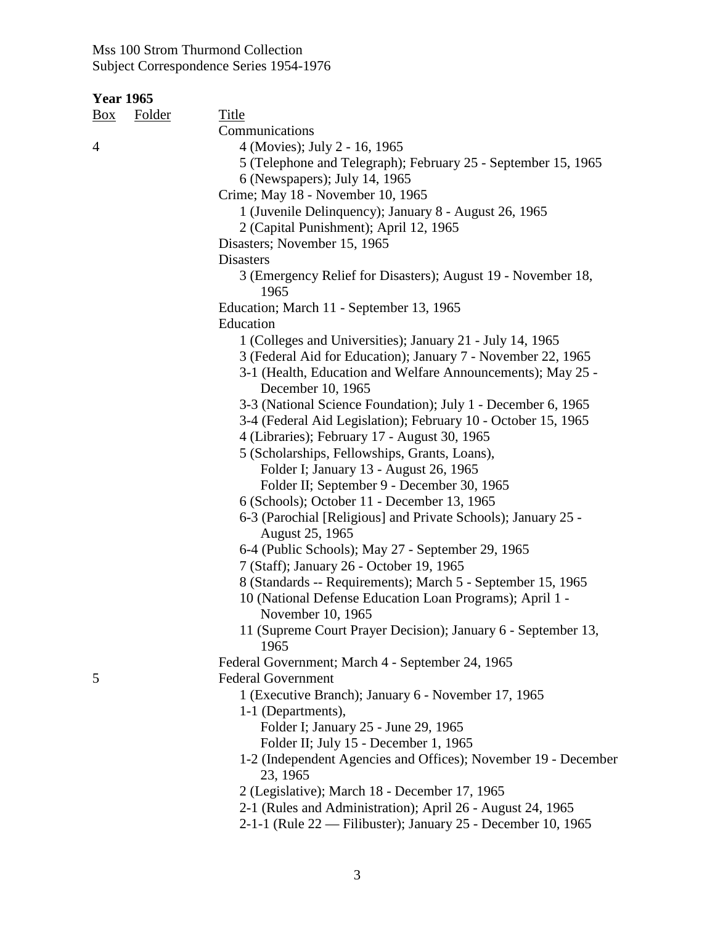| <b>Year 1965</b> |  |
|------------------|--|
|------------------|--|

| <u>Box</u> | <b>Folder</b> | <b>Title</b>                                                                  |
|------------|---------------|-------------------------------------------------------------------------------|
|            |               | Communications                                                                |
| 4          |               | 4 (Movies); July 2 - 16, 1965                                                 |
|            |               | 5 (Telephone and Telegraph); February 25 - September 15, 1965                 |
|            |               | 6 (Newspapers); July 14, 1965                                                 |
|            |               | Crime; May 18 - November 10, 1965                                             |
|            |               | 1 (Juvenile Delinquency); January 8 - August 26, 1965                         |
|            |               | 2 (Capital Punishment); April 12, 1965                                        |
|            |               | Disasters; November 15, 1965                                                  |
|            |               | <b>Disasters</b>                                                              |
|            |               | 3 (Emergency Relief for Disasters); August 19 - November 18,<br>1965          |
|            |               | Education; March 11 - September 13, 1965                                      |
|            |               | Education                                                                     |
|            |               | 1 (Colleges and Universities); January 21 - July 14, 1965                     |
|            |               | 3 (Federal Aid for Education); January 7 - November 22, 1965                  |
|            |               | 3-1 (Health, Education and Welfare Announcements); May 25 -                   |
|            |               | December 10, 1965                                                             |
|            |               | 3-3 (National Science Foundation); July 1 - December 6, 1965                  |
|            |               | 3-4 (Federal Aid Legislation); February 10 - October 15, 1965                 |
|            |               | 4 (Libraries); February 17 - August 30, 1965                                  |
|            |               | 5 (Scholarships, Fellowships, Grants, Loans),                                 |
|            |               | Folder I; January 13 - August 26, 1965                                        |
|            |               | Folder II; September 9 - December 30, 1965                                    |
|            |               | 6 (Schools); October 11 - December 13, 1965                                   |
|            |               | 6-3 (Parochial [Religious] and Private Schools); January 25 -                 |
|            |               | August 25, 1965                                                               |
|            |               | 6-4 (Public Schools); May 27 - September 29, 1965                             |
|            |               | 7 (Staff); January 26 - October 19, 1965                                      |
|            |               | 8 (Standards -- Requirements); March 5 - September 15, 1965                   |
|            |               | 10 (National Defense Education Loan Programs); April 1 -<br>November 10, 1965 |
|            |               | 11 (Supreme Court Prayer Decision); January 6 - September 13,                 |
|            |               | 1965                                                                          |
|            |               | Federal Government; March 4 - September 24, 1965                              |
| 5          |               | <b>Federal Government</b>                                                     |
|            |               | 1 (Executive Branch); January 6 - November 17, 1965                           |
|            |               | 1-1 (Departments),                                                            |
|            |               | Folder I; January 25 - June 29, 1965                                          |
|            |               | Folder II; July 15 - December 1, 1965                                         |
|            |               | 1-2 (Independent Agencies and Offices); November 19 - December<br>23, 1965    |
|            |               | 2 (Legislative); March 18 - December 17, 1965                                 |
|            |               | 2-1 (Rules and Administration); April 26 - August 24, 1965                    |
|            |               | 2-1-1 (Rule 22 — Filibuster); January 25 - December 10, 1965                  |
|            |               |                                                                               |
|            |               |                                                                               |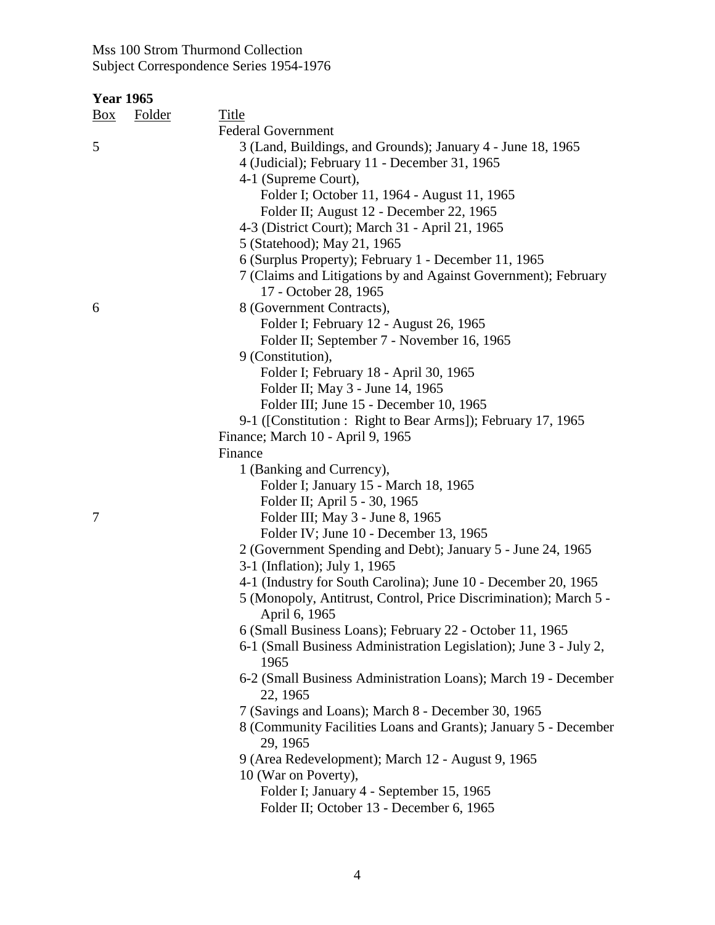| <b>Year 1965</b> |  |
|------------------|--|
|------------------|--|

| Box | <b>Folder</b> | <b>Title</b>                                                                       |
|-----|---------------|------------------------------------------------------------------------------------|
|     |               | <b>Federal Government</b>                                                          |
| 5   |               | 3 (Land, Buildings, and Grounds); January 4 - June 18, 1965                        |
|     |               | 4 (Judicial); February 11 - December 31, 1965                                      |
|     |               | 4-1 (Supreme Court),                                                               |
|     |               | Folder I; October 11, 1964 - August 11, 1965                                       |
|     |               | Folder II; August 12 - December 22, 1965                                           |
|     |               | 4-3 (District Court); March 31 - April 21, 1965                                    |
|     |               | 5 (Statehood); May 21, 1965                                                        |
|     |               | 6 (Surplus Property); February 1 - December 11, 1965                               |
|     |               | 7 (Claims and Litigations by and Against Government); February                     |
|     |               | 17 - October 28, 1965                                                              |
| 6   |               | 8 (Government Contracts),                                                          |
|     |               | Folder I; February 12 - August 26, 1965                                            |
|     |               | Folder II; September 7 - November 16, 1965                                         |
|     |               | 9 (Constitution),                                                                  |
|     |               | Folder I; February 18 - April 30, 1965                                             |
|     |               | Folder II; May 3 - June 14, 1965                                                   |
|     |               | Folder III; June 15 - December 10, 1965                                            |
|     |               | 9-1 ([Constitution : Right to Bear Arms]); February 17, 1965                       |
|     |               | Finance; March 10 - April 9, 1965                                                  |
|     |               | Finance                                                                            |
|     |               | 1 (Banking and Currency),                                                          |
|     |               | Folder I; January 15 - March 18, 1965                                              |
|     |               | Folder II; April 5 - 30, 1965                                                      |
| 7   |               | Folder III; May 3 - June 8, 1965                                                   |
|     |               | Folder IV; June 10 - December 13, 1965                                             |
|     |               | 2 (Government Spending and Debt); January 5 - June 24, 1965                        |
|     |               | 3-1 (Inflation); July 1, 1965                                                      |
|     |               | 4-1 (Industry for South Carolina); June 10 - December 20, 1965                     |
|     |               | 5 (Monopoly, Antitrust, Control, Price Discrimination); March 5 -<br>April 6, 1965 |
|     |               | 6 (Small Business Loans); February 22 - October 11, 1965                           |
|     |               | 6-1 (Small Business Administration Legislation); June 3 - July 2,<br>1965          |
|     |               | 6-2 (Small Business Administration Loans); March 19 - December<br>22, 1965         |
|     |               | 7 (Savings and Loans); March 8 - December 30, 1965                                 |
|     |               | 8 (Community Facilities Loans and Grants); January 5 - December<br>29, 1965        |
|     |               | 9 (Area Redevelopment); March 12 - August 9, 1965                                  |
|     |               | 10 (War on Poverty),                                                               |
|     |               | Folder I; January 4 - September 15, 1965                                           |
|     |               | Folder II; October 13 - December 6, 1965                                           |
|     |               |                                                                                    |
|     |               |                                                                                    |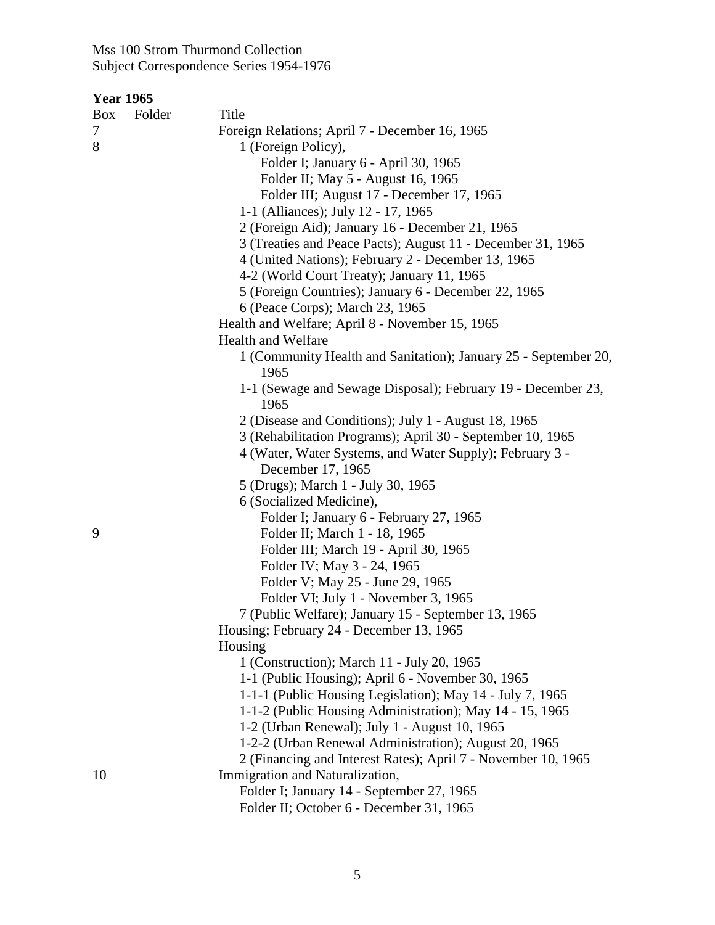| <u>Box</u> | <b>Folder</b> | <b>Title</b>                                                            |
|------------|---------------|-------------------------------------------------------------------------|
|            |               | Foreign Relations; April 7 - December 16, 1965                          |
| 8          |               | 1 (Foreign Policy),                                                     |
|            |               | Folder I; January 6 - April 30, 1965                                    |
|            |               | Folder II; May 5 - August 16, 1965                                      |
|            |               | Folder III; August 17 - December 17, 1965                               |
|            |               | 1-1 (Alliances); July 12 - 17, 1965                                     |
|            |               | 2 (Foreign Aid); January 16 - December 21, 1965                         |
|            |               | 3 (Treaties and Peace Pacts); August 11 - December 31, 1965             |
|            |               | 4 (United Nations); February 2 - December 13, 1965                      |
|            |               | 4-2 (World Court Treaty); January 11, 1965                              |
|            |               | 5 (Foreign Countries); January 6 - December 22, 1965                    |
|            |               | 6 (Peace Corps); March 23, 1965                                         |
|            |               | Health and Welfare; April 8 - November 15, 1965                         |
|            |               | <b>Health and Welfare</b>                                               |
|            |               | 1 (Community Health and Sanitation); January 25 - September 20,<br>1965 |
|            |               | 1-1 (Sewage and Sewage Disposal); February 19 - December 23,<br>1965    |
|            |               | 2 (Disease and Conditions); July 1 - August 18, 1965                    |
|            |               | 3 (Rehabilitation Programs); April 30 - September 10, 1965              |
|            |               | 4 (Water, Water Systems, and Water Supply); February 3 -                |
|            |               | December 17, 1965                                                       |
|            |               | 5 (Drugs); March 1 - July 30, 1965                                      |
|            |               | 6 (Socialized Medicine),                                                |
|            |               | Folder I; January 6 - February 27, 1965                                 |
| 9          |               | Folder II; March 1 - 18, 1965                                           |
|            |               | Folder III; March 19 - April 30, 1965                                   |
|            |               | Folder IV; May 3 - 24, 1965                                             |
|            |               | Folder V; May 25 - June 29, 1965                                        |
|            |               | Folder VI; July 1 - November 3, 1965                                    |
|            |               | 7 (Public Welfare); January 15 - September 13, 1965                     |
|            |               | Housing; February 24 - December 13, 1965                                |
|            |               | Housing                                                                 |
|            |               | 1 (Construction); March 11 - July 20, 1965                              |
|            |               | 1-1 (Public Housing); April 6 - November 30, 1965                       |
|            |               | 1-1-1 (Public Housing Legislation); May 14 - July 7, 1965               |
|            |               | 1-1-2 (Public Housing Administration); May 14 - 15, 1965                |
|            |               | 1-2 (Urban Renewal); July 1 - August 10, 1965                           |
|            |               | 1-2-2 (Urban Renewal Administration); August 20, 1965                   |
|            |               | 2 (Financing and Interest Rates); April 7 - November 10, 1965           |
| 10         |               | Immigration and Naturalization,                                         |
|            |               | Folder I; January 14 - September 27, 1965                               |
|            |               | Folder II; October 6 - December 31, 1965                                |
|            |               |                                                                         |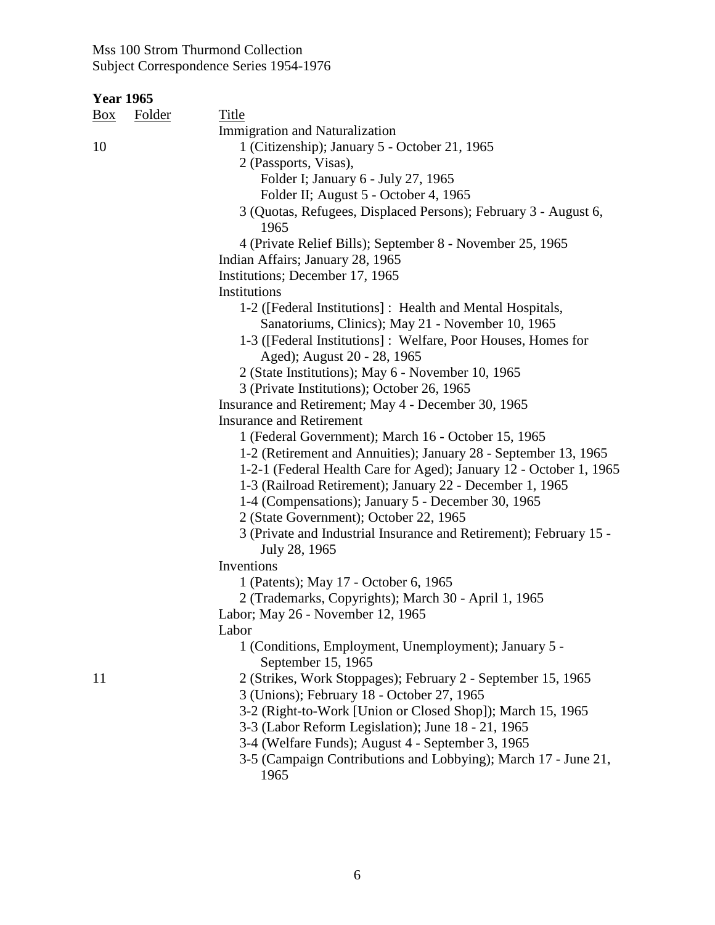| <b>Year 1965</b> |               |                                                                                                                                |
|------------------|---------------|--------------------------------------------------------------------------------------------------------------------------------|
| $\frac{Box}{}$   | <b>Folder</b> | <b>Title</b>                                                                                                                   |
|                  |               | <b>Immigration and Naturalization</b>                                                                                          |
| 10               |               | 1 (Citizenship); January 5 - October 21, 1965                                                                                  |
|                  |               | 2 (Passports, Visas),                                                                                                          |
|                  |               | Folder I; January 6 - July 27, 1965                                                                                            |
|                  |               | Folder II; August 5 - October 4, 1965                                                                                          |
|                  |               | 3 (Quotas, Refugees, Displaced Persons); February 3 - August 6,<br>1965                                                        |
|                  |               | 4 (Private Relief Bills); September 8 - November 25, 1965                                                                      |
|                  |               | Indian Affairs; January 28, 1965                                                                                               |
|                  |               | Institutions; December 17, 1965                                                                                                |
|                  |               | Institutions                                                                                                                   |
|                  |               | 1-2 ([Federal Institutions] : Health and Mental Hospitals,<br>Sanatoriums, Clinics); May 21 - November 10, 1965                |
|                  |               | 1-3 ([Federal Institutions] : Welfare, Poor Houses, Homes for                                                                  |
|                  |               | Aged); August 20 - 28, 1965                                                                                                    |
|                  |               | 2 (State Institutions); May 6 - November 10, 1965                                                                              |
|                  |               | 3 (Private Institutions); October 26, 1965                                                                                     |
|                  |               | Insurance and Retirement; May 4 - December 30, 1965                                                                            |
|                  |               | <b>Insurance and Retirement</b>                                                                                                |
|                  |               | 1 (Federal Government); March 16 - October 15, 1965                                                                            |
|                  |               | 1-2 (Retirement and Annuities); January 28 - September 13, 1965                                                                |
|                  |               | 1-2-1 (Federal Health Care for Aged); January 12 - October 1, 1965<br>1-3 (Railroad Retirement); January 22 - December 1, 1965 |
|                  |               | 1-4 (Compensations); January 5 - December 30, 1965                                                                             |
|                  |               | 2 (State Government); October 22, 1965                                                                                         |
|                  |               | 3 (Private and Industrial Insurance and Retirement); February 15 -<br>July 28, 1965                                            |
|                  |               | Inventions                                                                                                                     |
|                  |               | 1 (Patents); May 17 - October 6, 1965                                                                                          |
|                  |               | 2 (Trademarks, Copyrights); March 30 - April 1, 1965                                                                           |
|                  |               | Labor; May 26 - November 12, 1965                                                                                              |
|                  |               | Labor                                                                                                                          |
|                  |               | 1 (Conditions, Employment, Unemployment); January 5 -<br>September 15, 1965                                                    |
| 11               |               | 2 (Strikes, Work Stoppages); February 2 - September 15, 1965                                                                   |
|                  |               | 3 (Unions); February 18 - October 27, 1965                                                                                     |
|                  |               | 3-2 (Right-to-Work [Union or Closed Shop]); March 15, 1965                                                                     |
|                  |               | 3-3 (Labor Reform Legislation); June 18 - 21, 1965                                                                             |
|                  |               | 3-4 (Welfare Funds); August 4 - September 3, 1965                                                                              |
|                  |               | 3-5 (Campaign Contributions and Lobbying); March 17 - June 21,<br>1965                                                         |
|                  |               |                                                                                                                                |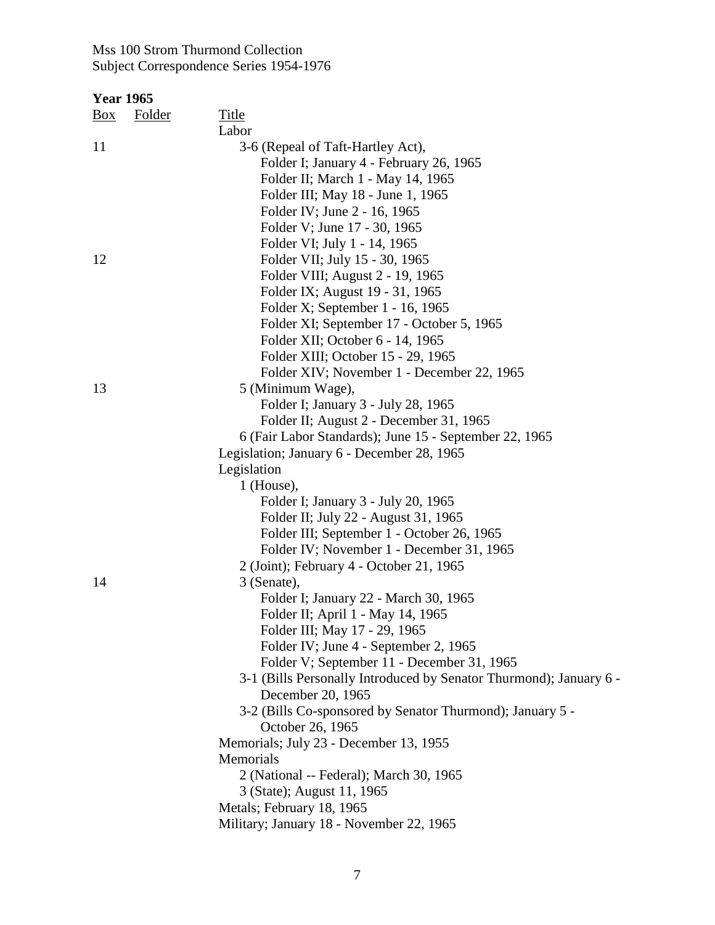| <u>Box</u> | <b>Folder</b> | Title<br>Labor                                                                |
|------------|---------------|-------------------------------------------------------------------------------|
| 11         |               | 3-6 (Repeal of Taft-Hartley Act),                                             |
|            |               | Folder I; January 4 - February 26, 1965                                       |
|            |               | Folder II; March 1 - May 14, 1965                                             |
|            |               | Folder III; May 18 - June 1, 1965                                             |
|            |               | Folder IV; June 2 - 16, 1965                                                  |
|            |               | Folder V; June 17 - 30, 1965                                                  |
|            |               | Folder VI; July 1 - 14, 1965                                                  |
| 12         |               | Folder VII; July 15 - 30, 1965                                                |
|            |               | Folder VIII; August 2 - 19, 1965                                              |
|            |               | Folder IX; August 19 - 31, 1965                                               |
|            |               |                                                                               |
|            |               | Folder X; September 1 - 16, 1965                                              |
|            |               | Folder XI; September 17 - October 5, 1965                                     |
|            |               | Folder XII; October 6 - 14, 1965                                              |
|            |               | Folder XIII; October 15 - 29, 1965                                            |
|            |               | Folder XIV; November 1 - December 22, 1965                                    |
| 13         |               | 5 (Minimum Wage),                                                             |
|            |               | Folder I; January 3 - July 28, 1965                                           |
|            |               | Folder II; August 2 - December 31, 1965                                       |
|            |               | 6 (Fair Labor Standards); June 15 - September 22, 1965                        |
|            |               | Legislation; January 6 - December 28, 1965                                    |
|            |               | Legislation                                                                   |
|            |               | $1$ (House),                                                                  |
|            |               | Folder I; January 3 - July 20, 1965                                           |
|            |               | Folder II; July 22 - August 31, 1965                                          |
|            |               | Folder III; September 1 - October 26, 1965                                    |
|            |               | Folder IV; November 1 - December 31, 1965                                     |
|            |               | 2 (Joint); February 4 - October 21, 1965                                      |
| 14         |               | 3 (Senate),                                                                   |
|            |               | Folder I; January 22 - March 30, 1965                                         |
|            |               | Folder II; April 1 - May 14, 1965                                             |
|            |               | Folder III; May 17 - 29, 1965                                                 |
|            |               | Folder IV; June 4 - September 2, 1965                                         |
|            |               | Folder V; September 11 - December 31, 1965                                    |
|            |               | 3-1 (Bills Personally Introduced by Senator Thurmond); January 6 -            |
|            |               | December 20, 1965                                                             |
|            |               | 3-2 (Bills Co-sponsored by Senator Thurmond); January 5 -<br>October 26, 1965 |
|            |               | Memorials; July 23 - December 13, 1955                                        |
|            |               | Memorials                                                                     |
|            |               | 2 (National -- Federal); March 30, 1965                                       |
|            |               | 3 (State); August 11, 1965                                                    |
|            |               | Metals; February 18, 1965                                                     |
|            |               | Military; January 18 - November 22, 1965                                      |
|            |               |                                                                               |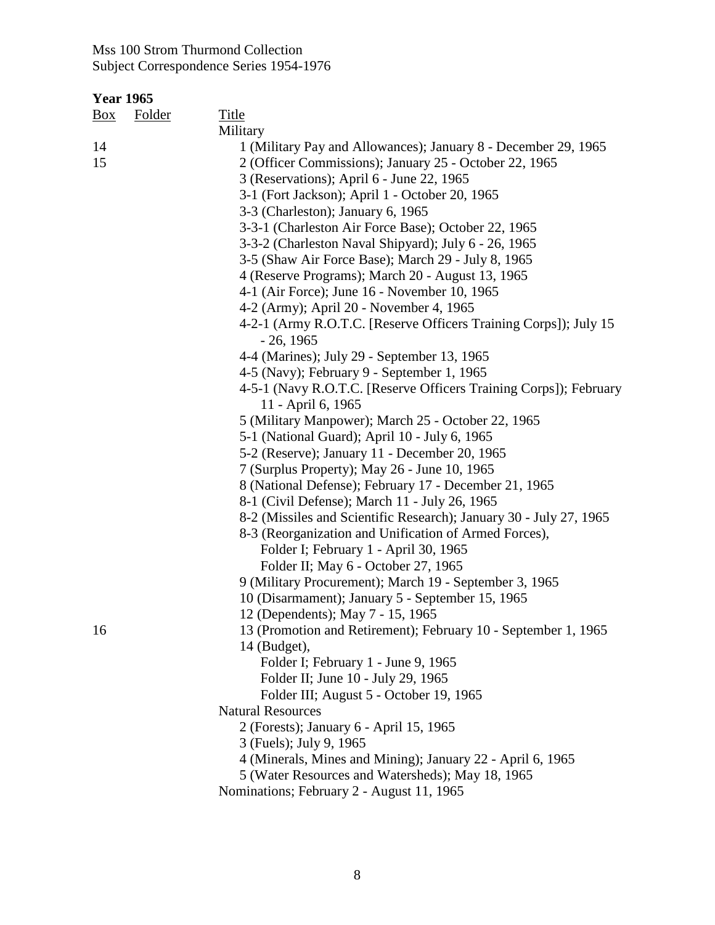| $\frac{Box}{}$ | <b>Folder</b> | <b>Title</b>                                                                                                             |
|----------------|---------------|--------------------------------------------------------------------------------------------------------------------------|
|                |               | Military                                                                                                                 |
| 14<br>15       |               | 1 (Military Pay and Allowances); January 8 - December 29, 1965<br>2 (Officer Commissions); January 25 - October 22, 1965 |
|                |               | 3 (Reservations); April 6 - June 22, 1965                                                                                |
|                |               | 3-1 (Fort Jackson); April 1 - October 20, 1965                                                                           |
|                |               | 3-3 (Charleston); January 6, 1965                                                                                        |
|                |               | 3-3-1 (Charleston Air Force Base); October 22, 1965                                                                      |
|                |               | 3-3-2 (Charleston Naval Shipyard); July 6 - 26, 1965                                                                     |
|                |               | 3-5 (Shaw Air Force Base); March 29 - July 8, 1965                                                                       |
|                |               | 4 (Reserve Programs); March 20 - August 13, 1965                                                                         |
|                |               | 4-1 (Air Force); June 16 - November 10, 1965                                                                             |
|                |               | 4-2 (Army); April 20 - November 4, 1965                                                                                  |
|                |               | 4-2-1 (Army R.O.T.C. [Reserve Officers Training Corps]); July 15<br>$-26, 1965$                                          |
|                |               | 4-4 (Marines); July 29 - September 13, 1965                                                                              |
|                |               | 4-5 (Navy); February 9 - September 1, 1965                                                                               |
|                |               | 4-5-1 (Navy R.O.T.C. [Reserve Officers Training Corps]); February<br>11 - April 6, 1965                                  |
|                |               | 5 (Military Manpower); March 25 - October 22, 1965                                                                       |
|                |               | 5-1 (National Guard); April 10 - July 6, 1965                                                                            |
|                |               | 5-2 (Reserve); January 11 - December 20, 1965                                                                            |
|                |               | 7 (Surplus Property); May 26 - June 10, 1965                                                                             |
|                |               | 8 (National Defense); February 17 - December 21, 1965                                                                    |
|                |               | 8-1 (Civil Defense); March 11 - July 26, 1965                                                                            |
|                |               | 8-2 (Missiles and Scientific Research); January 30 - July 27, 1965                                                       |
|                |               | 8-3 (Reorganization and Unification of Armed Forces),                                                                    |
|                |               | Folder I; February 1 - April 30, 1965                                                                                    |
|                |               | Folder II; May 6 - October 27, 1965                                                                                      |
|                |               | 9 (Military Procurement); March 19 - September 3, 1965                                                                   |
|                |               | 10 (Disarmament); January 5 - September 15, 1965                                                                         |
|                |               | 12 (Dependents); May 7 - 15, 1965                                                                                        |
| 16             |               | 13 (Promotion and Retirement); February 10 - September 1, 1965                                                           |
|                |               | $14$ (Budget),                                                                                                           |
|                |               | Folder I; February 1 - June 9, 1965                                                                                      |
|                |               | Folder II; June 10 - July 29, 1965                                                                                       |
|                |               | Folder III; August 5 - October 19, 1965                                                                                  |
|                |               | <b>Natural Resources</b>                                                                                                 |
|                |               | 2 (Forests); January 6 - April 15, 1965                                                                                  |
|                |               | 3 (Fuels); July 9, 1965                                                                                                  |
|                |               | 4 (Minerals, Mines and Mining); January 22 - April 6, 1965                                                               |
|                |               | 5 (Water Resources and Watersheds); May 18, 1965                                                                         |
|                |               | Nominations; February 2 - August 11, 1965                                                                                |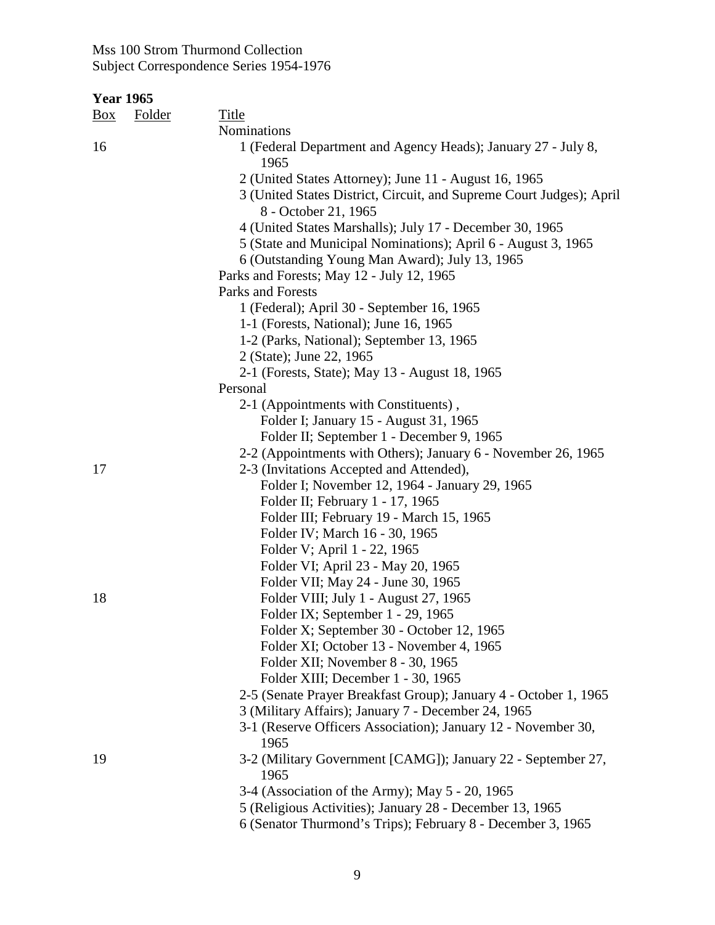| <u>Box</u> | <b>Folder</b> | <b>Title</b>                                                                                 |
|------------|---------------|----------------------------------------------------------------------------------------------|
|            |               | Nominations                                                                                  |
| 16         |               | 1 (Federal Department and Agency Heads); January 27 - July 8,<br>1965                        |
|            |               | 2 (United States Attorney); June 11 - August 16, 1965                                        |
|            |               | 3 (United States District, Circuit, and Supreme Court Judges); April<br>8 - October 21, 1965 |
|            |               | 4 (United States Marshalls); July 17 - December 30, 1965                                     |
|            |               | 5 (State and Municipal Nominations); April 6 - August 3, 1965                                |
|            |               | 6 (Outstanding Young Man Award); July 13, 1965                                               |
|            |               | Parks and Forests; May 12 - July 12, 1965                                                    |
|            |               | Parks and Forests                                                                            |
|            |               | 1 (Federal); April 30 - September 16, 1965                                                   |
|            |               | 1-1 (Forests, National); June 16, 1965                                                       |
|            |               | 1-2 (Parks, National); September 13, 1965                                                    |
|            |               | 2 (State); June 22, 1965                                                                     |
|            |               | 2-1 (Forests, State); May 13 - August 18, 1965                                               |
|            |               | Personal                                                                                     |
|            |               | 2-1 (Appointments with Constituents),                                                        |
|            |               | Folder I; January 15 - August 31, 1965                                                       |
|            |               | Folder II; September 1 - December 9, 1965                                                    |
|            |               | 2-2 (Appointments with Others); January 6 - November 26, 1965                                |
| 17         |               | 2-3 (Invitations Accepted and Attended),                                                     |
|            |               | Folder I; November 12, 1964 - January 29, 1965                                               |
|            |               | Folder II; February 1 - 17, 1965                                                             |
|            |               | Folder III; February 19 - March 15, 1965                                                     |
|            |               | Folder IV; March 16 - 30, 1965                                                               |
|            |               | Folder V; April 1 - 22, 1965                                                                 |
|            |               | Folder VI; April 23 - May 20, 1965<br>Folder VII; May 24 - June 30, 1965                     |
| 18         |               | Folder VIII; July 1 - August 27, 1965                                                        |
|            |               | Folder IX; September 1 - 29, 1965                                                            |
|            |               | Folder X; September 30 - October 12, 1965                                                    |
|            |               | Folder XI; October 13 - November 4, 1965                                                     |
|            |               | Folder XII; November 8 - 30, 1965                                                            |
|            |               | Folder XIII; December 1 - 30, 1965                                                           |
|            |               | 2-5 (Senate Prayer Breakfast Group); January 4 - October 1, 1965                             |
|            |               | 3 (Military Affairs); January 7 - December 24, 1965                                          |
|            |               | 3-1 (Reserve Officers Association); January 12 - November 30,                                |
|            |               | 1965                                                                                         |
| 19         |               | 3-2 (Military Government [CAMG]); January 22 - September 27,<br>1965                         |
|            |               | 3-4 (Association of the Army); May 5 - 20, 1965                                              |
|            |               | 5 (Religious Activities); January 28 - December 13, 1965                                     |
|            |               | 6 (Senator Thurmond's Trips); February 8 - December 3, 1965                                  |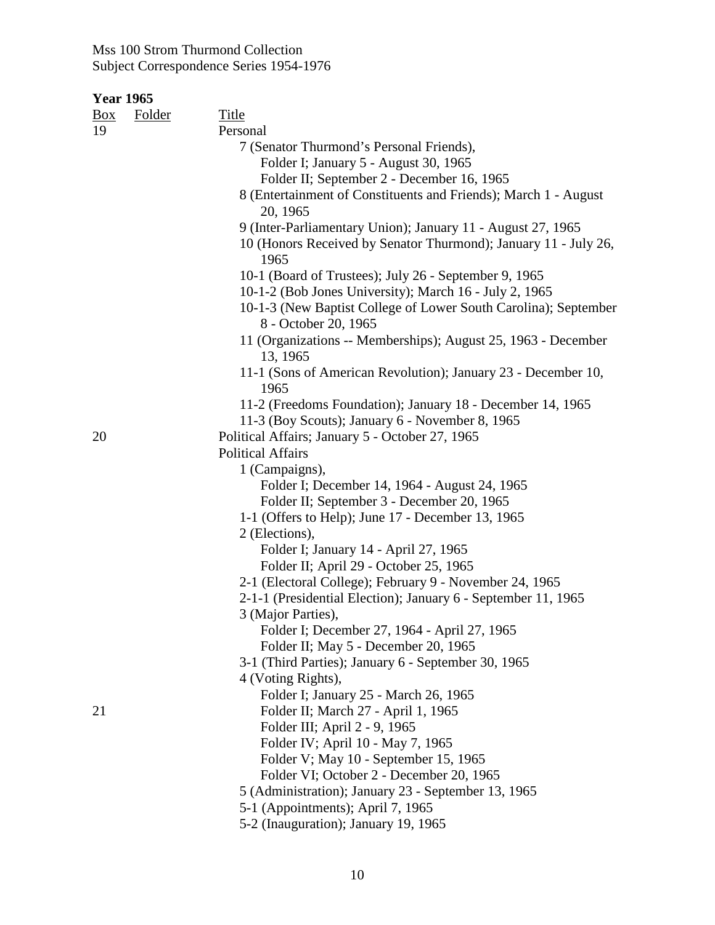| Box | Folder | Title                                                                                   |
|-----|--------|-----------------------------------------------------------------------------------------|
| 19  |        | Personal                                                                                |
|     |        | 7 (Senator Thurmond's Personal Friends),                                                |
|     |        | Folder I; January 5 - August 30, 1965                                                   |
|     |        | Folder II; September 2 - December 16, 1965                                              |
|     |        | 8 (Entertainment of Constituents and Friends); March 1 - August                         |
|     |        | 20, 1965                                                                                |
|     |        | 9 (Inter-Parliamentary Union); January 11 - August 27, 1965                             |
|     |        | 10 (Honors Received by Senator Thurmond); January 11 - July 26,                         |
|     |        | 1965                                                                                    |
|     |        | 10-1 (Board of Trustees); July 26 - September 9, 1965                                   |
|     |        | 10-1-2 (Bob Jones University); March 16 - July 2, 1965                                  |
|     |        | 10-1-3 (New Baptist College of Lower South Carolina); September<br>8 - October 20, 1965 |
|     |        | 11 (Organizations -- Memberships); August 25, 1963 - December<br>13, 1965               |
|     |        | 11-1 (Sons of American Revolution); January 23 - December 10,<br>1965                   |
|     |        | 11-2 (Freedoms Foundation); January 18 - December 14, 1965                              |
|     |        | 11-3 (Boy Scouts); January 6 - November 8, 1965                                         |
| 20  |        | Political Affairs; January 5 - October 27, 1965                                         |
|     |        | <b>Political Affairs</b>                                                                |
|     |        | 1 (Campaigns),                                                                          |
|     |        | Folder I; December 14, 1964 - August 24, 1965                                           |
|     |        | Folder II; September 3 - December 20, 1965                                              |
|     |        | 1-1 (Offers to Help); June 17 - December 13, 1965                                       |
|     |        | 2 (Elections),                                                                          |
|     |        | Folder I; January 14 - April 27, 1965                                                   |
|     |        | Folder II; April 29 - October 25, 1965                                                  |
|     |        | 2-1 (Electoral College); February 9 - November 24, 1965                                 |
|     |        | 2-1-1 (Presidential Election); January 6 - September 11, 1965                           |
|     |        | 3 (Major Parties),                                                                      |
|     |        | Folder I; December 27, 1964 - April 27, 1965                                            |
|     |        | Folder II; May 5 - December 20, 1965                                                    |
|     |        | 3-1 (Third Parties); January 6 - September 30, 1965                                     |
|     |        | 4 (Voting Rights),                                                                      |
|     |        | Folder I; January 25 - March 26, 1965                                                   |
| 21  |        | Folder II; March 27 - April 1, 1965                                                     |
|     |        | Folder III; April 2 - 9, 1965                                                           |
|     |        | Folder IV; April 10 - May 7, 1965                                                       |
|     |        | Folder V; May 10 - September 15, 1965                                                   |
|     |        | Folder VI; October 2 - December 20, 1965                                                |
|     |        | 5 (Administration); January 23 - September 13, 1965                                     |
|     |        | 5-1 (Appointments); April 7, 1965                                                       |
|     |        | 5-2 (Inauguration); January 19, 1965                                                    |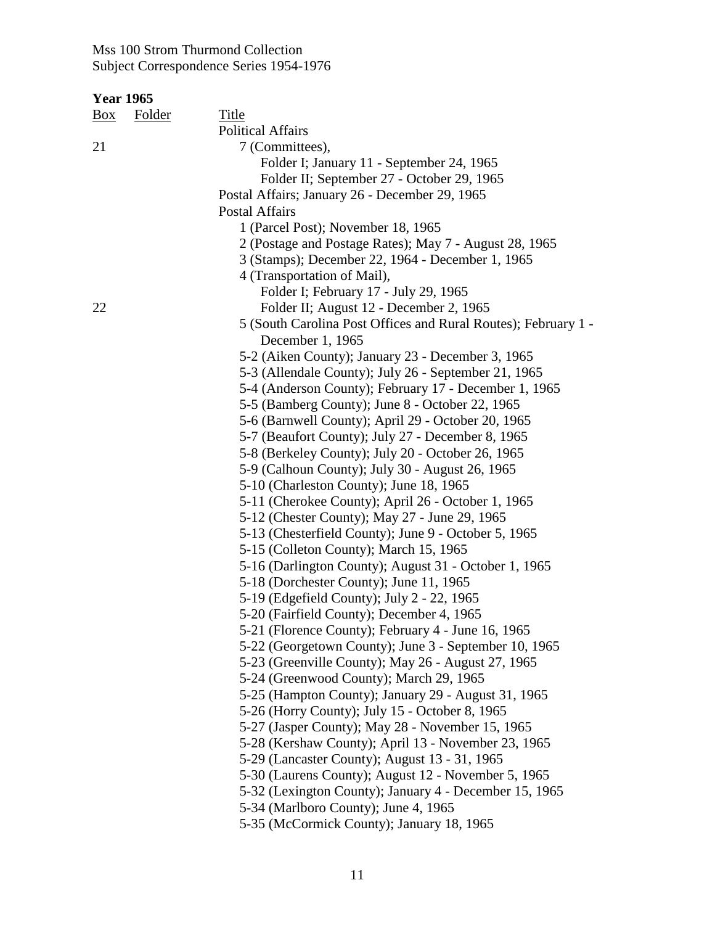| <b>Year 1965</b> |  |
|------------------|--|
|                  |  |

| <u>Box</u> | <b>Folder</b> | Title<br><b>Political Affairs</b>                                                                         |
|------------|---------------|-----------------------------------------------------------------------------------------------------------|
| 21         |               | 7 (Committees),                                                                                           |
|            |               | Folder I; January 11 - September 24, 1965                                                                 |
|            |               | Folder II; September 27 - October 29, 1965                                                                |
|            |               | Postal Affairs; January 26 - December 29, 1965                                                            |
|            |               | <b>Postal Affairs</b>                                                                                     |
|            |               | 1 (Parcel Post); November 18, 1965                                                                        |
|            |               | 2 (Postage and Postage Rates); May 7 - August 28, 1965                                                    |
|            |               | 3 (Stamps); December 22, 1964 - December 1, 1965                                                          |
|            |               | 4 (Transportation of Mail),                                                                               |
|            |               | Folder I; February 17 - July 29, 1965                                                                     |
| 22         |               |                                                                                                           |
|            |               | Folder II; August 12 - December 2, 1965                                                                   |
|            |               | 5 (South Carolina Post Offices and Rural Routes); February 1 -<br>December 1, 1965                        |
|            |               |                                                                                                           |
|            |               | 5-2 (Aiken County); January 23 - December 3, 1965<br>5-3 (Allendale County); July 26 - September 21, 1965 |
|            |               | 5-4 (Anderson County); February 17 - December 1, 1965                                                     |
|            |               | 5-5 (Bamberg County); June 8 - October 22, 1965                                                           |
|            |               | 5-6 (Barnwell County); April 29 - October 20, 1965                                                        |
|            |               | 5-7 (Beaufort County); July 27 - December 8, 1965                                                         |
|            |               | 5-8 (Berkeley County); July 20 - October 26, 1965                                                         |
|            |               | 5-9 (Calhoun County); July 30 - August 26, 1965                                                           |
|            |               | 5-10 (Charleston County); June 18, 1965                                                                   |
|            |               | 5-11 (Cherokee County); April 26 - October 1, 1965                                                        |
|            |               | 5-12 (Chester County); May 27 - June 29, 1965                                                             |
|            |               | 5-13 (Chesterfield County); June 9 - October 5, 1965                                                      |
|            |               | 5-15 (Colleton County); March 15, 1965                                                                    |
|            |               | 5-16 (Darlington County); August 31 - October 1, 1965                                                     |
|            |               | 5-18 (Dorchester County); June 11, 1965                                                                   |
|            |               | 5-19 (Edgefield County); July 2 - 22, 1965                                                                |
|            |               | 5-20 (Fairfield County); December 4, 1965                                                                 |
|            |               | 5-21 (Florence County); February 4 - June 16, 1965                                                        |
|            |               | 5-22 (Georgetown County); June 3 - September 10, 1965                                                     |
|            |               | 5-23 (Greenville County); May 26 - August 27, 1965                                                        |
|            |               | 5-24 (Greenwood County); March 29, 1965                                                                   |
|            |               | 5-25 (Hampton County); January 29 - August 31, 1965                                                       |
|            |               | 5-26 (Horry County); July 15 - October 8, 1965                                                            |
|            |               | 5-27 (Jasper County); May 28 - November 15, 1965                                                          |
|            |               | 5-28 (Kershaw County); April 13 - November 23, 1965                                                       |
|            |               | 5-29 (Lancaster County); August 13 - 31, 1965                                                             |
|            |               | 5-30 (Laurens County); August 12 - November 5, 1965                                                       |
|            |               | 5-32 (Lexington County); January 4 - December 15, 1965                                                    |
|            |               | 5-34 (Marlboro County); June 4, 1965                                                                      |
|            |               | 5-35 (McCormick County); January 18, 1965                                                                 |
|            |               |                                                                                                           |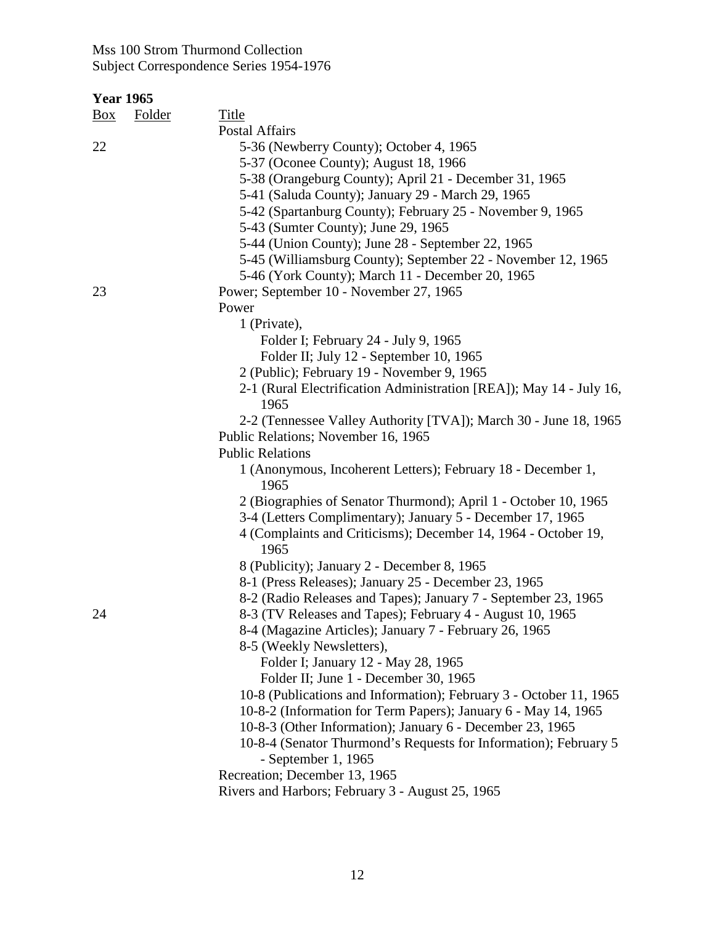| <u>Box</u> | Folder | Title                                                                       |
|------------|--------|-----------------------------------------------------------------------------|
|            |        | Postal Affairs                                                              |
| 22         |        | 5-36 (Newberry County); October 4, 1965                                     |
|            |        | 5-37 (Oconee County); August 18, 1966                                       |
|            |        | 5-38 (Orangeburg County); April 21 - December 31, 1965                      |
|            |        | 5-41 (Saluda County); January 29 - March 29, 1965                           |
|            |        | 5-42 (Spartanburg County); February 25 - November 9, 1965                   |
|            |        | 5-43 (Sumter County); June 29, 1965                                         |
|            |        | 5-44 (Union County); June 28 - September 22, 1965                           |
|            |        | 5-45 (Williamsburg County); September 22 - November 12, 1965                |
|            |        | 5-46 (York County); March 11 - December 20, 1965                            |
| 23         |        | Power; September 10 - November 27, 1965                                     |
|            |        | Power                                                                       |
|            |        | 1 (Private),                                                                |
|            |        | Folder I; February 24 - July 9, 1965                                        |
|            |        | Folder II; July 12 - September 10, 1965                                     |
|            |        | 2 (Public); February 19 - November 9, 1965                                  |
|            |        | 2-1 (Rural Electrification Administration [REA]); May 14 - July 16,<br>1965 |
|            |        | 2-2 (Tennessee Valley Authority [TVA]); March 30 - June 18, 1965            |
|            |        | Public Relations; November 16, 1965                                         |
|            |        | <b>Public Relations</b>                                                     |
|            |        | 1 (Anonymous, Incoherent Letters); February 18 - December 1,<br>1965        |
|            |        | 2 (Biographies of Senator Thurmond); April 1 - October 10, 1965             |
|            |        | 3-4 (Letters Complimentary); January 5 - December 17, 1965                  |
|            |        | 4 (Complaints and Criticisms); December 14, 1964 - October 19,<br>1965      |
|            |        | 8 (Publicity); January 2 - December 8, 1965                                 |
|            |        | 8-1 (Press Releases); January 25 - December 23, 1965                        |
|            |        | 8-2 (Radio Releases and Tapes); January 7 - September 23, 1965              |
| 24         |        | 8-3 (TV Releases and Tapes); February 4 - August 10, 1965                   |
|            |        | 8-4 (Magazine Articles); January 7 - February 26, 1965                      |
|            |        | 8-5 (Weekly Newsletters),                                                   |
|            |        | Folder I; January 12 - May 28, 1965                                         |
|            |        | Folder II; June 1 - December 30, 1965                                       |
|            |        | 10-8 (Publications and Information); February 3 - October 11, 1965          |
|            |        | 10-8-2 (Information for Term Papers); January 6 - May 14, 1965              |
|            |        | 10-8-3 (Other Information); January 6 - December 23, 1965                   |
|            |        | 10-8-4 (Senator Thurmond's Requests for Information); February 5            |
|            |        | - September 1, $1965$                                                       |
|            |        | Recreation; December 13, 1965                                               |
|            |        | Rivers and Harbors; February 3 - August 25, 1965                            |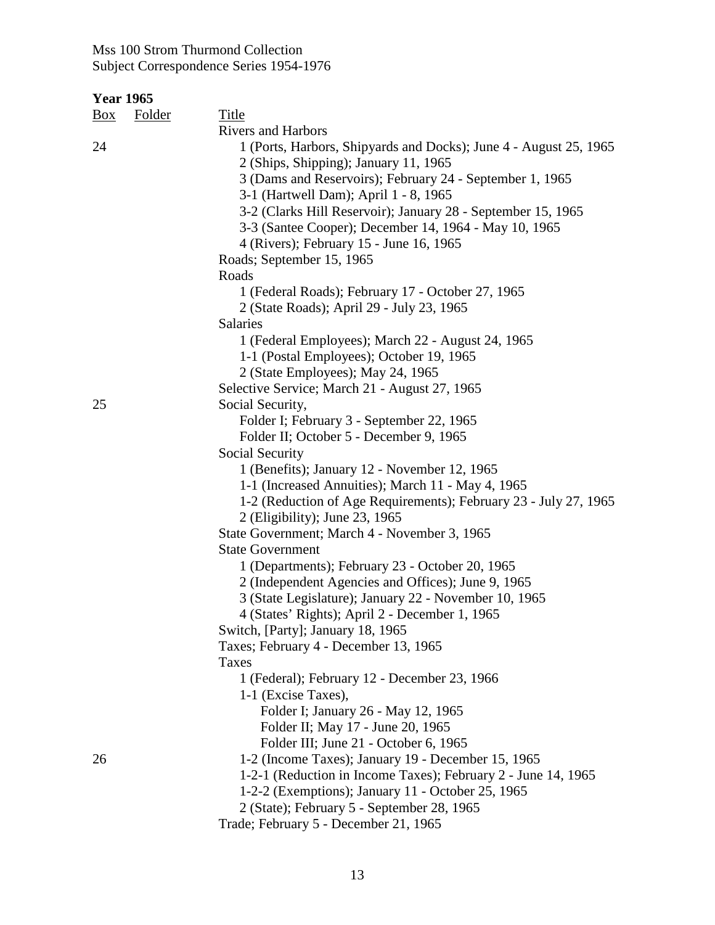| <u>Box</u> | <b>Folder</b> | <b>Title</b>                                                      |
|------------|---------------|-------------------------------------------------------------------|
|            |               | <b>Rivers and Harbors</b>                                         |
| 24         |               | 1 (Ports, Harbors, Shipyards and Docks); June 4 - August 25, 1965 |
|            |               | 2 (Ships, Shipping); January 11, 1965                             |
|            |               | 3 (Dams and Reservoirs); February 24 - September 1, 1965          |
|            |               | 3-1 (Hartwell Dam); April 1 - 8, 1965                             |
|            |               | 3-2 (Clarks Hill Reservoir); January 28 - September 15, 1965      |
|            |               | 3-3 (Santee Cooper); December 14, 1964 - May 10, 1965             |
|            |               | 4 (Rivers); February 15 - June 16, 1965                           |
|            |               | Roads; September 15, 1965                                         |
|            |               | Roads                                                             |
|            |               | 1 (Federal Roads); February 17 - October 27, 1965                 |
|            |               | 2 (State Roads); April 29 - July 23, 1965                         |
|            |               | Salaries                                                          |
|            |               | 1 (Federal Employees); March 22 - August 24, 1965                 |
|            |               | 1-1 (Postal Employees); October 19, 1965                          |
|            |               | 2 (State Employees); May 24, 1965                                 |
|            |               | Selective Service; March 21 - August 27, 1965                     |
| 25         |               | Social Security,                                                  |
|            |               | Folder I; February 3 - September 22, 1965                         |
|            |               | Folder II; October 5 - December 9, 1965                           |
|            |               | Social Security                                                   |
|            |               | 1 (Benefits); January 12 - November 12, 1965                      |
|            |               | 1-1 (Increased Annuities); March 11 - May 4, 1965                 |
|            |               | 1-2 (Reduction of Age Requirements); February 23 - July 27, 1965  |
|            |               | 2 (Eligibility); June 23, 1965                                    |
|            |               | State Government; March 4 - November 3, 1965                      |
|            |               | <b>State Government</b>                                           |
|            |               | 1 (Departments); February 23 - October 20, 1965                   |
|            |               | 2 (Independent Agencies and Offices); June 9, 1965                |
|            |               | 3 (State Legislature); January 22 - November 10, 1965             |
|            |               | 4 (States' Rights); April 2 - December 1, 1965                    |
|            |               | Switch, [Party]; January 18, 1965                                 |
|            |               | Taxes; February 4 - December 13, 1965                             |
|            |               | <b>Taxes</b>                                                      |
|            |               | 1 (Federal); February 12 - December 23, 1966                      |
|            |               | 1-1 (Excise Taxes),                                               |
|            |               | Folder I; January 26 - May 12, 1965                               |
|            |               | Folder II; May 17 - June 20, 1965                                 |
|            |               | Folder III; June 21 - October 6, 1965                             |
| 26         |               | 1-2 (Income Taxes); January 19 - December 15, 1965                |
|            |               | 1-2-1 (Reduction in Income Taxes); February 2 - June 14, 1965     |
|            |               | 1-2-2 (Exemptions); January 11 - October 25, 1965                 |
|            |               | 2 (State); February 5 - September 28, 1965                        |
|            |               | Trade; February 5 - December 21, 1965                             |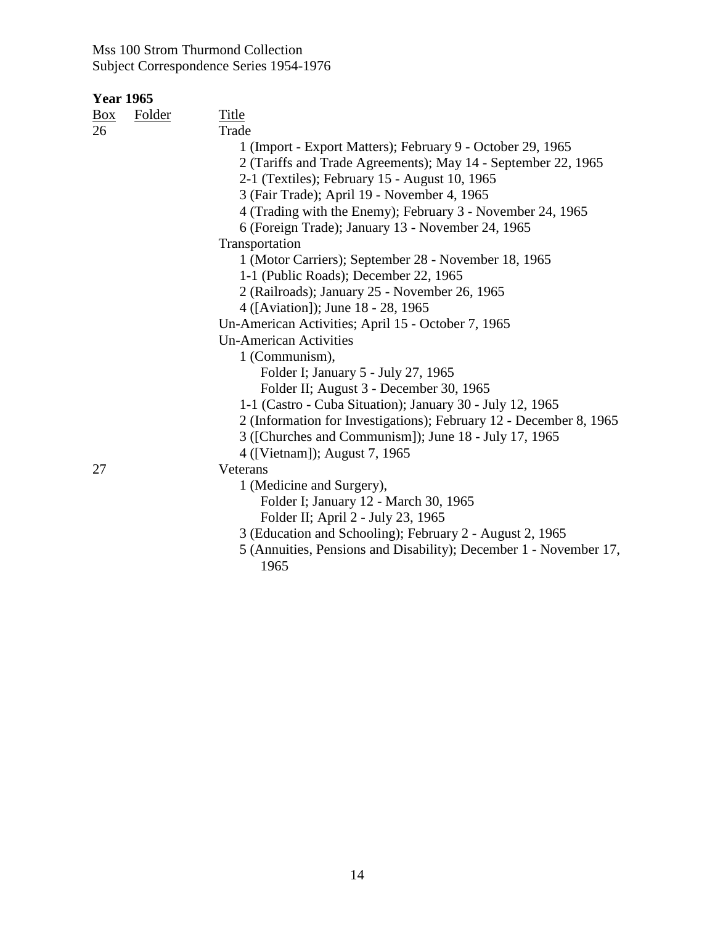| Box | Folder | Title                                                              |
|-----|--------|--------------------------------------------------------------------|
| 26  |        | Trade                                                              |
|     |        | 1 (Import - Export Matters); February 9 - October 29, 1965         |
|     |        | 2 (Tariffs and Trade Agreements); May 14 - September 22, 1965      |
|     |        | 2-1 (Textiles); February 15 - August 10, 1965                      |
|     |        | 3 (Fair Trade); April 19 - November 4, 1965                        |
|     |        | 4 (Trading with the Enemy); February 3 - November 24, 1965         |
|     |        | 6 (Foreign Trade); January 13 - November 24, 1965                  |
|     |        | Transportation                                                     |
|     |        | 1 (Motor Carriers); September 28 - November 18, 1965               |
|     |        | 1-1 (Public Roads); December 22, 1965                              |
|     |        | 2 (Railroads); January 25 - November 26, 1965                      |
|     |        | 4 ([Aviation]); June 18 - 28, 1965                                 |
|     |        | Un-American Activities; April 15 - October 7, 1965                 |
|     |        | <b>Un-American Activities</b>                                      |
|     |        | 1 (Communism),                                                     |
|     |        | Folder I; January 5 - July 27, 1965                                |
|     |        | Folder II; August 3 - December 30, 1965                            |
|     |        | 1-1 (Castro - Cuba Situation); January 30 - July 12, 1965          |
|     |        | 2 (Information for Investigations); February 12 - December 8, 1965 |
|     |        | 3 ([Churches and Communism]); June 18 - July 17, 1965              |
|     |        | 4 ([Vietnam]); August 7, 1965                                      |
| 27  |        | Veterans                                                           |
|     |        | 1 (Medicine and Surgery),                                          |
|     |        | Folder I; January 12 - March 30, 1965                              |
|     |        | Folder II; April 2 - July 23, 1965                                 |
|     |        | 3 (Education and Schooling); February 2 - August 2, 1965           |
|     |        | 5 (Annuities, Pensions and Disability); December 1 - November 17,  |
|     |        | 1965                                                               |
|     |        |                                                                    |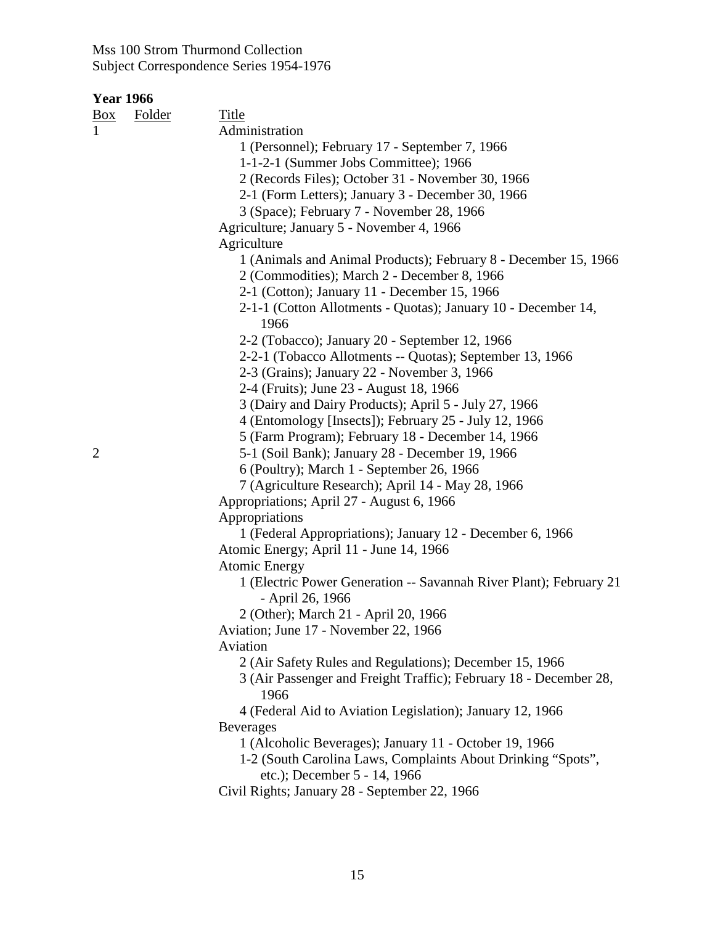| <b>Year 1966</b> |               |                                                                                        |
|------------------|---------------|----------------------------------------------------------------------------------------|
| $\frac{Box}{}$   | <b>Folder</b> | <b>Title</b>                                                                           |
| $\mathbf{1}$     |               | Administration                                                                         |
|                  |               | 1 (Personnel); February 17 - September 7, 1966                                         |
|                  |               | 1-1-2-1 (Summer Jobs Committee); 1966                                                  |
|                  |               | 2 (Records Files); October 31 - November 30, 1966                                      |
|                  |               | 2-1 (Form Letters); January 3 - December 30, 1966                                      |
|                  |               | 3 (Space); February 7 - November 28, 1966                                              |
|                  |               | Agriculture; January 5 - November 4, 1966                                              |
|                  |               | Agriculture                                                                            |
|                  |               | 1 (Animals and Animal Products); February 8 - December 15, 1966                        |
|                  |               | 2 (Commodities); March 2 - December 8, 1966                                            |
|                  |               | 2-1 (Cotton); January 11 - December 15, 1966                                           |
|                  |               | 2-1-1 (Cotton Allotments - Quotas); January 10 - December 14,<br>1966                  |
|                  |               | 2-2 (Tobacco); January 20 - September 12, 1966                                         |
|                  |               | 2-2-1 (Tobacco Allotments -- Quotas); September 13, 1966                               |
|                  |               | 2-3 (Grains); January 22 - November 3, 1966                                            |
|                  |               | 2-4 (Fruits); June 23 - August 18, 1966                                                |
|                  |               | 3 (Dairy and Dairy Products); April 5 - July 27, 1966                                  |
|                  |               | 4 (Entomology [Insects]); February 25 - July 12, 1966                                  |
|                  |               | 5 (Farm Program); February 18 - December 14, 1966                                      |
| $\overline{2}$   |               | 5-1 (Soil Bank); January 28 - December 19, 1966                                        |
|                  |               | 6 (Poultry); March 1 - September 26, 1966                                              |
|                  |               | 7 (Agriculture Research); April 14 - May 28, 1966                                      |
|                  |               | Appropriations; April 27 - August 6, 1966                                              |
|                  |               | Appropriations                                                                         |
|                  |               | 1 (Federal Appropriations); January 12 - December 6, 1966                              |
|                  |               | Atomic Energy; April 11 - June 14, 1966                                                |
|                  |               | <b>Atomic Energy</b>                                                                   |
|                  |               | 1 (Electric Power Generation -- Savannah River Plant); February 21<br>- April 26, 1966 |
|                  |               | 2 (Other); March 21 - April 20, 1966                                                   |
|                  |               | Aviation; June 17 - November 22, 1966                                                  |
|                  |               | Aviation                                                                               |
|                  |               | 2 (Air Safety Rules and Regulations); December 15, 1966                                |
|                  |               | 3 (Air Passenger and Freight Traffic); February 18 - December 28,<br>1966              |
|                  |               | 4 (Federal Aid to Aviation Legislation); January 12, 1966                              |
|                  |               | <b>Beverages</b>                                                                       |
|                  |               | 1 (Alcoholic Beverages); January 11 - October 19, 1966                                 |
|                  |               | 1-2 (South Carolina Laws, Complaints About Drinking "Spots",                           |
|                  |               | etc.); December 5 - 14, 1966                                                           |
|                  |               | Civil Rights; January 28 - September 22, 1966                                          |
|                  |               |                                                                                        |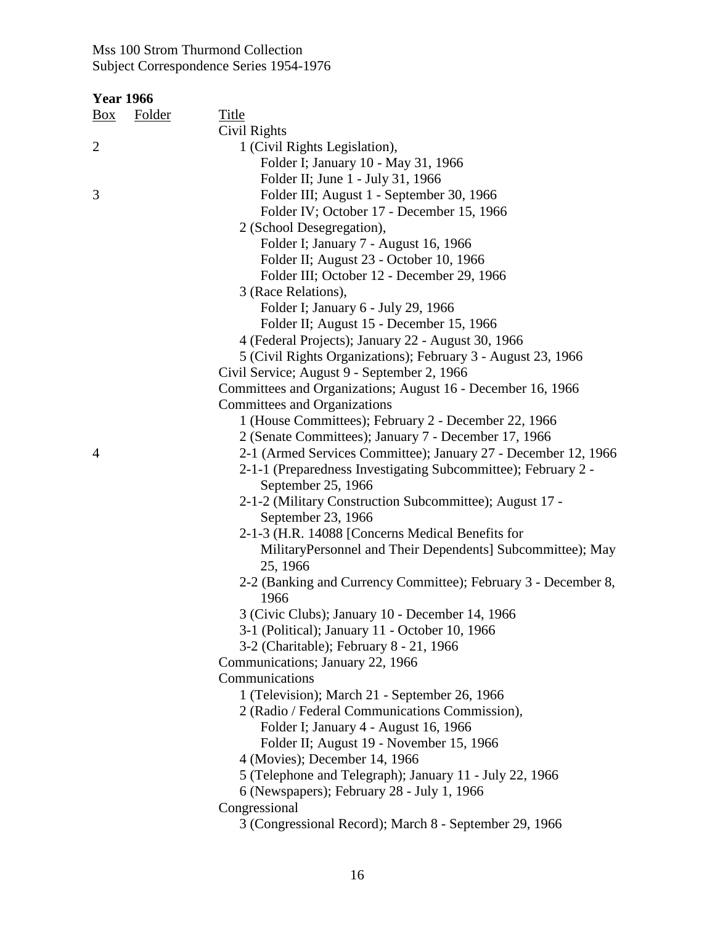| <b>Year 1966</b> |               |                                                                |
|------------------|---------------|----------------------------------------------------------------|
| $\frac{Box}{}$   | <b>Folder</b> | <b>Title</b>                                                   |
|                  |               | Civil Rights                                                   |
| $\overline{2}$   |               | 1 (Civil Rights Legislation),                                  |
|                  |               | Folder I; January 10 - May 31, 1966                            |
|                  |               | Folder II; June 1 - July 31, 1966                              |
| 3                |               | Folder III; August 1 - September 30, 1966                      |
|                  |               | Folder IV; October 17 - December 15, 1966                      |
|                  |               | 2 (School Desegregation),                                      |
|                  |               | Folder I; January 7 - August 16, 1966                          |
|                  |               | Folder II; August 23 - October 10, 1966                        |
|                  |               | Folder III; October 12 - December 29, 1966                     |
|                  |               | 3 (Race Relations),                                            |
|                  |               | Folder I; January 6 - July 29, 1966                            |
|                  |               | Folder II; August 15 - December 15, 1966                       |
|                  |               | 4 (Federal Projects); January 22 - August 30, 1966             |
|                  |               | 5 (Civil Rights Organizations); February 3 - August 23, 1966   |
|                  |               | Civil Service; August 9 - September 2, 1966                    |
|                  |               | Committees and Organizations; August 16 - December 16, 1966    |
|                  |               | Committees and Organizations                                   |
|                  |               | 1 (House Committees); February 2 - December 22, 1966           |
|                  |               | 2 (Senate Committees); January 7 - December 17, 1966           |
| $\overline{4}$   |               | 2-1 (Armed Services Committee); January 27 - December 12, 1966 |
|                  |               | 2-1-1 (Preparedness Investigating Subcommittee); February 2 -  |
|                  |               | September 25, 1966                                             |
|                  |               | 2-1-2 (Military Construction Subcommittee); August 17 -        |
|                  |               | September 23, 1966                                             |
|                  |               | 2-1-3 (H.R. 14088 [Concerns Medical Benefits for               |
|                  |               | MilitaryPersonnel and Their Dependents] Subcommittee); May     |
|                  |               | 25, 1966                                                       |
|                  |               | 2-2 (Banking and Currency Committee); February 3 - December 8, |
|                  |               | 1966                                                           |
|                  |               | 3 (Civic Clubs); January 10 - December 14, 1966                |
|                  |               | 3-1 (Political); January 11 - October 10, 1966                 |
|                  |               | 3-2 (Charitable); February 8 - 21, 1966                        |
|                  |               | Communications; January 22, 1966                               |
|                  |               | Communications                                                 |
|                  |               | 1 (Television); March 21 - September 26, 1966                  |
|                  |               | 2 (Radio / Federal Communications Commission),                 |
|                  |               | Folder I; January 4 - August 16, 1966                          |
|                  |               | Folder II; August 19 - November 15, 1966                       |
|                  |               | 4 (Movies); December 14, 1966                                  |
|                  |               | 5 (Telephone and Telegraph); January 11 - July 22, 1966        |
|                  |               | 6 (Newspapers); February 28 - July 1, 1966                     |
|                  |               | Congressional                                                  |
|                  |               | 3 (Congressional Record); March 8 - September 29, 1966         |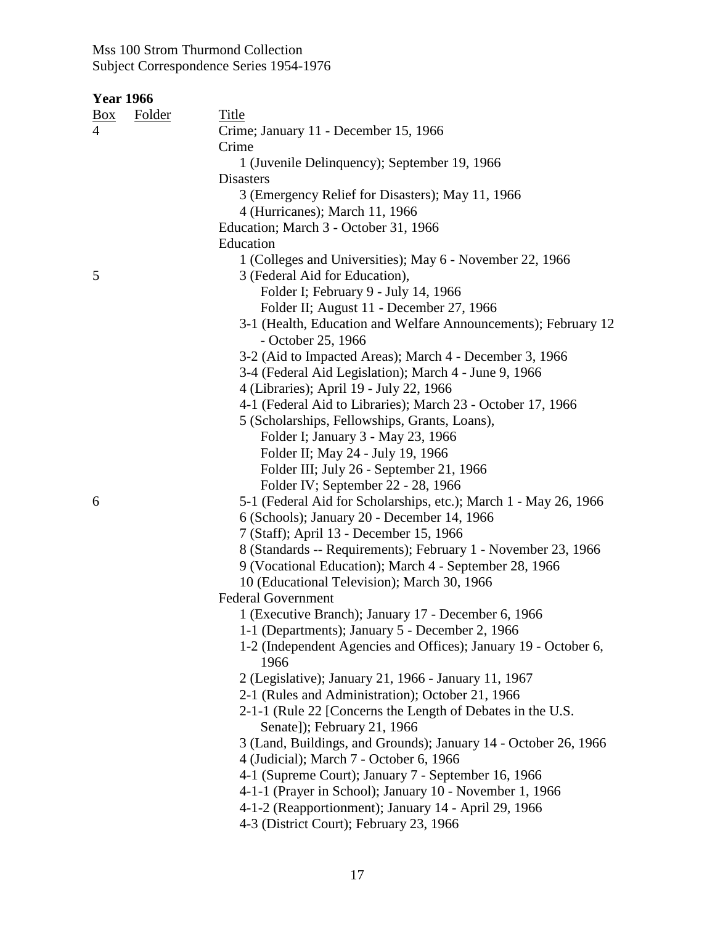| <b>Year 1966</b> |               |                                                                                                          |
|------------------|---------------|----------------------------------------------------------------------------------------------------------|
| $\frac{Box}{}$   | <b>Folder</b> | <b>Title</b>                                                                                             |
| $\overline{4}$   |               | Crime; January 11 - December 15, 1966                                                                    |
|                  |               | Crime                                                                                                    |
|                  |               | 1 (Juvenile Delinquency); September 19, 1966                                                             |
|                  |               | <b>Disasters</b>                                                                                         |
|                  |               | 3 (Emergency Relief for Disasters); May 11, 1966                                                         |
|                  |               | 4 (Hurricanes); March 11, 1966                                                                           |
|                  |               | Education; March 3 - October 31, 1966                                                                    |
|                  |               | Education                                                                                                |
|                  |               | 1 (Colleges and Universities); May 6 - November 22, 1966                                                 |
| 5                |               | 3 (Federal Aid for Education),                                                                           |
|                  |               | Folder I; February 9 - July 14, 1966                                                                     |
|                  |               | Folder II; August 11 - December 27, 1966                                                                 |
|                  |               | 3-1 (Health, Education and Welfare Announcements); February 12<br>- October 25, 1966                     |
|                  |               | 3-2 (Aid to Impacted Areas); March 4 - December 3, 1966                                                  |
|                  |               | 3-4 (Federal Aid Legislation); March 4 - June 9, 1966                                                    |
|                  |               | 4 (Libraries); April 19 - July 22, 1966                                                                  |
|                  |               | 4-1 (Federal Aid to Libraries); March 23 - October 17, 1966                                              |
|                  |               | 5 (Scholarships, Fellowships, Grants, Loans),                                                            |
|                  |               | Folder I; January 3 - May 23, 1966                                                                       |
|                  |               | Folder II; May 24 - July 19, 1966                                                                        |
|                  |               | Folder III; July 26 - September 21, 1966                                                                 |
|                  |               | Folder IV; September 22 - 28, 1966                                                                       |
| 6                |               | 5-1 (Federal Aid for Scholarships, etc.); March 1 - May 26, 1966                                         |
|                  |               | 6 (Schools); January 20 - December 14, 1966                                                              |
|                  |               | 7 (Staff); April 13 - December 15, 1966<br>8 (Standards -- Requirements); February 1 - November 23, 1966 |
|                  |               | 9 (Vocational Education); March 4 - September 28, 1966                                                   |
|                  |               | 10 (Educational Television); March 30, 1966                                                              |
|                  |               | <b>Federal Government</b>                                                                                |
|                  |               | 1 (Executive Branch); January 17 - December 6, 1966                                                      |
|                  |               | 1-1 (Departments); January 5 - December 2, 1966                                                          |
|                  |               | 1-2 (Independent Agencies and Offices); January 19 - October 6,<br>1966                                  |
|                  |               | 2 (Legislative); January 21, 1966 - January 11, 1967                                                     |
|                  |               | 2-1 (Rules and Administration); October 21, 1966                                                         |
|                  |               | 2-1-1 (Rule 22 [Concerns the Length of Debates in the U.S.<br>Senate]); February 21, 1966                |
|                  |               | 3 (Land, Buildings, and Grounds); January 14 - October 26, 1966                                          |
|                  |               | 4 (Judicial); March 7 - October 6, 1966                                                                  |
|                  |               | 4-1 (Supreme Court); January 7 - September 16, 1966                                                      |
|                  |               | 4-1-1 (Prayer in School); January 10 - November 1, 1966                                                  |
|                  |               | 4-1-2 (Reapportionment); January 14 - April 29, 1966                                                     |
|                  |               | 4-3 (District Court); February 23, 1966                                                                  |
|                  |               |                                                                                                          |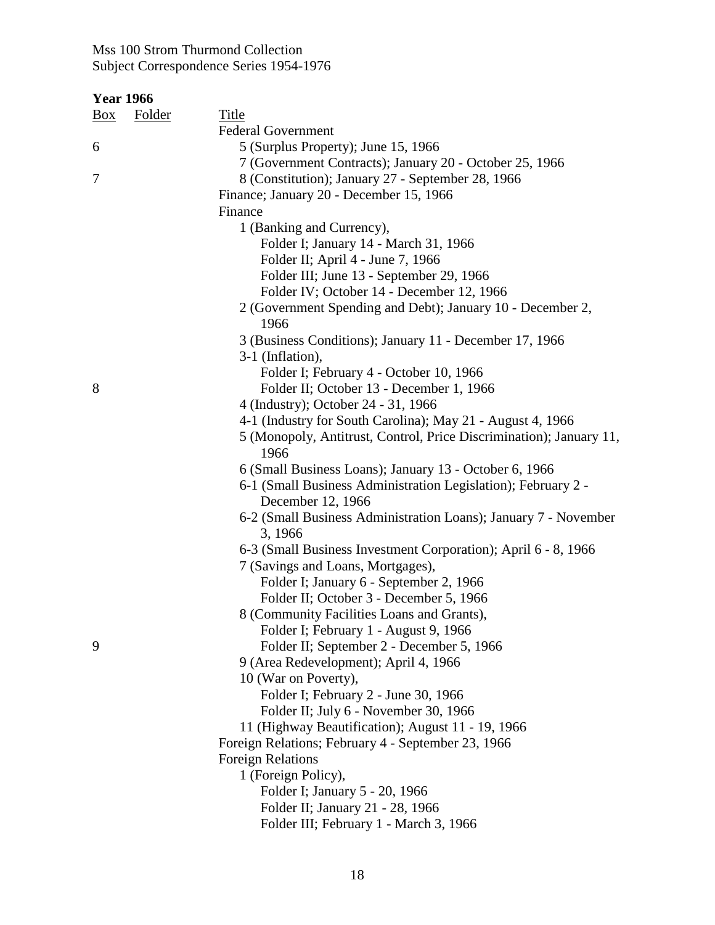| <b>Year 1966</b>                |                                                                     |
|---------------------------------|---------------------------------------------------------------------|
| <b>Folder</b><br>$\frac{Box}{}$ | Title                                                               |
|                                 | <b>Federal Government</b>                                           |
| 6                               | 5 (Surplus Property); June 15, 1966                                 |
|                                 | 7 (Government Contracts); January 20 - October 25, 1966             |
| 7                               | 8 (Constitution); January 27 - September 28, 1966                   |
|                                 | Finance; January 20 - December 15, 1966                             |
|                                 | Finance                                                             |
|                                 | 1 (Banking and Currency),                                           |
|                                 | Folder I; January 14 - March 31, 1966                               |
|                                 | Folder II; April 4 - June 7, 1966                                   |
|                                 | Folder III; June 13 - September 29, 1966                            |
|                                 | Folder IV; October 14 - December 12, 1966                           |
|                                 | 2 (Government Spending and Debt); January 10 - December 2,          |
|                                 | 1966                                                                |
|                                 | 3 (Business Conditions); January 11 - December 17, 1966             |
|                                 | 3-1 (Inflation),                                                    |
|                                 | Folder I; February 4 - October 10, 1966                             |
| 8                               | Folder II; October 13 - December 1, 1966                            |
|                                 | 4 (Industry); October 24 - 31, 1966                                 |
|                                 | 4-1 (Industry for South Carolina); May 21 - August 4, 1966          |
|                                 | 5 (Monopoly, Antitrust, Control, Price Discrimination); January 11, |
|                                 | 1966                                                                |
|                                 | 6 (Small Business Loans); January 13 - October 6, 1966              |
|                                 | 6-1 (Small Business Administration Legislation); February 2 -       |
|                                 | December 12, 1966                                                   |
|                                 | 6-2 (Small Business Administration Loans); January 7 - November     |
|                                 | 3, 1966                                                             |
|                                 | 6-3 (Small Business Investment Corporation); April 6 - 8, 1966      |
|                                 | 7 (Savings and Loans, Mortgages),                                   |
|                                 | Folder I; January 6 - September 2, 1966                             |
|                                 | Folder II; October 3 - December 5, 1966                             |
|                                 | 8 (Community Facilities Loans and Grants),                          |
|                                 | Folder I; February 1 - August 9, 1966                               |
| 9                               | Folder II; September 2 - December 5, 1966                           |
|                                 | 9 (Area Redevelopment); April 4, 1966                               |
|                                 | 10 (War on Poverty),                                                |
|                                 | Folder I; February 2 - June 30, 1966                                |
|                                 | Folder II; July 6 - November 30, 1966                               |
|                                 | 11 (Highway Beautification); August 11 - 19, 1966                   |
|                                 | Foreign Relations; February 4 - September 23, 1966                  |
|                                 | <b>Foreign Relations</b>                                            |
|                                 | 1 (Foreign Policy),                                                 |
|                                 | Folder I; January 5 - 20, 1966                                      |
|                                 | Folder II; January 21 - 28, 1966                                    |
|                                 | Folder III; February 1 - March 3, 1966                              |
|                                 |                                                                     |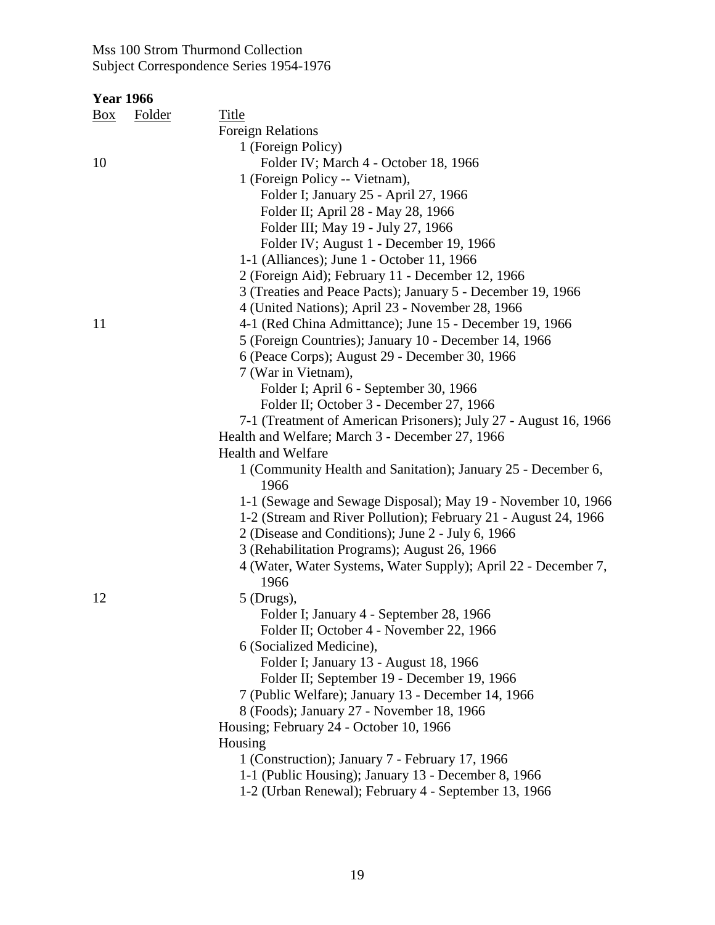| <b>Year 1966</b> |               |                                                                  |
|------------------|---------------|------------------------------------------------------------------|
| $\frac{Box}{}$   | <b>Folder</b> | <b>Title</b>                                                     |
|                  |               | <b>Foreign Relations</b>                                         |
|                  |               | 1 (Foreign Policy)                                               |
| 10               |               | Folder IV; March 4 - October 18, 1966                            |
|                  |               | 1 (Foreign Policy -- Vietnam),                                   |
|                  |               | Folder I; January 25 - April 27, 1966                            |
|                  |               | Folder II; April 28 - May 28, 1966                               |
|                  |               | Folder III; May 19 - July 27, 1966                               |
|                  |               | Folder IV; August 1 - December 19, 1966                          |
|                  |               | 1-1 (Alliances); June 1 - October 11, 1966                       |
|                  |               | 2 (Foreign Aid); February 11 - December 12, 1966                 |
|                  |               | 3 (Treaties and Peace Pacts); January 5 - December 19, 1966      |
|                  |               | 4 (United Nations); April 23 - November 28, 1966                 |
| 11               |               | 4-1 (Red China Admittance); June 15 - December 19, 1966          |
|                  |               | 5 (Foreign Countries); January 10 - December 14, 1966            |
|                  |               | 6 (Peace Corps); August 29 - December 30, 1966                   |
|                  |               | 7 (War in Vietnam),                                              |
|                  |               | Folder I; April 6 - September 30, 1966                           |
|                  |               | Folder II; October 3 - December 27, 1966                         |
|                  |               | 7-1 (Treatment of American Prisoners); July 27 - August 16, 1966 |
|                  |               | Health and Welfare; March 3 - December 27, 1966                  |
|                  |               | <b>Health and Welfare</b>                                        |
|                  |               | 1 (Community Health and Sanitation); January 25 - December 6,    |
|                  |               | 1966                                                             |
|                  |               | 1-1 (Sewage and Sewage Disposal); May 19 - November 10, 1966     |
|                  |               | 1-2 (Stream and River Pollution); February 21 - August 24, 1966  |
|                  |               | 2 (Disease and Conditions); June 2 - July 6, 1966                |
|                  |               | 3 (Rehabilitation Programs); August 26, 1966                     |
|                  |               | 4 (Water, Water Systems, Water Supply); April 22 - December 7,   |
|                  |               | 1966                                                             |
| 12               |               | $5$ (Drugs),                                                     |
|                  |               | Folder I; January 4 - September 28, 1966                         |
|                  |               | Folder II; October 4 - November 22, 1966                         |
|                  |               | 6 (Socialized Medicine),                                         |
|                  |               | Folder I; January 13 - August 18, 1966                           |
|                  |               | Folder II; September 19 - December 19, 1966                      |
|                  |               | 7 (Public Welfare); January 13 - December 14, 1966               |
|                  |               | 8 (Foods); January 27 - November 18, 1966                        |
|                  |               | Housing; February 24 - October 10, 1966                          |
|                  |               | Housing                                                          |
|                  |               | 1 (Construction); January 7 - February 17, 1966                  |
|                  |               | 1-1 (Public Housing); January 13 - December 8, 1966              |
|                  |               | 1-2 (Urban Renewal); February 4 - September 13, 1966             |
|                  |               |                                                                  |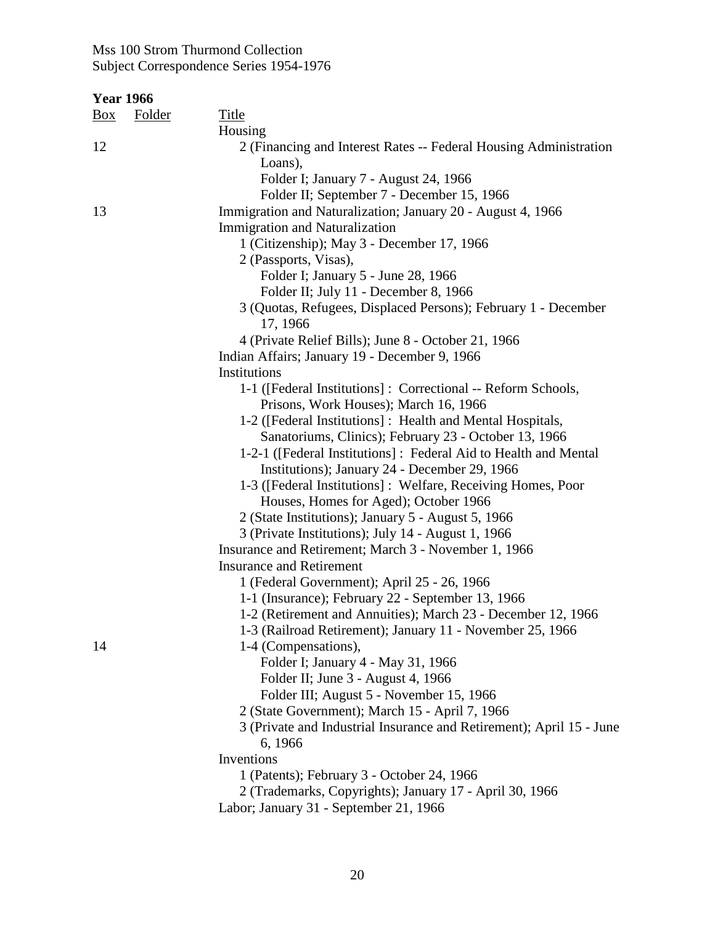| <b>Year 1966</b> |               |                                                                              |
|------------------|---------------|------------------------------------------------------------------------------|
| Box              | <b>Folder</b> | <b>Title</b>                                                                 |
|                  |               | Housing                                                                      |
| 12               |               | 2 (Financing and Interest Rates -- Federal Housing Administration<br>Loans), |
|                  |               | Folder I; January 7 - August 24, 1966                                        |
|                  |               | Folder II; September 7 - December 15, 1966                                   |
| 13               |               | Immigration and Naturalization; January 20 - August 4, 1966                  |
|                  |               | <b>Immigration and Naturalization</b>                                        |
|                  |               | 1 (Citizenship); May 3 - December 17, 1966                                   |
|                  |               | 2 (Passports, Visas),                                                        |
|                  |               | Folder I; January 5 - June 28, 1966                                          |
|                  |               | Folder II; July 11 - December 8, 1966                                        |
|                  |               | 3 (Quotas, Refugees, Displaced Persons); February 1 - December<br>17, 1966   |
|                  |               | 4 (Private Relief Bills); June 8 - October 21, 1966                          |
|                  |               | Indian Affairs; January 19 - December 9, 1966                                |
|                  |               | Institutions                                                                 |
|                  |               | 1-1 ([Federal Institutions] : Correctional -- Reform Schools,                |
|                  |               | Prisons, Work Houses); March 16, 1966                                        |
|                  |               | 1-2 ([Federal Institutions] : Health and Mental Hospitals,                   |
|                  |               | Sanatoriums, Clinics); February 23 - October 13, 1966                        |
|                  |               | 1-2-1 ([Federal Institutions] : Federal Aid to Health and Mental             |
|                  |               | Institutions); January 24 - December 29, 1966                                |
|                  |               | 1-3 ([Federal Institutions]: Welfare, Receiving Homes, Poor                  |
|                  |               | Houses, Homes for Aged); October 1966                                        |
|                  |               | 2 (State Institutions); January 5 - August 5, 1966                           |
|                  |               | 3 (Private Institutions); July 14 - August 1, 1966                           |
|                  |               | Insurance and Retirement; March 3 - November 1, 1966                         |
|                  |               | <b>Insurance and Retirement</b>                                              |
|                  |               | 1 (Federal Government); April 25 - 26, 1966                                  |
|                  |               | 1-1 (Insurance); February 22 - September 13, 1966                            |
|                  |               | 1-2 (Retirement and Annuities); March 23 - December 12, 1966                 |
|                  |               | 1-3 (Railroad Retirement); January 11 - November 25, 1966                    |
| 14               |               | 1-4 (Compensations),                                                         |
|                  |               | Folder I; January 4 - May 31, 1966                                           |
|                  |               | Folder II; June 3 - August 4, 1966                                           |
|                  |               | Folder III; August 5 - November 15, 1966                                     |
|                  |               | 2 (State Government); March 15 - April 7, 1966                               |
|                  |               | 3 (Private and Industrial Insurance and Retirement); April 15 - June         |
|                  |               | 6, 1966                                                                      |
|                  |               | Inventions                                                                   |
|                  |               | 1 (Patents); February 3 - October 24, 1966                                   |
|                  |               |                                                                              |
|                  |               | 2 (Trademarks, Copyrights); January 17 - April 30, 1966                      |
|                  |               | Labor; January 31 - September 21, 1966                                       |
|                  |               |                                                                              |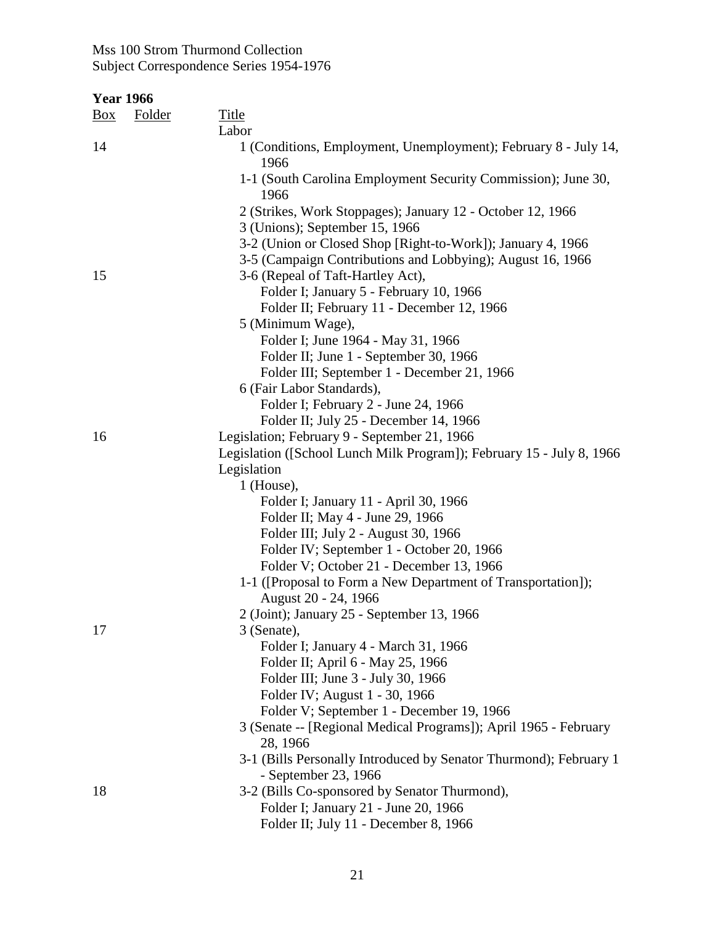| <b>Year 1966</b> |  |
|------------------|--|
|                  |  |

| $\frac{Box}{}$ | <b>Folder</b> | <b>Title</b><br>Labor                                                                |
|----------------|---------------|--------------------------------------------------------------------------------------|
| 14             |               | 1 (Conditions, Employment, Unemployment); February 8 - July 14,<br>1966              |
|                |               | 1-1 (South Carolina Employment Security Commission); June 30,<br>1966                |
|                |               | 2 (Strikes, Work Stoppages); January 12 - October 12, 1966                           |
|                |               | 3 (Unions); September 15, 1966                                                       |
|                |               | 3-2 (Union or Closed Shop [Right-to-Work]); January 4, 1966                          |
|                |               | 3-5 (Campaign Contributions and Lobbying); August 16, 1966                           |
| 15             |               | 3-6 (Repeal of Taft-Hartley Act),                                                    |
|                |               | Folder I; January 5 - February 10, 1966                                              |
|                |               | Folder II; February 11 - December 12, 1966                                           |
|                |               | 5 (Minimum Wage),                                                                    |
|                |               | Folder I; June 1964 - May 31, 1966                                                   |
|                |               | Folder II; June 1 - September 30, 1966                                               |
|                |               | Folder III; September 1 - December 21, 1966                                          |
|                |               | 6 (Fair Labor Standards),                                                            |
|                |               | Folder I; February 2 - June 24, 1966                                                 |
|                |               | Folder II; July 25 - December 14, 1966                                               |
| 16             |               | Legislation; February 9 - September 21, 1966                                         |
|                |               | Legislation ([School Lunch Milk Program]); February 15 - July 8, 1966                |
|                |               | Legislation                                                                          |
|                |               | $1$ (House),                                                                         |
|                |               | Folder I; January 11 - April 30, 1966                                                |
|                |               | Folder II; May 4 - June 29, 1966                                                     |
|                |               | Folder III; July 2 - August 30, 1966                                                 |
|                |               | Folder IV; September 1 - October 20, 1966                                            |
|                |               | Folder V; October 21 - December 13, 1966                                             |
|                |               | 1-1 ([Proposal to Form a New Department of Transportation]);<br>August 20 - 24, 1966 |
|                |               | 2 (Joint); January 25 - September 13, 1966                                           |
| 17             |               | 3 (Senate),                                                                          |
|                |               | Folder I; January 4 - March 31, 1966                                                 |
|                |               | Folder II; April 6 - May 25, 1966                                                    |
|                |               | Folder III; June 3 - July 30, 1966                                                   |
|                |               | Folder IV; August 1 - 30, 1966                                                       |
|                |               | Folder V; September 1 - December 19, 1966                                            |
|                |               | 3 (Senate -- [Regional Medical Programs]); April 1965 - February<br>28, 1966         |
|                |               | 3-1 (Bills Personally Introduced by Senator Thurmond); February 1                    |
|                |               | - September 23, 1966                                                                 |
| 18             |               | 3-2 (Bills Co-sponsored by Senator Thurmond),                                        |
|                |               | Folder I; January 21 - June 20, 1966                                                 |
|                |               | Folder II; July 11 - December 8, 1966                                                |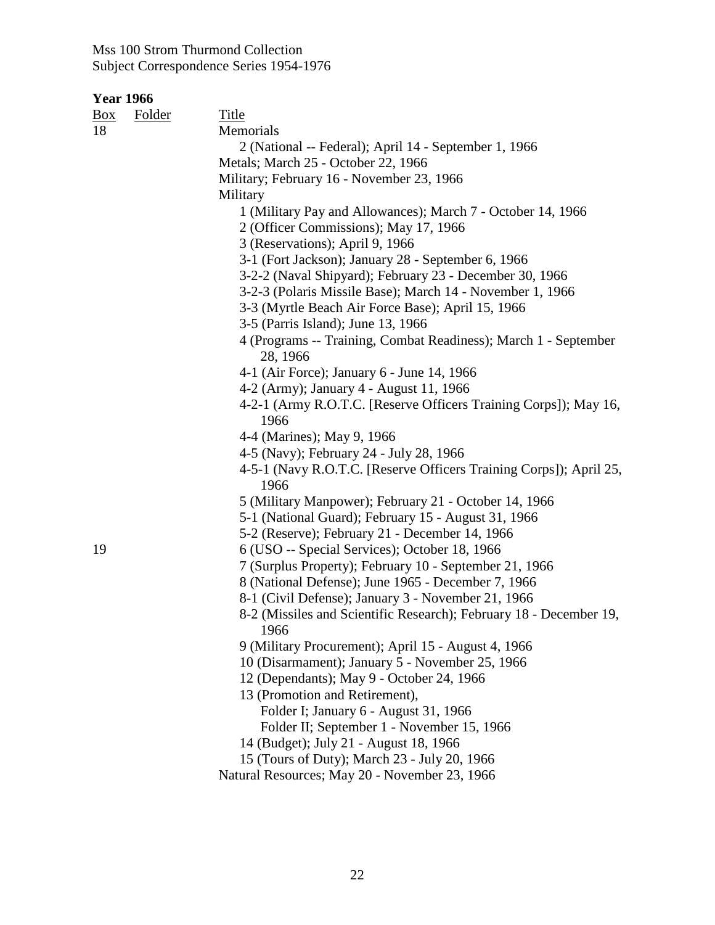| <u>Box</u> | <b>Folder</b> | Title                                                                                                                                                       |
|------------|---------------|-------------------------------------------------------------------------------------------------------------------------------------------------------------|
| 18         |               | Memorials                                                                                                                                                   |
|            |               | 2 (National -- Federal); April 14 - September 1, 1966                                                                                                       |
|            |               | Metals; March 25 - October 22, 1966                                                                                                                         |
|            |               | Military; February 16 - November 23, 1966                                                                                                                   |
|            |               | Military                                                                                                                                                    |
|            |               | 1 (Military Pay and Allowances); March 7 - October 14, 1966                                                                                                 |
|            |               | 2 (Officer Commissions); May 17, 1966                                                                                                                       |
|            |               | 3 (Reservations); April 9, 1966                                                                                                                             |
|            |               | 3-1 (Fort Jackson); January 28 - September 6, 1966                                                                                                          |
|            |               | 3-2-2 (Naval Shipyard); February 23 - December 30, 1966                                                                                                     |
|            |               | 3-2-3 (Polaris Missile Base); March 14 - November 1, 1966                                                                                                   |
|            |               | 3-3 (Myrtle Beach Air Force Base); April 15, 1966                                                                                                           |
|            |               | 3-5 (Parris Island); June 13, 1966                                                                                                                          |
|            |               | 4 (Programs -- Training, Combat Readiness); March 1 - September<br>28, 1966                                                                                 |
|            |               | 4-1 (Air Force); January 6 - June 14, 1966                                                                                                                  |
|            |               | 4-2 (Army); January 4 - August 11, 1966                                                                                                                     |
|            |               | 4-2-1 (Army R.O.T.C. [Reserve Officers Training Corps]); May 16,<br>1966                                                                                    |
|            |               | 4-4 (Marines); May 9, 1966                                                                                                                                  |
|            |               | 4-5 (Navy); February 24 - July 28, 1966                                                                                                                     |
|            |               | 4-5-1 (Navy R.O.T.C. [Reserve Officers Training Corps]); April 25,<br>1966                                                                                  |
|            |               | 5 (Military Manpower); February 21 - October 14, 1966                                                                                                       |
|            |               | 5-1 (National Guard); February 15 - August 31, 1966                                                                                                         |
|            |               | 5-2 (Reserve); February 21 - December 14, 1966                                                                                                              |
| 19         |               | 6 (USO -- Special Services); October 18, 1966                                                                                                               |
|            |               | 7 (Surplus Property); February 10 - September 21, 1966                                                                                                      |
|            |               | 8 (National Defense); June 1965 - December 7, 1966                                                                                                          |
|            |               | 8-1 (Civil Defense); January 3 - November 21, 1966                                                                                                          |
|            |               | 8-2 (Missiles and Scientific Research); February 18 - December 19,                                                                                          |
|            |               |                                                                                                                                                             |
|            |               |                                                                                                                                                             |
|            |               |                                                                                                                                                             |
|            |               | 13 (Promotion and Retirement),                                                                                                                              |
|            |               | Folder I; January 6 - August 31, 1966                                                                                                                       |
|            |               | Folder II; September 1 - November 15, 1966                                                                                                                  |
|            |               | 14 (Budget); July 21 - August 18, 1966                                                                                                                      |
|            |               | 15 (Tours of Duty); March 23 - July 20, 1966                                                                                                                |
|            |               | Natural Resources; May 20 - November 23, 1966                                                                                                               |
|            |               | 1966<br>9 (Military Procurement); April 15 - August 4, 1966<br>10 (Disarmament); January 5 - November 25, 1966<br>12 (Dependants); May 9 - October 24, 1966 |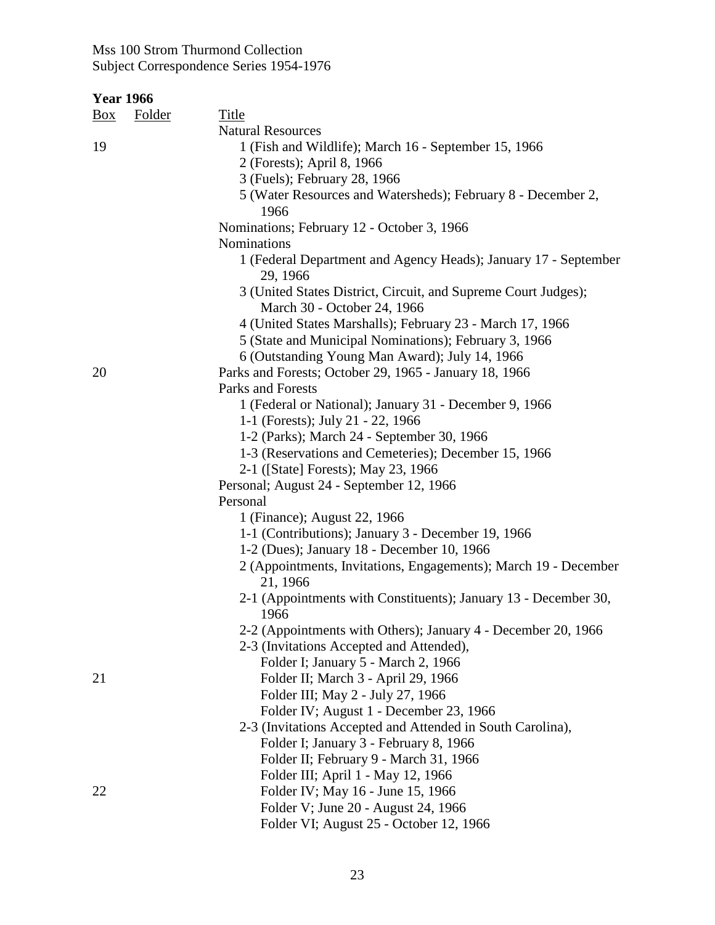| <u>Box</u> | <b>Folder</b> | <b>Title</b>                                                                                  |
|------------|---------------|-----------------------------------------------------------------------------------------------|
|            |               | <b>Natural Resources</b>                                                                      |
| 19         |               | 1 (Fish and Wildlife); March 16 - September 15, 1966                                          |
|            |               | 2 (Forests); April 8, 1966                                                                    |
|            |               | 3 (Fuels); February 28, 1966                                                                  |
|            |               | 5 (Water Resources and Watersheds); February 8 - December 2,                                  |
|            |               | 1966                                                                                          |
|            |               | Nominations; February 12 - October 3, 1966                                                    |
|            |               | Nominations                                                                                   |
|            |               | 1 (Federal Department and Agency Heads); January 17 - September<br>29, 1966                   |
|            |               | 3 (United States District, Circuit, and Supreme Court Judges);<br>March 30 - October 24, 1966 |
|            |               | 4 (United States Marshalls); February 23 - March 17, 1966                                     |
|            |               | 5 (State and Municipal Nominations); February 3, 1966                                         |
|            |               | 6 (Outstanding Young Man Award); July 14, 1966                                                |
| 20         |               | Parks and Forests; October 29, 1965 - January 18, 1966                                        |
|            |               | Parks and Forests                                                                             |
|            |               | 1 (Federal or National); January 31 - December 9, 1966                                        |
|            |               | 1-1 (Forests); July 21 - 22, 1966                                                             |
|            |               | 1-2 (Parks); March 24 - September 30, 1966                                                    |
|            |               | 1-3 (Reservations and Cemeteries); December 15, 1966                                          |
|            |               | 2-1 ([State] Forests); May 23, 1966                                                           |
|            |               | Personal; August 24 - September 12, 1966                                                      |
|            |               | Personal                                                                                      |
|            |               | 1 (Finance); August 22, 1966                                                                  |
|            |               | 1-1 (Contributions); January 3 - December 19, 1966                                            |
|            |               | 1-2 (Dues); January 18 - December 10, 1966                                                    |
|            |               | 2 (Appointments, Invitations, Engagements); March 19 - December<br>21, 1966                   |
|            |               | 2-1 (Appointments with Constituents); January 13 - December 30,<br>1966                       |
|            |               | 2-2 (Appointments with Others); January 4 - December 20, 1966                                 |
|            |               | 2-3 (Invitations Accepted and Attended),                                                      |
|            |               | Folder I; January 5 - March 2, 1966                                                           |
| 21         |               | Folder II; March 3 - April 29, 1966                                                           |
|            |               | Folder III; May 2 - July 27, 1966                                                             |
|            |               | Folder IV; August 1 - December 23, 1966                                                       |
|            |               | 2-3 (Invitations Accepted and Attended in South Carolina),                                    |
|            |               | Folder I; January 3 - February 8, 1966                                                        |
|            |               | Folder II; February 9 - March 31, 1966                                                        |
|            |               | Folder III; April 1 - May 12, 1966                                                            |
| 22         |               | Folder IV; May 16 - June 15, 1966                                                             |
|            |               | Folder V; June 20 - August 24, 1966                                                           |
|            |               | Folder VI; August 25 - October 12, 1966                                                       |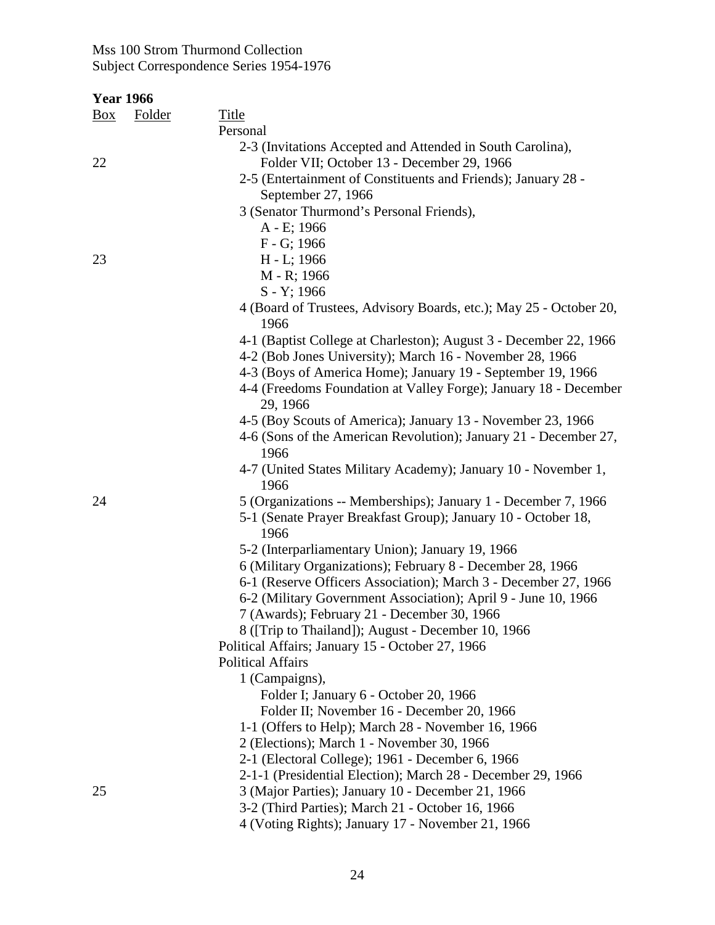| <b>Year 1966</b> |               |                                                                        |
|------------------|---------------|------------------------------------------------------------------------|
| Box              | <b>Folder</b> | <b>Title</b>                                                           |
|                  |               | Personal                                                               |
|                  |               | 2-3 (Invitations Accepted and Attended in South Carolina),             |
| 22               |               | Folder VII; October 13 - December 29, 1966                             |
|                  |               | 2-5 (Entertainment of Constituents and Friends); January 28 -          |
|                  |               | September 27, 1966                                                     |
|                  |               | 3 (Senator Thurmond's Personal Friends),                               |
|                  |               | A - E; 1966                                                            |
|                  |               | F - G; 1966                                                            |
| 23               |               | H - L; 1966                                                            |
|                  |               | M - R; 1966                                                            |
|                  |               | S - Y; 1966                                                            |
|                  |               | 4 (Board of Trustees, Advisory Boards, etc.); May 25 - October 20,     |
|                  |               | 1966                                                                   |
|                  |               | 4-1 (Baptist College at Charleston); August 3 - December 22, 1966      |
|                  |               | 4-2 (Bob Jones University); March 16 - November 28, 1966               |
|                  |               | 4-3 (Boys of America Home); January 19 - September 19, 1966            |
|                  |               | 4-4 (Freedoms Foundation at Valley Forge); January 18 - December       |
|                  |               | 29, 1966                                                               |
|                  |               | 4-5 (Boy Scouts of America); January 13 - November 23, 1966            |
|                  |               | 4-6 (Sons of the American Revolution); January 21 - December 27,       |
|                  |               | 1966                                                                   |
|                  |               | 4-7 (United States Military Academy); January 10 - November 1,<br>1966 |
| 24               |               | 5 (Organizations -- Memberships); January 1 - December 7, 1966         |
|                  |               | 5-1 (Senate Prayer Breakfast Group); January 10 - October 18,<br>1966  |
|                  |               | 5-2 (Interparliamentary Union); January 19, 1966                       |
|                  |               | 6 (Military Organizations); February 8 - December 28, 1966             |
|                  |               | 6-1 (Reserve Officers Association); March 3 - December 27, 1966        |
|                  |               | 6-2 (Military Government Association); April 9 - June 10, 1966         |
|                  |               | 7 (Awards); February 21 - December 30, 1966                            |
|                  |               | 8 ([Trip to Thailand]); August - December 10, 1966                     |
|                  |               | Political Affairs; January 15 - October 27, 1966                       |
|                  |               | <b>Political Affairs</b>                                               |
|                  |               | 1 (Campaigns),                                                         |
|                  |               | Folder I; January 6 - October 20, 1966                                 |
|                  |               | Folder II; November 16 - December 20, 1966                             |
|                  |               | 1-1 (Offers to Help); March 28 - November 16, 1966                     |
|                  |               | 2 (Elections); March 1 - November 30, 1966                             |
|                  |               | 2-1 (Electoral College); 1961 - December 6, 1966                       |
|                  |               | 2-1-1 (Presidential Election); March 28 - December 29, 1966            |
| 25               |               | 3 (Major Parties); January 10 - December 21, 1966                      |
|                  |               | 3-2 (Third Parties); March 21 - October 16, 1966                       |
|                  |               | 4 (Voting Rights); January 17 - November 21, 1966                      |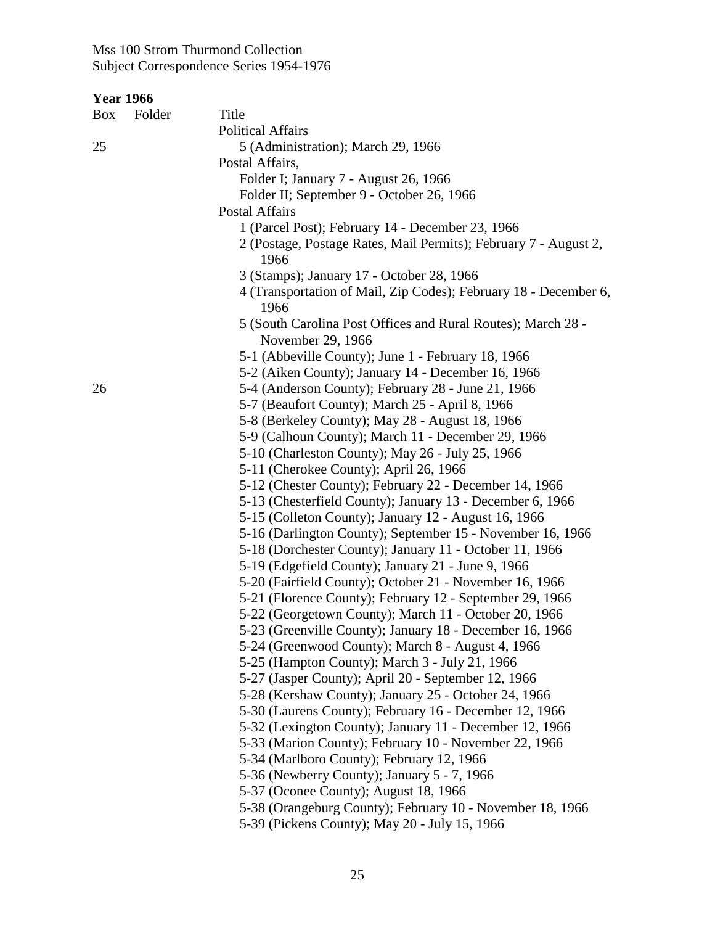| $\underline{Box}$ | <b>Folder</b> | Title                                                                                                             |
|-------------------|---------------|-------------------------------------------------------------------------------------------------------------------|
|                   |               | <b>Political Affairs</b>                                                                                          |
| 25                |               | 5 (Administration); March 29, 1966                                                                                |
|                   |               | Postal Affairs,                                                                                                   |
|                   |               | Folder I; January 7 - August 26, 1966                                                                             |
|                   |               | Folder II; September 9 - October 26, 1966                                                                         |
|                   |               | <b>Postal Affairs</b>                                                                                             |
|                   |               | 1 (Parcel Post); February 14 - December 23, 1966                                                                  |
|                   |               | 2 (Postage, Postage Rates, Mail Permits); February 7 - August 2,                                                  |
|                   |               | 1966                                                                                                              |
|                   |               | 3 (Stamps); January 17 - October 28, 1966                                                                         |
|                   |               | 4 (Transportation of Mail, Zip Codes); February 18 - December 6,                                                  |
|                   |               | 1966                                                                                                              |
|                   |               | 5 (South Carolina Post Offices and Rural Routes); March 28 -                                                      |
|                   |               | November 29, 1966                                                                                                 |
|                   |               | 5-1 (Abbeville County); June 1 - February 18, 1966                                                                |
|                   |               | 5-2 (Aiken County); January 14 - December 16, 1966                                                                |
| 26                |               | 5-4 (Anderson County); February 28 - June 21, 1966                                                                |
|                   |               | 5-7 (Beaufort County); March 25 - April 8, 1966                                                                   |
|                   |               | 5-8 (Berkeley County); May 28 - August 18, 1966                                                                   |
|                   |               | 5-9 (Calhoun County); March 11 - December 29, 1966                                                                |
|                   |               | 5-10 (Charleston County); May 26 - July 25, 1966                                                                  |
|                   |               | 5-11 (Cherokee County); April 26, 1966                                                                            |
|                   |               | 5-12 (Chester County); February 22 - December 14, 1966                                                            |
|                   |               | 5-13 (Chesterfield County); January 13 - December 6, 1966                                                         |
|                   |               | 5-15 (Colleton County); January 12 - August 16, 1966                                                              |
|                   |               | 5-16 (Darlington County); September 15 - November 16, 1966                                                        |
|                   |               | 5-18 (Dorchester County); January 11 - October 11, 1966                                                           |
|                   |               | 5-19 (Edgefield County); January 21 - June 9, 1966                                                                |
|                   |               | 5-20 (Fairfield County); October 21 - November 16, 1966                                                           |
|                   |               | 5-21 (Florence County); February 12 - September 29, 1966                                                          |
|                   |               | 5-22 (Georgetown County); March 11 - October 20, 1966                                                             |
|                   |               | 5-23 (Greenville County); January 18 - December 16, 1966                                                          |
|                   |               | 5-24 (Greenwood County); March 8 - August 4, 1966                                                                 |
|                   |               | 5-25 (Hampton County); March 3 - July 21, 1966                                                                    |
|                   |               | 5-27 (Jasper County); April 20 - September 12, 1966                                                               |
|                   |               | 5-28 (Kershaw County); January 25 - October 24, 1966                                                              |
|                   |               | 5-30 (Laurens County); February 16 - December 12, 1966<br>5-32 (Lexington County); January 11 - December 12, 1966 |
|                   |               | 5-33 (Marion County); February 10 - November 22, 1966                                                             |
|                   |               | 5-34 (Marlboro County); February 12, 1966                                                                         |
|                   |               | 5-36 (Newberry County); January 5 - 7, 1966                                                                       |
|                   |               | 5-37 (Oconee County); August 18, 1966                                                                             |
|                   |               | 5-38 (Orangeburg County); February 10 - November 18, 1966                                                         |
|                   |               | 5-39 (Pickens County); May 20 - July 15, 1966                                                                     |
|                   |               |                                                                                                                   |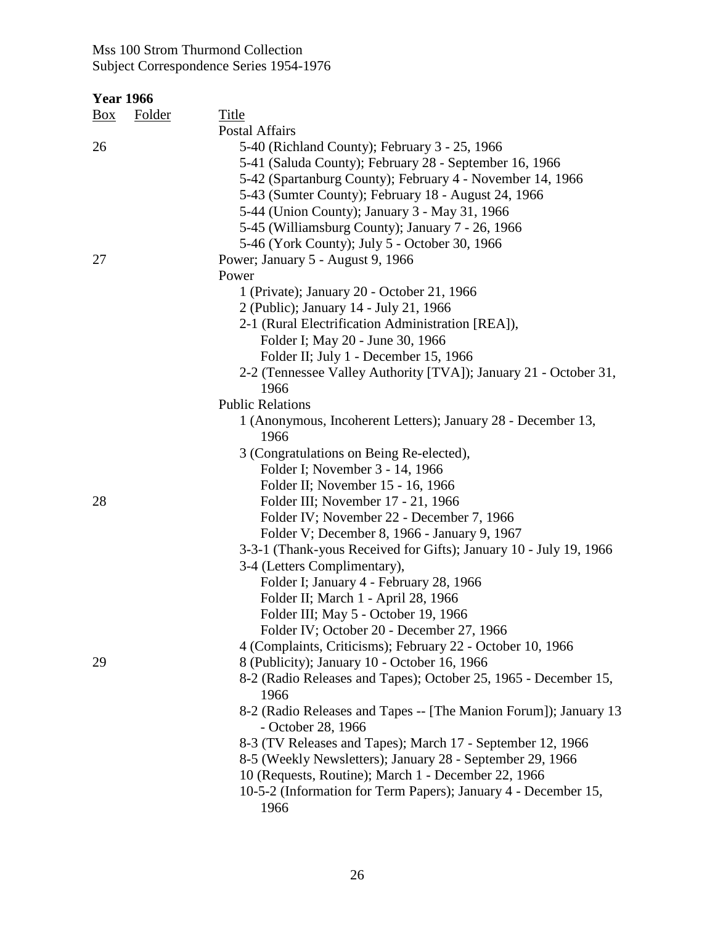| Box | <b>Folder</b> | <b>Title</b>                                                                           |
|-----|---------------|----------------------------------------------------------------------------------------|
|     |               | Postal Affairs                                                                         |
| 26  |               | 5-40 (Richland County); February 3 - 25, 1966                                          |
|     |               | 5-41 (Saluda County); February 28 - September 16, 1966                                 |
|     |               | 5-42 (Spartanburg County); February 4 - November 14, 1966                              |
|     |               | 5-43 (Sumter County); February 18 - August 24, 1966                                    |
|     |               | 5-44 (Union County); January 3 - May 31, 1966                                          |
|     |               | 5-45 (Williamsburg County); January 7 - 26, 1966                                       |
|     |               | 5-46 (York County); July 5 - October 30, 1966                                          |
| 27  |               | Power; January 5 - August 9, 1966                                                      |
|     |               | Power                                                                                  |
|     |               | 1 (Private); January 20 - October 21, 1966                                             |
|     |               | 2 (Public); January 14 - July 21, 1966                                                 |
|     |               | 2-1 (Rural Electrification Administration [REA]),                                      |
|     |               | Folder I; May 20 - June 30, 1966                                                       |
|     |               | Folder II; July 1 - December 15, 1966                                                  |
|     |               | 2-2 (Tennessee Valley Authority [TVA]); January 21 - October 31,                       |
|     |               | 1966                                                                                   |
|     |               | <b>Public Relations</b>                                                                |
|     |               |                                                                                        |
|     |               | 1 (Anonymous, Incoherent Letters); January 28 - December 13,<br>1966                   |
|     |               |                                                                                        |
|     |               | 3 (Congratulations on Being Re-elected),                                               |
|     |               | Folder I; November 3 - 14, 1966                                                        |
|     |               | Folder II; November 15 - 16, 1966                                                      |
| 28  |               | Folder III; November 17 - 21, 1966                                                     |
|     |               | Folder IV; November 22 - December 7, 1966                                              |
|     |               | Folder V; December 8, 1966 - January 9, 1967                                           |
|     |               | 3-3-1 (Thank-yous Received for Gifts); January 10 - July 19, 1966                      |
|     |               | 3-4 (Letters Complimentary),                                                           |
|     |               | Folder I; January 4 - February 28, 1966                                                |
|     |               | Folder II; March 1 - April 28, 1966                                                    |
|     |               | Folder III; May 5 - October 19, 1966                                                   |
|     |               | Folder IV; October 20 - December 27, 1966                                              |
|     |               | 4 (Complaints, Criticisms); February 22 - October 10, 1966                             |
| 29  |               | 8 (Publicity); January 10 - October 16, 1966                                           |
|     |               | 8-2 (Radio Releases and Tapes); October 25, 1965 - December 15,<br>1966                |
|     |               | 8-2 (Radio Releases and Tapes -- [The Manion Forum]); January 13<br>- October 28, 1966 |
|     |               | 8-3 (TV Releases and Tapes); March 17 - September 12, 1966                             |
|     |               | 8-5 (Weekly Newsletters); January 28 - September 29, 1966                              |
|     |               | 10 (Requests, Routine); March 1 - December 22, 1966                                    |
|     |               | 10-5-2 (Information for Term Papers); January 4 - December 15,                         |
|     |               | 1966                                                                                   |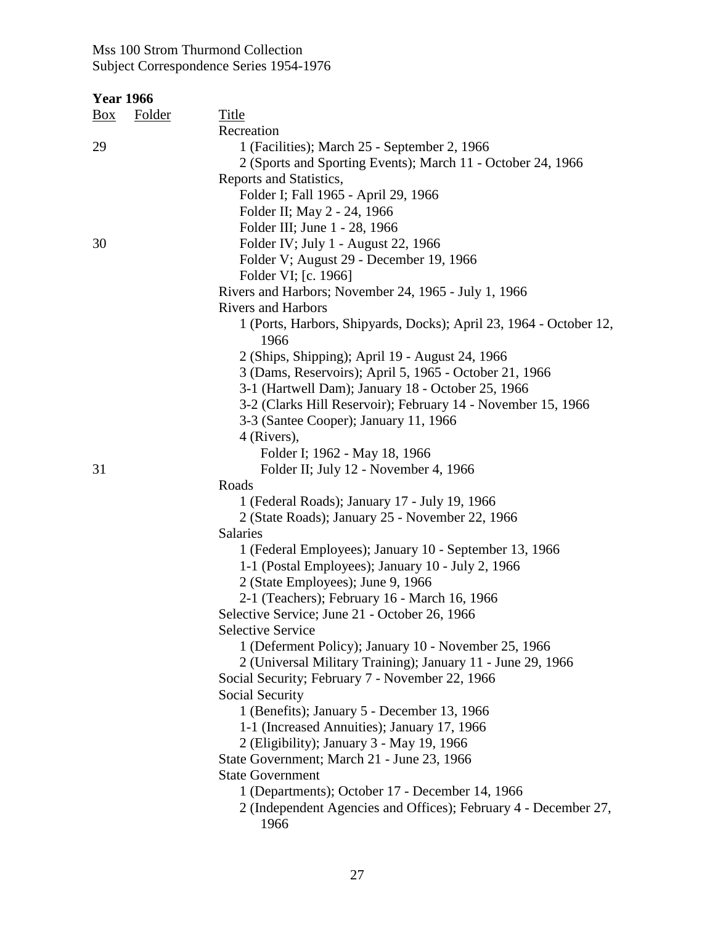| <b>Year 1966</b>     |                                                                         |
|----------------------|-------------------------------------------------------------------------|
| <b>Folder</b><br>Box | <b>Title</b>                                                            |
|                      | Recreation                                                              |
| 29                   | 1 (Facilities); March 25 - September 2, 1966                            |
|                      | 2 (Sports and Sporting Events); March 11 - October 24, 1966             |
|                      | Reports and Statistics,                                                 |
|                      | Folder I; Fall 1965 - April 29, 1966                                    |
|                      | Folder II; May 2 - 24, 1966                                             |
|                      | Folder III; June 1 - 28, 1966                                           |
| 30                   | Folder IV; July 1 - August 22, 1966                                     |
|                      | Folder V; August 29 - December 19, 1966                                 |
|                      | Folder VI; [c. 1966]                                                    |
|                      | Rivers and Harbors; November 24, 1965 - July 1, 1966                    |
|                      | <b>Rivers and Harbors</b>                                               |
|                      | 1 (Ports, Harbors, Shipyards, Docks); April 23, 1964 - October 12,      |
|                      | 1966                                                                    |
|                      | 2 (Ships, Shipping); April 19 - August 24, 1966                         |
|                      | 3 (Dams, Reservoirs); April 5, 1965 - October 21, 1966                  |
|                      | 3-1 (Hartwell Dam); January 18 - October 25, 1966                       |
|                      | 3-2 (Clarks Hill Reservoir); February 14 - November 15, 1966            |
|                      | 3-3 (Santee Cooper); January 11, 1966                                   |
|                      | 4 (Rivers),                                                             |
|                      | Folder I; 1962 - May 18, 1966                                           |
| 31                   | Folder II; July 12 - November 4, 1966                                   |
|                      | Roads                                                                   |
|                      | 1 (Federal Roads); January 17 - July 19, 1966                           |
|                      | 2 (State Roads); January 25 - November 22, 1966                         |
|                      | Salaries                                                                |
|                      | 1 (Federal Employees); January 10 - September 13, 1966                  |
|                      | 1-1 (Postal Employees); January 10 - July 2, 1966                       |
|                      | 2 (State Employees); June 9, 1966                                       |
|                      | 2-1 (Teachers); February 16 - March 16, 1966                            |
|                      | Selective Service; June 21 - October 26, 1966                           |
|                      | <b>Selective Service</b>                                                |
|                      | 1 (Deferment Policy); January 10 - November 25, 1966                    |
|                      | 2 (Universal Military Training); January 11 - June 29, 1966             |
|                      | Social Security; February 7 - November 22, 1966                         |
|                      | Social Security                                                         |
|                      | 1 (Benefits); January 5 - December 13, 1966                             |
|                      | 1-1 (Increased Annuities); January 17, 1966                             |
|                      | 2 (Eligibility); January 3 - May 19, 1966                               |
|                      | State Government; March 21 - June 23, 1966                              |
|                      | <b>State Government</b>                                                 |
|                      | 1 (Departments); October 17 - December 14, 1966                         |
|                      | 2 (Independent Agencies and Offices); February 4 - December 27,<br>1966 |
|                      |                                                                         |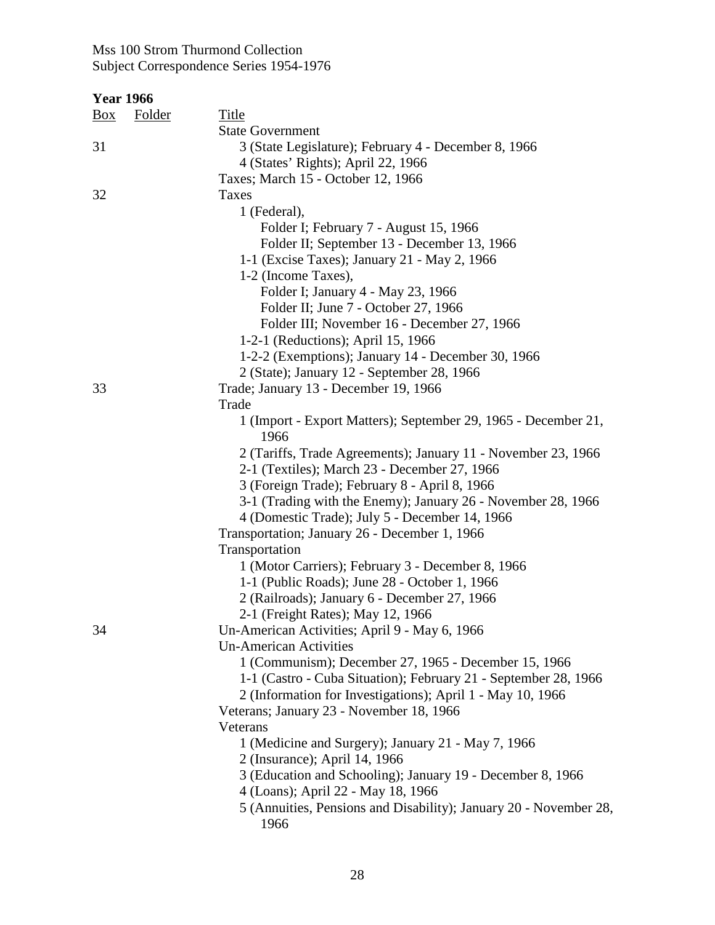| <b>Year 1966</b>                |                                                                   |
|---------------------------------|-------------------------------------------------------------------|
| <b>Folder</b><br>$\frac{Box}{}$ | <b>Title</b>                                                      |
|                                 | <b>State Government</b>                                           |
| 31                              | 3 (State Legislature); February 4 - December 8, 1966              |
|                                 | 4 (States' Rights); April 22, 1966                                |
|                                 | Taxes; March 15 - October 12, 1966                                |
| 32                              | Taxes                                                             |
|                                 | 1 (Federal),                                                      |
|                                 |                                                                   |
|                                 | Folder I; February 7 - August 15, 1966                            |
|                                 | Folder II; September 13 - December 13, 1966                       |
|                                 | 1-1 (Excise Taxes); January 21 - May 2, 1966                      |
|                                 | 1-2 (Income Taxes),                                               |
|                                 | Folder I; January 4 - May 23, 1966                                |
|                                 | Folder II; June 7 - October 27, 1966                              |
|                                 | Folder III; November 16 - December 27, 1966                       |
|                                 | 1-2-1 (Reductions); April 15, 1966                                |
|                                 | 1-2-2 (Exemptions); January 14 - December 30, 1966                |
|                                 | 2 (State); January 12 - September 28, 1966                        |
| 33                              | Trade; January 13 - December 19, 1966                             |
|                                 | Trade                                                             |
|                                 | 1 (Import - Export Matters); September 29, 1965 - December 21,    |
|                                 | 1966                                                              |
|                                 | 2 (Tariffs, Trade Agreements); January 11 - November 23, 1966     |
|                                 | 2-1 (Textiles); March 23 - December 27, 1966                      |
|                                 | 3 (Foreign Trade); February 8 - April 8, 1966                     |
|                                 | 3-1 (Trading with the Enemy); January 26 - November 28, 1966      |
|                                 | 4 (Domestic Trade); July 5 - December 14, 1966                    |
|                                 | Transportation; January 26 - December 1, 1966                     |
|                                 | Transportation                                                    |
|                                 | 1 (Motor Carriers); February 3 - December 8, 1966                 |
|                                 | 1-1 (Public Roads); June 28 - October 1, 1966                     |
|                                 | 2 (Railroads); January 6 - December 27, 1966                      |
|                                 | 2-1 (Freight Rates); May 12, 1966                                 |
| 34                              | Un-American Activities; April 9 - May 6, 1966                     |
|                                 | <b>Un-American Activities</b>                                     |
|                                 | 1 (Communism); December 27, 1965 - December 15, 1966              |
|                                 | 1-1 (Castro - Cuba Situation); February 21 - September 28, 1966   |
|                                 | 2 (Information for Investigations); April 1 - May 10, 1966        |
|                                 | Veterans; January 23 - November 18, 1966                          |
|                                 | Veterans                                                          |
|                                 | 1 (Medicine and Surgery); January 21 - May 7, 1966                |
|                                 |                                                                   |
|                                 | 2 (Insurance); April 14, 1966                                     |
|                                 | 3 (Education and Schooling); January 19 - December 8, 1966        |
|                                 | 4 (Loans); April 22 - May 18, 1966                                |
|                                 | 5 (Annuities, Pensions and Disability); January 20 - November 28, |
|                                 | 1966                                                              |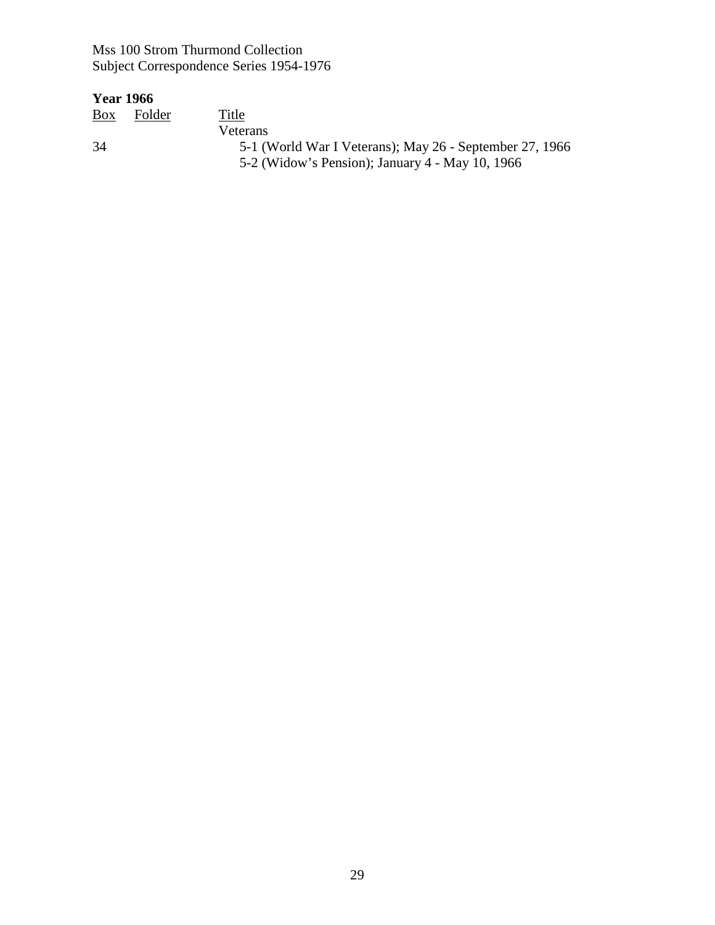### **Year 1966**

Box Folder Box Folder Title<br>Veterans<br>34 5-1 (V 34 5-1 (World War I Veterans); May 26 - September 27, 1966 5-2 (Widow's Pension); January 4 - May 10, 1966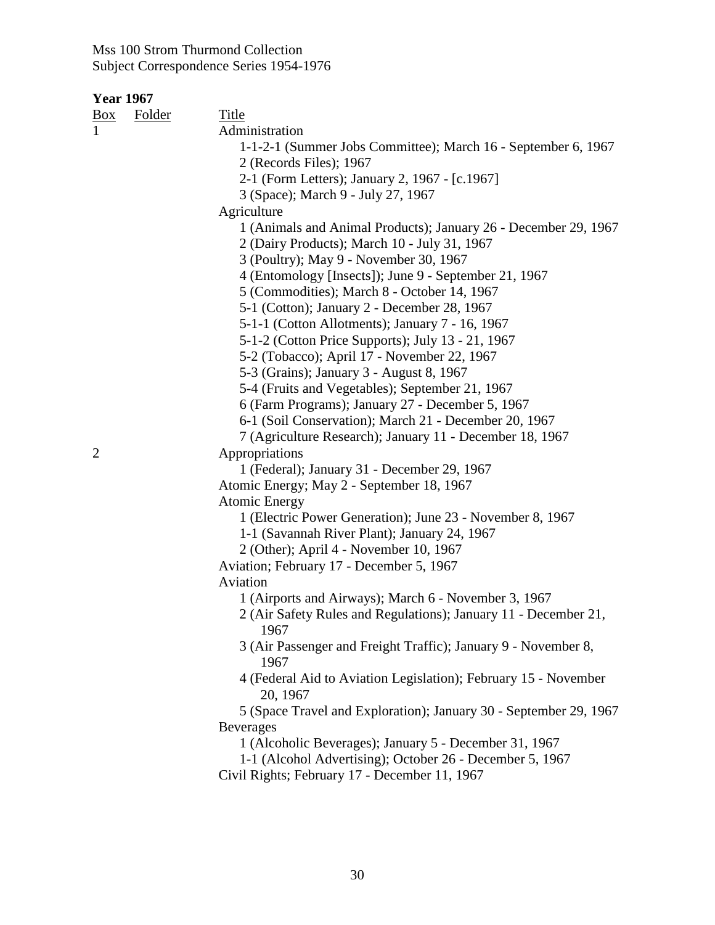| <u>Box</u> | <b>Folder</b> | <b>Title</b>                                                                |
|------------|---------------|-----------------------------------------------------------------------------|
|            |               | Administration                                                              |
|            |               | 1-1-2-1 (Summer Jobs Committee); March 16 - September 6, 1967               |
|            |               | 2 (Records Files); 1967                                                     |
|            |               | 2-1 (Form Letters); January 2, 1967 - [c.1967]                              |
|            |               | 3 (Space); March 9 - July 27, 1967                                          |
|            |               | Agriculture                                                                 |
|            |               | 1 (Animals and Animal Products); January 26 - December 29, 1967             |
|            |               | 2 (Dairy Products); March 10 - July 31, 1967                                |
|            |               | 3 (Poultry); May 9 - November 30, 1967                                      |
|            |               | 4 (Entomology [Insects]); June 9 - September 21, 1967                       |
|            |               | 5 (Commodities); March 8 - October 14, 1967                                 |
|            |               | 5-1 (Cotton); January 2 - December 28, 1967                                 |
|            |               | 5-1-1 (Cotton Allotments); January 7 - 16, 1967                             |
|            |               | 5-1-2 (Cotton Price Supports); July 13 - 21, 1967                           |
|            |               | 5-2 (Tobacco); April 17 - November 22, 1967                                 |
|            |               | 5-3 (Grains); January 3 - August 8, 1967                                    |
|            |               | 5-4 (Fruits and Vegetables); September 21, 1967                             |
|            |               | 6 (Farm Programs); January 27 - December 5, 1967                            |
|            |               | 6-1 (Soil Conservation); March 21 - December 20, 1967                       |
|            |               | 7 (Agriculture Research); January 11 - December 18, 1967                    |
| 2          |               | Appropriations                                                              |
|            |               | 1 (Federal); January 31 - December 29, 1967                                 |
|            |               | Atomic Energy; May 2 - September 18, 1967                                   |
|            |               | <b>Atomic Energy</b>                                                        |
|            |               | 1 (Electric Power Generation); June 23 - November 8, 1967                   |
|            |               | 1-1 (Savannah River Plant); January 24, 1967                                |
|            |               | 2 (Other); April 4 - November 10, 1967                                      |
|            |               | Aviation; February 17 - December 5, 1967                                    |
|            |               | Aviation                                                                    |
|            |               | 1 (Airports and Airways); March 6 - November 3, 1967                        |
|            |               | 2 (Air Safety Rules and Regulations); January 11 - December 21,<br>1967     |
|            |               | 3 (Air Passenger and Freight Traffic); January 9 - November 8,<br>1967      |
|            |               | 4 (Federal Aid to Aviation Legislation); February 15 - November<br>20, 1967 |
|            |               | 5 (Space Travel and Exploration); January 30 - September 29, 1967           |
|            |               | <b>Beverages</b>                                                            |
|            |               | 1 (Alcoholic Beverages); January 5 - December 31, 1967                      |
|            |               | 1-1 (Alcohol Advertising); October 26 - December 5, 1967                    |
|            |               | Civil Rights; February 17 - December 11, 1967                               |
|            |               |                                                                             |
|            |               |                                                                             |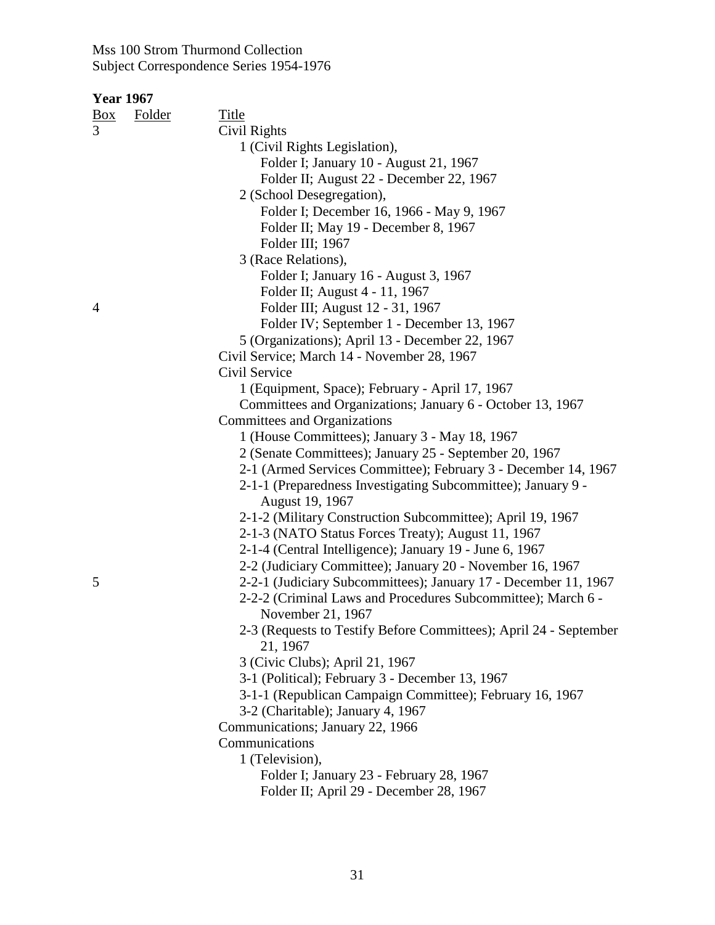| Box | <b>Folder</b> | <b>Title</b>                                                                                  |
|-----|---------------|-----------------------------------------------------------------------------------------------|
|     |               | Civil Rights                                                                                  |
|     |               | 1 (Civil Rights Legislation),                                                                 |
|     |               | Folder I; January 10 - August 21, 1967                                                        |
|     |               | Folder II; August 22 - December 22, 1967                                                      |
|     |               | 2 (School Desegregation),                                                                     |
|     |               | Folder I; December 16, 1966 - May 9, 1967                                                     |
|     |               | Folder II; May 19 - December 8, 1967                                                          |
|     |               | Folder III; 1967                                                                              |
|     |               | 3 (Race Relations),                                                                           |
|     |               | Folder I; January 16 - August 3, 1967                                                         |
|     |               | Folder II; August 4 - 11, 1967                                                                |
| 4   |               | Folder III; August 12 - 31, 1967                                                              |
|     |               | Folder IV; September 1 - December 13, 1967                                                    |
|     |               | 5 (Organizations); April 13 - December 22, 1967                                               |
|     |               | Civil Service; March 14 - November 28, 1967                                                   |
|     |               | Civil Service                                                                                 |
|     |               | 1 (Equipment, Space); February - April 17, 1967                                               |
|     |               | Committees and Organizations; January 6 - October 13, 1967                                    |
|     |               | Committees and Organizations                                                                  |
|     |               | 1 (House Committees); January 3 - May 18, 1967                                                |
|     |               | 2 (Senate Committees); January 25 - September 20, 1967                                        |
|     |               | 2-1 (Armed Services Committee); February 3 - December 14, 1967                                |
|     |               | 2-1-1 (Preparedness Investigating Subcommittee); January 9 -                                  |
|     |               | August 19, 1967                                                                               |
|     |               | 2-1-2 (Military Construction Subcommittee); April 19, 1967                                    |
|     |               | 2-1-3 (NATO Status Forces Treaty); August 11, 1967                                            |
|     |               | 2-1-4 (Central Intelligence); January 19 - June 6, 1967                                       |
|     |               | 2-2 (Judiciary Committee); January 20 - November 16, 1967                                     |
| 5   |               | 2-2-1 (Judiciary Subcommittees); January 17 - December 11, 1967                               |
|     |               | 2-2-2 (Criminal Laws and Procedures Subcommittee); March 6 -                                  |
|     |               | November 21, 1967                                                                             |
|     |               | 2-3 (Requests to Testify Before Committees); April 24 - September                             |
|     |               | 21, 1967                                                                                      |
|     |               | 3 (Civic Clubs); April 21, 1967                                                               |
|     |               |                                                                                               |
|     |               | 3-1 (Political); February 3 - December 13, 1967                                               |
|     |               | 3-1-1 (Republican Campaign Committee); February 16, 1967<br>3-2 (Charitable); January 4, 1967 |
|     |               |                                                                                               |
|     |               | Communications; January 22, 1966<br>Communications                                            |
|     |               |                                                                                               |
|     |               | 1 (Television),                                                                               |
|     |               | Folder I; January 23 - February 28, 1967                                                      |
|     |               | Folder II; April 29 - December 28, 1967                                                       |
|     |               |                                                                                               |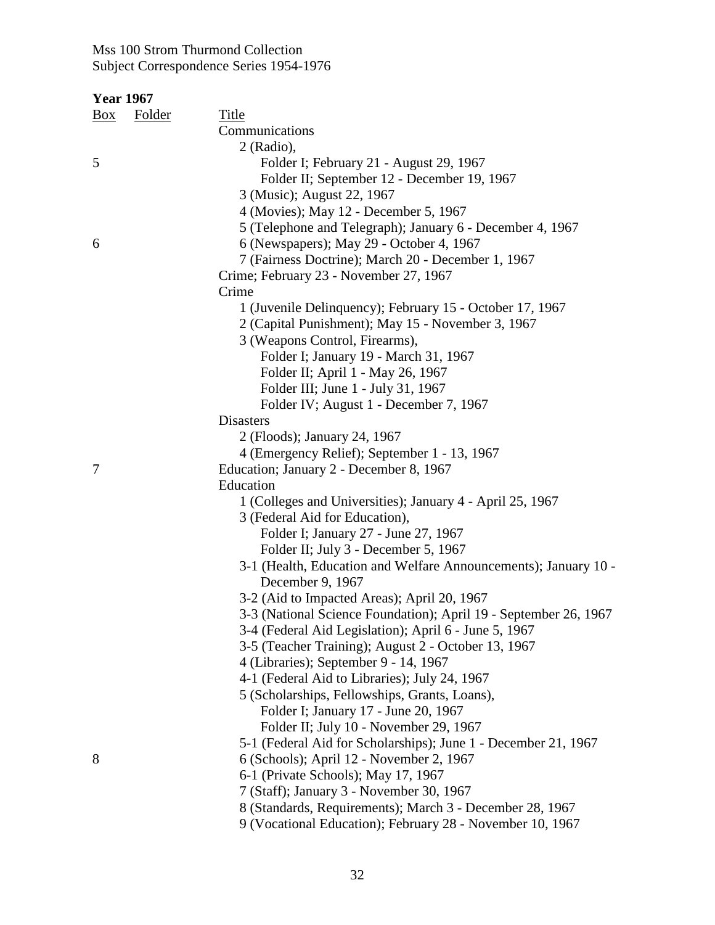| <b>Title</b><br><b>Folder</b><br>Communications<br>2 (Radio),<br>Folder I; February 21 - August 29, 1967<br>Folder II; September 12 - December 19, 1967<br>3 (Music); August 22, 1967<br>4 (Movies); May 12 - December 5, 1967<br>5 (Telephone and Telegraph); January 6 - December 4, 1967<br>6 (Newspapers); May 29 - October 4, 1967<br>7 (Fairness Doctrine); March 20 - December 1, 1967<br>Crime; February 23 - November 27, 1967<br>Crime<br>1 (Juvenile Delinquency); February 15 - October 17, 1967<br>2 (Capital Punishment); May 15 - November 3, 1967<br>3 (Weapons Control, Firearms),<br>Folder I; January 19 - March 31, 1967<br>Folder II; April 1 - May 26, 1967<br>Folder III; June 1 - July 31, 1967<br>Folder IV; August 1 - December 7, 1967<br><b>Disasters</b><br>2 (Floods); January 24, 1967<br>4 (Emergency Relief); September 1 - 13, 1967<br>Education; January 2 - December 8, 1967<br>Education<br>1 (Colleges and Universities); January 4 - April 25, 1967<br>3 (Federal Aid for Education),<br>Folder I; January 27 - June 27, 1967<br>Folder II; July 3 - December 5, 1967<br>3-1 (Health, Education and Welfare Announcements); January 10 -<br>December 9, 1967<br>3-2 (Aid to Impacted Areas); April 20, 1967<br>3-3 (National Science Foundation); April 19 - September 26, 1967<br>3-4 (Federal Aid Legislation); April 6 - June 5, 1967<br>3-5 (Teacher Training); August 2 - October 13, 1967<br>4 (Libraries); September 9 - 14, 1967<br>4-1 (Federal Aid to Libraries); July 24, 1967<br>5 (Scholarships, Fellowships, Grants, Loans),<br>Folder I; January 17 - June 20, 1967<br>Folder II; July 10 - November 29, 1967<br>5-1 (Federal Aid for Scholarships); June 1 - December 21, 1967<br>6 (Schools); April 12 - November 2, 1967<br>6-1 (Private Schools); May 17, 1967<br>7 (Staff); January 3 - November 30, 1967 | <b>Year 1967</b> |                                                          |
|----------------------------------------------------------------------------------------------------------------------------------------------------------------------------------------------------------------------------------------------------------------------------------------------------------------------------------------------------------------------------------------------------------------------------------------------------------------------------------------------------------------------------------------------------------------------------------------------------------------------------------------------------------------------------------------------------------------------------------------------------------------------------------------------------------------------------------------------------------------------------------------------------------------------------------------------------------------------------------------------------------------------------------------------------------------------------------------------------------------------------------------------------------------------------------------------------------------------------------------------------------------------------------------------------------------------------------------------------------------------------------------------------------------------------------------------------------------------------------------------------------------------------------------------------------------------------------------------------------------------------------------------------------------------------------------------------------------------------------------------------------------------------------------------------------------------------------------------------------------------|------------------|----------------------------------------------------------|
|                                                                                                                                                                                                                                                                                                                                                                                                                                                                                                                                                                                                                                                                                                                                                                                                                                                                                                                                                                                                                                                                                                                                                                                                                                                                                                                                                                                                                                                                                                                                                                                                                                                                                                                                                                                                                                                                      | <u>Box</u>       |                                                          |
|                                                                                                                                                                                                                                                                                                                                                                                                                                                                                                                                                                                                                                                                                                                                                                                                                                                                                                                                                                                                                                                                                                                                                                                                                                                                                                                                                                                                                                                                                                                                                                                                                                                                                                                                                                                                                                                                      |                  |                                                          |
|                                                                                                                                                                                                                                                                                                                                                                                                                                                                                                                                                                                                                                                                                                                                                                                                                                                                                                                                                                                                                                                                                                                                                                                                                                                                                                                                                                                                                                                                                                                                                                                                                                                                                                                                                                                                                                                                      |                  |                                                          |
|                                                                                                                                                                                                                                                                                                                                                                                                                                                                                                                                                                                                                                                                                                                                                                                                                                                                                                                                                                                                                                                                                                                                                                                                                                                                                                                                                                                                                                                                                                                                                                                                                                                                                                                                                                                                                                                                      | 5                |                                                          |
|                                                                                                                                                                                                                                                                                                                                                                                                                                                                                                                                                                                                                                                                                                                                                                                                                                                                                                                                                                                                                                                                                                                                                                                                                                                                                                                                                                                                                                                                                                                                                                                                                                                                                                                                                                                                                                                                      |                  |                                                          |
|                                                                                                                                                                                                                                                                                                                                                                                                                                                                                                                                                                                                                                                                                                                                                                                                                                                                                                                                                                                                                                                                                                                                                                                                                                                                                                                                                                                                                                                                                                                                                                                                                                                                                                                                                                                                                                                                      |                  |                                                          |
|                                                                                                                                                                                                                                                                                                                                                                                                                                                                                                                                                                                                                                                                                                                                                                                                                                                                                                                                                                                                                                                                                                                                                                                                                                                                                                                                                                                                                                                                                                                                                                                                                                                                                                                                                                                                                                                                      |                  |                                                          |
|                                                                                                                                                                                                                                                                                                                                                                                                                                                                                                                                                                                                                                                                                                                                                                                                                                                                                                                                                                                                                                                                                                                                                                                                                                                                                                                                                                                                                                                                                                                                                                                                                                                                                                                                                                                                                                                                      |                  |                                                          |
|                                                                                                                                                                                                                                                                                                                                                                                                                                                                                                                                                                                                                                                                                                                                                                                                                                                                                                                                                                                                                                                                                                                                                                                                                                                                                                                                                                                                                                                                                                                                                                                                                                                                                                                                                                                                                                                                      | 6                |                                                          |
|                                                                                                                                                                                                                                                                                                                                                                                                                                                                                                                                                                                                                                                                                                                                                                                                                                                                                                                                                                                                                                                                                                                                                                                                                                                                                                                                                                                                                                                                                                                                                                                                                                                                                                                                                                                                                                                                      |                  |                                                          |
|                                                                                                                                                                                                                                                                                                                                                                                                                                                                                                                                                                                                                                                                                                                                                                                                                                                                                                                                                                                                                                                                                                                                                                                                                                                                                                                                                                                                                                                                                                                                                                                                                                                                                                                                                                                                                                                                      |                  |                                                          |
|                                                                                                                                                                                                                                                                                                                                                                                                                                                                                                                                                                                                                                                                                                                                                                                                                                                                                                                                                                                                                                                                                                                                                                                                                                                                                                                                                                                                                                                                                                                                                                                                                                                                                                                                                                                                                                                                      |                  |                                                          |
|                                                                                                                                                                                                                                                                                                                                                                                                                                                                                                                                                                                                                                                                                                                                                                                                                                                                                                                                                                                                                                                                                                                                                                                                                                                                                                                                                                                                                                                                                                                                                                                                                                                                                                                                                                                                                                                                      |                  |                                                          |
|                                                                                                                                                                                                                                                                                                                                                                                                                                                                                                                                                                                                                                                                                                                                                                                                                                                                                                                                                                                                                                                                                                                                                                                                                                                                                                                                                                                                                                                                                                                                                                                                                                                                                                                                                                                                                                                                      |                  |                                                          |
|                                                                                                                                                                                                                                                                                                                                                                                                                                                                                                                                                                                                                                                                                                                                                                                                                                                                                                                                                                                                                                                                                                                                                                                                                                                                                                                                                                                                                                                                                                                                                                                                                                                                                                                                                                                                                                                                      |                  |                                                          |
|                                                                                                                                                                                                                                                                                                                                                                                                                                                                                                                                                                                                                                                                                                                                                                                                                                                                                                                                                                                                                                                                                                                                                                                                                                                                                                                                                                                                                                                                                                                                                                                                                                                                                                                                                                                                                                                                      |                  |                                                          |
|                                                                                                                                                                                                                                                                                                                                                                                                                                                                                                                                                                                                                                                                                                                                                                                                                                                                                                                                                                                                                                                                                                                                                                                                                                                                                                                                                                                                                                                                                                                                                                                                                                                                                                                                                                                                                                                                      |                  |                                                          |
|                                                                                                                                                                                                                                                                                                                                                                                                                                                                                                                                                                                                                                                                                                                                                                                                                                                                                                                                                                                                                                                                                                                                                                                                                                                                                                                                                                                                                                                                                                                                                                                                                                                                                                                                                                                                                                                                      |                  |                                                          |
|                                                                                                                                                                                                                                                                                                                                                                                                                                                                                                                                                                                                                                                                                                                                                                                                                                                                                                                                                                                                                                                                                                                                                                                                                                                                                                                                                                                                                                                                                                                                                                                                                                                                                                                                                                                                                                                                      |                  |                                                          |
|                                                                                                                                                                                                                                                                                                                                                                                                                                                                                                                                                                                                                                                                                                                                                                                                                                                                                                                                                                                                                                                                                                                                                                                                                                                                                                                                                                                                                                                                                                                                                                                                                                                                                                                                                                                                                                                                      |                  |                                                          |
|                                                                                                                                                                                                                                                                                                                                                                                                                                                                                                                                                                                                                                                                                                                                                                                                                                                                                                                                                                                                                                                                                                                                                                                                                                                                                                                                                                                                                                                                                                                                                                                                                                                                                                                                                                                                                                                                      |                  |                                                          |
|                                                                                                                                                                                                                                                                                                                                                                                                                                                                                                                                                                                                                                                                                                                                                                                                                                                                                                                                                                                                                                                                                                                                                                                                                                                                                                                                                                                                                                                                                                                                                                                                                                                                                                                                                                                                                                                                      |                  |                                                          |
|                                                                                                                                                                                                                                                                                                                                                                                                                                                                                                                                                                                                                                                                                                                                                                                                                                                                                                                                                                                                                                                                                                                                                                                                                                                                                                                                                                                                                                                                                                                                                                                                                                                                                                                                                                                                                                                                      | 7                |                                                          |
|                                                                                                                                                                                                                                                                                                                                                                                                                                                                                                                                                                                                                                                                                                                                                                                                                                                                                                                                                                                                                                                                                                                                                                                                                                                                                                                                                                                                                                                                                                                                                                                                                                                                                                                                                                                                                                                                      |                  |                                                          |
|                                                                                                                                                                                                                                                                                                                                                                                                                                                                                                                                                                                                                                                                                                                                                                                                                                                                                                                                                                                                                                                                                                                                                                                                                                                                                                                                                                                                                                                                                                                                                                                                                                                                                                                                                                                                                                                                      |                  |                                                          |
|                                                                                                                                                                                                                                                                                                                                                                                                                                                                                                                                                                                                                                                                                                                                                                                                                                                                                                                                                                                                                                                                                                                                                                                                                                                                                                                                                                                                                                                                                                                                                                                                                                                                                                                                                                                                                                                                      |                  |                                                          |
|                                                                                                                                                                                                                                                                                                                                                                                                                                                                                                                                                                                                                                                                                                                                                                                                                                                                                                                                                                                                                                                                                                                                                                                                                                                                                                                                                                                                                                                                                                                                                                                                                                                                                                                                                                                                                                                                      |                  |                                                          |
|                                                                                                                                                                                                                                                                                                                                                                                                                                                                                                                                                                                                                                                                                                                                                                                                                                                                                                                                                                                                                                                                                                                                                                                                                                                                                                                                                                                                                                                                                                                                                                                                                                                                                                                                                                                                                                                                      |                  |                                                          |
|                                                                                                                                                                                                                                                                                                                                                                                                                                                                                                                                                                                                                                                                                                                                                                                                                                                                                                                                                                                                                                                                                                                                                                                                                                                                                                                                                                                                                                                                                                                                                                                                                                                                                                                                                                                                                                                                      |                  |                                                          |
|                                                                                                                                                                                                                                                                                                                                                                                                                                                                                                                                                                                                                                                                                                                                                                                                                                                                                                                                                                                                                                                                                                                                                                                                                                                                                                                                                                                                                                                                                                                                                                                                                                                                                                                                                                                                                                                                      |                  |                                                          |
|                                                                                                                                                                                                                                                                                                                                                                                                                                                                                                                                                                                                                                                                                                                                                                                                                                                                                                                                                                                                                                                                                                                                                                                                                                                                                                                                                                                                                                                                                                                                                                                                                                                                                                                                                                                                                                                                      |                  |                                                          |
|                                                                                                                                                                                                                                                                                                                                                                                                                                                                                                                                                                                                                                                                                                                                                                                                                                                                                                                                                                                                                                                                                                                                                                                                                                                                                                                                                                                                                                                                                                                                                                                                                                                                                                                                                                                                                                                                      |                  |                                                          |
|                                                                                                                                                                                                                                                                                                                                                                                                                                                                                                                                                                                                                                                                                                                                                                                                                                                                                                                                                                                                                                                                                                                                                                                                                                                                                                                                                                                                                                                                                                                                                                                                                                                                                                                                                                                                                                                                      |                  |                                                          |
|                                                                                                                                                                                                                                                                                                                                                                                                                                                                                                                                                                                                                                                                                                                                                                                                                                                                                                                                                                                                                                                                                                                                                                                                                                                                                                                                                                                                                                                                                                                                                                                                                                                                                                                                                                                                                                                                      |                  |                                                          |
|                                                                                                                                                                                                                                                                                                                                                                                                                                                                                                                                                                                                                                                                                                                                                                                                                                                                                                                                                                                                                                                                                                                                                                                                                                                                                                                                                                                                                                                                                                                                                                                                                                                                                                                                                                                                                                                                      |                  |                                                          |
|                                                                                                                                                                                                                                                                                                                                                                                                                                                                                                                                                                                                                                                                                                                                                                                                                                                                                                                                                                                                                                                                                                                                                                                                                                                                                                                                                                                                                                                                                                                                                                                                                                                                                                                                                                                                                                                                      |                  |                                                          |
|                                                                                                                                                                                                                                                                                                                                                                                                                                                                                                                                                                                                                                                                                                                                                                                                                                                                                                                                                                                                                                                                                                                                                                                                                                                                                                                                                                                                                                                                                                                                                                                                                                                                                                                                                                                                                                                                      |                  |                                                          |
|                                                                                                                                                                                                                                                                                                                                                                                                                                                                                                                                                                                                                                                                                                                                                                                                                                                                                                                                                                                                                                                                                                                                                                                                                                                                                                                                                                                                                                                                                                                                                                                                                                                                                                                                                                                                                                                                      |                  |                                                          |
|                                                                                                                                                                                                                                                                                                                                                                                                                                                                                                                                                                                                                                                                                                                                                                                                                                                                                                                                                                                                                                                                                                                                                                                                                                                                                                                                                                                                                                                                                                                                                                                                                                                                                                                                                                                                                                                                      |                  |                                                          |
|                                                                                                                                                                                                                                                                                                                                                                                                                                                                                                                                                                                                                                                                                                                                                                                                                                                                                                                                                                                                                                                                                                                                                                                                                                                                                                                                                                                                                                                                                                                                                                                                                                                                                                                                                                                                                                                                      |                  |                                                          |
|                                                                                                                                                                                                                                                                                                                                                                                                                                                                                                                                                                                                                                                                                                                                                                                                                                                                                                                                                                                                                                                                                                                                                                                                                                                                                                                                                                                                                                                                                                                                                                                                                                                                                                                                                                                                                                                                      | 8                |                                                          |
|                                                                                                                                                                                                                                                                                                                                                                                                                                                                                                                                                                                                                                                                                                                                                                                                                                                                                                                                                                                                                                                                                                                                                                                                                                                                                                                                                                                                                                                                                                                                                                                                                                                                                                                                                                                                                                                                      |                  |                                                          |
|                                                                                                                                                                                                                                                                                                                                                                                                                                                                                                                                                                                                                                                                                                                                                                                                                                                                                                                                                                                                                                                                                                                                                                                                                                                                                                                                                                                                                                                                                                                                                                                                                                                                                                                                                                                                                                                                      |                  |                                                          |
|                                                                                                                                                                                                                                                                                                                                                                                                                                                                                                                                                                                                                                                                                                                                                                                                                                                                                                                                                                                                                                                                                                                                                                                                                                                                                                                                                                                                                                                                                                                                                                                                                                                                                                                                                                                                                                                                      |                  | 8 (Standards, Requirements); March 3 - December 28, 1967 |

9 (Vocational Education); February 28 - November 10, 1967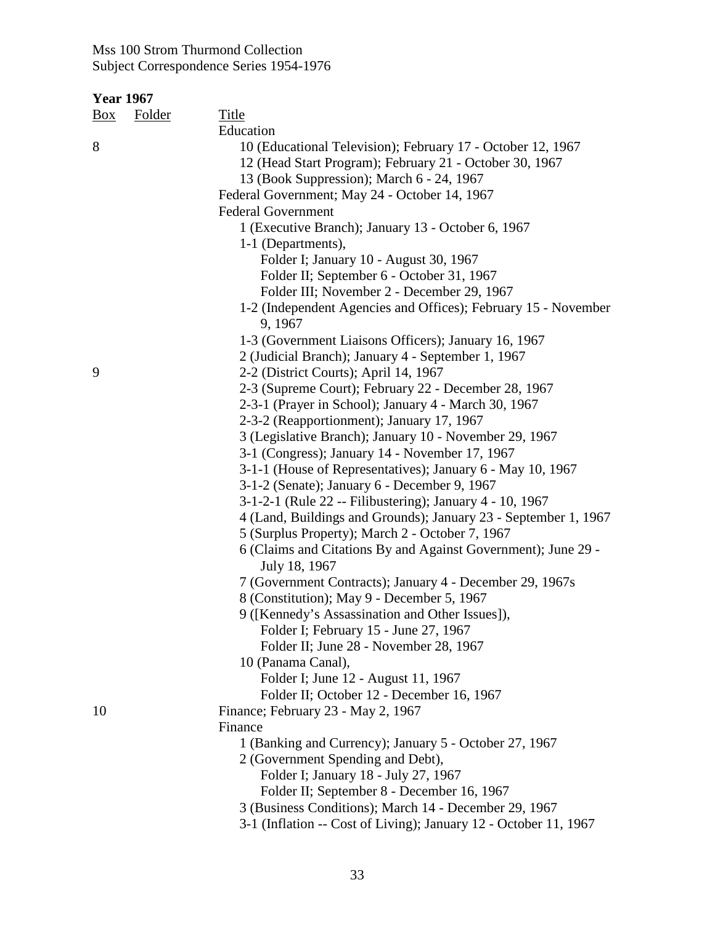| <u>Box</u> | <b>Folder</b> | <b>Title</b>                                                                   |
|------------|---------------|--------------------------------------------------------------------------------|
|            |               | Education                                                                      |
| 8          |               | 10 (Educational Television); February 17 - October 12, 1967                    |
|            |               | 12 (Head Start Program); February 21 - October 30, 1967                        |
|            |               | 13 (Book Suppression); March 6 - 24, 1967                                      |
|            |               | Federal Government; May 24 - October 14, 1967                                  |
|            |               | <b>Federal Government</b>                                                      |
|            |               | 1 (Executive Branch); January 13 - October 6, 1967                             |
|            |               | 1-1 (Departments),                                                             |
|            |               | Folder I; January 10 - August 30, 1967                                         |
|            |               | Folder II; September 6 - October 31, 1967                                      |
|            |               | Folder III; November 2 - December 29, 1967                                     |
|            |               | 1-2 (Independent Agencies and Offices); February 15 - November<br>9, 1967      |
|            |               | 1-3 (Government Liaisons Officers); January 16, 1967                           |
|            |               | 2 (Judicial Branch); January 4 - September 1, 1967                             |
| 9          |               | 2-2 (District Courts); April 14, 1967                                          |
|            |               | 2-3 (Supreme Court); February 22 - December 28, 1967                           |
|            |               | 2-3-1 (Prayer in School); January 4 - March 30, 1967                           |
|            |               | 2-3-2 (Reapportionment); January 17, 1967                                      |
|            |               | 3 (Legislative Branch); January 10 - November 29, 1967                         |
|            |               | 3-1 (Congress); January 14 - November 17, 1967                                 |
|            |               | 3-1-1 (House of Representatives); January 6 - May 10, 1967                     |
|            |               | 3-1-2 (Senate); January 6 - December 9, 1967                                   |
|            |               | 3-1-2-1 (Rule 22 -- Filibustering); January 4 - 10, 1967                       |
|            |               | 4 (Land, Buildings and Grounds); January 23 - September 1, 1967                |
|            |               | 5 (Surplus Property); March 2 - October 7, 1967                                |
|            |               | 6 (Claims and Citations By and Against Government); June 29 -<br>July 18, 1967 |
|            |               | 7 (Government Contracts); January 4 - December 29, 1967s                       |
|            |               | 8 (Constitution); May 9 - December 5, 1967                                     |
|            |               | 9 ([Kennedy's Assassination and Other Issues]),                                |
|            |               | Folder I; February 15 - June 27, 1967                                          |
|            |               | Folder II; June 28 - November 28, 1967                                         |
|            |               | 10 (Panama Canal),                                                             |
|            |               | Folder I; June 12 - August 11, 1967                                            |
|            |               | Folder II; October 12 - December 16, 1967                                      |
| 10         |               | Finance; February 23 - May 2, 1967                                             |
|            |               | Finance                                                                        |
|            |               | 1 (Banking and Currency); January 5 - October 27, 1967                         |
|            |               | 2 (Government Spending and Debt),                                              |
|            |               | Folder I; January 18 - July 27, 1967                                           |
|            |               | Folder II; September 8 - December 16, 1967                                     |
|            |               | 3 (Business Conditions); March 14 - December 29, 1967                          |
|            |               | 3-1 (Inflation -- Cost of Living); January 12 - October 11, 1967               |
|            |               |                                                                                |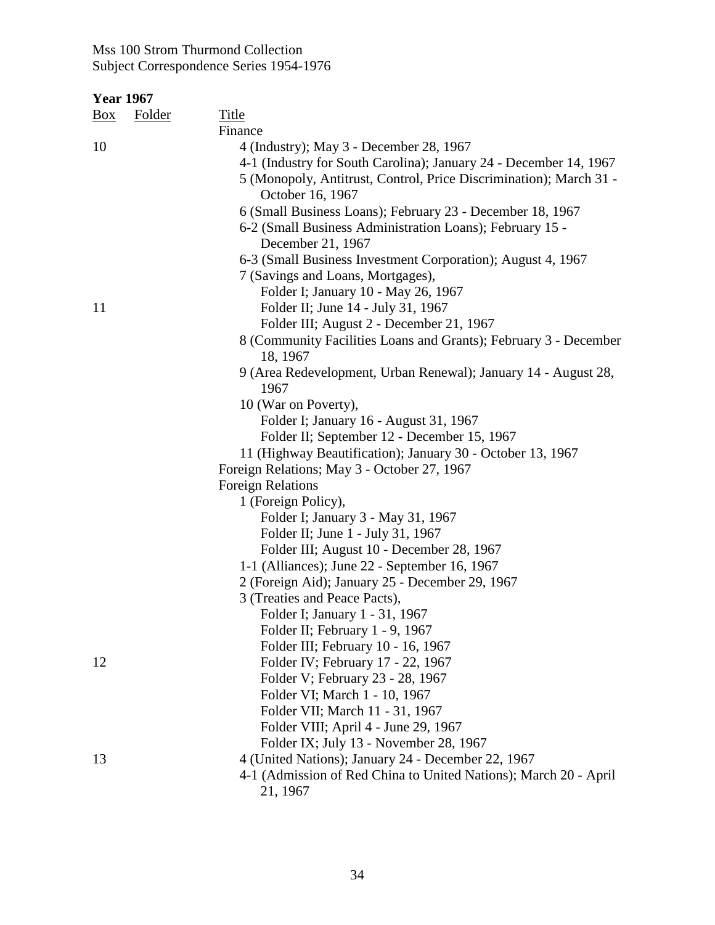| <u>Box</u> | <b>Folder</b> | <b>Title</b>                                                                           |
|------------|---------------|----------------------------------------------------------------------------------------|
|            |               | Finance                                                                                |
| 10         |               | 4 (Industry); May 3 - December 28, 1967                                                |
|            |               | 4-1 (Industry for South Carolina); January 24 - December 14, 1967                      |
|            |               | 5 (Monopoly, Antitrust, Control, Price Discrimination); March 31 -<br>October 16, 1967 |
|            |               | 6 (Small Business Loans); February 23 - December 18, 1967                              |
|            |               | 6-2 (Small Business Administration Loans); February 15 -<br>December 21, 1967          |
|            |               | 6-3 (Small Business Investment Corporation); August 4, 1967                            |
|            |               | 7 (Savings and Loans, Mortgages),                                                      |
|            |               | Folder I; January 10 - May 26, 1967                                                    |
| 11         |               | Folder II; June 14 - July 31, 1967                                                     |
|            |               | Folder III; August 2 - December 21, 1967                                               |
|            |               | 8 (Community Facilities Loans and Grants); February 3 - December                       |
|            |               | 18, 1967                                                                               |
|            |               | 9 (Area Redevelopment, Urban Renewal); January 14 - August 28,                         |
|            |               | 1967                                                                                   |
|            |               | 10 (War on Poverty),                                                                   |
|            |               | Folder I; January 16 - August 31, 1967                                                 |
|            |               | Folder II; September 12 - December 15, 1967                                            |
|            |               | 11 (Highway Beautification); January 30 - October 13, 1967                             |
|            |               | Foreign Relations; May 3 - October 27, 1967                                            |
|            |               | <b>Foreign Relations</b>                                                               |
|            |               | 1 (Foreign Policy),                                                                    |
|            |               | Folder I; January 3 - May 31, 1967                                                     |
|            |               | Folder II; June 1 - July 31, 1967                                                      |
|            |               | Folder III; August 10 - December 28, 1967                                              |
|            |               | 1-1 (Alliances); June 22 - September 16, 1967                                          |
|            |               | 2 (Foreign Aid); January 25 - December 29, 1967                                        |
|            |               | 3 (Treaties and Peace Pacts),                                                          |
|            |               | Folder I; January 1 - 31, 1967                                                         |
|            |               | Folder II; February 1 - 9, 1967                                                        |
|            |               | Folder III; February 10 - 16, 1967                                                     |
| 12         |               | Folder IV; February 17 - 22, 1967                                                      |
|            |               | Folder V; February 23 - 28, 1967                                                       |
|            |               | Folder VI; March 1 - 10, 1967                                                          |
|            |               | Folder VII; March 11 - 31, 1967                                                        |
|            |               | Folder VIII; April 4 - June 29, 1967                                                   |
|            |               | Folder IX; July 13 - November 28, 1967                                                 |
| 13         |               | 4 (United Nations); January 24 - December 22, 1967                                     |
|            |               | 4-1 (Admission of Red China to United Nations); March 20 - April                       |
|            |               | 21, 1967                                                                               |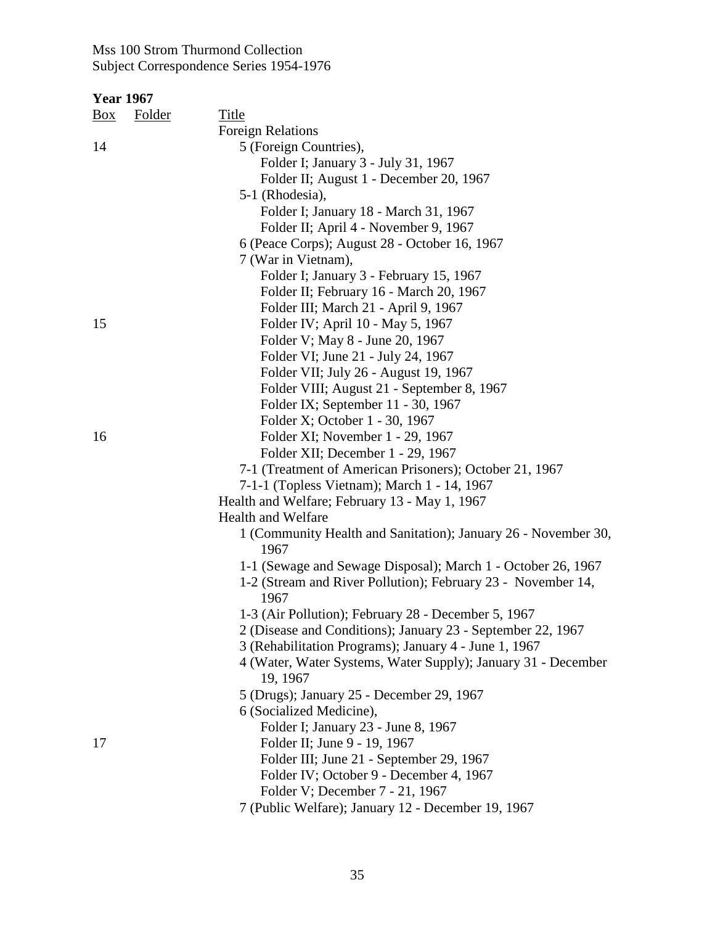|     | <b>Year 1967</b> |                                                                |
|-----|------------------|----------------------------------------------------------------|
| Box | <b>Folder</b>    | <b>Title</b>                                                   |
|     |                  | <b>Foreign Relations</b>                                       |
| 14  |                  | 5 (Foreign Countries),                                         |
|     |                  | Folder I; January 3 - July 31, 1967                            |
|     |                  | Folder II; August 1 - December 20, 1967                        |
|     |                  | 5-1 (Rhodesia),                                                |
|     |                  | Folder I; January 18 - March 31, 1967                          |
|     |                  | Folder II; April 4 - November 9, 1967                          |
|     |                  | 6 (Peace Corps); August 28 - October 16, 1967                  |
|     |                  | 7 (War in Vietnam),                                            |
|     |                  | Folder I; January 3 - February 15, 1967                        |
|     |                  | Folder II; February 16 - March 20, 1967                        |
|     |                  | Folder III; March 21 - April 9, 1967                           |
| 15  |                  | Folder IV; April 10 - May 5, 1967                              |
|     |                  | Folder V; May 8 - June 20, 1967                                |
|     |                  | Folder VI; June 21 - July 24, 1967                             |
|     |                  | Folder VII; July 26 - August 19, 1967                          |
|     |                  | Folder VIII; August 21 - September 8, 1967                     |
|     |                  | Folder IX; September 11 - 30, 1967                             |
|     |                  | Folder X; October 1 - 30, 1967                                 |
| 16  |                  | Folder XI; November 1 - 29, 1967                               |
|     |                  | Folder XII; December 1 - 29, 1967                              |
|     |                  | 7-1 (Treatment of American Prisoners); October 21, 1967        |
|     |                  | 7-1-1 (Topless Vietnam); March 1 - 14, 1967                    |
|     |                  | Health and Welfare; February 13 - May 1, 1967                  |
|     |                  | <b>Health and Welfare</b>                                      |
|     |                  | 1 (Community Health and Sanitation); January 26 - November 30, |
|     |                  | 1967                                                           |
|     |                  | 1-1 (Sewage and Sewage Disposal); March 1 - October 26, 1967   |
|     |                  | 1-2 (Stream and River Pollution); February 23 - November 14,   |
|     |                  | 1967                                                           |
|     |                  | 1-3 (Air Pollution); February 28 - December 5, 1967            |
|     |                  | 2 (Disease and Conditions); January 23 - September 22, 1967    |
|     |                  | 3 (Rehabilitation Programs); January 4 - June 1, 1967          |
|     |                  | 4 (Water, Water Systems, Water Supply); January 31 - December  |
|     |                  | 19, 1967                                                       |
|     |                  | 5 (Drugs); January 25 - December 29, 1967                      |
|     |                  | 6 (Socialized Medicine),                                       |
|     |                  | Folder I; January 23 - June 8, 1967                            |
| 17  |                  | Folder II; June 9 - 19, 1967                                   |
|     |                  | Folder III; June 21 - September 29, 1967                       |
|     |                  | Folder IV; October 9 - December 4, 1967                        |
|     |                  | Folder V; December 7 - 21, 1967                                |
|     |                  |                                                                |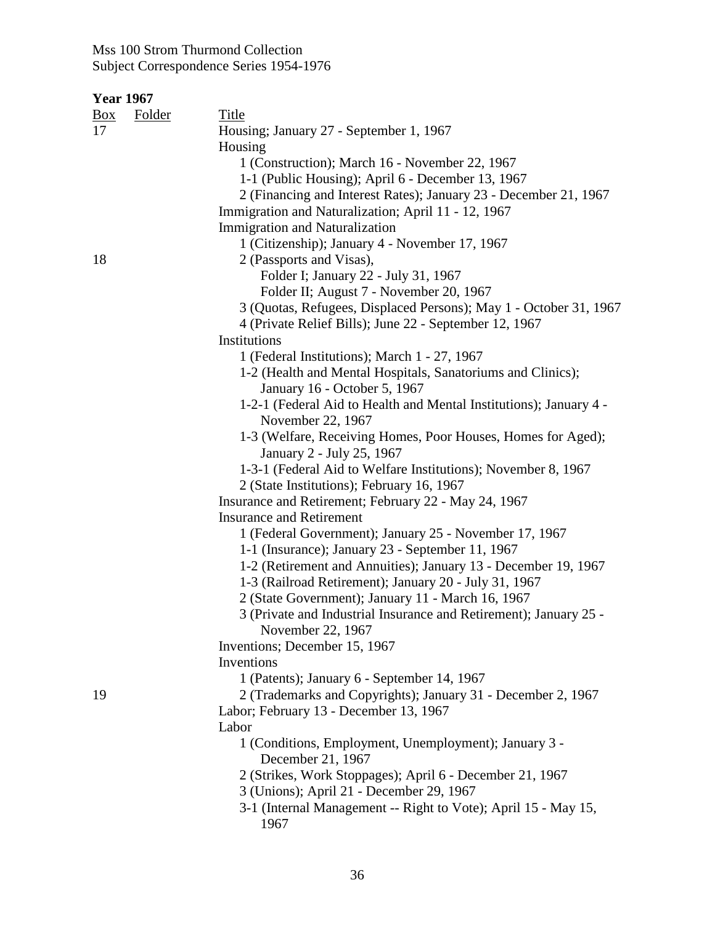| <u>Box</u> | <b>Folder</b> | <b>Title</b>                                                           |
|------------|---------------|------------------------------------------------------------------------|
| 17         |               | Housing; January 27 - September 1, 1967                                |
|            |               | Housing                                                                |
|            |               | 1 (Construction); March 16 - November 22, 1967                         |
|            |               | 1-1 (Public Housing); April 6 - December 13, 1967                      |
|            |               | 2 (Financing and Interest Rates); January 23 - December 21, 1967       |
|            |               | Immigration and Naturalization; April 11 - 12, 1967                    |
|            |               | <b>Immigration and Naturalization</b>                                  |
|            |               | 1 (Citizenship); January 4 - November 17, 1967                         |
| 18         |               | 2 (Passports and Visas),                                               |
|            |               | Folder I; January 22 - July 31, 1967                                   |
|            |               | Folder II; August 7 - November 20, 1967                                |
|            |               | 3 (Quotas, Refugees, Displaced Persons); May 1 - October 31, 1967      |
|            |               | 4 (Private Relief Bills); June 22 - September 12, 1967                 |
|            |               | Institutions                                                           |
|            |               | 1 (Federal Institutions); March 1 - 27, 1967                           |
|            |               | 1-2 (Health and Mental Hospitals, Sanatoriums and Clinics);            |
|            |               | January 16 - October 5, 1967                                           |
|            |               | 1-2-1 (Federal Aid to Health and Mental Institutions); January 4 -     |
|            |               | November 22, 1967                                                      |
|            |               | 1-3 (Welfare, Receiving Homes, Poor Houses, Homes for Aged);           |
|            |               | January 2 - July 25, 1967                                              |
|            |               | 1-3-1 (Federal Aid to Welfare Institutions); November 8, 1967          |
|            |               | 2 (State Institutions); February 16, 1967                              |
|            |               | Insurance and Retirement; February 22 - May 24, 1967                   |
|            |               | <b>Insurance and Retirement</b>                                        |
|            |               | 1 (Federal Government); January 25 - November 17, 1967                 |
|            |               | 1-1 (Insurance); January 23 - September 11, 1967                       |
|            |               | 1-2 (Retirement and Annuities); January 13 - December 19, 1967         |
|            |               | 1-3 (Railroad Retirement); January 20 - July 31, 1967                  |
|            |               | 2 (State Government); January 11 - March 16, 1967                      |
|            |               | 3 (Private and Industrial Insurance and Retirement); January 25 -      |
|            |               | November 22, 1967                                                      |
|            |               | Inventions; December 15, 1967                                          |
|            |               | Inventions                                                             |
|            |               | 1 (Patents); January 6 - September 14, 1967                            |
| 19         |               | 2 (Trademarks and Copyrights); January 31 - December 2, 1967           |
|            |               | Labor; February 13 - December 13, 1967                                 |
|            |               | Labor                                                                  |
|            |               | 1 (Conditions, Employment, Unemployment); January 3 -                  |
|            |               | December 21, 1967                                                      |
|            |               | 2 (Strikes, Work Stoppages); April 6 - December 21, 1967               |
|            |               | 3 (Unions); April 21 - December 29, 1967                               |
|            |               | 3-1 (Internal Management -- Right to Vote); April 15 - May 15,<br>1967 |
|            |               |                                                                        |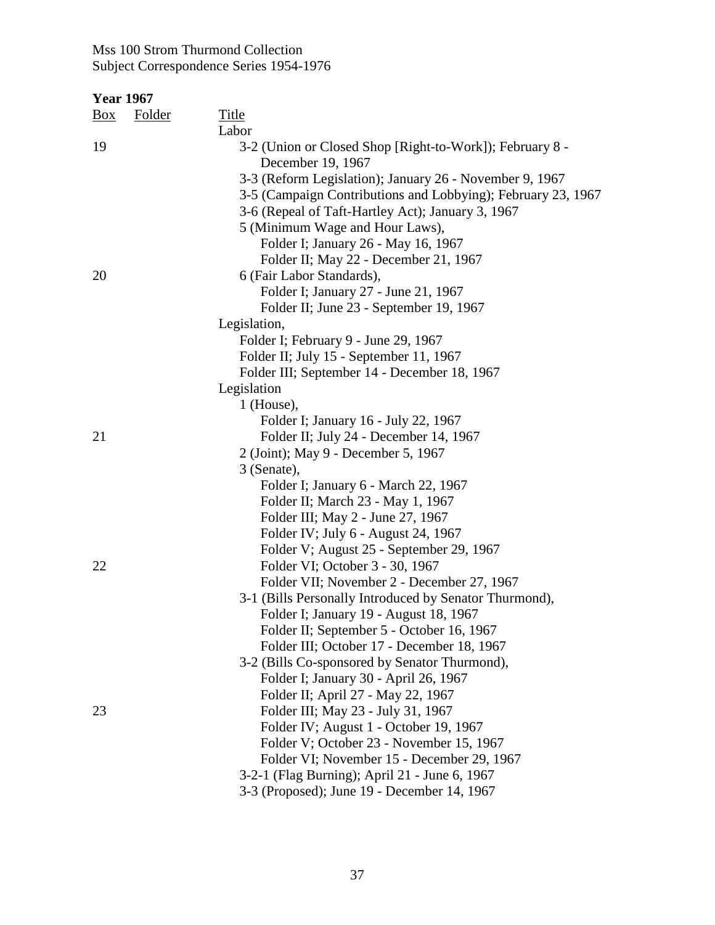| <b>Box</b> | Folder | <b>Title</b><br>Labor                                                                                                                                                        |
|------------|--------|------------------------------------------------------------------------------------------------------------------------------------------------------------------------------|
| 19         |        | 3-2 (Union or Closed Shop [Right-to-Work]); February 8 -<br>December 19, 1967                                                                                                |
|            |        | 3-3 (Reform Legislation); January 26 - November 9, 1967<br>3-5 (Campaign Contributions and Lobbying); February 23, 1967<br>3-6 (Repeal of Taft-Hartley Act); January 3, 1967 |
|            |        | 5 (Minimum Wage and Hour Laws),                                                                                                                                              |
|            |        | Folder I; January 26 - May 16, 1967                                                                                                                                          |
|            |        | Folder II; May 22 - December 21, 1967                                                                                                                                        |
| 20         |        | 6 (Fair Labor Standards),                                                                                                                                                    |
|            |        | Folder I; January 27 - June 21, 1967                                                                                                                                         |
|            |        | Folder II; June 23 - September 19, 1967                                                                                                                                      |
|            |        | Legislation,                                                                                                                                                                 |
|            |        | Folder I; February 9 - June 29, 1967                                                                                                                                         |
|            |        | Folder II; July 15 - September 11, 1967                                                                                                                                      |
|            |        | Folder III; September 14 - December 18, 1967                                                                                                                                 |
|            |        | Legislation                                                                                                                                                                  |
|            |        | 1 (House),                                                                                                                                                                   |
|            |        | Folder I; January 16 - July 22, 1967                                                                                                                                         |
| 21         |        | Folder II; July 24 - December 14, 1967                                                                                                                                       |
|            |        | 2 (Joint); May 9 - December 5, 1967                                                                                                                                          |
|            |        | 3 (Senate),                                                                                                                                                                  |
|            |        | Folder I; January 6 - March 22, 1967                                                                                                                                         |
|            |        | Folder II; March 23 - May 1, 1967                                                                                                                                            |
|            |        | Folder III; May 2 - June 27, 1967<br>Folder IV; July 6 - August 24, 1967                                                                                                     |
|            |        | Folder V; August 25 - September 29, 1967                                                                                                                                     |
| 22         |        | Folder VI; October 3 - 30, 1967                                                                                                                                              |
|            |        | Folder VII; November 2 - December 27, 1967                                                                                                                                   |
|            |        | 3-1 (Bills Personally Introduced by Senator Thurmond),                                                                                                                       |
|            |        | Folder I; January 19 - August 18, 1967                                                                                                                                       |
|            |        | Folder II; September 5 - October 16, 1967                                                                                                                                    |
|            |        | Folder III; October 17 - December 18, 1967                                                                                                                                   |
|            |        | 3-2 (Bills Co-sponsored by Senator Thurmond),                                                                                                                                |
|            |        | Folder I; January 30 - April 26, 1967                                                                                                                                        |
|            |        | Folder II; April 27 - May 22, 1967                                                                                                                                           |
| 23         |        | Folder III; May 23 - July 31, 1967                                                                                                                                           |
|            |        | Folder IV; August 1 - October 19, 1967                                                                                                                                       |
|            |        | Folder V; October 23 - November 15, 1967                                                                                                                                     |
|            |        | Folder VI; November 15 - December 29, 1967                                                                                                                                   |
|            |        | 3-2-1 (Flag Burning); April 21 - June 6, 1967                                                                                                                                |
|            |        | 3-3 (Proposed); June 19 - December 14, 1967                                                                                                                                  |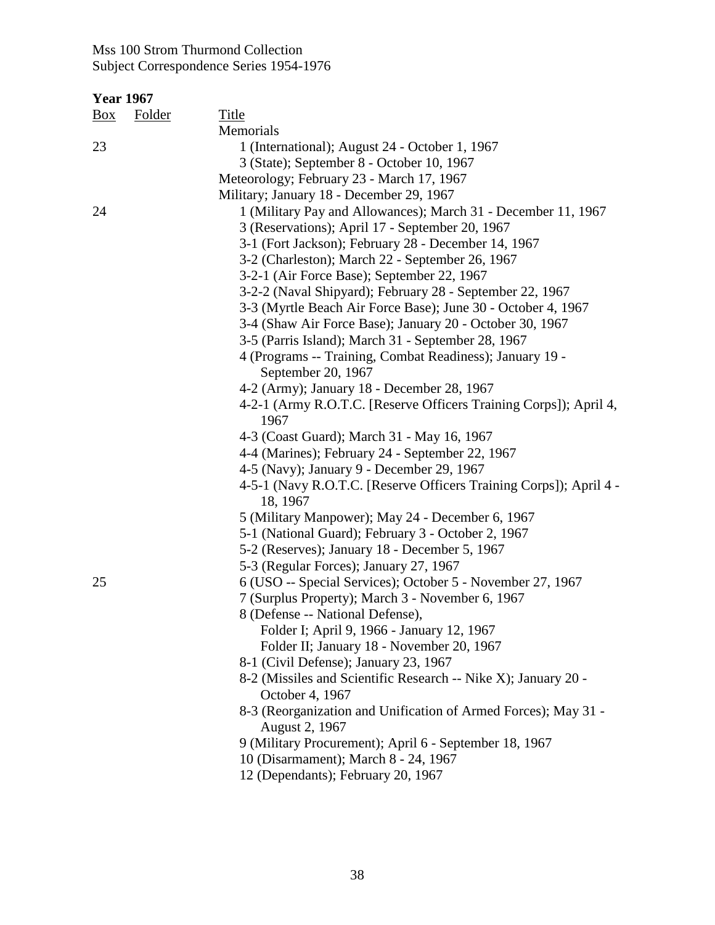| <b>Year 1967</b> |               |                                                                                   |
|------------------|---------------|-----------------------------------------------------------------------------------|
| Box              | <b>Folder</b> | <b>Title</b>                                                                      |
|                  |               | Memorials                                                                         |
| 23               |               | 1 (International); August 24 - October 1, 1967                                    |
|                  |               | 3 (State); September 8 - October 10, 1967                                         |
|                  |               | Meteorology; February 23 - March 17, 1967                                         |
|                  |               | Military; January 18 - December 29, 1967                                          |
| 24               |               | 1 (Military Pay and Allowances); March 31 - December 11, 1967                     |
|                  |               | 3 (Reservations); April 17 - September 20, 1967                                   |
|                  |               | 3-1 (Fort Jackson); February 28 - December 14, 1967                               |
|                  |               | 3-2 (Charleston); March 22 - September 26, 1967                                   |
|                  |               | 3-2-1 (Air Force Base); September 22, 1967                                        |
|                  |               | 3-2-2 (Naval Shipyard); February 28 - September 22, 1967                          |
|                  |               | 3-3 (Myrtle Beach Air Force Base); June 30 - October 4, 1967                      |
|                  |               | 3-4 (Shaw Air Force Base); January 20 - October 30, 1967                          |
|                  |               | 3-5 (Parris Island); March 31 - September 28, 1967                                |
|                  |               | 4 (Programs -- Training, Combat Readiness); January 19 -                          |
|                  |               | September 20, 1967                                                                |
|                  |               | 4-2 (Army); January 18 - December 28, 1967                                        |
|                  |               | 4-2-1 (Army R.O.T.C. [Reserve Officers Training Corps]); April 4,                 |
|                  |               | 1967                                                                              |
|                  |               | 4-3 (Coast Guard); March 31 - May 16, 1967                                        |
|                  |               | 4-4 (Marines); February 24 - September 22, 1967                                   |
|                  |               | 4-5 (Navy); January 9 - December 29, 1967                                         |
|                  |               | 4-5-1 (Navy R.O.T.C. [Reserve Officers Training Corps]); April 4 -<br>18, 1967    |
|                  |               | 5 (Military Manpower); May 24 - December 6, 1967                                  |
|                  |               | 5-1 (National Guard); February 3 - October 2, 1967                                |
|                  |               | 5-2 (Reserves); January 18 - December 5, 1967                                     |
|                  |               | 5-3 (Regular Forces); January 27, 1967                                            |
| 25               |               | 6 (USO -- Special Services); October 5 - November 27, 1967                        |
|                  |               | 7 (Surplus Property); March 3 - November 6, 1967                                  |
|                  |               | 8 (Defense -- National Defense).                                                  |
|                  |               | Folder I; April 9, 1966 - January 12, 1967                                        |
|                  |               | Folder II; January 18 - November 20, 1967                                         |
|                  |               | 8-1 (Civil Defense); January 23, 1967                                             |
|                  |               | 8-2 (Missiles and Scientific Research -- Nike X); January 20 -<br>October 4, 1967 |
|                  |               | 8-3 (Reorganization and Unification of Armed Forces); May 31 -                    |
|                  |               | August 2, 1967                                                                    |
|                  |               | 9 (Military Procurement); April 6 - September 18, 1967                            |
|                  |               | 10 (Disarmament); March 8 - 24, 1967                                              |
|                  |               | 12 (Dependants); February 20, 1967                                                |
|                  |               |                                                                                   |
|                  |               |                                                                                   |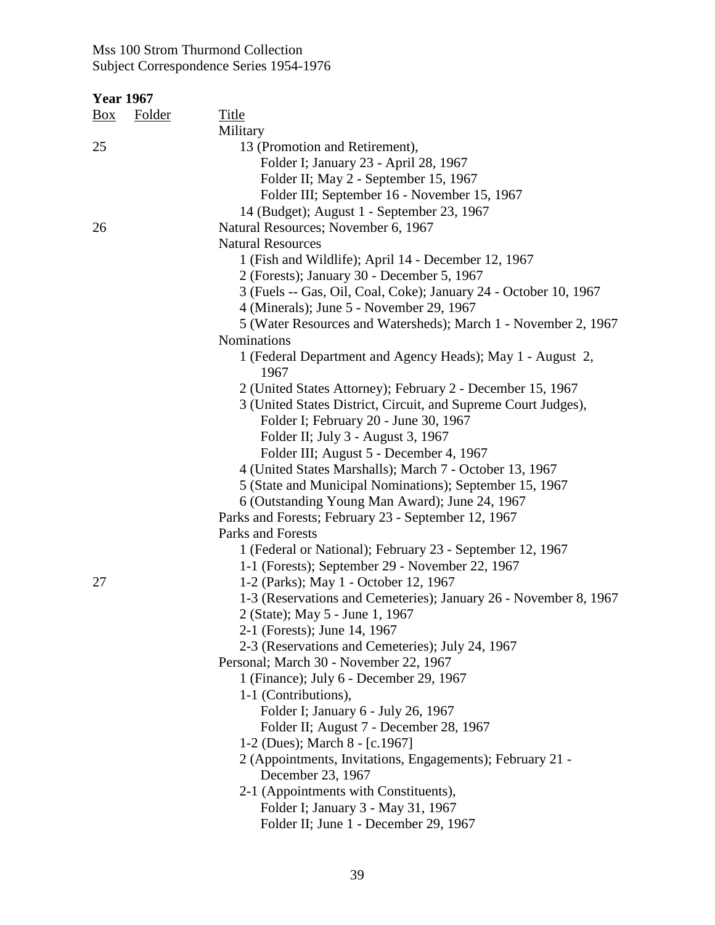| <b>Year 1967</b> |        |                                                                    |
|------------------|--------|--------------------------------------------------------------------|
| <u>Box</u>       | Folder | Title                                                              |
|                  |        | Military                                                           |
| 25               |        | 13 (Promotion and Retirement),                                     |
|                  |        | Folder I; January 23 - April 28, 1967                              |
|                  |        | Folder II; May 2 - September 15, 1967                              |
|                  |        | Folder III; September 16 - November 15, 1967                       |
|                  |        | 14 (Budget); August 1 - September 23, 1967                         |
| 26               |        | Natural Resources; November 6, 1967                                |
|                  |        | <b>Natural Resources</b>                                           |
|                  |        | 1 (Fish and Wildlife); April 14 - December 12, 1967                |
|                  |        | 2 (Forests); January 30 - December 5, 1967                         |
|                  |        | 3 (Fuels -- Gas, Oil, Coal, Coke); January 24 - October 10, 1967   |
|                  |        | 4 (Minerals); June 5 - November 29, 1967                           |
|                  |        | 5 (Water Resources and Watersheds); March 1 - November 2, 1967     |
|                  |        | Nominations                                                        |
|                  |        | 1 (Federal Department and Agency Heads); May 1 - August 2,<br>1967 |
|                  |        | 2 (United States Attorney); February 2 - December 15, 1967         |
|                  |        | 3 (United States District, Circuit, and Supreme Court Judges),     |
|                  |        | Folder I; February 20 - June 30, 1967                              |
|                  |        | Folder II; July 3 - August 3, 1967                                 |
|                  |        | Folder III; August 5 - December 4, 1967                            |
|                  |        | 4 (United States Marshalls); March 7 - October 13, 1967            |
|                  |        | 5 (State and Municipal Nominations); September 15, 1967            |
|                  |        | 6 (Outstanding Young Man Award); June 24, 1967                     |
|                  |        | Parks and Forests; February 23 - September 12, 1967                |
|                  |        | Parks and Forests                                                  |
|                  |        | 1 (Federal or National); February 23 - September 12, 1967          |
|                  |        | 1-1 (Forests); September 29 - November 22, 1967                    |
| 27               |        | 1-2 (Parks); May 1 - October 12, 1967                              |
|                  |        | 1-3 (Reservations and Cemeteries); January 26 - November 8, 1967   |
|                  |        | 2 (State); May 5 - June 1, 1967                                    |
|                  |        | 2-1 (Forests); June 14, 1967                                       |
|                  |        | 2-3 (Reservations and Cemeteries); July 24, 1967                   |
|                  |        | Personal; March 30 - November 22, 1967                             |
|                  |        | 1 (Finance); July 6 - December 29, 1967                            |
|                  |        | 1-1 (Contributions),                                               |
|                  |        | Folder I; January 6 - July 26, 1967                                |
|                  |        | Folder II; August 7 - December 28, 1967                            |
|                  |        | 1-2 (Dues); March 8 - [c.1967]                                     |
|                  |        | 2 (Appointments, Invitations, Engagements); February 21 -          |
|                  |        | December 23, 1967                                                  |
|                  |        | 2-1 (Appointments with Constituents),                              |
|                  |        | Folder I; January 3 - May 31, 1967                                 |
|                  |        | Folder II; June 1 - December 29, 1967                              |
|                  |        |                                                                    |
|                  |        |                                                                    |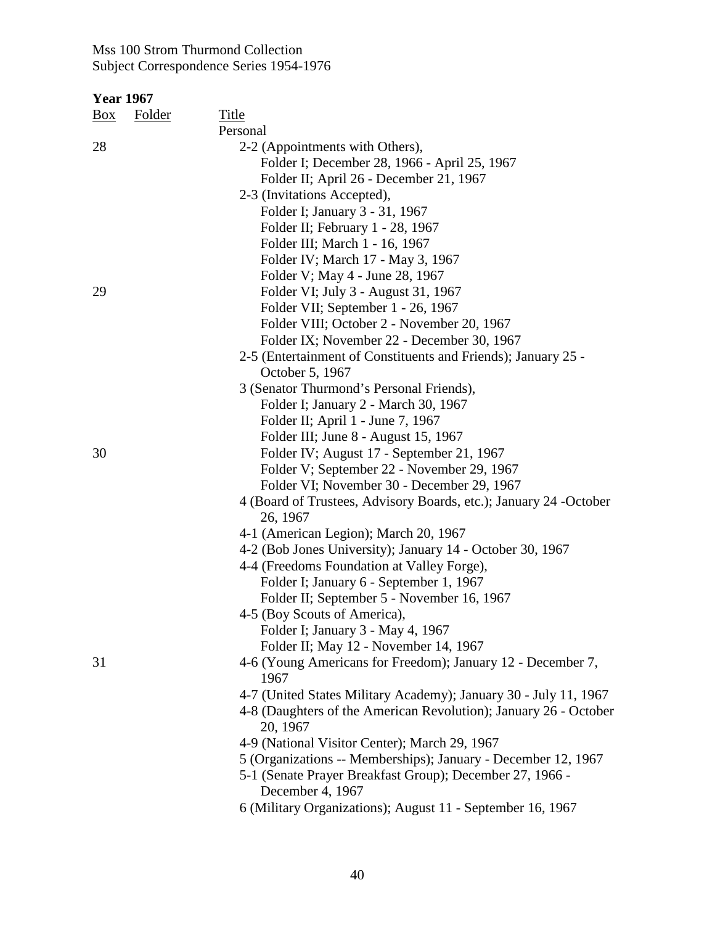| <b>Year 1967</b> |               |                                                                              |
|------------------|---------------|------------------------------------------------------------------------------|
| Box              | <b>Folder</b> | <b>Title</b>                                                                 |
|                  |               | Personal                                                                     |
| 28               |               | 2-2 (Appointments with Others),                                              |
|                  |               | Folder I; December 28, 1966 - April 25, 1967                                 |
|                  |               | Folder II; April 26 - December 21, 1967                                      |
|                  |               | 2-3 (Invitations Accepted),                                                  |
|                  |               | Folder I; January 3 - 31, 1967                                               |
|                  |               | Folder II; February 1 - 28, 1967                                             |
|                  |               |                                                                              |
|                  |               | Folder III; March 1 - 16, 1967                                               |
|                  |               | Folder IV; March 17 - May 3, 1967                                            |
|                  |               | Folder V; May 4 - June 28, 1967                                              |
| 29               |               | Folder VI; July 3 - August 31, 1967                                          |
|                  |               | Folder VII; September 1 - 26, 1967                                           |
|                  |               | Folder VIII; October 2 - November 20, 1967                                   |
|                  |               | Folder IX; November 22 - December 30, 1967                                   |
|                  |               | 2-5 (Entertainment of Constituents and Friends); January 25 -                |
|                  |               | October 5, 1967                                                              |
|                  |               | 3 (Senator Thurmond's Personal Friends),                                     |
|                  |               | Folder I; January 2 - March 30, 1967                                         |
|                  |               | Folder II; April 1 - June 7, 1967                                            |
|                  |               | Folder III; June 8 - August 15, 1967                                         |
| 30               |               | Folder IV; August 17 - September 21, 1967                                    |
|                  |               | Folder V; September 22 - November 29, 1967                                   |
|                  |               | Folder VI; November 30 - December 29, 1967                                   |
|                  |               | 4 (Board of Trustees, Advisory Boards, etc.); January 24 -October            |
|                  |               | 26, 1967                                                                     |
|                  |               | 4-1 (American Legion); March 20, 1967                                        |
|                  |               | 4-2 (Bob Jones University); January 14 - October 30, 1967                    |
|                  |               | 4-4 (Freedoms Foundation at Valley Forge),                                   |
|                  |               |                                                                              |
|                  |               | Folder I; January 6 - September 1, 1967                                      |
|                  |               | Folder II; September 5 - November 16, 1967                                   |
|                  |               | 4-5 (Boy Scouts of America),                                                 |
|                  |               | Folder I; January 3 - May 4, 1967                                            |
|                  |               | Folder II; May 12 - November 14, 1967                                        |
| 31               |               | 4-6 (Young Americans for Freedom); January 12 - December 7,                  |
|                  |               | 1967                                                                         |
|                  |               | 4-7 (United States Military Academy); January 30 - July 11, 1967             |
|                  |               | 4-8 (Daughters of the American Revolution); January 26 - October<br>20, 1967 |
|                  |               |                                                                              |
|                  |               | 4-9 (National Visitor Center); March 29, 1967                                |
|                  |               | 5 (Organizations -- Memberships); January - December 12, 1967                |
|                  |               | 5-1 (Senate Prayer Breakfast Group); December 27, 1966 -<br>December 4, 1967 |
|                  |               | 6 (Military Organizations); August 11 - September 16, 1967                   |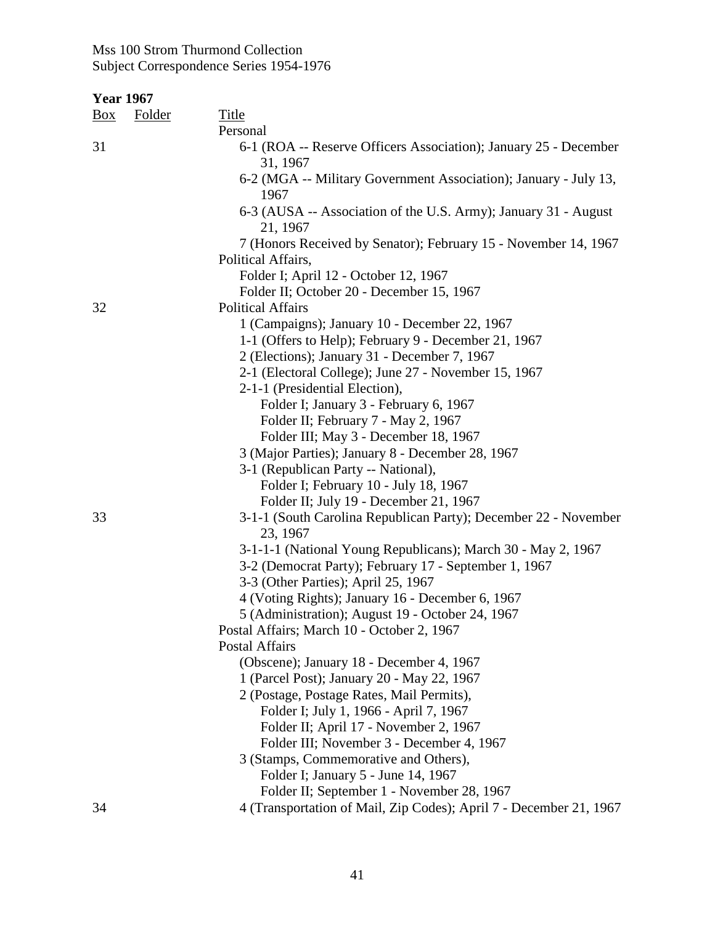| <b>Year 1967</b> |               |                                                                              |
|------------------|---------------|------------------------------------------------------------------------------|
| <u>Box</u>       | <b>Folder</b> | <b>Title</b>                                                                 |
|                  |               | Personal                                                                     |
| 31               |               | 6-1 (ROA -- Reserve Officers Association); January 25 - December<br>31, 1967 |
|                  |               | 6-2 (MGA -- Military Government Association); January - July 13,<br>1967     |
|                  |               | 6-3 (AUSA -- Association of the U.S. Army); January 31 - August<br>21, 1967  |
|                  |               | 7 (Honors Received by Senator); February 15 - November 14, 1967              |
|                  |               | Political Affairs,                                                           |
|                  |               | Folder I; April 12 - October 12, 1967                                        |
|                  |               | Folder II; October 20 - December 15, 1967                                    |
| 32               |               | <b>Political Affairs</b>                                                     |
|                  |               | 1 (Campaigns); January 10 - December 22, 1967                                |
|                  |               | 1-1 (Offers to Help); February 9 - December 21, 1967                         |
|                  |               | 2 (Elections); January 31 - December 7, 1967                                 |
|                  |               | 2-1 (Electoral College); June 27 - November 15, 1967                         |
|                  |               | 2-1-1 (Presidential Election),                                               |
|                  |               | Folder I; January 3 - February 6, 1967                                       |
|                  |               | Folder II; February 7 - May 2, 1967                                          |
|                  |               | Folder III; May 3 - December 18, 1967                                        |
|                  |               | 3 (Major Parties); January 8 - December 28, 1967                             |
|                  |               | 3-1 (Republican Party -- National),                                          |
|                  |               | Folder I; February 10 - July 18, 1967                                        |
|                  |               | Folder II; July 19 - December 21, 1967                                       |
| 33               |               | 3-1-1 (South Carolina Republican Party); December 22 - November<br>23, 1967  |
|                  |               | 3-1-1-1 (National Young Republicans); March 30 - May 2, 1967                 |
|                  |               | 3-2 (Democrat Party); February 17 - September 1, 1967                        |
|                  |               | 3-3 (Other Parties); April 25, 1967                                          |
|                  |               | 4 (Voting Rights); January 16 - December 6, 1967                             |
|                  |               | 5 (Administration); August 19 - October 24, 1967                             |
|                  |               | Postal Affairs; March 10 - October 2, 1967                                   |
|                  |               | Postal Affairs                                                               |
|                  |               | (Obscene); January 18 - December 4, 1967                                     |
|                  |               | 1 (Parcel Post); January 20 - May 22, 1967                                   |
|                  |               | 2 (Postage, Postage Rates, Mail Permits),                                    |
|                  |               | Folder I; July 1, 1966 - April 7, 1967                                       |
|                  |               | Folder II; April 17 - November 2, 1967                                       |
|                  |               | Folder III; November 3 - December 4, 1967                                    |
|                  |               | 3 (Stamps, Commemorative and Others),                                        |
|                  |               | Folder I; January 5 - June 14, 1967                                          |
|                  |               | Folder II; September 1 - November 28, 1967                                   |
| 34               |               | 4 (Transportation of Mail, Zip Codes); April 7 - December 21, 1967           |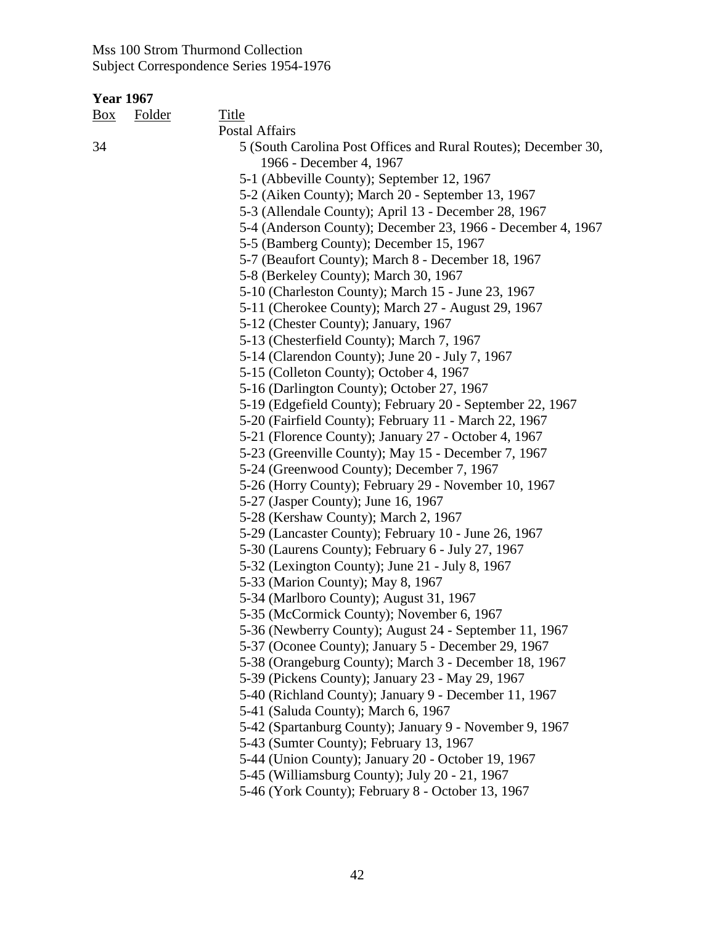| <u>Box</u> | Folder | Title                                                          |
|------------|--------|----------------------------------------------------------------|
|            |        | <b>Postal Affairs</b>                                          |
| 34         |        | 5 (South Carolina Post Offices and Rural Routes); December 30, |
|            |        | 1966 - December 4, 1967                                        |
|            |        | 5-1 (Abbeville County); September 12, 1967                     |
|            |        | 5-2 (Aiken County); March 20 - September 13, 1967              |
|            |        | 5-3 (Allendale County); April 13 - December 28, 1967           |
|            |        | 5-4 (Anderson County); December 23, 1966 - December 4, 1967    |
|            |        | 5-5 (Bamberg County); December 15, 1967                        |
|            |        | 5-7 (Beaufort County); March 8 - December 18, 1967             |
|            |        | 5-8 (Berkeley County); March 30, 1967                          |
|            |        | 5-10 (Charleston County); March 15 - June 23, 1967             |
|            |        | 5-11 (Cherokee County); March 27 - August 29, 1967             |
|            |        | 5-12 (Chester County); January, 1967                           |
|            |        | 5-13 (Chesterfield County); March 7, 1967                      |
|            |        | 5-14 (Clarendon County); June 20 - July 7, 1967                |
|            |        | 5-15 (Colleton County); October 4, 1967                        |
|            |        | 5-16 (Darlington County); October 27, 1967                     |
|            |        | 5-19 (Edgefield County); February 20 - September 22, 1967      |
|            |        | 5-20 (Fairfield County); February 11 - March 22, 1967          |
|            |        | 5-21 (Florence County); January 27 - October 4, 1967           |
|            |        | 5-23 (Greenville County); May 15 - December 7, 1967            |
|            |        | 5-24 (Greenwood County); December 7, 1967                      |
|            |        | 5-26 (Horry County); February 29 - November 10, 1967           |
|            |        | 5-27 (Jasper County); June 16, 1967                            |
|            |        | 5-28 (Kershaw County); March 2, 1967                           |
|            |        | 5-29 (Lancaster County); February 10 - June 26, 1967           |
|            |        | 5-30 (Laurens County); February 6 - July 27, 1967              |
|            |        | 5-32 (Lexington County); June 21 - July 8, 1967                |
|            |        | 5-33 (Marion County); May 8, 1967                              |
|            |        | 5-34 (Marlboro County); August 31, 1967                        |
|            |        | 5-35 (McCormick County); November 6, 1967                      |
|            |        | 5-36 (Newberry County); August 24 - September 11, 1967         |
|            |        | 5-37 (Oconee County); January 5 - December 29, 1967            |
|            |        | 5-38 (Orangeburg County); March 3 - December 18, 1967          |
|            |        | 5-39 (Pickens County); January 23 - May 29, 1967               |
|            |        | 5-40 (Richland County); January 9 - December 11, 1967          |
|            |        | 5-41 (Saluda County); March 6, 1967                            |
|            |        | 5-42 (Spartanburg County); January 9 - November 9, 1967        |
|            |        | 5-43 (Sumter County); February 13, 1967                        |
|            |        | 5-44 (Union County); January 20 - October 19, 1967             |
|            |        | 5-45 (Williamsburg County); July 20 - 21, 1967                 |
|            |        | 5-46 (York County); February 8 - October 13, 1967              |
|            |        |                                                                |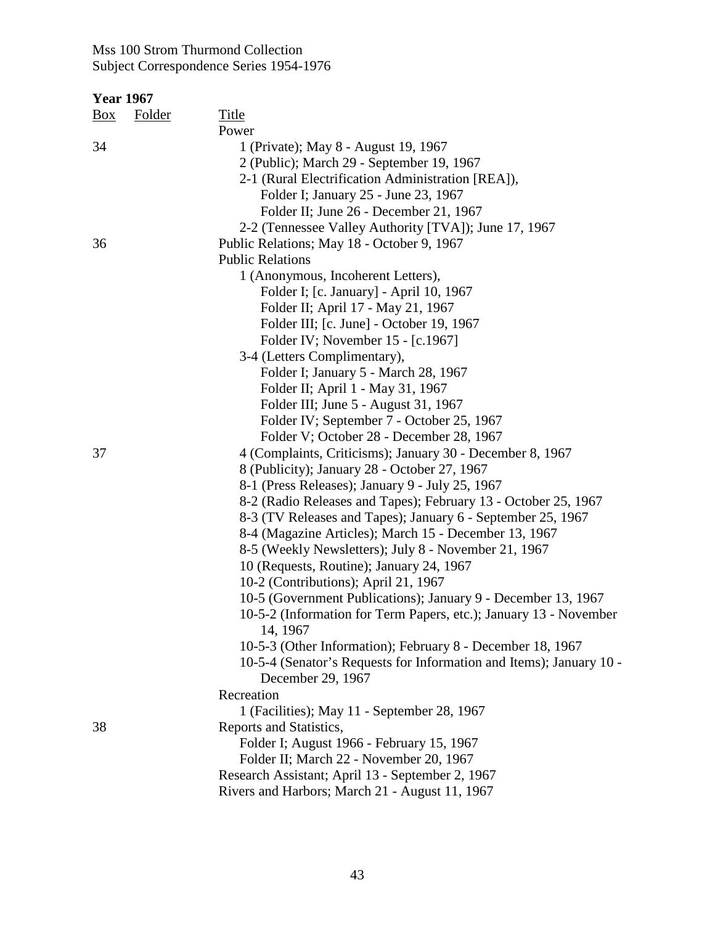| <b>Year 1967</b> |        |                                                                     |
|------------------|--------|---------------------------------------------------------------------|
| $\frac{Box}{}$   | Folder | <b>Title</b>                                                        |
|                  |        | Power                                                               |
| 34               |        | 1 (Private); May 8 - August 19, 1967                                |
|                  |        | 2 (Public); March 29 - September 19, 1967                           |
|                  |        | 2-1 (Rural Electrification Administration [REA]),                   |
|                  |        | Folder I; January 25 - June 23, 1967                                |
|                  |        | Folder II; June 26 - December 21, 1967                              |
|                  |        | 2-2 (Tennessee Valley Authority [TVA]); June 17, 1967               |
| 36               |        | Public Relations; May 18 - October 9, 1967                          |
|                  |        | <b>Public Relations</b>                                             |
|                  |        | 1 (Anonymous, Incoherent Letters),                                  |
|                  |        | Folder I; [c. January] - April 10, 1967                             |
|                  |        | Folder II; April 17 - May 21, 1967                                  |
|                  |        | Folder III; [c. June] - October 19, 1967                            |
|                  |        | Folder IV; November 15 - [c.1967]                                   |
|                  |        | 3-4 (Letters Complimentary),                                        |
|                  |        | Folder I; January 5 - March 28, 1967                                |
|                  |        | Folder II; April 1 - May 31, 1967                                   |
|                  |        | Folder III; June 5 - August 31, 1967                                |
|                  |        | Folder IV; September 7 - October 25, 1967                           |
|                  |        | Folder V; October 28 - December 28, 1967                            |
| 37               |        | 4 (Complaints, Criticisms); January 30 - December 8, 1967           |
|                  |        | 8 (Publicity); January 28 - October 27, 1967                        |
|                  |        | 8-1 (Press Releases); January 9 - July 25, 1967                     |
|                  |        | 8-2 (Radio Releases and Tapes); February 13 - October 25, 1967      |
|                  |        | 8-3 (TV Releases and Tapes); January 6 - September 25, 1967         |
|                  |        | 8-4 (Magazine Articles); March 15 - December 13, 1967               |
|                  |        | 8-5 (Weekly Newsletters); July 8 - November 21, 1967                |
|                  |        | 10 (Requests, Routine); January 24, 1967                            |
|                  |        | 10-2 (Contributions); April 21, 1967                                |
|                  |        | 10-5 (Government Publications); January 9 - December 13, 1967       |
|                  |        | 10-5-2 (Information for Term Papers, etc.); January 13 - November   |
|                  |        | 14, 1967                                                            |
|                  |        | 10-5-3 (Other Information); February 8 - December 18, 1967          |
|                  |        | 10-5-4 (Senator's Requests for Information and Items); January 10 - |
|                  |        | December 29, 1967                                                   |
|                  |        | Recreation                                                          |
|                  |        | 1 (Facilities); May 11 - September 28, 1967                         |
| 38               |        | Reports and Statistics,                                             |
|                  |        | Folder I; August 1966 - February 15, 1967                           |
|                  |        | Folder II; March 22 - November 20, 1967                             |
|                  |        | Research Assistant; April 13 - September 2, 1967                    |
|                  |        | Rivers and Harbors; March 21 - August 11, 1967                      |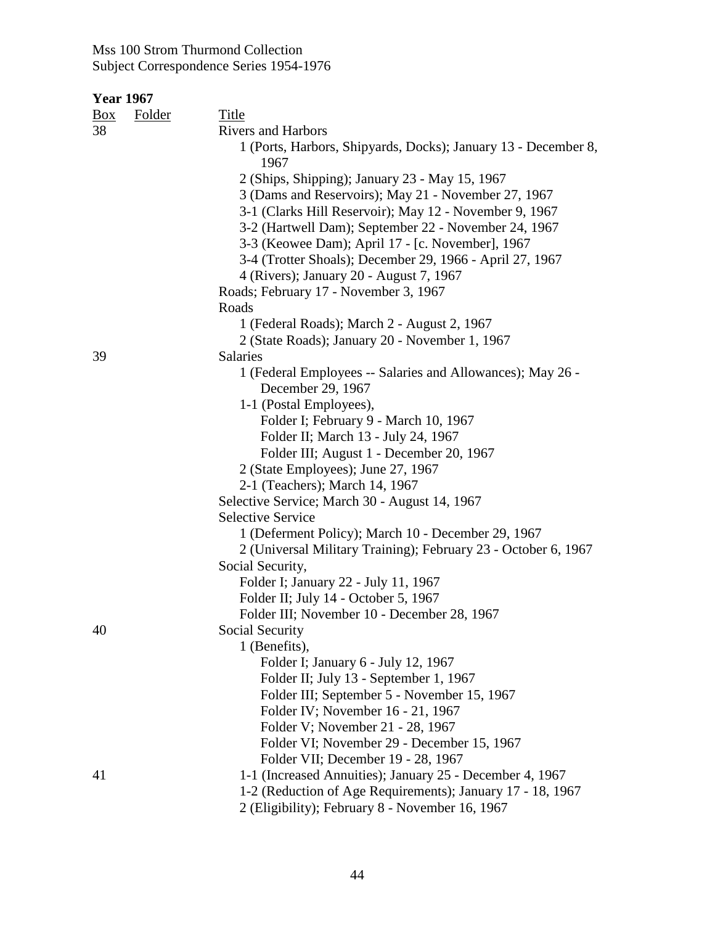| $\frac{Box}{}$ | <b>Folder</b> | <b>Title</b>                                                                     |
|----------------|---------------|----------------------------------------------------------------------------------|
| 38             |               | <b>Rivers and Harbors</b>                                                        |
|                |               | 1 (Ports, Harbors, Shipyards, Docks); January 13 - December 8,<br>1967           |
|                |               | 2 (Ships, Shipping); January 23 - May 15, 1967                                   |
|                |               | 3 (Dams and Reservoirs); May 21 - November 27, 1967                              |
|                |               | 3-1 (Clarks Hill Reservoir); May 12 - November 9, 1967                           |
|                |               | 3-2 (Hartwell Dam); September 22 - November 24, 1967                             |
|                |               | 3-3 (Keowee Dam); April 17 - [c. November], 1967                                 |
|                |               | 3-4 (Trotter Shoals); December 29, 1966 - April 27, 1967                         |
|                |               | 4 (Rivers); January 20 - August 7, 1967                                          |
|                |               | Roads; February 17 - November 3, 1967                                            |
|                |               | Roads                                                                            |
|                |               | 1 (Federal Roads); March 2 - August 2, 1967                                      |
|                |               | 2 (State Roads); January 20 - November 1, 1967                                   |
| 39             |               | Salaries                                                                         |
|                |               | 1 (Federal Employees -- Salaries and Allowances); May 26 -                       |
|                |               | December 29, 1967                                                                |
|                |               | 1-1 (Postal Employees),                                                          |
|                |               | Folder I; February 9 - March 10, 1967                                            |
|                |               | Folder II; March 13 - July 24, 1967                                              |
|                |               | Folder III; August 1 - December 20, 1967                                         |
|                |               | 2 (State Employees); June 27, 1967                                               |
|                |               | 2-1 (Teachers); March 14, 1967                                                   |
|                |               | Selective Service; March 30 - August 14, 1967                                    |
|                |               | <b>Selective Service</b>                                                         |
|                |               | 1 (Deferment Policy); March 10 - December 29, 1967                               |
|                |               | 2 (Universal Military Training); February 23 - October 6, 1967                   |
|                |               | Social Security,                                                                 |
|                |               | Folder I; January 22 - July 11, 1967                                             |
|                |               | Folder II; July 14 - October 5, 1967                                             |
|                |               | Folder III; November 10 - December 28, 1967                                      |
| 40             |               | Social Security                                                                  |
|                |               | 1 (Benefits),                                                                    |
|                |               | Folder I; January 6 - July 12, 1967                                              |
|                |               | Folder II; July 13 - September 1, 1967                                           |
|                |               | Folder III; September 5 - November 15, 1967<br>Folder IV; November 16 - 21, 1967 |
|                |               | Folder V; November 21 - 28, 1967                                                 |
|                |               | Folder VI; November 29 - December 15, 1967                                       |
|                |               | Folder VII; December 19 - 28, 1967                                               |
| 41             |               | 1-1 (Increased Annuities); January 25 - December 4, 1967                         |
|                |               | 1-2 (Reduction of Age Requirements); January 17 - 18, 1967                       |
|                |               |                                                                                  |
|                |               | 2 (Eligibility); February 8 - November 16, 1967                                  |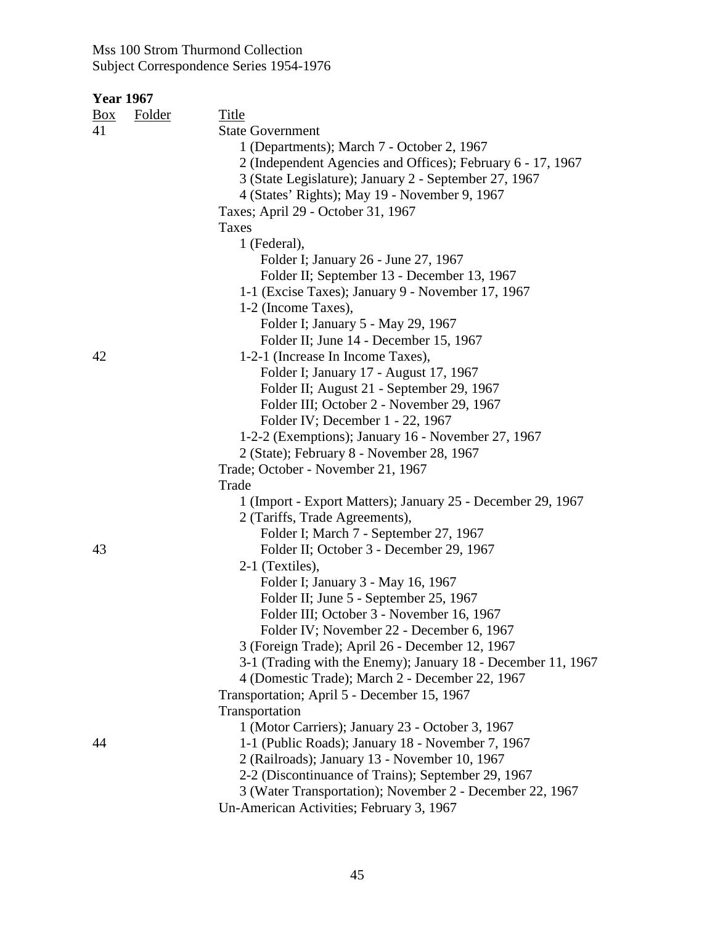| $\frac{Box}{}$ | <b>Folder</b> | <b>Title</b>                                                 |
|----------------|---------------|--------------------------------------------------------------|
| 41             |               | <b>State Government</b>                                      |
|                |               | 1 (Departments); March 7 - October 2, 1967                   |
|                |               | 2 (Independent Agencies and Offices); February 6 - 17, 1967  |
|                |               | 3 (State Legislature); January 2 - September 27, 1967        |
|                |               | 4 (States' Rights); May 19 - November 9, 1967                |
|                |               | Taxes; April 29 - October 31, 1967                           |
|                |               | Taxes                                                        |
|                |               | 1 (Federal),                                                 |
|                |               | Folder I; January 26 - June 27, 1967                         |
|                |               | Folder II; September 13 - December 13, 1967                  |
|                |               | 1-1 (Excise Taxes); January 9 - November 17, 1967            |
|                |               | 1-2 (Income Taxes),                                          |
|                |               | Folder I; January 5 - May 29, 1967                           |
|                |               | Folder II; June 14 - December 15, 1967                       |
| 42             |               | 1-2-1 (Increase In Income Taxes),                            |
|                |               | Folder I; January 17 - August 17, 1967                       |
|                |               | Folder II; August 21 - September 29, 1967                    |
|                |               | Folder III; October 2 - November 29, 1967                    |
|                |               | Folder IV; December 1 - 22, 1967                             |
|                |               | 1-2-2 (Exemptions); January 16 - November 27, 1967           |
|                |               | 2 (State); February 8 - November 28, 1967                    |
|                |               | Trade; October - November 21, 1967                           |
|                |               | Trade                                                        |
|                |               | 1 (Import - Export Matters); January 25 - December 29, 1967  |
|                |               | 2 (Tariffs, Trade Agreements),                               |
|                |               | Folder I; March 7 - September 27, 1967                       |
| 43             |               | Folder II; October 3 - December 29, 1967                     |
|                |               | 2-1 (Textiles),                                              |
|                |               | Folder I; January 3 - May 16, 1967                           |
|                |               | Folder II; June 5 - September 25, 1967                       |
|                |               | Folder III; October 3 - November 16, 1967                    |
|                |               | Folder IV; November 22 - December 6, 1967                    |
|                |               | 3 (Foreign Trade); April 26 - December 12, 1967              |
|                |               | 3-1 (Trading with the Enemy); January 18 - December 11, 1967 |
|                |               | 4 (Domestic Trade); March 2 - December 22, 1967              |
|                |               | Transportation; April 5 - December 15, 1967                  |
|                |               | Transportation                                               |
|                |               | 1 (Motor Carriers); January 23 - October 3, 1967             |
| 44             |               | 1-1 (Public Roads); January 18 - November 7, 1967            |
|                |               | 2 (Railroads); January 13 - November 10, 1967                |
|                |               | 2-2 (Discontinuance of Trains); September 29, 1967           |
|                |               | 3 (Water Transportation); November 2 - December 22, 1967     |
|                |               | Un-American Activities; February 3, 1967                     |
|                |               |                                                              |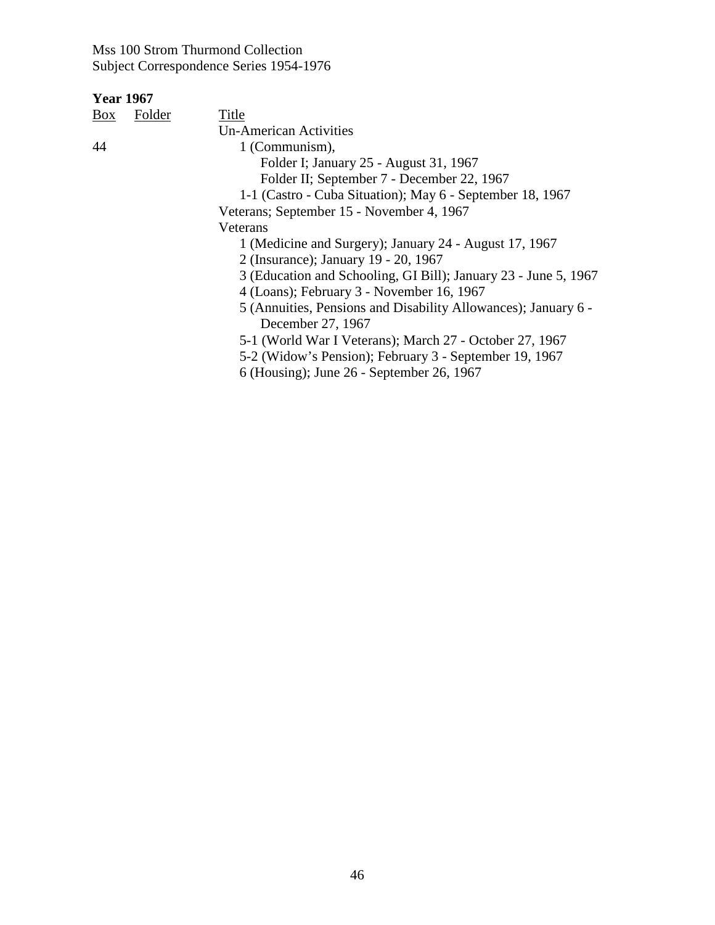| Box | Folder | Title                                                           |
|-----|--------|-----------------------------------------------------------------|
|     |        | Un-American Activities                                          |
| 44  |        | 1 (Communism),                                                  |
|     |        | Folder I; January 25 - August 31, 1967                          |
|     |        | Folder II; September 7 - December 22, 1967                      |
|     |        | 1-1 (Castro - Cuba Situation); May 6 - September 18, 1967       |
|     |        | Veterans; September 15 - November 4, 1967                       |
|     |        | Veterans                                                        |
|     |        | 1 (Medicine and Surgery); January 24 - August 17, 1967          |
|     |        | 2 (Insurance); January 19 - 20, 1967                            |
|     |        | 3 (Education and Schooling, GI Bill); January 23 - June 5, 1967 |
|     |        | 4 (Loans); February 3 - November 16, 1967                       |
|     |        | 5 (Annuities, Pensions and Disability Allowances); January 6 -  |
|     |        | December 27, 1967                                               |
|     |        | 5-1 (World War I Veterans); March 27 - October 27, 1967         |
|     |        | 5-2 (Widow's Pension); February 3 - September 19, 1967          |
|     |        | 6 (Housing); June 26 - September 26, 1967                       |
|     |        |                                                                 |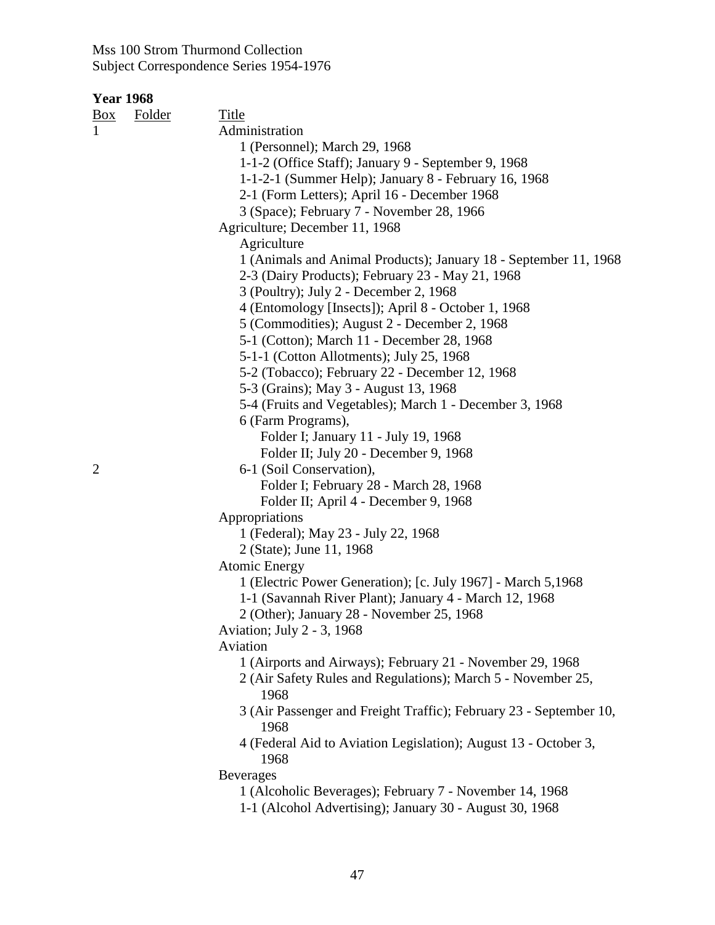| <b>Year 1968</b> |               |                                                                    |
|------------------|---------------|--------------------------------------------------------------------|
| $\frac{Box}{}$   | <b>Folder</b> | Title                                                              |
| $\mathbf{1}$     |               | Administration                                                     |
|                  |               | 1 (Personnel); March 29, 1968                                      |
|                  |               | 1-1-2 (Office Staff); January 9 - September 9, 1968                |
|                  |               | 1-1-2-1 (Summer Help); January 8 - February 16, 1968               |
|                  |               | 2-1 (Form Letters); April 16 - December 1968                       |
|                  |               | 3 (Space); February 7 - November 28, 1966                          |
|                  |               | Agriculture; December 11, 1968                                     |
|                  |               | Agriculture                                                        |
|                  |               | 1 (Animals and Animal Products); January 18 - September 11, 1968   |
|                  |               | 2-3 (Dairy Products); February 23 - May 21, 1968                   |
|                  |               | 3 (Poultry); July 2 - December 2, 1968                             |
|                  |               | 4 (Entomology [Insects]); April 8 - October 1, 1968                |
|                  |               | 5 (Commodities); August 2 - December 2, 1968                       |
|                  |               | 5-1 (Cotton); March 11 - December 28, 1968                         |
|                  |               | 5-1-1 (Cotton Allotments); July 25, 1968                           |
|                  |               | 5-2 (Tobacco); February 22 - December 12, 1968                     |
|                  |               | 5-3 (Grains); May 3 - August 13, 1968                              |
|                  |               | 5-4 (Fruits and Vegetables); March 1 - December 3, 1968            |
|                  |               | 6 (Farm Programs),                                                 |
|                  |               | Folder I; January 11 - July 19, 1968                               |
|                  |               | Folder II; July 20 - December 9, 1968                              |
| $\overline{2}$   |               | 6-1 (Soil Conservation),                                           |
|                  |               | Folder I; February 28 - March 28, 1968                             |
|                  |               | Folder II; April 4 - December 9, 1968                              |
|                  |               | Appropriations                                                     |
|                  |               | 1 (Federal); May 23 - July 22, 1968                                |
|                  |               | 2 (State); June 11, 1968                                           |
|                  |               | <b>Atomic Energy</b>                                               |
|                  |               | 1 (Electric Power Generation); [c. July 1967] - March 5,1968       |
|                  |               | 1-1 (Savannah River Plant); January 4 - March 12, 1968             |
|                  |               | 2 (Other); January 28 - November 25, 1968                          |
|                  |               | Aviation; July 2 - 3, 1968                                         |
|                  |               | Aviation                                                           |
|                  |               | 1 (Airports and Airways); February 21 - November 29, 1968          |
|                  |               | 2 (Air Safety Rules and Regulations); March 5 - November 25,       |
|                  |               | 1968                                                               |
|                  |               | 3 (Air Passenger and Freight Traffic); February 23 - September 10, |
|                  |               | 1968                                                               |
|                  |               | 4 (Federal Aid to Aviation Legislation); August 13 - October 3,    |
|                  |               | 1968                                                               |
|                  |               | <b>Beverages</b>                                                   |
|                  |               | 1 (Alcoholic Beverages); February 7 - November 14, 1968            |
|                  |               | 1-1 (Alcohol Advertising); January 30 - August 30, 1968            |
|                  |               |                                                                    |
|                  |               |                                                                    |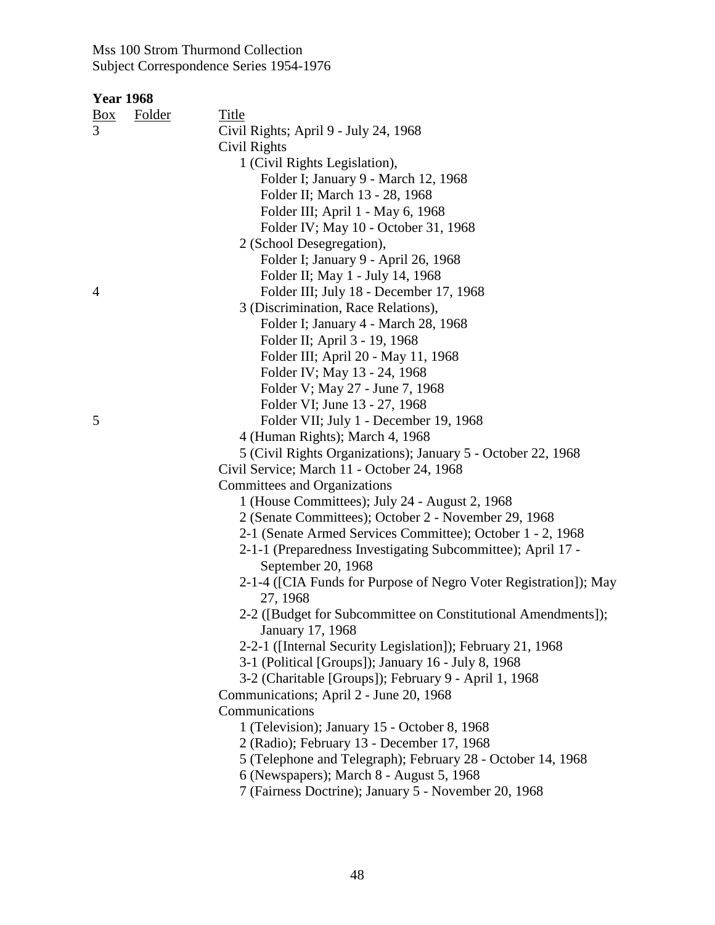| <b>Year 1968</b> |               |                                                                              |
|------------------|---------------|------------------------------------------------------------------------------|
| $\frac{Box}{}$   | <b>Folder</b> | <b>Title</b>                                                                 |
| 3                |               | Civil Rights; April 9 - July 24, 1968                                        |
|                  |               | Civil Rights                                                                 |
|                  |               | 1 (Civil Rights Legislation),                                                |
|                  |               | Folder I; January 9 - March 12, 1968                                         |
|                  |               | Folder II; March 13 - 28, 1968                                               |
|                  |               | Folder III; April 1 - May 6, 1968                                            |
|                  |               | Folder IV; May 10 - October 31, 1968                                         |
|                  |               | 2 (School Desegregation),                                                    |
|                  |               | Folder I; January 9 - April 26, 1968                                         |
|                  |               | Folder II; May 1 - July 14, 1968                                             |
| $\overline{4}$   |               | Folder III; July 18 - December 17, 1968                                      |
|                  |               | 3 (Discrimination, Race Relations),                                          |
|                  |               | Folder I; January 4 - March 28, 1968                                         |
|                  |               | Folder II; April 3 - 19, 1968                                                |
|                  |               | Folder III; April 20 - May 11, 1968                                          |
|                  |               | Folder IV; May 13 - 24, 1968                                                 |
|                  |               | Folder V; May 27 - June 7, 1968                                              |
|                  |               | Folder VI; June 13 - 27, 1968                                                |
| 5                |               | Folder VII; July 1 - December 19, 1968                                       |
|                  |               | 4 (Human Rights); March 4, 1968                                              |
|                  |               | 5 (Civil Rights Organizations); January 5 - October 22, 1968                 |
|                  |               | Civil Service; March 11 - October 24, 1968                                   |
|                  |               | Committees and Organizations                                                 |
|                  |               | 1 (House Committees); July 24 - August 2, 1968                               |
|                  |               | 2 (Senate Committees); October 2 - November 29, 1968                         |
|                  |               | 2-1 (Senate Armed Services Committee); October 1 - 2, 1968                   |
|                  |               | 2-1-1 (Preparedness Investigating Subcommittee); April 17 -                  |
|                  |               | September 20, 1968                                                           |
|                  |               | 2-1-4 ([CIA Funds for Purpose of Negro Voter Registration]); May<br>27, 1968 |
|                  |               | 2-2 ([Budget for Subcommittee on Constitutional Amendments]);                |
|                  |               | January 17, 1968                                                             |
|                  |               | 2-2-1 ([Internal Security Legislation]); February 21, 1968                   |
|                  |               | 3-1 (Political [Groups]); January 16 - July 8, 1968                          |
|                  |               | 3-2 (Charitable [Groups]); February 9 - April 1, 1968                        |
|                  |               | Communications; April 2 - June 20, 1968                                      |
|                  |               | Communications                                                               |
|                  |               | 1 (Television); January 15 - October 8, 1968                                 |
|                  |               | 2 (Radio); February 13 - December 17, 1968                                   |
|                  |               | 5 (Telephone and Telegraph); February 28 - October 14, 1968                  |
|                  |               | 6 (Newspapers); March 8 - August 5, 1968                                     |
|                  |               | 7 (Fairness Doctrine); January 5 - November 20, 1968                         |
|                  |               |                                                                              |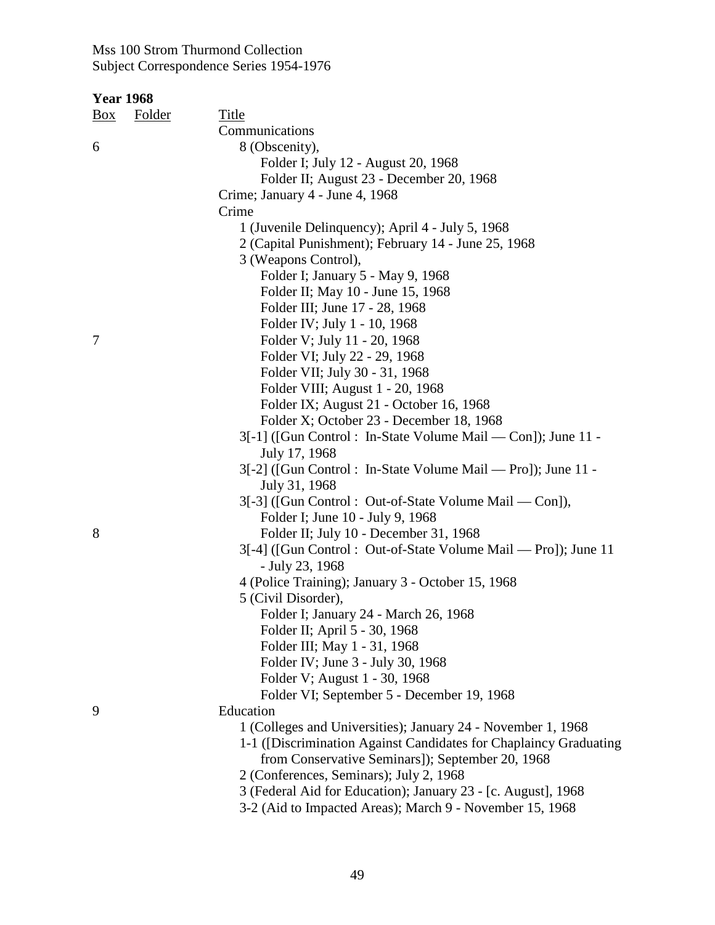| <b>Year 1968</b>                |                                                                                                                                   |
|---------------------------------|-----------------------------------------------------------------------------------------------------------------------------------|
| <b>Folder</b><br>$\frac{Box}{}$ | <b>Title</b>                                                                                                                      |
|                                 | Communications                                                                                                                    |
| 6                               | 8 (Obscenity),                                                                                                                    |
|                                 | Folder I; July 12 - August 20, 1968                                                                                               |
|                                 | Folder II; August 23 - December 20, 1968                                                                                          |
|                                 | Crime; January 4 - June 4, 1968                                                                                                   |
|                                 | Crime                                                                                                                             |
|                                 | 1 (Juvenile Delinquency); April 4 - July 5, 1968                                                                                  |
|                                 | 2 (Capital Punishment); February 14 - June 25, 1968                                                                               |
|                                 | 3 (Weapons Control),                                                                                                              |
|                                 | Folder I; January 5 - May 9, 1968                                                                                                 |
|                                 | Folder II; May 10 - June 15, 1968                                                                                                 |
|                                 | Folder III; June 17 - 28, 1968                                                                                                    |
|                                 | Folder IV; July 1 - 10, 1968                                                                                                      |
| 7                               | Folder V; July 11 - 20, 1968                                                                                                      |
|                                 | Folder VI; July 22 - 29, 1968                                                                                                     |
|                                 | Folder VII; July 30 - 31, 1968                                                                                                    |
|                                 | Folder VIII; August 1 - 20, 1968                                                                                                  |
|                                 | Folder IX; August 21 - October 16, 1968                                                                                           |
|                                 | Folder X; October 23 - December 18, 1968                                                                                          |
|                                 | 3[-1] ([Gun Control : In-State Volume Mail — Con]); June 11 -                                                                     |
|                                 | July 17, 1968                                                                                                                     |
|                                 | 3[-2] ([Gun Control : In-State Volume Mail — Pro]); June 11 -<br>July 31, 1968                                                    |
|                                 | 3[-3] ([Gun Control: Out-of-State Volume Mail — Con]),                                                                            |
|                                 | Folder I; June 10 - July 9, 1968                                                                                                  |
| 8                               | Folder II; July 10 - December 31, 1968                                                                                            |
|                                 | 3[-4] ([Gun Control : Out-of-State Volume Mail — Pro]); June 11                                                                   |
|                                 | - July 23, 1968                                                                                                                   |
|                                 | 4 (Police Training); January 3 - October 15, 1968                                                                                 |
|                                 | 5 (Civil Disorder),                                                                                                               |
|                                 | Folder I; January 24 - March 26, 1968                                                                                             |
|                                 | Folder II; April 5 - 30, 1968                                                                                                     |
|                                 | Folder III; May 1 - 31, 1968                                                                                                      |
|                                 | Folder IV; June 3 - July 30, 1968                                                                                                 |
|                                 | Folder V; August 1 - 30, 1968                                                                                                     |
|                                 | Folder VI; September 5 - December 19, 1968                                                                                        |
| 9                               | Education                                                                                                                         |
|                                 | 1 (Colleges and Universities); January 24 - November 1, 1968<br>1-1 ([Discrimination Against Candidates for Chaplaincy Graduating |
|                                 | from Conservative Seminars]); September 20, 1968                                                                                  |
|                                 | 2 (Conferences, Seminars); July 2, 1968                                                                                           |
|                                 | 3 (Federal Aid for Education); January 23 - [c. August], 1968                                                                     |
|                                 | 3-2 (Aid to Impacted Areas); March 9 - November 15, 1968                                                                          |
|                                 |                                                                                                                                   |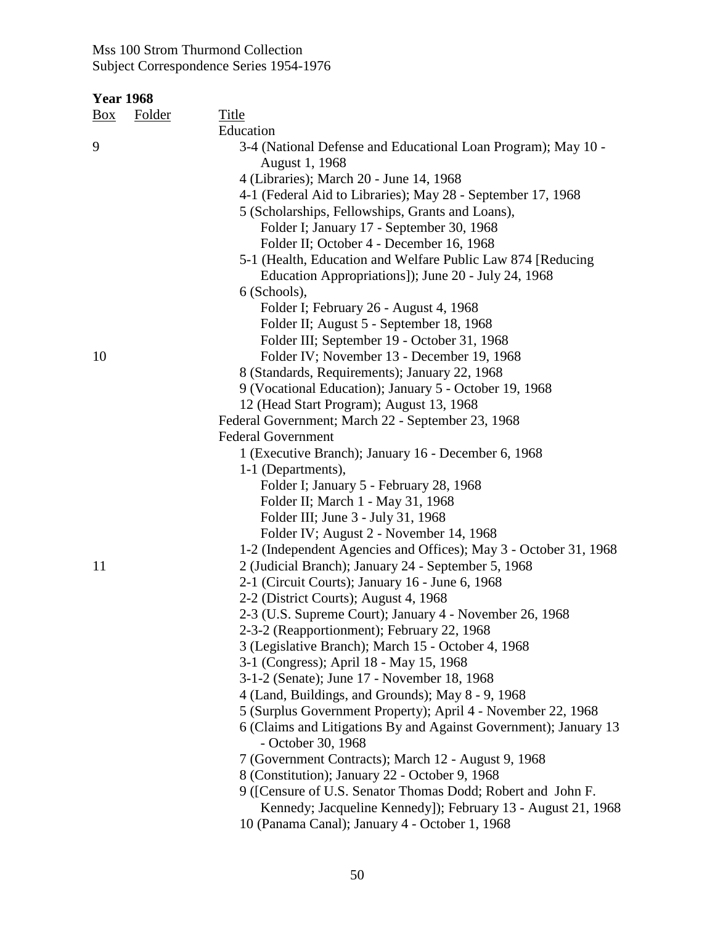| <u>Box</u> | <b>Folder</b> | <b>Title</b>                                                                                                            |
|------------|---------------|-------------------------------------------------------------------------------------------------------------------------|
|            |               | Education                                                                                                               |
| 9          |               | 3-4 (National Defense and Educational Loan Program); May 10 -<br>August 1, 1968                                         |
|            |               | 4 (Libraries); March 20 - June 14, 1968                                                                                 |
|            |               | 4-1 (Federal Aid to Libraries); May 28 - September 17, 1968                                                             |
|            |               | 5 (Scholarships, Fellowships, Grants and Loans),                                                                        |
|            |               | Folder I; January 17 - September 30, 1968                                                                               |
|            |               | Folder II; October 4 - December 16, 1968                                                                                |
|            |               | 5-1 (Health, Education and Welfare Public Law 874 [Reducing                                                             |
|            |               | Education Appropriations]); June 20 - July 24, 1968                                                                     |
|            |               | 6 (Schools),                                                                                                            |
|            |               | Folder I; February 26 - August 4, 1968                                                                                  |
|            |               | Folder II; August 5 - September 18, 1968                                                                                |
|            |               | Folder III; September 19 - October 31, 1968                                                                             |
| 10         |               | Folder IV; November 13 - December 19, 1968                                                                              |
|            |               | 8 (Standards, Requirements); January 22, 1968                                                                           |
|            |               | 9 (Vocational Education); January 5 - October 19, 1968                                                                  |
|            |               | 12 (Head Start Program); August 13, 1968                                                                                |
|            |               | Federal Government; March 22 - September 23, 1968                                                                       |
|            |               | <b>Federal Government</b>                                                                                               |
|            |               | 1 (Executive Branch); January 16 - December 6, 1968                                                                     |
|            |               | 1-1 (Departments),                                                                                                      |
|            |               | Folder I; January 5 - February 28, 1968                                                                                 |
|            |               | Folder II; March 1 - May 31, 1968                                                                                       |
|            |               | Folder III; June 3 - July 31, 1968                                                                                      |
|            |               | Folder IV; August 2 - November 14, 1968                                                                                 |
| 11         |               | 1-2 (Independent Agencies and Offices); May 3 - October 31, 1968<br>2 (Judicial Branch); January 24 - September 5, 1968 |
|            |               | 2-1 (Circuit Courts); January 16 - June 6, 1968                                                                         |
|            |               | 2-2 (District Courts); August 4, 1968                                                                                   |
|            |               | 2-3 (U.S. Supreme Court); January 4 - November 26, 1968                                                                 |
|            |               | 2-3-2 (Reapportionment); February 22, 1968                                                                              |
|            |               | 3 (Legislative Branch); March 15 - October 4, 1968                                                                      |
|            |               | 3-1 (Congress); April 18 - May 15, 1968                                                                                 |
|            |               | 3-1-2 (Senate); June 17 - November 18, 1968                                                                             |
|            |               | 4 (Land, Buildings, and Grounds); May 8 - 9, 1968                                                                       |
|            |               | 5 (Surplus Government Property); April 4 - November 22, 1968                                                            |
|            |               | 6 (Claims and Litigations By and Against Government); January 13<br>- October 30, 1968                                  |
|            |               | 7 (Government Contracts); March 12 - August 9, 1968                                                                     |
|            |               | 8 (Constitution); January 22 - October 9, 1968                                                                          |
|            |               | 9 ([Censure of U.S. Senator Thomas Dodd; Robert and John F.                                                             |
|            |               | Kennedy; Jacqueline Kennedy]); February 13 - August 21, 1968                                                            |
|            |               | 10 (Panama Canal); January 4 - October 1, 1968                                                                          |
|            |               |                                                                                                                         |
|            |               |                                                                                                                         |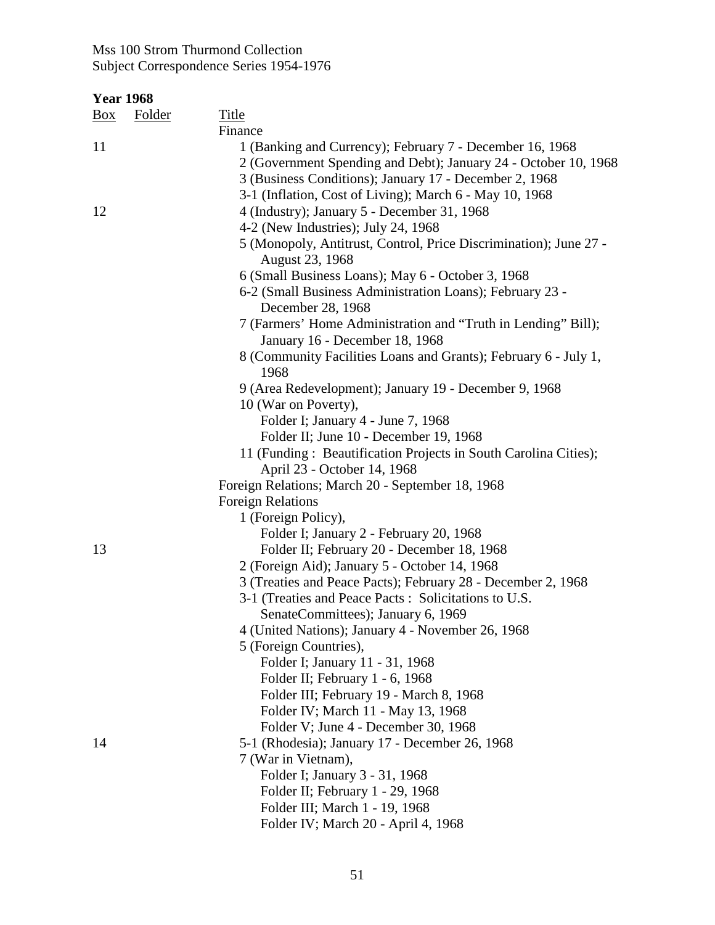| <u>Box</u> | <b>Folder</b> | <b>Title</b>                                                                                    |
|------------|---------------|-------------------------------------------------------------------------------------------------|
|            |               | Finance                                                                                         |
| 11         |               | 1 (Banking and Currency); February 7 - December 16, 1968                                        |
|            |               | 2 (Government Spending and Debt); January 24 - October 10, 1968                                 |
|            |               | 3 (Business Conditions); January 17 - December 2, 1968                                          |
|            |               | 3-1 (Inflation, Cost of Living); March 6 - May 10, 1968                                         |
| 12         |               | 4 (Industry); January 5 - December 31, 1968                                                     |
|            |               | 4-2 (New Industries); July 24, 1968                                                             |
|            |               | 5 (Monopoly, Antitrust, Control, Price Discrimination); June 27 -                               |
|            |               | August 23, 1968                                                                                 |
|            |               | 6 (Small Business Loans); May 6 - October 3, 1968                                               |
|            |               | 6-2 (Small Business Administration Loans); February 23 -                                        |
|            |               | December 28, 1968                                                                               |
|            |               | 7 (Farmers' Home Administration and "Truth in Lending" Bill);<br>January 16 - December 18, 1968 |
|            |               | 8 (Community Facilities Loans and Grants); February 6 - July 1,                                 |
|            |               | 1968                                                                                            |
|            |               | 9 (Area Redevelopment); January 19 - December 9, 1968                                           |
|            |               | 10 (War on Poverty),                                                                            |
|            |               | Folder I; January 4 - June 7, 1968                                                              |
|            |               | Folder II; June 10 - December 19, 1968                                                          |
|            |               | 11 (Funding: Beautification Projects in South Carolina Cities);                                 |
|            |               | April 23 - October 14, 1968                                                                     |
|            |               | Foreign Relations; March 20 - September 18, 1968                                                |
|            |               | <b>Foreign Relations</b>                                                                        |
|            |               | 1 (Foreign Policy),                                                                             |
|            |               | Folder I; January 2 - February 20, 1968                                                         |
| 13         |               | Folder II; February 20 - December 18, 1968                                                      |
|            |               | 2 (Foreign Aid); January 5 - October 14, 1968                                                   |
|            |               | 3 (Treaties and Peace Pacts); February 28 - December 2, 1968                                    |
|            |               | 3-1 (Treaties and Peace Pacts: Solicitations to U.S.                                            |
|            |               | SenateCommittees); January 6, 1969                                                              |
|            |               | 4 (United Nations); January 4 - November 26, 1968                                               |
|            |               | 5 (Foreign Countries),                                                                          |
|            |               | Folder I; January 11 - 31, 1968                                                                 |
|            |               | Folder II; February 1 - 6, 1968                                                                 |
|            |               | Folder III; February 19 - March 8, 1968                                                         |
|            |               | Folder IV; March 11 - May 13, 1968                                                              |
|            |               | Folder V; June 4 - December 30, 1968                                                            |
| 14         |               | 5-1 (Rhodesia); January 17 - December 26, 1968                                                  |
|            |               | 7 (War in Vietnam),                                                                             |
|            |               | Folder I; January 3 - 31, 1968                                                                  |
|            |               | Folder II; February 1 - 29, 1968                                                                |
|            |               | Folder III; March 1 - 19, 1968                                                                  |
|            |               | Folder IV; March 20 - April 4, 1968                                                             |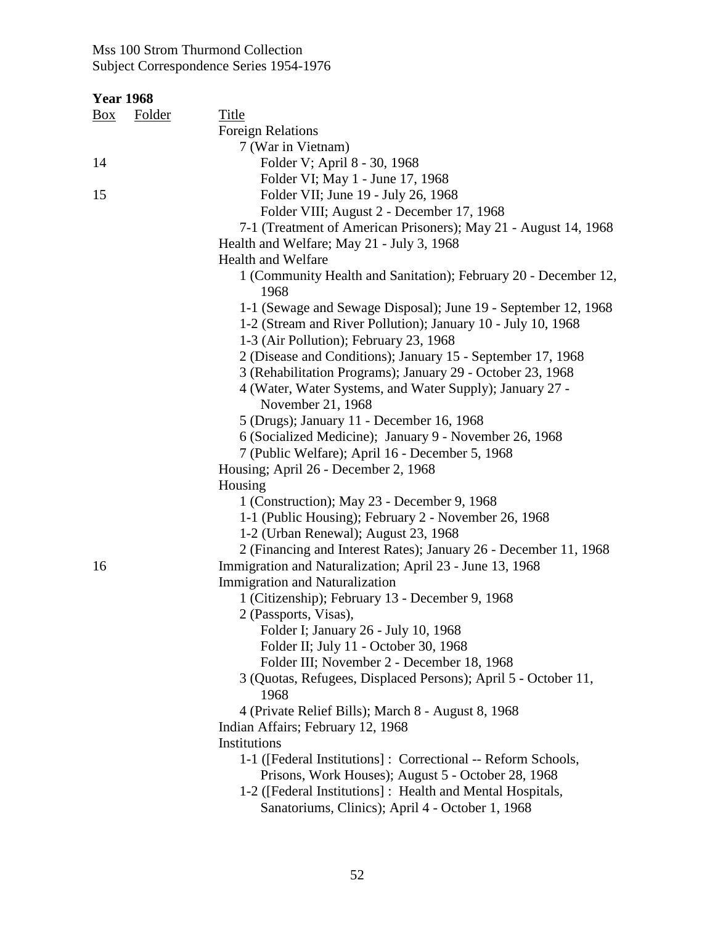| <b>Year 1968</b> |               |                                                                  |
|------------------|---------------|------------------------------------------------------------------|
| $\frac{Box}{}$   | <b>Folder</b> | <b>Title</b>                                                     |
|                  |               | <b>Foreign Relations</b>                                         |
|                  |               | 7 (War in Vietnam)                                               |
| 14               |               | Folder V; April 8 - 30, 1968                                     |
|                  |               | Folder VI; May 1 - June 17, 1968                                 |
| 15               |               | Folder VII; June 19 - July 26, 1968                              |
|                  |               | Folder VIII; August 2 - December 17, 1968                        |
|                  |               | 7-1 (Treatment of American Prisoners); May 21 - August 14, 1968  |
|                  |               | Health and Welfare; May 21 - July 3, 1968                        |
|                  |               | <b>Health and Welfare</b>                                        |
|                  |               | 1 (Community Health and Sanitation); February 20 - December 12,  |
|                  |               | 1968                                                             |
|                  |               | 1-1 (Sewage and Sewage Disposal); June 19 - September 12, 1968   |
|                  |               | 1-2 (Stream and River Pollution); January 10 - July 10, 1968     |
|                  |               | 1-3 (Air Pollution); February 23, 1968                           |
|                  |               | 2 (Disease and Conditions); January 15 - September 17, 1968      |
|                  |               | 3 (Rehabilitation Programs); January 29 - October 23, 1968       |
|                  |               | 4 (Water, Water Systems, and Water Supply); January 27 -         |
|                  |               | November 21, 1968                                                |
|                  |               | 5 (Drugs); January 11 - December 16, 1968                        |
|                  |               | 6 (Socialized Medicine); January 9 - November 26, 1968           |
|                  |               | 7 (Public Welfare); April 16 - December 5, 1968                  |
|                  |               | Housing; April 26 - December 2, 1968                             |
|                  |               | Housing                                                          |
|                  |               | 1 (Construction); May 23 - December 9, 1968                      |
|                  |               | 1-1 (Public Housing); February 2 - November 26, 1968             |
|                  |               | 1-2 (Urban Renewal); August 23, 1968                             |
|                  |               | 2 (Financing and Interest Rates); January 26 - December 11, 1968 |
| 16               |               | Immigration and Naturalization; April 23 - June 13, 1968         |
|                  |               | Immigration and Naturalization                                   |
|                  |               | 1 (Citizenship); February 13 - December 9, 1968                  |
|                  |               | 2 (Passports, Visas),                                            |
|                  |               | Folder I; January 26 - July 10, 1968                             |
|                  |               | Folder II; July 11 - October 30, 1968                            |
|                  |               | Folder III; November 2 - December 18, 1968                       |
|                  |               | 3 (Quotas, Refugees, Displaced Persons); April 5 - October 11,   |
|                  |               | 1968                                                             |
|                  |               | 4 (Private Relief Bills); March 8 - August 8, 1968               |
|                  |               | Indian Affairs; February 12, 1968                                |
|                  |               | Institutions                                                     |
|                  |               | 1-1 ([Federal Institutions] : Correctional -- Reform Schools,    |
|                  |               | Prisons, Work Houses); August 5 - October 28, 1968               |
|                  |               | 1-2 ([Federal Institutions] : Health and Mental Hospitals,       |
|                  |               | Sanatoriums, Clinics); April 4 - October 1, 1968                 |
|                  |               |                                                                  |
|                  |               |                                                                  |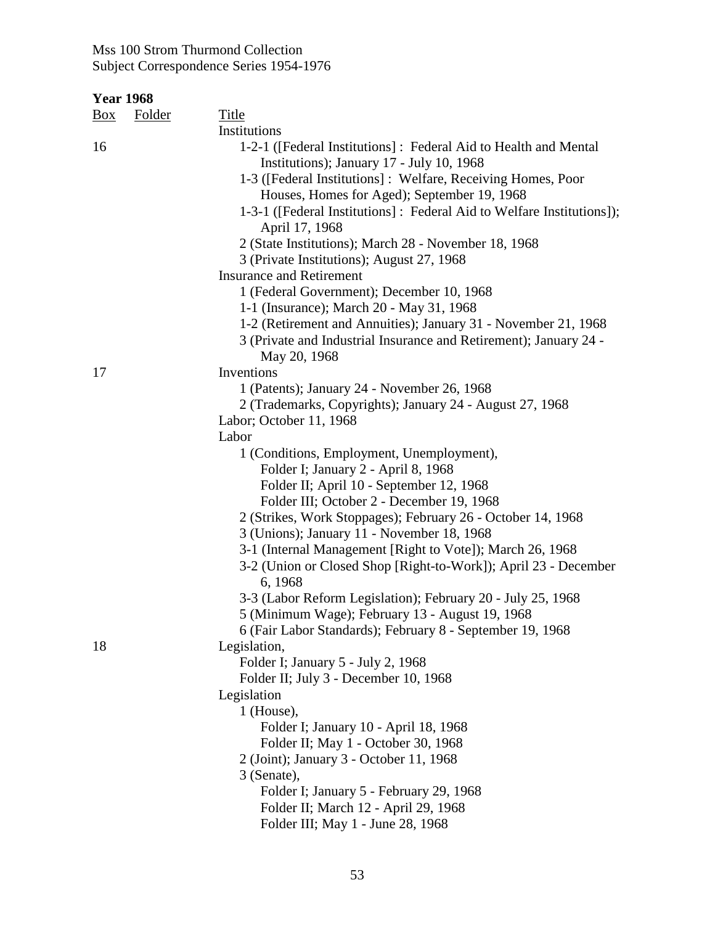| <b>Year 1968</b>                |               |                                                                                                               |
|---------------------------------|---------------|---------------------------------------------------------------------------------------------------------------|
| $\frac{\text{Box}}{\text{Box}}$ | <b>Folder</b> | Title                                                                                                         |
|                                 |               | Institutions                                                                                                  |
| 16                              |               | 1-2-1 ([Federal Institutions] : Federal Aid to Health and Mental<br>Institutions); January 17 - July 10, 1968 |
|                                 |               | 1-3 ([Federal Institutions]: Welfare, Receiving Homes, Poor                                                   |
|                                 |               | Houses, Homes for Aged); September 19, 1968                                                                   |
|                                 |               | 1-3-1 ([Federal Institutions] : Federal Aid to Welfare Institutions]);<br>April 17, 1968                      |
|                                 |               | 2 (State Institutions); March 28 - November 18, 1968                                                          |
|                                 |               | 3 (Private Institutions); August 27, 1968                                                                     |
|                                 |               | <b>Insurance and Retirement</b>                                                                               |
|                                 |               | 1 (Federal Government); December 10, 1968                                                                     |
|                                 |               | 1-1 (Insurance); March 20 - May 31, 1968                                                                      |
|                                 |               | 1-2 (Retirement and Annuities); January 31 - November 21, 1968                                                |
|                                 |               | 3 (Private and Industrial Insurance and Retirement); January 24 -                                             |
|                                 |               | May 20, 1968                                                                                                  |
| 17                              |               | Inventions                                                                                                    |
|                                 |               | 1 (Patents); January 24 - November 26, 1968                                                                   |
|                                 |               | 2 (Trademarks, Copyrights); January 24 - August 27, 1968                                                      |
|                                 |               | Labor; October 11, 1968                                                                                       |
|                                 |               | Labor                                                                                                         |
|                                 |               | 1 (Conditions, Employment, Unemployment),                                                                     |
|                                 |               | Folder I; January 2 - April 8, 1968                                                                           |
|                                 |               | Folder II; April 10 - September 12, 1968                                                                      |
|                                 |               | Folder III; October 2 - December 19, 1968                                                                     |
|                                 |               | 2 (Strikes, Work Stoppages); February 26 - October 14, 1968                                                   |
|                                 |               | 3 (Unions); January 11 - November 18, 1968<br>3-1 (Internal Management [Right to Vote]); March 26, 1968       |
|                                 |               | 3-2 (Union or Closed Shop [Right-to-Work]); April 23 - December                                               |
|                                 |               | 6, 1968                                                                                                       |
|                                 |               | 3-3 (Labor Reform Legislation); February 20 - July 25, 1968                                                   |
|                                 |               | 5 (Minimum Wage); February 13 - August 19, 1968                                                               |
|                                 |               | 6 (Fair Labor Standards); February 8 - September 19, 1968                                                     |
| 18                              |               | Legislation,                                                                                                  |
|                                 |               | Folder I; January 5 - July 2, 1968                                                                            |
|                                 |               | Folder II; July 3 - December 10, 1968                                                                         |
|                                 |               | Legislation                                                                                                   |
|                                 |               | $1$ (House),                                                                                                  |
|                                 |               | Folder I; January 10 - April 18, 1968                                                                         |
|                                 |               | Folder II; May 1 - October 30, 1968                                                                           |
|                                 |               | 2 (Joint); January 3 - October 11, 1968                                                                       |
|                                 |               | 3 (Senate),                                                                                                   |
|                                 |               | Folder I; January 5 - February 29, 1968                                                                       |
|                                 |               | Folder II; March 12 - April 29, 1968<br>Folder III; May 1 - June 28, 1968                                     |
|                                 |               |                                                                                                               |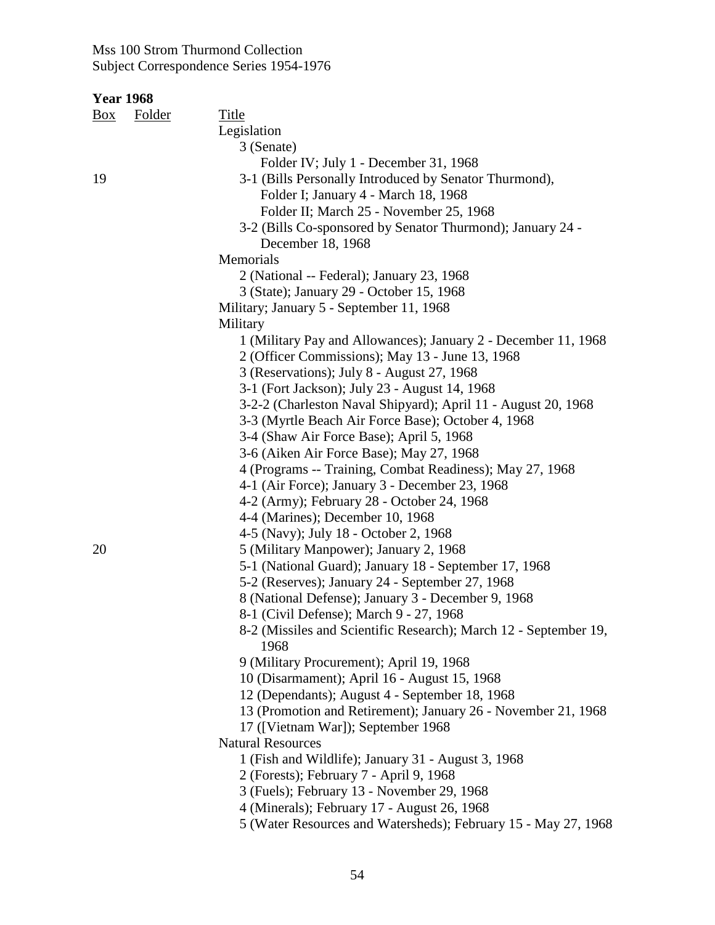| <u>Box</u> | <b>Folder</b> | Title                                                            |
|------------|---------------|------------------------------------------------------------------|
|            |               | Legislation                                                      |
|            |               | 3 (Senate)                                                       |
|            |               | Folder IV; July 1 - December 31, 1968                            |
| 19         |               | 3-1 (Bills Personally Introduced by Senator Thurmond),           |
|            |               | Folder I; January 4 - March 18, 1968                             |
|            |               | Folder II; March 25 - November 25, 1968                          |
|            |               | 3-2 (Bills Co-sponsored by Senator Thurmond); January 24 -       |
|            |               | December 18, 1968                                                |
|            |               | Memorials                                                        |
|            |               | 2 (National -- Federal); January 23, 1968                        |
|            |               | 3 (State); January 29 - October 15, 1968                         |
|            |               | Military; January 5 - September 11, 1968                         |
|            |               | Military                                                         |
|            |               | 1 (Military Pay and Allowances); January 2 - December 11, 1968   |
|            |               | 2 (Officer Commissions); May 13 - June 13, 1968                  |
|            |               | 3 (Reservations); July 8 - August 27, 1968                       |
|            |               | 3-1 (Fort Jackson); July 23 - August 14, 1968                    |
|            |               | 3-2-2 (Charleston Naval Shipyard); April 11 - August 20, 1968    |
|            |               | 3-3 (Myrtle Beach Air Force Base); October 4, 1968               |
|            |               | 3-4 (Shaw Air Force Base); April 5, 1968                         |
|            |               | 3-6 (Aiken Air Force Base); May 27, 1968                         |
|            |               | 4 (Programs -- Training, Combat Readiness); May 27, 1968         |
|            |               | 4-1 (Air Force); January 3 - December 23, 1968                   |
|            |               | 4-2 (Army); February 28 - October 24, 1968                       |
|            |               | 4-4 (Marines); December 10, 1968                                 |
|            |               | 4-5 (Navy); July 18 - October 2, 1968                            |
| 20         |               | 5 (Military Manpower); January 2, 1968                           |
|            |               | 5-1 (National Guard); January 18 - September 17, 1968            |
|            |               | 5-2 (Reserves); January 24 - September 27, 1968                  |
|            |               | 8 (National Defense); January 3 - December 9, 1968               |
|            |               | 8-1 (Civil Defense); March 9 - 27, 1968                          |
|            |               | 8-2 (Missiles and Scientific Research); March 12 - September 19, |
|            |               | 1968                                                             |
|            |               | 9 (Military Procurement); April 19, 1968                         |
|            |               | 10 (Disarmament); April 16 - August 15, 1968                     |
|            |               | 12 (Dependants); August 4 - September 18, 1968                   |
|            |               | 13 (Promotion and Retirement); January 26 - November 21, 1968    |
|            |               | 17 ([Vietnam War]); September 1968                               |
|            |               | <b>Natural Resources</b>                                         |
|            |               | 1 (Fish and Wildlife); January 31 - August 3, 1968               |
|            |               | 2 (Forests); February 7 - April 9, 1968                          |
|            |               | 3 (Fuels); February 13 - November 29, 1968                       |
|            |               | 4 (Minerals); February 17 - August 26, 1968                      |
|            |               | 5 (Water Resources and Watersheds); February 15 - May 27, 1968   |
|            |               |                                                                  |
|            |               |                                                                  |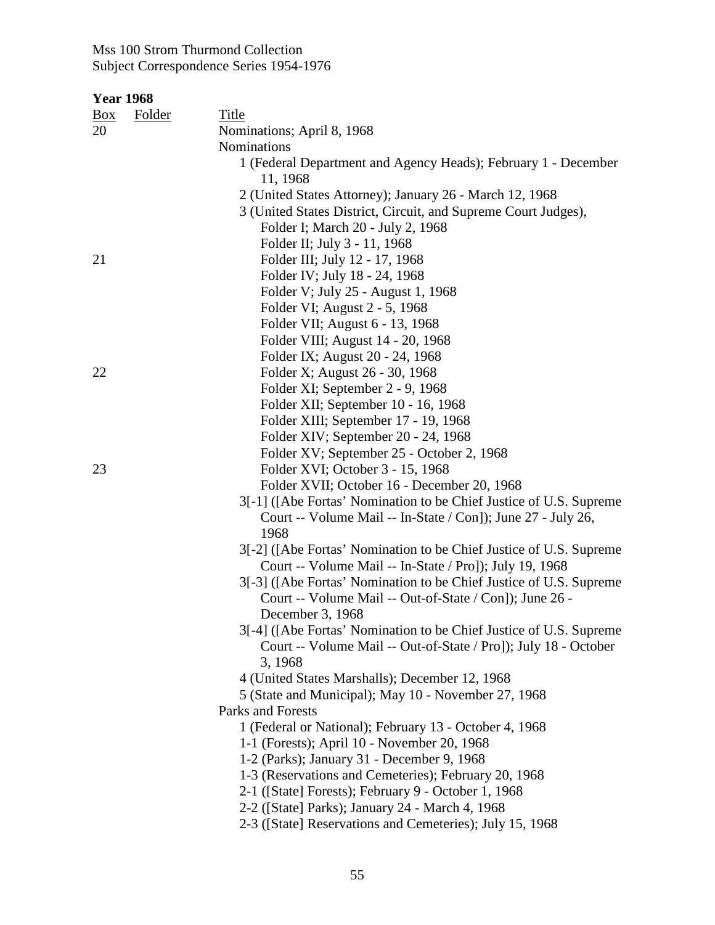| <b>Year 1968</b> |               |                                                                                        |
|------------------|---------------|----------------------------------------------------------------------------------------|
| $\frac{Box}{}$   | <b>Folder</b> | <b>Title</b>                                                                           |
| 20               |               | Nominations; April 8, 1968                                                             |
|                  |               | Nominations                                                                            |
|                  |               | 1 (Federal Department and Agency Heads); February 1 - December                         |
|                  |               | 11, 1968                                                                               |
|                  |               | 2 (United States Attorney); January 26 - March 12, 1968                                |
|                  |               | 3 (United States District, Circuit, and Supreme Court Judges),                         |
|                  |               | Folder I; March 20 - July 2, 1968                                                      |
|                  |               | Folder II; July 3 - 11, 1968                                                           |
| 21               |               | Folder III; July 12 - 17, 1968                                                         |
|                  |               | Folder IV; July 18 - 24, 1968                                                          |
|                  |               | Folder V; July 25 - August 1, 1968                                                     |
|                  |               | Folder VI; August 2 - 5, 1968                                                          |
|                  |               | Folder VII; August 6 - 13, 1968                                                        |
|                  |               | Folder VIII; August 14 - 20, 1968                                                      |
|                  |               | Folder IX; August 20 - 24, 1968                                                        |
| 22               |               | Folder X; August 26 - 30, 1968                                                         |
|                  |               | Folder XI; September 2 - 9, 1968                                                       |
|                  |               | Folder XII; September 10 - 16, 1968                                                    |
|                  |               | Folder XIII; September 17 - 19, 1968                                                   |
|                  |               | Folder XIV; September 20 - 24, 1968                                                    |
|                  |               | Folder XV; September 25 - October 2, 1968                                              |
| 23               |               | Folder XVI; October 3 - 15, 1968                                                       |
|                  |               | Folder XVII; October 16 - December 20, 1968                                            |
|                  |               | 3[-1] ([Abe Fortas' Nomination to be Chief Justice of U.S. Supreme                     |
|                  |               | Court -- Volume Mail -- In-State / Con]); June 27 - July 26,                           |
|                  |               | 1968                                                                                   |
|                  |               | 3[-2] ([Abe Fortas' Nomination to be Chief Justice of U.S. Supreme                     |
|                  |               | Court -- Volume Mail -- In-State / Pro]); July 19, 1968                                |
|                  |               | 3[-3] ([Abe Fortas' Nomination to be Chief Justice of U.S. Supreme                     |
|                  |               | Court -- Volume Mail -- Out-of-State / Con]); June 26 -                                |
|                  |               | December 3, 1968<br>3[-4] ([Abe Fortas' Nomination to be Chief Justice of U.S. Supreme |
|                  |               | Court -- Volume Mail -- Out-of-State / Pro]); July 18 - October                        |
|                  |               | 3, 1968                                                                                |
|                  |               | 4 (United States Marshalls); December 12, 1968                                         |
|                  |               | 5 (State and Municipal); May 10 - November 27, 1968                                    |
|                  |               | <b>Parks and Forests</b>                                                               |
|                  |               | 1 (Federal or National); February 13 - October 4, 1968                                 |
|                  |               | 1-1 (Forests); April 10 - November 20, 1968                                            |
|                  |               | 1-2 (Parks); January 31 - December 9, 1968                                             |
|                  |               | 1-3 (Reservations and Cemeteries); February 20, 1968                                   |
|                  |               | 2-1 ([State] Forests); February 9 - October 1, 1968                                    |
|                  |               | 2-2 ([State] Parks); January 24 - March 4, 1968                                        |
|                  |               | 2-3 ([State] Reservations and Cemeteries); July 15, 1968                               |
|                  |               |                                                                                        |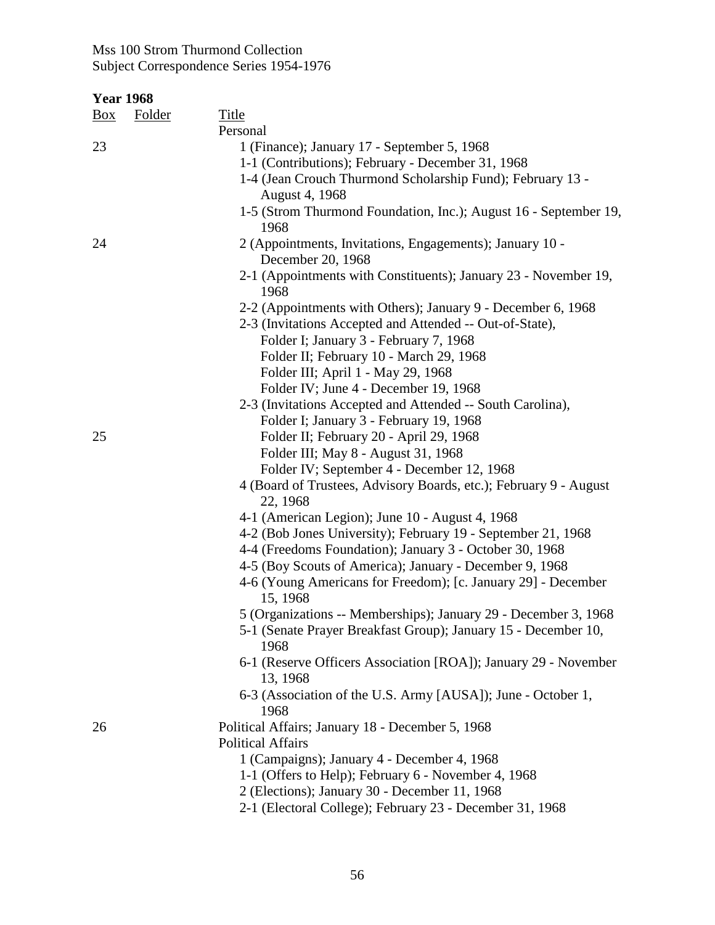| <b>Year 1968</b> |               |                                                                                                                          |
|------------------|---------------|--------------------------------------------------------------------------------------------------------------------------|
| <u>Box</u>       | <b>Folder</b> | <b>Title</b>                                                                                                             |
|                  |               | Personal                                                                                                                 |
| 23               |               | 1 (Finance); January 17 - September 5, 1968                                                                              |
|                  |               | 1-1 (Contributions); February - December 31, 1968                                                                        |
|                  |               | 1-4 (Jean Crouch Thurmond Scholarship Fund); February 13 -                                                               |
|                  |               | August 4, 1968                                                                                                           |
|                  |               | 1-5 (Strom Thurmond Foundation, Inc.); August 16 - September 19,<br>1968                                                 |
| 24               |               | 2 (Appointments, Invitations, Engagements); January 10 -<br>December 20, 1968                                            |
|                  |               | 2-1 (Appointments with Constituents); January 23 - November 19,<br>1968                                                  |
|                  |               | 2-2 (Appointments with Others); January 9 - December 6, 1968<br>2-3 (Invitations Accepted and Attended -- Out-of-State), |
|                  |               | Folder I; January 3 - February 7, 1968                                                                                   |
|                  |               | Folder II; February 10 - March 29, 1968                                                                                  |
|                  |               | Folder III; April 1 - May 29, 1968                                                                                       |
|                  |               | Folder IV; June 4 - December 19, 1968                                                                                    |
|                  |               | 2-3 (Invitations Accepted and Attended -- South Carolina),                                                               |
|                  |               | Folder I; January 3 - February 19, 1968                                                                                  |
| 25               |               | Folder II; February 20 - April 29, 1968                                                                                  |
|                  |               | Folder III; May 8 - August 31, 1968                                                                                      |
|                  |               | Folder IV; September 4 - December 12, 1968                                                                               |
|                  |               | 4 (Board of Trustees, Advisory Boards, etc.); February 9 - August                                                        |
|                  |               | 22, 1968                                                                                                                 |
|                  |               | 4-1 (American Legion); June 10 - August 4, 1968                                                                          |
|                  |               | 4-2 (Bob Jones University); February 19 - September 21, 1968                                                             |
|                  |               | 4-4 (Freedoms Foundation); January 3 - October 30, 1968                                                                  |
|                  |               | 4-5 (Boy Scouts of America); January - December 9, 1968                                                                  |
|                  |               | 4-6 (Young Americans for Freedom); [c. January 29] - December                                                            |
|                  |               | 15, 1968                                                                                                                 |
|                  |               | 5 (Organizations -- Memberships); January 29 - December 3, 1968                                                          |
|                  |               | 5-1 (Senate Prayer Breakfast Group); January 15 - December 10,<br>1968                                                   |
|                  |               | 6-1 (Reserve Officers Association [ROA]); January 29 - November<br>13, 1968                                              |
|                  |               | 6-3 (Association of the U.S. Army [AUSA]); June - October 1,<br>1968                                                     |
| 26               |               | Political Affairs; January 18 - December 5, 1968                                                                         |
|                  |               | <b>Political Affairs</b>                                                                                                 |
|                  |               | 1 (Campaigns); January 4 - December 4, 1968                                                                              |
|                  |               | 1-1 (Offers to Help); February 6 - November 4, 1968                                                                      |
|                  |               | 2 (Elections); January 30 - December 11, 1968                                                                            |
|                  |               | 2-1 (Electoral College); February 23 - December 31, 1968                                                                 |
|                  |               |                                                                                                                          |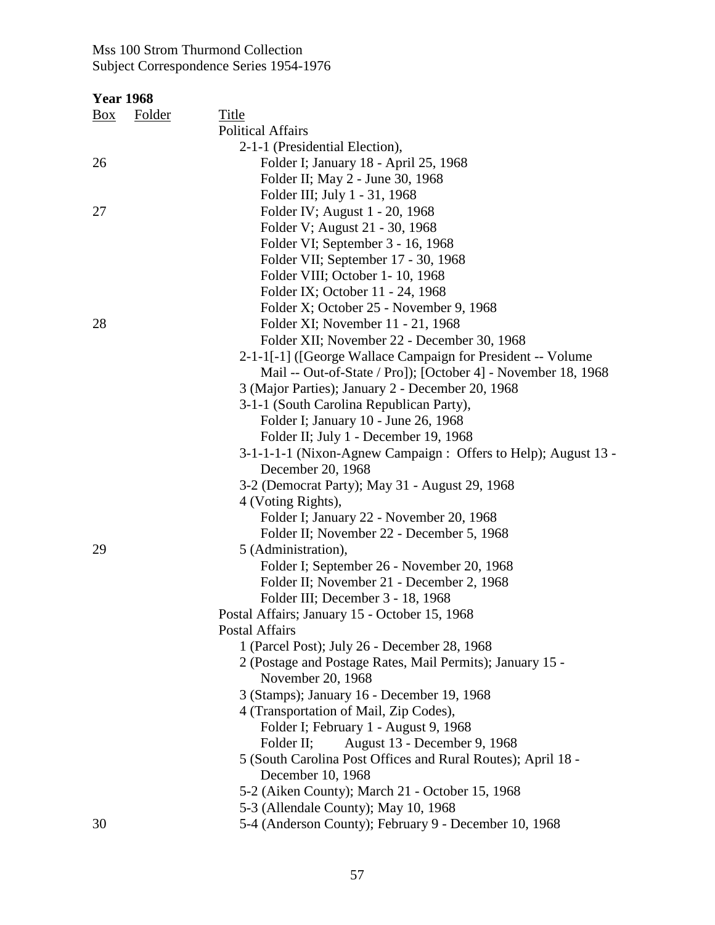| <b>Box</b> | <b>Folder</b> | <b>Title</b>                                                   |
|------------|---------------|----------------------------------------------------------------|
|            |               | <b>Political Affairs</b>                                       |
|            |               | 2-1-1 (Presidential Election),                                 |
| 26         |               | Folder I; January 18 - April 25, 1968                          |
|            |               | Folder II; May 2 - June 30, 1968                               |
|            |               | Folder III; July 1 - 31, 1968                                  |
| 27         |               | Folder IV; August 1 - 20, 1968                                 |
|            |               | Folder V; August 21 - 30, 1968                                 |
|            |               | Folder VI; September 3 - 16, 1968                              |
|            |               | Folder VII; September 17 - 30, 1968                            |
|            |               | Folder VIII; October 1-10, 1968                                |
|            |               | Folder IX; October 11 - 24, 1968                               |
|            |               | Folder X; October 25 - November 9, 1968                        |
| 28         |               | Folder XI; November 11 - 21, 1968                              |
|            |               | Folder XII; November 22 - December 30, 1968                    |
|            |               | 2-1-1[-1] ([George Wallace Campaign for President -- Volume    |
|            |               | Mail -- Out-of-State / Pro]); [October 4] - November 18, 1968  |
|            |               | 3 (Major Parties); January 2 - December 20, 1968               |
|            |               | 3-1-1 (South Carolina Republican Party),                       |
|            |               | Folder I; January 10 - June 26, 1968                           |
|            |               | Folder II; July 1 - December 19, 1968                          |
|            |               | 3-1-1-1-1 (Nixon-Agnew Campaign : Offers to Help); August 13 - |
|            |               | December 20, 1968                                              |
|            |               | 3-2 (Democrat Party); May 31 - August 29, 1968                 |
|            |               | 4 (Voting Rights),                                             |
|            |               | Folder I; January 22 - November 20, 1968                       |
|            |               | Folder II; November 22 - December 5, 1968                      |
| 29         |               | 5 (Administration),                                            |
|            |               | Folder I; September 26 - November 20, 1968                     |
|            |               | Folder II; November 21 - December 2, 1968                      |
|            |               | Folder III; December 3 - 18, 1968                              |
|            |               | Postal Affairs; January 15 - October 15, 1968                  |
|            |               | Postal Affairs                                                 |
|            |               | 1 (Parcel Post); July 26 - December 28, 1968                   |
|            |               | 2 (Postage and Postage Rates, Mail Permits); January 15 -      |
|            |               | November 20, 1968                                              |
|            |               | 3 (Stamps); January 16 - December 19, 1968                     |
|            |               | 4 (Transportation of Mail, Zip Codes),                         |
|            |               | Folder I; February 1 - August 9, 1968                          |
|            |               | August 13 - December 9, 1968<br>Folder II;                     |
|            |               | 5 (South Carolina Post Offices and Rural Routes); April 18 -   |
|            |               | December 10, 1968                                              |
|            |               | 5-2 (Aiken County); March 21 - October 15, 1968                |
|            |               | 5-3 (Allendale County); May 10, 1968                           |
| 30         |               | 5-4 (Anderson County); February 9 - December 10, 1968          |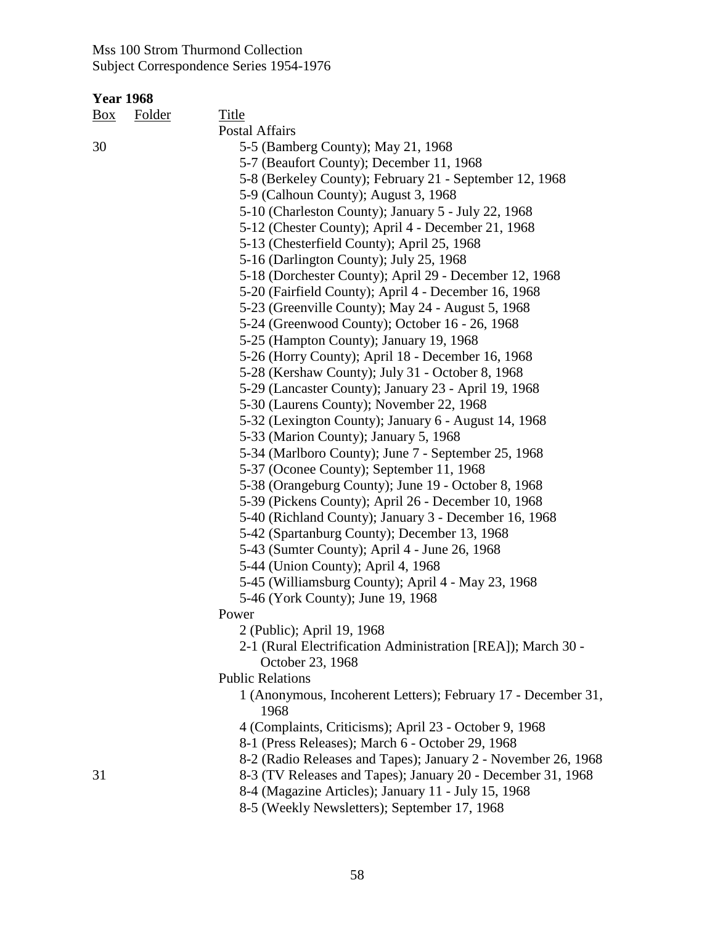| <u>Box</u> | Folder | Title                                                                 |
|------------|--------|-----------------------------------------------------------------------|
|            |        | Postal Affairs                                                        |
| 30         |        | 5-5 (Bamberg County); May 21, 1968                                    |
|            |        | 5-7 (Beaufort County); December 11, 1968                              |
|            |        | 5-8 (Berkeley County); February 21 - September 12, 1968               |
|            |        | 5-9 (Calhoun County); August 3, 1968                                  |
|            |        | 5-10 (Charleston County); January 5 - July 22, 1968                   |
|            |        | 5-12 (Chester County); April 4 - December 21, 1968                    |
|            |        | 5-13 (Chesterfield County); April 25, 1968                            |
|            |        | 5-16 (Darlington County); July 25, 1968                               |
|            |        | 5-18 (Dorchester County); April 29 - December 12, 1968                |
|            |        | 5-20 (Fairfield County); April 4 - December 16, 1968                  |
|            |        | 5-23 (Greenville County); May 24 - August 5, 1968                     |
|            |        | 5-24 (Greenwood County); October 16 - 26, 1968                        |
|            |        | 5-25 (Hampton County); January 19, 1968                               |
|            |        | 5-26 (Horry County); April 18 - December 16, 1968                     |
|            |        | 5-28 (Kershaw County); July 31 - October 8, 1968                      |
|            |        | 5-29 (Lancaster County); January 23 - April 19, 1968                  |
|            |        | 5-30 (Laurens County); November 22, 1968                              |
|            |        | 5-32 (Lexington County); January 6 - August 14, 1968                  |
|            |        | 5-33 (Marion County); January 5, 1968                                 |
|            |        | 5-34 (Marlboro County); June 7 - September 25, 1968                   |
|            |        | 5-37 (Oconee County); September 11, 1968                              |
|            |        | 5-38 (Orangeburg County); June 19 - October 8, 1968                   |
|            |        | 5-39 (Pickens County); April 26 - December 10, 1968                   |
|            |        | 5-40 (Richland County); January 3 - December 16, 1968                 |
|            |        | 5-42 (Spartanburg County); December 13, 1968                          |
|            |        | 5-43 (Sumter County); April 4 - June 26, 1968                         |
|            |        | 5-44 (Union County); April 4, 1968                                    |
|            |        | 5-45 (Williamsburg County); April 4 - May 23, 1968                    |
|            |        | 5-46 (York County); June 19, 1968                                     |
|            |        | Power                                                                 |
|            |        | 2 (Public); April 19, 1968                                            |
|            |        | 2-1 (Rural Electrification Administration [REA]); March 30 -          |
|            |        | October 23, 1968                                                      |
|            |        | <b>Public Relations</b>                                               |
|            |        | 1 (Anonymous, Incoherent Letters); February 17 - December 31,<br>1968 |
|            |        | 4 (Complaints, Criticisms); April 23 - October 9, 1968                |
|            |        | 8-1 (Press Releases); March 6 - October 29, 1968                      |
|            |        | 8-2 (Radio Releases and Tapes); January 2 - November 26, 1968         |
| 31         |        | 8-3 (TV Releases and Tapes); January 20 - December 31, 1968           |
|            |        | 8-4 (Magazine Articles); January 11 - July 15, 1968                   |
|            |        | 8-5 (Weekly Newsletters); September 17, 1968                          |
|            |        |                                                                       |
|            |        |                                                                       |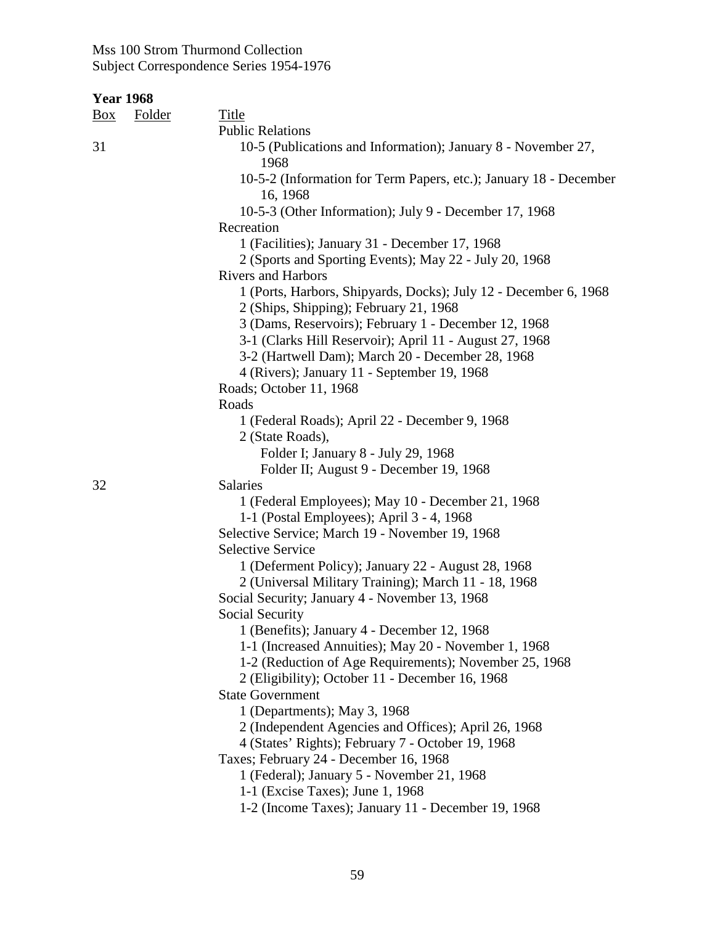| Box | Folder | <b>Title</b>                                                                         |
|-----|--------|--------------------------------------------------------------------------------------|
|     |        | <b>Public Relations</b>                                                              |
| 31  |        | 10-5 (Publications and Information); January 8 - November 27,<br>1968                |
|     |        | 10-5-2 (Information for Term Papers, etc.); January 18 - December<br>16, 1968        |
|     |        | 10-5-3 (Other Information); July 9 - December 17, 1968                               |
|     |        | Recreation                                                                           |
|     |        | 1 (Facilities); January 31 - December 17, 1968                                       |
|     |        | 2 (Sports and Sporting Events); May 22 - July 20, 1968                               |
|     |        | <b>Rivers and Harbors</b>                                                            |
|     |        | 1 (Ports, Harbors, Shipyards, Docks); July 12 - December 6, 1968                     |
|     |        | 2 (Ships, Shipping); February 21, 1968                                               |
|     |        | 3 (Dams, Reservoirs); February 1 - December 12, 1968                                 |
|     |        | 3-1 (Clarks Hill Reservoir); April 11 - August 27, 1968                              |
|     |        | 3-2 (Hartwell Dam); March 20 - December 28, 1968                                     |
|     |        | 4 (Rivers); January 11 - September 19, 1968                                          |
|     |        | Roads; October 11, 1968                                                              |
|     |        | Roads                                                                                |
|     |        | 1 (Federal Roads); April 22 - December 9, 1968                                       |
|     |        | 2 (State Roads),                                                                     |
|     |        | Folder I; January 8 - July 29, 1968                                                  |
| 32  |        | Folder II; August 9 - December 19, 1968<br>Salaries                                  |
|     |        | 1 (Federal Employees); May 10 - December 21, 1968                                    |
|     |        | 1-1 (Postal Employees); April 3 - 4, 1968                                            |
|     |        | Selective Service; March 19 - November 19, 1968                                      |
|     |        | <b>Selective Service</b>                                                             |
|     |        | 1 (Deferment Policy); January 22 - August 28, 1968                                   |
|     |        | 2 (Universal Military Training); March 11 - 18, 1968                                 |
|     |        | Social Security; January 4 - November 13, 1968                                       |
|     |        | Social Security                                                                      |
|     |        | 1 (Benefits); January 4 - December 12, 1968                                          |
|     |        | 1-1 (Increased Annuities); May 20 - November 1, 1968                                 |
|     |        | 1-2 (Reduction of Age Requirements); November 25, 1968                               |
|     |        | 2 (Eligibility); October 11 - December 16, 1968                                      |
|     |        | <b>State Government</b>                                                              |
|     |        | 1 (Departments); May 3, 1968                                                         |
|     |        | 2 (Independent Agencies and Offices); April 26, 1968                                 |
|     |        | 4 (States' Rights); February 7 - October 19, 1968                                    |
|     |        | Taxes; February 24 - December 16, 1968<br>1 (Federal); January 5 - November 21, 1968 |
|     |        | 1-1 (Excise Taxes); June 1, 1968                                                     |
|     |        | 1-2 (Income Taxes); January 11 - December 19, 1968                                   |
|     |        |                                                                                      |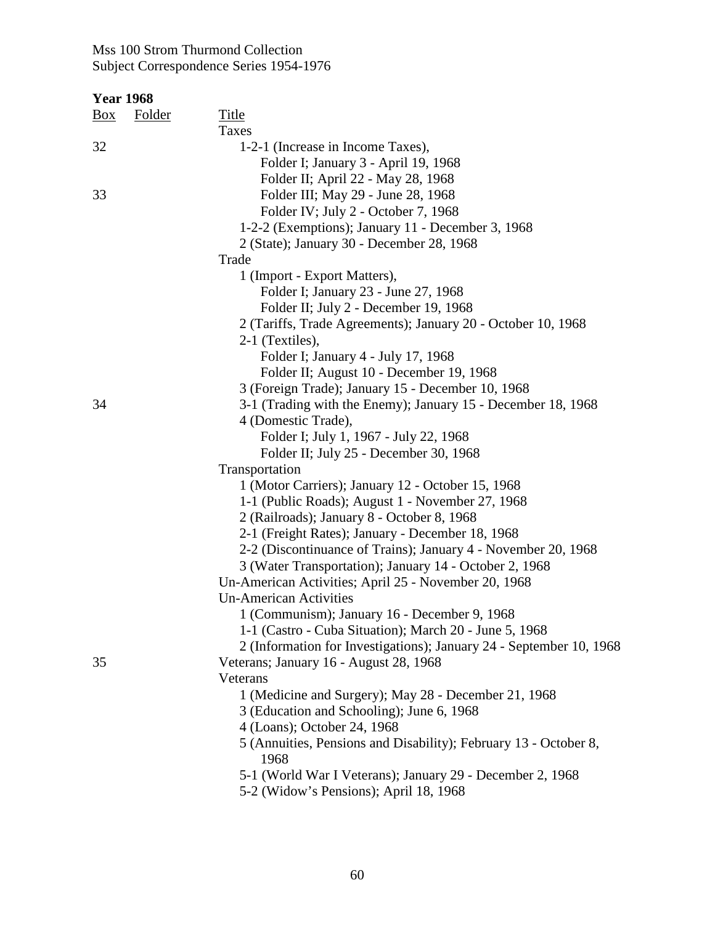| <b>Year 1968</b> |        |                                                                     |
|------------------|--------|---------------------------------------------------------------------|
| Box              | Folder | <b>Title</b>                                                        |
|                  |        | Taxes                                                               |
| 32               |        | 1-2-1 (Increase in Income Taxes),                                   |
|                  |        | Folder I; January 3 - April 19, 1968                                |
|                  |        | Folder II; April 22 - May 28, 1968                                  |
| 33               |        | Folder III; May 29 - June 28, 1968                                  |
|                  |        | Folder IV; July 2 - October 7, 1968                                 |
|                  |        | 1-2-2 (Exemptions); January 11 - December 3, 1968                   |
|                  |        | 2 (State); January 30 - December 28, 1968                           |
|                  |        | Trade                                                               |
|                  |        | 1 (Import - Export Matters),                                        |
|                  |        | Folder I; January 23 - June 27, 1968                                |
|                  |        | Folder II; July 2 - December 19, 1968                               |
|                  |        | 2 (Tariffs, Trade Agreements); January 20 - October 10, 1968        |
|                  |        | 2-1 (Textiles),                                                     |
|                  |        | Folder I; January 4 - July 17, 1968                                 |
|                  |        | Folder II; August 10 - December 19, 1968                            |
|                  |        | 3 (Foreign Trade); January 15 - December 10, 1968                   |
| 34               |        | 3-1 (Trading with the Enemy); January 15 - December 18, 1968        |
|                  |        | 4 (Domestic Trade),                                                 |
|                  |        | Folder I; July 1, 1967 - July 22, 1968                              |
|                  |        | Folder II; July 25 - December 30, 1968                              |
|                  |        | Transportation                                                      |
|                  |        | 1 (Motor Carriers); January 12 - October 15, 1968                   |
|                  |        | 1-1 (Public Roads); August 1 - November 27, 1968                    |
|                  |        | 2 (Railroads); January 8 - October 8, 1968                          |
|                  |        | 2-1 (Freight Rates); January - December 18, 1968                    |
|                  |        | 2-2 (Discontinuance of Trains); January 4 - November 20, 1968       |
|                  |        | 3 (Water Transportation); January 14 - October 2, 1968              |
|                  |        | Un-American Activities; April 25 - November 20, 1968                |
|                  |        | <b>Un-American Activities</b>                                       |
|                  |        | 1 (Communism); January 16 - December 9, 1968                        |
|                  |        | 1-1 (Castro - Cuba Situation); March 20 - June 5, 1968              |
|                  |        | 2 (Information for Investigations); January 24 - September 10, 1968 |
| 35               |        | Veterans; January 16 - August 28, 1968                              |
|                  |        | Veterans                                                            |
|                  |        | 1 (Medicine and Surgery); May 28 - December 21, 1968                |
|                  |        | 3 (Education and Schooling); June 6, 1968                           |
|                  |        | 4 (Loans); October 24, 1968                                         |
|                  |        | 5 (Annuities, Pensions and Disability); February 13 - October 8,    |
|                  |        | 1968                                                                |
|                  |        | 5-1 (World War I Veterans); January 29 - December 2, 1968           |
|                  |        | 5-2 (Widow's Pensions); April 18, 1968                              |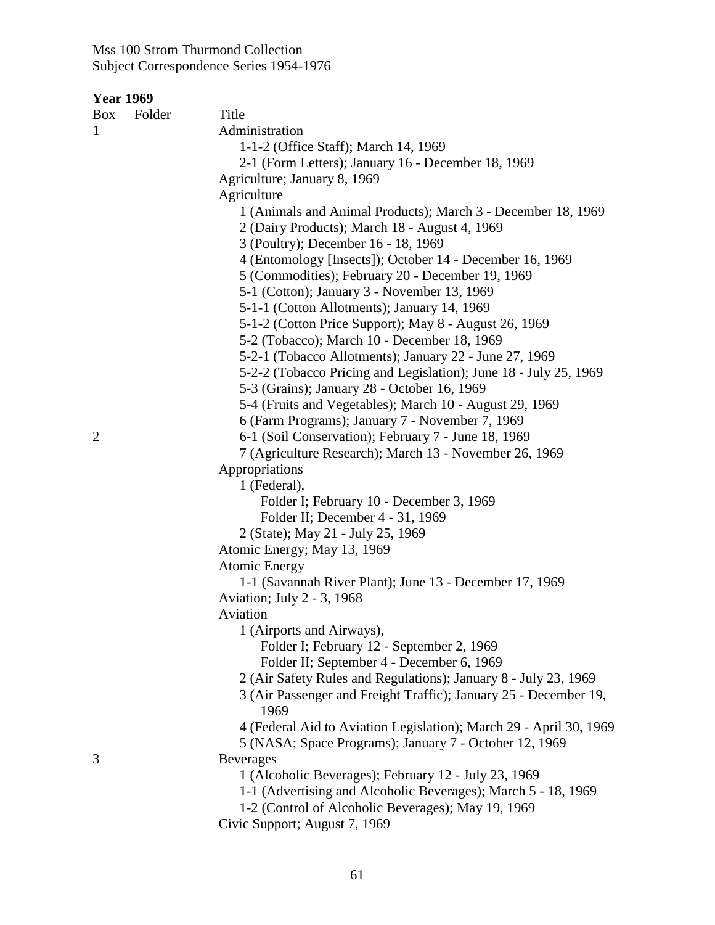| <b>Year 1969</b> |        |                                                                    |
|------------------|--------|--------------------------------------------------------------------|
| $\frac{Box}{}$   | Folder | Title                                                              |
| $\mathbf{1}$     |        | Administration                                                     |
|                  |        | 1-1-2 (Office Staff); March 14, 1969                               |
|                  |        | 2-1 (Form Letters); January 16 - December 18, 1969                 |
|                  |        | Agriculture; January 8, 1969                                       |
|                  |        | Agriculture                                                        |
|                  |        | 1 (Animals and Animal Products); March 3 - December 18, 1969       |
|                  |        | 2 (Dairy Products); March 18 - August 4, 1969                      |
|                  |        | 3 (Poultry); December 16 - 18, 1969                                |
|                  |        | 4 (Entomology [Insects]); October 14 - December 16, 1969           |
|                  |        | 5 (Commodities); February 20 - December 19, 1969                   |
|                  |        | 5-1 (Cotton); January 3 - November 13, 1969                        |
|                  |        | 5-1-1 (Cotton Allotments); January 14, 1969                        |
|                  |        | 5-1-2 (Cotton Price Support); May 8 - August 26, 1969              |
|                  |        | 5-2 (Tobacco); March 10 - December 18, 1969                        |
|                  |        | 5-2-1 (Tobacco Allotments); January 22 - June 27, 1969             |
|                  |        | 5-2-2 (Tobacco Pricing and Legislation); June 18 - July 25, 1969   |
|                  |        | 5-3 (Grains); January 28 - October 16, 1969                        |
|                  |        | 5-4 (Fruits and Vegetables); March 10 - August 29, 1969            |
|                  |        | 6 (Farm Programs); January 7 - November 7, 1969                    |
| $\overline{2}$   |        | 6-1 (Soil Conservation); February 7 - June 18, 1969                |
|                  |        | 7 (Agriculture Research); March 13 - November 26, 1969             |
|                  |        | Appropriations                                                     |
|                  |        | 1 (Federal),                                                       |
|                  |        | Folder I; February 10 - December 3, 1969                           |
|                  |        | Folder II; December 4 - 31, 1969                                   |
|                  |        | 2 (State); May 21 - July 25, 1969                                  |
|                  |        | Atomic Energy; May 13, 1969                                        |
|                  |        | <b>Atomic Energy</b>                                               |
|                  |        | 1-1 (Savannah River Plant); June 13 - December 17, 1969            |
|                  |        | Aviation; July 2 - 3, 1968                                         |
|                  |        | Aviation                                                           |
|                  |        | 1 (Airports and Airways),                                          |
|                  |        | Folder I; February 12 - September 2, 1969                          |
|                  |        | Folder II; September 4 - December 6, 1969                          |
|                  |        | 2 (Air Safety Rules and Regulations); January 8 - July 23, 1969    |
|                  |        | 3 (Air Passenger and Freight Traffic); January 25 - December 19,   |
|                  |        | 1969                                                               |
|                  |        | 4 (Federal Aid to Aviation Legislation); March 29 - April 30, 1969 |
|                  |        | 5 (NASA; Space Programs); January 7 - October 12, 1969             |
| 3                |        | <b>Beverages</b>                                                   |
|                  |        | 1 (Alcoholic Beverages); February 12 - July 23, 1969               |
|                  |        | 1-1 (Advertising and Alcoholic Beverages); March 5 - 18, 1969      |
|                  |        | 1-2 (Control of Alcoholic Beverages); May 19, 1969                 |
|                  |        | Civic Support; August 7, 1969                                      |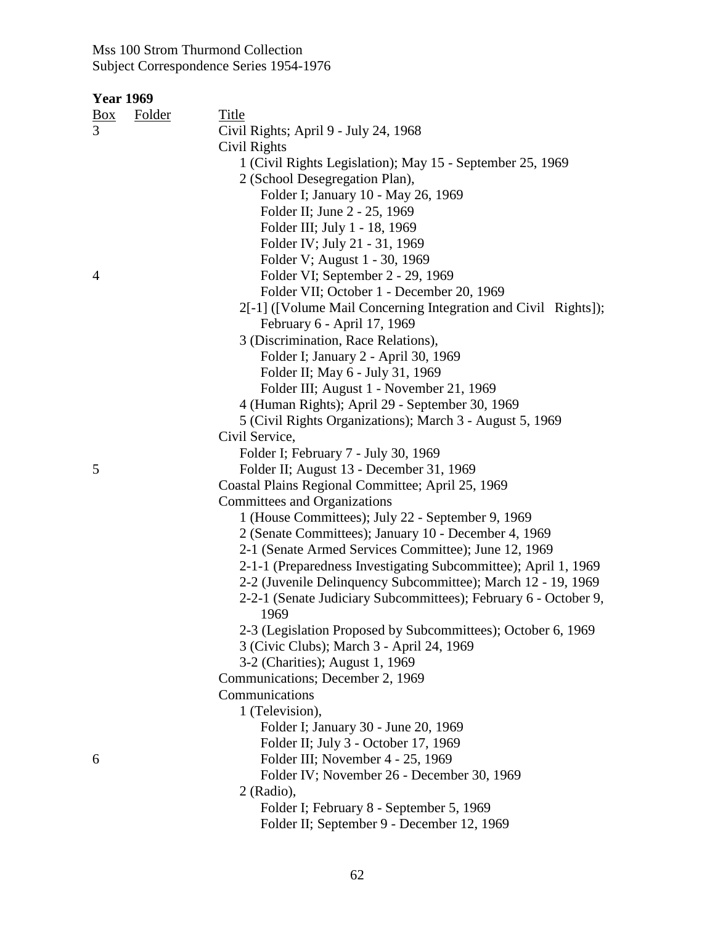| Box | Folder | Title                                                           |
|-----|--------|-----------------------------------------------------------------|
| 3   |        | Civil Rights; April 9 - July 24, 1968                           |
|     |        | Civil Rights                                                    |
|     |        | 1 (Civil Rights Legislation); May 15 - September 25, 1969       |
|     |        | 2 (School Desegregation Plan),                                  |
|     |        | Folder I; January 10 - May 26, 1969                             |
|     |        | Folder II; June 2 - 25, 1969                                    |
|     |        | Folder III; July 1 - 18, 1969                                   |
|     |        | Folder IV; July 21 - 31, 1969                                   |
|     |        | Folder V; August 1 - 30, 1969                                   |
| 4   |        | Folder VI; September 2 - 29, 1969                               |
|     |        | Folder VII; October 1 - December 20, 1969                       |
|     |        | 2[-1] ([Volume Mail Concerning Integration and Civil Rights]);  |
|     |        | February 6 - April 17, 1969                                     |
|     |        | 3 (Discrimination, Race Relations),                             |
|     |        | Folder I; January 2 - April 30, 1969                            |
|     |        | Folder II; May 6 - July 31, 1969                                |
|     |        | Folder III; August 1 - November 21, 1969                        |
|     |        | 4 (Human Rights); April 29 - September 30, 1969                 |
|     |        | 5 (Civil Rights Organizations); March 3 - August 5, 1969        |
|     |        | Civil Service,                                                  |
|     |        | Folder I; February 7 - July 30, 1969                            |
| 5   |        | Folder II; August 13 - December 31, 1969                        |
|     |        | Coastal Plains Regional Committee; April 25, 1969               |
|     |        | Committees and Organizations                                    |
|     |        | 1 (House Committees); July 22 - September 9, 1969               |
|     |        | 2 (Senate Committees); January 10 - December 4, 1969            |
|     |        | 2-1 (Senate Armed Services Committee); June 12, 1969            |
|     |        | 2-1-1 (Preparedness Investigating Subcommittee); April 1, 1969  |
|     |        | 2-2 (Juvenile Delinquency Subcommittee); March 12 - 19, 1969    |
|     |        | 2-2-1 (Senate Judiciary Subcommittees); February 6 - October 9, |
|     |        | 1969                                                            |
|     |        | 2-3 (Legislation Proposed by Subcommittees); October 6, 1969    |
|     |        | 3 (Civic Clubs); March 3 - April 24, 1969                       |
|     |        | 3-2 (Charities); August 1, 1969                                 |
|     |        | Communications; December 2, 1969                                |
|     |        | Communications                                                  |
|     |        | 1 (Television),                                                 |
|     |        | Folder I; January 30 - June 20, 1969                            |
|     |        | Folder II; July 3 - October 17, 1969                            |
| 6   |        | Folder III; November 4 - 25, 1969                               |
|     |        | Folder IV; November 26 - December 30, 1969                      |
|     |        | 2 (Radio),                                                      |
|     |        | Folder I; February 8 - September 5, 1969                        |
|     |        | Folder II; September 9 - December 12, 1969                      |
|     |        |                                                                 |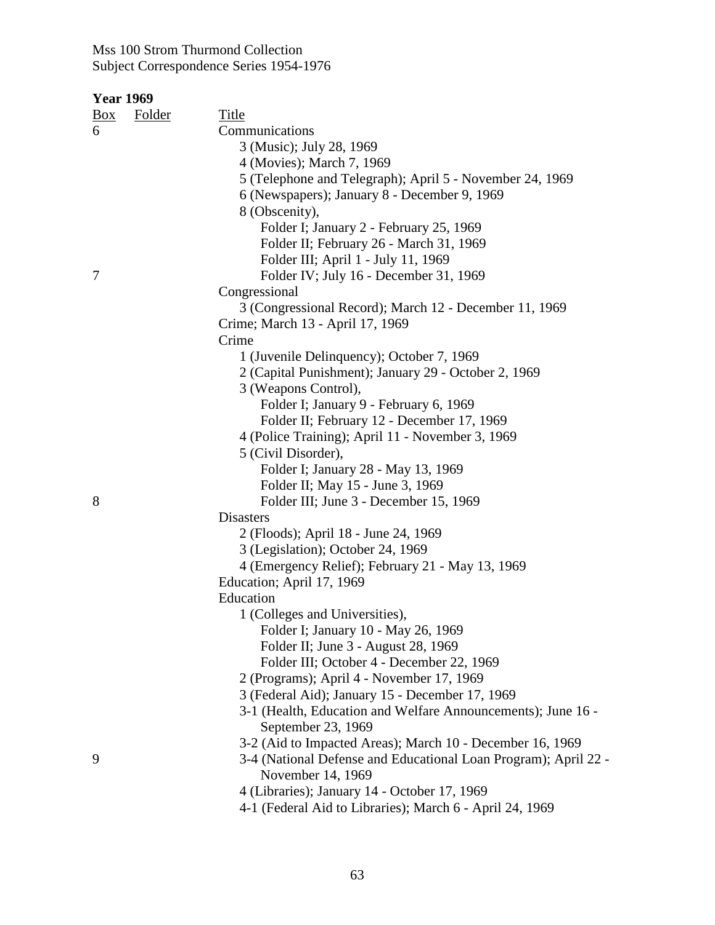| <b>Year 1969</b> |               |                                                                                    |
|------------------|---------------|------------------------------------------------------------------------------------|
| $\frac{Box}{}$   | <b>Folder</b> | Title                                                                              |
| 6                |               | Communications                                                                     |
|                  |               | 3 (Music); July 28, 1969                                                           |
|                  |               | 4 (Movies); March 7, 1969                                                          |
|                  |               | 5 (Telephone and Telegraph); April 5 - November 24, 1969                           |
|                  |               | 6 (Newspapers); January 8 - December 9, 1969                                       |
|                  |               | 8 (Obscenity),                                                                     |
|                  |               | Folder I; January 2 - February 25, 1969                                            |
|                  |               | Folder II; February 26 - March 31, 1969                                            |
|                  |               | Folder III; April 1 - July 11, 1969                                                |
| 7                |               | Folder IV; July 16 - December 31, 1969                                             |
|                  |               | Congressional                                                                      |
|                  |               | 3 (Congressional Record); March 12 - December 11, 1969                             |
|                  |               | Crime; March 13 - April 17, 1969                                                   |
|                  |               | Crime                                                                              |
|                  |               | 1 (Juvenile Delinquency); October 7, 1969                                          |
|                  |               | 2 (Capital Punishment); January 29 - October 2, 1969                               |
|                  |               | 3 (Weapons Control),                                                               |
|                  |               | Folder I; January 9 - February 6, 1969                                             |
|                  |               | Folder II; February 12 - December 17, 1969                                         |
|                  |               | 4 (Police Training); April 11 - November 3, 1969                                   |
|                  |               | 5 (Civil Disorder),                                                                |
|                  |               | Folder I; January 28 - May 13, 1969                                                |
|                  |               | Folder II; May 15 - June 3, 1969                                                   |
| 8                |               | Folder III; June 3 - December 15, 1969                                             |
|                  |               | <b>Disasters</b>                                                                   |
|                  |               | 2 (Floods); April 18 - June 24, 1969                                               |
|                  |               | 3 (Legislation); October 24, 1969                                                  |
|                  |               | 4 (Emergency Relief); February 21 - May 13, 1969                                   |
|                  |               | Education; April 17, 1969                                                          |
|                  |               | Education                                                                          |
|                  |               | 1 (Colleges and Universities),                                                     |
|                  |               | Folder I; January 10 - May 26, 1969                                                |
|                  |               | Folder II; June 3 - August 28, 1969                                                |
|                  |               | Folder III; October 4 - December 22, 1969                                          |
|                  |               | 2 (Programs); April 4 - November 17, 1969                                          |
|                  |               | 3 (Federal Aid); January 15 - December 17, 1969                                    |
|                  |               | 3-1 (Health, Education and Welfare Announcements); June 16 -<br>September 23, 1969 |
|                  |               | 3-2 (Aid to Impacted Areas); March 10 - December 16, 1969                          |
| 9                |               | 3-4 (National Defense and Educational Loan Program); April 22 -                    |
|                  |               | November 14, 1969                                                                  |
|                  |               | 4 (Libraries); January 14 - October 17, 1969                                       |
|                  |               | 4-1 (Federal Aid to Libraries); March 6 - April 24, 1969                           |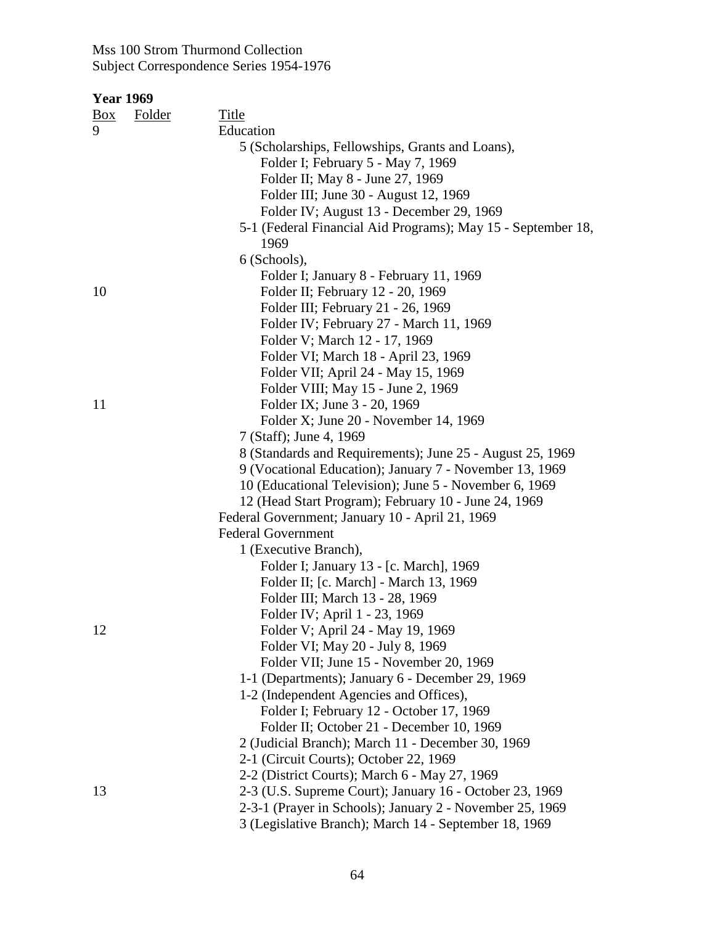|            | <b>Year 1969</b> |                                                              |
|------------|------------------|--------------------------------------------------------------|
| <u>Box</u> | <b>Folder</b>    | <b>Title</b>                                                 |
| 9          |                  | Education                                                    |
|            |                  | 5 (Scholarships, Fellowships, Grants and Loans),             |
|            |                  | Folder I; February 5 - May 7, 1969                           |
|            |                  | Folder II; May 8 - June 27, 1969                             |
|            |                  | Folder III; June 30 - August 12, 1969                        |
|            |                  | Folder IV; August 13 - December 29, 1969                     |
|            |                  | 5-1 (Federal Financial Aid Programs); May 15 - September 18, |
|            |                  | 1969                                                         |
|            |                  | 6 (Schools),                                                 |
|            |                  | Folder I; January 8 - February 11, 1969                      |
| 10         |                  | Folder II; February 12 - 20, 1969                            |
|            |                  | Folder III; February 21 - 26, 1969                           |
|            |                  | Folder IV; February 27 - March 11, 1969                      |
|            |                  | Folder V; March 12 - 17, 1969                                |
|            |                  | Folder VI; March 18 - April 23, 1969                         |
|            |                  | Folder VII; April 24 - May 15, 1969                          |
|            |                  | Folder VIII; May 15 - June 2, 1969                           |
| 11         |                  | Folder IX; June 3 - 20, 1969                                 |
|            |                  | Folder X; June 20 - November 14, 1969                        |
|            |                  | 7 (Staff); June 4, 1969                                      |
|            |                  | 8 (Standards and Requirements); June 25 - August 25, 1969    |
|            |                  | 9 (Vocational Education); January 7 - November 13, 1969      |
|            |                  | 10 (Educational Television); June 5 - November 6, 1969       |
|            |                  | 12 (Head Start Program); February 10 - June 24, 1969         |
|            |                  | Federal Government; January 10 - April 21, 1969              |
|            |                  | <b>Federal Government</b>                                    |
|            |                  | 1 (Executive Branch),                                        |
|            |                  | Folder I; January 13 - [c. March], 1969                      |
|            |                  | Folder II; [c. March] - March 13, 1969                       |
|            |                  | Folder III; March 13 - 28, 1969                              |
|            |                  | Folder IV; April 1 - 23, 1969                                |
| 12         |                  | Folder V; April 24 - May 19, 1969                            |
|            |                  | Folder VI; May 20 - July 8, 1969                             |
|            |                  | Folder VII; June 15 - November 20, 1969                      |
|            |                  | 1-1 (Departments); January 6 - December 29, 1969             |
|            |                  | 1-2 (Independent Agencies and Offices),                      |
|            |                  | Folder I; February 12 - October 17, 1969                     |
|            |                  | Folder II; October 21 - December 10, 1969                    |
|            |                  | 2 (Judicial Branch); March 11 - December 30, 1969            |
|            |                  | 2-1 (Circuit Courts); October 22, 1969                       |
|            |                  | 2-2 (District Courts); March 6 - May 27, 1969                |
| 13         |                  | 2-3 (U.S. Supreme Court); January 16 - October 23, 1969      |
|            |                  | 2-3-1 (Prayer in Schools); January 2 - November 25, 1969     |
|            |                  | 3 (Legislative Branch); March 14 - September 18, 1969        |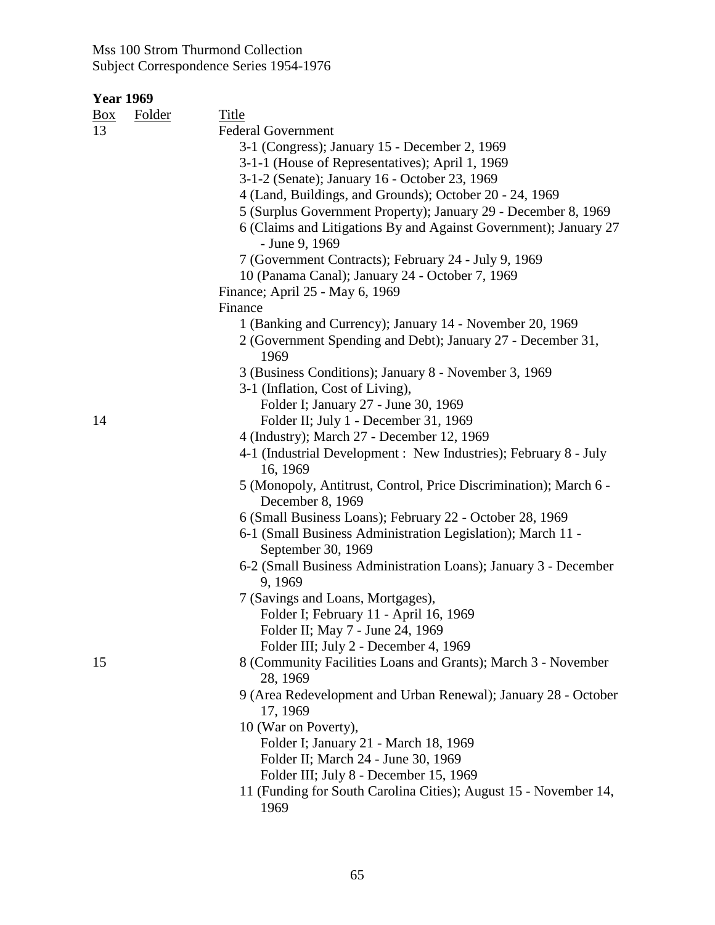| <u>Box</u> | <b>Folder</b> | <b>Title</b>                                                                          |
|------------|---------------|---------------------------------------------------------------------------------------|
| 13         |               | <b>Federal Government</b>                                                             |
|            |               | 3-1 (Congress); January 15 - December 2, 1969                                         |
|            |               | 3-1-1 (House of Representatives); April 1, 1969                                       |
|            |               | 3-1-2 (Senate); January 16 - October 23, 1969                                         |
|            |               | 4 (Land, Buildings, and Grounds); October 20 - 24, 1969                               |
|            |               | 5 (Surplus Government Property); January 29 - December 8, 1969                        |
|            |               | 6 (Claims and Litigations By and Against Government); January 27<br>- June 9, 1969    |
|            |               | 7 (Government Contracts); February 24 - July 9, 1969                                  |
|            |               | 10 (Panama Canal); January 24 - October 7, 1969                                       |
|            |               | Finance; April 25 - May 6, 1969                                                       |
|            |               | Finance                                                                               |
|            |               | 1 (Banking and Currency); January 14 - November 20, 1969                              |
|            |               | 2 (Government Spending and Debt); January 27 - December 31,<br>1969                   |
|            |               | 3 (Business Conditions); January 8 - November 3, 1969                                 |
|            |               | 3-1 (Inflation, Cost of Living),                                                      |
|            |               | Folder I; January 27 - June 30, 1969                                                  |
| 14         |               | Folder II; July 1 - December 31, 1969                                                 |
|            |               | 4 (Industry); March 27 - December 12, 1969                                            |
|            |               | 4-1 (Industrial Development: New Industries); February 8 - July<br>16, 1969           |
|            |               | 5 (Monopoly, Antitrust, Control, Price Discrimination); March 6 -<br>December 8, 1969 |
|            |               | 6 (Small Business Loans); February 22 - October 28, 1969                              |
|            |               | 6-1 (Small Business Administration Legislation); March 11 -<br>September 30, 1969     |
|            |               | 6-2 (Small Business Administration Loans); January 3 - December<br>9, 1969            |
|            |               | 7 (Savings and Loans, Mortgages),                                                     |
|            |               | Folder I; February 11 - April 16, 1969                                                |
|            |               | Folder II; May 7 - June 24, 1969                                                      |
|            |               | Folder III; July 2 - December 4, 1969                                                 |
| 15         |               | 8 (Community Facilities Loans and Grants); March 3 - November<br>28, 1969             |
|            |               | 9 (Area Redevelopment and Urban Renewal); January 28 - October<br>17, 1969            |
|            |               | 10 (War on Poverty),                                                                  |
|            |               | Folder I; January 21 - March 18, 1969                                                 |
|            |               | Folder II; March 24 - June 30, 1969                                                   |
|            |               | Folder III; July 8 - December 15, 1969                                                |
|            |               | 11 (Funding for South Carolina Cities); August 15 - November 14,                      |
|            |               | 1969                                                                                  |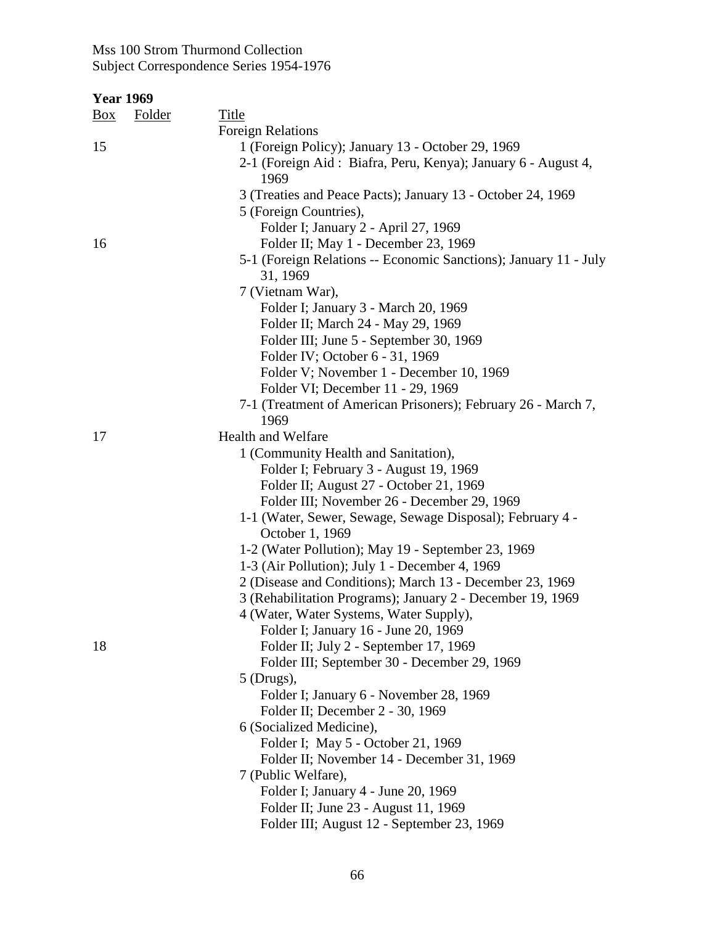| <b>Year 1969</b> |               |                                                                                       |
|------------------|---------------|---------------------------------------------------------------------------------------|
| $\frac{Box}{}$   | <b>Folder</b> | <b>Title</b>                                                                          |
|                  |               | <b>Foreign Relations</b>                                                              |
| 15               |               | 1 (Foreign Policy); January 13 - October 29, 1969                                     |
|                  |               | 2-1 (Foreign Aid: Biafra, Peru, Kenya); January 6 - August 4,<br>1969                 |
|                  |               | 3 (Treaties and Peace Pacts); January 13 - October 24, 1969<br>5 (Foreign Countries), |
|                  |               | Folder I; January 2 - April 27, 1969                                                  |
| 16               |               | Folder II; May 1 - December 23, 1969                                                  |
|                  |               | 5-1 (Foreign Relations -- Economic Sanctions); January 11 - July                      |
|                  |               | 31, 1969                                                                              |
|                  |               | 7 (Vietnam War),                                                                      |
|                  |               | Folder I; January 3 - March 20, 1969                                                  |
|                  |               | Folder II; March 24 - May 29, 1969                                                    |
|                  |               | Folder III; June 5 - September 30, 1969                                               |
|                  |               | Folder IV; October 6 - 31, 1969                                                       |
|                  |               | Folder V; November 1 - December 10, 1969                                              |
|                  |               | Folder VI; December 11 - 29, 1969                                                     |
|                  |               | 7-1 (Treatment of American Prisoners); February 26 - March 7,                         |
|                  |               | 1969                                                                                  |
| 17               |               | <b>Health and Welfare</b>                                                             |
|                  |               | 1 (Community Health and Sanitation),                                                  |
|                  |               | Folder I; February 3 - August 19, 1969                                                |
|                  |               | Folder II; August 27 - October 21, 1969                                               |
|                  |               | Folder III; November 26 - December 29, 1969                                           |
|                  |               | 1-1 (Water, Sewer, Sewage, Sewage Disposal); February 4 -                             |
|                  |               | October 1, 1969                                                                       |
|                  |               | 1-2 (Water Pollution); May 19 - September 23, 1969                                    |
|                  |               | 1-3 (Air Pollution); July 1 - December 4, 1969                                        |
|                  |               | 2 (Disease and Conditions); March 13 - December 23, 1969                              |
|                  |               | 3 (Rehabilitation Programs); January 2 - December 19, 1969                            |
|                  |               | 4 (Water, Water Systems, Water Supply),                                               |
|                  |               | Folder I; January 16 - June 20, 1969                                                  |
| 18               |               | Folder II; July 2 - September 17, 1969                                                |
|                  |               | Folder III; September 30 - December 29, 1969                                          |
|                  |               | $5$ (Drugs),                                                                          |
|                  |               | Folder I; January 6 - November 28, 1969                                               |
|                  |               | Folder II; December 2 - 30, 1969                                                      |
|                  |               | 6 (Socialized Medicine),                                                              |
|                  |               | Folder I; May 5 - October 21, 1969                                                    |
|                  |               | Folder II; November 14 - December 31, 1969                                            |
|                  |               | 7 (Public Welfare),                                                                   |
|                  |               | Folder I; January 4 - June 20, 1969                                                   |
|                  |               | Folder II; June 23 - August 11, 1969                                                  |
|                  |               | Folder III; August 12 - September 23, 1969                                            |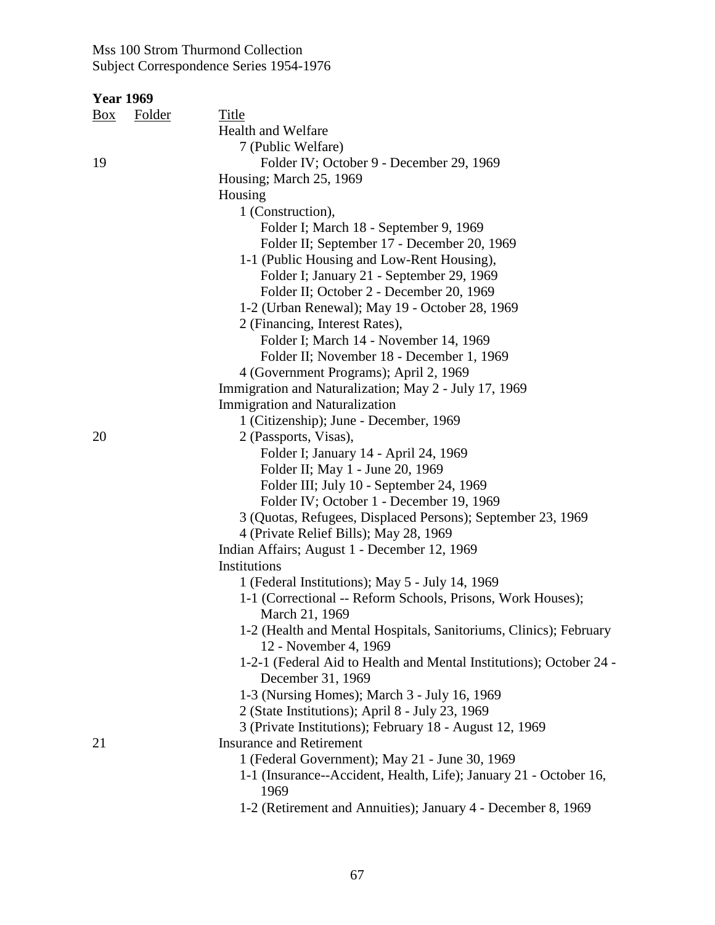|     | <b>Year 1969</b> |                                                                           |
|-----|------------------|---------------------------------------------------------------------------|
| Box | <b>Folder</b>    | <b>Title</b>                                                              |
|     |                  | <b>Health and Welfare</b>                                                 |
|     |                  | 7 (Public Welfare)                                                        |
| 19  |                  | Folder IV; October 9 - December 29, 1969                                  |
|     |                  | Housing; March 25, 1969                                                   |
|     |                  | Housing                                                                   |
|     |                  | 1 (Construction),                                                         |
|     |                  | Folder I; March 18 - September 9, 1969                                    |
|     |                  | Folder II; September 17 - December 20, 1969                               |
|     |                  | 1-1 (Public Housing and Low-Rent Housing),                                |
|     |                  | Folder I; January 21 - September 29, 1969                                 |
|     |                  | Folder II; October 2 - December 20, 1969                                  |
|     |                  | 1-2 (Urban Renewal); May 19 - October 28, 1969                            |
|     |                  | 2 (Financing, Interest Rates),                                            |
|     |                  | Folder I; March 14 - November 14, 1969                                    |
|     |                  | Folder II; November 18 - December 1, 1969                                 |
|     |                  | 4 (Government Programs); April 2, 1969                                    |
|     |                  | Immigration and Naturalization; May 2 - July 17, 1969                     |
|     |                  | <b>Immigration and Naturalization</b>                                     |
|     |                  | 1 (Citizenship); June - December, 1969                                    |
| 20  |                  | 2 (Passports, Visas),                                                     |
|     |                  | Folder I; January 14 - April 24, 1969                                     |
|     |                  | Folder II; May 1 - June 20, 1969                                          |
|     |                  | Folder III; July 10 - September 24, 1969                                  |
|     |                  | Folder IV; October 1 - December 19, 1969                                  |
|     |                  | 3 (Quotas, Refugees, Displaced Persons); September 23, 1969               |
|     |                  | 4 (Private Relief Bills); May 28, 1969                                    |
|     |                  | Indian Affairs; August 1 - December 12, 1969                              |
|     |                  | Institutions                                                              |
|     |                  | 1 (Federal Institutions); May 5 - July 14, 1969                           |
|     |                  | 1-1 (Correctional -- Reform Schools, Prisons, Work Houses);               |
|     |                  | March 21, 1969                                                            |
|     |                  | 1-2 (Health and Mental Hospitals, Sanitoriums, Clinics); February         |
|     |                  | 12 - November 4, 1969                                                     |
|     |                  | 1-2-1 (Federal Aid to Health and Mental Institutions); October 24 -       |
|     |                  | December 31, 1969                                                         |
|     |                  | 1-3 (Nursing Homes); March 3 - July 16, 1969                              |
|     |                  | 2 (State Institutions); April 8 - July 23, 1969                           |
|     |                  | 3 (Private Institutions); February 18 - August 12, 1969                   |
| 21  |                  | <b>Insurance and Retirement</b>                                           |
|     |                  | 1 (Federal Government); May 21 - June 30, 1969                            |
|     |                  | 1-1 (Insurance--Accident, Health, Life); January 21 - October 16,<br>1969 |
|     |                  | 1-2 (Retirement and Annuities); January 4 - December 8, 1969              |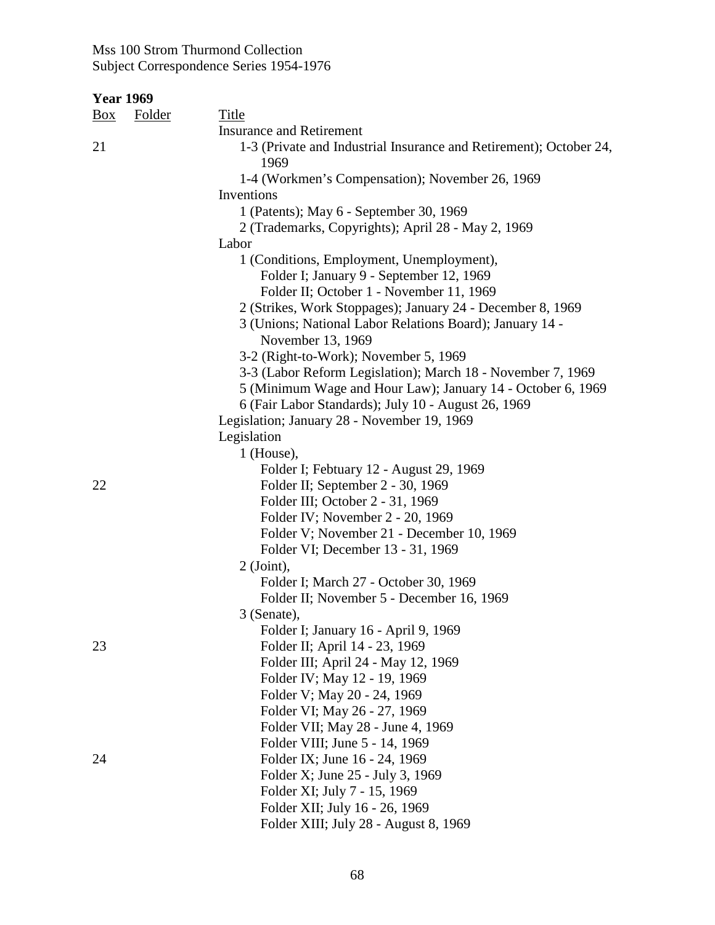| <b>Year 1969</b> |               |                                                                               |
|------------------|---------------|-------------------------------------------------------------------------------|
| $\frac{Box}{}$   | <b>Folder</b> | <b>Title</b>                                                                  |
|                  |               | <b>Insurance and Retirement</b>                                               |
| 21               |               | 1-3 (Private and Industrial Insurance and Retirement); October 24,<br>1969    |
|                  |               | 1-4 (Workmen's Compensation); November 26, 1969                               |
|                  |               | Inventions                                                                    |
|                  |               | 1 (Patents); May 6 - September 30, 1969                                       |
|                  |               | 2 (Trademarks, Copyrights); April 28 - May 2, 1969                            |
|                  |               | Labor                                                                         |
|                  |               | 1 (Conditions, Employment, Unemployment),                                     |
|                  |               | Folder I; January 9 - September 12, 1969                                      |
|                  |               | Folder II; October 1 - November 11, 1969                                      |
|                  |               | 2 (Strikes, Work Stoppages); January 24 - December 8, 1969                    |
|                  |               | 3 (Unions; National Labor Relations Board); January 14 -<br>November 13, 1969 |
|                  |               | 3-2 (Right-to-Work); November 5, 1969                                         |
|                  |               | 3-3 (Labor Reform Legislation); March 18 - November 7, 1969                   |
|                  |               | 5 (Minimum Wage and Hour Law); January 14 - October 6, 1969                   |
|                  |               | 6 (Fair Labor Standards); July 10 - August 26, 1969                           |
|                  |               | Legislation; January 28 - November 19, 1969                                   |
|                  |               | Legislation                                                                   |
|                  |               | $1$ (House),                                                                  |
|                  |               | Folder I; Febtuary 12 - August 29, 1969                                       |
| 22               |               | Folder II; September 2 - 30, 1969                                             |
|                  |               | Folder III; October 2 - 31, 1969                                              |
|                  |               | Folder IV; November 2 - 20, 1969                                              |
|                  |               | Folder V; November 21 - December 10, 1969                                     |
|                  |               | Folder VI; December 13 - 31, 1969                                             |
|                  |               | $2$ (Joint),                                                                  |
|                  |               | Folder I; March 27 - October 30, 1969                                         |
|                  |               | Folder II; November 5 - December 16, 1969                                     |
|                  |               | 3 (Senate),                                                                   |
|                  |               | Folder I; January 16 - April 9, 1969                                          |
| 23               |               | Folder II; April 14 - 23, 1969                                                |
|                  |               | Folder III; April 24 - May 12, 1969                                           |
|                  |               | Folder IV; May 12 - 19, 1969                                                  |
|                  |               | Folder V; May 20 - 24, 1969                                                   |
|                  |               | Folder VI; May 26 - 27, 1969                                                  |
|                  |               | Folder VII; May 28 - June 4, 1969                                             |
|                  |               | Folder VIII; June 5 - 14, 1969                                                |
| 24               |               | Folder IX; June 16 - 24, 1969                                                 |
|                  |               | Folder X; June 25 - July 3, 1969                                              |
|                  |               | Folder XI; July 7 - 15, 1969                                                  |
|                  |               | Folder XII; July 16 - 26, 1969                                                |
|                  |               | Folder XIII; July 28 - August 8, 1969                                         |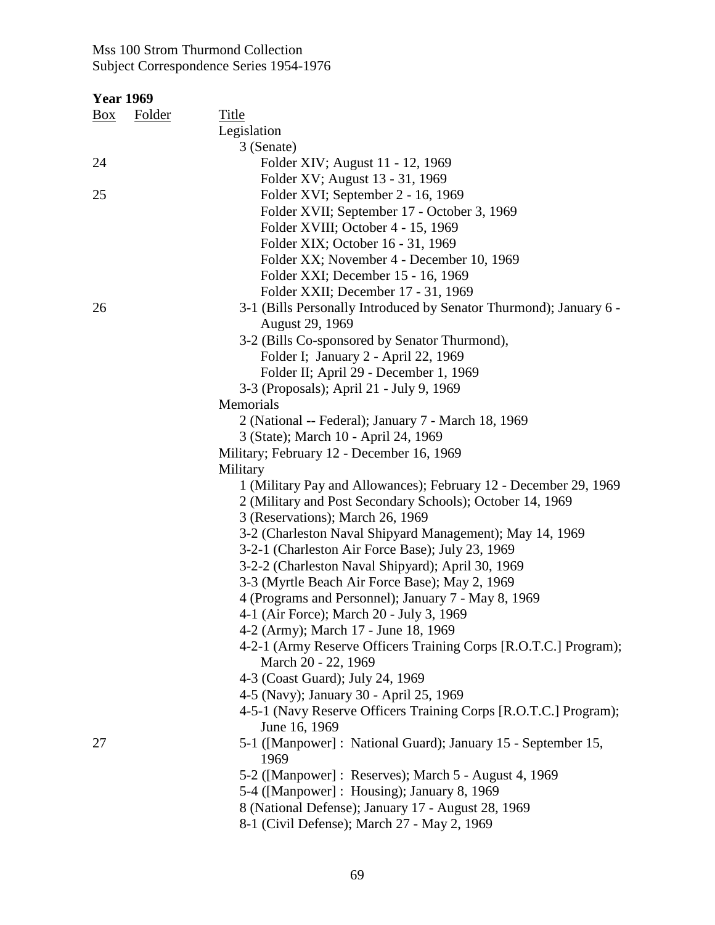| <b>Year 1969</b> |        |                                                                             |
|------------------|--------|-----------------------------------------------------------------------------|
| $\frac{Box}{}$   | Folder | <b>Title</b>                                                                |
|                  |        | Legislation                                                                 |
|                  |        | 3 (Senate)                                                                  |
| 24               |        | Folder XIV; August 11 - 12, 1969                                            |
|                  |        | Folder XV; August 13 - 31, 1969                                             |
| 25               |        | Folder XVI; September 2 - 16, 1969                                          |
|                  |        | Folder XVII; September 17 - October 3, 1969                                 |
|                  |        | Folder XVIII; October 4 - 15, 1969                                          |
|                  |        | Folder XIX; October 16 - 31, 1969                                           |
|                  |        | Folder XX; November 4 - December 10, 1969                                   |
|                  |        | Folder XXI; December 15 - 16, 1969                                          |
|                  |        | Folder XXII; December 17 - 31, 1969                                         |
| 26               |        | 3-1 (Bills Personally Introduced by Senator Thurmond); January 6 -          |
|                  |        | August 29, 1969                                                             |
|                  |        | 3-2 (Bills Co-sponsored by Senator Thurmond),                               |
|                  |        | Folder I; January 2 - April 22, 1969                                        |
|                  |        | Folder II; April 29 - December 1, 1969                                      |
|                  |        | 3-3 (Proposals); April 21 - July 9, 1969                                    |
|                  |        | Memorials                                                                   |
|                  |        | 2 (National -- Federal); January 7 - March 18, 1969                         |
|                  |        | 3 (State); March 10 - April 24, 1969                                        |
|                  |        | Military; February 12 - December 16, 1969                                   |
|                  |        | Military                                                                    |
|                  |        | 1 (Military Pay and Allowances); February 12 - December 29, 1969            |
|                  |        | 2 (Military and Post Secondary Schools); October 14, 1969                   |
|                  |        | 3 (Reservations); March 26, 1969                                            |
|                  |        | 3-2 (Charleston Naval Shipyard Management); May 14, 1969                    |
|                  |        | 3-2-1 (Charleston Air Force Base); July 23, 1969                            |
|                  |        | 3-2-2 (Charleston Naval Shipyard); April 30, 1969                           |
|                  |        | 3-3 (Myrtle Beach Air Force Base); May 2, 1969                              |
|                  |        | 4 (Programs and Personnel); January 7 - May 8, 1969                         |
|                  |        | 4-1 (Air Force); March 20 - July 3, 1969                                    |
|                  |        | 4-2 (Army); March 17 - June 18, 1969                                        |
|                  |        | 4-2-1 (Army Reserve Officers Training Corps [R.O.T.C.] Program);            |
|                  |        | March 20 - 22, 1969                                                         |
|                  |        | 4-3 (Coast Guard); July 24, 1969<br>4-5 (Navy); January 30 - April 25, 1969 |
|                  |        | 4-5-1 (Navy Reserve Officers Training Corps [R.O.T.C.] Program);            |
|                  |        | June 16, 1969                                                               |
| 27               |        | 5-1 ([Manpower] : National Guard); January 15 - September 15,               |
|                  |        | 1969                                                                        |
|                  |        | 5-2 ([Manpower] : Reserves); March 5 - August 4, 1969                       |
|                  |        | 5-4 ([Manpower] : Housing); January 8, 1969                                 |
|                  |        | 8 (National Defense); January 17 - August 28, 1969                          |
|                  |        |                                                                             |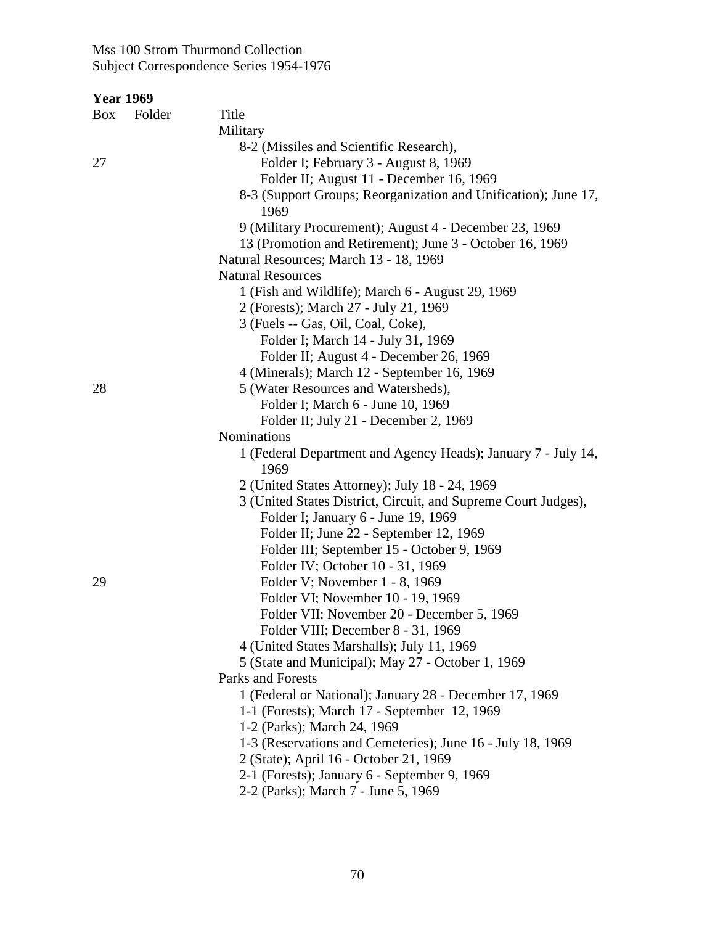| <b>Year 1969</b> |        |                                                                        |
|------------------|--------|------------------------------------------------------------------------|
| $\frac{Box}{}$   | Folder | <b>Title</b>                                                           |
|                  |        | Military                                                               |
|                  |        | 8-2 (Missiles and Scientific Research),                                |
| 27               |        | Folder I; February 3 - August 8, 1969                                  |
|                  |        | Folder II; August 11 - December 16, 1969                               |
|                  |        | 8-3 (Support Groups; Reorganization and Unification); June 17,<br>1969 |
|                  |        | 9 (Military Procurement); August 4 - December 23, 1969                 |
|                  |        | 13 (Promotion and Retirement); June 3 - October 16, 1969               |
|                  |        | Natural Resources; March 13 - 18, 1969                                 |
|                  |        | <b>Natural Resources</b>                                               |
|                  |        | 1 (Fish and Wildlife); March 6 - August 29, 1969                       |
|                  |        | 2 (Forests); March 27 - July 21, 1969                                  |
|                  |        | 3 (Fuels -- Gas, Oil, Coal, Coke),                                     |
|                  |        | Folder I; March 14 - July 31, 1969                                     |
|                  |        | Folder II; August 4 - December 26, 1969                                |
|                  |        | 4 (Minerals); March 12 - September 16, 1969                            |
| 28               |        | 5 (Water Resources and Watersheds),                                    |
|                  |        | Folder I; March 6 - June 10, 1969                                      |
|                  |        | Folder II; July 21 - December 2, 1969                                  |
|                  |        | Nominations                                                            |
|                  |        | 1 (Federal Department and Agency Heads); January 7 - July 14,<br>1969  |
|                  |        | 2 (United States Attorney); July 18 - 24, 1969                         |
|                  |        | 3 (United States District, Circuit, and Supreme Court Judges),         |
|                  |        | Folder I; January 6 - June 19, 1969                                    |
|                  |        | Folder II; June 22 - September 12, 1969                                |
|                  |        | Folder III; September 15 - October 9, 1969                             |
|                  |        | Folder IV; October 10 - 31, 1969                                       |
| 29               |        | Folder V; November 1 - 8, 1969                                         |
|                  |        | Folder VI; November 10 - 19, 1969                                      |
|                  |        | Folder VII; November 20 - December 5, 1969                             |
|                  |        | Folder VIII; December 8 - 31, 1969                                     |
|                  |        | 4 (United States Marshalls); July 11, 1969                             |
|                  |        | 5 (State and Municipal); May 27 - October 1, 1969                      |
|                  |        | Parks and Forests                                                      |
|                  |        | 1 (Federal or National); January 28 - December 17, 1969                |
|                  |        | 1-1 (Forests); March 17 - September 12, 1969                           |
|                  |        | 1-2 (Parks); March 24, 1969                                            |
|                  |        | 1-3 (Reservations and Cemeteries); June 16 - July 18, 1969             |
|                  |        | 2 (State); April 16 - October 21, 1969                                 |
|                  |        | 2-1 (Forests); January 6 - September 9, 1969                           |
|                  |        | 2-2 (Parks); March 7 - June 5, 1969                                    |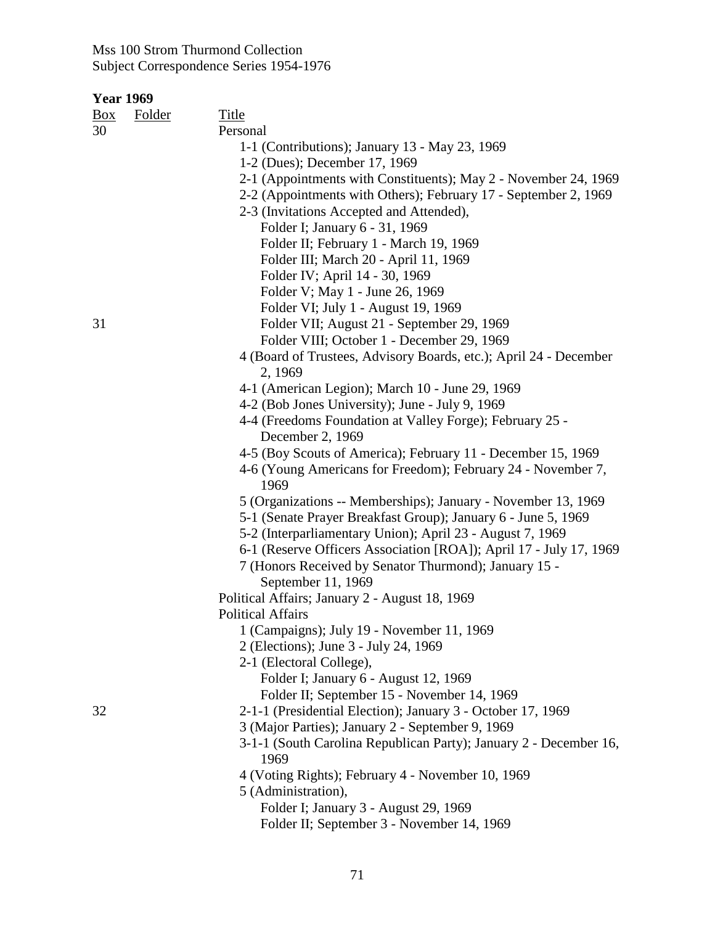| <u>Box</u> | <b>Folder</b> | <b>Title</b>                                                         |
|------------|---------------|----------------------------------------------------------------------|
| 30         |               | Personal                                                             |
|            |               | 1-1 (Contributions); January 13 - May 23, 1969                       |
|            |               | 1-2 (Dues); December 17, 1969                                        |
|            |               | 2-1 (Appointments with Constituents); May 2 - November 24, 1969      |
|            |               | 2-2 (Appointments with Others); February 17 - September 2, 1969      |
|            |               | 2-3 (Invitations Accepted and Attended),                             |
|            |               | Folder I; January 6 - 31, 1969                                       |
|            |               | Folder II; February 1 - March 19, 1969                               |
|            |               | Folder III; March 20 - April 11, 1969                                |
|            |               | Folder IV; April 14 - 30, 1969                                       |
|            |               | Folder V; May 1 - June 26, 1969                                      |
|            |               | Folder VI; July 1 - August 19, 1969                                  |
| 31         |               | Folder VII; August 21 - September 29, 1969                           |
|            |               | Folder VIII; October 1 - December 29, 1969                           |
|            |               | 4 (Board of Trustees, Advisory Boards, etc.); April 24 - December    |
|            |               | 2, 1969                                                              |
|            |               | 4-1 (American Legion); March 10 - June 29, 1969                      |
|            |               | 4-2 (Bob Jones University); June - July 9, 1969                      |
|            |               | 4-4 (Freedoms Foundation at Valley Forge); February 25 -             |
|            |               | December 2, 1969                                                     |
|            |               | 4-5 (Boy Scouts of America); February 11 - December 15, 1969         |
|            |               | 4-6 (Young Americans for Freedom); February 24 - November 7,<br>1969 |
|            |               | 5 (Organizations -- Memberships); January - November 13, 1969        |
|            |               | 5-1 (Senate Prayer Breakfast Group); January 6 - June 5, 1969        |
|            |               | 5-2 (Interparliamentary Union); April 23 - August 7, 1969            |
|            |               | 6-1 (Reserve Officers Association [ROA]); April 17 - July 17, 1969   |
|            |               | 7 (Honors Received by Senator Thurmond); January 15 -                |
|            |               | September 11, 1969                                                   |
|            |               | Political Affairs; January 2 - August 18, 1969                       |
|            |               | <b>Political Affairs</b>                                             |
|            |               | 1 (Campaigns); July 19 - November 11, 1969                           |
|            |               | 2 (Elections); June 3 - July 24, 1969                                |
|            |               | 2-1 (Electoral College),                                             |
|            |               | Folder I; January 6 - August 12, 1969                                |
|            |               | Folder II; September 15 - November 14, 1969                          |
| 32         |               | 2-1-1 (Presidential Election); January 3 - October 17, 1969          |
|            |               | 3 (Major Parties); January 2 - September 9, 1969                     |
|            |               | 3-1-1 (South Carolina Republican Party); January 2 - December 16,    |
|            |               | 1969                                                                 |
|            |               | 4 (Voting Rights); February 4 - November 10, 1969                    |
|            |               | 5 (Administration),                                                  |
|            |               | Folder I; January 3 - August 29, 1969                                |
|            |               | Folder II; September 3 - November 14, 1969                           |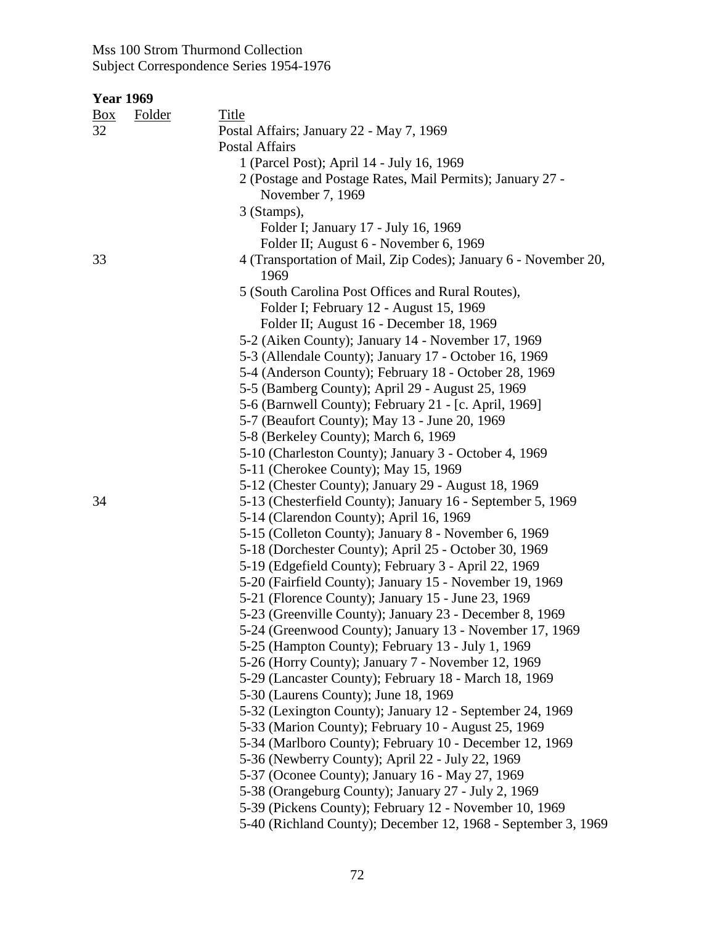## **Year 1969**

| <u>Box</u> | Folder | Title                                                           |
|------------|--------|-----------------------------------------------------------------|
| 32         |        | Postal Affairs; January 22 - May 7, 1969                        |
|            |        | <b>Postal Affairs</b>                                           |
|            |        | 1 (Parcel Post); April 14 - July 16, 1969                       |
|            |        | 2 (Postage and Postage Rates, Mail Permits); January 27 -       |
|            |        | November 7, 1969                                                |
|            |        | 3 (Stamps),                                                     |
|            |        | Folder I; January 17 - July 16, 1969                            |
|            |        | Folder II; August 6 - November 6, 1969                          |
| 33         |        | 4 (Transportation of Mail, Zip Codes); January 6 - November 20, |
|            |        | 1969                                                            |
|            |        | 5 (South Carolina Post Offices and Rural Routes),               |
|            |        | Folder I; February 12 - August 15, 1969                         |
|            |        | Folder II; August 16 - December 18, 1969                        |
|            |        | 5-2 (Aiken County); January 14 - November 17, 1969              |
|            |        | 5-3 (Allendale County); January 17 - October 16, 1969           |
|            |        | 5-4 (Anderson County); February 18 - October 28, 1969           |
|            |        | 5-5 (Bamberg County); April 29 - August 25, 1969                |
|            |        | 5-6 (Barnwell County); February 21 - [c. April, 1969]           |
|            |        | 5-7 (Beaufort County); May 13 - June 20, 1969                   |
|            |        | 5-8 (Berkeley County); March 6, 1969                            |
|            |        | 5-10 (Charleston County); January 3 - October 4, 1969           |
|            |        | 5-11 (Cherokee County); May 15, 1969                            |
|            |        | 5-12 (Chester County); January 29 - August 18, 1969             |
| 34         |        | 5-13 (Chesterfield County); January 16 - September 5, 1969      |
|            |        | 5-14 (Clarendon County); April 16, 1969                         |
|            |        | 5-15 (Colleton County); January 8 - November 6, 1969            |
|            |        | 5-18 (Dorchester County); April 25 - October 30, 1969           |
|            |        | 5-19 (Edgefield County); February 3 - April 22, 1969            |
|            |        | 5-20 (Fairfield County); January 15 - November 19, 1969         |
|            |        | 5-21 (Florence County); January 15 - June 23, 1969              |
|            |        | 5-23 (Greenville County); January 23 - December 8, 1969         |
|            |        | 5-24 (Greenwood County); January 13 - November 17, 1969         |
|            |        | 5-25 (Hampton County); February 13 - July 1, 1969               |
|            |        | 5-26 (Horry County); January 7 - November 12, 1969              |
|            |        | 5-29 (Lancaster County); February 18 - March 18, 1969           |
|            |        | 5-30 (Laurens County); June 18, 1969                            |
|            |        | 5-32 (Lexington County); January 12 - September 24, 1969        |
|            |        | 5-33 (Marion County); February 10 - August 25, 1969             |
|            |        | 5-34 (Marlboro County); February 10 - December 12, 1969         |
|            |        | 5-36 (Newberry County); April 22 - July 22, 1969                |
|            |        | 5-37 (Oconee County); January 16 - May 27, 1969                 |
|            |        | 5-38 (Orangeburg County); January 27 - July 2, 1969             |
|            |        | 5-39 (Pickens County); February 12 - November 10, 1969          |
|            |        | 5-40 (Richland County); December 12, 1968 - September 3, 1969   |
|            |        |                                                                 |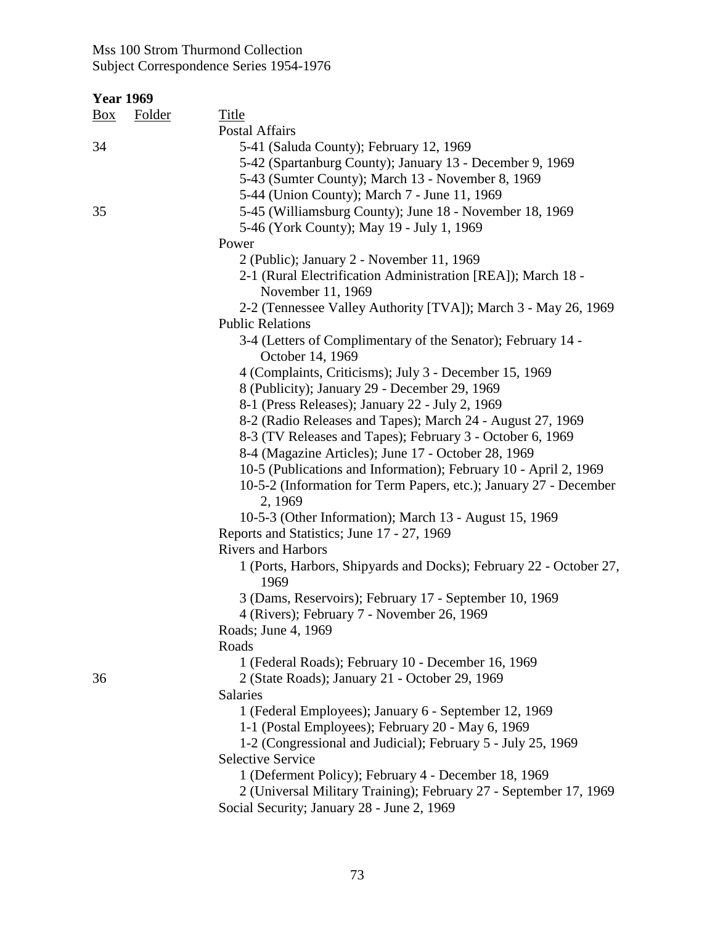| <b>Year 1969</b> |  |
|------------------|--|
|                  |  |

| $B_{\underline{OX}}$ | Folder | <b>Title</b>                                                                      |
|----------------------|--------|-----------------------------------------------------------------------------------|
|                      |        | Postal Affairs                                                                    |
| 34                   |        | 5-41 (Saluda County); February 12, 1969                                           |
|                      |        | 5-42 (Spartanburg County); January 13 - December 9, 1969                          |
|                      |        | 5-43 (Sumter County); March 13 - November 8, 1969                                 |
|                      |        | 5-44 (Union County); March 7 - June 11, 1969                                      |
| 35                   |        | 5-45 (Williamsburg County); June 18 - November 18, 1969                           |
|                      |        | 5-46 (York County); May 19 - July 1, 1969                                         |
|                      |        | Power                                                                             |
|                      |        | 2 (Public); January 2 - November 11, 1969                                         |
|                      |        | 2-1 (Rural Electrification Administration [REA]); March 18 -<br>November 11, 1969 |
|                      |        | 2-2 (Tennessee Valley Authority [TVA]); March 3 - May 26, 1969                    |
|                      |        | <b>Public Relations</b>                                                           |
|                      |        | 3-4 (Letters of Complimentary of the Senator); February 14 -<br>October 14, 1969  |
|                      |        | 4 (Complaints, Criticisms); July 3 - December 15, 1969                            |
|                      |        | 8 (Publicity); January 29 - December 29, 1969                                     |
|                      |        | 8-1 (Press Releases); January 22 - July 2, 1969                                   |
|                      |        | 8-2 (Radio Releases and Tapes); March 24 - August 27, 1969                        |
|                      |        | 8-3 (TV Releases and Tapes); February 3 - October 6, 1969                         |
|                      |        | 8-4 (Magazine Articles); June 17 - October 28, 1969                               |
|                      |        | 10-5 (Publications and Information); February 10 - April 2, 1969                  |
|                      |        | 10-5-2 (Information for Term Papers, etc.); January 27 - December<br>2, 1969      |
|                      |        | 10-5-3 (Other Information); March 13 - August 15, 1969                            |
|                      |        | Reports and Statistics; June 17 - 27, 1969                                        |
|                      |        | <b>Rivers and Harbors</b>                                                         |
|                      |        | 1 (Ports, Harbors, Shipyards and Docks); February 22 - October 27,<br>1969        |
|                      |        | 3 (Dams, Reservoirs); February 17 - September 10, 1969                            |
|                      |        | 4 (Rivers); February 7 - November 26, 1969                                        |
|                      |        | Roads; June 4, 1969                                                               |
|                      |        | Roads                                                                             |
|                      |        | 1 (Federal Roads); February 10 - December 16, 1969                                |
| 36                   |        | 2 (State Roads); January 21 - October 29, 1969                                    |
|                      |        | Salaries                                                                          |
|                      |        | 1 (Federal Employees); January 6 - September 12, 1969                             |
|                      |        | 1-1 (Postal Employees); February 20 - May 6, 1969                                 |
|                      |        | 1-2 (Congressional and Judicial); February 5 - July 25, 1969                      |
|                      |        | <b>Selective Service</b>                                                          |
|                      |        | 1 (Deferment Policy); February 4 - December 18, 1969                              |
|                      |        | 2 (Universal Military Training); February 27 - September 17, 1969                 |
|                      |        | Social Security; January 28 - June 2, 1969                                        |
|                      |        |                                                                                   |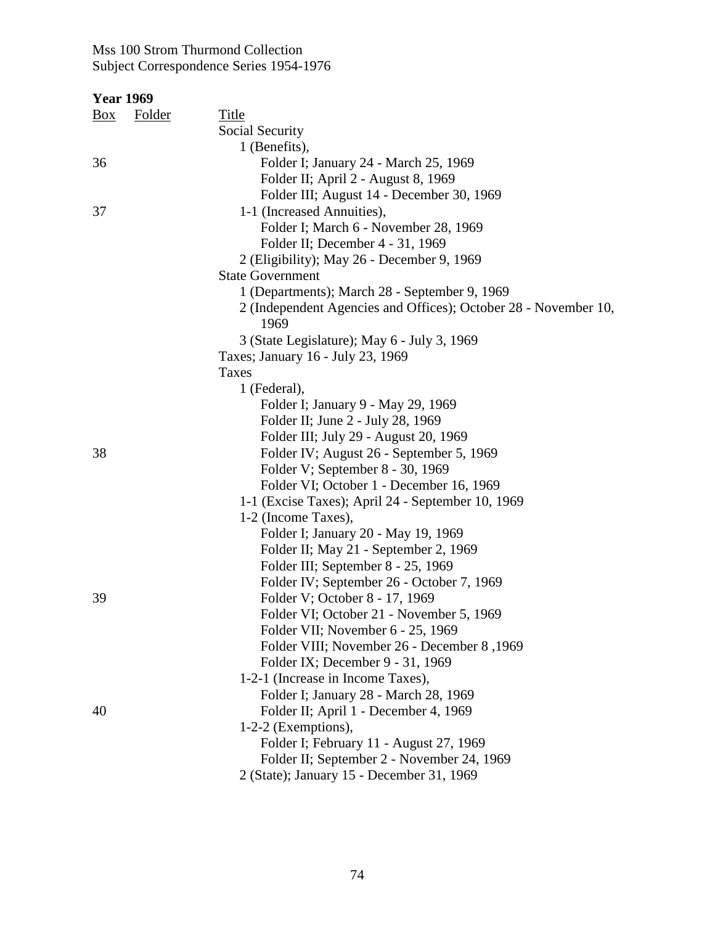| <b>Year 1969</b> |        |                                                                 |
|------------------|--------|-----------------------------------------------------------------|
| Box              | Folder | <b>Title</b>                                                    |
|                  |        | Social Security                                                 |
|                  |        | 1 (Benefits),                                                   |
| 36               |        | Folder I; January 24 - March 25, 1969                           |
|                  |        | Folder II; April 2 - August 8, 1969                             |
|                  |        | Folder III; August 14 - December 30, 1969                       |
| 37               |        | 1-1 (Increased Annuities),                                      |
|                  |        | Folder I; March 6 - November 28, 1969                           |
|                  |        | Folder II; December 4 - 31, 1969                                |
|                  |        | 2 (Eligibility); May 26 - December 9, 1969                      |
|                  |        | <b>State Government</b>                                         |
|                  |        | 1 (Departments); March 28 - September 9, 1969                   |
|                  |        | 2 (Independent Agencies and Offices); October 28 - November 10, |
|                  |        | 1969                                                            |
|                  |        | 3 (State Legislature); May 6 - July 3, 1969                     |
|                  |        | Taxes; January 16 - July 23, 1969                               |
|                  |        | Taxes                                                           |
|                  |        | 1 (Federal),                                                    |
|                  |        | Folder I; January 9 - May 29, 1969                              |
|                  |        | Folder II; June 2 - July 28, 1969                               |
|                  |        | Folder III; July 29 - August 20, 1969                           |
| 38               |        | Folder IV; August 26 - September 5, 1969                        |
|                  |        | Folder V; September 8 - 30, 1969                                |
|                  |        | Folder VI; October 1 - December 16, 1969                        |
|                  |        | 1-1 (Excise Taxes); April 24 - September 10, 1969               |
|                  |        | 1-2 (Income Taxes),                                             |
|                  |        | Folder I; January 20 - May 19, 1969                             |
|                  |        | Folder II; May 21 - September 2, 1969                           |
|                  |        | Folder III; September 8 - 25, 1969                              |
|                  |        | Folder IV; September 26 - October 7, 1969                       |
| 39               |        | Folder V; October 8 - 17, 1969                                  |
|                  |        | Folder VI; October 21 - November 5, 1969                        |
|                  |        | Folder VII; November 6 - 25, 1969                               |
|                  |        | Folder VIII; November 26 - December 8,1969                      |
|                  |        | Folder IX; December 9 - 31, 1969                                |
|                  |        | 1-2-1 (Increase in Income Taxes),                               |
|                  |        | Folder I; January 28 - March 28, 1969                           |
| 40               |        | Folder II; April 1 - December 4, 1969                           |
|                  |        | $1-2-2$ (Exemptions),                                           |
|                  |        | Folder I; February 11 - August 27, 1969                         |
|                  |        | Folder II; September 2 - November 24, 1969                      |
|                  |        | 2 (State); January 15 - December 31, 1969                       |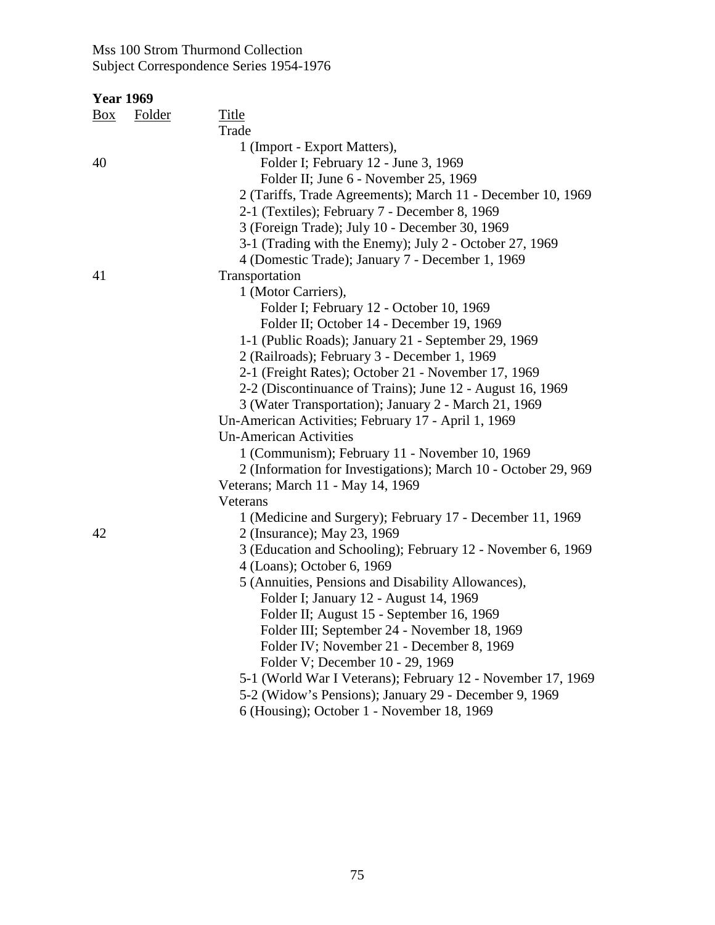| $\frac{Box}{}$ | <b>Folder</b> | <b>Title</b>                                                   |
|----------------|---------------|----------------------------------------------------------------|
|                |               | Trade                                                          |
|                |               | 1 (Import - Export Matters),                                   |
| 40             |               | Folder I; February 12 - June 3, 1969                           |
|                |               | Folder II; June 6 - November 25, 1969                          |
|                |               | 2 (Tariffs, Trade Agreements); March 11 - December 10, 1969    |
|                |               | 2-1 (Textiles); February 7 - December 8, 1969                  |
|                |               | 3 (Foreign Trade); July 10 - December 30, 1969                 |
|                |               | 3-1 (Trading with the Enemy); July 2 - October 27, 1969        |
|                |               | 4 (Domestic Trade); January 7 - December 1, 1969               |
| 41             |               | Transportation                                                 |
|                |               | 1 (Motor Carriers),                                            |
|                |               | Folder I; February 12 - October 10, 1969                       |
|                |               | Folder II; October 14 - December 19, 1969                      |
|                |               | 1-1 (Public Roads); January 21 - September 29, 1969            |
|                |               | 2 (Railroads); February 3 - December 1, 1969                   |
|                |               | 2-1 (Freight Rates); October 21 - November 17, 1969            |
|                |               | 2-2 (Discontinuance of Trains); June 12 - August 16, 1969      |
|                |               | 3 (Water Transportation); January 2 - March 21, 1969           |
|                |               | Un-American Activities; February 17 - April 1, 1969            |
|                |               | <b>Un-American Activities</b>                                  |
|                |               | 1 (Communism); February 11 - November 10, 1969                 |
|                |               | 2 (Information for Investigations); March 10 - October 29, 969 |
|                |               | Veterans; March 11 - May 14, 1969                              |
|                |               | Veterans                                                       |
|                |               | 1 (Medicine and Surgery); February 17 - December 11, 1969      |
| 42             |               | 2 (Insurance); May 23, 1969                                    |
|                |               | 3 (Education and Schooling); February 12 - November 6, 1969    |
|                |               | 4 (Loans); October 6, 1969                                     |
|                |               | 5 (Annuities, Pensions and Disability Allowances),             |
|                |               | Folder I; January 12 - August 14, 1969                         |
|                |               | Folder II; August 15 - September 16, 1969                      |
|                |               | Folder III; September 24 - November 18, 1969                   |
|                |               | Folder IV; November 21 - December 8, 1969                      |
|                |               | Folder V; December 10 - 29, 1969                               |
|                |               | 5-1 (World War I Veterans); February 12 - November 17, 1969    |
|                |               | 5-2 (Widow's Pensions); January 29 - December 9, 1969          |
|                |               | 6 (Housing); October 1 - November 18, 1969                     |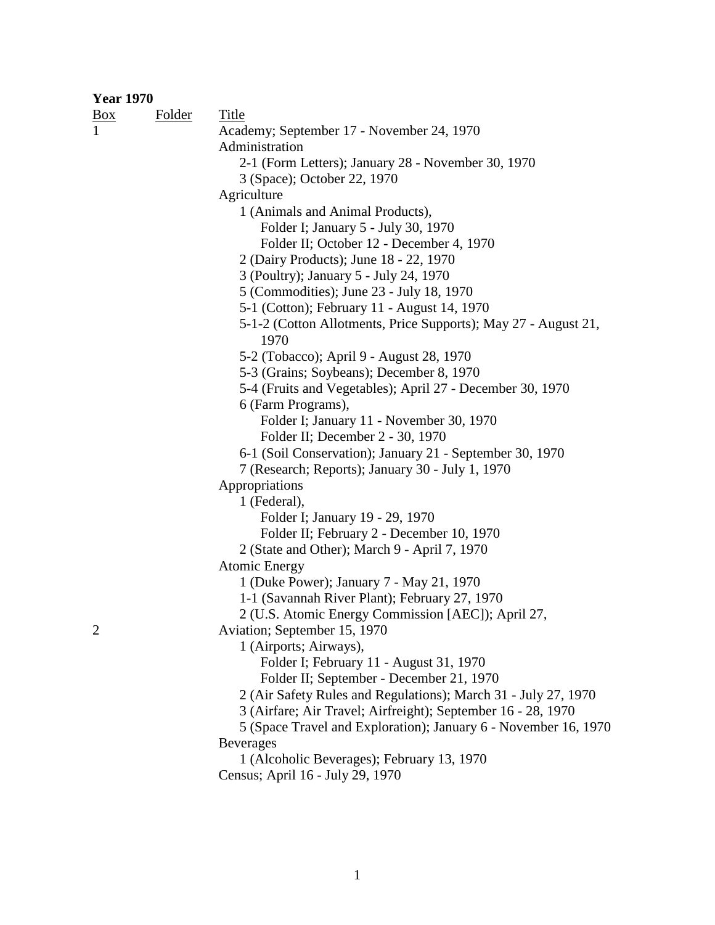| <b>Year 1970</b> |               |                                                                 |
|------------------|---------------|-----------------------------------------------------------------|
| $\frac{Box}{}$   | <b>Folder</b> | Title                                                           |
| $\mathbf{1}$     |               | Academy; September 17 - November 24, 1970                       |
|                  |               | Administration                                                  |
|                  |               | 2-1 (Form Letters); January 28 - November 30, 1970              |
|                  |               | 3 (Space); October 22, 1970                                     |
|                  |               | Agriculture                                                     |
|                  |               | 1 (Animals and Animal Products),                                |
|                  |               | Folder I; January 5 - July 30, 1970                             |
|                  |               | Folder II; October 12 - December 4, 1970                        |
|                  |               | 2 (Dairy Products); June 18 - 22, 1970                          |
|                  |               | 3 (Poultry); January 5 - July 24, 1970                          |
|                  |               | 5 (Commodities); June 23 - July 18, 1970                        |
|                  |               | 5-1 (Cotton); February 11 - August 14, 1970                     |
|                  |               | 5-1-2 (Cotton Allotments, Price Supports); May 27 - August 21,  |
|                  |               | 1970                                                            |
|                  |               | 5-2 (Tobacco); April 9 - August 28, 1970                        |
|                  |               | 5-3 (Grains; Soybeans); December 8, 1970                        |
|                  |               | 5-4 (Fruits and Vegetables); April 27 - December 30, 1970       |
|                  |               | 6 (Farm Programs),                                              |
|                  |               | Folder I; January 11 - November 30, 1970                        |
|                  |               | Folder II; December 2 - 30, 1970                                |
|                  |               | 6-1 (Soil Conservation); January 21 - September 30, 1970        |
|                  |               | 7 (Research; Reports); January 30 - July 1, 1970                |
|                  |               | Appropriations                                                  |
|                  |               | 1 (Federal),                                                    |
|                  |               | Folder I; January 19 - 29, 1970                                 |
|                  |               | Folder II; February 2 - December 10, 1970                       |
|                  |               | 2 (State and Other); March 9 - April 7, 1970                    |
|                  |               | <b>Atomic Energy</b>                                            |
|                  |               | 1 (Duke Power); January 7 - May 21, 1970                        |
|                  |               | 1-1 (Savannah River Plant); February 27, 1970                   |
|                  |               | 2 (U.S. Atomic Energy Commission [AEC]); April 27,              |
| $\overline{2}$   |               | Aviation; September 15, 1970                                    |
|                  |               | 1 (Airports; Airways),                                          |
|                  |               | Folder I; February 11 - August 31, 1970                         |
|                  |               | Folder II; September - December 21, 1970                        |
|                  |               | 2 (Air Safety Rules and Regulations); March 31 - July 27, 1970  |
|                  |               | 3 (Airfare; Air Travel; Airfreight); September 16 - 28, 1970    |
|                  |               | 5 (Space Travel and Exploration); January 6 - November 16, 1970 |
|                  |               | <b>Beverages</b>                                                |
|                  |               | 1 (Alcoholic Beverages); February 13, 1970                      |
|                  |               |                                                                 |

Census; April 16 - July 29, 1970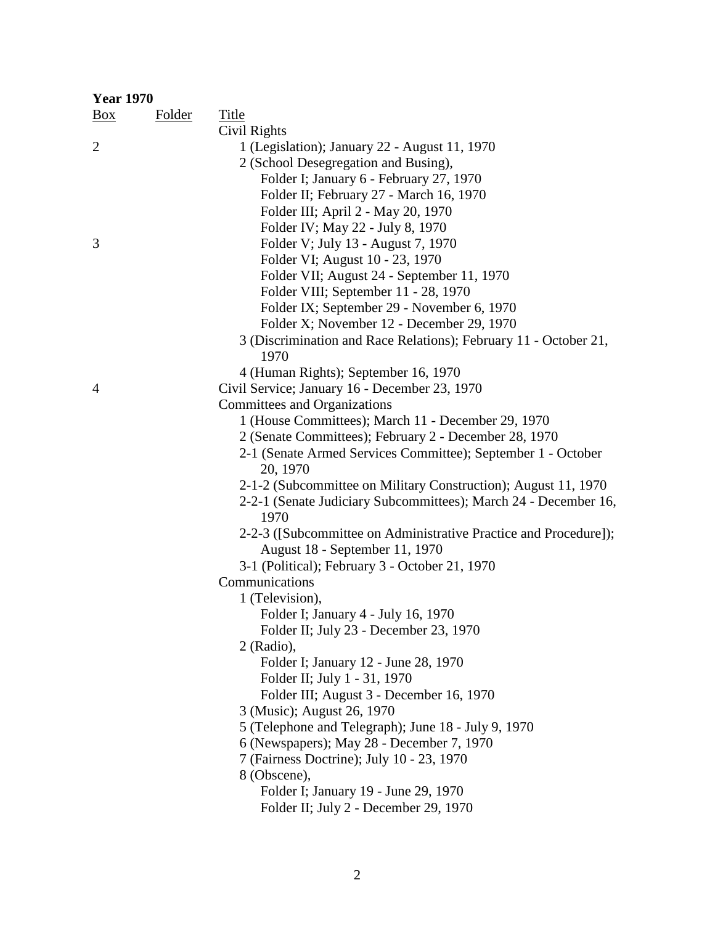| <b>Year 1970</b> |               |                                                                         |
|------------------|---------------|-------------------------------------------------------------------------|
| $\frac{Box}{}$   | <b>Folder</b> | <b>Title</b>                                                            |
|                  |               | Civil Rights                                                            |
| $\overline{2}$   |               | 1 (Legislation); January 22 - August 11, 1970                           |
|                  |               | 2 (School Desegregation and Busing),                                    |
|                  |               | Folder I; January 6 - February 27, 1970                                 |
|                  |               | Folder II; February 27 - March 16, 1970                                 |
|                  |               | Folder III; April 2 - May 20, 1970                                      |
|                  |               | Folder IV; May 22 - July 8, 1970                                        |
| 3                |               | Folder V; July 13 - August 7, 1970                                      |
|                  |               | Folder VI; August 10 - 23, 1970                                         |
|                  |               | Folder VII; August 24 - September 11, 1970                              |
|                  |               | Folder VIII; September 11 - 28, 1970                                    |
|                  |               | Folder IX; September 29 - November 6, 1970                              |
|                  |               | Folder X; November 12 - December 29, 1970                               |
|                  |               | 3 (Discrimination and Race Relations); February 11 - October 21,        |
|                  |               | 1970                                                                    |
|                  |               | 4 (Human Rights); September 16, 1970                                    |
| $\overline{4}$   |               | Civil Service; January 16 - December 23, 1970                           |
|                  |               | Committees and Organizations                                            |
|                  |               | 1 (House Committees); March 11 - December 29, 1970                      |
|                  |               | 2 (Senate Committees); February 2 - December 28, 1970                   |
|                  |               | 2-1 (Senate Armed Services Committee); September 1 - October            |
|                  |               | 20, 1970                                                                |
|                  |               | 2-1-2 (Subcommittee on Military Construction); August 11, 1970          |
|                  |               | 2-2-1 (Senate Judiciary Subcommittees); March 24 - December 16,<br>1970 |
|                  |               | 2-2-3 ([Subcommittee on Administrative Practice and Procedure]);        |
|                  |               | August 18 - September 11, 1970                                          |
|                  |               | 3-1 (Political); February 3 - October 21, 1970                          |
|                  |               | Communications                                                          |
|                  |               | 1 (Television),                                                         |
|                  |               | Folder I; January 4 - July 16, 1970                                     |
|                  |               | Folder II; July 23 - December 23, 1970                                  |
|                  |               | $2$ (Radio),                                                            |
|                  |               | Folder I; January 12 - June 28, 1970                                    |
|                  |               | Folder II; July 1 - 31, 1970                                            |
|                  |               | Folder III; August 3 - December 16, 1970                                |
|                  |               | 3 (Music); August 26, 1970                                              |
|                  |               | 5 (Telephone and Telegraph); June 18 - July 9, 1970                     |
|                  |               | 6 (Newspapers); May 28 - December 7, 1970                               |
|                  |               | 7 (Fairness Doctrine); July 10 - 23, 1970                               |
|                  |               | 8 (Obscene),                                                            |
|                  |               | Folder I; January 19 - June 29, 1970                                    |
|                  |               | Folder II; July 2 - December 29, 1970                                   |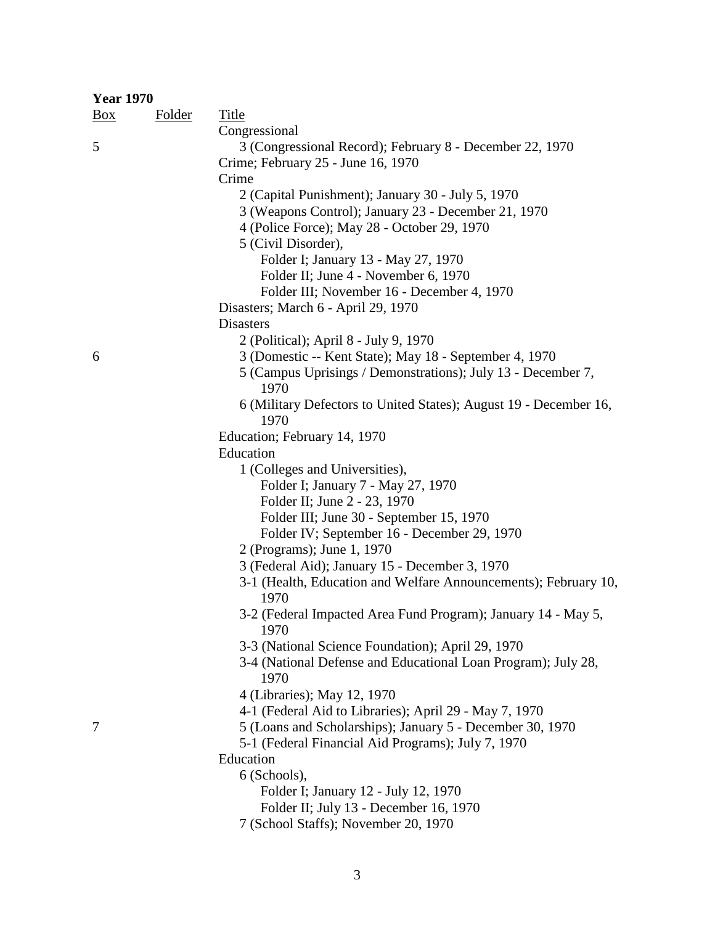| <b>Year 1970</b> |               |                                                                         |
|------------------|---------------|-------------------------------------------------------------------------|
| $\frac{Box}{}$   | <b>Folder</b> | <b>Title</b>                                                            |
|                  |               | Congressional                                                           |
| 5                |               | 3 (Congressional Record); February 8 - December 22, 1970                |
|                  |               | Crime; February 25 - June 16, 1970                                      |
|                  |               | Crime                                                                   |
|                  |               | 2 (Capital Punishment); January 30 - July 5, 1970                       |
|                  |               | 3 (Weapons Control); January 23 - December 21, 1970                     |
|                  |               | 4 (Police Force); May 28 - October 29, 1970                             |
|                  |               | 5 (Civil Disorder),                                                     |
|                  |               | Folder I; January 13 - May 27, 1970                                     |
|                  |               | Folder II; June 4 - November 6, 1970                                    |
|                  |               | Folder III; November 16 - December 4, 1970                              |
|                  |               | Disasters; March 6 - April 29, 1970                                     |
|                  |               | <b>Disasters</b>                                                        |
|                  |               | 2 (Political); April 8 - July 9, 1970                                   |
| 6                |               | 3 (Domestic -- Kent State); May 18 - September 4, 1970                  |
|                  |               | 5 (Campus Uprisings / Demonstrations); July 13 - December 7,            |
|                  |               | 1970                                                                    |
|                  |               | 6 (Military Defectors to United States); August 19 - December 16,       |
|                  |               | 1970                                                                    |
|                  |               | Education; February 14, 1970                                            |
|                  |               | Education                                                               |
|                  |               | 1 (Colleges and Universities),                                          |
|                  |               | Folder I; January 7 - May 27, 1970                                      |
|                  |               | Folder II; June 2 - 23, 1970                                            |
|                  |               | Folder III; June 30 - September 15, 1970                                |
|                  |               | Folder IV; September 16 - December 29, 1970                             |
|                  |               | 2 (Programs); June 1, 1970                                              |
|                  |               | 3 (Federal Aid); January 15 - December 3, 1970                          |
|                  |               | 3-1 (Health, Education and Welfare Announcements); February 10,<br>1970 |
|                  |               | 3-2 (Federal Impacted Area Fund Program); January 14 - May 5,<br>1970   |
|                  |               | 3-3 (National Science Foundation); April 29, 1970                       |
|                  |               | 3-4 (National Defense and Educational Loan Program); July 28,<br>1970   |
|                  |               | 4 (Libraries); May 12, 1970                                             |
|                  |               | 4-1 (Federal Aid to Libraries); April 29 - May 7, 1970                  |
| 7                |               | 5 (Loans and Scholarships); January 5 - December 30, 1970               |
|                  |               | 5-1 (Federal Financial Aid Programs); July 7, 1970                      |
|                  |               | Education                                                               |
|                  |               | 6 (Schools),                                                            |
|                  |               | Folder I; January 12 - July 12, 1970                                    |
|                  |               | Folder II; July 13 - December 16, 1970                                  |
|                  |               | 7 (School Staffs); November 20, 1970                                    |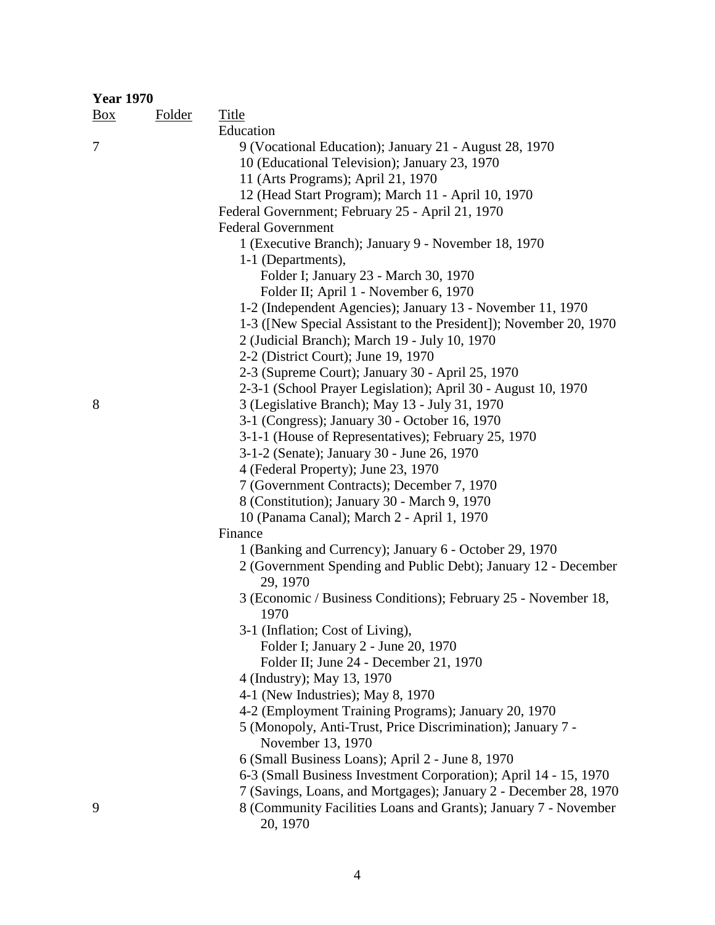| <b>Year 1970</b> |               |                                                                             |  |  |
|------------------|---------------|-----------------------------------------------------------------------------|--|--|
| $\frac{Box}{}$   | <b>Folder</b> | <b>Title</b>                                                                |  |  |
|                  |               | Education                                                                   |  |  |
| 7                |               | 9 (Vocational Education); January 21 - August 28, 1970                      |  |  |
|                  |               | 10 (Educational Television); January 23, 1970                               |  |  |
|                  |               | 11 (Arts Programs); April 21, 1970                                          |  |  |
|                  |               | 12 (Head Start Program); March 11 - April 10, 1970                          |  |  |
|                  |               | Federal Government; February 25 - April 21, 1970                            |  |  |
|                  |               | <b>Federal Government</b>                                                   |  |  |
|                  |               | 1 (Executive Branch); January 9 - November 18, 1970                         |  |  |
|                  |               | 1-1 (Departments),                                                          |  |  |
|                  |               | Folder I; January 23 - March 30, 1970                                       |  |  |
|                  |               | Folder II; April 1 - November 6, 1970                                       |  |  |
|                  |               | 1-2 (Independent Agencies); January 13 - November 11, 1970                  |  |  |
|                  |               | 1-3 ([New Special Assistant to the President]); November 20, 1970           |  |  |
|                  |               |                                                                             |  |  |
|                  |               | 2 (Judicial Branch); March 19 - July 10, 1970                               |  |  |
|                  |               | 2-2 (District Court); June 19, 1970                                         |  |  |
|                  |               | 2-3 (Supreme Court); January 30 - April 25, 1970                            |  |  |
|                  |               | 2-3-1 (School Prayer Legislation); April 30 - August 10, 1970               |  |  |
| 8                |               | 3 (Legislative Branch); May 13 - July 31, 1970                              |  |  |
|                  |               | 3-1 (Congress); January 30 - October 16, 1970                               |  |  |
|                  |               | 3-1-1 (House of Representatives); February 25, 1970                         |  |  |
|                  |               | 3-1-2 (Senate); January 30 - June 26, 1970                                  |  |  |
|                  |               | 4 (Federal Property); June 23, 1970                                         |  |  |
|                  |               | 7 (Government Contracts); December 7, 1970                                  |  |  |
|                  |               | 8 (Constitution); January 30 - March 9, 1970                                |  |  |
|                  |               | 10 (Panama Canal); March 2 - April 1, 1970                                  |  |  |
|                  |               | Finance                                                                     |  |  |
|                  |               | 1 (Banking and Currency); January 6 - October 29, 1970                      |  |  |
|                  |               | 2 (Government Spending and Public Debt); January 12 - December              |  |  |
|                  |               | 29, 1970                                                                    |  |  |
|                  |               | 3 (Economic / Business Conditions); February 25 - November 18,              |  |  |
|                  |               | 1970                                                                        |  |  |
|                  |               | 3-1 (Inflation; Cost of Living),                                            |  |  |
|                  |               | Folder I; January 2 - June 20, 1970                                         |  |  |
|                  |               | Folder II; June 24 - December 21, 1970                                      |  |  |
|                  |               | 4 (Industry); May 13, 1970                                                  |  |  |
|                  |               | 4-1 (New Industries); May 8, 1970                                           |  |  |
|                  |               | 4-2 (Employment Training Programs); January 20, 1970                        |  |  |
|                  |               | 5 (Monopoly, Anti-Trust, Price Discrimination); January 7 -                 |  |  |
|                  |               | November 13, 1970                                                           |  |  |
|                  |               | 6 (Small Business Loans); April 2 - June 8, 1970                            |  |  |
|                  |               | 6-3 (Small Business Investment Corporation); April 14 - 15, 1970            |  |  |
|                  |               | 7 (Savings, Loans, and Mortgages); January 2 - December 28, 1970            |  |  |
| 9                |               | 8 (Community Facilities Loans and Grants); January 7 - November<br>20, 1970 |  |  |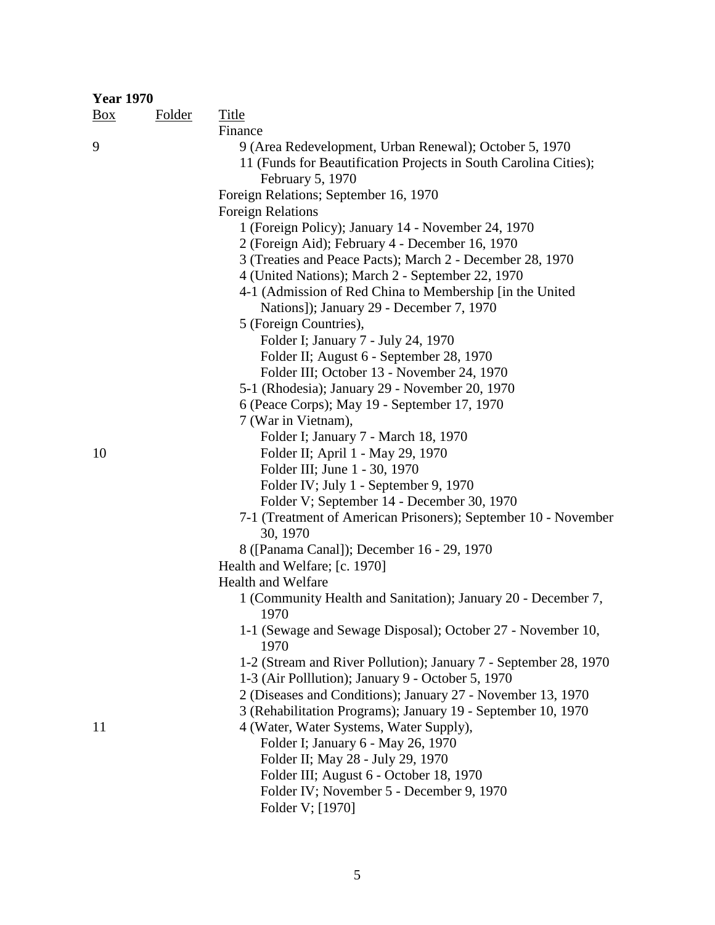| <b>Year 1970</b> |               |                                                                     |
|------------------|---------------|---------------------------------------------------------------------|
| $\frac{Box}{}$   | <b>Folder</b> | <b>Title</b>                                                        |
|                  |               | Finance                                                             |
| 9                |               | 9 (Area Redevelopment, Urban Renewal); October 5, 1970              |
|                  |               | 11 (Funds for Beautification Projects in South Carolina Cities);    |
|                  |               | February 5, 1970                                                    |
|                  |               | Foreign Relations; September 16, 1970                               |
|                  |               | <b>Foreign Relations</b>                                            |
|                  |               | 1 (Foreign Policy); January 14 - November 24, 1970                  |
|                  |               | 2 (Foreign Aid); February 4 - December 16, 1970                     |
|                  |               | 3 (Treaties and Peace Pacts); March 2 - December 28, 1970           |
|                  |               | 4 (United Nations); March 2 - September 22, 1970                    |
|                  |               | 4-1 (Admission of Red China to Membership [in the United            |
|                  |               | Nations]); January 29 - December 7, 1970                            |
|                  |               | 5 (Foreign Countries),                                              |
|                  |               | Folder I; January 7 - July 24, 1970                                 |
|                  |               | Folder II; August 6 - September 28, 1970                            |
|                  |               | Folder III; October 13 - November 24, 1970                          |
|                  |               | 5-1 (Rhodesia); January 29 - November 20, 1970                      |
|                  |               | 6 (Peace Corps); May 19 - September 17, 1970                        |
|                  |               | 7 (War in Vietnam),                                                 |
|                  |               | Folder I; January 7 - March 18, 1970                                |
| 10               |               | Folder II; April 1 - May 29, 1970                                   |
|                  |               | Folder III; June 1 - 30, 1970                                       |
|                  |               | Folder IV; July 1 - September 9, 1970                               |
|                  |               | Folder V; September 14 - December 30, 1970                          |
|                  |               | 7-1 (Treatment of American Prisoners); September 10 - November      |
|                  |               | 30, 1970                                                            |
|                  |               | 8 ([Panama Canal]); December 16 - 29, 1970                          |
|                  |               | Health and Welfare; [c. 1970]                                       |
|                  |               | <b>Health and Welfare</b>                                           |
|                  |               | 1 (Community Health and Sanitation); January 20 - December 7,       |
|                  |               | 1970                                                                |
|                  |               | 1-1 (Sewage and Sewage Disposal); October 27 - November 10,<br>1970 |
|                  |               | 1-2 (Stream and River Pollution); January 7 - September 28, 1970    |
|                  |               | 1-3 (Air Polllution); January 9 - October 5, 1970                   |
|                  |               | 2 (Diseases and Conditions); January 27 - November 13, 1970         |
|                  |               | 3 (Rehabilitation Programs); January 19 - September 10, 1970        |
| 11               |               | 4 (Water, Water Systems, Water Supply),                             |
|                  |               | Folder I; January 6 - May 26, 1970                                  |
|                  |               | Folder II; May 28 - July 29, 1970                                   |
|                  |               | Folder III; August 6 - October 18, 1970                             |
|                  |               | Folder IV; November 5 - December 9, 1970                            |
|                  |               |                                                                     |
|                  |               | Folder V; [1970]                                                    |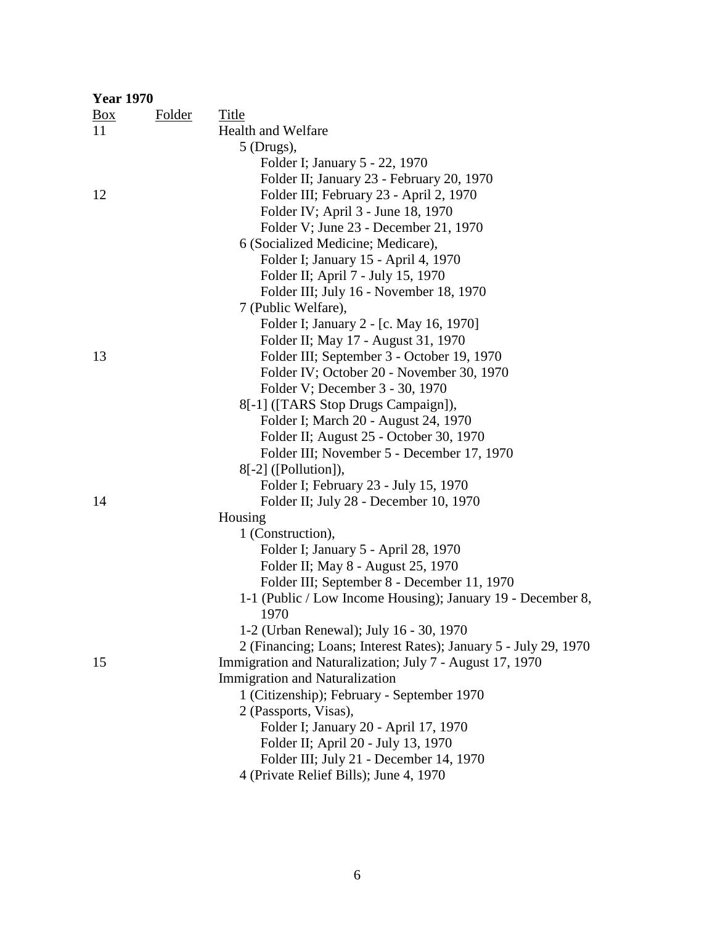| <b>Year 1970</b>  |               |                                                                     |
|-------------------|---------------|---------------------------------------------------------------------|
| $\underline{Box}$ | <b>Folder</b> | <b>Title</b>                                                        |
| 11                |               | <b>Health and Welfare</b>                                           |
|                   |               | $5$ (Drugs),                                                        |
|                   |               | Folder I; January 5 - 22, 1970                                      |
|                   |               | Folder II; January 23 - February 20, 1970                           |
| 12                |               | Folder III; February 23 - April 2, 1970                             |
|                   |               | Folder IV; April 3 - June 18, 1970                                  |
|                   |               | Folder V; June 23 - December 21, 1970                               |
|                   |               | 6 (Socialized Medicine; Medicare),                                  |
|                   |               | Folder I; January 15 - April 4, 1970                                |
|                   |               | Folder II; April 7 - July 15, 1970                                  |
|                   |               | Folder III; July 16 - November 18, 1970                             |
|                   |               | 7 (Public Welfare),                                                 |
|                   |               | Folder I; January 2 - [c. May 16, 1970]                             |
|                   |               | Folder II; May 17 - August 31, 1970                                 |
| 13                |               | Folder III; September 3 - October 19, 1970                          |
|                   |               | Folder IV; October 20 - November 30, 1970                           |
|                   |               | Folder V; December 3 - 30, 1970                                     |
|                   |               | 8[-1] ([TARS Stop Drugs Campaign]),                                 |
|                   |               | Folder I; March 20 - August 24, 1970                                |
|                   |               | Folder II; August 25 - October 30, 1970                             |
|                   |               | Folder III; November 5 - December 17, 1970                          |
|                   |               | $8[-2]$ ([Pollution]),                                              |
|                   |               | Folder I; February 23 - July 15, 1970                               |
| 14                |               | Folder II; July 28 - December 10, 1970                              |
|                   |               | Housing                                                             |
|                   |               | 1 (Construction),                                                   |
|                   |               | Folder I; January 5 - April 28, 1970                                |
|                   |               | Folder II; May 8 - August 25, 1970                                  |
|                   |               | Folder III; September 8 - December 11, 1970                         |
|                   |               | 1-1 (Public / Low Income Housing); January 19 - December 8,<br>1970 |
|                   |               | 1-2 (Urban Renewal); July 16 - 30, 1970                             |
|                   |               | 2 (Financing; Loans; Interest Rates); January 5 - July 29, 1970     |
| 15                |               | Immigration and Naturalization; July 7 - August 17, 1970            |
|                   |               | <b>Immigration and Naturalization</b>                               |
|                   |               | 1 (Citizenship); February - September 1970                          |
|                   |               | 2 (Passports, Visas),                                               |
|                   |               | Folder I; January 20 - April 17, 1970                               |
|                   |               | Folder II; April 20 - July 13, 1970                                 |
|                   |               | Folder III; July 21 - December 14, 1970                             |
|                   |               | 4 (Private Relief Bills); June 4, 1970                              |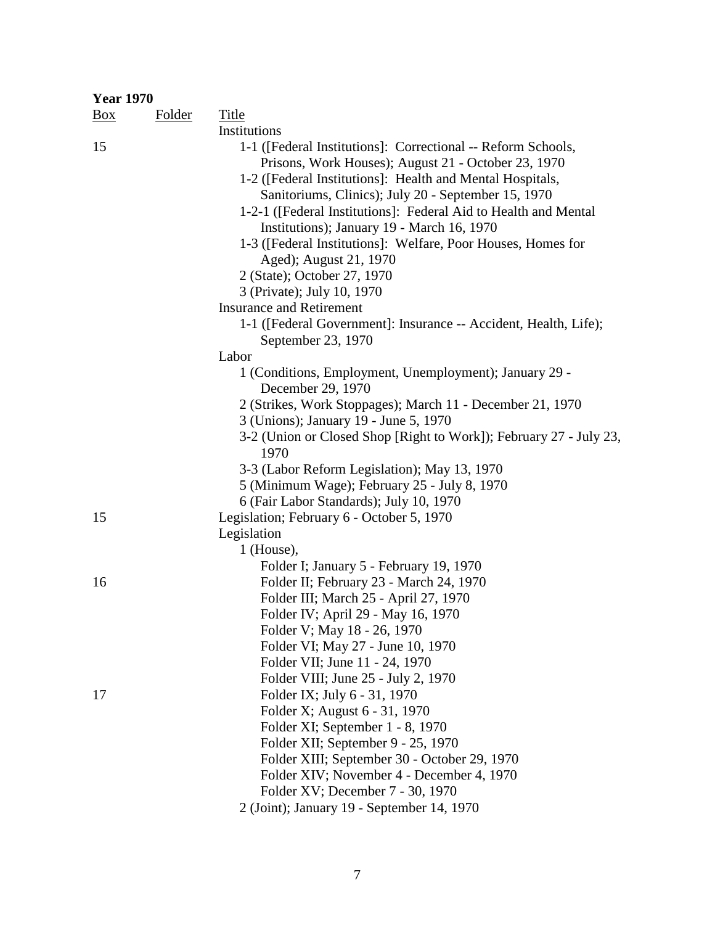| <b>Year 1970</b> |               |                                                                                                                                                                                                                                                                                                                                                                                                                                                                                   |
|------------------|---------------|-----------------------------------------------------------------------------------------------------------------------------------------------------------------------------------------------------------------------------------------------------------------------------------------------------------------------------------------------------------------------------------------------------------------------------------------------------------------------------------|
| $\frac{Box}{}$   | <b>Folder</b> | <b>Title</b>                                                                                                                                                                                                                                                                                                                                                                                                                                                                      |
|                  |               | Institutions                                                                                                                                                                                                                                                                                                                                                                                                                                                                      |
| 15               |               | 1-1 ([Federal Institutions]: Correctional -- Reform Schools,<br>Prisons, Work Houses); August 21 - October 23, 1970<br>1-2 ([Federal Institutions]: Health and Mental Hospitals,<br>Sanitoriums, Clinics); July 20 - September 15, 1970<br>1-2-1 ([Federal Institutions]: Federal Aid to Health and Mental<br>Institutions); January 19 - March 16, 1970<br>1-3 ([Federal Institutions]: Welfare, Poor Houses, Homes for<br>Aged); August 21, 1970<br>2 (State); October 27, 1970 |
|                  |               | 3 (Private); July 10, 1970                                                                                                                                                                                                                                                                                                                                                                                                                                                        |
|                  |               | <b>Insurance and Retirement</b>                                                                                                                                                                                                                                                                                                                                                                                                                                                   |
|                  |               | 1-1 ([Federal Government]: Insurance -- Accident, Health, Life);<br>September 23, 1970                                                                                                                                                                                                                                                                                                                                                                                            |
|                  |               | Labor                                                                                                                                                                                                                                                                                                                                                                                                                                                                             |
|                  |               | 1 (Conditions, Employment, Unemployment); January 29 -<br>December 29, 1970                                                                                                                                                                                                                                                                                                                                                                                                       |
|                  |               | 2 (Strikes, Work Stoppages); March 11 - December 21, 1970                                                                                                                                                                                                                                                                                                                                                                                                                         |
|                  |               | 3 (Unions); January 19 - June 5, 1970                                                                                                                                                                                                                                                                                                                                                                                                                                             |
|                  |               | 3-2 (Union or Closed Shop [Right to Work]); February 27 - July 23,<br>1970                                                                                                                                                                                                                                                                                                                                                                                                        |
|                  |               | 3-3 (Labor Reform Legislation); May 13, 1970                                                                                                                                                                                                                                                                                                                                                                                                                                      |
|                  |               | 5 (Minimum Wage); February 25 - July 8, 1970                                                                                                                                                                                                                                                                                                                                                                                                                                      |
|                  |               | 6 (Fair Labor Standards); July 10, 1970                                                                                                                                                                                                                                                                                                                                                                                                                                           |
| 15               |               | Legislation; February 6 - October 5, 1970                                                                                                                                                                                                                                                                                                                                                                                                                                         |
|                  |               | Legislation                                                                                                                                                                                                                                                                                                                                                                                                                                                                       |
|                  |               | $1$ (House),                                                                                                                                                                                                                                                                                                                                                                                                                                                                      |
|                  |               | Folder I; January 5 - February 19, 1970                                                                                                                                                                                                                                                                                                                                                                                                                                           |
| 16               |               | Folder II; February 23 - March 24, 1970                                                                                                                                                                                                                                                                                                                                                                                                                                           |
|                  |               | Folder III; March 25 - April 27, 1970                                                                                                                                                                                                                                                                                                                                                                                                                                             |
|                  |               | Folder IV; April 29 - May 16, 1970                                                                                                                                                                                                                                                                                                                                                                                                                                                |
|                  |               | Folder V; May 18 - 26, 1970                                                                                                                                                                                                                                                                                                                                                                                                                                                       |
|                  |               | Folder VI; May 27 - June 10, 1970                                                                                                                                                                                                                                                                                                                                                                                                                                                 |
|                  |               | Folder VII; June 11 - 24, 1970                                                                                                                                                                                                                                                                                                                                                                                                                                                    |
|                  |               | Folder VIII; June 25 - July 2, 1970                                                                                                                                                                                                                                                                                                                                                                                                                                               |
| 17               |               | Folder IX; July 6 - 31, 1970                                                                                                                                                                                                                                                                                                                                                                                                                                                      |
|                  |               | Folder X; August 6 - 31, 1970                                                                                                                                                                                                                                                                                                                                                                                                                                                     |
|                  |               | Folder XI; September 1 - 8, 1970                                                                                                                                                                                                                                                                                                                                                                                                                                                  |
|                  |               | Folder XII; September 9 - 25, 1970                                                                                                                                                                                                                                                                                                                                                                                                                                                |
|                  |               | Folder XIII; September 30 - October 29, 1970                                                                                                                                                                                                                                                                                                                                                                                                                                      |
|                  |               | Folder XIV; November 4 - December 4, 1970<br>Folder XV; December 7 - 30, 1970                                                                                                                                                                                                                                                                                                                                                                                                     |
|                  |               | 2 (Joint); January 19 - September 14, 1970                                                                                                                                                                                                                                                                                                                                                                                                                                        |
|                  |               |                                                                                                                                                                                                                                                                                                                                                                                                                                                                                   |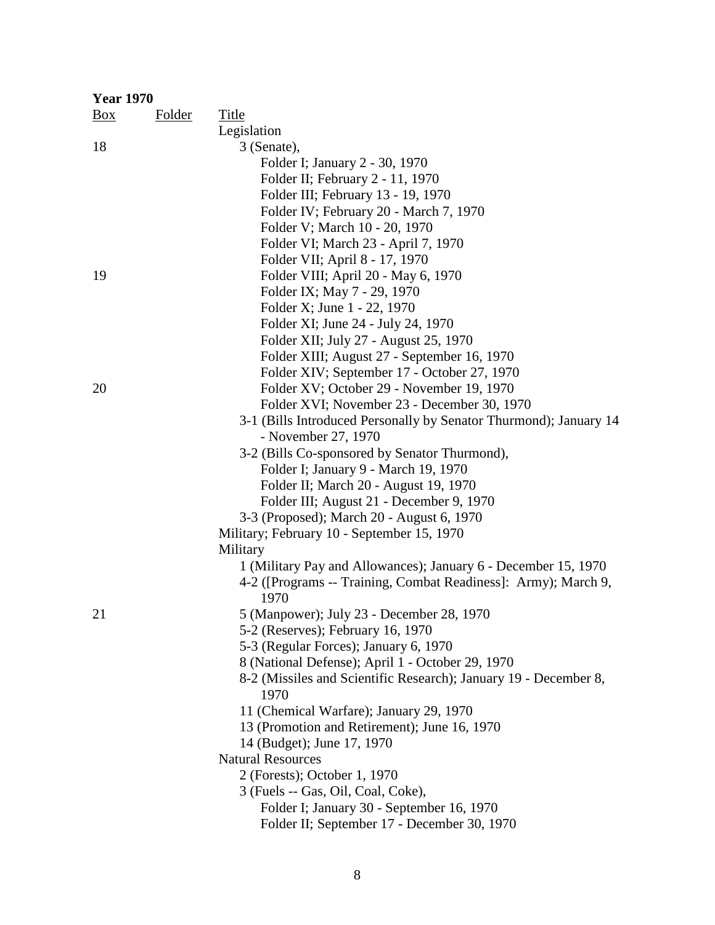| <b>Year 1970</b> |               |                                                                        |
|------------------|---------------|------------------------------------------------------------------------|
| $\frac{Box}{}$   | <b>Folder</b> | <b>Title</b>                                                           |
|                  |               | Legislation                                                            |
| 18               |               | 3 (Senate),                                                            |
|                  |               | Folder I; January 2 - 30, 1970                                         |
|                  |               | Folder II; February 2 - 11, 1970                                       |
|                  |               | Folder III; February 13 - 19, 1970                                     |
|                  |               | Folder IV; February 20 - March 7, 1970                                 |
|                  |               | Folder V; March 10 - 20, 1970                                          |
|                  |               | Folder VI; March 23 - April 7, 1970                                    |
|                  |               | Folder VII; April 8 - 17, 1970                                         |
| 19               |               | Folder VIII; April 20 - May 6, 1970                                    |
|                  |               | Folder IX; May 7 - 29, 1970                                            |
|                  |               | Folder X; June 1 - 22, 1970                                            |
|                  |               | Folder XI; June 24 - July 24, 1970                                     |
|                  |               | Folder XII; July 27 - August 25, 1970                                  |
|                  |               | Folder XIII; August 27 - September 16, 1970                            |
|                  |               | Folder XIV; September 17 - October 27, 1970                            |
| 20               |               | Folder XV; October 29 - November 19, 1970                              |
|                  |               | Folder XVI; November 23 - December 30, 1970                            |
|                  |               | 3-1 (Bills Introduced Personally by Senator Thurmond); January 14      |
|                  |               | - November 27, 1970                                                    |
|                  |               | 3-2 (Bills Co-sponsored by Senator Thurmond),                          |
|                  |               | Folder I; January 9 - March 19, 1970                                   |
|                  |               | Folder II; March 20 - August 19, 1970                                  |
|                  |               | Folder III; August 21 - December 9, 1970                               |
|                  |               | 3-3 (Proposed); March 20 - August 6, 1970                              |
|                  |               | Military; February 10 - September 15, 1970                             |
|                  |               | Military                                                               |
|                  |               | 1 (Military Pay and Allowances); January 6 - December 15, 1970         |
|                  |               | 4-2 ([Programs -- Training, Combat Readiness]: Army); March 9,<br>1970 |
| 21               |               | 5 (Manpower); July 23 - December 28, 1970                              |
|                  |               | 5-2 (Reserves); February 16, 1970                                      |
|                  |               | 5-3 (Regular Forces); January 6, 1970                                  |
|                  |               | 8 (National Defense); April 1 - October 29, 1970                       |
|                  |               | 8-2 (Missiles and Scientific Research); January 19 - December 8,       |
|                  |               | 1970                                                                   |
|                  |               | 11 (Chemical Warfare); January 29, 1970                                |
|                  |               | 13 (Promotion and Retirement); June 16, 1970                           |
|                  |               | 14 (Budget); June 17, 1970                                             |
|                  |               | <b>Natural Resources</b>                                               |
|                  |               | 2 (Forests); October 1, 1970                                           |
|                  |               | 3 (Fuels -- Gas, Oil, Coal, Coke),                                     |
|                  |               | Folder I; January 30 - September 16, 1970                              |
|                  |               | Folder II; September 17 - December 30, 1970                            |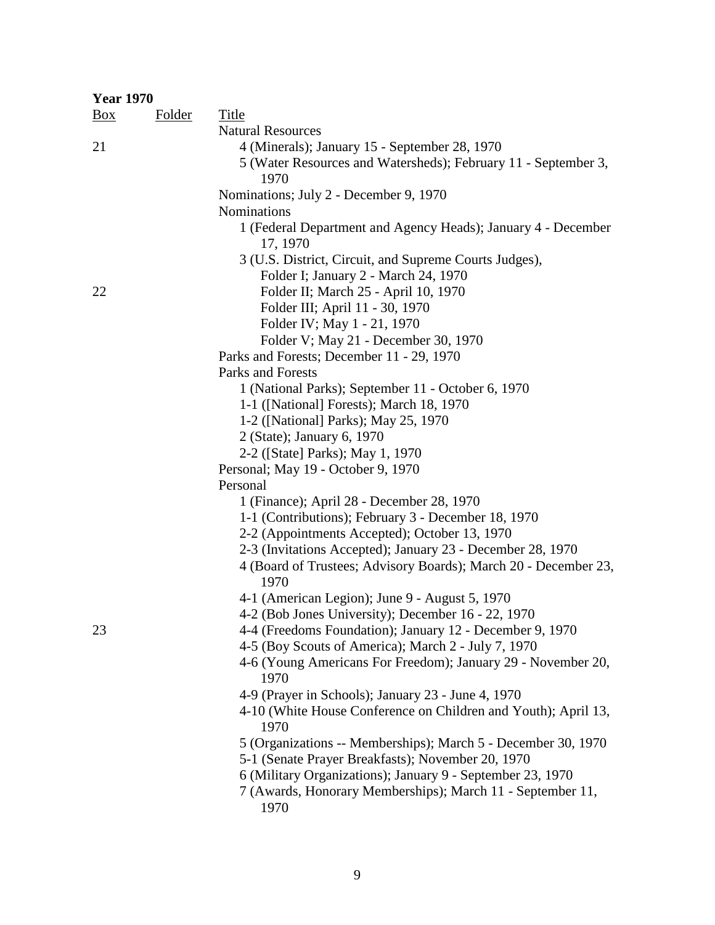| <b>Year 1970</b> |               |                                                                 |
|------------------|---------------|-----------------------------------------------------------------|
| $\frac{Box}{}$   | <b>Folder</b> | <b>Title</b>                                                    |
|                  |               | <b>Natural Resources</b>                                        |
| 21               |               | 4 (Minerals); January 15 - September 28, 1970                   |
|                  |               | 5 (Water Resources and Watersheds); February 11 - September 3,  |
|                  |               | 1970                                                            |
|                  |               | Nominations; July 2 - December 9, 1970                          |
|                  |               | Nominations                                                     |
|                  |               | 1 (Federal Department and Agency Heads); January 4 - December   |
|                  |               | 17, 1970                                                        |
|                  |               | 3 (U.S. District, Circuit, and Supreme Courts Judges),          |
|                  |               | Folder I; January 2 - March 24, 1970                            |
| 22               |               | Folder II; March 25 - April 10, 1970                            |
|                  |               | Folder III; April 11 - 30, 1970                                 |
|                  |               | Folder IV; May 1 - 21, 1970                                     |
|                  |               | Folder V; May 21 - December 30, 1970                            |
|                  |               | Parks and Forests; December 11 - 29, 1970                       |
|                  |               | Parks and Forests                                               |
|                  |               | 1 (National Parks); September 11 - October 6, 1970              |
|                  |               | 1-1 ([National] Forests); March 18, 1970                        |
|                  |               | 1-2 ([National] Parks); May 25, 1970                            |
|                  |               | 2 (State); January 6, 1970                                      |
|                  |               | 2-2 ([State] Parks); May 1, 1970                                |
|                  |               | Personal; May 19 - October 9, 1970                              |
|                  |               | Personal                                                        |
|                  |               | 1 (Finance); April 28 - December 28, 1970                       |
|                  |               | 1-1 (Contributions); February 3 - December 18, 1970             |
|                  |               | 2-2 (Appointments Accepted); October 13, 1970                   |
|                  |               | 2-3 (Invitations Accepted); January 23 - December 28, 1970      |
|                  |               | 4 (Board of Trustees; Advisory Boards); March 20 - December 23, |
|                  |               | 1970                                                            |
|                  |               | 4-1 (American Legion); June 9 - August 5, 1970                  |
|                  |               | 4-2 (Bob Jones University); December 16 - 22, 1970              |
| 23               |               | 4-4 (Freedoms Foundation); January 12 - December 9, 1970        |
|                  |               | 4-5 (Boy Scouts of America); March 2 - July 7, 1970             |
|                  |               | 4-6 (Young Americans For Freedom); January 29 - November 20,    |
|                  |               | 1970                                                            |
|                  |               | 4-9 (Prayer in Schools); January 23 - June 4, 1970              |
|                  |               | 4-10 (White House Conference on Children and Youth); April 13,  |
|                  |               | 1970                                                            |
|                  |               | 5 (Organizations -- Memberships); March 5 - December 30, 1970   |
|                  |               | 5-1 (Senate Prayer Breakfasts); November 20, 1970               |
|                  |               | 6 (Military Organizations); January 9 - September 23, 1970      |
|                  |               | 7 (Awards, Honorary Memberships); March 11 - September 11,      |
|                  |               | 1970                                                            |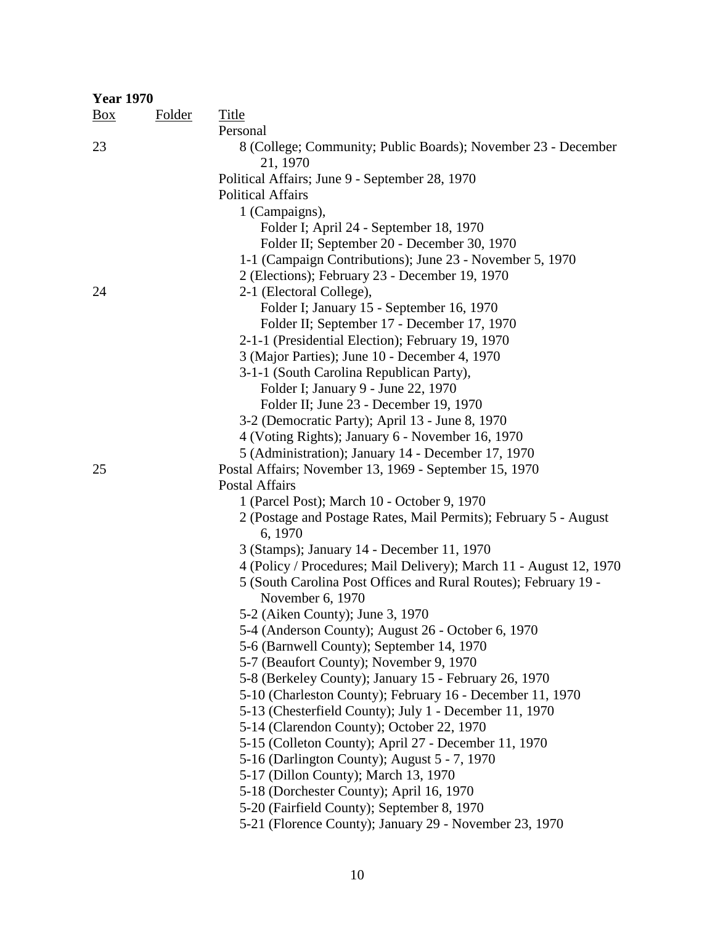| <b>Year 1970</b> |               |                                                                                                        |
|------------------|---------------|--------------------------------------------------------------------------------------------------------|
| $\frac{Box}{}$   | <b>Folder</b> | <b>Title</b>                                                                                           |
|                  |               | Personal                                                                                               |
| 23               |               | 8 (College; Community; Public Boards); November 23 - December<br>21, 1970                              |
|                  |               | Political Affairs; June 9 - September 28, 1970                                                         |
|                  |               | <b>Political Affairs</b>                                                                               |
|                  |               | 1 (Campaigns),                                                                                         |
|                  |               | Folder I; April 24 - September 18, 1970                                                                |
|                  |               | Folder II; September 20 - December 30, 1970                                                            |
|                  |               | 1-1 (Campaign Contributions); June 23 - November 5, 1970                                               |
|                  |               | 2 (Elections); February 23 - December 19, 1970                                                         |
| 24               |               | 2-1 (Electoral College),                                                                               |
|                  |               | Folder I; January 15 - September 16, 1970                                                              |
|                  |               | Folder II; September 17 - December 17, 1970                                                            |
|                  |               | 2-1-1 (Presidential Election); February 19, 1970                                                       |
|                  |               | 3 (Major Parties); June 10 - December 4, 1970                                                          |
|                  |               | 3-1-1 (South Carolina Republican Party),                                                               |
|                  |               | Folder I; January 9 - June 22, 1970                                                                    |
|                  |               | Folder II; June 23 - December 19, 1970                                                                 |
|                  |               | 3-2 (Democratic Party); April 13 - June 8, 1970                                                        |
|                  |               | 4 (Voting Rights); January 6 - November 16, 1970<br>5 (Administration); January 14 - December 17, 1970 |
| 25               |               | Postal Affairs; November 13, 1969 - September 15, 1970                                                 |
|                  |               | <b>Postal Affairs</b>                                                                                  |
|                  |               | 1 (Parcel Post); March 10 - October 9, 1970                                                            |
|                  |               | 2 (Postage and Postage Rates, Mail Permits); February 5 - August<br>6, 1970                            |
|                  |               | 3 (Stamps); January 14 - December 11, 1970                                                             |
|                  |               | 4 (Policy / Procedures; Mail Delivery); March 11 - August 12, 1970                                     |
|                  |               | 5 (South Carolina Post Offices and Rural Routes); February 19 -<br>November 6, 1970                    |
|                  |               | 5-2 (Aiken County); June 3, 1970                                                                       |
|                  |               | 5-4 (Anderson County); August 26 - October 6, 1970                                                     |
|                  |               | 5-6 (Barnwell County); September 14, 1970                                                              |
|                  |               | 5-7 (Beaufort County); November 9, 1970                                                                |
|                  |               | 5-8 (Berkeley County); January 15 - February 26, 1970                                                  |
|                  |               | 5-10 (Charleston County); February 16 - December 11, 1970                                              |
|                  |               | 5-13 (Chesterfield County); July 1 - December 11, 1970                                                 |
|                  |               | 5-14 (Clarendon County); October 22, 1970                                                              |
|                  |               | 5-15 (Colleton County); April 27 - December 11, 1970                                                   |
|                  |               | 5-16 (Darlington County); August 5 - 7, 1970                                                           |
|                  |               | 5-17 (Dillon County); March 13, 1970                                                                   |
|                  |               | 5-18 (Dorchester County); April 16, 1970                                                               |
|                  |               | 5-20 (Fairfield County); September 8, 1970                                                             |
|                  |               | 5-21 (Florence County); January 29 - November 23, 1970                                                 |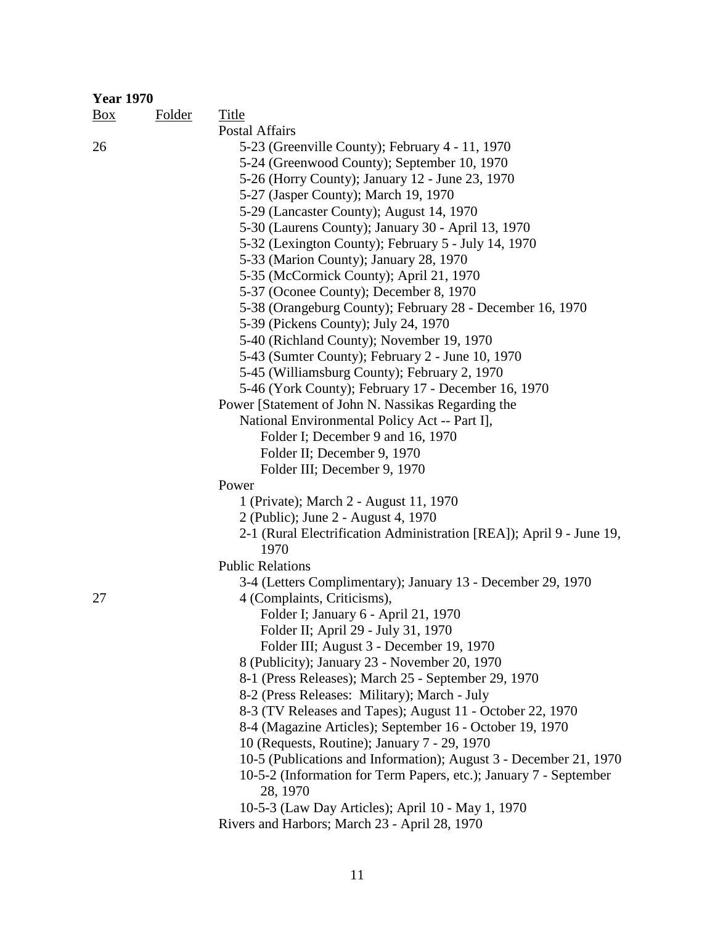| <b>Year 1970</b> |               |                                                                      |
|------------------|---------------|----------------------------------------------------------------------|
| Box              | <b>Folder</b> | Title                                                                |
|                  |               | <b>Postal Affairs</b>                                                |
| 26               |               | 5-23 (Greenville County); February 4 - 11, 1970                      |
|                  |               | 5-24 (Greenwood County); September 10, 1970                          |
|                  |               | 5-26 (Horry County); January 12 - June 23, 1970                      |
|                  |               | 5-27 (Jasper County); March 19, 1970                                 |
|                  |               | 5-29 (Lancaster County); August 14, 1970                             |
|                  |               | 5-30 (Laurens County); January 30 - April 13, 1970                   |
|                  |               | 5-32 (Lexington County); February 5 - July 14, 1970                  |
|                  |               | 5-33 (Marion County); January 28, 1970                               |
|                  |               | 5-35 (McCormick County); April 21, 1970                              |
|                  |               | 5-37 (Oconee County); December 8, 1970                               |
|                  |               | 5-38 (Orangeburg County); February 28 - December 16, 1970            |
|                  |               | 5-39 (Pickens County); July 24, 1970                                 |
|                  |               | 5-40 (Richland County); November 19, 1970                            |
|                  |               | 5-43 (Sumter County); February 2 - June 10, 1970                     |
|                  |               | 5-45 (Williamsburg County); February 2, 1970                         |
|                  |               | 5-46 (York County); February 17 - December 16, 1970                  |
|                  |               | Power [Statement of John N. Nassikas Regarding the                   |
|                  |               | National Environmental Policy Act -- Part I],                        |
|                  |               | Folder I; December 9 and 16, 1970<br>Folder II; December 9, 1970     |
|                  |               | Folder III; December 9, 1970                                         |
|                  |               | Power                                                                |
|                  |               | 1 (Private); March 2 - August 11, 1970                               |
|                  |               | 2 (Public); June 2 - August 4, 1970                                  |
|                  |               | 2-1 (Rural Electrification Administration [REA]); April 9 - June 19, |
|                  |               | 1970                                                                 |
|                  |               | <b>Public Relations</b>                                              |
|                  |               | 3-4 (Letters Complimentary); January 13 - December 29, 1970          |
| 27               |               | 4 (Complaints, Criticisms),                                          |
|                  |               | Folder I; January 6 - April 21, 1970                                 |
|                  |               | Folder II; April 29 - July 31, 1970                                  |
|                  |               | Folder III; August 3 - December 19, 1970                             |
|                  |               | 8 (Publicity); January 23 - November 20, 1970                        |
|                  |               | 8-1 (Press Releases); March 25 - September 29, 1970                  |
|                  |               | 8-2 (Press Releases: Military); March - July                         |
|                  |               | 8-3 (TV Releases and Tapes); August 11 - October 22, 1970            |
|                  |               | 8-4 (Magazine Articles); September 16 - October 19, 1970             |
|                  |               | 10 (Requests, Routine); January 7 - 29, 1970                         |
|                  |               | 10-5 (Publications and Information); August 3 - December 21, 1970    |
|                  |               | 10-5-2 (Information for Term Papers, etc.); January 7 - September    |
|                  |               | 28, 1970                                                             |
|                  |               | 10-5-3 (Law Day Articles); April 10 - May 1, 1970                    |
|                  |               | Rivers and Harbors; March 23 - April 28, 1970                        |
|                  |               |                                                                      |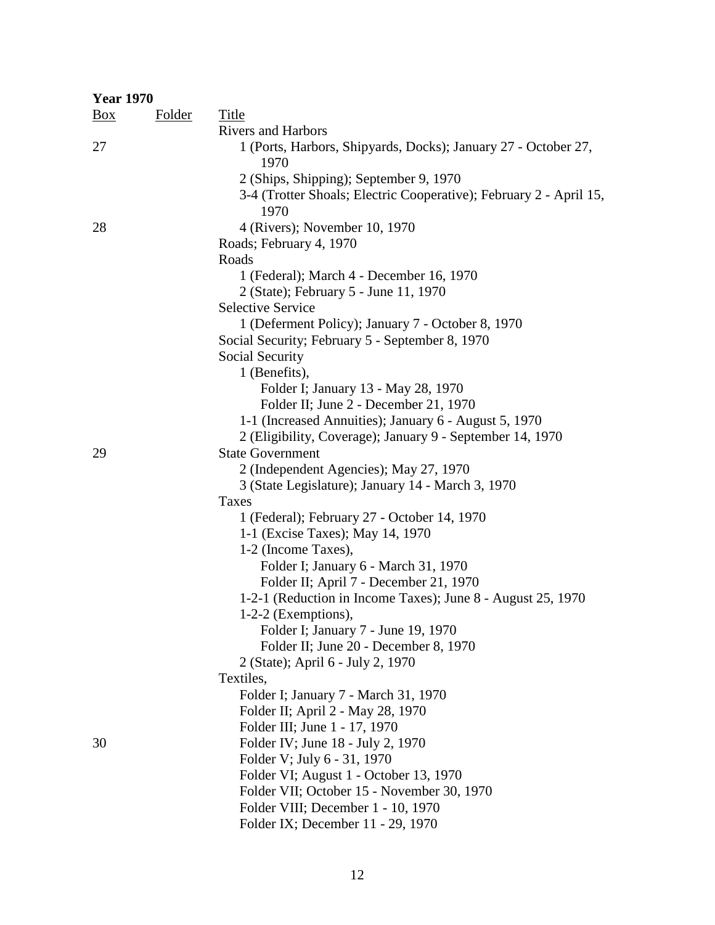| <b>Year 1970</b> |               |                                                                            |
|------------------|---------------|----------------------------------------------------------------------------|
| $\frac{Box}{}$   | <b>Folder</b> | Title                                                                      |
|                  |               | <b>Rivers and Harbors</b>                                                  |
| 27               |               | 1 (Ports, Harbors, Shipyards, Docks); January 27 - October 27,<br>1970     |
|                  |               | 2 (Ships, Shipping); September 9, 1970                                     |
|                  |               | 3-4 (Trotter Shoals; Electric Cooperative); February 2 - April 15,<br>1970 |
| 28               |               | 4 (Rivers); November 10, 1970                                              |
|                  |               | Roads; February 4, 1970                                                    |
|                  |               | Roads                                                                      |
|                  |               | 1 (Federal); March 4 - December 16, 1970                                   |
|                  |               | 2 (State); February 5 - June 11, 1970                                      |
|                  |               | <b>Selective Service</b>                                                   |
|                  |               | 1 (Deferment Policy); January 7 - October 8, 1970                          |
|                  |               | Social Security; February 5 - September 8, 1970                            |
|                  |               | Social Security                                                            |
|                  |               | 1 (Benefits),                                                              |
|                  |               | Folder I; January 13 - May 28, 1970                                        |
|                  |               | Folder II; June 2 - December 21, 1970                                      |
|                  |               | 1-1 (Increased Annuities); January 6 - August 5, 1970                      |
|                  |               | 2 (Eligibility, Coverage); January 9 - September 14, 1970                  |
| 29               |               | <b>State Government</b>                                                    |
|                  |               | 2 (Independent Agencies); May 27, 1970                                     |
|                  |               | 3 (State Legislature); January 14 - March 3, 1970                          |
|                  |               | Taxes                                                                      |
|                  |               | 1 (Federal); February 27 - October 14, 1970                                |
|                  |               | 1-1 (Excise Taxes); May 14, 1970                                           |
|                  |               | 1-2 (Income Taxes),                                                        |
|                  |               | Folder I; January 6 - March 31, 1970                                       |
|                  |               | Folder II; April 7 - December 21, 1970                                     |
|                  |               | 1-2-1 (Reduction in Income Taxes); June 8 - August 25, 1970                |
|                  |               | $1-2-2$ (Exemptions),                                                      |
|                  |               | Folder I; January 7 - June 19, 1970                                        |
|                  |               | Folder II; June 20 - December 8, 1970                                      |
|                  |               | 2 (State); April 6 - July 2, 1970                                          |
|                  |               | Textiles,                                                                  |
|                  |               | Folder I; January 7 - March 31, 1970                                       |
|                  |               | Folder II; April 2 - May 28, 1970                                          |
|                  |               | Folder III; June 1 - 17, 1970                                              |
| 30               |               | Folder IV; June 18 - July 2, 1970                                          |
|                  |               | Folder V; July 6 - 31, 1970                                                |
|                  |               | Folder VI; August 1 - October 13, 1970                                     |
|                  |               | Folder VII; October 15 - November 30, 1970                                 |
|                  |               | Folder VIII; December 1 - 10, 1970                                         |

Folder IX; December 11 - 29, 1970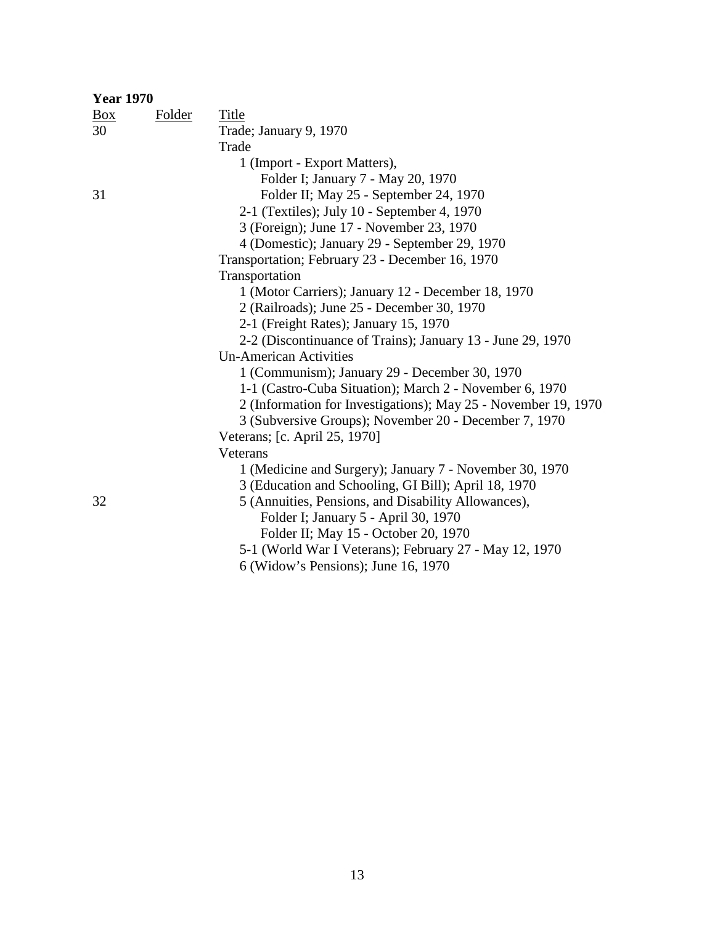| <b>Year 1970</b> |        |                                                                |
|------------------|--------|----------------------------------------------------------------|
| $\frac{Box}{}$   | Folder | Title                                                          |
| 30               |        | Trade; January 9, 1970                                         |
|                  |        | Trade                                                          |
|                  |        | 1 (Import - Export Matters),                                   |
|                  |        | Folder I; January 7 - May 20, 1970                             |
| 31               |        | Folder II; May 25 - September 24, 1970                         |
|                  |        | 2-1 (Textiles); July 10 - September 4, 1970                    |
|                  |        | 3 (Foreign); June 17 - November 23, 1970                       |
|                  |        | 4 (Domestic); January 29 - September 29, 1970                  |
|                  |        | Transportation; February 23 - December 16, 1970                |
|                  |        | Transportation                                                 |
|                  |        | 1 (Motor Carriers); January 12 - December 18, 1970             |
|                  |        | 2 (Railroads); June 25 - December 30, 1970                     |
|                  |        | 2-1 (Freight Rates); January 15, 1970                          |
|                  |        | 2-2 (Discontinuance of Trains); January 13 - June 29, 1970     |
|                  |        | <b>Un-American Activities</b>                                  |
|                  |        | 1 (Communism); January 29 - December 30, 1970                  |
|                  |        | 1-1 (Castro-Cuba Situation); March 2 - November 6, 1970        |
|                  |        | 2 (Information for Investigations); May 25 - November 19, 1970 |
|                  |        | 3 (Subversive Groups); November 20 - December 7, 1970          |
|                  |        | Veterans; [c. April 25, 1970]                                  |
|                  |        | Veterans                                                       |
|                  |        | 1 (Medicine and Surgery); January 7 - November 30, 1970        |
|                  |        | 3 (Education and Schooling, GI Bill); April 18, 1970           |
| 32               |        | 5 (Annuities, Pensions, and Disability Allowances),            |
|                  |        | Folder I; January 5 - April 30, 1970                           |
|                  |        | Folder II; May 15 - October 20, 1970                           |
|                  |        | 5-1 (World War I Veterans); February 27 - May 12, 1970         |
|                  |        | $\epsilon$ (Wildow) a Dengiana). Lyne $1\epsilon$ 1070         |

6 (Widow's Pensions); June 16, 1970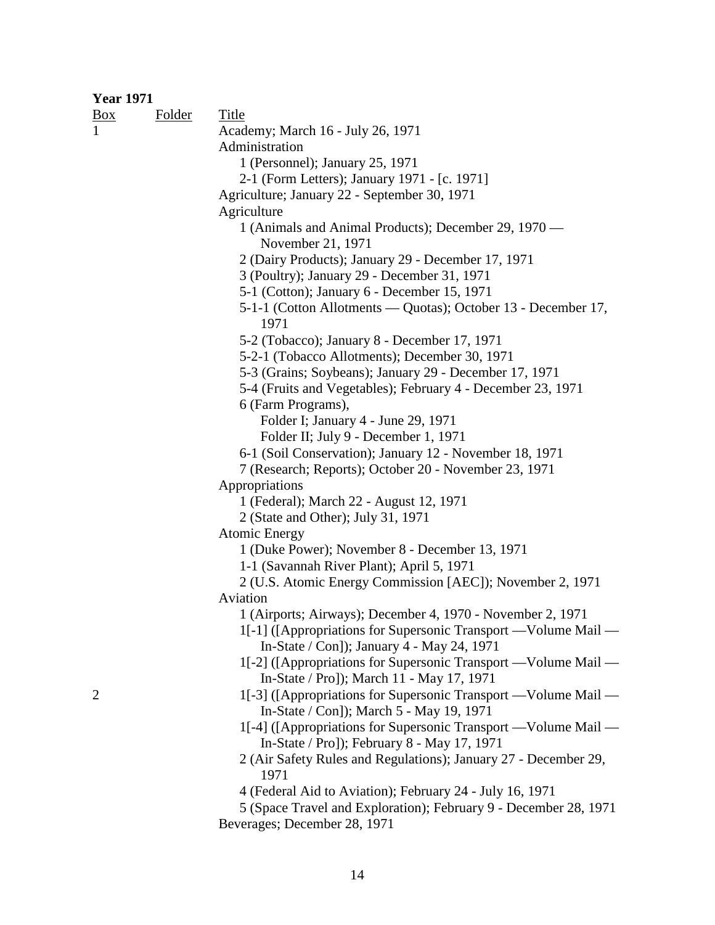#### **Year 1971**

| Box            | <b>Folder</b> | <u>Title</u>                                                                                                  |
|----------------|---------------|---------------------------------------------------------------------------------------------------------------|
|                |               | Academy; March 16 - July 26, 1971                                                                             |
|                |               | Administration                                                                                                |
|                |               | 1 (Personnel); January 25, 1971                                                                               |
|                |               | 2-1 (Form Letters); January 1971 - [c. 1971]                                                                  |
|                |               | Agriculture; January 22 - September 30, 1971                                                                  |
|                |               | Agriculture                                                                                                   |
|                |               | 1 (Animals and Animal Products); December 29, 1970 —                                                          |
|                |               | November 21, 1971                                                                                             |
|                |               | 2 (Dairy Products); January 29 - December 17, 1971                                                            |
|                |               | 3 (Poultry); January 29 - December 31, 1971                                                                   |
|                |               | 5-1 (Cotton); January 6 - December 15, 1971                                                                   |
|                |               | 5-1-1 (Cotton Allotments — Quotas); October 13 - December 17,<br>1971                                         |
|                |               | 5-2 (Tobacco); January 8 - December 17, 1971                                                                  |
|                |               | 5-2-1 (Tobacco Allotments); December 30, 1971                                                                 |
|                |               | 5-3 (Grains; Soybeans); January 29 - December 17, 1971                                                        |
|                |               | 5-4 (Fruits and Vegetables); February 4 - December 23, 1971                                                   |
|                |               | 6 (Farm Programs),                                                                                            |
|                |               | Folder I; January 4 - June 29, 1971                                                                           |
|                |               | Folder II; July 9 - December 1, 1971                                                                          |
|                |               | 6-1 (Soil Conservation); January 12 - November 18, 1971                                                       |
|                |               | 7 (Research; Reports); October 20 - November 23, 1971                                                         |
|                |               | Appropriations                                                                                                |
|                |               | 1 (Federal); March 22 - August 12, 1971                                                                       |
|                |               | 2 (State and Other); July 31, 1971                                                                            |
|                |               | <b>Atomic Energy</b>                                                                                          |
|                |               | 1 (Duke Power); November 8 - December 13, 1971                                                                |
|                |               | 1-1 (Savannah River Plant); April 5, 1971                                                                     |
|                |               | 2 (U.S. Atomic Energy Commission [AEC]); November 2, 1971                                                     |
|                |               | Aviation                                                                                                      |
|                |               | 1 (Airports; Airways); December 4, 1970 - November 2, 1971                                                    |
|                |               | 1[-1] ([Appropriations for Supersonic Transport —Volume Mail —                                                |
|                |               | In-State / Con]); January 4 - May 24, 1971                                                                    |
|                |               | 1[-2] ([Appropriations for Supersonic Transport —Volume Mail —<br>In-State / Pro]); March 11 - May 17, 1971   |
| $\overline{c}$ |               | 1[-3] ([Appropriations for Supersonic Transport —Volume Mail —                                                |
|                |               | In-State / Con]); March 5 - May 19, 1971                                                                      |
|                |               | 1[-4] ([Appropriations for Supersonic Transport —Volume Mail —<br>In-State / Pro]); February 8 - May 17, 1971 |
|                |               | 2 (Air Safety Rules and Regulations); January 27 - December 29,<br>1971                                       |
|                |               | 4 (Federal Aid to Aviation); February 24 - July 16, 1971                                                      |
|                |               | 5 (Space Travel and Exploration); February 9 - December 28, 1971                                              |
|                |               | Beverages; December 28, 1971                                                                                  |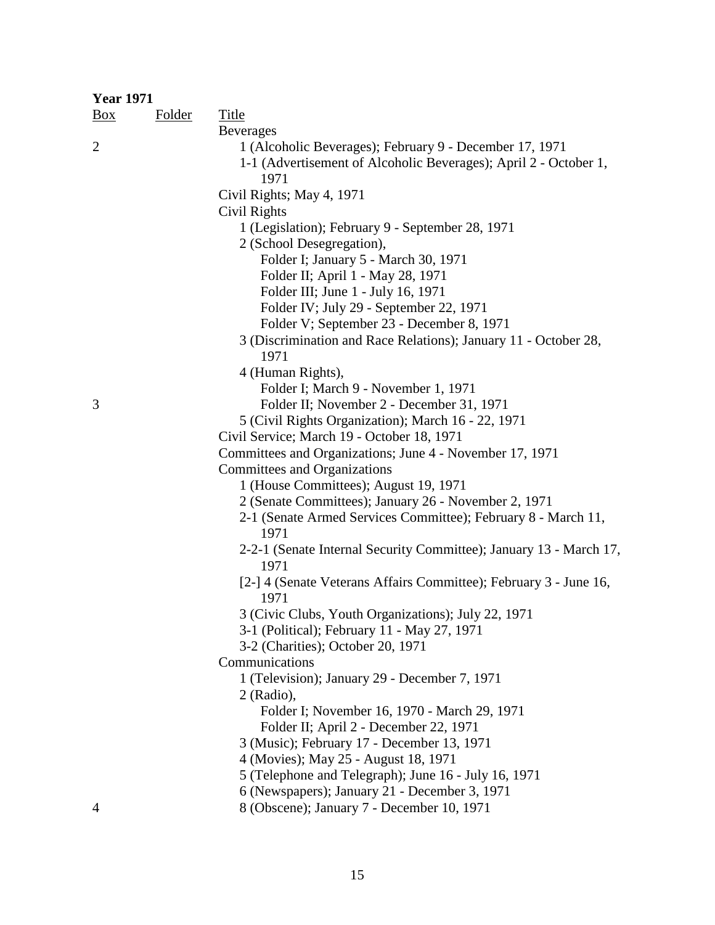| <b>Year 1971</b> |               |                                                                            |
|------------------|---------------|----------------------------------------------------------------------------|
| $\frac{Box}{}$   | <b>Folder</b> | <b>Title</b>                                                               |
|                  |               | <b>Beverages</b>                                                           |
| $\overline{2}$   |               | 1 (Alcoholic Beverages); February 9 - December 17, 1971                    |
|                  |               | 1-1 (Advertisement of Alcoholic Beverages); April 2 - October 1,           |
|                  |               | 1971                                                                       |
|                  |               | Civil Rights; May 4, 1971                                                  |
|                  |               | Civil Rights                                                               |
|                  |               | 1 (Legislation); February 9 - September 28, 1971                           |
|                  |               | 2 (School Desegregation),                                                  |
|                  |               | Folder I; January 5 - March 30, 1971                                       |
|                  |               | Folder II; April 1 - May 28, 1971                                          |
|                  |               | Folder III; June 1 - July 16, 1971                                         |
|                  |               | Folder IV; July 29 - September 22, 1971                                    |
|                  |               | Folder V; September 23 - December 8, 1971                                  |
|                  |               | 3 (Discrimination and Race Relations); January 11 - October 28,            |
|                  |               | 1971                                                                       |
|                  |               | 4 (Human Rights),                                                          |
|                  |               | Folder I; March 9 - November 1, 1971                                       |
| 3                |               | Folder II; November 2 - December 31, 1971                                  |
|                  |               | 5 (Civil Rights Organization); March 16 - 22, 1971                         |
|                  |               | Civil Service; March 19 - October 18, 1971                                 |
|                  |               | Committees and Organizations; June 4 - November 17, 1971                   |
|                  |               | Committees and Organizations                                               |
|                  |               | 1 (House Committees); August 19, 1971                                      |
|                  |               | 2 (Senate Committees); January 26 - November 2, 1971                       |
|                  |               | 2-1 (Senate Armed Services Committee); February 8 - March 11,              |
|                  |               | 1971<br>2-2-1 (Senate Internal Security Committee); January 13 - March 17, |
|                  |               | 1971                                                                       |
|                  |               | [2-] 4 (Senate Veterans Affairs Committee); February 3 - June 16,          |
|                  |               | 1971                                                                       |
|                  |               | 3 (Civic Clubs, Youth Organizations); July 22, 1971                        |
|                  |               | 3-1 (Political); February 11 - May 27, 1971                                |
|                  |               | 3-2 (Charities); October 20, 1971                                          |
|                  |               | Communications                                                             |
|                  |               | 1 (Television); January 29 - December 7, 1971                              |
|                  |               | 2 (Radio),                                                                 |
|                  |               | Folder I; November 16, 1970 - March 29, 1971                               |
|                  |               | Folder II; April 2 - December 22, 1971                                     |
|                  |               | 3 (Music); February 17 - December 13, 1971                                 |
|                  |               | 4 (Movies); May 25 - August 18, 1971                                       |
|                  |               | 5 (Telephone and Telegraph); June 16 - July 16, 1971                       |
|                  |               | 6 (Newspapers); January 21 - December 3, 1971                              |
| 4                |               | 8 (Obscene); January 7 - December 10, 1971                                 |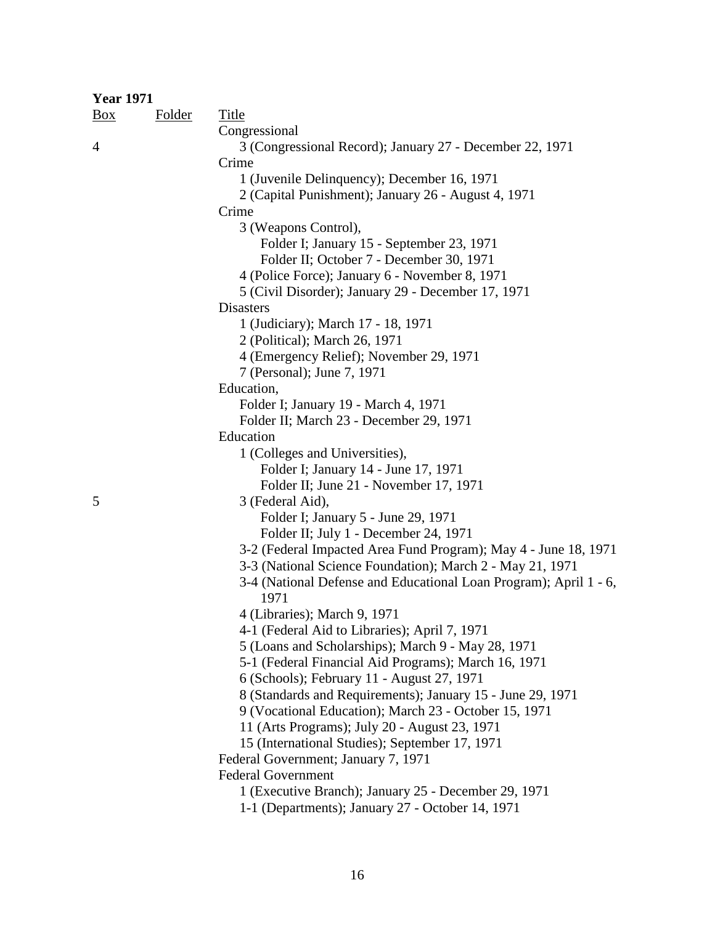| <b>Year 1971</b> |               |                                                                   |
|------------------|---------------|-------------------------------------------------------------------|
| $\frac{Box}{}$   | <b>Folder</b> | <b>Title</b>                                                      |
|                  |               | Congressional                                                     |
| $\overline{4}$   |               | 3 (Congressional Record); January 27 - December 22, 1971          |
|                  |               | Crime                                                             |
|                  |               | 1 (Juvenile Delinquency); December 16, 1971                       |
|                  |               | 2 (Capital Punishment); January 26 - August 4, 1971               |
|                  |               | Crime                                                             |
|                  |               | 3 (Weapons Control),                                              |
|                  |               | Folder I; January 15 - September 23, 1971                         |
|                  |               | Folder II; October 7 - December 30, 1971                          |
|                  |               | 4 (Police Force); January 6 - November 8, 1971                    |
|                  |               | 5 (Civil Disorder); January 29 - December 17, 1971                |
|                  |               | <b>Disasters</b>                                                  |
|                  |               | 1 (Judiciary); March 17 - 18, 1971                                |
|                  |               | 2 (Political); March 26, 1971                                     |
|                  |               | 4 (Emergency Relief); November 29, 1971                           |
|                  |               | 7 (Personal); June 7, 1971                                        |
|                  |               | Education,                                                        |
|                  |               | Folder I; January 19 - March 4, 1971                              |
|                  |               | Folder II; March 23 - December 29, 1971                           |
|                  |               | Education                                                         |
|                  |               | 1 (Colleges and Universities),                                    |
|                  |               | Folder I; January 14 - June 17, 1971                              |
|                  |               | Folder II; June 21 - November 17, 1971                            |
| 5                |               | 3 (Federal Aid),                                                  |
|                  |               | Folder I; January 5 - June 29, 1971                               |
|                  |               | Folder II; July 1 - December 24, 1971                             |
|                  |               | 3-2 (Federal Impacted Area Fund Program); May 4 - June 18, 1971   |
|                  |               | 3-3 (National Science Foundation); March 2 - May 21, 1971         |
|                  |               | 3-4 (National Defense and Educational Loan Program); April 1 - 6, |
|                  |               | 1971                                                              |
|                  |               | 4 (Libraries); March 9, 1971                                      |
|                  |               | 4-1 (Federal Aid to Libraries); April 7, 1971                     |
|                  |               | 5 (Loans and Scholarships); March 9 - May 28, 1971                |
|                  |               | 5-1 (Federal Financial Aid Programs); March 16, 1971              |
|                  |               | 6 (Schools); February 11 - August 27, 1971                        |
|                  |               | 8 (Standards and Requirements); January 15 - June 29, 1971        |
|                  |               | 9 (Vocational Education); March 23 - October 15, 1971             |
|                  |               | 11 (Arts Programs); July 20 - August 23, 1971                     |
|                  |               | 15 (International Studies); September 17, 1971                    |
|                  |               | Federal Government; January 7, 1971                               |
|                  |               | <b>Federal Government</b>                                         |
|                  |               | 1 (Executive Branch); January 25 - December 29, 1971              |
|                  |               | 1-1 (Departments); January 27 - October 14, 1971                  |
|                  |               |                                                                   |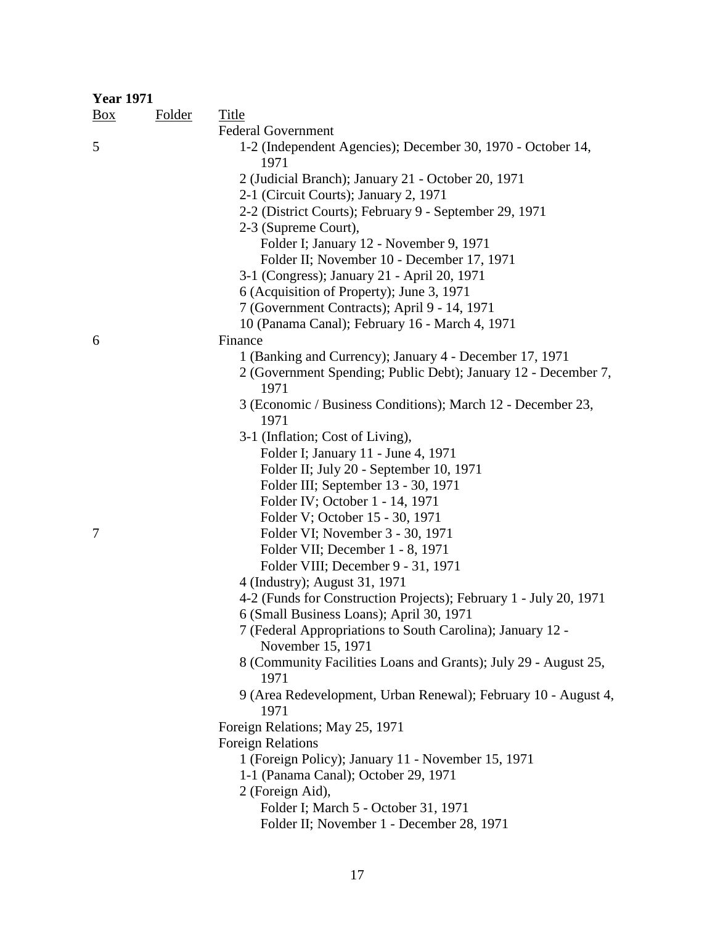| <b>Year 1971</b> |               |                                                                         |
|------------------|---------------|-------------------------------------------------------------------------|
| $\frac{Box}{}$   | <b>Folder</b> | <b>Title</b>                                                            |
|                  |               | <b>Federal Government</b>                                               |
| 5                |               | 1-2 (Independent Agencies); December 30, 1970 - October 14,<br>1971     |
|                  |               | 2 (Judicial Branch); January 21 - October 20, 1971                      |
|                  |               | 2-1 (Circuit Courts); January 2, 1971                                   |
|                  |               | 2-2 (District Courts); February 9 - September 29, 1971                  |
|                  |               | 2-3 (Supreme Court),                                                    |
|                  |               | Folder I; January 12 - November 9, 1971                                 |
|                  |               | Folder II; November 10 - December 17, 1971                              |
|                  |               | 3-1 (Congress); January 21 - April 20, 1971                             |
|                  |               | 6 (Acquisition of Property); June 3, 1971                               |
|                  |               | 7 (Government Contracts); April 9 - 14, 1971                            |
|                  |               | 10 (Panama Canal); February 16 - March 4, 1971                          |
| 6                |               | Finance                                                                 |
|                  |               | 1 (Banking and Currency); January 4 - December 17, 1971                 |
|                  |               | 2 (Government Spending; Public Debt); January 12 - December 7,<br>1971  |
|                  |               | 3 (Economic / Business Conditions); March 12 - December 23,<br>1971     |
|                  |               | 3-1 (Inflation; Cost of Living),                                        |
|                  |               | Folder I; January 11 - June 4, 1971                                     |
|                  |               | Folder II; July 20 - September 10, 1971                                 |
|                  |               | Folder III; September 13 - 30, 1971                                     |
|                  |               | Folder IV; October 1 - 14, 1971                                         |
|                  |               | Folder V; October 15 - 30, 1971                                         |
| 7                |               | Folder VI; November 3 - 30, 1971                                        |
|                  |               | Folder VII; December 1 - 8, 1971                                        |
|                  |               | Folder VIII; December 9 - 31, 1971                                      |
|                  |               | 4 (Industry); August 31, 1971                                           |
|                  |               | 4-2 (Funds for Construction Projects); February 1 - July 20, 1971       |
|                  |               | 6 (Small Business Loans); April 30, 1971                                |
|                  |               | 7 (Federal Appropriations to South Carolina); January 12 -              |
|                  |               | November 15, 1971                                                       |
|                  |               | 8 (Community Facilities Loans and Grants); July 29 - August 25,<br>1971 |
|                  |               | 9 (Area Redevelopment, Urban Renewal); February 10 - August 4,<br>1971  |
|                  |               | Foreign Relations; May 25, 1971                                         |
|                  |               | <b>Foreign Relations</b>                                                |
|                  |               | 1 (Foreign Policy); January 11 - November 15, 1971                      |
|                  |               | 1-1 (Panama Canal); October 29, 1971                                    |
|                  |               | 2 (Foreign Aid),                                                        |
|                  |               | Folder I; March 5 - October 31, 1971                                    |
|                  |               | Folder II; November 1 - December 28, 1971                               |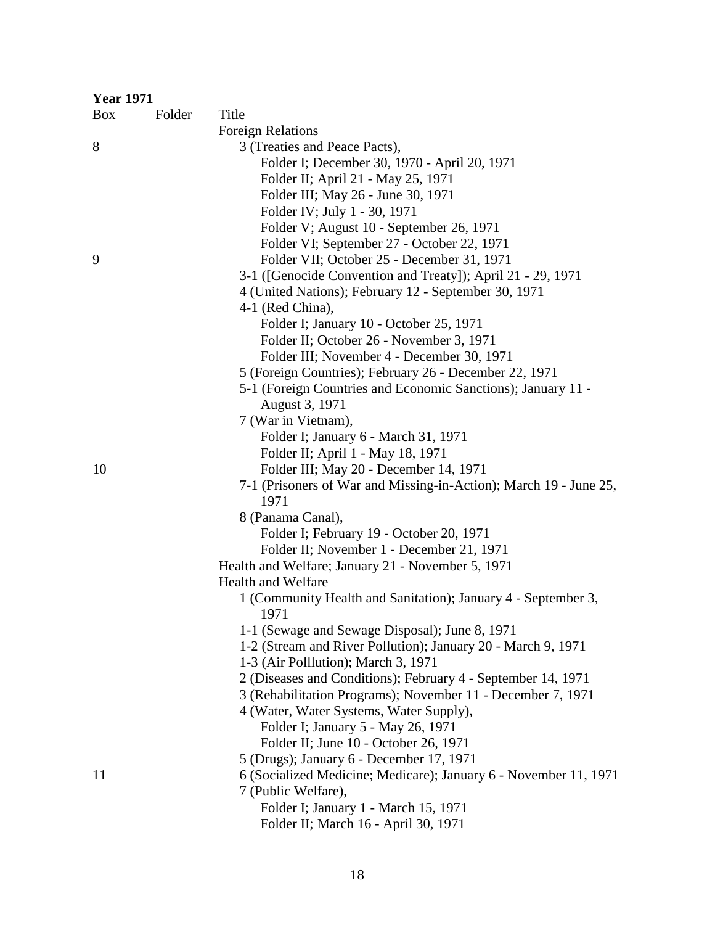| <b>Year 1971</b> |               |                                                                   |
|------------------|---------------|-------------------------------------------------------------------|
| $\frac{Box}{}$   | <b>Folder</b> | <b>Title</b>                                                      |
|                  |               | <b>Foreign Relations</b>                                          |
| 8                |               | 3 (Treaties and Peace Pacts),                                     |
|                  |               | Folder I; December 30, 1970 - April 20, 1971                      |
|                  |               | Folder II; April 21 - May 25, 1971                                |
|                  |               | Folder III; May 26 - June 30, 1971                                |
|                  |               | Folder IV; July 1 - 30, 1971                                      |
|                  |               | Folder V; August 10 - September 26, 1971                          |
|                  |               | Folder VI; September 27 - October 22, 1971                        |
| 9                |               | Folder VII; October 25 - December 31, 1971                        |
|                  |               | 3-1 ([Genocide Convention and Treaty]); April 21 - 29, 1971       |
|                  |               | 4 (United Nations); February 12 - September 30, 1971              |
|                  |               | 4-1 (Red China),                                                  |
|                  |               | Folder I; January 10 - October 25, 1971                           |
|                  |               | Folder II; October 26 - November 3, 1971                          |
|                  |               | Folder III; November 4 - December 30, 1971                        |
|                  |               | 5 (Foreign Countries); February 26 - December 22, 1971            |
|                  |               | 5-1 (Foreign Countries and Economic Sanctions); January 11 -      |
|                  |               | August 3, 1971                                                    |
|                  |               | 7 (War in Vietnam),                                               |
|                  |               | Folder I; January 6 - March 31, 1971                              |
|                  |               | Folder II; April 1 - May 18, 1971                                 |
| 10               |               | Folder III; May 20 - December 14, 1971                            |
|                  |               | 7-1 (Prisoners of War and Missing-in-Action); March 19 - June 25, |
|                  |               | 1971                                                              |
|                  |               | 8 (Panama Canal),                                                 |
|                  |               | Folder I; February 19 - October 20, 1971                          |
|                  |               | Folder II; November 1 - December 21, 1971                         |
|                  |               | Health and Welfare; January 21 - November 5, 1971                 |
|                  |               | <b>Health and Welfare</b>                                         |
|                  |               | 1 (Community Health and Sanitation); January 4 - September 3,     |
|                  |               | 1971                                                              |
|                  |               | 1-1 (Sewage and Sewage Disposal); June 8, 1971                    |
|                  |               | 1-2 (Stream and River Pollution); January 20 - March 9, 1971      |
|                  |               | 1-3 (Air Polllution); March 3, 1971                               |
|                  |               | 2 (Diseases and Conditions); February 4 - September 14, 1971      |
|                  |               | 3 (Rehabilitation Programs); November 11 - December 7, 1971       |
|                  |               | 4 (Water, Water Systems, Water Supply),                           |
|                  |               | Folder I; January 5 - May 26, 1971                                |
|                  |               | Folder II; June 10 - October 26, 1971                             |
|                  |               | 5 (Drugs); January 6 - December 17, 1971                          |
| 11               |               | 6 (Socialized Medicine; Medicare); January 6 - November 11, 1971  |
|                  |               | 7 (Public Welfare),                                               |
|                  |               | Folder I; January 1 - March 15, 1971                              |
|                  |               | Folder II; March 16 - April 30, 1971                              |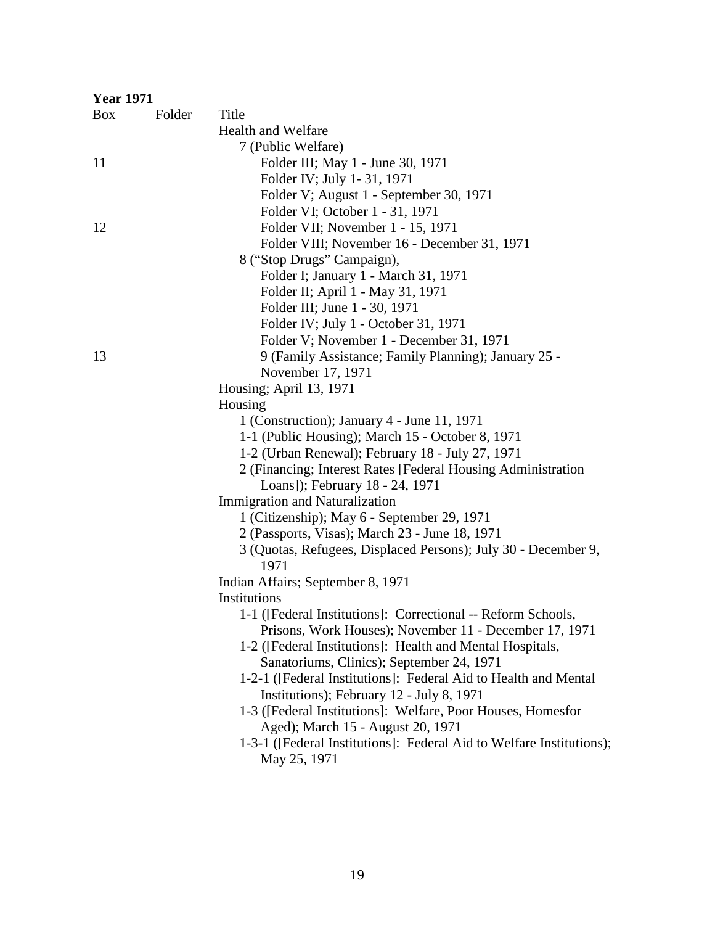| <b>Year 1971</b> |               |                                                                        |
|------------------|---------------|------------------------------------------------------------------------|
| $\frac{Box}{}$   | <b>Folder</b> | Title                                                                  |
|                  |               | <b>Health and Welfare</b>                                              |
|                  |               | 7 (Public Welfare)                                                     |
| 11               |               | Folder III; May 1 - June 30, 1971                                      |
|                  |               | Folder IV; July 1-31, 1971                                             |
|                  |               | Folder V; August 1 - September 30, 1971                                |
|                  |               | Folder VI; October 1 - 31, 1971                                        |
| 12               |               | Folder VII; November 1 - 15, 1971                                      |
|                  |               | Folder VIII; November 16 - December 31, 1971                           |
|                  |               | 8 ("Stop Drugs" Campaign),                                             |
|                  |               | Folder I; January 1 - March 31, 1971                                   |
|                  |               | Folder II; April 1 - May 31, 1971                                      |
|                  |               | Folder III; June 1 - 30, 1971                                          |
|                  |               | Folder IV; July 1 - October 31, 1971                                   |
|                  |               | Folder V; November 1 - December 31, 1971                               |
| 13               |               | 9 (Family Assistance; Family Planning); January 25 -                   |
|                  |               | November 17, 1971                                                      |
|                  |               | Housing; April 13, 1971                                                |
|                  |               | Housing                                                                |
|                  |               | 1 (Construction); January 4 - June 11, 1971                            |
|                  |               | 1-1 (Public Housing); March 15 - October 8, 1971                       |
|                  |               | 1-2 (Urban Renewal); February 18 - July 27, 1971                       |
|                  |               | 2 (Financing; Interest Rates [Federal Housing Administration           |
|                  |               | Loans]); February 18 - 24, 1971                                        |
|                  |               | Immigration and Naturalization                                         |
|                  |               | 1 (Citizenship); May 6 - September 29, 1971                            |
|                  |               | 2 (Passports, Visas); March 23 - June 18, 1971                         |
|                  |               | 3 (Quotas, Refugees, Displaced Persons); July 30 - December 9,<br>1971 |
|                  |               | Indian Affairs; September 8, 1971                                      |
|                  |               | Institutions                                                           |
|                  |               | 1-1 ([Federal Institutions]: Correctional -- Reform Schools,           |
|                  |               | Prisons, Work Houses); November 11 - December 17, 1971                 |
|                  |               | 1-2 ([Federal Institutions]: Health and Mental Hospitals,              |
|                  |               | Sanatoriums, Clinics); September 24, 1971                              |
|                  |               | 1-2-1 ([Federal Institutions]: Federal Aid to Health and Mental        |
|                  |               | Institutions); February 12 - July 8, 1971                              |
|                  |               | 1-3 ([Federal Institutions]: Welfare, Poor Houses, Homesfor            |
|                  |               | Aged); March 15 - August 20, 1971                                      |
|                  |               | 1-3-1 ([Federal Institutions]: Federal Aid to Welfare Institutions);   |
|                  |               | May 25, 1971                                                           |
|                  |               |                                                                        |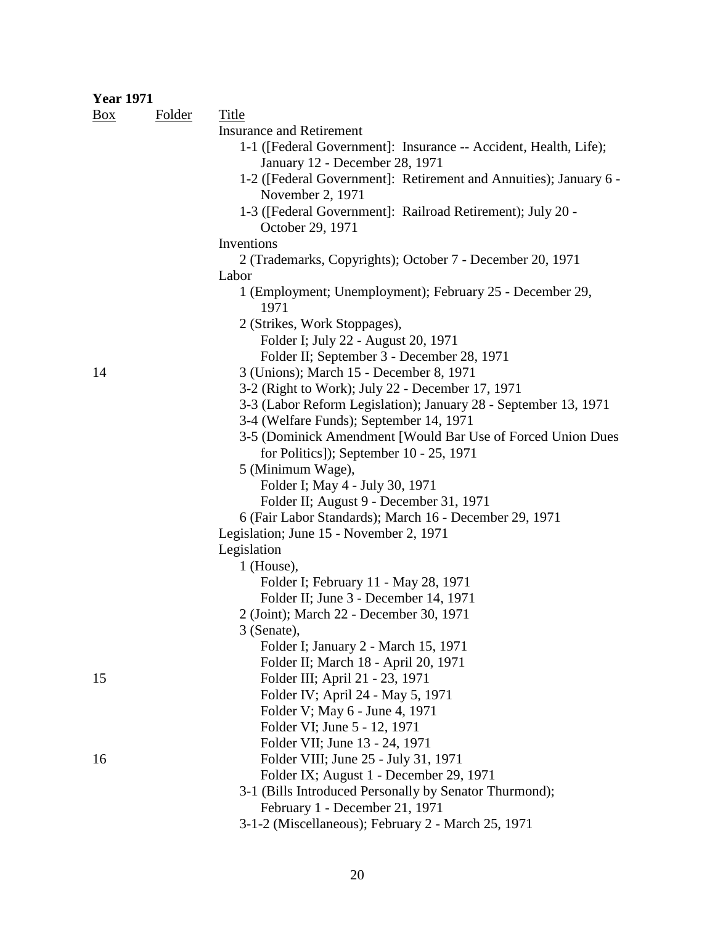# **Year 1971**

| <u>Box</u> | <b>Folder</b> | <b>Title</b>                                                      |
|------------|---------------|-------------------------------------------------------------------|
|            |               | <b>Insurance and Retirement</b>                                   |
|            |               | 1-1 ([Federal Government]: Insurance -- Accident, Health, Life);  |
|            |               | January 12 - December 28, 1971                                    |
|            |               | 1-2 ([Federal Government]: Retirement and Annuities); January 6 - |
|            |               | November 2, 1971                                                  |
|            |               | 1-3 ([Federal Government]: Railroad Retirement); July 20 -        |
|            |               | October 29, 1971                                                  |
|            |               | Inventions                                                        |
|            |               | 2 (Trademarks, Copyrights); October 7 - December 20, 1971         |
|            |               | Labor                                                             |
|            |               | 1 (Employment; Unemployment); February 25 - December 29,<br>1971  |
|            |               | 2 (Strikes, Work Stoppages),                                      |
|            |               | Folder I; July 22 - August 20, 1971                               |
|            |               | Folder II; September 3 - December 28, 1971                        |
| 14         |               | 3 (Unions); March 15 - December 8, 1971                           |
|            |               | 3-2 (Right to Work); July 22 - December 17, 1971                  |
|            |               | 3-3 (Labor Reform Legislation); January 28 - September 13, 1971   |
|            |               | 3-4 (Welfare Funds); September 14, 1971                           |
|            |               | 3-5 (Dominick Amendment [Would Bar Use of Forced Union Dues       |
|            |               | for Politics]); September 10 - 25, 1971                           |
|            |               | 5 (Minimum Wage),                                                 |
|            |               | Folder I; May 4 - July 30, 1971                                   |
|            |               | Folder II; August 9 - December 31, 1971                           |
|            |               | 6 (Fair Labor Standards); March 16 - December 29, 1971            |
|            |               | Legislation; June 15 - November 2, 1971                           |
|            |               | Legislation                                                       |
|            |               | $1$ (House),                                                      |
|            |               | Folder I; February 11 - May 28, 1971                              |
|            |               | Folder II; June 3 - December 14, 1971                             |
|            |               | 2 (Joint); March 22 - December 30, 1971                           |
|            |               | 3 (Senate),                                                       |
|            |               | Folder I; January 2 - March 15, 1971                              |
|            |               | Folder II; March 18 - April 20, 1971                              |
| 15         |               | Folder III; April 21 - 23, 1971                                   |
|            |               | Folder IV; April 24 - May 5, 1971                                 |
|            |               | Folder V; May 6 - June 4, 1971<br>Folder VI; June 5 - 12, 1971    |
|            |               | Folder VII; June 13 - 24, 1971                                    |
| 16         |               | Folder VIII; June 25 - July 31, 1971                              |
|            |               | Folder IX; August 1 - December 29, 1971                           |
|            |               | 3-1 (Bills Introduced Personally by Senator Thurmond);            |
|            |               | February 1 - December 21, 1971                                    |
|            |               | 3-1-2 (Miscellaneous); February 2 - March 25, 1971                |
|            |               |                                                                   |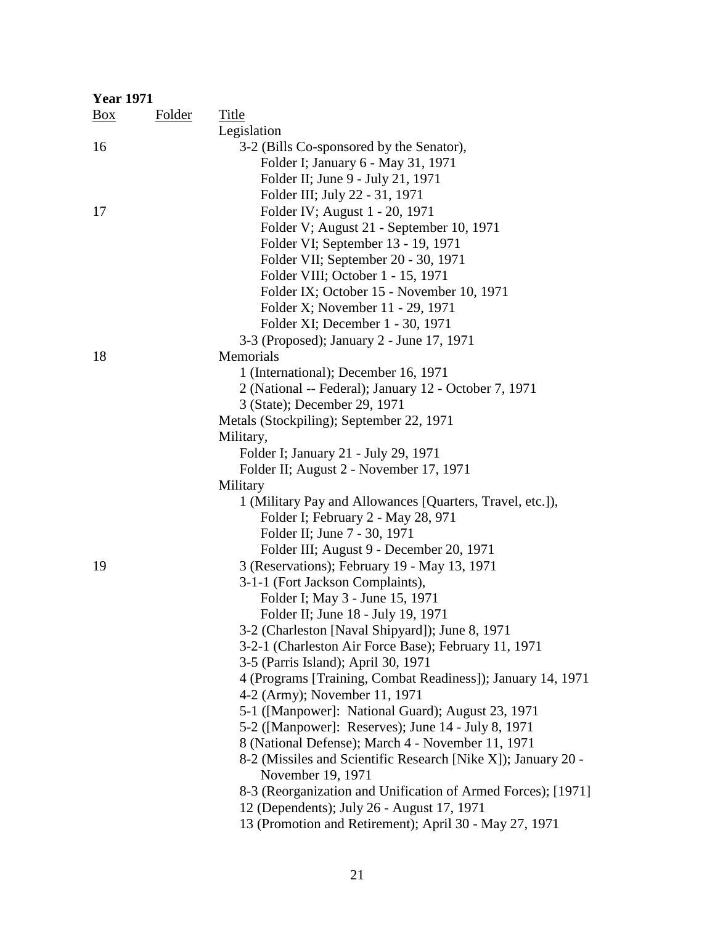| <b>Year 1971</b> |        |                                                                                                            |
|------------------|--------|------------------------------------------------------------------------------------------------------------|
| $\frac{Box}{}$   | Folder | Title                                                                                                      |
|                  |        | Legislation                                                                                                |
| 16               |        | 3-2 (Bills Co-sponsored by the Senator),                                                                   |
|                  |        | Folder I; January 6 - May 31, 1971                                                                         |
|                  |        | Folder II; June 9 - July 21, 1971                                                                          |
|                  |        | Folder III; July 22 - 31, 1971                                                                             |
| 17               |        | Folder IV; August 1 - 20, 1971                                                                             |
|                  |        | Folder V; August 21 - September 10, 1971                                                                   |
|                  |        | Folder VI; September 13 - 19, 1971                                                                         |
|                  |        | Folder VII; September 20 - 30, 1971                                                                        |
|                  |        | Folder VIII; October 1 - 15, 1971                                                                          |
|                  |        | Folder IX; October 15 - November 10, 1971                                                                  |
|                  |        | Folder X; November 11 - 29, 1971                                                                           |
|                  |        | Folder XI; December 1 - 30, 1971                                                                           |
|                  |        | 3-3 (Proposed); January 2 - June 17, 1971                                                                  |
| 18               |        | Memorials                                                                                                  |
|                  |        | 1 (International); December 16, 1971                                                                       |
|                  |        | 2 (National -- Federal); January 12 - October 7, 1971                                                      |
|                  |        | 3 (State); December 29, 1971                                                                               |
|                  |        | Metals (Stockpiling); September 22, 1971                                                                   |
|                  |        | Military,                                                                                                  |
|                  |        | Folder I; January 21 - July 29, 1971                                                                       |
|                  |        | Folder II; August 2 - November 17, 1971                                                                    |
|                  |        | Military                                                                                                   |
|                  |        | 1 (Military Pay and Allowances [Quarters, Travel, etc.]),                                                  |
|                  |        | Folder I; February 2 - May 28, 971                                                                         |
|                  |        | Folder II; June 7 - 30, 1971                                                                               |
|                  |        | Folder III; August 9 - December 20, 1971                                                                   |
| 19               |        | 3 (Reservations); February 19 - May 13, 1971                                                               |
|                  |        | 3-1-1 (Fort Jackson Complaints),                                                                           |
|                  |        | Folder I; May 3 - June 15, 1971                                                                            |
|                  |        | Folder II; June 18 - July 19, 1971                                                                         |
|                  |        | 3-2 (Charleston [Naval Shipyard]); June 8, 1971                                                            |
|                  |        | 3-2-1 (Charleston Air Force Base); February 11, 1971                                                       |
|                  |        | 3-5 (Parris Island); April 30, 1971                                                                        |
|                  |        | 4 (Programs [Training, Combat Readiness]); January 14, 1971                                                |
|                  |        | 4-2 (Army); November 11, 1971                                                                              |
|                  |        | 5-1 ([Manpower]: National Guard); August 23, 1971                                                          |
|                  |        | 5-2 ([Manpower]: Reserves); June 14 - July 8, 1971                                                         |
|                  |        | 8 (National Defense); March 4 - November 11, 1971                                                          |
|                  |        | 8-2 (Missiles and Scientific Research [Nike X]); January 20 -                                              |
|                  |        | November 19, 1971                                                                                          |
|                  |        | 8-3 (Reorganization and Unification of Armed Forces); [1971]<br>12 (Dependents); July 26 - August 17, 1971 |
|                  |        | 13 (Promotion and Retirement); April 30 - May 27, 1971                                                     |
|                  |        |                                                                                                            |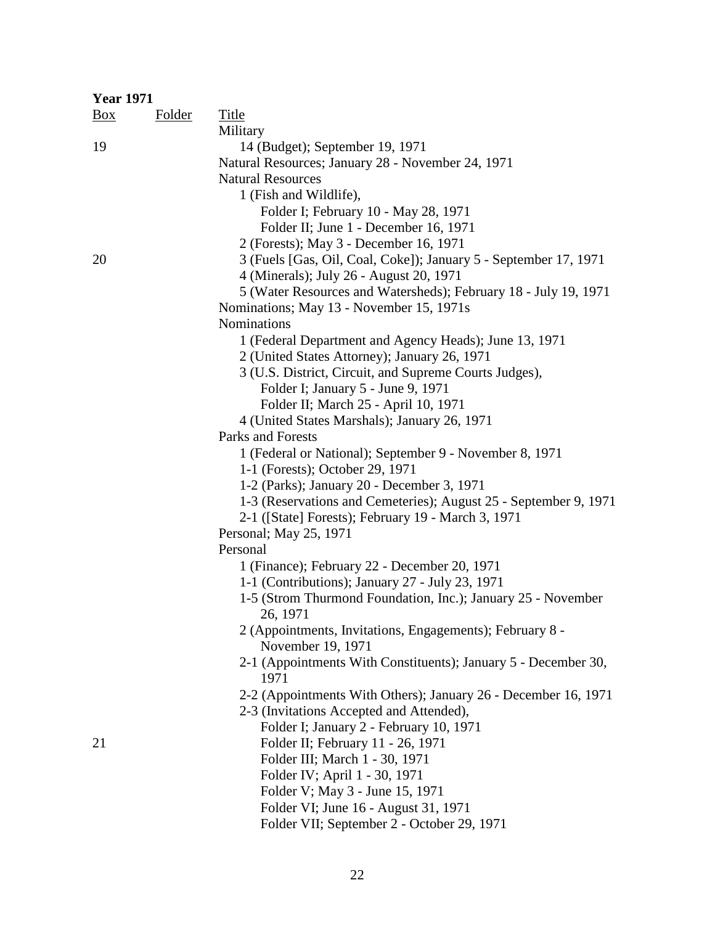| <b>Year 1971</b> |               |                                                                  |
|------------------|---------------|------------------------------------------------------------------|
| $\frac{Box}{}$   | <b>Folder</b> | <b>Title</b>                                                     |
|                  |               | Military                                                         |
| 19               |               | 14 (Budget); September 19, 1971                                  |
|                  |               | Natural Resources; January 28 - November 24, 1971                |
|                  |               | <b>Natural Resources</b>                                         |
|                  |               | 1 (Fish and Wildlife),                                           |
|                  |               | Folder I; February 10 - May 28, 1971                             |
|                  |               | Folder II; June 1 - December 16, 1971                            |
|                  |               | 2 (Forests); May 3 - December 16, 1971                           |
| 20               |               | 3 (Fuels [Gas, Oil, Coal, Coke]); January 5 - September 17, 1971 |
|                  |               | 4 (Minerals); July 26 - August 20, 1971                          |
|                  |               | 5 (Water Resources and Watersheds); February 18 - July 19, 1971  |
|                  |               | Nominations; May 13 - November 15, 1971s                         |
|                  |               | <b>Nominations</b>                                               |
|                  |               | 1 (Federal Department and Agency Heads); June 13, 1971           |
|                  |               | 2 (United States Attorney); January 26, 1971                     |
|                  |               | 3 (U.S. District, Circuit, and Supreme Courts Judges),           |
|                  |               | Folder I; January 5 - June 9, 1971                               |
|                  |               | Folder II; March 25 - April 10, 1971                             |
|                  |               | 4 (United States Marshals); January 26, 1971                     |
|                  |               | Parks and Forests                                                |
|                  |               | 1 (Federal or National); September 9 - November 8, 1971          |
|                  |               | 1-1 (Forests); October 29, 1971                                  |
|                  |               | 1-2 (Parks); January 20 - December 3, 1971                       |
|                  |               | 1-3 (Reservations and Cemeteries); August 25 - September 9, 1971 |
|                  |               | 2-1 ([State] Forests); February 19 - March 3, 1971               |
|                  |               | Personal; May 25, 1971                                           |
|                  |               | Personal                                                         |
|                  |               | 1 (Finance); February 22 - December 20, 1971                     |
|                  |               | 1-1 (Contributions); January 27 - July 23, 1971                  |
|                  |               | 1-5 (Strom Thurmond Foundation, Inc.); January 25 - November     |
|                  |               | 26, 1971                                                         |
|                  |               | 2 (Appointments, Invitations, Engagements); February 8 -         |
|                  |               | November 19, 1971                                                |
|                  |               | 2-1 (Appointments With Constituents); January 5 - December 30,   |
|                  |               | 1971                                                             |
|                  |               | 2-2 (Appointments With Others); January 26 - December 16, 1971   |
|                  |               | 2-3 (Invitations Accepted and Attended),                         |
|                  |               | Folder I; January 2 - February 10, 1971                          |
| 21               |               | Folder II; February 11 - 26, 1971                                |
|                  |               | Folder III; March 1 - 30, 1971                                   |
|                  |               | Folder IV; April 1 - 30, 1971                                    |
|                  |               | Folder V; May 3 - June 15, 1971                                  |
|                  |               | Folder VI; June 16 - August 31, 1971                             |
|                  |               | Folder VII; September 2 - October 29, 1971                       |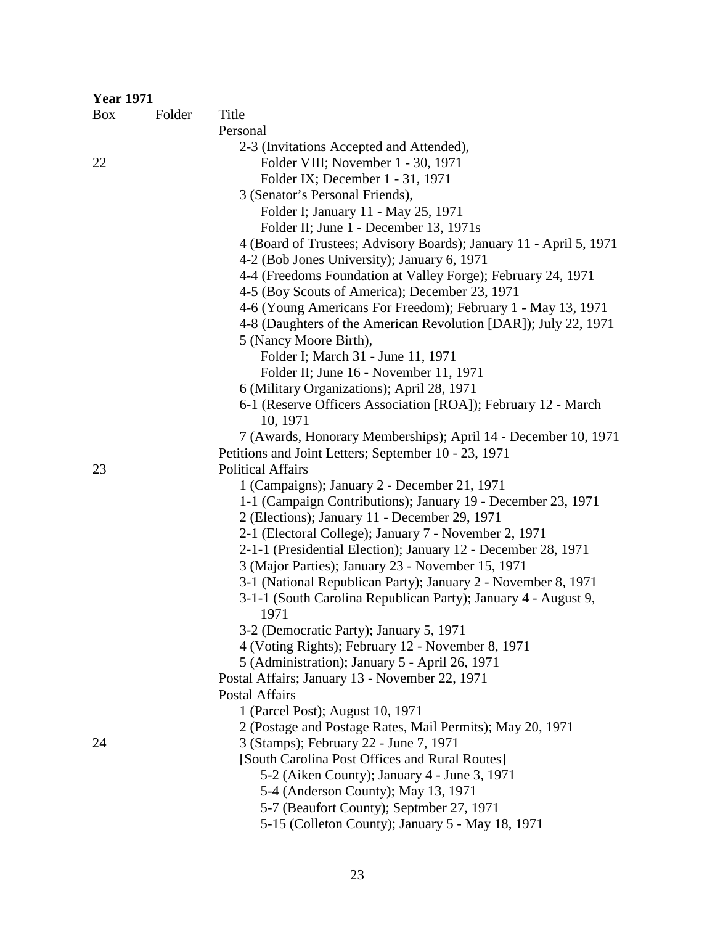| <b>Year 1971</b> |               |                                                                    |
|------------------|---------------|--------------------------------------------------------------------|
| $\frac{Box}{}$   | <b>Folder</b> | <b>Title</b>                                                       |
|                  |               | Personal                                                           |
|                  |               | 2-3 (Invitations Accepted and Attended),                           |
| 22               |               | Folder VIII; November 1 - 30, 1971                                 |
|                  |               | Folder IX; December 1 - 31, 1971                                   |
|                  |               | 3 (Senator's Personal Friends),                                    |
|                  |               | Folder I; January 11 - May 25, 1971                                |
|                  |               | Folder II; June 1 - December 13, 1971s                             |
|                  |               | 4 (Board of Trustees; Advisory Boards); January 11 - April 5, 1971 |
|                  |               | 4-2 (Bob Jones University); January 6, 1971                        |
|                  |               | 4-4 (Freedoms Foundation at Valley Forge); February 24, 1971       |
|                  |               | 4-5 (Boy Scouts of America); December 23, 1971                     |
|                  |               | 4-6 (Young Americans For Freedom); February 1 - May 13, 1971       |
|                  |               | 4-8 (Daughters of the American Revolution [DAR]); July 22, 1971    |
|                  |               | 5 (Nancy Moore Birth),                                             |
|                  |               | Folder I; March 31 - June 11, 1971                                 |
|                  |               | Folder II; June 16 - November 11, 1971                             |
|                  |               | 6 (Military Organizations); April 28, 1971                         |
|                  |               | 6-1 (Reserve Officers Association [ROA]); February 12 - March      |
|                  |               | 10, 1971                                                           |
|                  |               | 7 (Awards, Honorary Memberships); April 14 - December 10, 1971     |
|                  |               | Petitions and Joint Letters; September 10 - 23, 1971               |
| 23               |               | <b>Political Affairs</b>                                           |
|                  |               | 1 (Campaigns); January 2 - December 21, 1971                       |
|                  |               | 1-1 (Campaign Contributions); January 19 - December 23, 1971       |
|                  |               | 2 (Elections); January 11 - December 29, 1971                      |
|                  |               | 2-1 (Electoral College); January 7 - November 2, 1971              |
|                  |               | 2-1-1 (Presidential Election); January 12 - December 28, 1971      |
|                  |               | 3 (Major Parties); January 23 - November 15, 1971                  |
|                  |               | 3-1 (National Republican Party); January 2 - November 8, 1971      |
|                  |               | 3-1-1 (South Carolina Republican Party); January 4 - August 9,     |
|                  |               | 1971                                                               |
|                  |               | 3-2 (Democratic Party); January 5, 1971                            |
|                  |               | 4 (Voting Rights); February 12 - November 8, 1971                  |
|                  |               | 5 (Administration); January 5 - April 26, 1971                     |
|                  |               | Postal Affairs; January 13 - November 22, 1971                     |
|                  |               | Postal Affairs                                                     |
|                  |               | 1 (Parcel Post); August 10, 1971                                   |
|                  |               | 2 (Postage and Postage Rates, Mail Permits); May 20, 1971          |
| 24               |               | 3 (Stamps); February 22 - June 7, 1971                             |
|                  |               | [South Carolina Post Offices and Rural Routes]                     |
|                  |               | 5-2 (Aiken County); January 4 - June 3, 1971                       |
|                  |               | 5-4 (Anderson County); May 13, 1971                                |
|                  |               | 5-7 (Beaufort County); Septmber 27, 1971                           |
|                  |               | 5-15 (Colleton County); January 5 - May 18, 1971                   |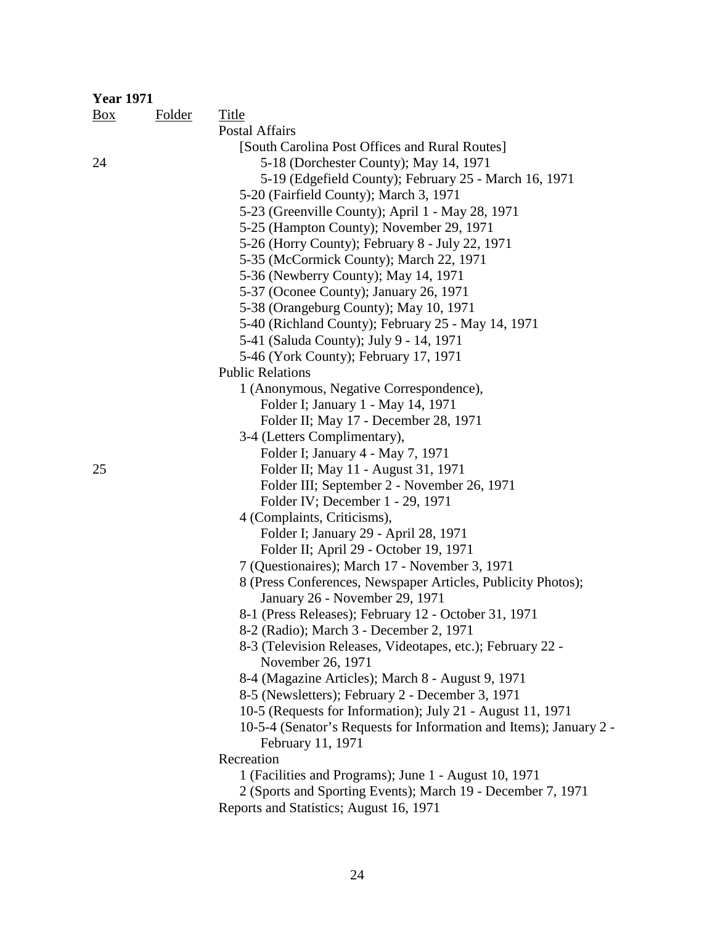| <b>Year 1971</b> |               |                                                                                         |
|------------------|---------------|-----------------------------------------------------------------------------------------|
| Box              | <b>Folder</b> | <b>Title</b>                                                                            |
|                  |               | <b>Postal Affairs</b>                                                                   |
|                  |               | [South Carolina Post Offices and Rural Routes]                                          |
| 24               |               | 5-18 (Dorchester County); May 14, 1971                                                  |
|                  |               | 5-19 (Edgefield County); February 25 - March 16, 1971                                   |
|                  |               | 5-20 (Fairfield County); March 3, 1971                                                  |
|                  |               | 5-23 (Greenville County); April 1 - May 28, 1971                                        |
|                  |               | 5-25 (Hampton County); November 29, 1971                                                |
|                  |               | 5-26 (Horry County); February 8 - July 22, 1971                                         |
|                  |               | 5-35 (McCormick County); March 22, 1971                                                 |
|                  |               | 5-36 (Newberry County); May 14, 1971                                                    |
|                  |               | 5-37 (Oconee County); January 26, 1971                                                  |
|                  |               | 5-38 (Orangeburg County); May 10, 1971                                                  |
|                  |               | 5-40 (Richland County); February 25 - May 14, 1971                                      |
|                  |               | 5-41 (Saluda County); July 9 - 14, 1971                                                 |
|                  |               | 5-46 (York County); February 17, 1971                                                   |
|                  |               | <b>Public Relations</b>                                                                 |
|                  |               | 1 (Anonymous, Negative Correspondence),                                                 |
|                  |               | Folder I; January 1 - May 14, 1971                                                      |
|                  |               | Folder II; May 17 - December 28, 1971                                                   |
|                  |               | 3-4 (Letters Complimentary),                                                            |
|                  |               | Folder I; January 4 - May 7, 1971                                                       |
| 25               |               | Folder II; May 11 - August 31, 1971                                                     |
|                  |               | Folder III; September 2 - November 26, 1971                                             |
|                  |               | Folder IV; December 1 - 29, 1971                                                        |
|                  |               | 4 (Complaints, Criticisms),                                                             |
|                  |               | Folder I; January 29 - April 28, 1971                                                   |
|                  |               | Folder II; April 29 - October 19, 1971                                                  |
|                  |               | 7 (Questionaires); March 17 - November 3, 1971                                          |
|                  |               | 8 (Press Conferences, Newspaper Articles, Publicity Photos);                            |
|                  |               | January 26 - November 29, 1971                                                          |
|                  |               | 8-1 (Press Releases); February 12 - October 31, 1971                                    |
|                  |               | 8-2 (Radio); March 3 - December 2, 1971                                                 |
|                  |               | 8-3 (Television Releases, Videotapes, etc.); February 22 -                              |
|                  |               | November 26, 1971                                                                       |
|                  |               | 8-4 (Magazine Articles); March 8 - August 9, 1971                                       |
|                  |               | 8-5 (Newsletters); February 2 - December 3, 1971                                        |
|                  |               | 10-5 (Requests for Information); July 21 - August 11, 1971                              |
|                  |               | 10-5-4 (Senator's Requests for Information and Items); January 2 -<br>February 11, 1971 |
|                  |               | Recreation                                                                              |
|                  |               | 1 (Facilities and Programs); June 1 - August 10, 1971                                   |
|                  |               | 2 (Sports and Sporting Events); March 19 - December 7, 1971                             |
|                  |               | Reports and Statistics; August 16, 1971                                                 |
|                  |               |                                                                                         |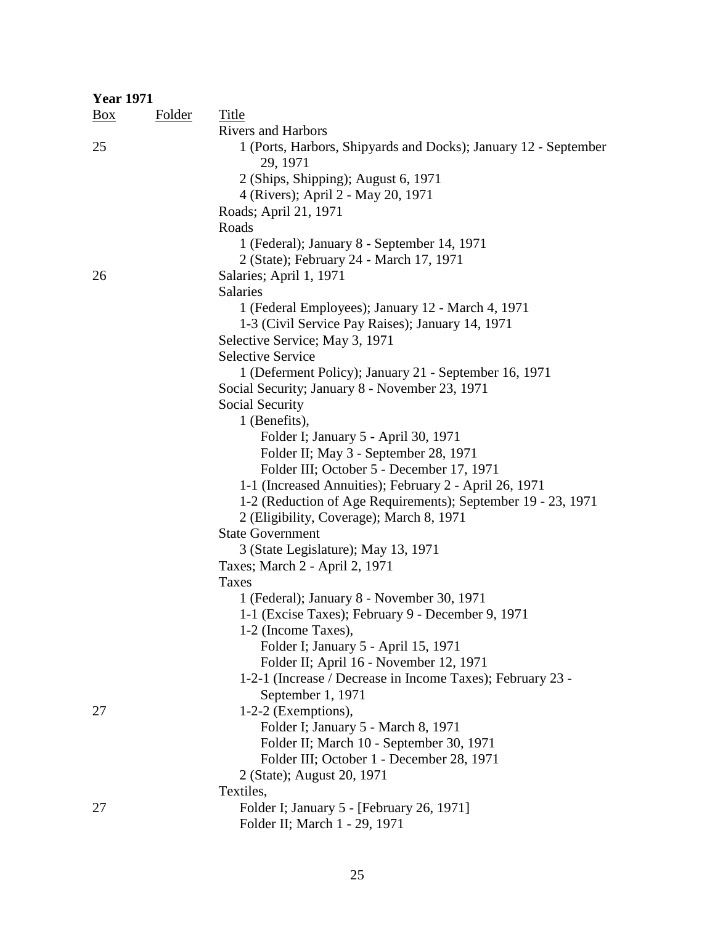| <b>Year 1971</b> |               |                                                                             |
|------------------|---------------|-----------------------------------------------------------------------------|
| $\frac{Box}{}$   | <b>Folder</b> | Title                                                                       |
|                  |               | <b>Rivers and Harbors</b>                                                   |
| 25               |               | 1 (Ports, Harbors, Shipyards and Docks); January 12 - September<br>29, 1971 |
|                  |               | 2 (Ships, Shipping); August 6, 1971                                         |
|                  |               | 4 (Rivers); April 2 - May 20, 1971                                          |
|                  |               | Roads; April 21, 1971                                                       |
|                  |               | Roads                                                                       |
|                  |               | 1 (Federal); January 8 - September 14, 1971                                 |
|                  |               | 2 (State); February 24 - March 17, 1971                                     |
| 26               |               | Salaries; April 1, 1971                                                     |
|                  |               | <b>Salaries</b>                                                             |
|                  |               | 1 (Federal Employees); January 12 - March 4, 1971                           |
|                  |               | 1-3 (Civil Service Pay Raises); January 14, 1971                            |
|                  |               | Selective Service; May 3, 1971                                              |
|                  |               | <b>Selective Service</b>                                                    |
|                  |               | 1 (Deferment Policy); January 21 - September 16, 1971                       |
|                  |               | Social Security; January 8 - November 23, 1971                              |
|                  |               | Social Security                                                             |
|                  |               | 1 (Benefits),                                                               |
|                  |               | Folder I; January 5 - April 30, 1971                                        |
|                  |               | Folder II; May 3 - September 28, 1971                                       |
|                  |               | Folder III; October 5 - December 17, 1971                                   |
|                  |               | 1-1 (Increased Annuities); February 2 - April 26, 1971                      |
|                  |               | 1-2 (Reduction of Age Requirements); September 19 - 23, 1971                |
|                  |               | 2 (Eligibility, Coverage); March 8, 1971                                    |
|                  |               | <b>State Government</b>                                                     |
|                  |               | 3 (State Legislature); May 13, 1971                                         |
|                  |               | Taxes; March 2 - April 2, 1971                                              |
|                  |               | Taxes                                                                       |
|                  |               | 1 (Federal); January 8 - November 30, 1971                                  |
|                  |               | 1-1 (Excise Taxes); February 9 - December 9, 1971                           |
|                  |               | 1-2 (Income Taxes),                                                         |
|                  |               | Folder I; January 5 - April 15, 1971                                        |
|                  |               | Folder II; April 16 - November 12, 1971                                     |
|                  |               | 1-2-1 (Increase / Decrease in Income Taxes); February 23 -                  |
|                  |               | September 1, 1971                                                           |
| 27               |               | 1-2-2 (Exemptions),                                                         |
|                  |               | Folder I; January 5 - March 8, 1971                                         |
|                  |               | Folder II; March 10 - September 30, 1971                                    |
|                  |               | Folder III; October 1 - December 28, 1971                                   |
|                  |               | 2 (State); August 20, 1971                                                  |
|                  |               | Textiles,                                                                   |
| 27               |               | Folder I; January 5 - [February 26, 1971]                                   |
|                  |               | Folder II; March 1 - 29, 1971                                               |

### 25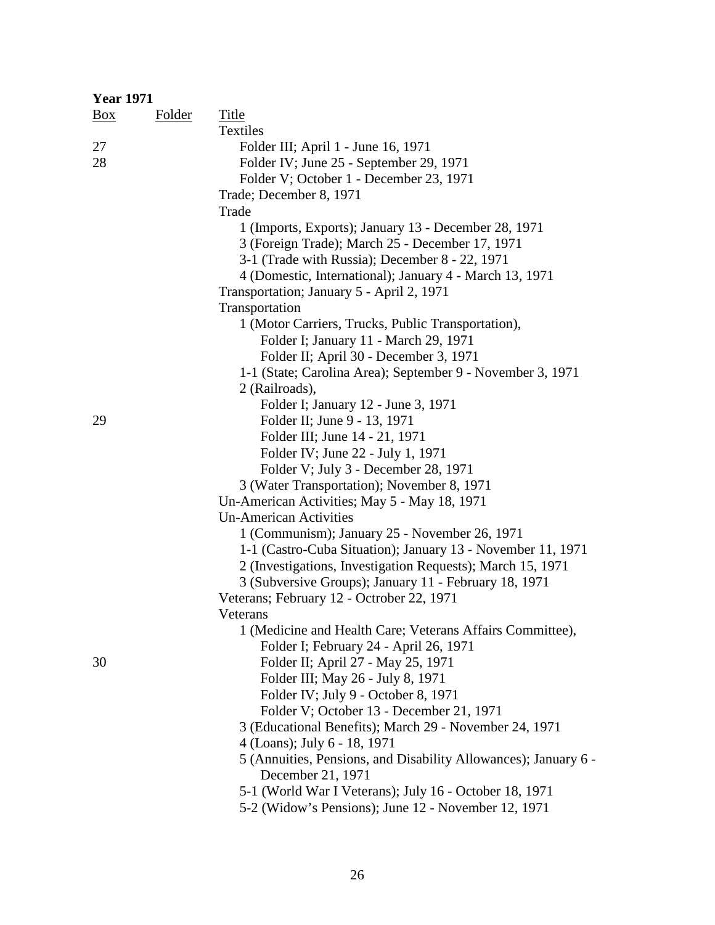| <b>Year 1971</b> |               |                                                                 |
|------------------|---------------|-----------------------------------------------------------------|
| Box              | <b>Folder</b> | Title                                                           |
|                  |               | Textiles                                                        |
| 27               |               | Folder III; April 1 - June 16, 1971                             |
| 28               |               | Folder IV; June 25 - September 29, 1971                         |
|                  |               | Folder V; October 1 - December 23, 1971                         |
|                  |               | Trade; December 8, 1971                                         |
|                  |               | Trade                                                           |
|                  |               | 1 (Imports, Exports); January 13 - December 28, 1971            |
|                  |               | 3 (Foreign Trade); March 25 - December 17, 1971                 |
|                  |               | 3-1 (Trade with Russia); December 8 - 22, 1971                  |
|                  |               | 4 (Domestic, International); January 4 - March 13, 1971         |
|                  |               | Transportation; January 5 - April 2, 1971                       |
|                  |               | Transportation                                                  |
|                  |               | 1 (Motor Carriers, Trucks, Public Transportation),              |
|                  |               | Folder I; January 11 - March 29, 1971                           |
|                  |               | Folder II; April 30 - December 3, 1971                          |
|                  |               | 1-1 (State; Carolina Area); September 9 - November 3, 1971      |
|                  |               | 2 (Railroads),                                                  |
|                  |               | Folder I; January 12 - June 3, 1971                             |
| 29               |               | Folder II; June 9 - 13, 1971                                    |
|                  |               | Folder III; June 14 - 21, 1971                                  |
|                  |               | Folder IV; June 22 - July 1, 1971                               |
|                  |               | Folder V; July 3 - December 28, 1971                            |
|                  |               | 3 (Water Transportation); November 8, 1971                      |
|                  |               | Un-American Activities; May 5 - May 18, 1971                    |
|                  |               | <b>Un-American Activities</b>                                   |
|                  |               | 1 (Communism); January 25 - November 26, 1971                   |
|                  |               | 1-1 (Castro-Cuba Situation); January 13 - November 11, 1971     |
|                  |               | 2 (Investigations, Investigation Requests); March 15, 1971      |
|                  |               | 3 (Subversive Groups); January 11 - February 18, 1971           |
|                  |               | Veterans; February 12 - Octrober 22, 1971                       |
|                  |               | Veterans                                                        |
|                  |               | 1 (Medicine and Health Care; Veterans Affairs Committee),       |
|                  |               | Folder I; February 24 - April 26, 1971                          |
| 30               |               | Folder II; April 27 - May 25, 1971                              |
|                  |               | Folder III; May 26 - July 8, 1971                               |
|                  |               | Folder IV; July 9 - October 8, 1971                             |
|                  |               | Folder V; October 13 - December 21, 1971                        |
|                  |               | 3 (Educational Benefits); March 29 - November 24, 1971          |
|                  |               | 4 (Loans); July 6 - 18, 1971                                    |
|                  |               | 5 (Annuities, Pensions, and Disability Allowances); January 6 - |
|                  |               | December 21, 1971                                               |
|                  |               | 5-1 (World War I Veterans); July 16 - October 18, 1971          |
|                  |               | 5-2 (Widow's Pensions); June 12 - November 12, 1971             |
|                  |               |                                                                 |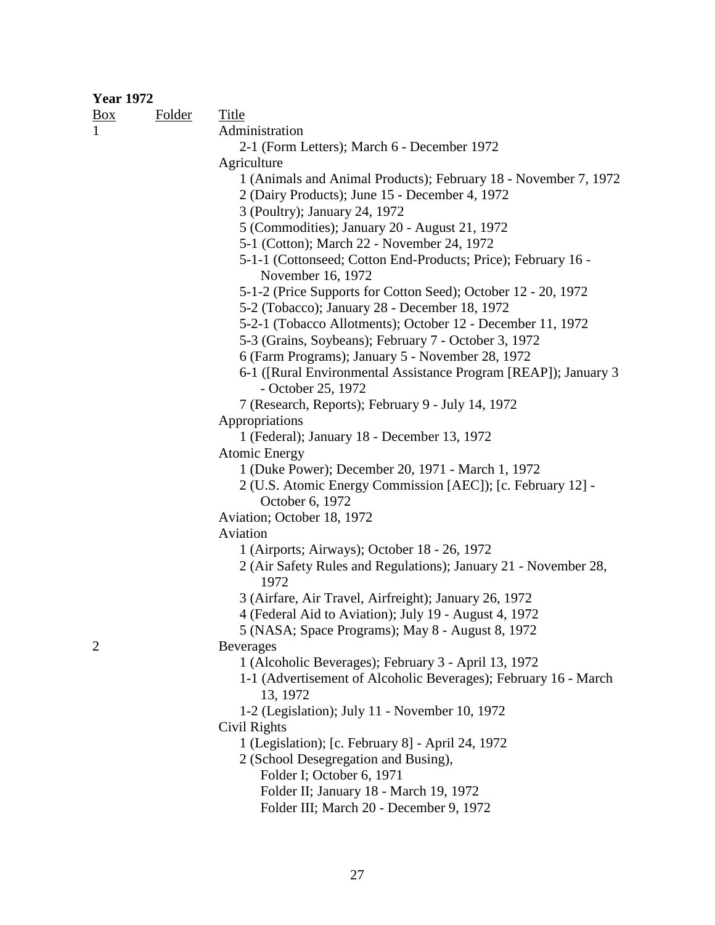#### **Year 1972**

Box Folder Title 1 Administration 2-1 (Form Letters); March 6 - December 1972 **Agriculture**  1 (Animals and Animal Products); February 18 - November 7, 1972 2 (Dairy Products); June 15 - December 4, 1972 3 (Poultry); January 24, 1972 5 (Commodities); January 20 - August 21, 1972 5-1 (Cotton); March 22 - November 24, 1972 5-1-1 (Cottonseed; Cotton End-Products; Price); February 16 - November 16, 1972 5-1-2 (Price Supports for Cotton Seed); October 12 - 20, 1972 5-2 (Tobacco); January 28 - December 18, 1972 5-2-1 (Tobacco Allotments); October 12 - December 11, 1972 5-3 (Grains, Soybeans); February 7 - October 3, 1972 6 (Farm Programs); January 5 - November 28, 1972 6-1 ([Rural Environmental Assistance Program [REAP]); January 3 - October 25, 1972 7 (Research, Reports); February 9 - July 14, 1972 Appropriations 1 (Federal); January 18 - December 13, 1972 Atomic Energy 1 (Duke Power); December 20, 1971 - March 1, 1972 2 (U.S. Atomic Energy Commission [AEC]); [c. February 12] - October 6, 1972 Aviation; October 18, 1972 Aviation 1 (Airports; Airways); October 18 - 26, 1972 2 (Air Safety Rules and Regulations); January 21 - November 28, 1972 3 (Airfare, Air Travel, Airfreight); January 26, 1972 4 (Federal Aid to Aviation); July 19 - August 4, 1972 5 (NASA; Space Programs); May 8 - August 8, 1972 2 Beverages 1 (Alcoholic Beverages); February 3 - April 13, 1972 1-1 (Advertisement of Alcoholic Beverages); February 16 - March 13, 1972 1-2 (Legislation); July 11 - November 10, 1972 Civil Rights 1 (Legislation); [c. February 8] - April 24, 1972 2 (School Desegregation and Busing), Folder I; October 6, 1971 Folder II; January 18 - March 19, 1972 Folder III; March 20 - December 9, 1972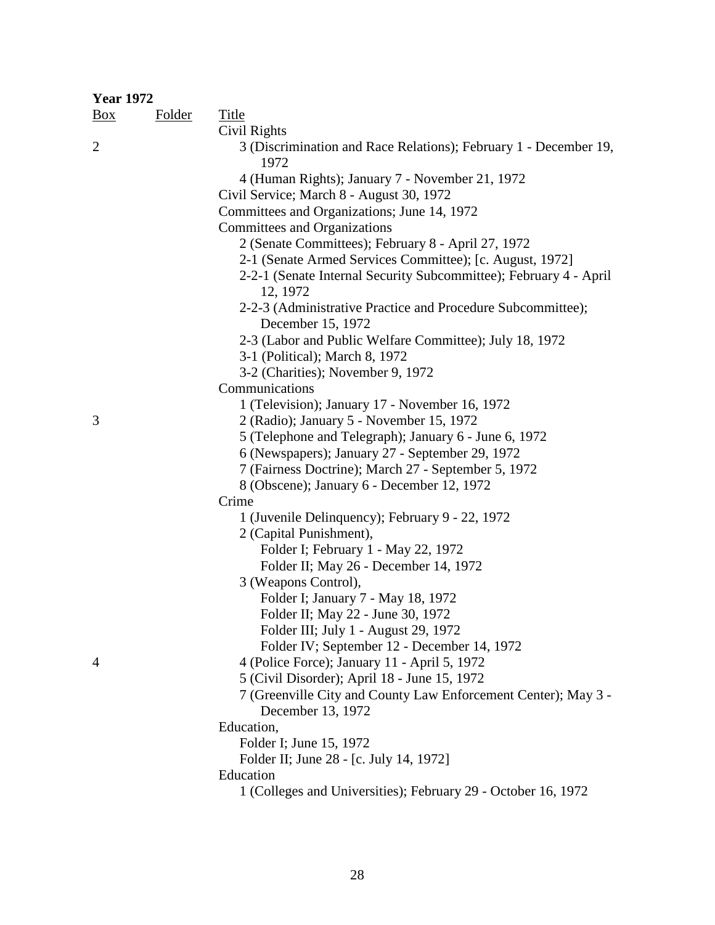| <b>Year 1972</b> |               |                                                                                  |
|------------------|---------------|----------------------------------------------------------------------------------|
| $\frac{Box}{}$   | <b>Folder</b> | <b>Title</b>                                                                     |
|                  |               | Civil Rights                                                                     |
| $\overline{2}$   |               | 3 (Discrimination and Race Relations); February 1 - December 19,<br>1972         |
|                  |               | 4 (Human Rights); January 7 - November 21, 1972                                  |
|                  |               | Civil Service; March 8 - August 30, 1972                                         |
|                  |               | Committees and Organizations; June 14, 1972                                      |
|                  |               | Committees and Organizations                                                     |
|                  |               | 2 (Senate Committees); February 8 - April 27, 1972                               |
|                  |               | 2-1 (Senate Armed Services Committee); [c. August, 1972]                         |
|                  |               | 2-2-1 (Senate Internal Security Subcommittee); February 4 - April<br>12, 1972    |
|                  |               | 2-2-3 (Administrative Practice and Procedure Subcommittee);<br>December 15, 1972 |
|                  |               | 2-3 (Labor and Public Welfare Committee); July 18, 1972                          |
|                  |               | 3-1 (Political); March 8, 1972                                                   |
|                  |               | 3-2 (Charities); November 9, 1972                                                |
|                  |               | Communications                                                                   |
|                  |               | 1 (Television); January 17 - November 16, 1972                                   |
| 3                |               | 2 (Radio); January 5 - November 15, 1972                                         |
|                  |               | 5 (Telephone and Telegraph); January 6 - June 6, 1972                            |
|                  |               | 6 (Newspapers); January 27 - September 29, 1972                                  |
|                  |               | 7 (Fairness Doctrine); March 27 - September 5, 1972                              |
|                  |               | 8 (Obscene); January 6 - December 12, 1972                                       |
|                  |               | Crime                                                                            |
|                  |               | 1 (Juvenile Delinquency); February 9 - 22, 1972                                  |
|                  |               | 2 (Capital Punishment),                                                          |
|                  |               | Folder I; February 1 - May 22, 1972                                              |
|                  |               | Folder II; May 26 - December 14, 1972                                            |
|                  |               | 3 (Weapons Control),                                                             |
|                  |               | Folder I; January 7 - May 18, 1972                                               |
|                  |               | Folder II; May 22 - June 30, 1972                                                |
|                  |               | Folder III; July 1 - August 29, 1972                                             |
|                  |               | Folder IV; September 12 - December 14, 1972                                      |
| 4                |               | 4 (Police Force); January 11 - April 5, 1972                                     |
|                  |               | 5 (Civil Disorder); April 18 - June 15, 1972                                     |
|                  |               | 7 (Greenville City and County Law Enforcement Center); May 3 -                   |
|                  |               | December 13, 1972                                                                |
|                  |               | Education,                                                                       |
|                  |               | Folder I; June 15, 1972                                                          |
|                  |               | Folder II; June 28 - [c. July 14, 1972]                                          |
|                  |               | Education                                                                        |
|                  |               | 1 (Colleges and Universities); February 29 - October 16, 1972                    |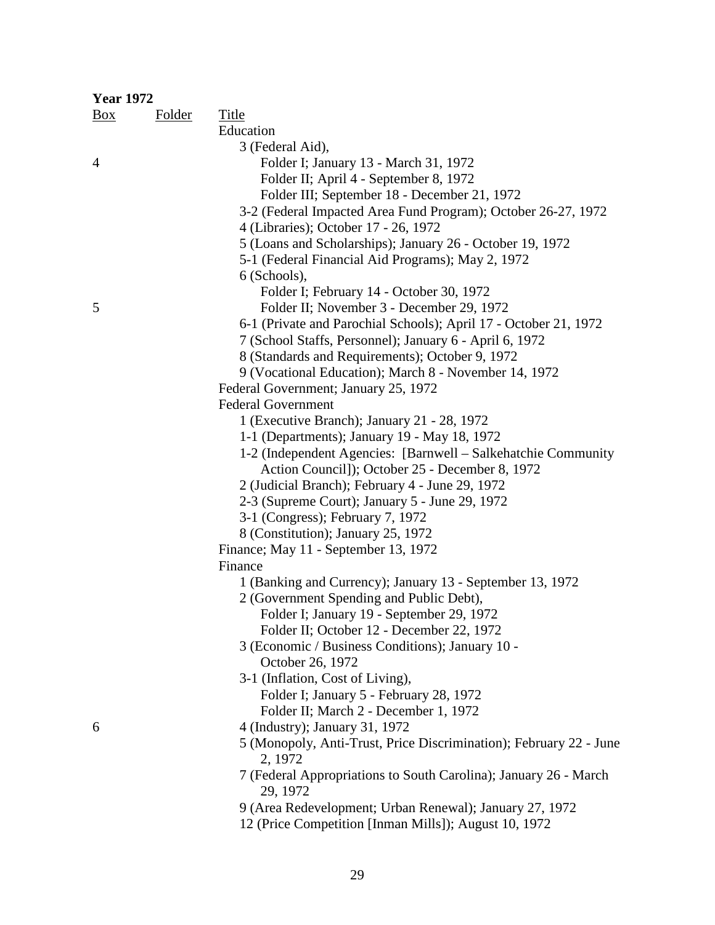| <b>Year 1972</b> |               |                                                                              |
|------------------|---------------|------------------------------------------------------------------------------|
| $\frac{Box}{}$   | <b>Folder</b> | <b>Title</b>                                                                 |
|                  |               | Education                                                                    |
|                  |               | 3 (Federal Aid),                                                             |
| $\overline{4}$   |               | Folder I; January 13 - March 31, 1972                                        |
|                  |               | Folder II; April 4 - September 8, 1972                                       |
|                  |               | Folder III; September 18 - December 21, 1972                                 |
|                  |               | 3-2 (Federal Impacted Area Fund Program); October 26-27, 1972                |
|                  |               | 4 (Libraries); October 17 - 26, 1972                                         |
|                  |               | 5 (Loans and Scholarships); January 26 - October 19, 1972                    |
|                  |               | 5-1 (Federal Financial Aid Programs); May 2, 1972                            |
|                  |               | 6 (Schools),                                                                 |
|                  |               | Folder I; February 14 - October 30, 1972                                     |
| 5                |               | Folder II; November 3 - December 29, 1972                                    |
|                  |               | 6-1 (Private and Parochial Schools); April 17 - October 21, 1972             |
|                  |               | 7 (School Staffs, Personnel); January 6 - April 6, 1972                      |
|                  |               | 8 (Standards and Requirements); October 9, 1972                              |
|                  |               | 9 (Vocational Education); March 8 - November 14, 1972                        |
|                  |               | Federal Government; January 25, 1972                                         |
|                  |               | <b>Federal Government</b>                                                    |
|                  |               | 1 (Executive Branch); January 21 - 28, 1972                                  |
|                  |               | 1-1 (Departments); January 19 - May 18, 1972                                 |
|                  |               | 1-2 (Independent Agencies: [Barnwell – Salkehatchie Community                |
|                  |               | Action Council]); October 25 - December 8, 1972                              |
|                  |               | 2 (Judicial Branch); February 4 - June 29, 1972                              |
|                  |               | 2-3 (Supreme Court); January 5 - June 29, 1972                               |
|                  |               | 3-1 (Congress); February 7, 1972                                             |
|                  |               | 8 (Constitution); January 25, 1972                                           |
|                  |               |                                                                              |
|                  |               | Finance; May 11 - September 13, 1972                                         |
|                  |               | Finance                                                                      |
|                  |               | 1 (Banking and Currency); January 13 - September 13, 1972                    |
|                  |               | 2 (Government Spending and Public Debt),                                     |
|                  |               | Folder I; January 19 - September 29, 1972                                    |
|                  |               | Folder II; October 12 - December 22, 1972                                    |
|                  |               | 3 (Economic / Business Conditions); January 10 -                             |
|                  |               | October 26, 1972                                                             |
|                  |               | 3-1 (Inflation, Cost of Living),                                             |
|                  |               | Folder I; January 5 - February 28, 1972                                      |
|                  |               | Folder II; March 2 - December 1, 1972                                        |
| 6                |               | 4 (Industry); January 31, 1972                                               |
|                  |               | 5 (Monopoly, Anti-Trust, Price Discrimination); February 22 - June           |
|                  |               | 2, 1972                                                                      |
|                  |               | 7 (Federal Appropriations to South Carolina); January 26 - March<br>29, 1972 |
|                  |               | 9 (Area Redevelopment; Urban Renewal); January 27, 1972                      |

12 (Price Competition [Inman Mills]); August 10, 1972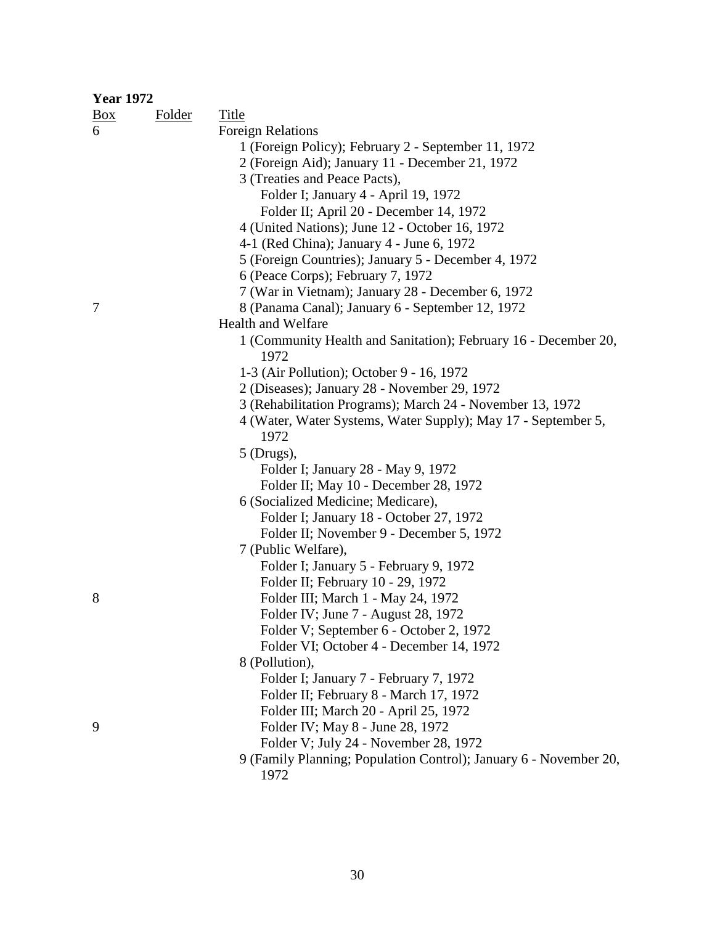| <b>Year 1972</b> |               |                                                                   |
|------------------|---------------|-------------------------------------------------------------------|
| $\frac{Box}{}$   | <b>Folder</b> | <b>Title</b>                                                      |
| 6                |               | <b>Foreign Relations</b>                                          |
|                  |               | 1 (Foreign Policy); February 2 - September 11, 1972               |
|                  |               | 2 (Foreign Aid); January 11 - December 21, 1972                   |
|                  |               | 3 (Treaties and Peace Pacts),                                     |
|                  |               | Folder I; January 4 - April 19, 1972                              |
|                  |               | Folder II; April 20 - December 14, 1972                           |
|                  |               | 4 (United Nations); June 12 - October 16, 1972                    |
|                  |               | 4-1 (Red China); January 4 - June 6, 1972                         |
|                  |               | 5 (Foreign Countries); January 5 - December 4, 1972               |
|                  |               | 6 (Peace Corps); February 7, 1972                                 |
|                  |               | 7 (War in Vietnam); January 28 - December 6, 1972                 |
| 7                |               | 8 (Panama Canal); January 6 - September 12, 1972                  |
|                  |               | Health and Welfare                                                |
|                  |               | 1 (Community Health and Sanitation); February 16 - December 20,   |
|                  |               | 1972                                                              |
|                  |               | 1-3 (Air Pollution); October 9 - 16, 1972                         |
|                  |               | 2 (Diseases); January 28 - November 29, 1972                      |
|                  |               | 3 (Rehabilitation Programs); March 24 - November 13, 1972         |
|                  |               | 4 (Water, Water Systems, Water Supply); May 17 - September 5,     |
|                  |               | 1972                                                              |
|                  |               | $5$ (Drugs),                                                      |
|                  |               | Folder I; January 28 - May 9, 1972                                |
|                  |               | Folder II; May 10 - December 28, 1972                             |
|                  |               | 6 (Socialized Medicine; Medicare),                                |
|                  |               | Folder I; January 18 - October 27, 1972                           |
|                  |               | Folder II; November 9 - December 5, 1972                          |
|                  |               | 7 (Public Welfare),                                               |
|                  |               | Folder I; January 5 - February 9, 1972                            |
|                  |               | Folder II; February 10 - 29, 1972                                 |
| 8                |               | Folder III; March 1 - May 24, 1972                                |
|                  |               | Folder IV; June 7 - August 28, 1972                               |
|                  |               | Folder V; September 6 - October 2, 1972                           |
|                  |               | Folder VI; October 4 - December 14, 1972                          |
|                  |               | 8 (Pollution),                                                    |
|                  |               | Folder I; January 7 - February 7, 1972                            |
|                  |               | Folder II; February 8 - March 17, 1972                            |
|                  |               | Folder III; March 20 - April 25, 1972                             |
| 9                |               | Folder IV; May 8 - June 28, 1972                                  |
|                  |               | Folder V; July 24 - November 28, 1972                             |
|                  |               | 9 (Family Planning; Population Control); January 6 - November 20, |
|                  |               | 1972                                                              |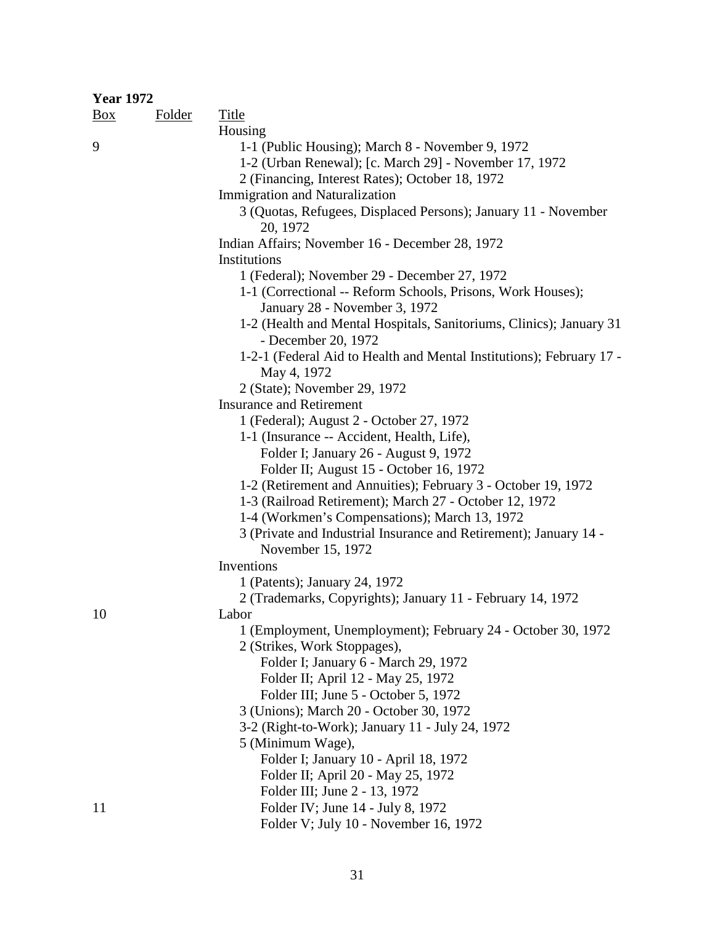| <b>Year 1972</b> |               |                                                                                              |
|------------------|---------------|----------------------------------------------------------------------------------------------|
| $\frac{Box}{}$   | <b>Folder</b> | <b>Title</b>                                                                                 |
|                  |               | Housing                                                                                      |
| 9                |               | 1-1 (Public Housing); March 8 - November 9, 1972                                             |
|                  |               | 1-2 (Urban Renewal); [c. March 29] - November 17, 1972                                       |
|                  |               | 2 (Financing, Interest Rates); October 18, 1972                                              |
|                  |               | <b>Immigration and Naturalization</b>                                                        |
|                  |               | 3 (Quotas, Refugees, Displaced Persons); January 11 - November<br>20, 1972                   |
|                  |               | Indian Affairs; November 16 - December 28, 1972                                              |
|                  |               | Institutions                                                                                 |
|                  |               | 1 (Federal); November 29 - December 27, 1972                                                 |
|                  |               | 1-1 (Correctional -- Reform Schools, Prisons, Work Houses);<br>January 28 - November 3, 1972 |
|                  |               | 1-2 (Health and Mental Hospitals, Sanitoriums, Clinics); January 31<br>- December 20, 1972   |
|                  |               | 1-2-1 (Federal Aid to Health and Mental Institutions); February 17 -<br>May 4, 1972          |
|                  |               | 2 (State); November 29, 1972                                                                 |
|                  |               | <b>Insurance and Retirement</b>                                                              |
|                  |               | 1 (Federal); August 2 - October 27, 1972                                                     |
|                  |               | 1-1 (Insurance -- Accident, Health, Life),                                                   |
|                  |               | Folder I; January 26 - August 9, 1972                                                        |
|                  |               | Folder II; August 15 - October 16, 1972                                                      |
|                  |               | 1-2 (Retirement and Annuities); February 3 - October 19, 1972                                |
|                  |               | 1-3 (Railroad Retirement); March 27 - October 12, 1972                                       |
|                  |               | 1-4 (Workmen's Compensations); March 13, 1972                                                |
|                  |               | 3 (Private and Industrial Insurance and Retirement); January 14 -<br>November 15, 1972       |
|                  |               | Inventions                                                                                   |
|                  |               | 1 (Patents); January 24, 1972                                                                |
|                  |               | 2 (Trademarks, Copyrights); January 11 - February 14, 1972                                   |
| 10               |               | Labor                                                                                        |
|                  |               | 1 (Employment, Unemployment); February 24 - October 30, 1972<br>2 (Strikes, Work Stoppages), |
|                  |               | Folder I; January 6 - March 29, 1972                                                         |
|                  |               | Folder II; April 12 - May 25, 1972                                                           |
|                  |               | Folder III; June 5 - October 5, 1972                                                         |
|                  |               | 3 (Unions); March 20 - October 30, 1972                                                      |
|                  |               | 3-2 (Right-to-Work); January 11 - July 24, 1972                                              |
|                  |               | 5 (Minimum Wage),                                                                            |
|                  |               | Folder I; January 10 - April 18, 1972                                                        |
|                  |               | Folder II; April 20 - May 25, 1972                                                           |
|                  |               | Folder III; June 2 - 13, 1972                                                                |
| 11               |               | Folder IV; June 14 - July 8, 1972                                                            |
|                  |               | Folder V; July 10 - November 16, 1972                                                        |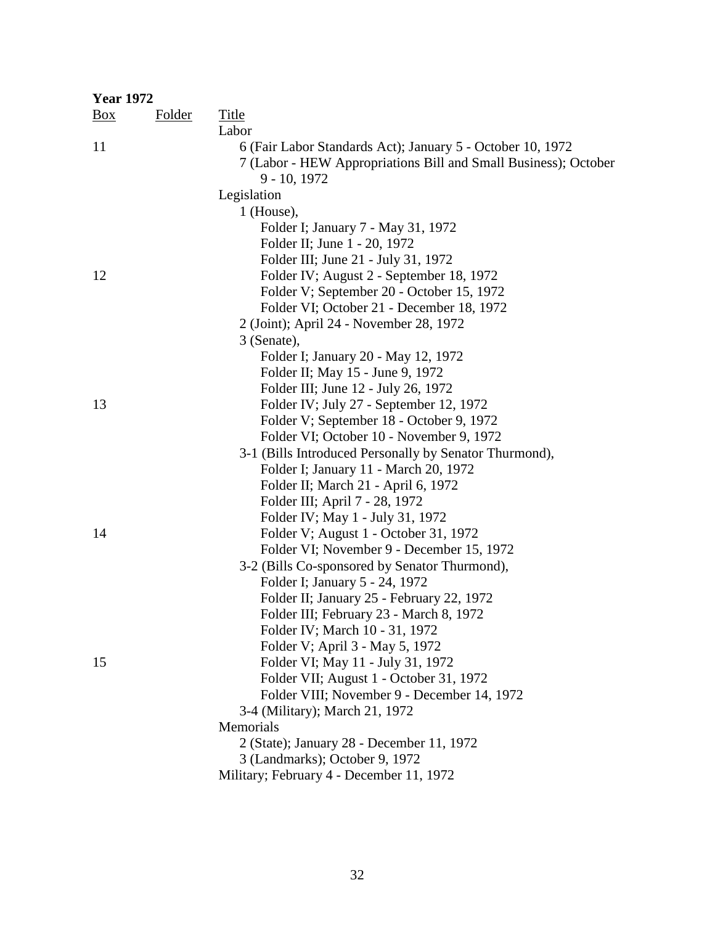| <b>Year 1972</b> |               |                                                                                                                                                 |
|------------------|---------------|-------------------------------------------------------------------------------------------------------------------------------------------------|
| <u>Box</u>       | <b>Folder</b> | <b>Title</b>                                                                                                                                    |
|                  |               | Labor                                                                                                                                           |
| 11               |               | 6 (Fair Labor Standards Act); January 5 - October 10, 1972<br>7 (Labor - HEW Appropriations Bill and Small Business); October<br>$9 - 10, 1972$ |
|                  |               | Legislation                                                                                                                                     |
|                  |               | $1$ (House),                                                                                                                                    |
|                  |               | Folder I; January 7 - May 31, 1972                                                                                                              |
|                  |               | Folder II; June 1 - 20, 1972                                                                                                                    |
|                  |               | Folder III; June 21 - July 31, 1972                                                                                                             |
| 12               |               | Folder IV; August 2 - September 18, 1972                                                                                                        |
|                  |               | Folder V; September 20 - October 15, 1972                                                                                                       |
|                  |               | Folder VI; October 21 - December 18, 1972                                                                                                       |
|                  |               | 2 (Joint); April 24 - November 28, 1972                                                                                                         |
|                  |               | 3 (Senate),                                                                                                                                     |
|                  |               | Folder I; January 20 - May 12, 1972                                                                                                             |
|                  |               | Folder II; May 15 - June 9, 1972                                                                                                                |
|                  |               | Folder III; June 12 - July 26, 1972                                                                                                             |
| 13               |               | Folder IV; July 27 - September 12, 1972                                                                                                         |
|                  |               | Folder V; September 18 - October 9, 1972                                                                                                        |
|                  |               | Folder VI; October 10 - November 9, 1972                                                                                                        |
|                  |               | 3-1 (Bills Introduced Personally by Senator Thurmond),                                                                                          |
|                  |               | Folder I; January 11 - March 20, 1972                                                                                                           |
|                  |               | Folder II; March 21 - April 6, 1972                                                                                                             |
|                  |               | Folder III; April 7 - 28, 1972                                                                                                                  |
|                  |               | Folder IV; May 1 - July 31, 1972                                                                                                                |
| 14               |               | Folder V; August 1 - October 31, 1972                                                                                                           |
|                  |               | Folder VI; November 9 - December 15, 1972                                                                                                       |
|                  |               | 3-2 (Bills Co-sponsored by Senator Thurmond),                                                                                                   |
|                  |               | Folder I; January 5 - 24, 1972                                                                                                                  |
|                  |               | Folder II; January 25 - February 22, 1972                                                                                                       |
|                  |               | Folder III; February 23 - March 8, 1972                                                                                                         |
|                  |               | Folder IV; March 10 - 31, 1972                                                                                                                  |
|                  |               | Folder V; April 3 - May 5, 1972                                                                                                                 |
| 15               |               | Folder VI; May 11 - July 31, 1972                                                                                                               |
|                  |               | Folder VII; August 1 - October 31, 1972                                                                                                         |
|                  |               | Folder VIII; November 9 - December 14, 1972                                                                                                     |
|                  |               | 3-4 (Military); March 21, 1972                                                                                                                  |
|                  |               | Memorials                                                                                                                                       |
|                  |               | 2 (State); January 28 - December 11, 1972                                                                                                       |
|                  |               | 3 (Landmarks); October 9, 1972                                                                                                                  |
|                  |               | Military; February 4 - December 11, 1972                                                                                                        |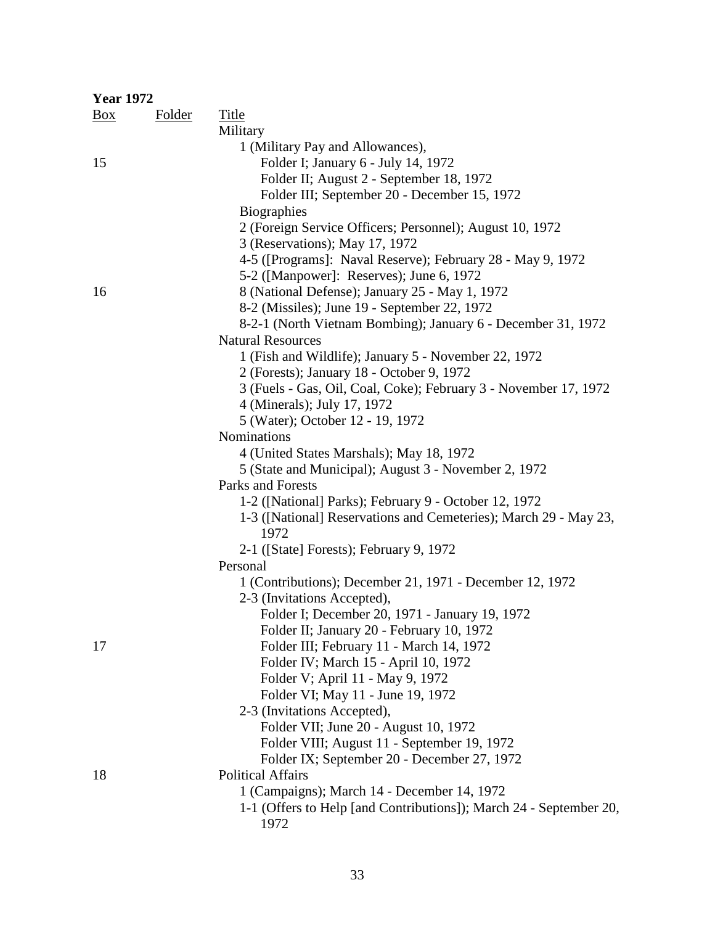| <b>Year 1972</b> |               |                                                                          |
|------------------|---------------|--------------------------------------------------------------------------|
| $\frac{Box}{}$   | <b>Folder</b> | <b>Title</b>                                                             |
|                  |               | Military                                                                 |
|                  |               | 1 (Military Pay and Allowances),                                         |
| 15               |               | Folder I; January 6 - July 14, 1972                                      |
|                  |               | Folder II; August 2 - September 18, 1972                                 |
|                  |               | Folder III; September 20 - December 15, 1972                             |
|                  |               | <b>Biographies</b>                                                       |
|                  |               | 2 (Foreign Service Officers; Personnel); August 10, 1972                 |
|                  |               | 3 (Reservations); May 17, 1972                                           |
|                  |               | 4-5 ([Programs]: Naval Reserve); February 28 - May 9, 1972               |
|                  |               | 5-2 ([Manpower]: Reserves); June 6, 1972                                 |
| 16               |               | 8 (National Defense); January 25 - May 1, 1972                           |
|                  |               | 8-2 (Missiles); June 19 - September 22, 1972                             |
|                  |               | 8-2-1 (North Vietnam Bombing); January 6 - December 31, 1972             |
|                  |               | <b>Natural Resources</b>                                                 |
|                  |               | 1 (Fish and Wildlife); January 5 - November 22, 1972                     |
|                  |               | 2 (Forests); January 18 - October 9, 1972                                |
|                  |               | 3 (Fuels - Gas, Oil, Coal, Coke); February 3 - November 17, 1972         |
|                  |               | 4 (Minerals); July 17, 1972                                              |
|                  |               | 5 (Water); October 12 - 19, 1972                                         |
|                  |               | Nominations                                                              |
|                  |               | 4 (United States Marshals); May 18, 1972                                 |
|                  |               | 5 (State and Municipal); August 3 - November 2, 1972                     |
|                  |               | Parks and Forests                                                        |
|                  |               | 1-2 ([National] Parks); February 9 - October 12, 1972                    |
|                  |               | 1-3 ([National] Reservations and Cemeteries); March 29 - May 23,<br>1972 |
|                  |               | 2-1 ([State] Forests); February 9, 1972                                  |
|                  |               | Personal                                                                 |
|                  |               | 1 (Contributions); December 21, 1971 - December 12, 1972                 |
|                  |               | 2-3 (Invitations Accepted),                                              |
|                  |               | Folder I; December 20, 1971 - January 19, 1972                           |
|                  |               | Folder II; January 20 - February 10, 1972                                |
| 17               |               | Folder III; February 11 - March 14, 1972                                 |
|                  |               | Folder IV; March 15 - April 10, 1972                                     |
|                  |               | Folder V; April 11 - May 9, 1972                                         |
|                  |               | Folder VI; May 11 - June 19, 1972                                        |
|                  |               | 2-3 (Invitations Accepted),                                              |
|                  |               | Folder VII; June 20 - August 10, 1972                                    |
|                  |               | Folder VIII; August 11 - September 19, 1972                              |
|                  |               | Folder IX; September 20 - December 27, 1972                              |
| 18               |               | <b>Political Affairs</b>                                                 |
|                  |               | 1 (Campaigns); March 14 - December 14, 1972                              |
|                  |               | 1-1 (Offers to Help [and Contributions]); March 24 - September 20,       |
|                  |               | 1972                                                                     |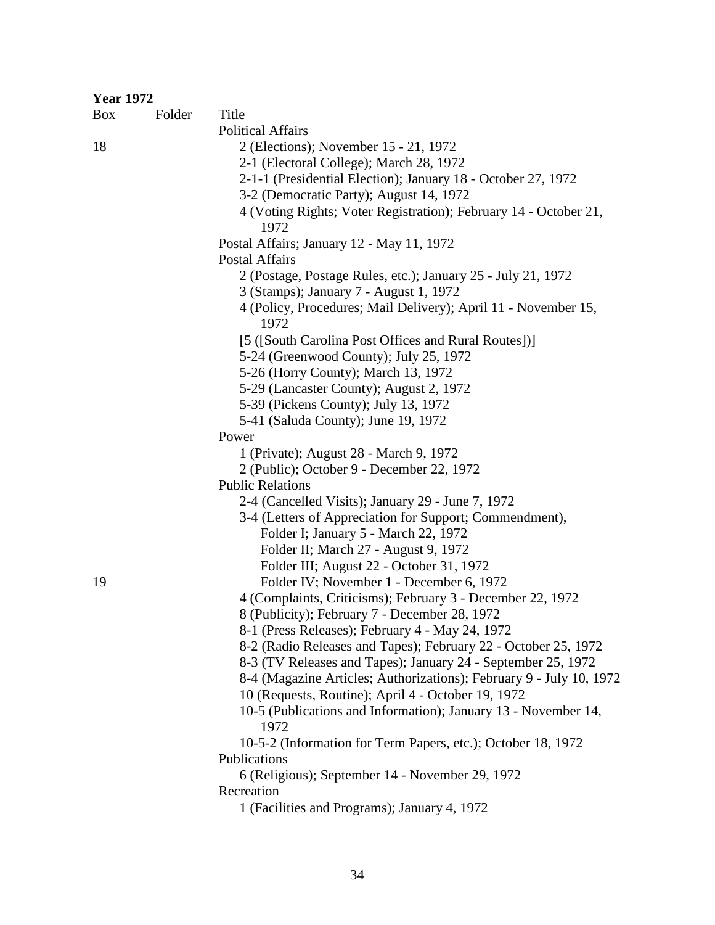| <b>Year 1972</b> |               |                                                                          |
|------------------|---------------|--------------------------------------------------------------------------|
| $\frac{Box}{}$   | <b>Folder</b> | <b>Title</b>                                                             |
|                  |               | <b>Political Affairs</b>                                                 |
| 18               |               | 2 (Elections); November 15 - 21, 1972                                    |
|                  |               | 2-1 (Electoral College); March 28, 1972                                  |
|                  |               | 2-1-1 (Presidential Election); January 18 - October 27, 1972             |
|                  |               | 3-2 (Democratic Party); August 14, 1972                                  |
|                  |               | 4 (Voting Rights; Voter Registration); February 14 - October 21,<br>1972 |
|                  |               | Postal Affairs; January 12 - May 11, 1972                                |
|                  |               | <b>Postal Affairs</b>                                                    |
|                  |               | 2 (Postage, Postage Rules, etc.); January 25 - July 21, 1972             |
|                  |               | 3 (Stamps); January 7 - August 1, 1972                                   |
|                  |               | 4 (Policy, Procedures; Mail Delivery); April 11 - November 15,<br>1972   |
|                  |               | [5 ([South Carolina Post Offices and Rural Routes])]                     |
|                  |               | 5-24 (Greenwood County); July 25, 1972                                   |
|                  |               | 5-26 (Horry County); March 13, 1972                                      |
|                  |               | 5-29 (Lancaster County); August 2, 1972                                  |
|                  |               | 5-39 (Pickens County); July 13, 1972                                     |
|                  |               | 5-41 (Saluda County); June 19, 1972                                      |
|                  |               | Power                                                                    |
|                  |               | 1 (Private); August 28 - March 9, 1972                                   |
|                  |               | 2 (Public); October 9 - December 22, 1972                                |
|                  |               | <b>Public Relations</b>                                                  |
|                  |               | 2-4 (Cancelled Visits); January 29 - June 7, 1972                        |
|                  |               | 3-4 (Letters of Appreciation for Support; Commendment),                  |
|                  |               | Folder I; January 5 - March 22, 1972                                     |
|                  |               |                                                                          |
|                  |               | Folder II; March 27 - August 9, 1972                                     |
|                  |               | Folder III; August 22 - October 31, 1972                                 |
| 19               |               | Folder IV; November 1 - December 6, 1972                                 |
|                  |               | 4 (Complaints, Criticisms); February 3 - December 22, 1972               |
|                  |               | 8 (Publicity); February 7 - December 28, 1972                            |
|                  |               | 8-1 (Press Releases); February 4 - May 24, 1972                          |
|                  |               | 8-2 (Radio Releases and Tapes); February 22 - October 25, 1972           |
|                  |               | 8-3 (TV Releases and Tapes); January 24 - September 25, 1972             |
|                  |               | 8-4 (Magazine Articles; Authorizations); February 9 - July 10, 1972      |
|                  |               | 10 (Requests, Routine); April 4 - October 19, 1972                       |
|                  |               | 10-5 (Publications and Information); January 13 - November 14,           |
|                  |               | 1972                                                                     |
|                  |               | 10-5-2 (Information for Term Papers, etc.); October 18, 1972             |
|                  |               | Publications                                                             |
|                  |               | 6 (Religious); September 14 - November 29, 1972                          |
|                  |               | Recreation                                                               |
|                  |               | 1 (Facilities and Programs); January 4, 1972                             |
|                  |               |                                                                          |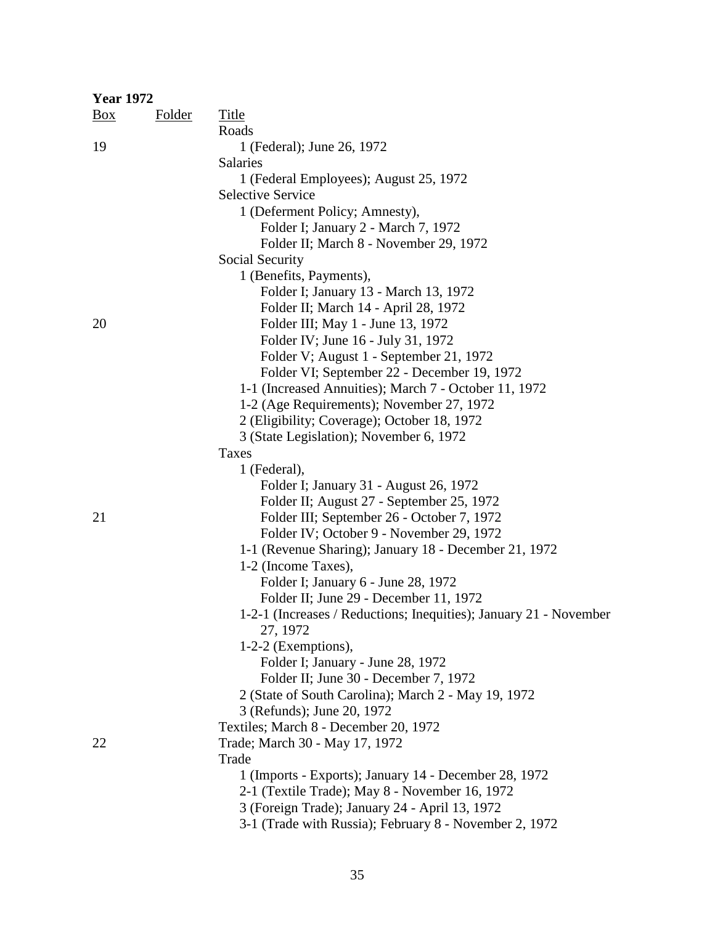| <b>Year 1972</b> |        |                                                                                                  |
|------------------|--------|--------------------------------------------------------------------------------------------------|
| Box              | Folder | Title                                                                                            |
|                  |        | Roads                                                                                            |
| 19               |        | 1 (Federal); June 26, 1972                                                                       |
|                  |        | <b>Salaries</b>                                                                                  |
|                  |        | 1 (Federal Employees); August 25, 1972                                                           |
|                  |        | <b>Selective Service</b>                                                                         |
|                  |        | 1 (Deferment Policy; Amnesty),                                                                   |
|                  |        | Folder I; January 2 - March 7, 1972                                                              |
|                  |        | Folder II; March 8 - November 29, 1972                                                           |
|                  |        | Social Security                                                                                  |
|                  |        | 1 (Benefits, Payments),                                                                          |
|                  |        | Folder I; January 13 - March 13, 1972                                                            |
|                  |        | Folder II; March 14 - April 28, 1972                                                             |
| 20               |        | Folder III; May 1 - June 13, 1972                                                                |
|                  |        | Folder IV; June 16 - July 31, 1972                                                               |
|                  |        | Folder V; August 1 - September 21, 1972                                                          |
|                  |        | Folder VI; September 22 - December 19, 1972                                                      |
|                  |        | 1-1 (Increased Annuities); March 7 - October 11, 1972                                            |
|                  |        | 1-2 (Age Requirements); November 27, 1972                                                        |
|                  |        | 2 (Eligibility; Coverage); October 18, 1972                                                      |
|                  |        | 3 (State Legislation); November 6, 1972                                                          |
|                  |        | Taxes                                                                                            |
|                  |        | 1 (Federal),                                                                                     |
|                  |        | Folder I; January 31 - August 26, 1972                                                           |
|                  |        | Folder II; August 27 - September 25, 1972                                                        |
| 21               |        | Folder III; September 26 - October 7, 1972                                                       |
|                  |        | Folder IV; October 9 - November 29, 1972                                                         |
|                  |        | 1-1 (Revenue Sharing); January 18 - December 21, 1972                                            |
|                  |        | 1-2 (Income Taxes),                                                                              |
|                  |        | Folder I; January 6 - June 28, 1972                                                              |
|                  |        | Folder II; June 29 - December 11, 1972                                                           |
|                  |        | 1-2-1 (Increases / Reductions; Inequities); January 21 - November                                |
|                  |        | 27, 1972                                                                                         |
|                  |        | $1-2-2$ (Exemptions),                                                                            |
|                  |        | Folder I; January - June 28, 1972                                                                |
|                  |        | Folder II; June 30 - December 7, 1972                                                            |
|                  |        | 2 (State of South Carolina); March 2 - May 19, 1972                                              |
|                  |        | 3 (Refunds); June 20, 1972                                                                       |
|                  |        | Textiles; March 8 - December 20, 1972                                                            |
| 22               |        | Trade; March 30 - May 17, 1972                                                                   |
|                  |        | Trade                                                                                            |
|                  |        | 1 (Imports - Exports); January 14 - December 28, 1972                                            |
|                  |        | 2-1 (Textile Trade); May 8 - November 16, 1972<br>3 (Foreign Trade); January 24 - April 13, 1972 |
|                  |        | 3-1 (Trade with Russia); February 8 - November 2, 1972                                           |
|                  |        |                                                                                                  |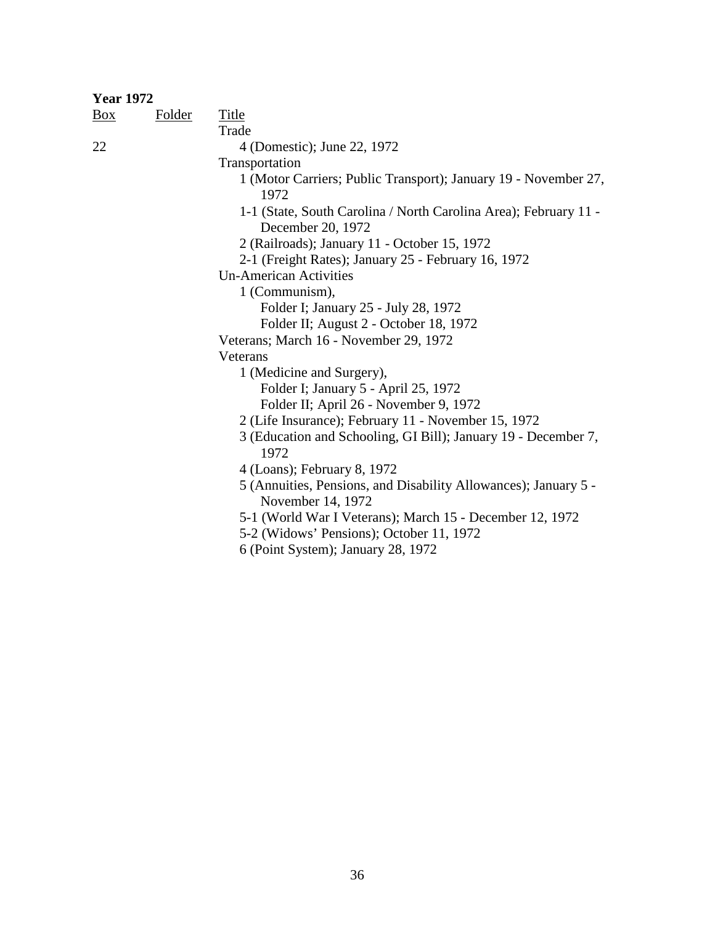| <b>Year 1972</b> |               |                                                                                       |
|------------------|---------------|---------------------------------------------------------------------------------------|
| $\frac{Box}{}$   | <b>Folder</b> | <b>Title</b>                                                                          |
|                  |               | Trade                                                                                 |
| 22               |               | 4 (Domestic); June 22, 1972                                                           |
|                  |               | Transportation                                                                        |
|                  |               | 1 (Motor Carriers; Public Transport); January 19 - November 27,<br>1972               |
|                  |               | 1-1 (State, South Carolina / North Carolina Area); February 11 -<br>December 20, 1972 |
|                  |               | 2 (Railroads); January 11 - October 15, 1972                                          |
|                  |               | 2-1 (Freight Rates); January 25 - February 16, 1972                                   |
|                  |               | <b>Un-American Activities</b>                                                         |
|                  |               | 1 (Communism),                                                                        |
|                  |               | Folder I; January 25 - July 28, 1972                                                  |
|                  |               | Folder II; August 2 - October 18, 1972                                                |
|                  |               | Veterans; March 16 - November 29, 1972                                                |
|                  |               | Veterans                                                                              |
|                  |               | 1 (Medicine and Surgery),                                                             |
|                  |               | Folder I; January 5 - April 25, 1972                                                  |
|                  |               | Folder II; April 26 - November 9, 1972                                                |
|                  |               | 2 (Life Insurance); February 11 - November 15, 1972                                   |
|                  |               | 3 (Education and Schooling, GI Bill); January 19 - December 7,<br>1972                |
|                  |               | 4 (Loans); February 8, 1972                                                           |
|                  |               | 5 (Annuities, Pensions, and Disability Allowances); January 5 -<br>November 14, 1972  |
|                  |               | 5-1 (World War I Veterans); March 15 - December 12, 1972                              |
|                  |               | 5-2 (Widows' Pensions); October 11, 1972                                              |
|                  |               | 6 (Point System); January 28, 1972                                                    |
|                  |               |                                                                                       |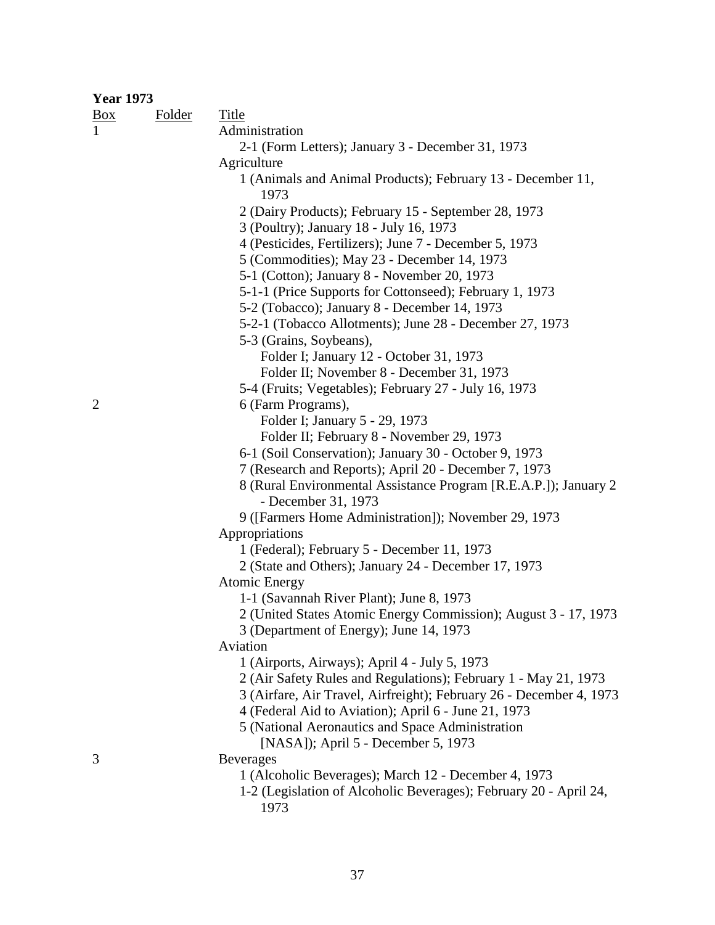| <b>Year 1973</b> |               |                                                                     |
|------------------|---------------|---------------------------------------------------------------------|
| Box              | <b>Folder</b> | Title                                                               |
| 1                |               | Administration                                                      |
|                  |               | 2-1 (Form Letters); January 3 - December 31, 1973                   |
|                  |               | Agriculture                                                         |
|                  |               | 1 (Animals and Animal Products); February 13 - December 11,         |
|                  |               | 1973                                                                |
|                  |               | 2 (Dairy Products); February 15 - September 28, 1973                |
|                  |               | 3 (Poultry); January 18 - July 16, 1973                             |
|                  |               | 4 (Pesticides, Fertilizers); June 7 - December 5, 1973              |
|                  |               | 5 (Commodities); May 23 - December 14, 1973                         |
|                  |               | 5-1 (Cotton); January 8 - November 20, 1973                         |
|                  |               | 5-1-1 (Price Supports for Cottonseed); February 1, 1973             |
|                  |               | 5-2 (Tobacco); January 8 - December 14, 1973                        |
|                  |               | 5-2-1 (Tobacco Allotments); June 28 - December 27, 1973             |
|                  |               | 5-3 (Grains, Soybeans),                                             |
|                  |               |                                                                     |
|                  |               | Folder I; January 12 - October 31, 1973                             |
|                  |               | Folder II; November 8 - December 31, 1973                           |
|                  |               | 5-4 (Fruits; Vegetables); February 27 - July 16, 1973               |
| $\overline{2}$   |               | 6 (Farm Programs),                                                  |
|                  |               | Folder I; January 5 - 29, 1973                                      |
|                  |               | Folder II; February 8 - November 29, 1973                           |
|                  |               | 6-1 (Soil Conservation); January 30 - October 9, 1973               |
|                  |               | 7 (Research and Reports); April 20 - December 7, 1973               |
|                  |               | 8 (Rural Environmental Assistance Program [R.E.A.P.]); January 2    |
|                  |               | - December 31, 1973                                                 |
|                  |               | 9 ([Farmers Home Administration]); November 29, 1973                |
|                  |               | Appropriations                                                      |
|                  |               | 1 (Federal); February 5 - December 11, 1973                         |
|                  |               | 2 (State and Others); January 24 - December 17, 1973                |
|                  |               | <b>Atomic Energy</b>                                                |
|                  |               | 1-1 (Savannah River Plant); June 8, 1973                            |
|                  |               | 2 (United States Atomic Energy Commission); August 3 - 17, 1973     |
|                  |               | 3 (Department of Energy); June 14, 1973                             |
|                  |               | Aviation                                                            |
|                  |               | 1 (Airports, Airways); April 4 - July 5, 1973                       |
|                  |               | 2 (Air Safety Rules and Regulations); February 1 - May 21, 1973     |
|                  |               | 3 (Airfare, Air Travel, Airfreight); February 26 - December 4, 1973 |
|                  |               | 4 (Federal Aid to Aviation); April 6 - June 21, 1973                |
|                  |               | 5 (National Aeronautics and Space Administration                    |
|                  |               | [NASA]); April 5 - December 5, 1973                                 |
| 3                |               | <b>Beverages</b>                                                    |
|                  |               | 1 (Alcoholic Beverages); March 12 - December 4, 1973                |
|                  |               | 1-2 (Legislation of Alcoholic Beverages); February 20 - April 24,   |
|                  |               | 1973                                                                |
|                  |               |                                                                     |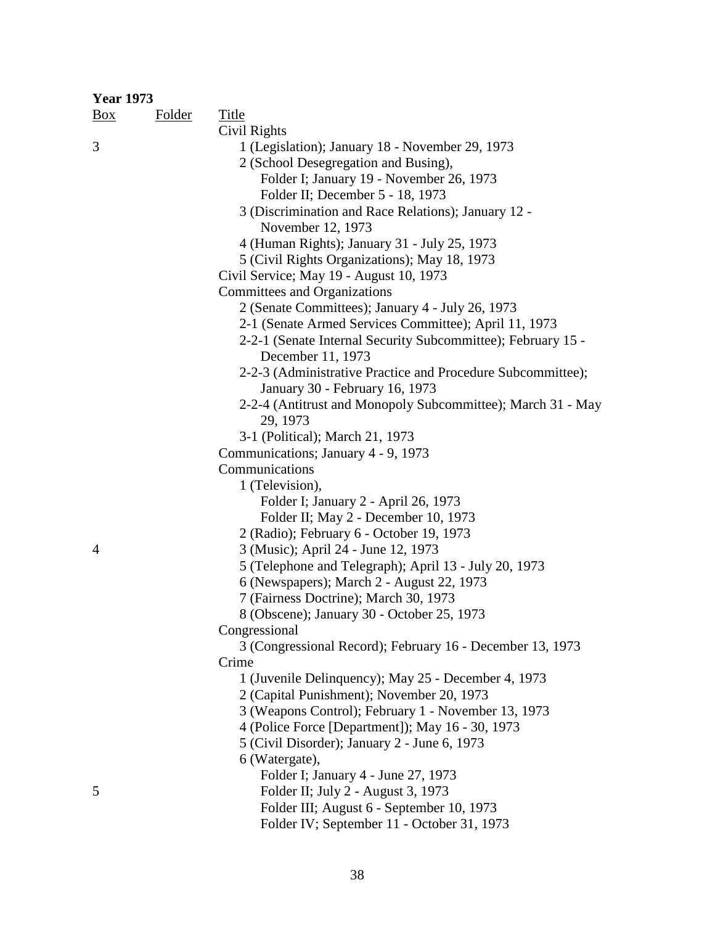| <b>Year 1973</b> |               |                                                                           |
|------------------|---------------|---------------------------------------------------------------------------|
| $\frac{Box}{}$   | <b>Folder</b> | <b>Title</b>                                                              |
|                  |               | Civil Rights                                                              |
| 3                |               | 1 (Legislation); January 18 - November 29, 1973                           |
|                  |               | 2 (School Desegregation and Busing),                                      |
|                  |               | Folder I; January 19 - November 26, 1973                                  |
|                  |               | Folder II; December 5 - 18, 1973                                          |
|                  |               | 3 (Discrimination and Race Relations); January 12 -                       |
|                  |               | November 12, 1973                                                         |
|                  |               | 4 (Human Rights); January 31 - July 25, 1973                              |
|                  |               | 5 (Civil Rights Organizations); May 18, 1973                              |
|                  |               | Civil Service; May 19 - August 10, 1973                                   |
|                  |               | Committees and Organizations                                              |
|                  |               | 2 (Senate Committees); January 4 - July 26, 1973                          |
|                  |               | 2-1 (Senate Armed Services Committee); April 11, 1973                     |
|                  |               | 2-2-1 (Senate Internal Security Subcommittee); February 15 -              |
|                  |               | December 11, 1973                                                         |
|                  |               | 2-2-3 (Administrative Practice and Procedure Subcommittee);               |
|                  |               | January 30 - February 16, 1973                                            |
|                  |               | 2-2-4 (Antitrust and Monopoly Subcommittee); March 31 - May               |
|                  |               | 29, 1973                                                                  |
|                  |               | 3-1 (Political); March 21, 1973                                           |
|                  |               | Communications; January 4 - 9, 1973                                       |
|                  |               | Communications                                                            |
|                  |               | 1 (Television),                                                           |
|                  |               | Folder I; January 2 - April 26, 1973                                      |
|                  |               | Folder II; May 2 - December 10, 1973                                      |
|                  |               | 2 (Radio); February 6 - October 19, 1973                                  |
| $\overline{4}$   |               | 3 (Music); April 24 - June 12, 1973                                       |
|                  |               | 5 (Telephone and Telegraph); April 13 - July 20, 1973                     |
|                  |               | 6 (Newspapers); March 2 - August 22, 1973                                 |
|                  |               | 7 (Fairness Doctrine); March 30, 1973                                     |
|                  |               | 8 (Obscene); January 30 - October 25, 1973                                |
|                  |               | Congressional                                                             |
|                  |               | 3 (Congressional Record); February 16 - December 13, 1973                 |
|                  |               | Crime                                                                     |
|                  |               | 1 (Juvenile Delinquency); May 25 - December 4, 1973                       |
|                  |               | 2 (Capital Punishment); November 20, 1973                                 |
|                  |               | 3 (Weapons Control); February 1 - November 13, 1973                       |
|                  |               | 4 (Police Force [Department]); May 16 - 30, 1973                          |
|                  |               | 5 (Civil Disorder); January 2 - June 6, 1973                              |
|                  |               | 6 (Watergate),                                                            |
|                  |               |                                                                           |
| 5                |               | Folder I; January 4 - June 27, 1973<br>Folder II; July 2 - August 3, 1973 |
|                  |               | Folder III; August 6 - September 10, 1973                                 |
|                  |               |                                                                           |
|                  |               | Folder IV; September 11 - October 31, 1973                                |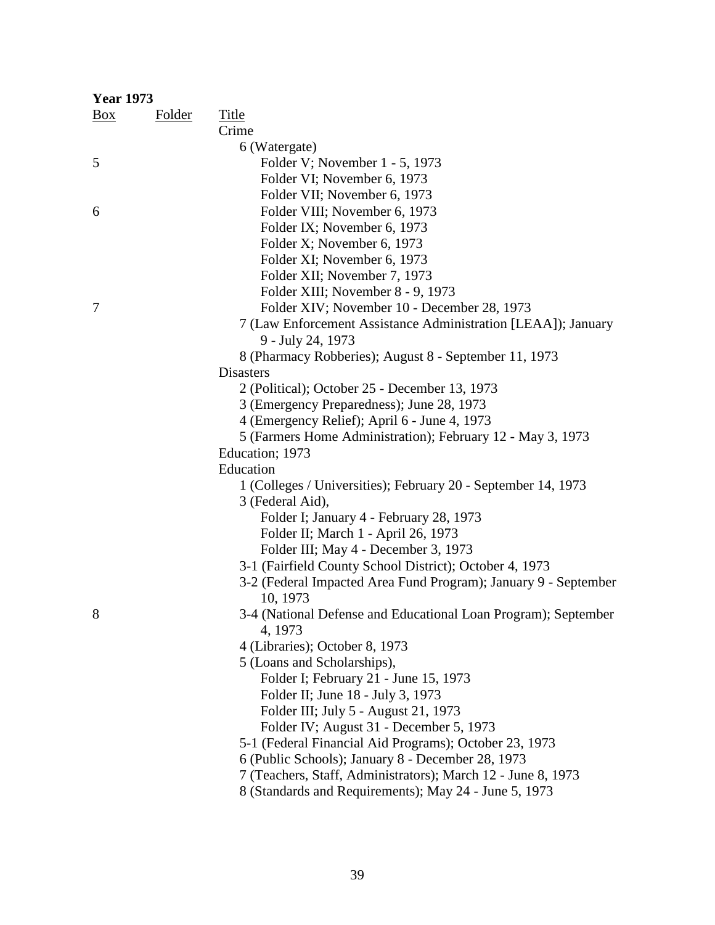| <b>Year 1973</b> |        |                                                                 |
|------------------|--------|-----------------------------------------------------------------|
| <b>Box</b>       | Folder | <b>Title</b>                                                    |
|                  |        | Crime                                                           |
|                  |        | 6 (Watergate)                                                   |
| 5                |        | Folder V; November 1 - 5, 1973                                  |
|                  |        | Folder VI; November 6, 1973                                     |
|                  |        | Folder VII; November 6, 1973                                    |
| 6                |        | Folder VIII; November 6, 1973                                   |
|                  |        | Folder IX; November 6, 1973                                     |
|                  |        | Folder X; November 6, 1973                                      |
|                  |        | Folder XI; November 6, 1973                                     |
|                  |        | Folder XII; November 7, 1973                                    |
|                  |        | Folder XIII; November 8 - 9, 1973                               |
| 7                |        | Folder XIV; November 10 - December 28, 1973                     |
|                  |        | 7 (Law Enforcement Assistance Administration [LEAA]); January   |
|                  |        | 9 - July 24, 1973                                               |
|                  |        | 8 (Pharmacy Robberies); August 8 - September 11, 1973           |
|                  |        | <b>Disasters</b>                                                |
|                  |        | 2 (Political); October 25 - December 13, 1973                   |
|                  |        | 3 (Emergency Preparedness); June 28, 1973                       |
|                  |        | 4 (Emergency Relief); April 6 - June 4, 1973                    |
|                  |        | 5 (Farmers Home Administration); February 12 - May 3, 1973      |
|                  |        | Education; 1973                                                 |
|                  |        | Education                                                       |
|                  |        | 1 (Colleges / Universities); February 20 - September 14, 1973   |
|                  |        | 3 (Federal Aid),                                                |
|                  |        | Folder I; January 4 - February 28, 1973                         |
|                  |        | Folder II; March 1 - April 26, 1973                             |
|                  |        | Folder III; May 4 - December 3, 1973                            |
|                  |        | 3-1 (Fairfield County School District); October 4, 1973         |
|                  |        | 3-2 (Federal Impacted Area Fund Program); January 9 - September |
|                  |        | 10, 1973                                                        |
| 8                |        | 3-4 (National Defense and Educational Loan Program); September  |
|                  |        | 4, 1973                                                         |
|                  |        | 4 (Libraries); October 8, 1973                                  |
|                  |        | 5 (Loans and Scholarships),                                     |
|                  |        | Folder I; February 21 - June 15, 1973                           |
|                  |        | Folder II; June 18 - July 3, 1973                               |
|                  |        | Folder III; July 5 - August 21, 1973                            |
|                  |        | Folder IV; August 31 - December 5, 1973                         |
|                  |        | 5-1 (Federal Financial Aid Programs); October 23, 1973          |
|                  |        | 6 (Public Schools); January 8 - December 28, 1973               |
|                  |        | 7 (Teachers, Staff, Administrators); March 12 - June 8, 1973    |
|                  |        | 8 (Standards and Requirements); May 24 - June 5, 1973           |
|                  |        |                                                                 |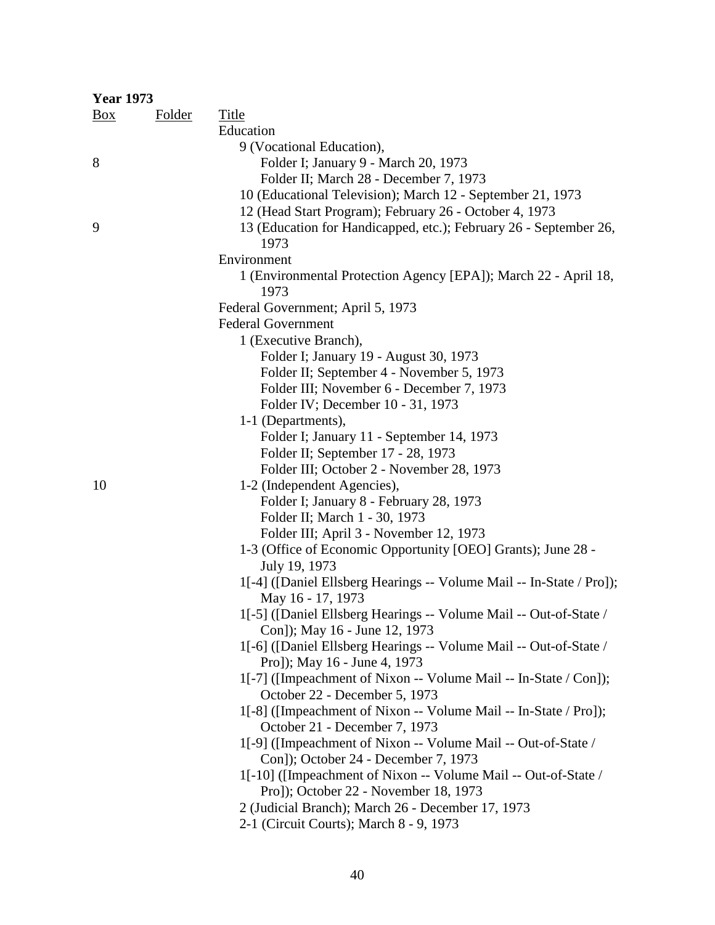| <b>Year 1973</b> |               |                                                                                                   |
|------------------|---------------|---------------------------------------------------------------------------------------------------|
| $\frac{Box}{}$   | <b>Folder</b> | <b>Title</b>                                                                                      |
|                  |               | Education                                                                                         |
|                  |               | 9 (Vocational Education),                                                                         |
| 8                |               | Folder I; January 9 - March 20, 1973                                                              |
|                  |               | Folder II; March 28 - December 7, 1973                                                            |
|                  |               | 10 (Educational Television); March 12 - September 21, 1973                                        |
|                  |               | 12 (Head Start Program); February 26 - October 4, 1973                                            |
| 9                |               | 13 (Education for Handicapped, etc.); February 26 - September 26,<br>1973                         |
|                  |               | Environment                                                                                       |
|                  |               | 1 (Environmental Protection Agency [EPA]); March 22 - April 18,<br>1973                           |
|                  |               | Federal Government; April 5, 1973                                                                 |
|                  |               | <b>Federal Government</b>                                                                         |
|                  |               | 1 (Executive Branch),                                                                             |
|                  |               | Folder I; January 19 - August 30, 1973                                                            |
|                  |               | Folder II; September 4 - November 5, 1973                                                         |
|                  |               | Folder III; November 6 - December 7, 1973                                                         |
|                  |               | Folder IV; December 10 - 31, 1973                                                                 |
|                  |               | 1-1 (Departments),                                                                                |
|                  |               | Folder I; January 11 - September 14, 1973                                                         |
|                  |               | Folder II; September 17 - 28, 1973                                                                |
|                  |               | Folder III; October 2 - November 28, 1973                                                         |
| 10               |               | 1-2 (Independent Agencies),                                                                       |
|                  |               | Folder I; January 8 - February 28, 1973                                                           |
|                  |               | Folder II; March 1 - 30, 1973                                                                     |
|                  |               | Folder III; April 3 - November 12, 1973                                                           |
|                  |               | 1-3 (Office of Economic Opportunity [OEO] Grants); June 28 -                                      |
|                  |               | July 19, 1973                                                                                     |
|                  |               | 1[-4] ([Daniel Ellsberg Hearings -- Volume Mail -- In-State / Pro]);<br>May 16 - 17, 1973         |
|                  |               | 1[-5] ([Daniel Ellsberg Hearings -- Volume Mail -- Out-of-State /                                 |
|                  |               | Con]); May 16 - June 12, 1973                                                                     |
|                  |               | 1[-6] ([Daniel Ellsberg Hearings -- Volume Mail -- Out-of-State /                                 |
|                  |               | Pro]); May 16 - June 4, 1973                                                                      |
|                  |               | 1[-7] ([Impeachment of Nixon -- Volume Mail -- In-State / Con]);<br>October 22 - December 5, 1973 |
|                  |               | 1[-8] ([Impeachment of Nixon -- Volume Mail -- In-State / Pro]);                                  |
|                  |               | October 21 - December 7, 1973                                                                     |
|                  |               | 1[-9] ([Impeachment of Nixon -- Volume Mail -- Out-of-State /                                     |
|                  |               | Con]); October 24 - December 7, 1973                                                              |
|                  |               | 1[-10] ([Impeachment of Nixon -- Volume Mail -- Out-of-State /                                    |
|                  |               | Pro]); October 22 - November 18, 1973                                                             |
|                  |               | 2 (Judicial Branch); March 26 - December 17, 1973                                                 |
|                  |               | 2-1 (Circuit Courts); March 8 - 9, 1973                                                           |
|                  |               |                                                                                                   |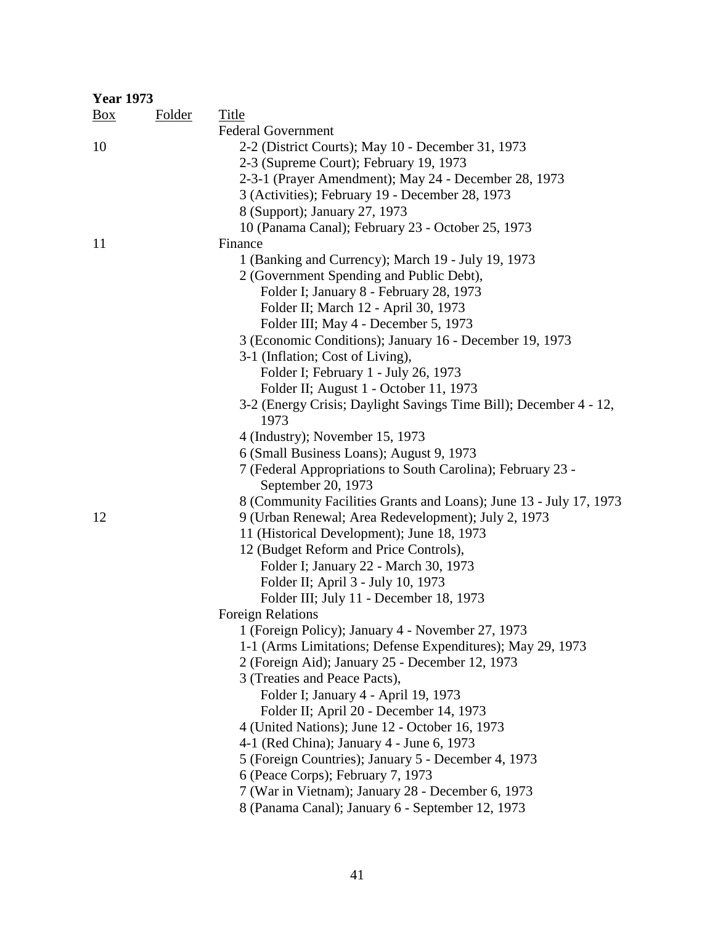| <b>Year 1973</b> |               |                                                                    |
|------------------|---------------|--------------------------------------------------------------------|
| $\frac{Box}{}$   | <b>Folder</b> | <b>Title</b>                                                       |
|                  |               | <b>Federal Government</b>                                          |
| 10               |               | 2-2 (District Courts); May 10 - December 31, 1973                  |
|                  |               | 2-3 (Supreme Court); February 19, 1973                             |
|                  |               | 2-3-1 (Prayer Amendment); May 24 - December 28, 1973               |
|                  |               | 3 (Activities); February 19 - December 28, 1973                    |
|                  |               | 8 (Support); January 27, 1973                                      |
|                  |               | 10 (Panama Canal); February 23 - October 25, 1973                  |
| 11               |               | Finance                                                            |
|                  |               | 1 (Banking and Currency); March 19 - July 19, 1973                 |
|                  |               | 2 (Government Spending and Public Debt),                           |
|                  |               | Folder I; January 8 - February 28, 1973                            |
|                  |               | Folder II; March 12 - April 30, 1973                               |
|                  |               | Folder III; May 4 - December 5, 1973                               |
|                  |               | 3 (Economic Conditions); January 16 - December 19, 1973            |
|                  |               | 3-1 (Inflation; Cost of Living),                                   |
|                  |               | Folder I; February 1 - July 26, 1973                               |
|                  |               | Folder II; August 1 - October 11, 1973                             |
|                  |               | 3-2 (Energy Crisis; Daylight Savings Time Bill); December 4 - 12,  |
|                  |               | 1973                                                               |
|                  |               | 4 (Industry); November 15, 1973                                    |
|                  |               | 6 (Small Business Loans); August 9, 1973                           |
|                  |               | 7 (Federal Appropriations to South Carolina); February 23 -        |
|                  |               | September 20, 1973                                                 |
|                  |               | 8 (Community Facilities Grants and Loans); June 13 - July 17, 1973 |
| 12               |               | 9 (Urban Renewal; Area Redevelopment); July 2, 1973                |
|                  |               | 11 (Historical Development); June 18, 1973                         |
|                  |               | 12 (Budget Reform and Price Controls),                             |
|                  |               | Folder I; January 22 - March 30, 1973                              |
|                  |               | Folder II; April 3 - July 10, 1973                                 |
|                  |               | Folder III; July 11 - December 18, 1973                            |
|                  |               | <b>Foreign Relations</b>                                           |
|                  |               | 1 (Foreign Policy); January 4 - November 27, 1973                  |
|                  |               | 1-1 (Arms Limitations; Defense Expenditures); May 29, 1973         |
|                  |               | 2 (Foreign Aid); January 25 - December 12, 1973                    |
|                  |               | 3 (Treaties and Peace Pacts),                                      |
|                  |               | Folder I; January 4 - April 19, 1973                               |
|                  |               | Folder II; April 20 - December 14, 1973                            |
|                  |               | 4 (United Nations); June 12 - October 16, 1973                     |
|                  |               | 4-1 (Red China); January 4 - June 6, 1973                          |
|                  |               | 5 (Foreign Countries); January 5 - December 4, 1973                |
|                  |               | 6 (Peace Corps); February 7, 1973                                  |
|                  |               | 7 (War in Vietnam); January 28 - December 6, 1973                  |
|                  |               | 8 (Panama Canal); January 6 - September 12, 1973                   |
|                  |               |                                                                    |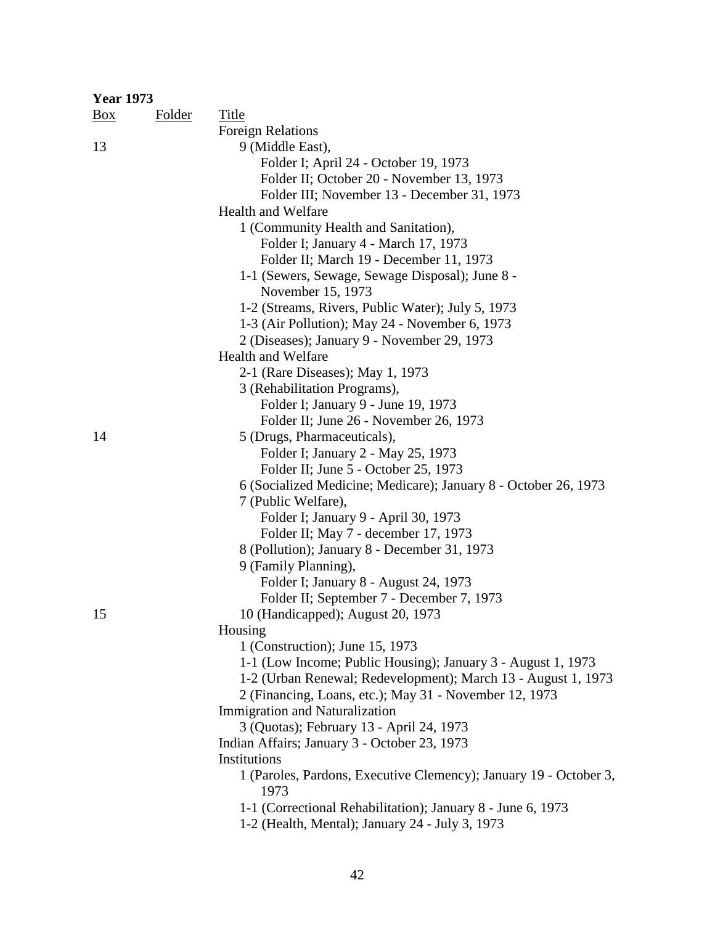| <b>Year 1973</b> |               |                                                                           |
|------------------|---------------|---------------------------------------------------------------------------|
| $\frac{Box}{}$   | <b>Folder</b> | <b>Title</b>                                                              |
|                  |               | <b>Foreign Relations</b>                                                  |
| 13               |               | 9 (Middle East),                                                          |
|                  |               | Folder I; April 24 - October 19, 1973                                     |
|                  |               | Folder II; October 20 - November 13, 1973                                 |
|                  |               | Folder III; November 13 - December 31, 1973                               |
|                  |               | <b>Health and Welfare</b>                                                 |
|                  |               | 1 (Community Health and Sanitation),                                      |
|                  |               | Folder I; January 4 - March 17, 1973                                      |
|                  |               | Folder II; March 19 - December 11, 1973                                   |
|                  |               | 1-1 (Sewers, Sewage, Sewage Disposal); June 8 -                           |
|                  |               | November 15, 1973                                                         |
|                  |               | 1-2 (Streams, Rivers, Public Water); July 5, 1973                         |
|                  |               | 1-3 (Air Pollution); May 24 - November 6, 1973                            |
|                  |               | 2 (Diseases); January 9 - November 29, 1973                               |
|                  |               | <b>Health and Welfare</b>                                                 |
|                  |               | 2-1 (Rare Diseases); May 1, 1973                                          |
|                  |               | 3 (Rehabilitation Programs),                                              |
|                  |               | Folder I; January 9 - June 19, 1973                                       |
|                  |               | Folder II; June 26 - November 26, 1973                                    |
| 14               |               | 5 (Drugs, Pharmaceuticals),                                               |
|                  |               | Folder I; January 2 - May 25, 1973                                        |
|                  |               | Folder II; June 5 - October 25, 1973                                      |
|                  |               | 6 (Socialized Medicine; Medicare); January 8 - October 26, 1973           |
|                  |               | 7 (Public Welfare),                                                       |
|                  |               | Folder I; January 9 - April 30, 1973                                      |
|                  |               | Folder II; May 7 - december 17, 1973                                      |
|                  |               | 8 (Pollution); January 8 - December 31, 1973                              |
|                  |               | 9 (Family Planning),                                                      |
|                  |               | Folder I; January 8 - August 24, 1973                                     |
|                  |               | Folder II; September 7 - December 7, 1973                                 |
| 15               |               | 10 (Handicapped); August 20, 1973                                         |
|                  |               | Housing                                                                   |
|                  |               | 1 (Construction); June 15, 1973                                           |
|                  |               | 1-1 (Low Income; Public Housing); January 3 - August 1, 1973              |
|                  |               | 1-2 (Urban Renewal; Redevelopment); March 13 - August 1, 1973             |
|                  |               | 2 (Financing, Loans, etc.); May 31 - November 12, 1973                    |
|                  |               | <b>Immigration and Naturalization</b>                                     |
|                  |               | 3 (Quotas); February 13 - April 24, 1973                                  |
|                  |               | Indian Affairs; January 3 - October 23, 1973                              |
|                  |               | Institutions                                                              |
|                  |               | 1 (Paroles, Pardons, Executive Clemency); January 19 - October 3,<br>1973 |
|                  |               | 1-1 (Correctional Rehabilitation); January 8 - June 6, 1973               |
|                  |               | 1-2 (Health, Mental); January 24 - July 3, 1973                           |
|                  |               |                                                                           |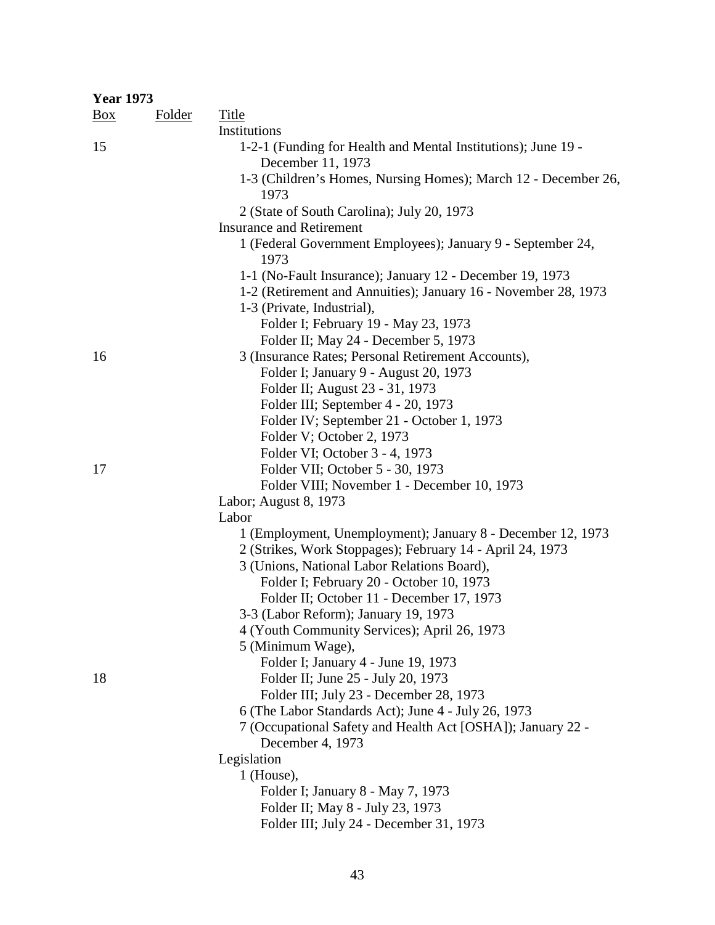| <b>Year 1973</b> |               |                                                                                              |
|------------------|---------------|----------------------------------------------------------------------------------------------|
| $\frac{Box}{}$   | <b>Folder</b> | <b>Title</b>                                                                                 |
|                  |               | Institutions                                                                                 |
| 15               |               | 1-2-1 (Funding for Health and Mental Institutions); June 19 -<br>December 11, 1973           |
|                  |               | 1-3 (Children's Homes, Nursing Homes); March 12 - December 26,<br>1973                       |
|                  |               | 2 (State of South Carolina); July 20, 1973<br><b>Insurance and Retirement</b>                |
|                  |               | 1 (Federal Government Employees); January 9 - September 24,<br>1973                          |
|                  |               | 1-1 (No-Fault Insurance); January 12 - December 19, 1973                                     |
|                  |               | 1-2 (Retirement and Annuities); January 16 - November 28, 1973<br>1-3 (Private, Industrial), |
|                  |               | Folder I; February 19 - May 23, 1973                                                         |
|                  |               | Folder II; May 24 - December 5, 1973                                                         |
| 16               |               | 3 (Insurance Rates; Personal Retirement Accounts),                                           |
|                  |               | Folder I; January 9 - August 20, 1973                                                        |
|                  |               | Folder II; August 23 - 31, 1973                                                              |
|                  |               | Folder III; September 4 - 20, 1973                                                           |
|                  |               | Folder IV; September 21 - October 1, 1973                                                    |
|                  |               | Folder V; October 2, 1973                                                                    |
|                  |               | Folder VI; October 3 - 4, 1973                                                               |
| 17               |               | Folder VII; October 5 - 30, 1973                                                             |
|                  |               | Folder VIII; November 1 - December 10, 1973                                                  |
|                  |               | Labor; August 8, 1973                                                                        |
|                  |               | Labor                                                                                        |
|                  |               | 1 (Employment, Unemployment); January 8 - December 12, 1973                                  |
|                  |               | 2 (Strikes, Work Stoppages); February 14 - April 24, 1973                                    |
|                  |               | 3 (Unions, National Labor Relations Board),                                                  |
|                  |               | Folder I; February 20 - October 10, 1973<br>Folder II; October 11 - December 17, 1973        |
|                  |               | 3-3 (Labor Reform); January 19, 1973                                                         |
|                  |               | 4 (Youth Community Services); April 26, 1973                                                 |
|                  |               | 5 (Minimum Wage),                                                                            |
|                  |               | Folder I; January 4 - June 19, 1973                                                          |
| 18               |               | Folder II; June 25 - July 20, 1973                                                           |
|                  |               | Folder III; July 23 - December 28, 1973                                                      |
|                  |               | 6 (The Labor Standards Act); June 4 - July 26, 1973                                          |
|                  |               | 7 (Occupational Safety and Health Act [OSHA]); January 22 -                                  |
|                  |               | December 4, 1973                                                                             |
|                  |               | Legislation                                                                                  |
|                  |               | $1$ (House),                                                                                 |
|                  |               | Folder I; January 8 - May 7, 1973                                                            |
|                  |               | Folder II; May 8 - July 23, 1973                                                             |
|                  |               | Folder III; July 24 - December 31, 1973                                                      |
|                  |               |                                                                                              |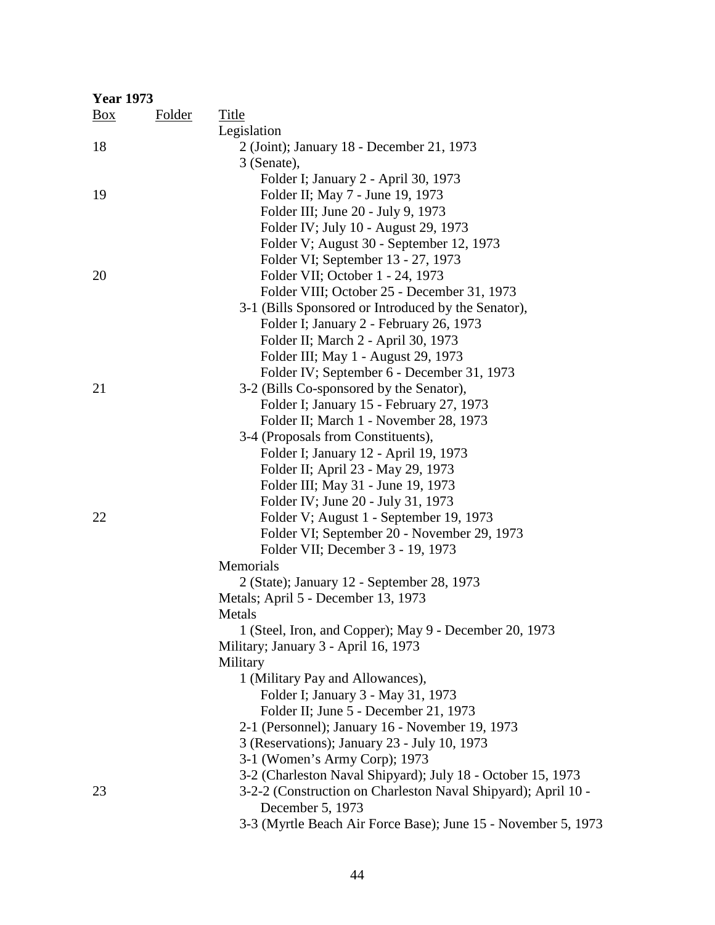| <b>Year 1973</b> |               |                                                               |
|------------------|---------------|---------------------------------------------------------------|
| $\frac{Box}{}$   | <b>Folder</b> | Title                                                         |
|                  |               | Legislation                                                   |
| 18               |               | 2 (Joint); January 18 - December 21, 1973                     |
|                  |               | 3 (Senate),                                                   |
|                  |               | Folder I; January 2 - April 30, 1973                          |
| 19               |               | Folder II; May 7 - June 19, 1973                              |
|                  |               | Folder III; June 20 - July 9, 1973                            |
|                  |               | Folder IV; July 10 - August 29, 1973                          |
|                  |               | Folder V; August 30 - September 12, 1973                      |
|                  |               | Folder VI; September 13 - 27, 1973                            |
| 20               |               | Folder VII; October 1 - 24, 1973                              |
|                  |               | Folder VIII; October 25 - December 31, 1973                   |
|                  |               | 3-1 (Bills Sponsored or Introduced by the Senator),           |
|                  |               | Folder I; January 2 - February 26, 1973                       |
|                  |               | Folder II; March 2 - April 30, 1973                           |
|                  |               | Folder III; May 1 - August 29, 1973                           |
|                  |               | Folder IV; September 6 - December 31, 1973                    |
| 21               |               | 3-2 (Bills Co-sponsored by the Senator),                      |
|                  |               | Folder I; January 15 - February 27, 1973                      |
|                  |               | Folder II; March 1 - November 28, 1973                        |
|                  |               | 3-4 (Proposals from Constituents),                            |
|                  |               | Folder I; January 12 - April 19, 1973                         |
|                  |               | Folder II; April 23 - May 29, 1973                            |
|                  |               | Folder III; May 31 - June 19, 1973                            |
|                  |               | Folder IV; June 20 - July 31, 1973                            |
| 22               |               | Folder V; August 1 - September 19, 1973                       |
|                  |               | Folder VI; September 20 - November 29, 1973                   |
|                  |               | Folder VII; December 3 - 19, 1973                             |
|                  |               | Memorials                                                     |
|                  |               | 2 (State); January 12 - September 28, 1973                    |
|                  |               | Metals; April 5 - December 13, 1973                           |
|                  |               | Metals                                                        |
|                  |               | 1 (Steel, Iron, and Copper); May 9 - December 20, 1973        |
|                  |               | Military; January 3 - April 16, 1973                          |
|                  |               | Military                                                      |
|                  |               | 1 (Military Pay and Allowances),                              |
|                  |               | Folder I; January 3 - May 31, 1973                            |
|                  |               | Folder II; June 5 - December 21, 1973                         |
|                  |               | 2-1 (Personnel); January 16 - November 19, 1973               |
|                  |               | 3 (Reservations); January 23 - July 10, 1973                  |
|                  |               | 3-1 (Women's Army Corp); 1973                                 |
|                  |               | 3-2 (Charleston Naval Shipyard); July 18 - October 15, 1973   |
| 23               |               | 3-2-2 (Construction on Charleston Naval Shipyard); April 10 - |
|                  |               | December 5, 1973                                              |
|                  |               | 3-3 (Myrtle Beach Air Force Base); June 15 - November 5, 1973 |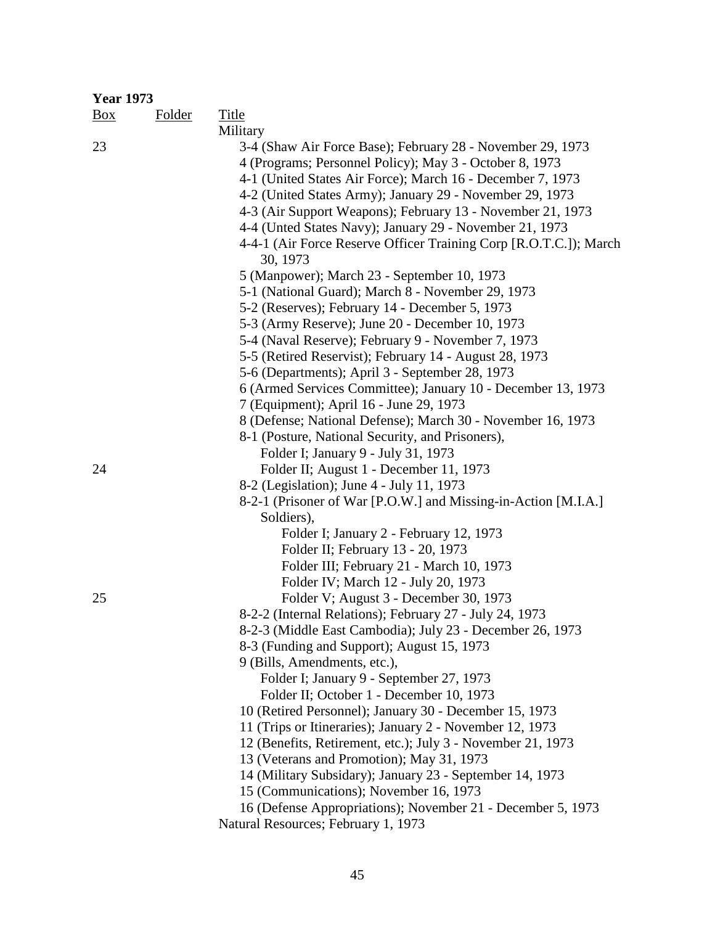| <b>Year 1973</b> |               |                                                                   |
|------------------|---------------|-------------------------------------------------------------------|
| Box              | <b>Folder</b> | <b>Title</b>                                                      |
|                  |               | Military                                                          |
| 23               |               | 3-4 (Shaw Air Force Base); February 28 - November 29, 1973        |
|                  |               | 4 (Programs; Personnel Policy); May 3 - October 8, 1973           |
|                  |               | 4-1 (United States Air Force); March 16 - December 7, 1973        |
|                  |               | 4-2 (United States Army); January 29 - November 29, 1973          |
|                  |               | 4-3 (Air Support Weapons); February 13 - November 21, 1973        |
|                  |               | 4-4 (Unted States Navy); January 29 - November 21, 1973           |
|                  |               | 4-4-1 (Air Force Reserve Officer Training Corp [R.O.T.C.]); March |
|                  |               | 30, 1973                                                          |
|                  |               | 5 (Manpower); March 23 - September 10, 1973                       |
|                  |               | 5-1 (National Guard); March 8 - November 29, 1973                 |
|                  |               | 5-2 (Reserves); February 14 - December 5, 1973                    |
|                  |               | 5-3 (Army Reserve); June 20 - December 10, 1973                   |
|                  |               | 5-4 (Naval Reserve); February 9 - November 7, 1973                |
|                  |               | 5-5 (Retired Reservist); February 14 - August 28, 1973            |
|                  |               | 5-6 (Departments); April 3 - September 28, 1973                   |
|                  |               | 6 (Armed Services Committee); January 10 - December 13, 1973      |
|                  |               | 7 (Equipment); April 16 - June 29, 1973                           |
|                  |               | 8 (Defense; National Defense); March 30 - November 16, 1973       |
|                  |               | 8-1 (Posture, National Security, and Prisoners),                  |
|                  |               | Folder I; January 9 - July 31, 1973                               |
| 24               |               | Folder II; August 1 - December 11, 1973                           |
|                  |               | 8-2 (Legislation); June 4 - July 11, 1973                         |
|                  |               | 8-2-1 (Prisoner of War [P.O.W.] and Missing-in-Action [M.I.A.]    |
|                  |               | Soldiers),                                                        |
|                  |               | Folder I; January 2 - February 12, 1973                           |
|                  |               | Folder II; February 13 - 20, 1973                                 |
|                  |               | Folder III; February 21 - March 10, 1973                          |
|                  |               | Folder IV; March 12 - July 20, 1973                               |
| 25               |               | Folder V; August 3 - December 30, 1973                            |
|                  |               | 8-2-2 (Internal Relations); February 27 - July 24, 1973           |
|                  |               | 8-2-3 (Middle East Cambodia); July 23 - December 26, 1973         |
|                  |               | 8-3 (Funding and Support); August 15, 1973                        |
|                  |               | 9 (Bills, Amendments, etc.),                                      |
|                  |               | Folder I; January 9 - September 27, 1973                          |
|                  |               | Folder II; October 1 - December 10, 1973                          |
|                  |               | 10 (Retired Personnel); January 30 - December 15, 1973            |
|                  |               | 11 (Trips or Itineraries); January 2 - November 12, 1973          |
|                  |               | 12 (Benefits, Retirement, etc.); July 3 - November 21, 1973       |
|                  |               | 13 (Veterans and Promotion); May 31, 1973                         |
|                  |               | 14 (Military Subsidary); January 23 - September 14, 1973          |
|                  |               | 15 (Communications); November 16, 1973                            |
|                  |               | 16 (Defense Appropriations); November 21 - December 5, 1973       |
|                  |               | Natural Resources; February 1, 1973                               |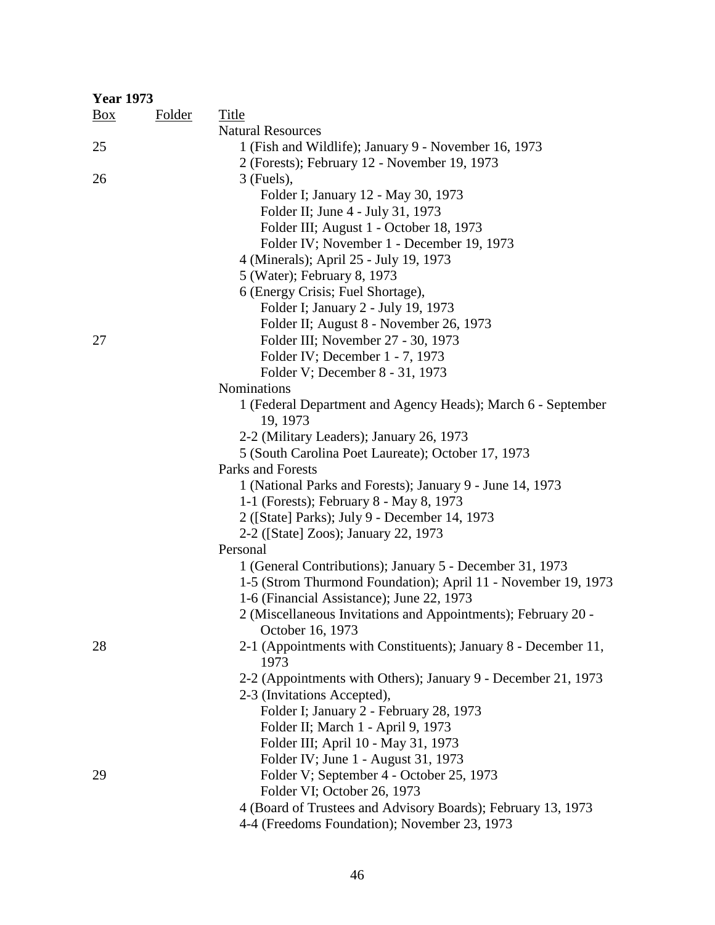| <b>Year 1973</b> |               |                                                                        |
|------------------|---------------|------------------------------------------------------------------------|
| $\frac{Box}{}$   | <b>Folder</b> | <b>Title</b>                                                           |
|                  |               | <b>Natural Resources</b>                                               |
| 25               |               | 1 (Fish and Wildlife); January 9 - November 16, 1973                   |
|                  |               | 2 (Forests); February 12 - November 19, 1973                           |
| 26               |               | $3$ (Fuels),                                                           |
|                  |               | Folder I; January 12 - May 30, 1973                                    |
|                  |               | Folder II; June 4 - July 31, 1973                                      |
|                  |               | Folder III; August 1 - October 18, 1973                                |
|                  |               | Folder IV; November 1 - December 19, 1973                              |
|                  |               | 4 (Minerals); April 25 - July 19, 1973                                 |
|                  |               | 5 (Water); February 8, 1973                                            |
|                  |               | 6 (Energy Crisis; Fuel Shortage),                                      |
|                  |               | Folder I; January 2 - July 19, 1973                                    |
|                  |               | Folder II; August 8 - November 26, 1973                                |
| 27               |               | Folder III; November 27 - 30, 1973                                     |
|                  |               | Folder IV; December 1 - 7, 1973                                        |
|                  |               | Folder V; December 8 - 31, 1973                                        |
|                  |               | Nominations                                                            |
|                  |               | 1 (Federal Department and Agency Heads); March 6 - September           |
|                  |               | 19, 1973                                                               |
|                  |               | 2-2 (Military Leaders); January 26, 1973                               |
|                  |               | 5 (South Carolina Poet Laureate); October 17, 1973                     |
|                  |               | Parks and Forests                                                      |
|                  |               | 1 (National Parks and Forests); January 9 - June 14, 1973              |
|                  |               | 1-1 (Forests); February 8 - May 8, 1973                                |
|                  |               | 2 ([State] Parks); July 9 - December 14, 1973                          |
|                  |               | 2-2 ([State] Zoos); January 22, 1973                                   |
|                  |               | Personal                                                               |
|                  |               | 1 (General Contributions); January 5 - December 31, 1973               |
|                  |               | 1-5 (Strom Thurmond Foundation); April 11 - November 19, 1973          |
|                  |               | 1-6 (Financial Assistance); June 22, 1973                              |
|                  |               | 2 (Miscellaneous Invitations and Appointments); February 20 -          |
|                  |               | October 16, 1973                                                       |
| 28               |               | 2-1 (Appointments with Constituents); January 8 - December 11,<br>1973 |
|                  |               | 2-2 (Appointments with Others); January 9 - December 21, 1973          |
|                  |               | 2-3 (Invitations Accepted),                                            |
|                  |               | Folder I; January 2 - February 28, 1973                                |
|                  |               | Folder II; March 1 - April 9, 1973                                     |
|                  |               | Folder III; April 10 - May 31, 1973                                    |
|                  |               | Folder IV; June 1 - August 31, 1973                                    |
| 29               |               | Folder V; September 4 - October 25, 1973                               |
|                  |               | Folder VI; October 26, 1973                                            |
|                  |               | 4 (Board of Trustees and Advisory Boards); February 13, 1973           |
|                  |               | 4-4 (Freedoms Foundation); November 23, 1973                           |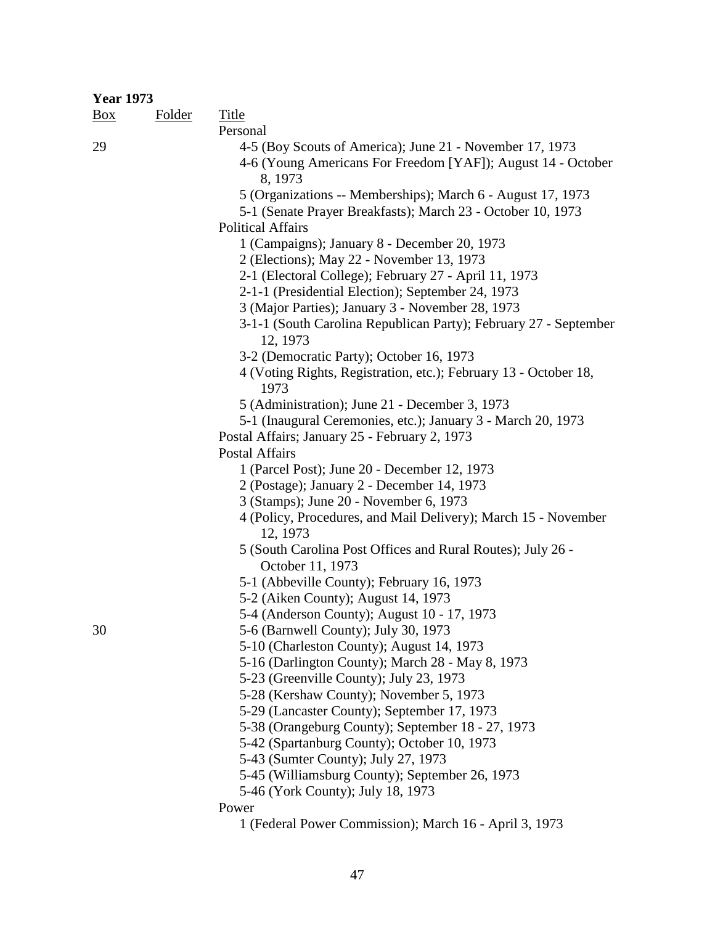| <b>Year 1973</b> |               |                                                                              |
|------------------|---------------|------------------------------------------------------------------------------|
| $\frac{Box}{}$   | <b>Folder</b> | <b>Title</b>                                                                 |
|                  |               | Personal                                                                     |
| 29               |               | 4-5 (Boy Scouts of America); June 21 - November 17, 1973                     |
|                  |               | 4-6 (Young Americans For Freedom [YAF]); August 14 - October                 |
|                  |               | 8, 1973                                                                      |
|                  |               | 5 (Organizations -- Memberships); March 6 - August 17, 1973                  |
|                  |               | 5-1 (Senate Prayer Breakfasts); March 23 - October 10, 1973                  |
|                  |               | <b>Political Affairs</b>                                                     |
|                  |               | 1 (Campaigns); January 8 - December 20, 1973                                 |
|                  |               | 2 (Elections); May 22 - November 13, 1973                                    |
|                  |               | 2-1 (Electoral College); February 27 - April 11, 1973                        |
|                  |               | 2-1-1 (Presidential Election); September 24, 1973                            |
|                  |               | 3 (Major Parties); January 3 - November 28, 1973                             |
|                  |               | 3-1-1 (South Carolina Republican Party); February 27 - September<br>12, 1973 |
|                  |               | 3-2 (Democratic Party); October 16, 1973                                     |
|                  |               | 4 (Voting Rights, Registration, etc.); February 13 - October 18,             |
|                  |               | 1973                                                                         |
|                  |               | 5 (Administration); June 21 - December 3, 1973                               |
|                  |               | 5-1 (Inaugural Ceremonies, etc.); January 3 - March 20, 1973                 |
|                  |               | Postal Affairs; January 25 - February 2, 1973                                |
|                  |               | <b>Postal Affairs</b>                                                        |
|                  |               | 1 (Parcel Post); June 20 - December 12, 1973                                 |
|                  |               | 2 (Postage); January 2 - December 14, 1973                                   |
|                  |               | 3 (Stamps); June 20 - November 6, 1973                                       |
|                  |               | 4 (Policy, Procedures, and Mail Delivery); March 15 - November               |
|                  |               | 12, 1973                                                                     |
|                  |               | 5 (South Carolina Post Offices and Rural Routes); July 26 -                  |
|                  |               | October 11, 1973                                                             |
|                  |               | 5-1 (Abbeville County); February 16, 1973                                    |
|                  |               | 5-2 (Aiken County); August 14, 1973                                          |
|                  |               | 5-4 (Anderson County); August 10 - 17, 1973                                  |
| 30               |               | 5-6 (Barnwell County); July 30, 1973                                         |
|                  |               | 5-10 (Charleston County); August 14, 1973                                    |
|                  |               | 5-16 (Darlington County); March 28 - May 8, 1973                             |
|                  |               | 5-23 (Greenville County); July 23, 1973                                      |
|                  |               | 5-28 (Kershaw County); November 5, 1973                                      |
|                  |               | 5-29 (Lancaster County); September 17, 1973                                  |
|                  |               | 5-38 (Orangeburg County); September 18 - 27, 1973                            |
|                  |               | 5-42 (Spartanburg County); October 10, 1973                                  |
|                  |               | 5-43 (Sumter County); July 27, 1973                                          |
|                  |               | 5-45 (Williamsburg County); September 26, 1973                               |
|                  |               | 5-46 (York County); July 18, 1973                                            |
|                  |               | Power                                                                        |

 <sup>1 (</sup>Federal Power Commission); March 16 - April 3, 1973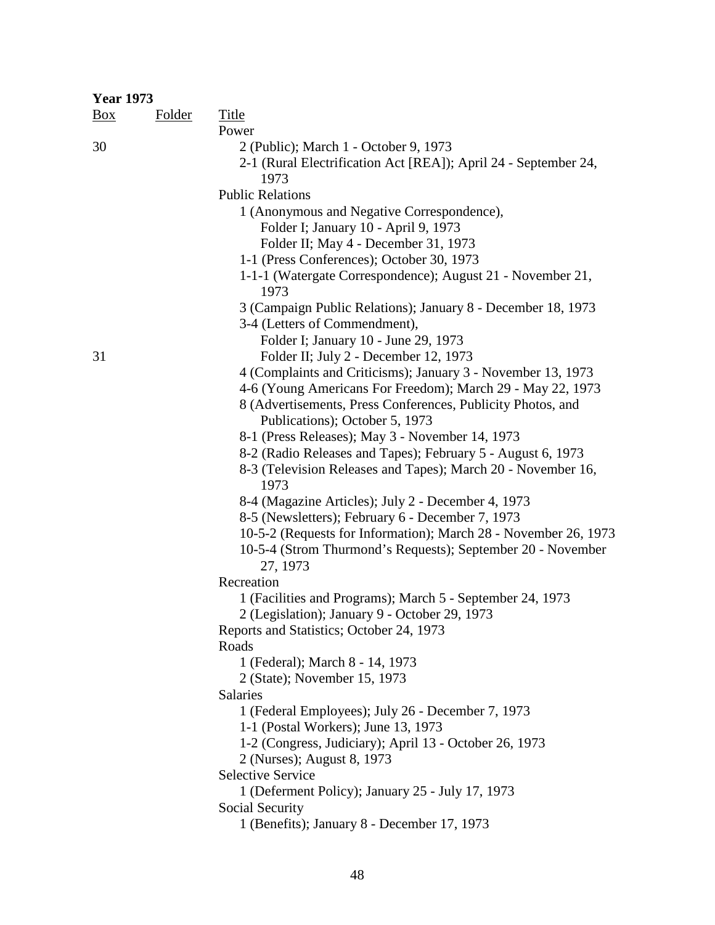|                | <b>Year 1973</b> |                                                                                                                             |  |  |  |
|----------------|------------------|-----------------------------------------------------------------------------------------------------------------------------|--|--|--|
| $\frac{Box}{}$ | <b>Folder</b>    | <b>Title</b>                                                                                                                |  |  |  |
|                |                  | Power                                                                                                                       |  |  |  |
| 30             |                  | 2 (Public); March 1 - October 9, 1973                                                                                       |  |  |  |
|                |                  | 2-1 (Rural Electrification Act [REA]); April 24 - September 24,                                                             |  |  |  |
|                |                  | 1973                                                                                                                        |  |  |  |
|                |                  | <b>Public Relations</b>                                                                                                     |  |  |  |
|                |                  | 1 (Anonymous and Negative Correspondence),                                                                                  |  |  |  |
|                |                  | Folder I; January 10 - April 9, 1973                                                                                        |  |  |  |
|                |                  | Folder II; May 4 - December 31, 1973                                                                                        |  |  |  |
|                |                  | 1-1 (Press Conferences); October 30, 1973                                                                                   |  |  |  |
|                |                  | 1-1-1 (Watergate Correspondence); August 21 - November 21,<br>1973                                                          |  |  |  |
|                |                  | 3 (Campaign Public Relations); January 8 - December 18, 1973                                                                |  |  |  |
|                |                  | 3-4 (Letters of Commendment),                                                                                               |  |  |  |
|                |                  | Folder I; January 10 - June 29, 1973                                                                                        |  |  |  |
| 31             |                  | Folder II; July 2 - December 12, 1973                                                                                       |  |  |  |
|                |                  | 4 (Complaints and Criticisms); January 3 - November 13, 1973                                                                |  |  |  |
|                |                  | 4-6 (Young Americans For Freedom); March 29 - May 22, 1973                                                                  |  |  |  |
|                |                  | 8 (Advertisements, Press Conferences, Publicity Photos, and                                                                 |  |  |  |
|                |                  | Publications); October 5, 1973                                                                                              |  |  |  |
|                |                  | 8-1 (Press Releases); May 3 - November 14, 1973                                                                             |  |  |  |
|                |                  | 8-2 (Radio Releases and Tapes); February 5 - August 6, 1973<br>8-3 (Television Releases and Tapes); March 20 - November 16, |  |  |  |
|                |                  | 1973                                                                                                                        |  |  |  |
|                |                  | 8-4 (Magazine Articles); July 2 - December 4, 1973                                                                          |  |  |  |
|                |                  | 8-5 (Newsletters); February 6 - December 7, 1973                                                                            |  |  |  |
|                |                  | 10-5-2 (Requests for Information); March 28 - November 26, 1973                                                             |  |  |  |
|                |                  | 10-5-4 (Strom Thurmond's Requests); September 20 - November                                                                 |  |  |  |
|                |                  | 27, 1973                                                                                                                    |  |  |  |
|                |                  | Recreation                                                                                                                  |  |  |  |
|                |                  | 1 (Facilities and Programs); March 5 - September 24, 1973                                                                   |  |  |  |
|                |                  | 2 (Legislation); January 9 - October 29, 1973                                                                               |  |  |  |
|                |                  | Reports and Statistics; October 24, 1973                                                                                    |  |  |  |
|                |                  | Roads                                                                                                                       |  |  |  |
|                |                  | 1 (Federal); March 8 - 14, 1973                                                                                             |  |  |  |
|                |                  | 2 (State); November 15, 1973                                                                                                |  |  |  |
|                |                  | <b>Salaries</b>                                                                                                             |  |  |  |
|                |                  | 1 (Federal Employees); July 26 - December 7, 1973<br>1-1 (Postal Workers); June 13, 1973                                    |  |  |  |
|                |                  | 1-2 (Congress, Judiciary); April 13 - October 26, 1973                                                                      |  |  |  |
|                |                  | 2 (Nurses); August 8, 1973                                                                                                  |  |  |  |
|                |                  | <b>Selective Service</b>                                                                                                    |  |  |  |
|                |                  | 1 (Deferment Policy); January 25 - July 17, 1973                                                                            |  |  |  |
|                |                  | Social Security                                                                                                             |  |  |  |
|                |                  | 1 (Benefits); January 8 - December 17, 1973                                                                                 |  |  |  |
|                |                  |                                                                                                                             |  |  |  |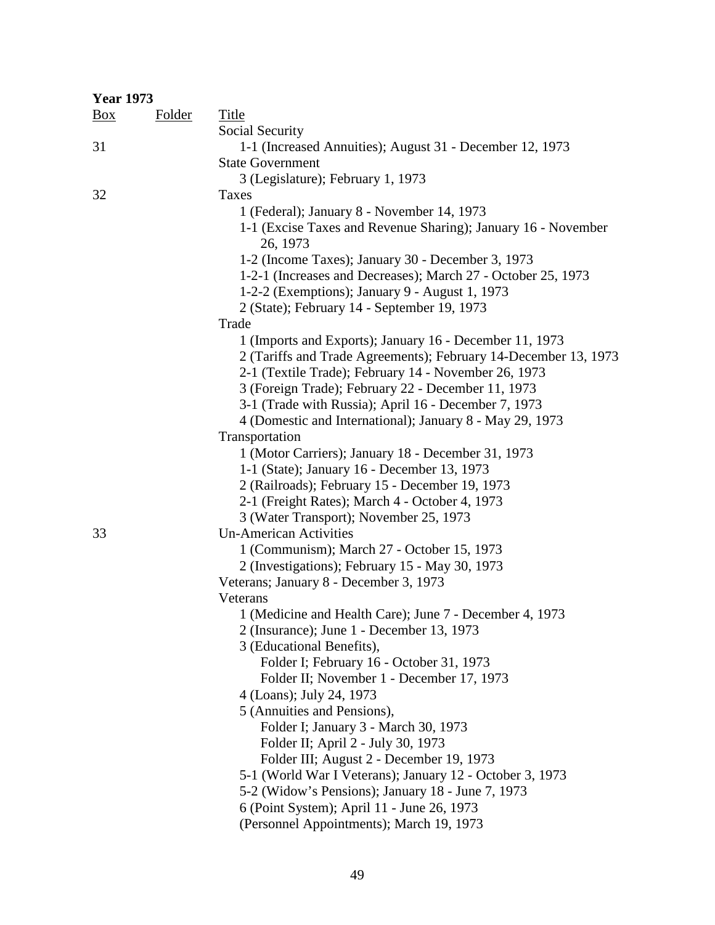| <b>Year 1973</b> |               |                                                                           |
|------------------|---------------|---------------------------------------------------------------------------|
| $\frac{Box}{}$   | <b>Folder</b> | <b>Title</b>                                                              |
|                  |               | Social Security                                                           |
| 31               |               | 1-1 (Increased Annuities); August 31 - December 12, 1973                  |
|                  |               | <b>State Government</b>                                                   |
|                  |               | 3 (Legislature); February 1, 1973                                         |
| 32               |               | Taxes                                                                     |
|                  |               | 1 (Federal); January 8 - November 14, 1973                                |
|                  |               | 1-1 (Excise Taxes and Revenue Sharing); January 16 - November<br>26, 1973 |
|                  |               | 1-2 (Income Taxes); January 30 - December 3, 1973                         |
|                  |               | 1-2-1 (Increases and Decreases); March 27 - October 25, 1973              |
|                  |               | 1-2-2 (Exemptions); January 9 - August 1, 1973                            |
|                  |               | 2 (State); February 14 - September 19, 1973                               |
|                  |               | Trade                                                                     |
|                  |               | 1 (Imports and Exports); January 16 - December 11, 1973                   |
|                  |               | 2 (Tariffs and Trade Agreements); February 14-December 13, 1973           |
|                  |               | 2-1 (Textile Trade); February 14 - November 26, 1973                      |
|                  |               | 3 (Foreign Trade); February 22 - December 11, 1973                        |
|                  |               | 3-1 (Trade with Russia); April 16 - December 7, 1973                      |
|                  |               | 4 (Domestic and International); January 8 - May 29, 1973                  |
|                  |               | Transportation                                                            |
|                  |               | 1 (Motor Carriers); January 18 - December 31, 1973                        |
|                  |               | 1-1 (State); January 16 - December 13, 1973                               |
|                  |               | 2 (Railroads); February 15 - December 19, 1973                            |
|                  |               | 2-1 (Freight Rates); March 4 - October 4, 1973                            |
|                  |               | 3 (Water Transport); November 25, 1973                                    |
| 33               |               | <b>Un-American Activities</b>                                             |
|                  |               | 1 (Communism); March 27 - October 15, 1973                                |
|                  |               | 2 (Investigations); February 15 - May 30, 1973                            |
|                  |               | Veterans; January 8 - December 3, 1973                                    |
|                  |               | Veterans                                                                  |
|                  |               | 1 (Medicine and Health Care); June 7 - December 4, 1973                   |
|                  |               | 2 (Insurance); June 1 - December 13, 1973                                 |
|                  |               | 3 (Educational Benefits),                                                 |
|                  |               | Folder I; February 16 - October 31, 1973                                  |
|                  |               | Folder II; November 1 - December 17, 1973<br>4 (Loans); July 24, 1973     |
|                  |               | 5 (Annuities and Pensions),                                               |
|                  |               | Folder I; January 3 - March 30, 1973                                      |
|                  |               | Folder II; April 2 - July 30, 1973                                        |
|                  |               | Folder III; August 2 - December 19, 1973                                  |
|                  |               | 5-1 (World War I Veterans); January 12 - October 3, 1973                  |
|                  |               | 5-2 (Widow's Pensions); January 18 - June 7, 1973                         |
|                  |               | 6 (Point System); April 11 - June 26, 1973                                |
|                  |               | (Personnel Appointments); March 19, 1973                                  |
|                  |               |                                                                           |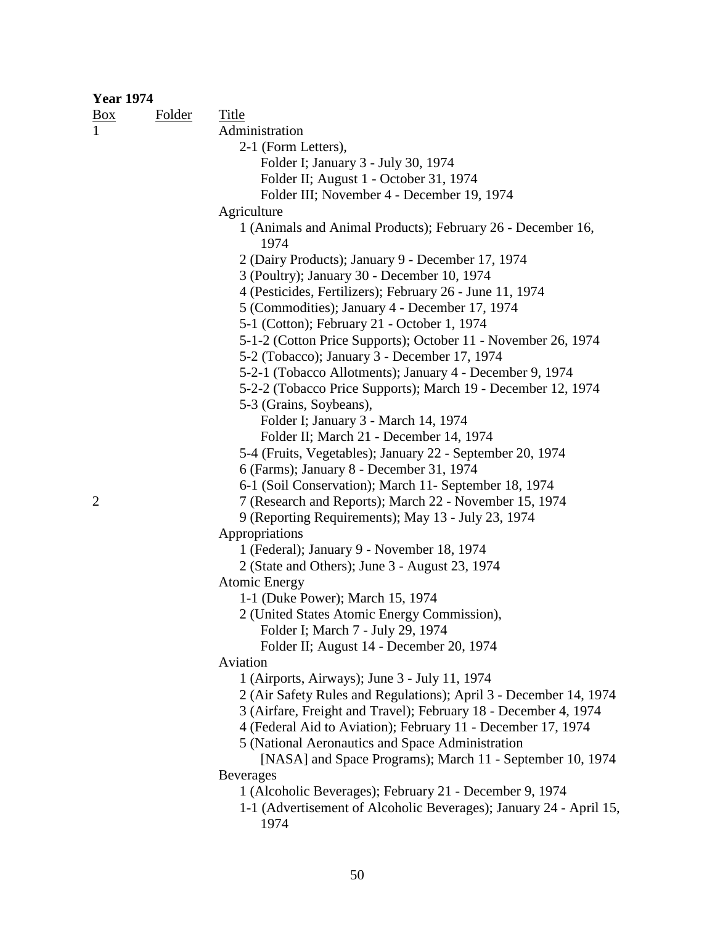| <b>Year 1974</b> |               |                                                                     |
|------------------|---------------|---------------------------------------------------------------------|
| $\frac{Box}{}$   | <b>Folder</b> | <b>Title</b>                                                        |
| $\mathbf{1}$     |               | Administration                                                      |
|                  |               | 2-1 (Form Letters),                                                 |
|                  |               | Folder I; January 3 - July 30, 1974                                 |
|                  |               | Folder II; August 1 - October 31, 1974                              |
|                  |               | Folder III; November 4 - December 19, 1974                          |
|                  |               | Agriculture                                                         |
|                  |               | 1 (Animals and Animal Products); February 26 - December 16,<br>1974 |
|                  |               | 2 (Dairy Products); January 9 - December 17, 1974                   |
|                  |               | 3 (Poultry); January 30 - December 10, 1974                         |
|                  |               | 4 (Pesticides, Fertilizers); February 26 - June 11, 1974            |
|                  |               | 5 (Commodities); January 4 - December 17, 1974                      |
|                  |               | 5-1 (Cotton); February 21 - October 1, 1974                         |
|                  |               | 5-1-2 (Cotton Price Supports); October 11 - November 26, 1974       |
|                  |               | 5-2 (Tobacco); January 3 - December 17, 1974                        |
|                  |               | 5-2-1 (Tobacco Allotments); January 4 - December 9, 1974            |
|                  |               | 5-2-2 (Tobacco Price Supports); March 19 - December 12, 1974        |
|                  |               | 5-3 (Grains, Soybeans),                                             |
|                  |               | Folder I; January 3 - March 14, 1974                                |
|                  |               | Folder II; March 21 - December 14, 1974                             |
|                  |               | 5-4 (Fruits, Vegetables); January 22 - September 20, 1974           |
|                  |               | 6 (Farms); January 8 - December 31, 1974                            |
|                  |               | 6-1 (Soil Conservation); March 11- September 18, 1974               |
| $\overline{2}$   |               | 7 (Research and Reports); March 22 - November 15, 1974              |
|                  |               | 9 (Reporting Requirements); May 13 - July 23, 1974                  |
|                  |               | Appropriations                                                      |
|                  |               | 1 (Federal); January 9 - November 18, 1974                          |
|                  |               | 2 (State and Others); June 3 - August 23, 1974                      |
|                  |               | <b>Atomic Energy</b>                                                |
|                  |               | 1-1 (Duke Power); March 15, 1974                                    |
|                  |               | 2 (United States Atomic Energy Commission),                         |
|                  |               | Folder I; March 7 - July 29, 1974                                   |
|                  |               | Folder II; August 14 - December 20, 1974                            |
|                  |               | Aviation                                                            |
|                  |               | 1 (Airports, Airways); June 3 - July 11, 1974                       |
|                  |               | 2 (Air Safety Rules and Regulations); April 3 - December 14, 1974   |
|                  |               | 3 (Airfare, Freight and Travel); February 18 - December 4, 1974     |
|                  |               | 4 (Federal Aid to Aviation); February 11 - December 17, 1974        |
|                  |               | 5 (National Aeronautics and Space Administration                    |
|                  |               | [NASA] and Space Programs); March 11 - September 10, 1974           |
|                  |               | <b>Beverages</b>                                                    |
|                  |               | 1 (Alcoholic Beverages); February 21 - December 9, 1974             |
|                  |               | 1-1 (Advertisement of Alcoholic Beverages); January 24 - April 15,  |
|                  |               | 1974                                                                |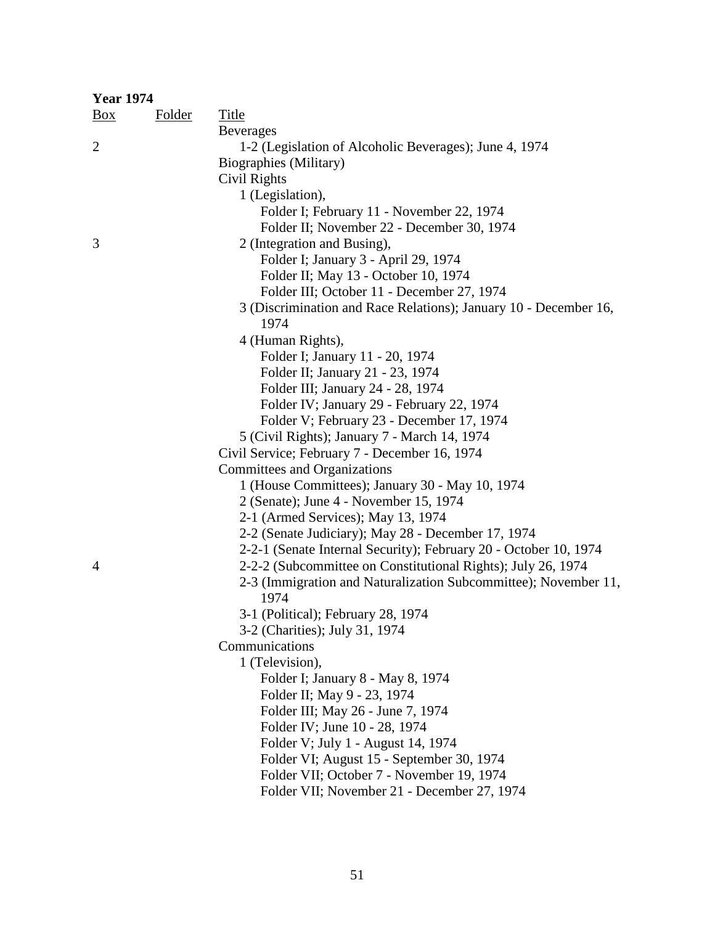| <b>Year 1974</b> |               |                                                                  |  |  |  |
|------------------|---------------|------------------------------------------------------------------|--|--|--|
| $\frac{Box}{}$   | <b>Folder</b> | <b>Title</b>                                                     |  |  |  |
|                  |               | <b>Beverages</b>                                                 |  |  |  |
| $\overline{2}$   |               | 1-2 (Legislation of Alcoholic Beverages); June 4, 1974           |  |  |  |
|                  |               | Biographies (Military)                                           |  |  |  |
|                  |               | Civil Rights                                                     |  |  |  |
|                  |               | 1 (Legislation),                                                 |  |  |  |
|                  |               | Folder I; February 11 - November 22, 1974                        |  |  |  |
|                  |               | Folder II; November 22 - December 30, 1974                       |  |  |  |
| 3                |               | 2 (Integration and Busing),                                      |  |  |  |
|                  |               | Folder I; January 3 - April 29, 1974                             |  |  |  |
|                  |               | Folder II; May 13 - October 10, 1974                             |  |  |  |
|                  |               | Folder III; October 11 - December 27, 1974                       |  |  |  |
|                  |               | 3 (Discrimination and Race Relations); January 10 - December 16, |  |  |  |
|                  |               | 1974                                                             |  |  |  |
|                  |               | 4 (Human Rights),                                                |  |  |  |
|                  |               | Folder I; January 11 - 20, 1974                                  |  |  |  |
|                  |               | Folder II; January 21 - 23, 1974                                 |  |  |  |
|                  |               | Folder III; January 24 - 28, 1974                                |  |  |  |
|                  |               | Folder IV; January 29 - February 22, 1974                        |  |  |  |
|                  |               | Folder V; February 23 - December 17, 1974                        |  |  |  |
|                  |               | 5 (Civil Rights); January 7 - March 14, 1974                     |  |  |  |
|                  |               | Civil Service; February 7 - December 16, 1974                    |  |  |  |
|                  |               | <b>Committees and Organizations</b>                              |  |  |  |
|                  |               | 1 (House Committees); January 30 - May 10, 1974                  |  |  |  |
|                  |               | 2 (Senate); June 4 - November 15, 1974                           |  |  |  |
|                  |               | 2-1 (Armed Services); May 13, 1974                               |  |  |  |
|                  |               | 2-2 (Senate Judiciary); May 28 - December 17, 1974               |  |  |  |
|                  |               | 2-2-1 (Senate Internal Security); February 20 - October 10, 1974 |  |  |  |
| $\overline{4}$   |               | 2-2-2 (Subcommittee on Constitutional Rights); July 26, 1974     |  |  |  |
|                  |               | 2-3 (Immigration and Naturalization Subcommittee); November 11,  |  |  |  |
|                  |               | 1974                                                             |  |  |  |
|                  |               | 3-1 (Political); February 28, 1974                               |  |  |  |
|                  |               | 3-2 (Charities); July 31, 1974                                   |  |  |  |
|                  |               | Communications                                                   |  |  |  |
|                  |               | 1 (Television),                                                  |  |  |  |
|                  |               | Folder I; January 8 - May 8, 1974                                |  |  |  |
|                  |               | Folder II; May 9 - 23, 1974                                      |  |  |  |
|                  |               | Folder III; May 26 - June 7, 1974                                |  |  |  |
|                  |               | Folder IV; June 10 - 28, 1974                                    |  |  |  |
|                  |               | Folder V; July 1 - August 14, 1974                               |  |  |  |
|                  |               | Folder VI; August 15 - September 30, 1974                        |  |  |  |
|                  |               | Folder VII; October 7 - November 19, 1974                        |  |  |  |
|                  |               | Folder VII; November 21 - December 27, 1974                      |  |  |  |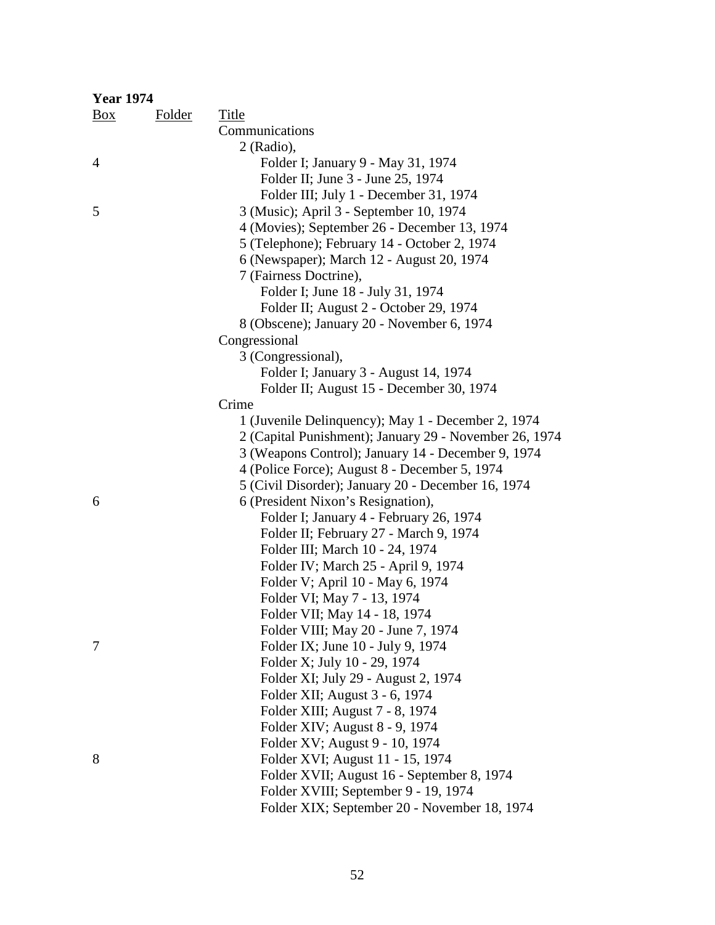| <b>Year 1974</b> |        |                                                        |
|------------------|--------|--------------------------------------------------------|
| Box              | Folder | <b>Title</b>                                           |
|                  |        | Communications                                         |
|                  |        | $2$ (Radio),                                           |
| 4                |        | Folder I; January 9 - May 31, 1974                     |
|                  |        | Folder II; June 3 - June 25, 1974                      |
|                  |        | Folder III; July 1 - December 31, 1974                 |
| 5                |        | 3 (Music); April 3 - September 10, 1974                |
|                  |        | 4 (Movies); September 26 - December 13, 1974           |
|                  |        | 5 (Telephone); February 14 - October 2, 1974           |
|                  |        | 6 (Newspaper); March 12 - August 20, 1974              |
|                  |        | 7 (Fairness Doctrine),                                 |
|                  |        | Folder I; June 18 - July 31, 1974                      |
|                  |        | Folder II; August 2 - October 29, 1974                 |
|                  |        | 8 (Obscene); January 20 - November 6, 1974             |
|                  |        | Congressional                                          |
|                  |        | 3 (Congressional),                                     |
|                  |        | Folder I; January 3 - August 14, 1974                  |
|                  |        | Folder II; August 15 - December 30, 1974               |
|                  |        | Crime                                                  |
|                  |        | 1 (Juvenile Delinquency); May 1 - December 2, 1974     |
|                  |        | 2 (Capital Punishment); January 29 - November 26, 1974 |
|                  |        | 3 (Weapons Control); January 14 - December 9, 1974     |
|                  |        | 4 (Police Force); August 8 - December 5, 1974          |
|                  |        | 5 (Civil Disorder); January 20 - December 16, 1974     |
| 6                |        | 6 (President Nixon's Resignation),                     |
|                  |        | Folder I; January 4 - February 26, 1974                |
|                  |        | Folder II; February 27 - March 9, 1974                 |
|                  |        | Folder III; March 10 - 24, 1974                        |
|                  |        | Folder IV; March 25 - April 9, 1974                    |
|                  |        | Folder V; April 10 - May 6, 1974                       |
|                  |        | Folder VI; May 7 - 13, 1974                            |
|                  |        | Folder VII; May 14 - 18, 1974                          |
|                  |        | Folder VIII; May 20 - June 7, 1974                     |
| 7                |        | Folder IX; June 10 - July 9, 1974                      |
|                  |        | Folder X; July 10 - 29, 1974                           |
|                  |        | Folder XI; July 29 - August 2, 1974                    |
|                  |        | Folder XII; August 3 - 6, 1974                         |
|                  |        | Folder XIII; August 7 - 8, 1974                        |
|                  |        | Folder XIV; August 8 - 9, 1974                         |
|                  |        | Folder XV; August 9 - 10, 1974                         |
| 8                |        | Folder XVI; August 11 - 15, 1974                       |
|                  |        | Folder XVII; August 16 - September 8, 1974             |
|                  |        | Folder XVIII; September 9 - 19, 1974                   |
|                  |        | Folder XIX; September 20 - November 18, 1974           |

52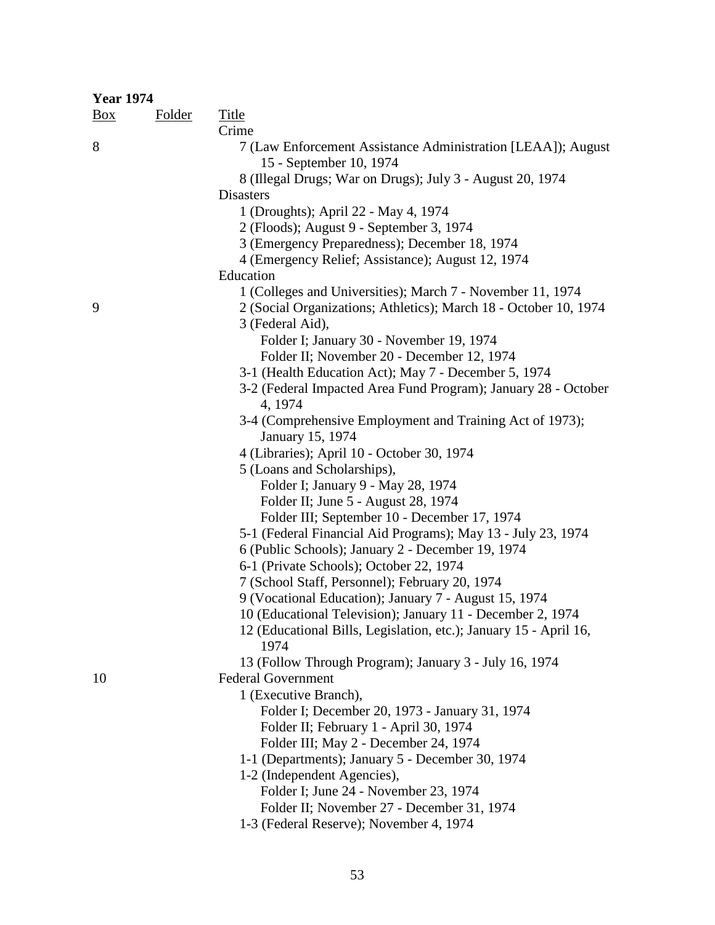| <b>Year 1974</b> |               |                                                                                         |  |
|------------------|---------------|-----------------------------------------------------------------------------------------|--|
| $\frac{Box}{}$   | <b>Folder</b> | <b>Title</b>                                                                            |  |
|                  |               | Crime                                                                                   |  |
| 8                |               | 7 (Law Enforcement Assistance Administration [LEAA]); August<br>15 - September 10, 1974 |  |
|                  |               | 8 (Illegal Drugs; War on Drugs); July 3 - August 20, 1974                               |  |
|                  |               | <b>Disasters</b>                                                                        |  |
|                  |               | 1 (Droughts); April 22 - May 4, 1974                                                    |  |
|                  |               | 2 (Floods); August 9 - September 3, 1974                                                |  |
|                  |               | 3 (Emergency Preparedness); December 18, 1974                                           |  |
|                  |               | 4 (Emergency Relief; Assistance); August 12, 1974                                       |  |
|                  |               | Education                                                                               |  |
|                  |               | 1 (Colleges and Universities); March 7 - November 11, 1974                              |  |
| 9                |               | 2 (Social Organizations; Athletics); March 18 - October 10, 1974                        |  |
|                  |               | 3 (Federal Aid),                                                                        |  |
|                  |               | Folder I; January 30 - November 19, 1974                                                |  |
|                  |               | Folder II; November 20 - December 12, 1974                                              |  |
|                  |               | 3-1 (Health Education Act); May 7 - December 5, 1974                                    |  |
|                  |               | 3-2 (Federal Impacted Area Fund Program); January 28 - October                          |  |
|                  |               | 4, 1974                                                                                 |  |
|                  |               | 3-4 (Comprehensive Employment and Training Act of 1973);                                |  |
|                  |               | January 15, 1974                                                                        |  |
|                  |               | 4 (Libraries); April 10 - October 30, 1974                                              |  |
|                  |               | 5 (Loans and Scholarships),                                                             |  |
|                  |               | Folder I; January 9 - May 28, 1974                                                      |  |
|                  |               | Folder II; June 5 - August 28, 1974                                                     |  |
|                  |               | Folder III; September 10 - December 17, 1974                                            |  |
|                  |               | 5-1 (Federal Financial Aid Programs); May 13 - July 23, 1974                            |  |
|                  |               | 6 (Public Schools); January 2 - December 19, 1974                                       |  |
|                  |               | 6-1 (Private Schools); October 22, 1974                                                 |  |
|                  |               | 7 (School Staff, Personnel); February 20, 1974                                          |  |
|                  |               | 9 (Vocational Education); January 7 - August 15, 1974                                   |  |
|                  |               | 10 (Educational Television); January 11 - December 2, 1974                              |  |
|                  |               | 12 (Educational Bills, Legislation, etc.); January 15 - April 16,<br>1974               |  |
|                  |               | 13 (Follow Through Program); January 3 - July 16, 1974                                  |  |
| 10               |               | <b>Federal Government</b>                                                               |  |
|                  |               | 1 (Executive Branch),                                                                   |  |
|                  |               | Folder I; December 20, 1973 - January 31, 1974                                          |  |
|                  |               | Folder II; February 1 - April 30, 1974                                                  |  |
|                  |               | Folder III; May 2 - December 24, 1974                                                   |  |
|                  |               | 1-1 (Departments); January 5 - December 30, 1974                                        |  |
|                  |               | 1-2 (Independent Agencies),                                                             |  |
|                  |               | Folder I; June 24 - November 23, 1974                                                   |  |
|                  |               | Folder II; November 27 - December 31, 1974                                              |  |

1-3 (Federal Reserve); November 4, 1974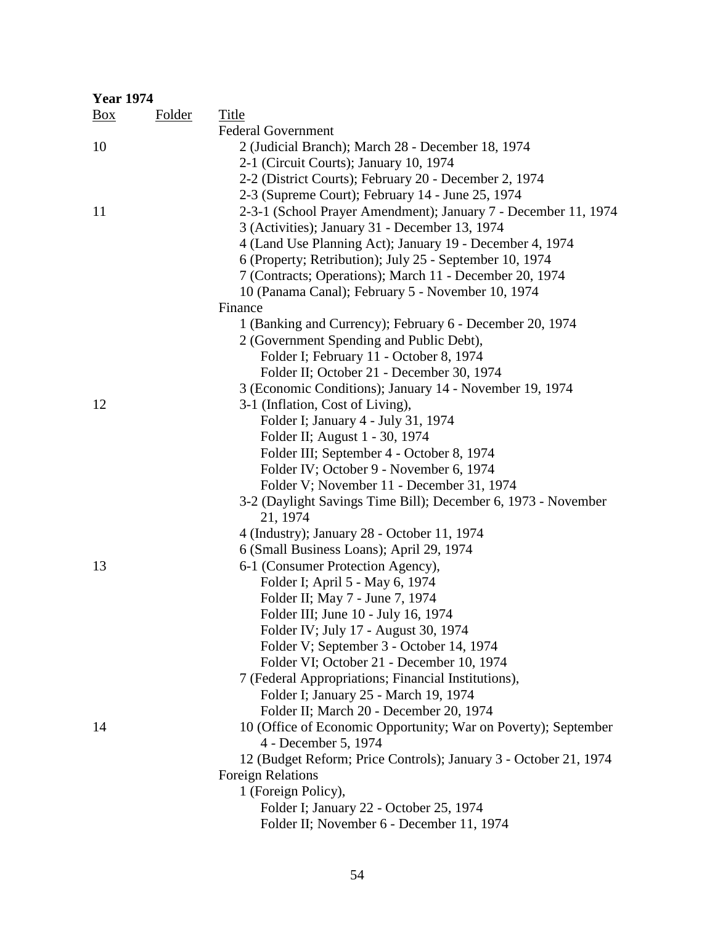| <b>Year 1974</b> |               |                                                                           |
|------------------|---------------|---------------------------------------------------------------------------|
| $\frac{Box}{}$   | <b>Folder</b> | Title                                                                     |
|                  |               | <b>Federal Government</b>                                                 |
| 10               |               | 2 (Judicial Branch); March 28 - December 18, 1974                         |
|                  |               | 2-1 (Circuit Courts); January 10, 1974                                    |
|                  |               | 2-2 (District Courts); February 20 - December 2, 1974                     |
|                  |               | 2-3 (Supreme Court); February 14 - June 25, 1974                          |
| 11               |               | 2-3-1 (School Prayer Amendment); January 7 - December 11, 1974            |
|                  |               | 3 (Activities); January 31 - December 13, 1974                            |
|                  |               | 4 (Land Use Planning Act); January 19 - December 4, 1974                  |
|                  |               | 6 (Property; Retribution); July 25 - September 10, 1974                   |
|                  |               | 7 (Contracts; Operations); March 11 - December 20, 1974                   |
|                  |               | 10 (Panama Canal); February 5 - November 10, 1974                         |
|                  |               | Finance                                                                   |
|                  |               | 1 (Banking and Currency); February 6 - December 20, 1974                  |
|                  |               | 2 (Government Spending and Public Debt),                                  |
|                  |               | Folder I; February 11 - October 8, 1974                                   |
|                  |               | Folder II; October 21 - December 30, 1974                                 |
|                  |               | 3 (Economic Conditions); January 14 - November 19, 1974                   |
| 12               |               | 3-1 (Inflation, Cost of Living),                                          |
|                  |               | Folder I; January 4 - July 31, 1974                                       |
|                  |               | Folder II; August 1 - 30, 1974                                            |
|                  |               | Folder III; September 4 - October 8, 1974                                 |
|                  |               | Folder IV; October 9 - November 6, 1974                                   |
|                  |               | Folder V; November 11 - December 31, 1974                                 |
|                  |               | 3-2 (Daylight Savings Time Bill); December 6, 1973 - November<br>21, 1974 |
|                  |               | 4 (Industry); January 28 - October 11, 1974                               |
|                  |               | 6 (Small Business Loans); April 29, 1974                                  |
| 13               |               | 6-1 (Consumer Protection Agency),                                         |
|                  |               | Folder I; April 5 - May 6, 1974                                           |
|                  |               | Folder II; May 7 - June 7, 1974                                           |
|                  |               | Folder III; June 10 - July 16, 1974                                       |
|                  |               | Folder IV; July 17 - August 30, 1974                                      |
|                  |               | Folder V; September 3 - October 14, 1974                                  |
|                  |               | Folder VI; October 21 - December 10, 1974                                 |
|                  |               | 7 (Federal Appropriations; Financial Institutions),                       |
|                  |               | Folder I; January 25 - March 19, 1974                                     |
|                  |               | Folder II; March 20 - December 20, 1974                                   |
| 14               |               | 10 (Office of Economic Opportunity; War on Poverty); September            |
|                  |               | 4 - December 5, 1974                                                      |
|                  |               | 12 (Budget Reform; Price Controls); January 3 - October 21, 1974          |
|                  |               | <b>Foreign Relations</b>                                                  |
|                  |               | 1 (Foreign Policy),                                                       |
|                  |               | Folder I; January 22 - October 25, 1974                                   |
|                  |               | Folder II; November 6 - December 11, 1974                                 |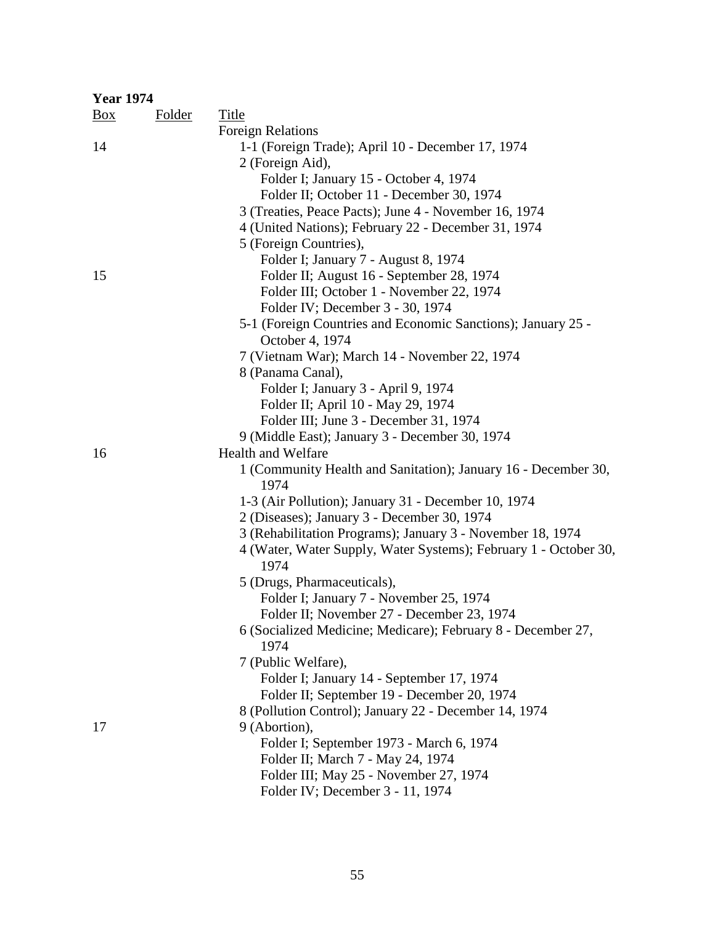| <b>Year 1974</b> |               |                                                                  |
|------------------|---------------|------------------------------------------------------------------|
| $\frac{Box}{}$   | <b>Folder</b> | <b>Title</b>                                                     |
|                  |               | <b>Foreign Relations</b>                                         |
| 14               |               | 1-1 (Foreign Trade); April 10 - December 17, 1974                |
|                  |               | 2 (Foreign Aid),                                                 |
|                  |               | Folder I; January 15 - October 4, 1974                           |
|                  |               | Folder II; October 11 - December 30, 1974                        |
|                  |               | 3 (Treaties, Peace Pacts); June 4 - November 16, 1974            |
|                  |               | 4 (United Nations); February 22 - December 31, 1974              |
|                  |               | 5 (Foreign Countries),                                           |
|                  |               | Folder I; January 7 - August 8, 1974                             |
| 15               |               | Folder II; August 16 - September 28, 1974                        |
|                  |               | Folder III; October 1 - November 22, 1974                        |
|                  |               | Folder IV; December 3 - 30, 1974                                 |
|                  |               | 5-1 (Foreign Countries and Economic Sanctions); January 25 -     |
|                  |               | October 4, 1974                                                  |
|                  |               | 7 (Vietnam War); March 14 - November 22, 1974                    |
|                  |               | 8 (Panama Canal),                                                |
|                  |               | Folder I; January 3 - April 9, 1974                              |
|                  |               | Folder II; April 10 - May 29, 1974                               |
|                  |               | Folder III; June 3 - December 31, 1974                           |
|                  |               | 9 (Middle East); January 3 - December 30, 1974                   |
| 16               |               | <b>Health and Welfare</b>                                        |
|                  |               | 1 (Community Health and Sanitation); January 16 - December 30,   |
|                  |               | 1974                                                             |
|                  |               | 1-3 (Air Pollution); January 31 - December 10, 1974              |
|                  |               | 2 (Diseases); January 3 - December 30, 1974                      |
|                  |               | 3 (Rehabilitation Programs); January 3 - November 18, 1974       |
|                  |               | 4 (Water, Water Supply, Water Systems); February 1 - October 30, |
|                  |               | 1974                                                             |
|                  |               | 5 (Drugs, Pharmaceuticals),                                      |
|                  |               | Folder I; January 7 - November 25, 1974                          |
|                  |               | Folder II; November 27 - December 23, 1974                       |
|                  |               | 6 (Socialized Medicine; Medicare); February 8 - December 27,     |
|                  |               | 1974                                                             |
|                  |               | 7 (Public Welfare),                                              |
|                  |               | Folder I; January 14 - September 17, 1974                        |
|                  |               | Folder II; September 19 - December 20, 1974                      |
|                  |               | 8 (Pollution Control); January 22 - December 14, 1974            |
| 17               |               | 9 (Abortion),                                                    |
|                  |               | Folder I; September 1973 - March 6, 1974                         |
|                  |               | Folder II; March 7 - May 24, 1974                                |
|                  |               | Folder III; May 25 - November 27, 1974                           |
|                  |               | Folder IV; December 3 - 11, 1974                                 |
|                  |               |                                                                  |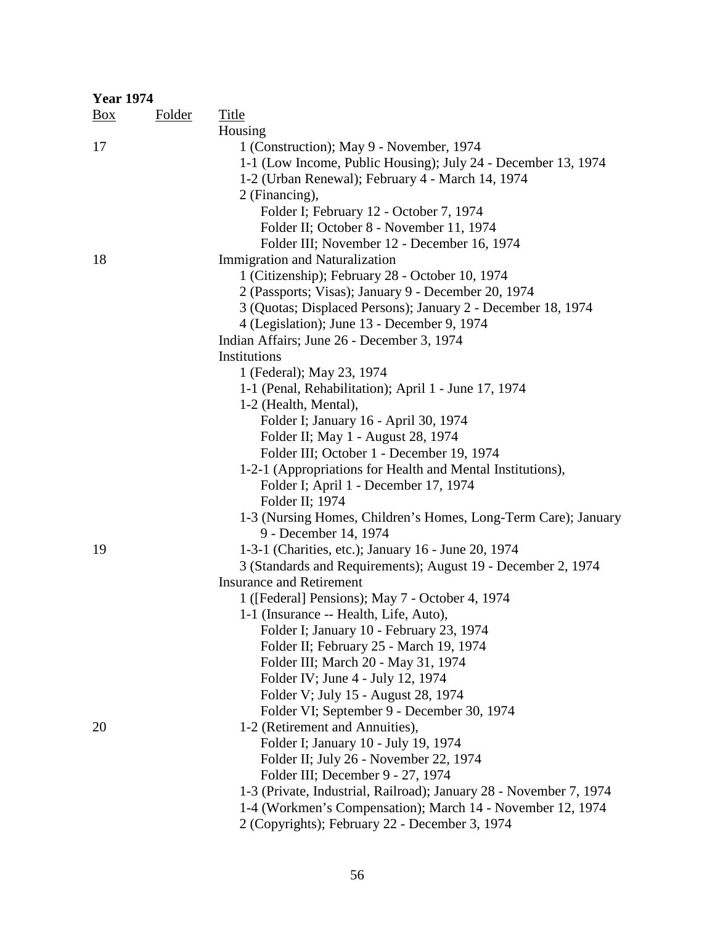| <b>Year 1974</b> |               |                                                                               |
|------------------|---------------|-------------------------------------------------------------------------------|
| $\frac{Box}{}$   | <b>Folder</b> | <b>Title</b>                                                                  |
|                  |               | Housing                                                                       |
| 17               |               | 1 (Construction); May 9 - November, 1974                                      |
|                  |               | 1-1 (Low Income, Public Housing); July 24 - December 13, 1974                 |
|                  |               | 1-2 (Urban Renewal); February 4 - March 14, 1974                              |
|                  |               | 2 (Financing),                                                                |
|                  |               | Folder I; February 12 - October 7, 1974                                       |
|                  |               | Folder II; October 8 - November 11, 1974                                      |
|                  |               | Folder III; November 12 - December 16, 1974                                   |
| 18               |               | <b>Immigration and Naturalization</b>                                         |
|                  |               | 1 (Citizenship); February 28 - October 10, 1974                               |
|                  |               | 2 (Passports; Visas); January 9 - December 20, 1974                           |
|                  |               | 3 (Quotas; Displaced Persons); January 2 - December 18, 1974                  |
|                  |               | 4 (Legislation); June 13 - December 9, 1974                                   |
|                  |               | Indian Affairs; June 26 - December 3, 1974                                    |
|                  |               | Institutions                                                                  |
|                  |               | 1 (Federal); May 23, 1974                                                     |
|                  |               | 1-1 (Penal, Rehabilitation); April 1 - June 17, 1974                          |
|                  |               | 1-2 (Health, Mental),                                                         |
|                  |               | Folder I; January 16 - April 30, 1974                                         |
|                  |               | Folder II; May 1 - August 28, 1974                                            |
|                  |               | Folder III; October 1 - December 19, 1974                                     |
|                  |               | 1-2-1 (Appropriations for Health and Mental Institutions),                    |
|                  |               | Folder I; April 1 - December 17, 1974                                         |
|                  |               | Folder II; 1974                                                               |
|                  |               | 1-3 (Nursing Homes, Children's Homes, Long-Term Care); January                |
|                  |               | 9 - December 14, 1974                                                         |
| 19               |               | 1-3-1 (Charities, etc.); January 16 - June 20, 1974                           |
|                  |               | 3 (Standards and Requirements); August 19 - December 2, 1974                  |
|                  |               | <b>Insurance and Retirement</b>                                               |
|                  |               | 1 ([Federal] Pensions); May 7 - October 4, 1974                               |
|                  |               | 1-1 (Insurance -- Health, Life, Auto),                                        |
|                  |               | Folder I; January 10 - February 23, 1974                                      |
|                  |               | Folder II; February 25 - March 19, 1974                                       |
|                  |               | Folder III; March 20 - May 31, 1974                                           |
|                  |               | Folder IV; June 4 - July 12, 1974<br>Folder V; July 15 - August 28, 1974      |
|                  |               |                                                                               |
| 20               |               | Folder VI; September 9 - December 30, 1974<br>1-2 (Retirement and Annuities), |
|                  |               | Folder I; January 10 - July 19, 1974                                          |
|                  |               | Folder II; July 26 - November 22, 1974                                        |
|                  |               | Folder III; December 9 - 27, 1974                                             |
|                  |               | 1-3 (Private, Industrial, Railroad); January 28 - November 7, 1974            |
|                  |               | 1-4 (Workmen's Compensation); March 14 - November 12, 1974                    |
|                  |               | 2 (Copyrights); February 22 - December 3, 1974                                |
|                  |               |                                                                               |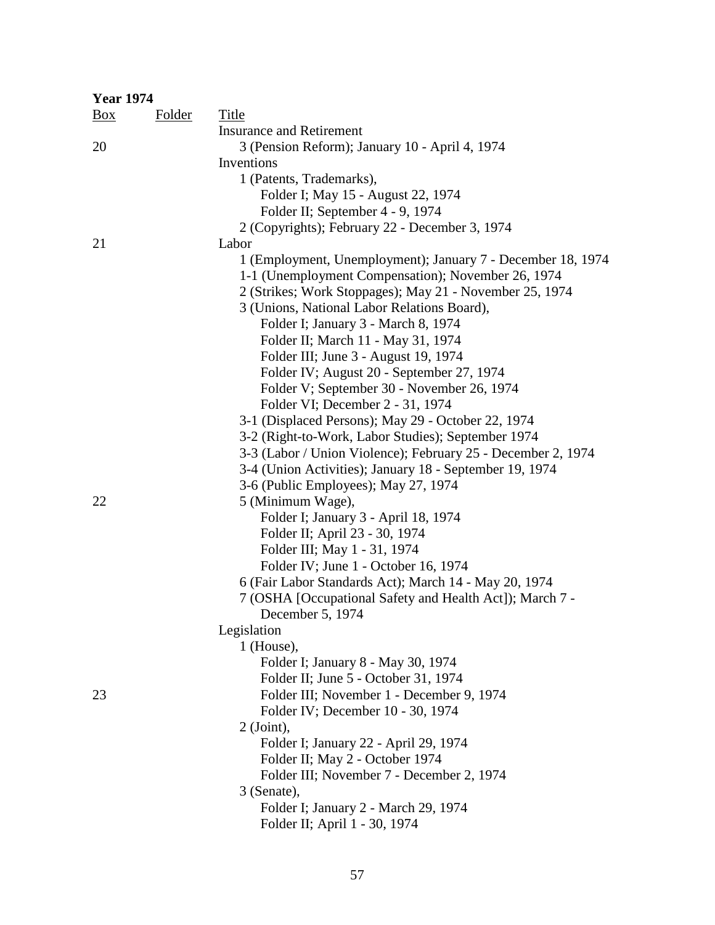| <b>Year 1974</b> |               |                                                              |
|------------------|---------------|--------------------------------------------------------------|
| $\frac{Box}{}$   | <b>Folder</b> | Title                                                        |
|                  |               | <b>Insurance and Retirement</b>                              |
| 20               |               | 3 (Pension Reform); January 10 - April 4, 1974               |
|                  |               | Inventions                                                   |
|                  |               | 1 (Patents, Trademarks),                                     |
|                  |               | Folder I; May 15 - August 22, 1974                           |
|                  |               | Folder II; September 4 - 9, 1974                             |
|                  |               | 2 (Copyrights); February 22 - December 3, 1974               |
| 21               |               | Labor                                                        |
|                  |               | 1 (Employment, Unemployment); January 7 - December 18, 1974  |
|                  |               | 1-1 (Unemployment Compensation); November 26, 1974           |
|                  |               | 2 (Strikes; Work Stoppages); May 21 - November 25, 1974      |
|                  |               | 3 (Unions, National Labor Relations Board),                  |
|                  |               | Folder I; January 3 - March 8, 1974                          |
|                  |               | Folder II; March 11 - May 31, 1974                           |
|                  |               | Folder III; June 3 - August 19, 1974                         |
|                  |               | Folder IV; August 20 - September 27, 1974                    |
|                  |               | Folder V; September 30 - November 26, 1974                   |
|                  |               | Folder VI; December 2 - 31, 1974                             |
|                  |               | 3-1 (Displaced Persons); May 29 - October 22, 1974           |
|                  |               | 3-2 (Right-to-Work, Labor Studies); September 1974           |
|                  |               | 3-3 (Labor / Union Violence); February 25 - December 2, 1974 |
|                  |               | 3-4 (Union Activities); January 18 - September 19, 1974      |
|                  |               | 3-6 (Public Employees); May 27, 1974                         |
| 22               |               | 5 (Minimum Wage),                                            |
|                  |               | Folder I; January 3 - April 18, 1974                         |
|                  |               | Folder II; April 23 - 30, 1974                               |
|                  |               | Folder III; May 1 - 31, 1974                                 |
|                  |               | Folder IV; June 1 - October 16, 1974                         |
|                  |               | 6 (Fair Labor Standards Act); March 14 - May 20, 1974        |
|                  |               | 7 (OSHA [Occupational Safety and Health Act]); March 7 -     |
|                  |               | December 5, 1974                                             |
|                  |               | Legislation                                                  |
|                  |               | 1 (House),                                                   |
|                  |               | Folder I; January 8 - May 30, 1974                           |
|                  |               | Folder II; June 5 - October 31, 1974                         |
| 23               |               | Folder III; November 1 - December 9, 1974                    |
|                  |               | Folder IV; December 10 - 30, 1974<br>$2$ (Joint),            |
|                  |               | Folder I; January 22 - April 29, 1974                        |
|                  |               | Folder II; May 2 - October 1974                              |
|                  |               | Folder III; November 7 - December 2, 1974                    |
|                  |               | 3 (Senate),                                                  |
|                  |               | Folder I; January 2 - March 29, 1974                         |
|                  |               | Folder II; April 1 - 30, 1974                                |
|                  |               |                                                              |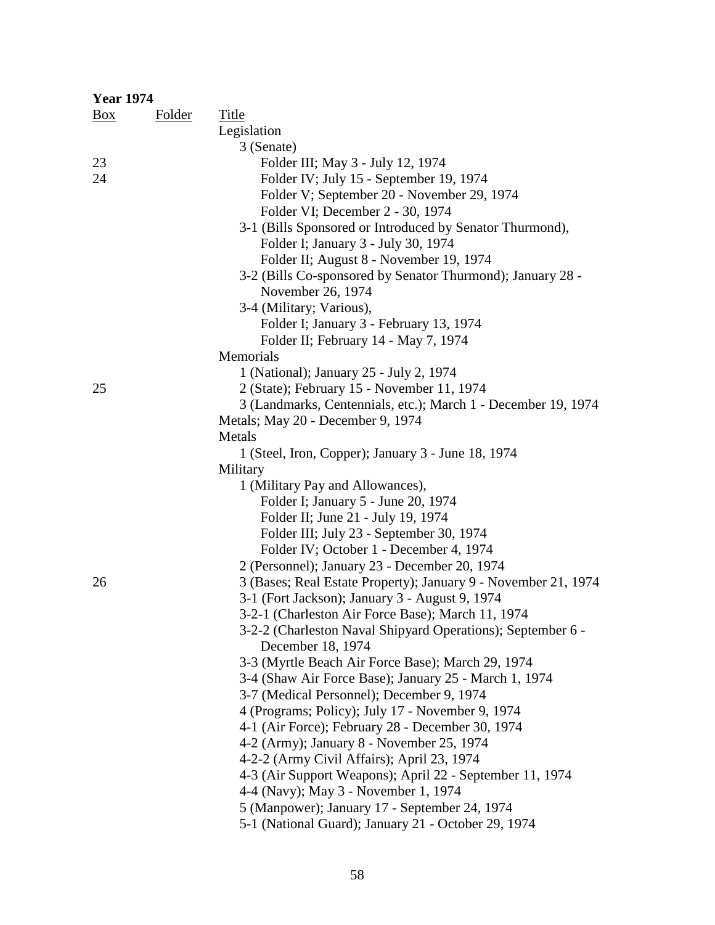| <b>Year 1974</b> |               |                                                                                                      |
|------------------|---------------|------------------------------------------------------------------------------------------------------|
| $\frac{Box}{}$   | <b>Folder</b> | Title                                                                                                |
|                  |               | Legislation                                                                                          |
|                  |               | 3 (Senate)                                                                                           |
| 23               |               | Folder III; May 3 - July 12, 1974                                                                    |
| 24               |               | Folder IV; July 15 - September 19, 1974                                                              |
|                  |               | Folder V; September 20 - November 29, 1974                                                           |
|                  |               | Folder VI; December 2 - 30, 1974                                                                     |
|                  |               | 3-1 (Bills Sponsored or Introduced by Senator Thurmond),                                             |
|                  |               | Folder I; January 3 - July 30, 1974                                                                  |
|                  |               | Folder II; August 8 - November 19, 1974                                                              |
|                  |               | 3-2 (Bills Co-sponsored by Senator Thurmond); January 28 -                                           |
|                  |               | November 26, 1974                                                                                    |
|                  |               | 3-4 (Military; Various),                                                                             |
|                  |               | Folder I; January 3 - February 13, 1974                                                              |
|                  |               | Folder II; February 14 - May 7, 1974                                                                 |
|                  |               | Memorials                                                                                            |
|                  |               | 1 (National); January 25 - July 2, 1974                                                              |
| 25               |               | 2 (State); February 15 - November 11, 1974                                                           |
|                  |               | 3 (Landmarks, Centennials, etc.); March 1 - December 19, 1974                                        |
|                  |               | Metals; May 20 - December 9, 1974                                                                    |
|                  |               | Metals                                                                                               |
|                  |               | 1 (Steel, Iron, Copper); January 3 - June 18, 1974                                                   |
|                  |               | Military                                                                                             |
|                  |               | 1 (Military Pay and Allowances),                                                                     |
|                  |               | Folder I; January 5 - June 20, 1974                                                                  |
|                  |               | Folder II; June 21 - July 19, 1974                                                                   |
|                  |               | Folder III; July 23 - September 30, 1974                                                             |
|                  |               | Folder IV; October 1 - December 4, 1974                                                              |
|                  |               | 2 (Personnel); January 23 - December 20, 1974                                                        |
| 26               |               | 3 (Bases; Real Estate Property); January 9 - November 21, 1974                                       |
|                  |               | 3-1 (Fort Jackson); January 3 - August 9, 1974                                                       |
|                  |               | 3-2-1 (Charleston Air Force Base); March 11, 1974                                                    |
|                  |               | 3-2-2 (Charleston Naval Shipyard Operations); September 6 -                                          |
|                  |               | December 18, 1974                                                                                    |
|                  |               | 3-3 (Myrtle Beach Air Force Base); March 29, 1974                                                    |
|                  |               | 3-4 (Shaw Air Force Base); January 25 - March 1, 1974                                                |
|                  |               | 3-7 (Medical Personnel); December 9, 1974                                                            |
|                  |               | 4 (Programs; Policy); July 17 - November 9, 1974                                                     |
|                  |               | 4-1 (Air Force); February 28 - December 30, 1974                                                     |
|                  |               | 4-2 (Army); January 8 - November 25, 1974                                                            |
|                  |               | 4-2-2 (Army Civil Affairs); April 23, 1974                                                           |
|                  |               | 4-3 (Air Support Weapons); April 22 - September 11, 1974                                             |
|                  |               | 4-4 (Navy); May 3 - November 1, 1974                                                                 |
|                  |               | 5 (Manpower); January 17 - September 24, 1974<br>5-1 (National Guard); January 21 - October 29, 1974 |
|                  |               |                                                                                                      |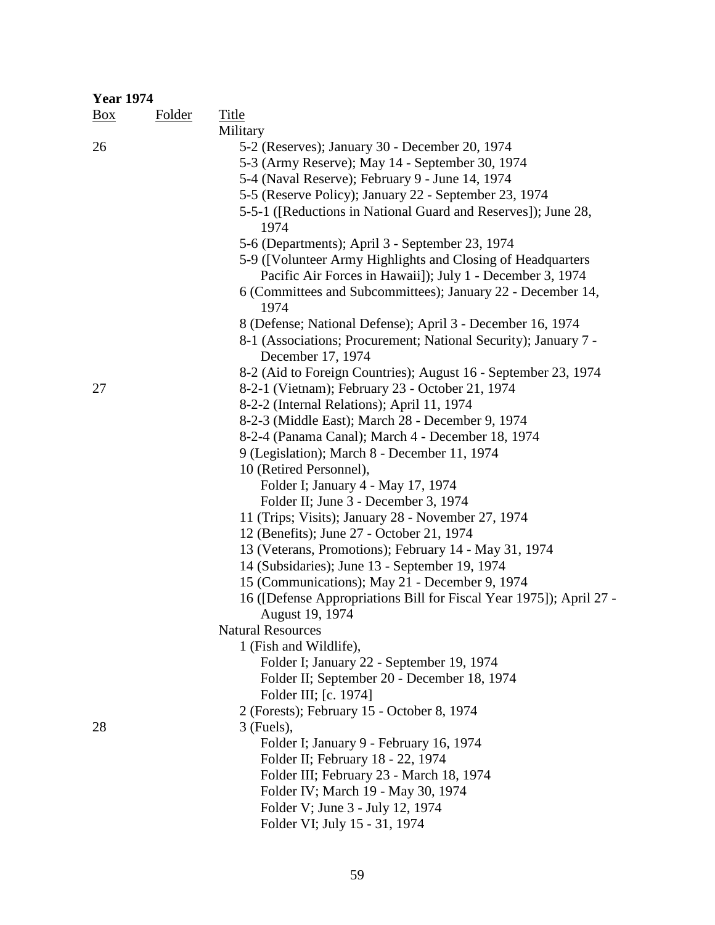| <b>Year 1974</b>  |               |                                                                                                                          |
|-------------------|---------------|--------------------------------------------------------------------------------------------------------------------------|
| $\underline{Box}$ | <b>Folder</b> | Title                                                                                                                    |
|                   |               | Military                                                                                                                 |
| 26                |               | 5-2 (Reserves); January 30 - December 20, 1974                                                                           |
|                   |               | 5-3 (Army Reserve); May 14 - September 30, 1974                                                                          |
|                   |               | 5-4 (Naval Reserve); February 9 - June 14, 1974                                                                          |
|                   |               | 5-5 (Reserve Policy); January 22 - September 23, 1974                                                                    |
|                   |               | 5-5-1 ([Reductions in National Guard and Reserves]); June 28,<br>1974                                                    |
|                   |               | 5-6 (Departments); April 3 - September 23, 1974                                                                          |
|                   |               | 5-9 ([Volunteer Army Highlights and Closing of Headquarters<br>Pacific Air Forces in Hawaii]); July 1 - December 3, 1974 |
|                   |               | 6 (Committees and Subcommittees); January 22 - December 14,<br>1974                                                      |
|                   |               | 8 (Defense; National Defense); April 3 - December 16, 1974                                                               |
|                   |               | 8-1 (Associations; Procurement; National Security); January 7 -<br>December 17, 1974                                     |
|                   |               | 8-2 (Aid to Foreign Countries); August 16 - September 23, 1974                                                           |
| 27                |               | 8-2-1 (Vietnam); February 23 - October 21, 1974                                                                          |
|                   |               | 8-2-2 (Internal Relations); April 11, 1974                                                                               |
|                   |               | 8-2-3 (Middle East); March 28 - December 9, 1974                                                                         |
|                   |               | 8-2-4 (Panama Canal); March 4 - December 18, 1974                                                                        |
|                   |               | 9 (Legislation); March 8 - December 11, 1974                                                                             |
|                   |               | 10 (Retired Personnel),                                                                                                  |
|                   |               | Folder I; January 4 - May 17, 1974                                                                                       |
|                   |               | Folder II; June 3 - December 3, 1974                                                                                     |
|                   |               | 11 (Trips; Visits); January 28 - November 27, 1974                                                                       |
|                   |               | 12 (Benefits); June 27 - October 21, 1974                                                                                |
|                   |               | 13 (Veterans, Promotions); February 14 - May 31, 1974                                                                    |
|                   |               | 14 (Subsidaries); June 13 - September 19, 1974                                                                           |
|                   |               | 15 (Communications); May 21 - December 9, 1974                                                                           |
|                   |               | 16 ([Defense Appropriations Bill for Fiscal Year 1975]); April 27 -                                                      |
|                   |               | August 19, 1974                                                                                                          |
|                   |               | <b>Natural Resources</b>                                                                                                 |
|                   |               | 1 (Fish and Wildlife),                                                                                                   |
|                   |               | Folder I; January 22 - September 19, 1974                                                                                |
|                   |               | Folder II; September 20 - December 18, 1974                                                                              |
|                   |               | Folder III; [c. 1974]                                                                                                    |
|                   |               | 2 (Forests); February 15 - October 8, 1974                                                                               |
| 28                |               | $3$ (Fuels),                                                                                                             |
|                   |               | Folder I; January 9 - February 16, 1974                                                                                  |
|                   |               | Folder II; February 18 - 22, 1974                                                                                        |
|                   |               | Folder III; February 23 - March 18, 1974                                                                                 |
|                   |               | Folder IV; March 19 - May 30, 1974                                                                                       |
|                   |               | Folder V; June 3 - July 12, 1974                                                                                         |
|                   |               | Folder VI; July 15 - 31, 1974                                                                                            |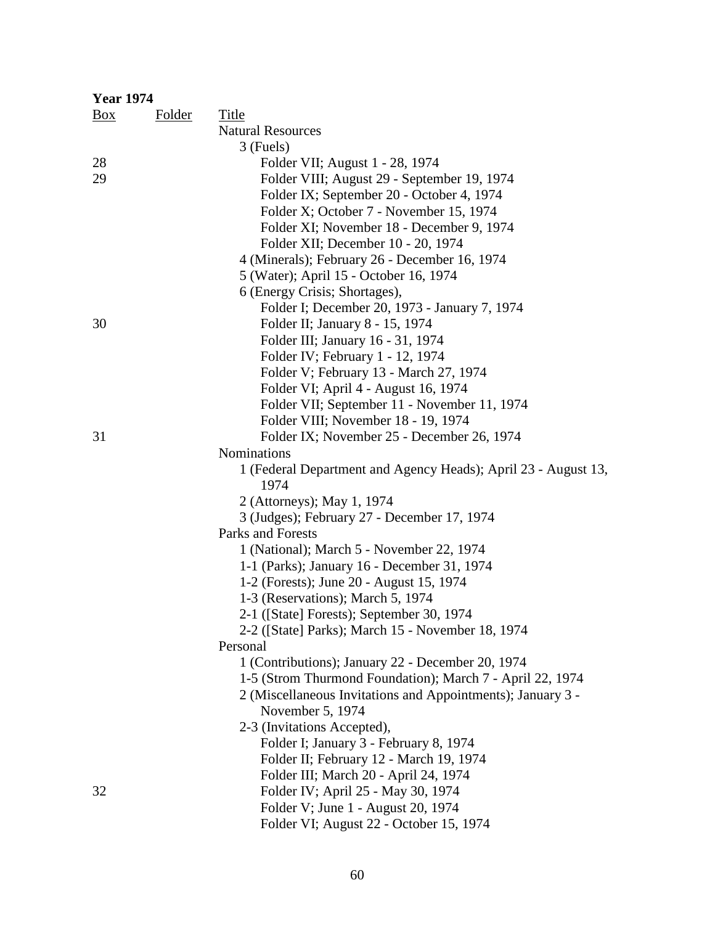| <b>Year 1974</b> |        |                                                                        |
|------------------|--------|------------------------------------------------------------------------|
| Box              | Folder | Title                                                                  |
|                  |        | <b>Natural Resources</b>                                               |
|                  |        | 3 (Fuels)                                                              |
| 28               |        | Folder VII; August 1 - 28, 1974                                        |
| 29               |        | Folder VIII; August 29 - September 19, 1974                            |
|                  |        | Folder IX; September 20 - October 4, 1974                              |
|                  |        | Folder X; October 7 - November 15, 1974                                |
|                  |        | Folder XI; November 18 - December 9, 1974                              |
|                  |        | Folder XII; December 10 - 20, 1974                                     |
|                  |        | 4 (Minerals); February 26 - December 16, 1974                          |
|                  |        | 5 (Water); April 15 - October 16, 1974                                 |
|                  |        | 6 (Energy Crisis; Shortages),                                          |
|                  |        | Folder I; December 20, 1973 - January 7, 1974                          |
| 30               |        | Folder II; January 8 - 15, 1974                                        |
|                  |        | Folder III; January 16 - 31, 1974                                      |
|                  |        | Folder IV; February 1 - 12, 1974                                       |
|                  |        | Folder V; February 13 - March 27, 1974                                 |
|                  |        | Folder VI; April 4 - August 16, 1974                                   |
|                  |        | Folder VII; September 11 - November 11, 1974                           |
|                  |        | Folder VIII; November 18 - 19, 1974                                    |
| 31               |        | Folder IX; November 25 - December 26, 1974                             |
|                  |        | <b>Nominations</b>                                                     |
|                  |        | 1 (Federal Department and Agency Heads); April 23 - August 13,<br>1974 |
|                  |        | 2 (Attorneys); May 1, 1974                                             |
|                  |        | 3 (Judges); February 27 - December 17, 1974                            |
|                  |        | Parks and Forests                                                      |
|                  |        | 1 (National); March 5 - November 22, 1974                              |
|                  |        | 1-1 (Parks); January 16 - December 31, 1974                            |
|                  |        | 1-2 (Forests); June 20 - August 15, 1974                               |
|                  |        | 1-3 (Reservations); March 5, 1974                                      |
|                  |        | 2-1 ([State] Forests); September 30, 1974                              |
|                  |        | 2-2 ([State] Parks); March 15 - November 18, 1974                      |
|                  |        | Personal                                                               |
|                  |        | 1 (Contributions); January 22 - December 20, 1974                      |
|                  |        | 1-5 (Strom Thurmond Foundation); March 7 - April 22, 1974              |
|                  |        | 2 (Miscellaneous Invitations and Appointments); January 3 -            |
|                  |        | November 5, 1974                                                       |
|                  |        | 2-3 (Invitations Accepted),                                            |
|                  |        | Folder I; January 3 - February 8, 1974                                 |
|                  |        | Folder II; February 12 - March 19, 1974                                |
|                  |        | Folder III; March 20 - April 24, 1974                                  |
| 32               |        | Folder IV; April 25 - May 30, 1974                                     |
|                  |        | Folder V; June 1 - August 20, 1974                                     |
|                  |        | Folder VI; August 22 - October 15, 1974                                |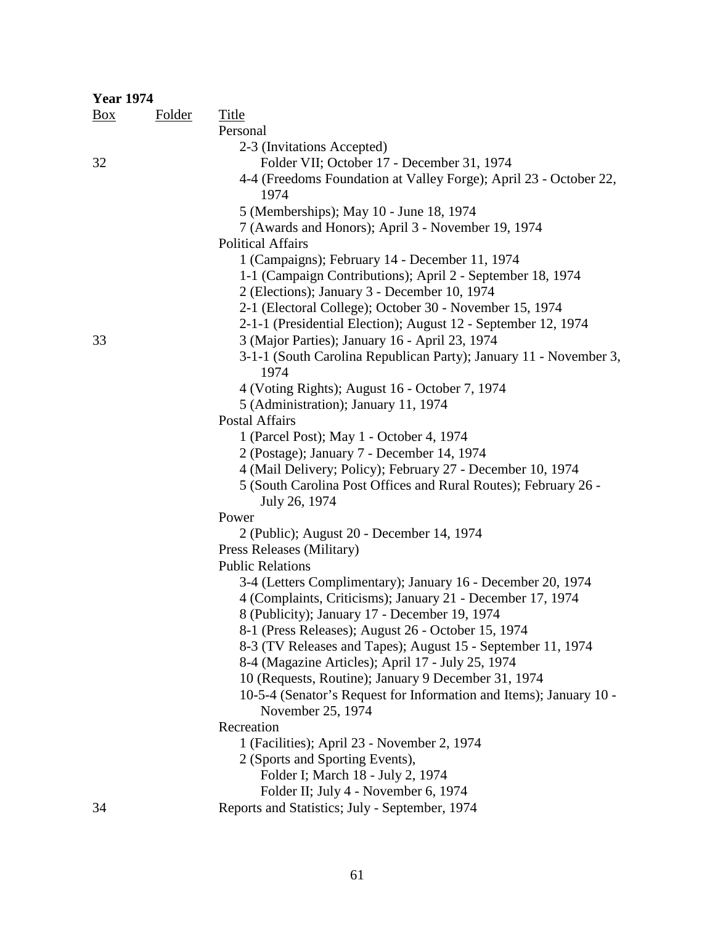| <b>Year 1974</b> |               |                                                                                         |
|------------------|---------------|-----------------------------------------------------------------------------------------|
| Box              | <b>Folder</b> | <b>Title</b>                                                                            |
|                  |               | Personal                                                                                |
|                  |               | 2-3 (Invitations Accepted)                                                              |
| 32               |               | Folder VII; October 17 - December 31, 1974                                              |
|                  |               | 4-4 (Freedoms Foundation at Valley Forge); April 23 - October 22,<br>1974               |
|                  |               | 5 (Memberships); May 10 - June 18, 1974                                                 |
|                  |               | 7 (Awards and Honors); April 3 - November 19, 1974                                      |
|                  |               | <b>Political Affairs</b>                                                                |
|                  |               | 1 (Campaigns); February 14 - December 11, 1974                                          |
|                  |               | 1-1 (Campaign Contributions); April 2 - September 18, 1974                              |
|                  |               | 2 (Elections); January 3 - December 10, 1974                                            |
|                  |               | 2-1 (Electoral College); October 30 - November 15, 1974                                 |
|                  |               | 2-1-1 (Presidential Election); August 12 - September 12, 1974                           |
| 33               |               | 3 (Major Parties); January 16 - April 23, 1974                                          |
|                  |               | 3-1-1 (South Carolina Republican Party); January 11 - November 3,<br>1974               |
|                  |               | 4 (Voting Rights); August 16 - October 7, 1974                                          |
|                  |               | 5 (Administration); January 11, 1974                                                    |
|                  |               | <b>Postal Affairs</b>                                                                   |
|                  |               | 1 (Parcel Post); May 1 - October 4, 1974                                                |
|                  |               | 2 (Postage); January 7 - December 14, 1974                                              |
|                  |               | 4 (Mail Delivery; Policy); February 27 - December 10, 1974                              |
|                  |               | 5 (South Carolina Post Offices and Rural Routes); February 26 -                         |
|                  |               | July 26, 1974                                                                           |
|                  |               | Power                                                                                   |
|                  |               | 2 (Public); August 20 - December 14, 1974                                               |
|                  |               | Press Releases (Military)                                                               |
|                  |               | <b>Public Relations</b>                                                                 |
|                  |               | 3-4 (Letters Complimentary); January 16 - December 20, 1974                             |
|                  |               | 4 (Complaints, Criticisms); January 21 - December 17, 1974                              |
|                  |               | 8 (Publicity); January 17 - December 19, 1974                                           |
|                  |               | 8-1 (Press Releases); August 26 - October 15, 1974                                      |
|                  |               | 8-3 (TV Releases and Tapes); August 15 - September 11, 1974                             |
|                  |               | 8-4 (Magazine Articles); April 17 - July 25, 1974                                       |
|                  |               | 10 (Requests, Routine); January 9 December 31, 1974                                     |
|                  |               | 10-5-4 (Senator's Request for Information and Items); January 10 -<br>November 25, 1974 |
|                  |               | Recreation                                                                              |
|                  |               | 1 (Facilities); April 23 - November 2, 1974                                             |
|                  |               | 2 (Sports and Sporting Events),                                                         |
|                  |               | Folder I; March 18 - July 2, 1974                                                       |
|                  |               | Folder II; July 4 - November 6, 1974                                                    |
| 34               |               | Reports and Statistics; July - September, 1974                                          |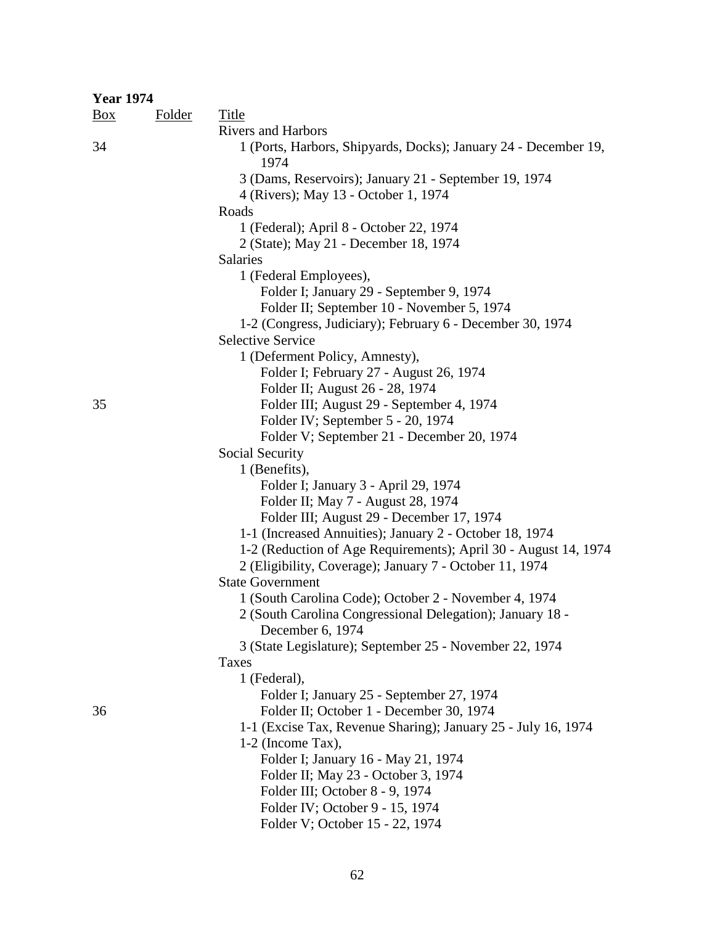| <b>Year 1974</b> |               |                                                                                       |
|------------------|---------------|---------------------------------------------------------------------------------------|
| $\frac{Box}{}$   | <b>Folder</b> | <b>Title</b>                                                                          |
|                  |               | <b>Rivers and Harbors</b>                                                             |
| 34               |               | 1 (Ports, Harbors, Shipyards, Docks); January 24 - December 19,<br>1974               |
|                  |               | 3 (Dams, Reservoirs); January 21 - September 19, 1974                                 |
|                  |               | 4 (Rivers); May 13 - October 1, 1974                                                  |
|                  |               | Roads                                                                                 |
|                  |               | 1 (Federal); April 8 - October 22, 1974<br>2 (State); May 21 - December 18, 1974      |
|                  |               | <b>Salaries</b>                                                                       |
|                  |               | 1 (Federal Employees),                                                                |
|                  |               | Folder I; January 29 - September 9, 1974                                              |
|                  |               | Folder II; September 10 - November 5, 1974                                            |
|                  |               | 1-2 (Congress, Judiciary); February 6 - December 30, 1974                             |
|                  |               | <b>Selective Service</b>                                                              |
|                  |               | 1 (Deferment Policy, Amnesty),                                                        |
|                  |               | Folder I; February 27 - August 26, 1974                                               |
|                  |               | Folder II; August 26 - 28, 1974                                                       |
| 35               |               | Folder III; August 29 - September 4, 1974                                             |
|                  |               | Folder IV; September 5 - 20, 1974                                                     |
|                  |               | Folder V; September 21 - December 20, 1974                                            |
|                  |               | Social Security                                                                       |
|                  |               | 1 (Benefits),                                                                         |
|                  |               | Folder I; January 3 - April 29, 1974                                                  |
|                  |               | Folder II; May 7 - August 28, 1974                                                    |
|                  |               | Folder III; August 29 - December 17, 1974                                             |
|                  |               | 1-1 (Increased Annuities); January 2 - October 18, 1974                               |
|                  |               | 1-2 (Reduction of Age Requirements); April 30 - August 14, 1974                       |
|                  |               | 2 (Eligibility, Coverage); January 7 - October 11, 1974                               |
|                  |               | <b>State Government</b>                                                               |
|                  |               | 1 (South Carolina Code); October 2 - November 4, 1974                                 |
|                  |               | 2 (South Carolina Congressional Delegation); January 18 -                             |
|                  |               | December 6, 1974                                                                      |
|                  |               | 3 (State Legislature); September 25 - November 22, 1974                               |
|                  |               | Taxes                                                                                 |
|                  |               | 1 (Federal),                                                                          |
| 36               |               | Folder I; January 25 - September 27, 1974<br>Folder II; October 1 - December 30, 1974 |
|                  |               | 1-1 (Excise Tax, Revenue Sharing); January 25 - July 16, 1974                         |
|                  |               | 1-2 (Income Tax),                                                                     |
|                  |               | Folder I; January 16 - May 21, 1974                                                   |
|                  |               | Folder II; May 23 - October 3, 1974                                                   |
|                  |               | Folder III; October 8 - 9, 1974                                                       |
|                  |               | Folder IV; October 9 - 15, 1974                                                       |
|                  |               | Folder V; October 15 - 22, 1974                                                       |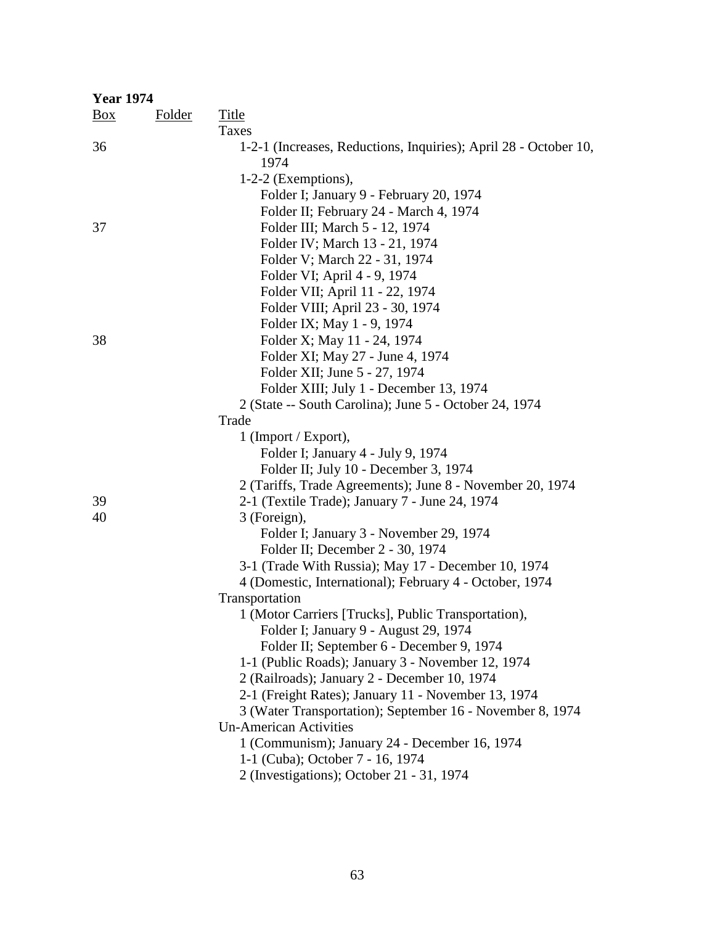| <b>Year 1974</b> |               |                                                                  |
|------------------|---------------|------------------------------------------------------------------|
| $\frac{Box}{}$   | <b>Folder</b> | <b>Title</b>                                                     |
|                  |               | Taxes                                                            |
| 36               |               | 1-2-1 (Increases, Reductions, Inquiries); April 28 - October 10, |
|                  |               | 1974                                                             |
|                  |               | $1-2-2$ (Exemptions),                                            |
|                  |               | Folder I; January 9 - February 20, 1974                          |
|                  |               | Folder II; February 24 - March 4, 1974                           |
| 37               |               | Folder III; March 5 - 12, 1974                                   |
|                  |               | Folder IV; March 13 - 21, 1974                                   |
|                  |               | Folder V; March 22 - 31, 1974                                    |
|                  |               | Folder VI; April 4 - 9, 1974                                     |
|                  |               | Folder VII; April 11 - 22, 1974                                  |
|                  |               | Folder VIII; April 23 - 30, 1974                                 |
|                  |               | Folder IX; May 1 - 9, 1974                                       |
| 38               |               | Folder X; May 11 - 24, 1974                                      |
|                  |               | Folder XI; May 27 - June 4, 1974                                 |
|                  |               | Folder XII; June 5 - 27, 1974                                    |
|                  |               | Folder XIII; July 1 - December 13, 1974                          |
|                  |               | 2 (State -- South Carolina); June 5 - October 24, 1974           |
|                  |               | Trade                                                            |
|                  |               | $1$ (Import / Export),                                           |
|                  |               | Folder I; January 4 - July 9, 1974                               |
|                  |               | Folder II; July 10 - December 3, 1974                            |
|                  |               | 2 (Tariffs, Trade Agreements); June 8 - November 20, 1974        |
| 39               |               | 2-1 (Textile Trade); January 7 - June 24, 1974                   |
| 40               |               | 3 (Foreign),                                                     |
|                  |               | Folder I; January 3 - November 29, 1974                          |
|                  |               | Folder II; December 2 - 30, 1974                                 |
|                  |               | 3-1 (Trade With Russia); May 17 - December 10, 1974              |
|                  |               | 4 (Domestic, International); February 4 - October, 1974          |
|                  |               | Transportation                                                   |
|                  |               | 1 (Motor Carriers [Trucks], Public Transportation),              |
|                  |               | Folder I; January 9 - August 29, 1974                            |
|                  |               | Folder II; September 6 - December 9, 1974                        |
|                  |               | 1-1 (Public Roads); January 3 - November 12, 1974                |
|                  |               | 2 (Railroads); January 2 - December 10, 1974                     |
|                  |               | 2-1 (Freight Rates); January 11 - November 13, 1974              |
|                  |               | 3 (Water Transportation); September 16 - November 8, 1974        |
|                  |               | <b>Un-American Activities</b>                                    |
|                  |               | 1 (Communism); January 24 - December 16, 1974                    |
|                  |               | 1-1 (Cuba); October 7 - 16, 1974                                 |
|                  |               | 2 (Investigations); October 21 - 31, 1974                        |
|                  |               |                                                                  |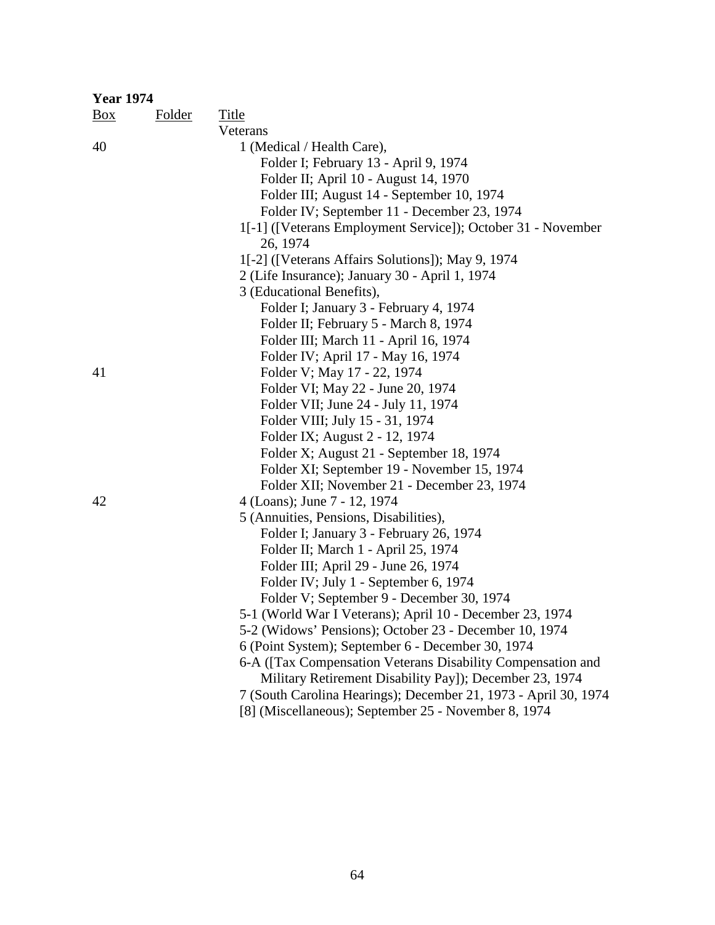| <b>Year 1974</b> |        |                                                                 |
|------------------|--------|-----------------------------------------------------------------|
| $\frac{Box}{}$   | Folder | Title                                                           |
|                  |        | Veterans                                                        |
| 40               |        | 1 (Medical / Health Care),                                      |
|                  |        | Folder I; February 13 - April 9, 1974                           |
|                  |        | Folder II; April 10 - August 14, 1970                           |
|                  |        | Folder III; August 14 - September 10, 1974                      |
|                  |        | Folder IV; September 11 - December 23, 1974                     |
|                  |        | 1[-1] ([Veterans Employment Service]); October 31 - November    |
|                  |        | 26, 1974                                                        |
|                  |        | 1[-2] ([Veterans Affairs Solutions]); May 9, 1974               |
|                  |        | 2 (Life Insurance); January 30 - April 1, 1974                  |
|                  |        | 3 (Educational Benefits),                                       |
|                  |        | Folder I; January 3 - February 4, 1974                          |
|                  |        | Folder II; February 5 - March 8, 1974                           |
|                  |        | Folder III; March 11 - April 16, 1974                           |
|                  |        | Folder IV; April 17 - May 16, 1974                              |
| 41               |        | Folder V; May 17 - 22, 1974                                     |
|                  |        | Folder VI; May 22 - June 20, 1974                               |
|                  |        | Folder VII; June 24 - July 11, 1974                             |
|                  |        | Folder VIII; July 15 - 31, 1974                                 |
|                  |        | Folder IX; August 2 - 12, 1974                                  |
|                  |        | Folder X; August 21 - September 18, 1974                        |
|                  |        | Folder XI; September 19 - November 15, 1974                     |
|                  |        | Folder XII; November 21 - December 23, 1974                     |
| 42               |        | 4 (Loans); June 7 - 12, 1974                                    |
|                  |        | 5 (Annuities, Pensions, Disabilities),                          |
|                  |        | Folder I; January 3 - February 26, 1974                         |
|                  |        | Folder II; March 1 - April 25, 1974                             |
|                  |        | Folder III; April 29 - June 26, 1974                            |
|                  |        | Folder IV; July 1 - September 6, 1974                           |
|                  |        | Folder V; September 9 - December 30, 1974                       |
|                  |        | 5-1 (World War I Veterans); April 10 - December 23, 1974        |
|                  |        | 5-2 (Widows' Pensions); October 23 - December 10, 1974          |
|                  |        | 6 (Point System); September 6 - December 30, 1974               |
|                  |        | 6-A ([Tax Compensation Veterans Disability Compensation and     |
|                  |        | Military Retirement Disability Pay]); December 23, 1974         |
|                  |        | 7 (South Carolina Hearings); December 21, 1973 - April 30, 1974 |
|                  |        | [8] (Miscellaneous); September 25 - November 8, 1974            |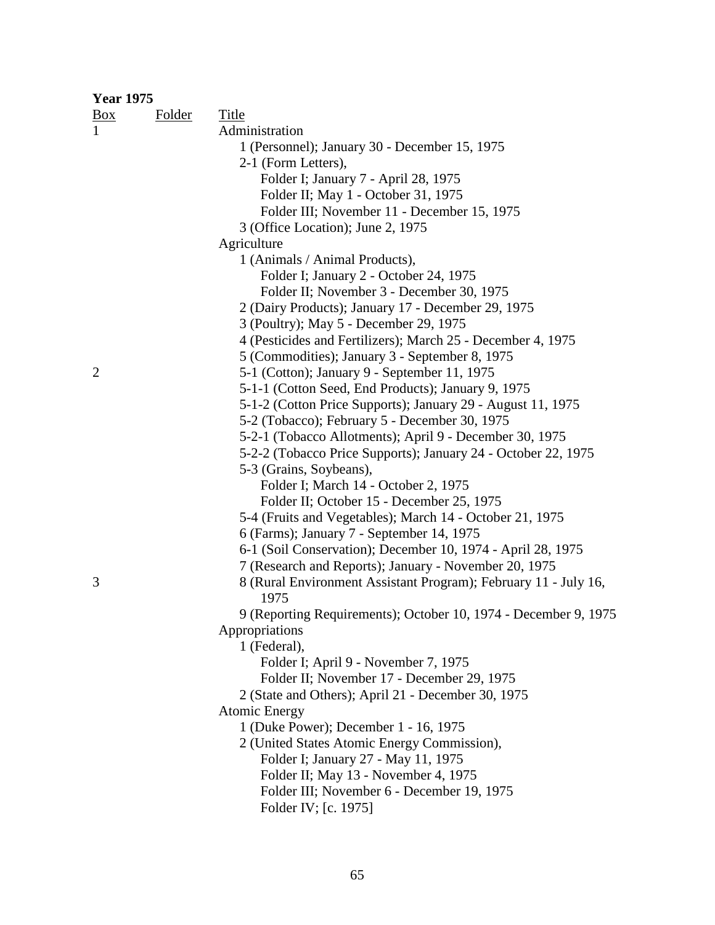| <b>Year 1975</b> |               |                                                                 |
|------------------|---------------|-----------------------------------------------------------------|
| $\frac{Box}{}$   | <b>Folder</b> | Title                                                           |
| $\mathbf{1}$     |               | Administration                                                  |
|                  |               | 1 (Personnel); January 30 - December 15, 1975                   |
|                  |               | 2-1 (Form Letters),                                             |
|                  |               | Folder I; January 7 - April 28, 1975                            |
|                  |               | Folder II; May 1 - October 31, 1975                             |
|                  |               | Folder III; November 11 - December 15, 1975                     |
|                  |               | 3 (Office Location); June 2, 1975                               |
|                  |               | Agriculture                                                     |
|                  |               | 1 (Animals / Animal Products),                                  |
|                  |               | Folder I; January 2 - October 24, 1975                          |
|                  |               | Folder II; November 3 - December 30, 1975                       |
|                  |               | 2 (Dairy Products); January 17 - December 29, 1975              |
|                  |               | 3 (Poultry); May 5 - December 29, 1975                          |
|                  |               | 4 (Pesticides and Fertilizers); March 25 - December 4, 1975     |
|                  |               | 5 (Commodities); January 3 - September 8, 1975                  |
| $\overline{2}$   |               | 5-1 (Cotton); January 9 - September 11, 1975                    |
|                  |               | 5-1-1 (Cotton Seed, End Products); January 9, 1975              |
|                  |               | 5-1-2 (Cotton Price Supports); January 29 - August 11, 1975     |
|                  |               | 5-2 (Tobacco); February 5 - December 30, 1975                   |
|                  |               | 5-2-1 (Tobacco Allotments); April 9 - December 30, 1975         |
|                  |               | 5-2-2 (Tobacco Price Supports); January 24 - October 22, 1975   |
|                  |               | 5-3 (Grains, Soybeans),                                         |
|                  |               | Folder I; March 14 - October 2, 1975                            |
|                  |               | Folder II; October 15 - December 25, 1975                       |
|                  |               | 5-4 (Fruits and Vegetables); March 14 - October 21, 1975        |
|                  |               | 6 (Farms); January 7 - September 14, 1975                       |
|                  |               | 6-1 (Soil Conservation); December 10, 1974 - April 28, 1975     |
|                  |               | 7 (Research and Reports); January - November 20, 1975           |
| 3                |               | 8 (Rural Environment Assistant Program); February 11 - July 16, |
|                  |               | 1975                                                            |
|                  |               | 9 (Reporting Requirements); October 10, 1974 - December 9, 1975 |
|                  |               | Appropriations                                                  |
|                  |               | 1 (Federal),                                                    |
|                  |               | Folder I; April 9 - November 7, 1975                            |
|                  |               | Folder II; November 17 - December 29, 1975                      |
|                  |               | 2 (State and Others); April 21 - December 30, 1975              |
|                  |               | <b>Atomic Energy</b>                                            |
|                  |               | 1 (Duke Power); December 1 - 16, 1975                           |
|                  |               | 2 (United States Atomic Energy Commission),                     |
|                  |               | Folder I; January 27 - May 11, 1975                             |
|                  |               | Folder II; May 13 - November 4, 1975                            |
|                  |               | Folder III; November 6 - December 19, 1975                      |
|                  |               | Folder IV; [c. 1975]                                            |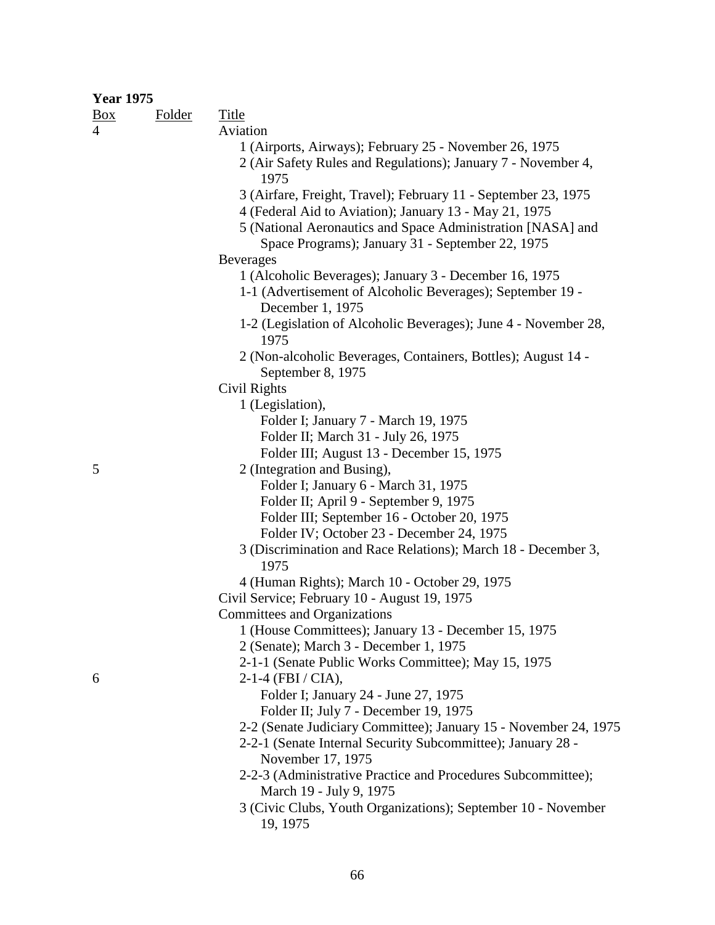## **Year 1975**

|                | Folder<br><b>Box</b> | <b>Title</b>                                                                                                            |
|----------------|----------------------|-------------------------------------------------------------------------------------------------------------------------|
| $\overline{4}$ |                      | Aviation                                                                                                                |
|                |                      | 1 (Airports, Airways); February 25 - November 26, 1975<br>2 (Air Safety Rules and Regulations); January 7 - November 4, |
|                |                      | 1975                                                                                                                    |
|                |                      | 3 (Airfare, Freight, Travel); February 11 - September 23, 1975                                                          |
|                |                      | 4 (Federal Aid to Aviation); January 13 - May 21, 1975                                                                  |
|                |                      | 5 (National Aeronautics and Space Administration [NASA] and<br>Space Programs); January 31 - September 22, 1975         |
|                |                      | <b>Beverages</b>                                                                                                        |
|                |                      | 1 (Alcoholic Beverages); January 3 - December 16, 1975                                                                  |
|                |                      | 1-1 (Advertisement of Alcoholic Beverages); September 19 -<br>December 1, 1975                                          |
|                |                      | 1-2 (Legislation of Alcoholic Beverages); June 4 - November 28,<br>1975                                                 |
|                |                      | 2 (Non-alcoholic Beverages, Containers, Bottles); August 14 -                                                           |
|                |                      | September 8, 1975                                                                                                       |
|                |                      | Civil Rights                                                                                                            |
|                |                      | 1 (Legislation),                                                                                                        |
|                |                      | Folder I; January 7 - March 19, 1975                                                                                    |
|                |                      | Folder II; March 31 - July 26, 1975                                                                                     |
|                |                      | Folder III; August 13 - December 15, 1975                                                                               |
| 5              |                      | 2 (Integration and Busing),                                                                                             |
|                |                      | Folder I; January 6 - March 31, 1975                                                                                    |
|                |                      | Folder II; April 9 - September 9, 1975                                                                                  |
|                |                      | Folder III; September 16 - October 20, 1975                                                                             |
|                |                      | Folder IV; October 23 - December 24, 1975                                                                               |
|                |                      | 3 (Discrimination and Race Relations); March 18 - December 3,<br>1975                                                   |
|                |                      | 4 (Human Rights); March 10 - October 29, 1975                                                                           |
|                |                      | Civil Service; February 10 - August 19, 1975                                                                            |
|                |                      | Committees and Organizations                                                                                            |
|                |                      | 1 (House Committees); January 13 - December 15, 1975                                                                    |
|                |                      | 2 (Senate); March 3 - December 1, 1975                                                                                  |
|                |                      | 2-1-1 (Senate Public Works Committee); May 15, 1975                                                                     |
| 6              |                      | $2-1-4$ (FBI / CIA),                                                                                                    |
|                |                      | Folder I; January 24 - June 27, 1975                                                                                    |
|                |                      | Folder II; July 7 - December 19, 1975                                                                                   |
|                |                      | 2-2 (Senate Judiciary Committee); January 15 - November 24, 1975                                                        |
|                |                      | 2-2-1 (Senate Internal Security Subcommittee); January 28 -                                                             |
|                |                      | November 17, 1975                                                                                                       |
|                |                      | 2-2-3 (Administrative Practice and Procedures Subcommittee);<br>March 19 - July 9, 1975                                 |
|                |                      | 3 (Civic Clubs, Youth Organizations); September 10 - November                                                           |
|                |                      | 19, 1975                                                                                                                |
|                |                      |                                                                                                                         |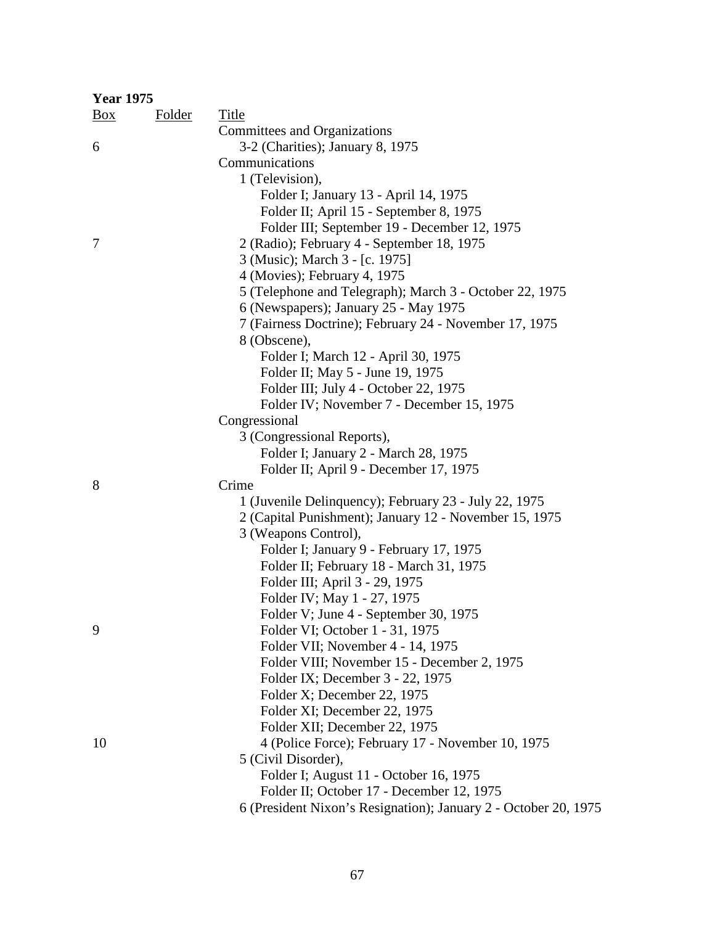| <b>Year 1975</b> |        |                                                                 |
|------------------|--------|-----------------------------------------------------------------|
| $\frac{Box}{}$   | Folder | <b>Title</b>                                                    |
|                  |        | Committees and Organizations                                    |
| 6                |        | 3-2 (Charities); January 8, 1975                                |
|                  |        | Communications                                                  |
|                  |        | 1 (Television),                                                 |
|                  |        | Folder I; January 13 - April 14, 1975                           |
|                  |        | Folder II; April 15 - September 8, 1975                         |
|                  |        | Folder III; September 19 - December 12, 1975                    |
| 7                |        | 2 (Radio); February 4 - September 18, 1975                      |
|                  |        | 3 (Music); March 3 - [c. 1975]                                  |
|                  |        | 4 (Movies); February 4, 1975                                    |
|                  |        | 5 (Telephone and Telegraph); March 3 - October 22, 1975         |
|                  |        | 6 (Newspapers); January 25 - May 1975                           |
|                  |        | 7 (Fairness Doctrine); February 24 - November 17, 1975          |
|                  |        | 8 (Obscene),                                                    |
|                  |        | Folder I; March 12 - April 30, 1975                             |
|                  |        | Folder II; May 5 - June 19, 1975                                |
|                  |        | Folder III; July 4 - October 22, 1975                           |
|                  |        | Folder IV; November 7 - December 15, 1975                       |
|                  |        | Congressional                                                   |
|                  |        | 3 (Congressional Reports),                                      |
|                  |        | Folder I; January 2 - March 28, 1975                            |
|                  |        | Folder II; April 9 - December 17, 1975                          |
| 8                |        | Crime                                                           |
|                  |        | 1 (Juvenile Delinquency); February 23 - July 22, 1975           |
|                  |        | 2 (Capital Punishment); January 12 - November 15, 1975          |
|                  |        | 3 (Weapons Control),                                            |
|                  |        | Folder I; January 9 - February 17, 1975                         |
|                  |        | Folder II; February 18 - March 31, 1975                         |
|                  |        | Folder III; April 3 - 29, 1975                                  |
|                  |        | Folder IV; May 1 - 27, 1975                                     |
|                  |        | Folder V; June 4 - September 30, 1975                           |
| 9                |        | Folder VI; October 1 - 31, 1975                                 |
|                  |        | Folder VII; November 4 - 14, 1975                               |
|                  |        | Folder VIII; November 15 - December 2, 1975                     |
|                  |        | Folder IX; December 3 - 22, 1975                                |
|                  |        | Folder X; December 22, 1975                                     |
|                  |        | Folder XI; December 22, 1975                                    |
|                  |        | Folder XII; December 22, 1975                                   |
| 10               |        | 4 (Police Force); February 17 - November 10, 1975               |
|                  |        | 5 (Civil Disorder),                                             |
|                  |        | Folder I; August 11 - October 16, 1975                          |
|                  |        | Folder II; October 17 - December 12, 1975                       |
|                  |        | 6 (President Nixon's Resignation); January 2 - October 20, 1975 |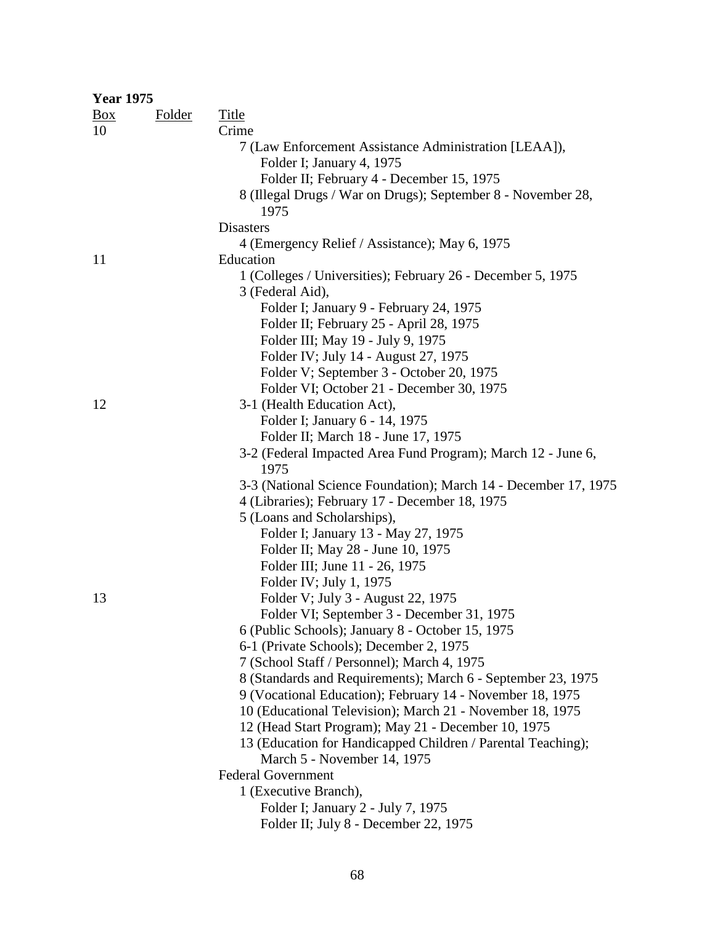| <b>Year 1975</b> |               |                                                                                    |
|------------------|---------------|------------------------------------------------------------------------------------|
| $\frac{Box}{}$   | <b>Folder</b> | Title                                                                              |
| 10               |               | Crime                                                                              |
|                  |               | 7 (Law Enforcement Assistance Administration [LEAA]),<br>Folder I; January 4, 1975 |
|                  |               | Folder II; February 4 - December 15, 1975                                          |
|                  |               | 8 (Illegal Drugs / War on Drugs); September 8 - November 28,<br>1975               |
|                  |               | <b>Disasters</b>                                                                   |
|                  |               | 4 (Emergency Relief / Assistance); May 6, 1975                                     |
| 11               |               | Education                                                                          |
|                  |               | 1 (Colleges / Universities); February 26 - December 5, 1975                        |
|                  |               | 3 (Federal Aid),                                                                   |
|                  |               | Folder I; January 9 - February 24, 1975                                            |
|                  |               | Folder II; February 25 - April 28, 1975                                            |
|                  |               | Folder III; May 19 - July 9, 1975                                                  |
|                  |               | Folder IV; July 14 - August 27, 1975                                               |
|                  |               | Folder V; September 3 - October 20, 1975                                           |
|                  |               | Folder VI; October 21 - December 30, 1975                                          |
| 12               |               | 3-1 (Health Education Act),                                                        |
|                  |               | Folder I; January 6 - 14, 1975                                                     |
|                  |               | Folder II; March 18 - June 17, 1975                                                |
|                  |               | 3-2 (Federal Impacted Area Fund Program); March 12 - June 6,<br>1975               |
|                  |               | 3-3 (National Science Foundation); March 14 - December 17, 1975                    |
|                  |               | 4 (Libraries); February 17 - December 18, 1975                                     |
|                  |               | 5 (Loans and Scholarships),                                                        |
|                  |               | Folder I; January 13 - May 27, 1975                                                |
|                  |               | Folder II; May 28 - June 10, 1975                                                  |
|                  |               | Folder III; June 11 - 26, 1975                                                     |
|                  |               | Folder IV; July 1, 1975                                                            |
| 13               |               | Folder V; July 3 - August 22, 1975                                                 |
|                  |               | Folder VI; September 3 - December 31, 1975                                         |
|                  |               | 6 (Public Schools); January 8 - October 15, 1975                                   |
|                  |               | 6-1 (Private Schools); December 2, 1975                                            |
|                  |               | 7 (School Staff / Personnel); March 4, 1975                                        |
|                  |               | 8 (Standards and Requirements); March 6 - September 23, 1975                       |
|                  |               | 9 (Vocational Education); February 14 - November 18, 1975                          |
|                  |               | 10 (Educational Television); March 21 - November 18, 1975                          |
|                  |               | 12 (Head Start Program); May 21 - December 10, 1975                                |
|                  |               | 13 (Education for Handicapped Children / Parental Teaching);                       |
|                  |               | March 5 - November 14, 1975                                                        |
|                  |               | <b>Federal Government</b>                                                          |
|                  |               | 1 (Executive Branch),                                                              |
|                  |               | Folder I; January 2 - July 7, 1975                                                 |
|                  |               | Folder II; July 8 - December 22, 1975                                              |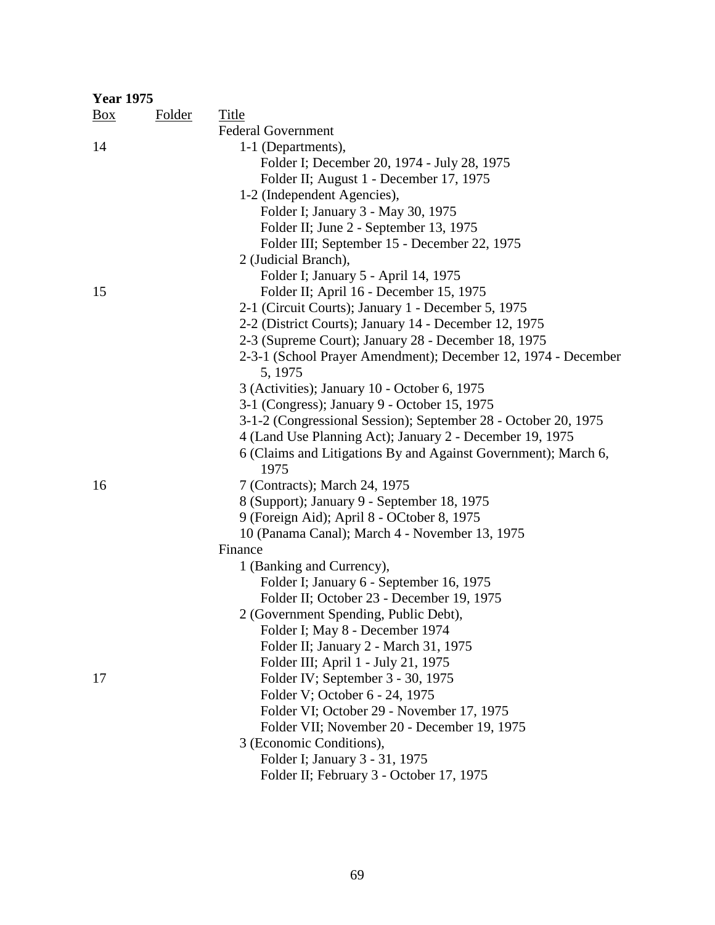| <b>Year 1975</b> |               |                                                                |  |  |
|------------------|---------------|----------------------------------------------------------------|--|--|
| $\frac{Box}{}$   | <b>Folder</b> | <b>Title</b>                                                   |  |  |
|                  |               | <b>Federal Government</b>                                      |  |  |
| 14               |               | 1-1 (Departments),                                             |  |  |
|                  |               | Folder I; December 20, 1974 - July 28, 1975                    |  |  |
|                  |               | Folder II; August 1 - December 17, 1975                        |  |  |
|                  |               | 1-2 (Independent Agencies),                                    |  |  |
|                  |               | Folder I; January 3 - May 30, 1975                             |  |  |
|                  |               | Folder II; June 2 - September 13, 1975                         |  |  |
|                  |               | Folder III; September 15 - December 22, 1975                   |  |  |
|                  |               | 2 (Judicial Branch),                                           |  |  |
|                  |               | Folder I; January 5 - April 14, 1975                           |  |  |
| 15               |               | Folder II; April 16 - December 15, 1975                        |  |  |
|                  |               | 2-1 (Circuit Courts); January 1 - December 5, 1975             |  |  |
|                  |               | 2-2 (District Courts); January 14 - December 12, 1975          |  |  |
|                  |               | 2-3 (Supreme Court); January 28 - December 18, 1975            |  |  |
|                  |               | 2-3-1 (School Prayer Amendment); December 12, 1974 - December  |  |  |
|                  |               | 5, 1975                                                        |  |  |
|                  |               | 3 (Activities); January 10 - October 6, 1975                   |  |  |
|                  |               | 3-1 (Congress); January 9 - October 15, 1975                   |  |  |
|                  |               | 3-1-2 (Congressional Session); September 28 - October 20, 1975 |  |  |
|                  |               | 4 (Land Use Planning Act); January 2 - December 19, 1975       |  |  |
|                  |               | 6 (Claims and Litigations By and Against Government); March 6, |  |  |
|                  |               | 1975                                                           |  |  |
| 16               |               | 7 (Contracts); March 24, 1975                                  |  |  |
|                  |               | 8 (Support); January 9 - September 18, 1975                    |  |  |
|                  |               | 9 (Foreign Aid); April 8 - OCtober 8, 1975                     |  |  |
|                  |               | 10 (Panama Canal); March 4 - November 13, 1975                 |  |  |
|                  |               | Finance                                                        |  |  |
|                  |               | 1 (Banking and Currency),                                      |  |  |
|                  |               | Folder I; January 6 - September 16, 1975                       |  |  |
|                  |               | Folder II; October 23 - December 19, 1975                      |  |  |
|                  |               | 2 (Government Spending, Public Debt),                          |  |  |
|                  |               | Folder I; May 8 - December 1974                                |  |  |
|                  |               | Folder II; January 2 - March 31, 1975                          |  |  |
|                  |               | Folder III; April 1 - July 21, 1975                            |  |  |
| 17               |               | Folder IV; September 3 - 30, 1975                              |  |  |
|                  |               | Folder V; October 6 - 24, 1975                                 |  |  |
|                  |               | Folder VI; October 29 - November 17, 1975                      |  |  |
|                  |               | Folder VII; November 20 - December 19, 1975                    |  |  |
|                  |               | 3 (Economic Conditions),                                       |  |  |
|                  |               | Folder I; January 3 - 31, 1975                                 |  |  |
|                  |               | Folder II; February 3 - October 17, 1975                       |  |  |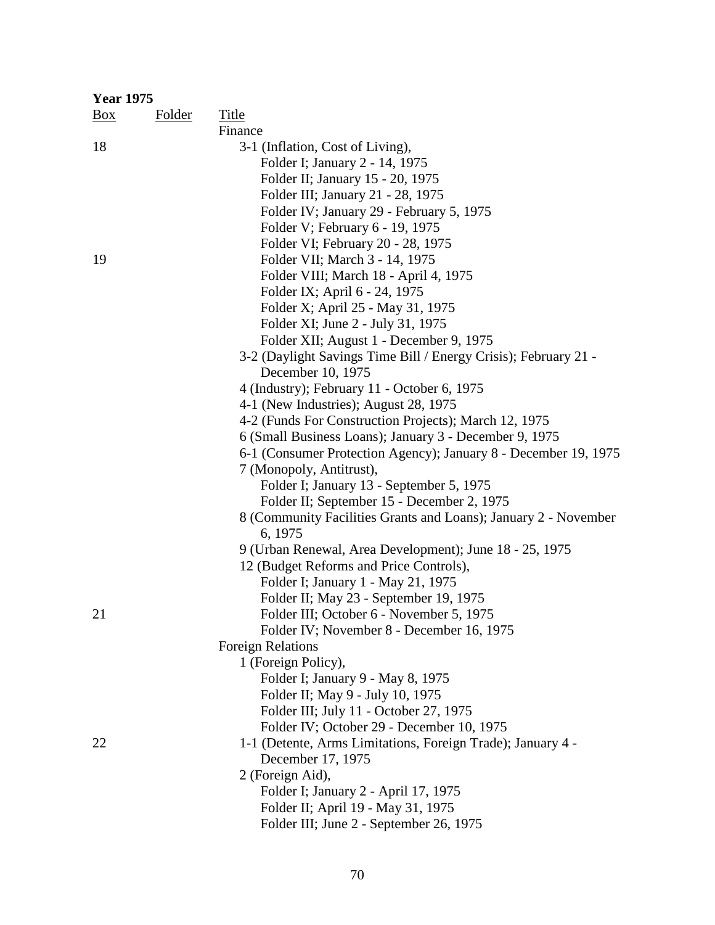| <b>Year 1975</b> |               |                                                                 |
|------------------|---------------|-----------------------------------------------------------------|
| $\frac{Box}{}$   | <b>Folder</b> | <b>Title</b>                                                    |
|                  |               | Finance                                                         |
| 18               |               | 3-1 (Inflation, Cost of Living),                                |
|                  |               | Folder I; January 2 - 14, 1975                                  |
|                  |               | Folder II; January 15 - 20, 1975                                |
|                  |               | Folder III; January 21 - 28, 1975                               |
|                  |               | Folder IV; January 29 - February 5, 1975                        |
|                  |               | Folder V; February 6 - 19, 1975                                 |
|                  |               | Folder VI; February 20 - 28, 1975                               |
| 19               |               | Folder VII; March 3 - 14, 1975                                  |
|                  |               | Folder VIII; March 18 - April 4, 1975                           |
|                  |               | Folder IX; April 6 - 24, 1975                                   |
|                  |               | Folder X; April 25 - May 31, 1975                               |
|                  |               | Folder XI; June 2 - July 31, 1975                               |
|                  |               | Folder XII; August 1 - December 9, 1975                         |
|                  |               | 3-2 (Daylight Savings Time Bill / Energy Crisis); February 21 - |
|                  |               | December 10, 1975                                               |
|                  |               | 4 (Industry); February 11 - October 6, 1975                     |
|                  |               | 4-1 (New Industries); August 28, 1975                           |
|                  |               | 4-2 (Funds For Construction Projects); March 12, 1975           |
|                  |               | 6 (Small Business Loans); January 3 - December 9, 1975          |
|                  |               | 6-1 (Consumer Protection Agency); January 8 - December 19, 1975 |
|                  |               | 7 (Monopoly, Antitrust),                                        |
|                  |               | Folder I; January 13 - September 5, 1975                        |
|                  |               | Folder II; September 15 - December 2, 1975                      |
|                  |               | 8 (Community Facilities Grants and Loans); January 2 - November |
|                  |               | 6, 1975                                                         |
|                  |               | 9 (Urban Renewal, Area Development); June 18 - 25, 1975         |
|                  |               | 12 (Budget Reforms and Price Controls),                         |
|                  |               | Folder I; January 1 - May 21, 1975                              |
|                  |               | Folder II; May 23 - September 19, 1975                          |
| 21               |               | Folder III; October 6 - November 5, 1975                        |
|                  |               | Folder IV; November 8 - December 16, 1975                       |
|                  |               | <b>Foreign Relations</b>                                        |
|                  |               | 1 (Foreign Policy),                                             |
|                  |               | Folder I; January 9 - May 8, 1975                               |
|                  |               | Folder II; May 9 - July 10, 1975                                |
|                  |               | Folder III; July 11 - October 27, 1975                          |
|                  |               | Folder IV; October 29 - December 10, 1975                       |
| 22               |               | 1-1 (Detente, Arms Limitations, Foreign Trade); January 4 -     |
|                  |               | December 17, 1975                                               |
|                  |               | 2 (Foreign Aid),                                                |
|                  |               | Folder I; January 2 - April 17, 1975                            |
|                  |               | Folder II; April 19 - May 31, 1975                              |
|                  |               | Folder III; June 2 - September 26, 1975                         |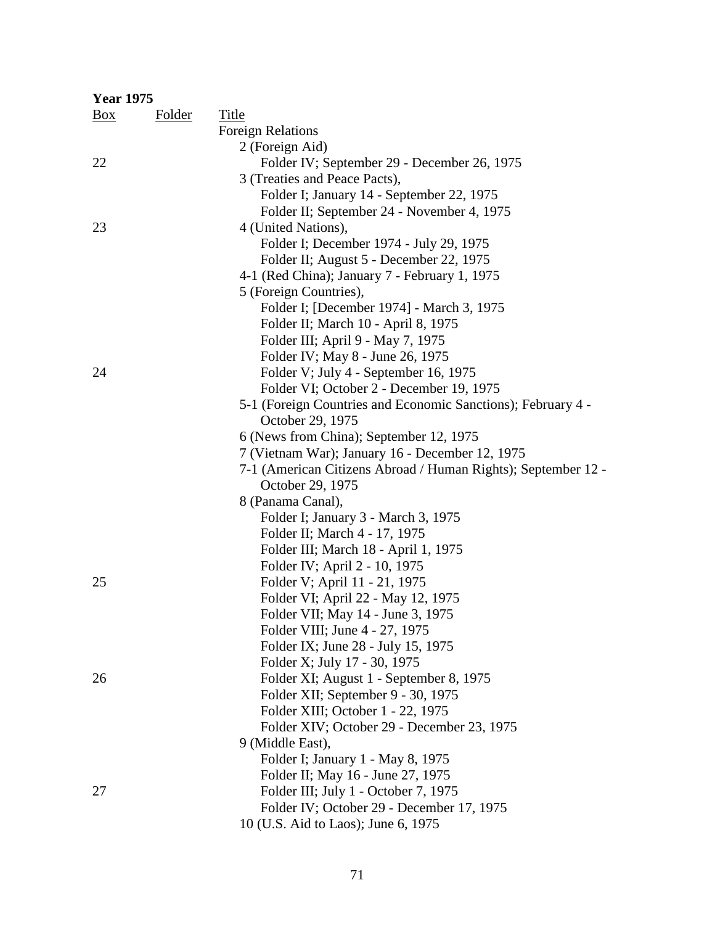| <b>Year 1975</b> |               |                                                               |
|------------------|---------------|---------------------------------------------------------------|
| $\frac{Box}{}$   | <b>Folder</b> | Title                                                         |
|                  |               | <b>Foreign Relations</b>                                      |
|                  |               | 2 (Foreign Aid)                                               |
| 22               |               | Folder IV; September 29 - December 26, 1975                   |
|                  |               | 3 (Treaties and Peace Pacts),                                 |
|                  |               | Folder I; January 14 - September 22, 1975                     |
|                  |               | Folder II; September 24 - November 4, 1975                    |
| 23               |               | 4 (United Nations),                                           |
|                  |               | Folder I; December 1974 - July 29, 1975                       |
|                  |               | Folder II; August 5 - December 22, 1975                       |
|                  |               | 4-1 (Red China); January 7 - February 1, 1975                 |
|                  |               | 5 (Foreign Countries),                                        |
|                  |               | Folder I; [December 1974] - March 3, 1975                     |
|                  |               | Folder II; March 10 - April 8, 1975                           |
|                  |               | Folder III; April 9 - May 7, 1975                             |
|                  |               | Folder IV; May 8 - June 26, 1975                              |
| 24               |               | Folder V; July 4 - September 16, 1975                         |
|                  |               | Folder VI; October 2 - December 19, 1975                      |
|                  |               | 5-1 (Foreign Countries and Economic Sanctions); February 4 -  |
|                  |               | October 29, 1975                                              |
|                  |               | 6 (News from China); September 12, 1975                       |
|                  |               | 7 (Vietnam War); January 16 - December 12, 1975               |
|                  |               | 7-1 (American Citizens Abroad / Human Rights); September 12 - |
|                  |               | October 29, 1975                                              |
|                  |               | 8 (Panama Canal),                                             |
|                  |               | Folder I; January 3 - March 3, 1975                           |
|                  |               | Folder II; March 4 - 17, 1975                                 |
|                  |               | Folder III; March 18 - April 1, 1975                          |
|                  |               | Folder IV; April 2 - 10, 1975                                 |
| 25               |               | Folder V; April 11 - 21, 1975                                 |
|                  |               | Folder VI; April 22 - May 12, 1975                            |
|                  |               | Folder VII; May 14 - June 3, 1975                             |
|                  |               | Folder VIII; June 4 - 27, 1975                                |
|                  |               | Folder IX; June 28 - July 15, 1975                            |
|                  |               | Folder X; July 17 - 30, 1975                                  |
| 26               |               | Folder XI; August 1 - September 8, 1975                       |
|                  |               | Folder XII; September 9 - 30, 1975                            |
|                  |               | Folder XIII; October 1 - 22, 1975                             |
|                  |               | Folder XIV; October 29 - December 23, 1975                    |
|                  |               | 9 (Middle East),                                              |
|                  |               | Folder I; January 1 - May 8, 1975                             |
|                  |               | Folder II; May 16 - June 27, 1975                             |
| 27               |               | Folder III; July 1 - October 7, 1975                          |
|                  |               | Folder IV; October 29 - December 17, 1975                     |
|                  |               | 10 (U.S. Aid to Laos); June 6, 1975                           |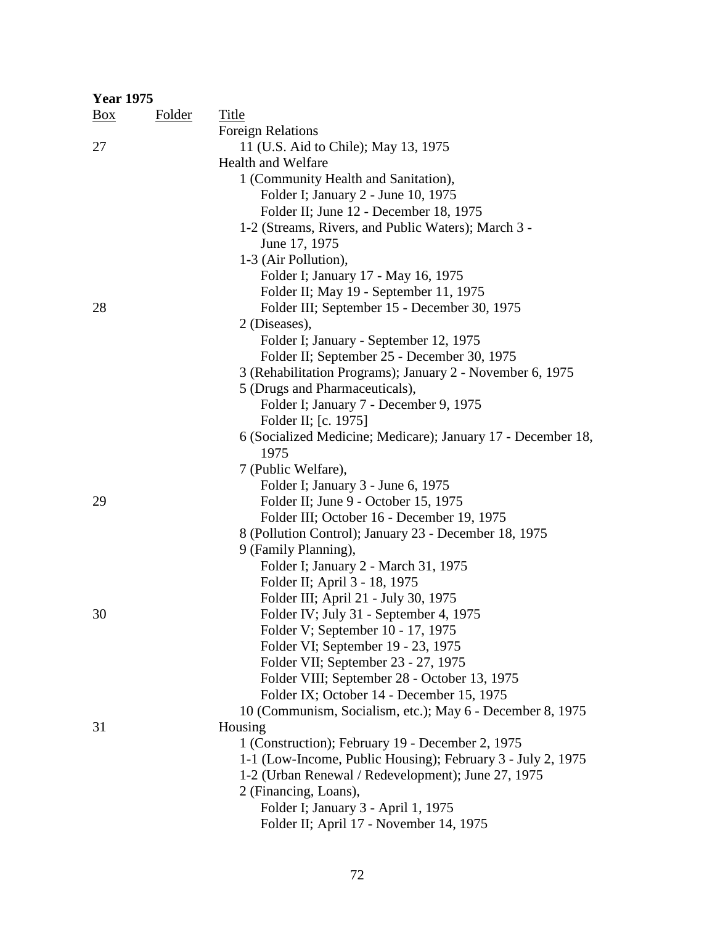|                | <b>Year 1975</b> |                                                              |  |  |  |
|----------------|------------------|--------------------------------------------------------------|--|--|--|
| $\frac{Box}{}$ | <b>Folder</b>    | <b>Title</b>                                                 |  |  |  |
|                |                  | <b>Foreign Relations</b>                                     |  |  |  |
| 27             |                  | 11 (U.S. Aid to Chile); May 13, 1975                         |  |  |  |
|                |                  | Health and Welfare                                           |  |  |  |
|                |                  | 1 (Community Health and Sanitation),                         |  |  |  |
|                |                  | Folder I; January 2 - June 10, 1975                          |  |  |  |
|                |                  | Folder II; June 12 - December 18, 1975                       |  |  |  |
|                |                  | 1-2 (Streams, Rivers, and Public Waters); March 3 -          |  |  |  |
|                |                  | June 17, 1975                                                |  |  |  |
|                |                  | 1-3 (Air Pollution),                                         |  |  |  |
|                |                  | Folder I; January 17 - May 16, 1975                          |  |  |  |
|                |                  | Folder II; May 19 - September 11, 1975                       |  |  |  |
| 28             |                  | Folder III; September 15 - December 30, 1975                 |  |  |  |
|                |                  | 2 (Diseases),                                                |  |  |  |
|                |                  | Folder I; January - September 12, 1975                       |  |  |  |
|                |                  | Folder II; September 25 - December 30, 1975                  |  |  |  |
|                |                  | 3 (Rehabilitation Programs); January 2 - November 6, 1975    |  |  |  |
|                |                  |                                                              |  |  |  |
|                |                  | 5 (Drugs and Pharmaceuticals),                               |  |  |  |
|                |                  | Folder I; January 7 - December 9, 1975                       |  |  |  |
|                |                  | Folder II; [c. 1975]                                         |  |  |  |
|                |                  | 6 (Socialized Medicine; Medicare); January 17 - December 18, |  |  |  |
|                |                  | 1975                                                         |  |  |  |
|                |                  | 7 (Public Welfare),                                          |  |  |  |
|                |                  | Folder I; January 3 - June 6, 1975                           |  |  |  |
| 29             |                  | Folder II; June 9 - October 15, 1975                         |  |  |  |
|                |                  | Folder III; October 16 - December 19, 1975                   |  |  |  |
|                |                  | 8 (Pollution Control); January 23 - December 18, 1975        |  |  |  |
|                |                  | 9 (Family Planning),                                         |  |  |  |
|                |                  | Folder I; January 2 - March 31, 1975                         |  |  |  |
|                |                  | Folder II; April 3 - 18, 1975                                |  |  |  |
|                |                  | Folder III; April 21 - July 30, 1975                         |  |  |  |
| 30             |                  | Folder IV; July 31 - September 4, 1975                       |  |  |  |
|                |                  | Folder V; September 10 - 17, 1975                            |  |  |  |
|                |                  | Folder VI; September 19 - 23, 1975                           |  |  |  |
|                |                  | Folder VII; September 23 - 27, 1975                          |  |  |  |
|                |                  | Folder VIII; September 28 - October 13, 1975                 |  |  |  |
|                |                  | Folder IX; October 14 - December 15, 1975                    |  |  |  |
|                |                  | 10 (Communism, Socialism, etc.); May 6 - December 8, 1975    |  |  |  |
| 31             |                  | Housing                                                      |  |  |  |
|                |                  | 1 (Construction); February 19 - December 2, 1975             |  |  |  |
|                |                  | 1-1 (Low-Income, Public Housing); February 3 - July 2, 1975  |  |  |  |
|                |                  | 1-2 (Urban Renewal / Redevelopment); June 27, 1975           |  |  |  |
|                |                  | 2 (Financing, Loans),                                        |  |  |  |
|                |                  | Folder I; January 3 - April 1, 1975                          |  |  |  |
|                |                  | Folder II; April 17 - November 14, 1975                      |  |  |  |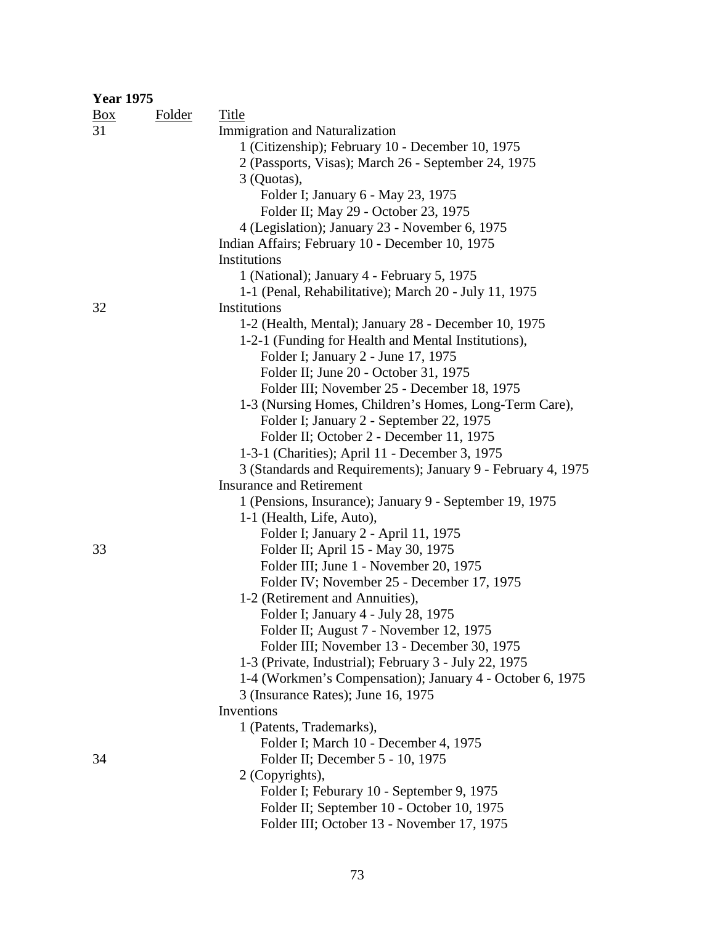| <b>Year 1975</b> |        |                                                              |
|------------------|--------|--------------------------------------------------------------|
| Box              | Folder | Title                                                        |
| 31               |        | <b>Immigration and Naturalization</b>                        |
|                  |        | 1 (Citizenship); February 10 - December 10, 1975             |
|                  |        | 2 (Passports, Visas); March 26 - September 24, 1975          |
|                  |        | 3 (Quotas),                                                  |
|                  |        | Folder I; January 6 - May 23, 1975                           |
|                  |        | Folder II; May 29 - October 23, 1975                         |
|                  |        | 4 (Legislation); January 23 - November 6, 1975               |
|                  |        | Indian Affairs; February 10 - December 10, 1975              |
|                  |        | Institutions                                                 |
|                  |        | 1 (National); January 4 - February 5, 1975                   |
|                  |        | 1-1 (Penal, Rehabilitative); March 20 - July 11, 1975        |
| 32               |        | Institutions                                                 |
|                  |        | 1-2 (Health, Mental); January 28 - December 10, 1975         |
|                  |        | 1-2-1 (Funding for Health and Mental Institutions),          |
|                  |        | Folder I; January 2 - June 17, 1975                          |
|                  |        | Folder II; June 20 - October 31, 1975                        |
|                  |        | Folder III; November 25 - December 18, 1975                  |
|                  |        | 1-3 (Nursing Homes, Children's Homes, Long-Term Care),       |
|                  |        | Folder I; January 2 - September 22, 1975                     |
|                  |        | Folder II; October 2 - December 11, 1975                     |
|                  |        | 1-3-1 (Charities); April 11 - December 3, 1975               |
|                  |        | 3 (Standards and Requirements); January 9 - February 4, 1975 |
|                  |        | <b>Insurance and Retirement</b>                              |
|                  |        | 1 (Pensions, Insurance); January 9 - September 19, 1975      |
|                  |        | 1-1 (Health, Life, Auto),                                    |
|                  |        | Folder I; January 2 - April 11, 1975                         |
| 33               |        | Folder II; April 15 - May 30, 1975                           |
|                  |        | Folder III; June 1 - November 20, 1975                       |
|                  |        | Folder IV; November 25 - December 17, 1975                   |
|                  |        | 1-2 (Retirement and Annuities),                              |
|                  |        | Folder I; January 4 - July 28, 1975                          |
|                  |        | Folder II; August 7 - November 12, 1975                      |
|                  |        | Folder III; November 13 - December 30, 1975                  |
|                  |        | 1-3 (Private, Industrial); February 3 - July 22, 1975        |
|                  |        | 1-4 (Workmen's Compensation); January 4 - October 6, 1975    |
|                  |        | 3 (Insurance Rates); June 16, 1975                           |
|                  |        | Inventions                                                   |
|                  |        | 1 (Patents, Trademarks),                                     |
|                  |        | Folder I; March 10 - December 4, 1975                        |
| 34               |        | Folder II; December 5 - 10, 1975                             |
|                  |        | 2 (Copyrights),                                              |
|                  |        | Folder I; Feburary 10 - September 9, 1975                    |
|                  |        | Folder II; September 10 - October 10, 1975                   |
|                  |        | Folder III; October 13 - November 17, 1975                   |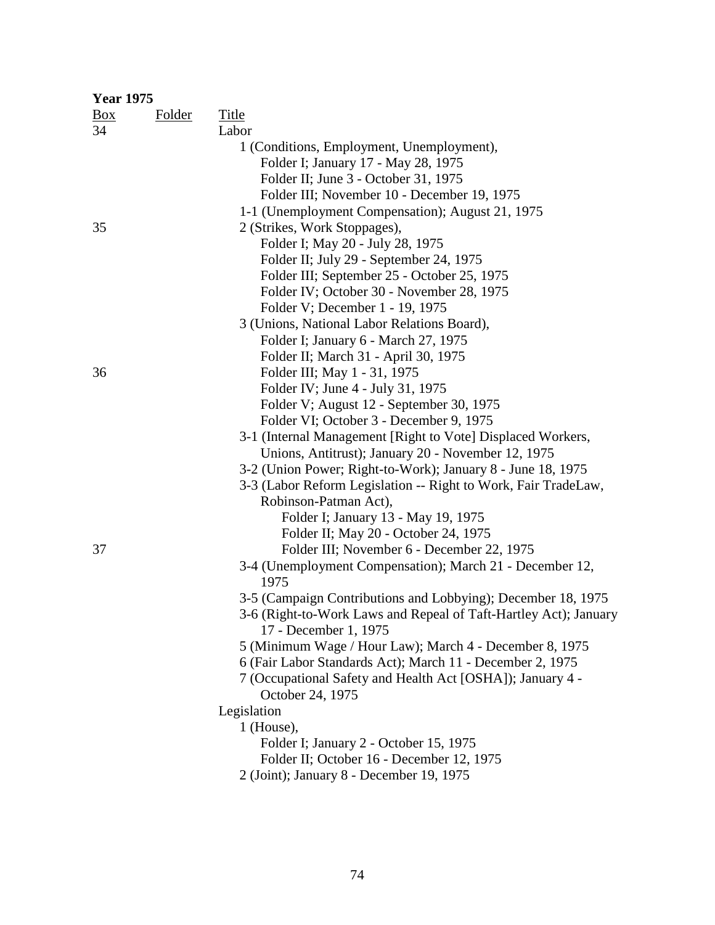| <b>Year 1975</b> |               |                                                                  |  |  |  |
|------------------|---------------|------------------------------------------------------------------|--|--|--|
| Box              | <b>Folder</b> | <b>Title</b>                                                     |  |  |  |
| 34               |               | Labor                                                            |  |  |  |
|                  |               | 1 (Conditions, Employment, Unemployment),                        |  |  |  |
|                  |               | Folder I; January 17 - May 28, 1975                              |  |  |  |
|                  |               | Folder II; June 3 - October 31, 1975                             |  |  |  |
|                  |               | Folder III; November 10 - December 19, 1975                      |  |  |  |
|                  |               | 1-1 (Unemployment Compensation); August 21, 1975                 |  |  |  |
| 35               |               | 2 (Strikes, Work Stoppages),                                     |  |  |  |
|                  |               | Folder I; May 20 - July 28, 1975                                 |  |  |  |
|                  |               | Folder II; July 29 - September 24, 1975                          |  |  |  |
|                  |               | Folder III; September 25 - October 25, 1975                      |  |  |  |
|                  |               | Folder IV; October 30 - November 28, 1975                        |  |  |  |
|                  |               | Folder V; December 1 - 19, 1975                                  |  |  |  |
|                  |               | 3 (Unions, National Labor Relations Board),                      |  |  |  |
|                  |               | Folder I; January 6 - March 27, 1975                             |  |  |  |
|                  |               | Folder II; March 31 - April 30, 1975                             |  |  |  |
| 36               |               | Folder III; May 1 - 31, 1975                                     |  |  |  |
|                  |               | Folder IV; June 4 - July 31, 1975                                |  |  |  |
|                  |               | Folder V; August 12 - September 30, 1975                         |  |  |  |
|                  |               | Folder VI; October 3 - December 9, 1975                          |  |  |  |
|                  |               | 3-1 (Internal Management [Right to Vote] Displaced Workers,      |  |  |  |
|                  |               | Unions, Antitrust); January 20 - November 12, 1975               |  |  |  |
|                  |               | 3-2 (Union Power; Right-to-Work); January 8 - June 18, 1975      |  |  |  |
|                  |               | 3-3 (Labor Reform Legislation -- Right to Work, Fair TradeLaw,   |  |  |  |
|                  |               | Robinson-Patman Act),                                            |  |  |  |
|                  |               | Folder I; January 13 - May 19, 1975                              |  |  |  |
|                  |               | Folder II; May 20 - October 24, 1975                             |  |  |  |
| 37               |               | Folder III; November 6 - December 22, 1975                       |  |  |  |
|                  |               | 3-4 (Unemployment Compensation); March 21 - December 12,         |  |  |  |
|                  |               | 1975                                                             |  |  |  |
|                  |               | 3-5 (Campaign Contributions and Lobbying); December 18, 1975     |  |  |  |
|                  |               | 3-6 (Right-to-Work Laws and Repeal of Taft-Hartley Act); January |  |  |  |
|                  |               | 17 - December 1, 1975                                            |  |  |  |
|                  |               | 5 (Minimum Wage / Hour Law); March 4 - December 8, 1975          |  |  |  |
|                  |               | 6 (Fair Labor Standards Act); March 11 - December 2, 1975        |  |  |  |
|                  |               | 7 (Occupational Safety and Health Act [OSHA]); January 4 -       |  |  |  |
|                  |               | October 24, 1975                                                 |  |  |  |
|                  |               | Legislation                                                      |  |  |  |
|                  |               | $1$ (House),                                                     |  |  |  |
|                  |               | Folder I; January 2 - October 15, 1975                           |  |  |  |
|                  |               | Folder II; October 16 - December 12, 1975                        |  |  |  |
|                  |               | 2 (Joint); January 8 - December 19, 1975                         |  |  |  |
|                  |               |                                                                  |  |  |  |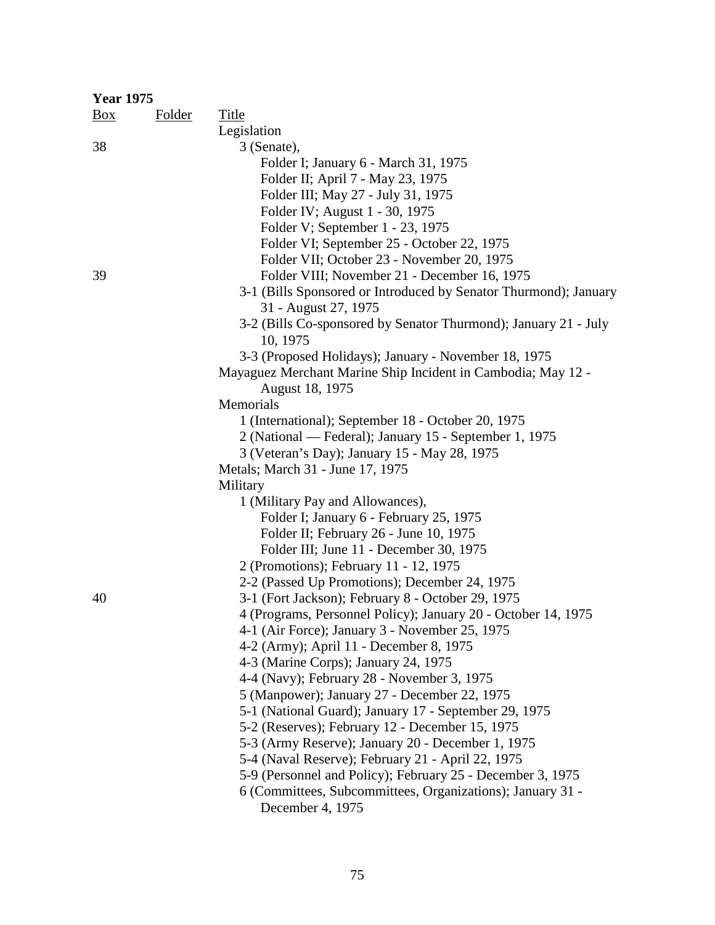| <b>Year 1975</b> |               |                                                                  |  |  |
|------------------|---------------|------------------------------------------------------------------|--|--|
| $\frac{Box}{}$   | <b>Folder</b> | Title                                                            |  |  |
|                  |               | Legislation                                                      |  |  |
| 38               |               | 3 (Senate),                                                      |  |  |
|                  |               | Folder I; January 6 - March 31, 1975                             |  |  |
|                  |               | Folder II; April 7 - May 23, 1975                                |  |  |
|                  |               | Folder III; May 27 - July 31, 1975                               |  |  |
|                  |               | Folder IV; August 1 - 30, 1975                                   |  |  |
|                  |               | Folder V; September 1 - 23, 1975                                 |  |  |
|                  |               | Folder VI; September 25 - October 22, 1975                       |  |  |
|                  |               | Folder VII; October 23 - November 20, 1975                       |  |  |
| 39               |               | Folder VIII; November 21 - December 16, 1975                     |  |  |
|                  |               | 3-1 (Bills Sponsored or Introduced by Senator Thurmond); January |  |  |
|                  |               | 31 - August 27, 1975                                             |  |  |
|                  |               | 3-2 (Bills Co-sponsored by Senator Thurmond); January 21 - July  |  |  |
|                  |               | 10, 1975                                                         |  |  |
|                  |               | 3-3 (Proposed Holidays); January - November 18, 1975             |  |  |
|                  |               | Mayaguez Merchant Marine Ship Incident in Cambodia; May 12 -     |  |  |
|                  |               | August 18, 1975                                                  |  |  |
|                  |               | Memorials                                                        |  |  |
|                  |               | 1 (International); September 18 - October 20, 1975               |  |  |
|                  |               | 2 (National — Federal); January 15 - September 1, 1975           |  |  |
|                  |               | 3 (Veteran's Day); January 15 - May 28, 1975                     |  |  |
|                  |               | Metals; March 31 - June 17, 1975                                 |  |  |
|                  |               | Military                                                         |  |  |
|                  |               | 1 (Military Pay and Allowances),                                 |  |  |
|                  |               | Folder I; January 6 - February 25, 1975                          |  |  |
|                  |               | Folder II; February 26 - June 10, 1975                           |  |  |
|                  |               | Folder III; June 11 - December 30, 1975                          |  |  |
|                  |               | 2 (Promotions); February 11 - 12, 1975                           |  |  |
|                  |               | 2-2 (Passed Up Promotions); December 24, 1975                    |  |  |
| 40               |               | 3-1 (Fort Jackson); February 8 - October 29, 1975                |  |  |
|                  |               | 4 (Programs, Personnel Policy); January 20 - October 14, 1975    |  |  |
|                  |               | 4-1 (Air Force); January 3 - November 25, 1975                   |  |  |
|                  |               | 4-2 (Army); April 11 - December 8, 1975                          |  |  |
|                  |               | 4-3 (Marine Corps); January 24, 1975                             |  |  |
|                  |               | 4-4 (Navy); February 28 - November 3, 1975                       |  |  |
|                  |               | 5 (Manpower); January 27 - December 22, 1975                     |  |  |
|                  |               | 5-1 (National Guard); January 17 - September 29, 1975            |  |  |
|                  |               | 5-2 (Reserves); February 12 - December 15, 1975                  |  |  |
|                  |               | 5-3 (Army Reserve); January 20 - December 1, 1975                |  |  |
|                  |               | 5-4 (Naval Reserve); February 21 - April 22, 1975                |  |  |
|                  |               | 5-9 (Personnel and Policy); February 25 - December 3, 1975       |  |  |
|                  |               | 6 (Committees, Subcommittees, Organizations); January 31 -       |  |  |
|                  |               | December 4, 1975                                                 |  |  |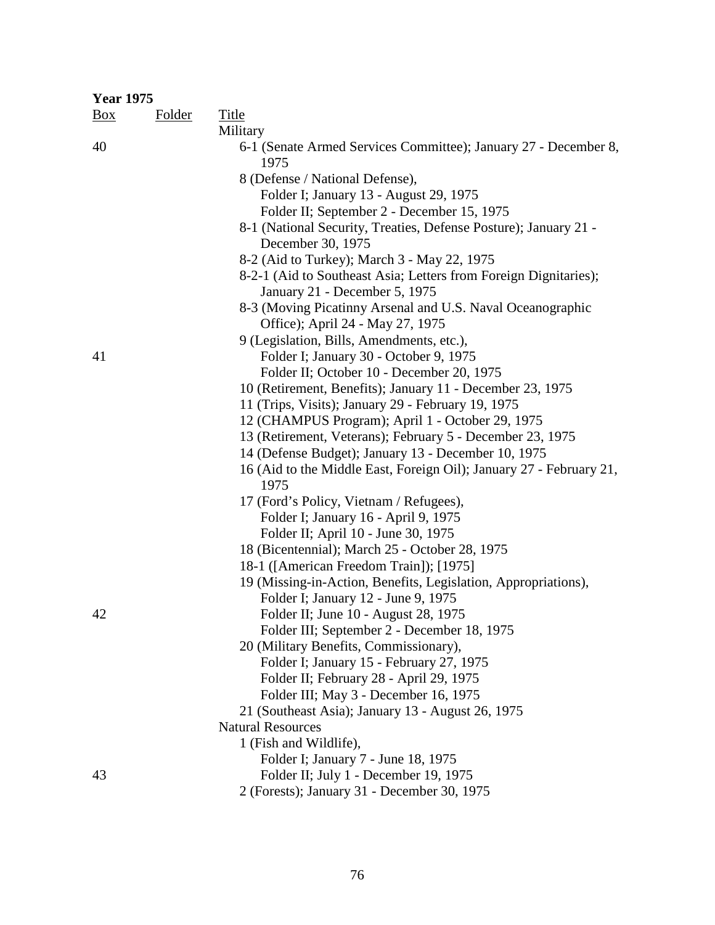| <b>Year 1975</b> |               |                                                                                       |
|------------------|---------------|---------------------------------------------------------------------------------------|
| $\frac{Box}{}$   | <b>Folder</b> | <b>Title</b>                                                                          |
|                  |               | Military                                                                              |
| 40               |               | 6-1 (Senate Armed Services Committee); January 27 - December 8,<br>1975               |
|                  |               | 8 (Defense / National Defense),                                                       |
|                  |               | Folder I; January 13 - August 29, 1975                                                |
|                  |               | Folder II; September 2 - December 15, 1975                                            |
|                  |               | 8-1 (National Security, Treaties, Defense Posture); January 21 -<br>December 30, 1975 |
|                  |               | 8-2 (Aid to Turkey); March 3 - May 22, 1975                                           |
|                  |               | 8-2-1 (Aid to Southeast Asia; Letters from Foreign Dignitaries);                      |
|                  |               | January 21 - December 5, 1975                                                         |
|                  |               | 8-3 (Moving Picatinny Arsenal and U.S. Naval Oceanographic                            |
|                  |               | Office); April 24 - May 27, 1975                                                      |
|                  |               | 9 (Legislation, Bills, Amendments, etc.),                                             |
| 41               |               | Folder I; January 30 - October 9, 1975                                                |
|                  |               | Folder II; October 10 - December 20, 1975                                             |
|                  |               | 10 (Retirement, Benefits); January 11 - December 23, 1975                             |
|                  |               | 11 (Trips, Visits); January 29 - February 19, 1975                                    |
|                  |               | 12 (CHAMPUS Program); April 1 - October 29, 1975                                      |
|                  |               | 13 (Retirement, Veterans); February 5 - December 23, 1975                             |
|                  |               | 14 (Defense Budget); January 13 - December 10, 1975                                   |
|                  |               | 16 (Aid to the Middle East, Foreign Oil); January 27 - February 21,<br>1975           |
|                  |               | 17 (Ford's Policy, Vietnam / Refugees),                                               |
|                  |               | Folder I; January 16 - April 9, 1975                                                  |
|                  |               | Folder II; April 10 - June 30, 1975                                                   |
|                  |               | 18 (Bicentennial); March 25 - October 28, 1975                                        |
|                  |               | 18-1 ([American Freedom Train]); [1975]                                               |
|                  |               | 19 (Missing-in-Action, Benefits, Legislation, Appropriations),                        |
|                  |               | Folder I; January 12 - June 9, 1975                                                   |
| 42               |               | Folder II; June 10 - August 28, 1975                                                  |
|                  |               | Folder III; September 2 - December 18, 1975                                           |
|                  |               | 20 (Military Benefits, Commissionary),                                                |
|                  |               | Folder I; January 15 - February 27, 1975                                              |
|                  |               | Folder II; February 28 - April 29, 1975                                               |
|                  |               | Folder III; May 3 - December 16, 1975                                                 |
|                  |               | 21 (Southeast Asia); January 13 - August 26, 1975                                     |
|                  |               | <b>Natural Resources</b>                                                              |
|                  |               | 1 (Fish and Wildlife),                                                                |
|                  |               | Folder I; January 7 - June 18, 1975                                                   |
| 43               |               | Folder II; July 1 - December 19, 1975                                                 |
|                  |               | 2 (Forests); January 31 - December 30, 1975                                           |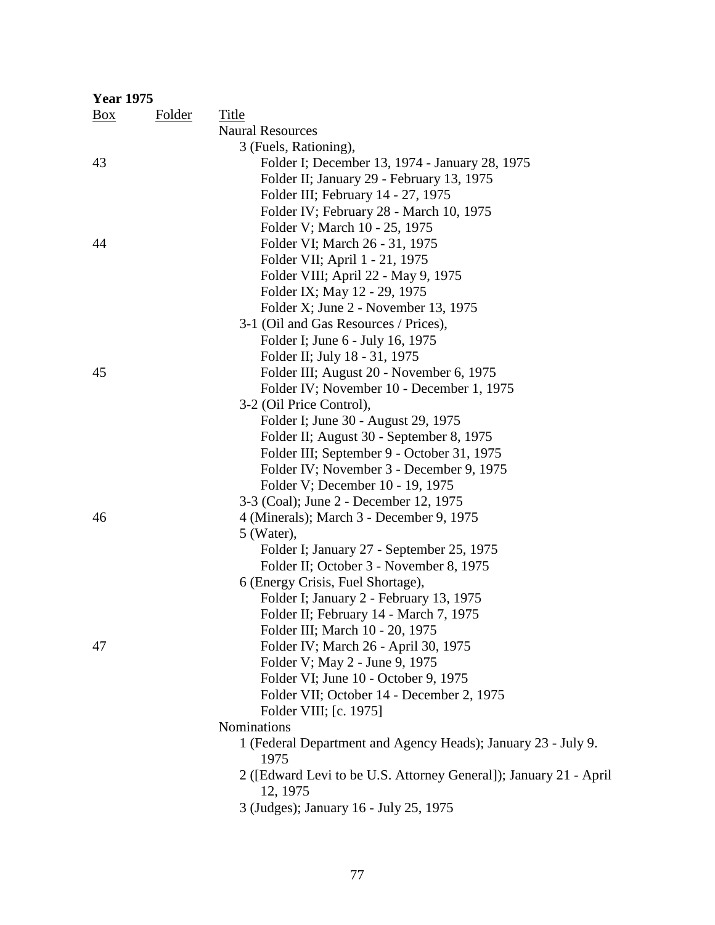| <b>Year 1975</b> |               |                                                                   |
|------------------|---------------|-------------------------------------------------------------------|
| $\frac{Box}{}$   | <b>Folder</b> | <b>Title</b>                                                      |
|                  |               | <b>Naural Resources</b>                                           |
|                  |               | 3 (Fuels, Rationing),                                             |
| 43               |               | Folder I; December 13, 1974 - January 28, 1975                    |
|                  |               | Folder II; January 29 - February 13, 1975                         |
|                  |               | Folder III; February 14 - 27, 1975                                |
|                  |               | Folder IV; February 28 - March 10, 1975                           |
|                  |               | Folder V; March 10 - 25, 1975                                     |
| 44               |               | Folder VI; March 26 - 31, 1975                                    |
|                  |               | Folder VII; April 1 - 21, 1975                                    |
|                  |               | Folder VIII; April 22 - May 9, 1975                               |
|                  |               | Folder IX; May 12 - 29, 1975                                      |
|                  |               | Folder X; June 2 - November 13, 1975                              |
|                  |               | 3-1 (Oil and Gas Resources / Prices),                             |
|                  |               | Folder I; June 6 - July 16, 1975                                  |
|                  |               | Folder II; July 18 - 31, 1975                                     |
| 45               |               | Folder III; August 20 - November 6, 1975                          |
|                  |               | Folder IV; November 10 - December 1, 1975                         |
|                  |               | 3-2 (Oil Price Control),                                          |
|                  |               | Folder I; June 30 - August 29, 1975                               |
|                  |               | Folder II; August 30 - September 8, 1975                          |
|                  |               | Folder III; September 9 - October 31, 1975                        |
|                  |               | Folder IV; November 3 - December 9, 1975                          |
|                  |               | Folder V; December 10 - 19, 1975                                  |
|                  |               | 3-3 (Coal); June 2 - December 12, 1975                            |
| 46               |               | 4 (Minerals); March 3 - December 9, 1975                          |
|                  |               | 5 (Water),                                                        |
|                  |               | Folder I; January 27 - September 25, 1975                         |
|                  |               | Folder II; October 3 - November 8, 1975                           |
|                  |               | 6 (Energy Crisis, Fuel Shortage),                                 |
|                  |               | Folder I; January 2 - February 13, 1975                           |
|                  |               | Folder II; February 14 - March 7, 1975                            |
|                  |               | Folder III; March 10 - 20, 1975                                   |
| 47               |               | Folder IV; March 26 - April 30, 1975                              |
|                  |               | Folder V; May 2 - June 9, 1975                                    |
|                  |               | Folder VI; June 10 - October 9, 1975                              |
|                  |               | Folder VII; October 14 - December 2, 1975                         |
|                  |               | Folder VIII; [c. 1975]                                            |
|                  |               | <b>Nominations</b>                                                |
|                  |               | 1 (Federal Department and Agency Heads); January 23 - July 9.     |
|                  |               | 1975                                                              |
|                  |               | 2 ([Edward Levi to be U.S. Attorney General]); January 21 - April |
|                  |               | 12, 1975                                                          |
|                  |               | 3 (Judges); January 16 - July 25, 1975                            |
|                  |               |                                                                   |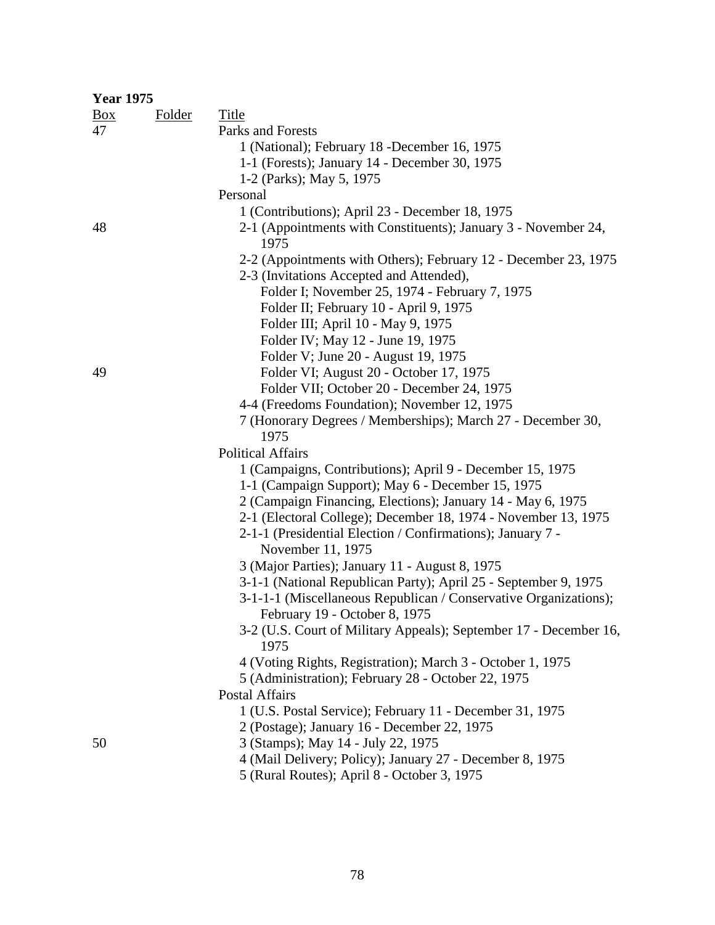| <b>Year 1975</b> |               |                                                                                                   |
|------------------|---------------|---------------------------------------------------------------------------------------------------|
| $\frac{Box}{}$   | <b>Folder</b> | <b>Title</b>                                                                                      |
| 47               |               | Parks and Forests                                                                                 |
|                  |               | 1 (National); February 18 - December 16, 1975                                                     |
|                  |               | 1-1 (Forests); January 14 - December 30, 1975                                                     |
|                  |               | 1-2 (Parks); May 5, 1975                                                                          |
|                  |               | Personal                                                                                          |
|                  |               | 1 (Contributions); April 23 - December 18, 1975                                                   |
| 48               |               | 2-1 (Appointments with Constituents); January 3 - November 24,<br>1975                            |
|                  |               | 2-2 (Appointments with Others); February 12 - December 23, 1975                                   |
|                  |               | 2-3 (Invitations Accepted and Attended),                                                          |
|                  |               | Folder I; November 25, 1974 - February 7, 1975                                                    |
|                  |               | Folder II; February 10 - April 9, 1975                                                            |
|                  |               | Folder III; April 10 - May 9, 1975                                                                |
|                  |               | Folder IV; May 12 - June 19, 1975                                                                 |
|                  |               | Folder V; June 20 - August 19, 1975                                                               |
| 49               |               | Folder VI; August 20 - October 17, 1975                                                           |
|                  |               | Folder VII; October 20 - December 24, 1975                                                        |
|                  |               | 4-4 (Freedoms Foundation); November 12, 1975                                                      |
|                  |               | 7 (Honorary Degrees / Memberships); March 27 - December 30,                                       |
|                  |               | 1975                                                                                              |
|                  |               | <b>Political Affairs</b>                                                                          |
|                  |               | 1 (Campaigns, Contributions); April 9 - December 15, 1975                                         |
|                  |               | 1-1 (Campaign Support); May 6 - December 15, 1975                                                 |
|                  |               | 2 (Campaign Financing, Elections); January 14 - May 6, 1975                                       |
|                  |               | 2-1 (Electoral College); December 18, 1974 - November 13, 1975                                    |
|                  |               | 2-1-1 (Presidential Election / Confirmations); January 7 -                                        |
|                  |               | November 11, 1975                                                                                 |
|                  |               | 3 (Major Parties); January 11 - August 8, 1975                                                    |
|                  |               | 3-1-1 (National Republican Party); April 25 - September 9, 1975                                   |
|                  |               | 3-1-1-1 (Miscellaneous Republican / Conservative Organizations);<br>February 19 - October 8, 1975 |
|                  |               | 3-2 (U.S. Court of Military Appeals); September 17 - December 16,<br>1975                         |
|                  |               | 4 (Voting Rights, Registration); March 3 - October 1, 1975                                        |
|                  |               | 5 (Administration); February 28 - October 22, 1975                                                |
|                  |               | <b>Postal Affairs</b>                                                                             |
|                  |               | 1 (U.S. Postal Service); February 11 - December 31, 1975                                          |
|                  |               | 2 (Postage); January 16 - December 22, 1975                                                       |
| 50               |               | 3 (Stamps); May 14 - July 22, 1975                                                                |
|                  |               | 4 (Mail Delivery; Policy); January 27 - December 8, 1975                                          |
|                  |               | 5 (Rural Routes); April 8 - October 3, 1975                                                       |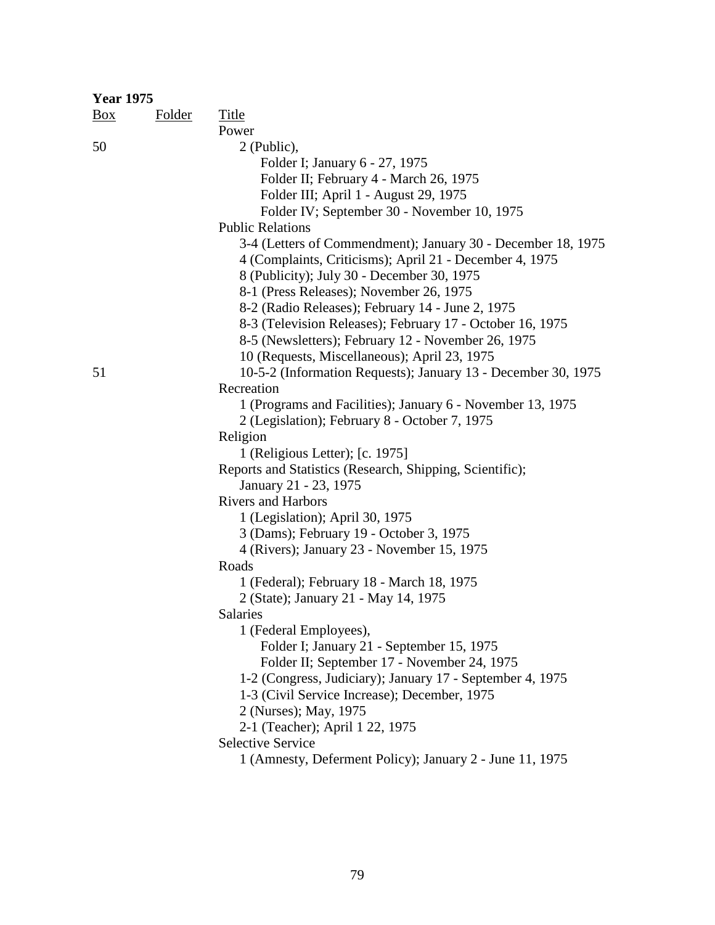| <b>Year 1975</b> |               |                                                               |
|------------------|---------------|---------------------------------------------------------------|
| $\frac{Box}{}$   | <b>Folder</b> | Title                                                         |
|                  |               | Power                                                         |
| 50               |               | 2 (Public),                                                   |
|                  |               | Folder I; January 6 - 27, 1975                                |
|                  |               | Folder II; February 4 - March 26, 1975                        |
|                  |               | Folder III; April 1 - August 29, 1975                         |
|                  |               | Folder IV; September 30 - November 10, 1975                   |
|                  |               | <b>Public Relations</b>                                       |
|                  |               | 3-4 (Letters of Commendment); January 30 - December 18, 1975  |
|                  |               | 4 (Complaints, Criticisms); April 21 - December 4, 1975       |
|                  |               | 8 (Publicity); July 30 - December 30, 1975                    |
|                  |               | 8-1 (Press Releases); November 26, 1975                       |
|                  |               | 8-2 (Radio Releases); February 14 - June 2, 1975              |
|                  |               | 8-3 (Television Releases); February 17 - October 16, 1975     |
|                  |               | 8-5 (Newsletters); February 12 - November 26, 1975            |
|                  |               | 10 (Requests, Miscellaneous); April 23, 1975                  |
| 51               |               | 10-5-2 (Information Requests); January 13 - December 30, 1975 |
|                  |               | Recreation                                                    |
|                  |               | 1 (Programs and Facilities); January 6 - November 13, 1975    |
|                  |               | 2 (Legislation); February 8 - October 7, 1975                 |
|                  |               |                                                               |
|                  |               | Religion                                                      |
|                  |               | 1 (Religious Letter); [c. 1975]                               |
|                  |               | Reports and Statistics (Research, Shipping, Scientific);      |
|                  |               | January 21 - 23, 1975                                         |
|                  |               | <b>Rivers and Harbors</b>                                     |
|                  |               | 1 (Legislation); April 30, 1975                               |
|                  |               | 3 (Dams); February 19 - October 3, 1975                       |
|                  |               | 4 (Rivers); January 23 - November 15, 1975                    |
|                  |               | Roads                                                         |
|                  |               | 1 (Federal); February 18 - March 18, 1975                     |
|                  |               | 2 (State); January 21 - May 14, 1975                          |
|                  |               | Salaries                                                      |
|                  |               | 1 (Federal Employees),                                        |
|                  |               | Folder I; January 21 - September 15, 1975                     |
|                  |               | Folder II; September 17 - November 24, 1975                   |
|                  |               | 1-2 (Congress, Judiciary); January 17 - September 4, 1975     |
|                  |               | 1-3 (Civil Service Increase); December, 1975                  |
|                  |               | 2 (Nurses); May, 1975                                         |
|                  |               | 2-1 (Teacher); April 1 22, 1975                               |
|                  |               | <b>Selective Service</b>                                      |
|                  |               | 1 (Amnesty, Deferment Policy); January 2 - June 11, 1975      |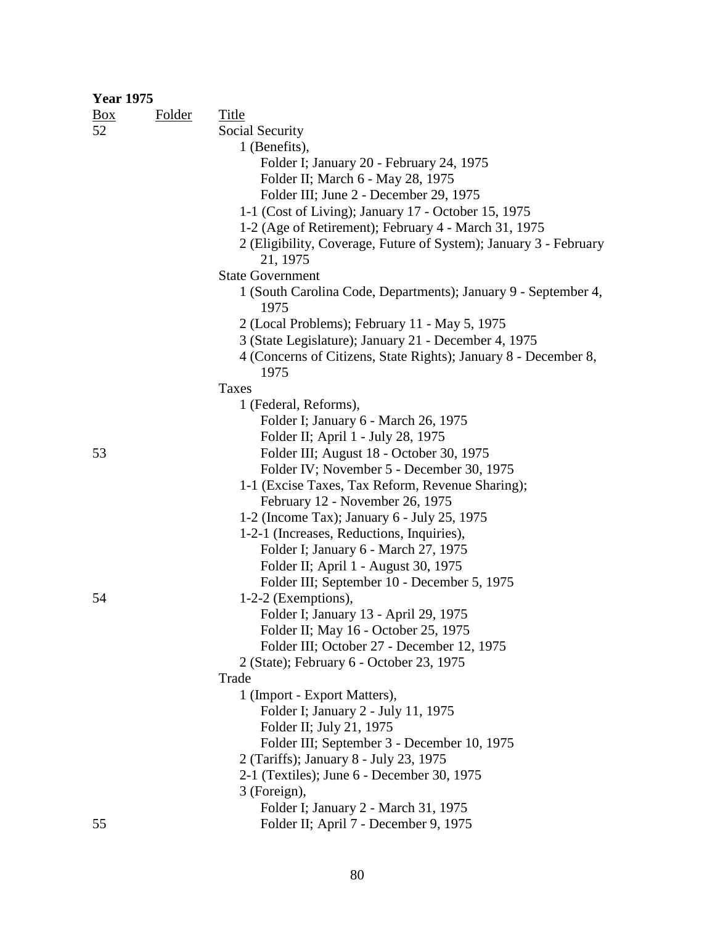| <b>Year 1975</b> |        |                                                                   |
|------------------|--------|-------------------------------------------------------------------|
| $\frac{Box}{}$   | Folder | Title                                                             |
| 52               |        | Social Security                                                   |
|                  |        | 1 (Benefits),                                                     |
|                  |        | Folder I; January 20 - February 24, 1975                          |
|                  |        | Folder II; March 6 - May 28, 1975                                 |
|                  |        | Folder III; June 2 - December 29, 1975                            |
|                  |        | 1-1 (Cost of Living); January 17 - October 15, 1975               |
|                  |        | 1-2 (Age of Retirement); February 4 - March 31, 1975              |
|                  |        | 2 (Eligibility, Coverage, Future of System); January 3 - February |
|                  |        | 21, 1975                                                          |
|                  |        | <b>State Government</b>                                           |
|                  |        | 1 (South Carolina Code, Departments); January 9 - September 4,    |
|                  |        | 1975                                                              |
|                  |        | 2 (Local Problems); February 11 - May 5, 1975                     |
|                  |        | 3 (State Legislature); January 21 - December 4, 1975              |
|                  |        | 4 (Concerns of Citizens, State Rights); January 8 - December 8,   |
|                  |        | 1975                                                              |
|                  |        | Taxes                                                             |
|                  |        | 1 (Federal, Reforms),                                             |
|                  |        | Folder I; January 6 - March 26, 1975                              |
|                  |        | Folder II; April 1 - July 28, 1975                                |
| 53               |        | Folder III; August 18 - October 30, 1975                          |
|                  |        | Folder IV; November 5 - December 30, 1975                         |
|                  |        | 1-1 (Excise Taxes, Tax Reform, Revenue Sharing);                  |
|                  |        | February 12 - November 26, 1975                                   |
|                  |        | 1-2 (Income Tax); January 6 - July 25, 1975                       |
|                  |        | 1-2-1 (Increases, Reductions, Inquiries),                         |
|                  |        | Folder I; January 6 - March 27, 1975                              |
|                  |        | Folder II; April 1 - August 30, 1975                              |
|                  |        | Folder III; September 10 - December 5, 1975                       |
| 54               |        | $1-2-2$ (Exemptions),                                             |
|                  |        | Folder I; January 13 - April 29, 1975                             |
|                  |        | Folder II; May 16 - October 25, 1975                              |
|                  |        | Folder III; October 27 - December 12, 1975                        |
|                  |        | 2 (State); February 6 - October 23, 1975                          |
|                  |        | Trade                                                             |
|                  |        | 1 (Import - Export Matters),                                      |
|                  |        | Folder I; January 2 - July 11, 1975                               |
|                  |        | Folder II; July 21, 1975                                          |
|                  |        | Folder III; September 3 - December 10, 1975                       |
|                  |        | 2 (Tariffs); January 8 - July 23, 1975                            |
|                  |        | 2-1 (Textiles); June 6 - December 30, 1975                        |
|                  |        | 3 (Foreign),                                                      |
|                  |        | Folder I; January 2 - March 31, 1975                              |
| 55               |        | Folder II; April 7 - December 9, 1975                             |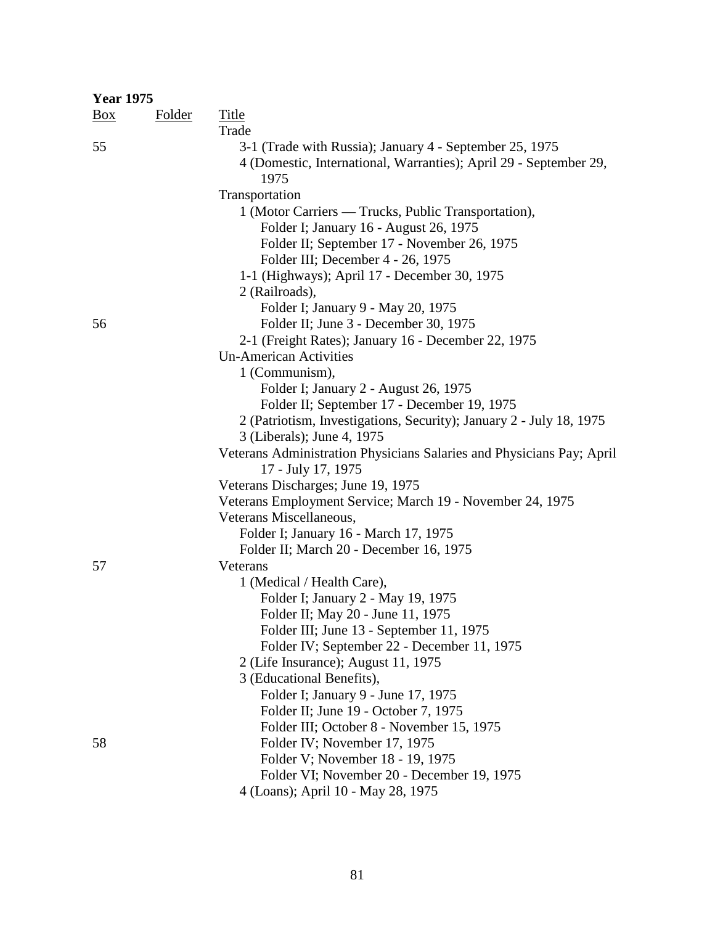| <b>Year 1975</b> |               |                                                                                                                                              |
|------------------|---------------|----------------------------------------------------------------------------------------------------------------------------------------------|
| <u>Box</u>       | <b>Folder</b> | <b>Title</b>                                                                                                                                 |
|                  |               | Trade                                                                                                                                        |
| 55               |               | 3-1 (Trade with Russia); January 4 - September 25, 1975<br>4 (Domestic, International, Warranties); April 29 - September 29,<br>1975         |
|                  |               | Transportation                                                                                                                               |
|                  |               | 1 (Motor Carriers — Trucks, Public Transportation),<br>Folder I; January 16 - August 26, 1975<br>Folder II; September 17 - November 26, 1975 |
|                  |               | Folder III; December 4 - 26, 1975                                                                                                            |
|                  |               | 1-1 (Highways); April 17 - December 30, 1975                                                                                                 |
|                  |               | 2 (Railroads),                                                                                                                               |
|                  |               | Folder I; January 9 - May 20, 1975                                                                                                           |
| 56               |               | Folder II; June 3 - December 30, 1975                                                                                                        |
|                  |               | 2-1 (Freight Rates); January 16 - December 22, 1975                                                                                          |
|                  |               | <b>Un-American Activities</b>                                                                                                                |
|                  |               | 1 (Communism),                                                                                                                               |
|                  |               | Folder I; January 2 - August 26, 1975                                                                                                        |
|                  |               | Folder II; September 17 - December 19, 1975                                                                                                  |
|                  |               | 2 (Patriotism, Investigations, Security); January 2 - July 18, 1975<br>3 (Liberals); June 4, 1975                                            |
|                  |               | Veterans Administration Physicians Salaries and Physicians Pay; April<br>17 - July 17, 1975                                                  |
|                  |               | Veterans Discharges; June 19, 1975                                                                                                           |
|                  |               | Veterans Employment Service; March 19 - November 24, 1975                                                                                    |
|                  |               | Veterans Miscellaneous,                                                                                                                      |
|                  |               | Folder I; January 16 - March 17, 1975                                                                                                        |
|                  |               | Folder II; March 20 - December 16, 1975                                                                                                      |
| 57               |               | Veterans                                                                                                                                     |
|                  |               | 1 (Medical / Health Care),                                                                                                                   |
|                  |               | Folder I; January 2 - May 19, 1975                                                                                                           |
|                  |               | Folder II; May 20 - June 11, 1975                                                                                                            |
|                  |               | Folder III; June 13 - September 11, 1975                                                                                                     |
|                  |               | Folder IV; September 22 - December 11, 1975                                                                                                  |
|                  |               | 2 (Life Insurance); August 11, 1975                                                                                                          |
|                  |               | 3 (Educational Benefits),                                                                                                                    |
|                  |               | Folder I; January 9 - June 17, 1975                                                                                                          |
|                  |               | Folder II; June 19 - October 7, 1975                                                                                                         |
|                  |               | Folder III; October 8 - November 15, 1975                                                                                                    |
| 58               |               | Folder IV; November 17, 1975                                                                                                                 |
|                  |               | Folder V; November 18 - 19, 1975                                                                                                             |
|                  |               | Folder VI; November 20 - December 19, 1975                                                                                                   |
|                  |               | 4 (Loans); April 10 - May 28, 1975                                                                                                           |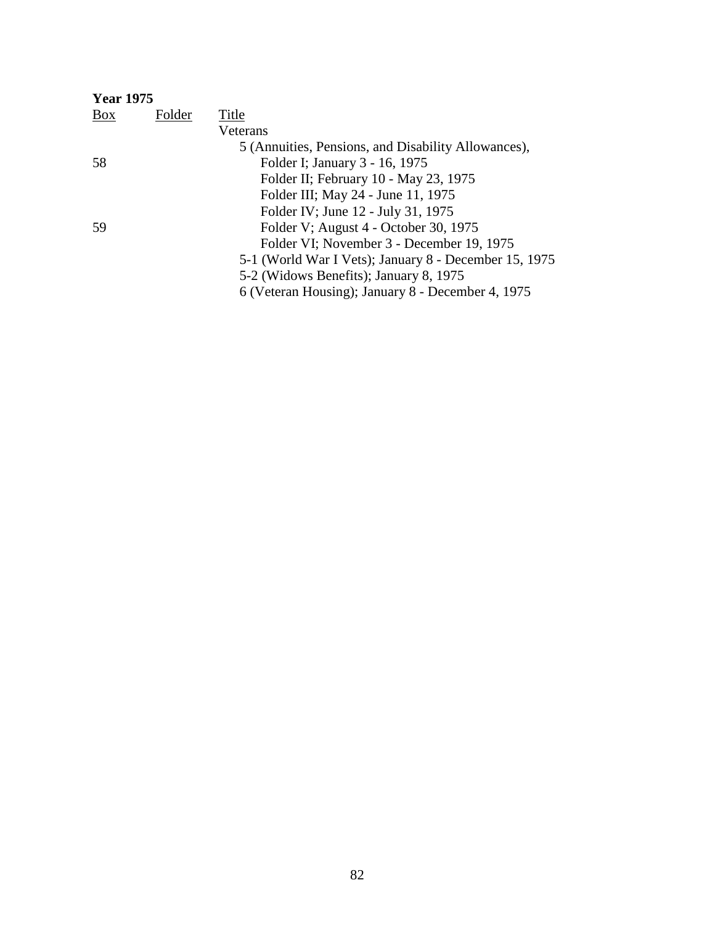| <b>Year 1975</b> |        |                                                       |
|------------------|--------|-------------------------------------------------------|
| Box              | Folder | Title                                                 |
|                  |        | Veterans                                              |
|                  |        | 5 (Annuities, Pensions, and Disability Allowances),   |
| 58               |        | Folder I; January 3 - 16, 1975                        |
|                  |        | Folder II; February 10 - May 23, 1975                 |
|                  |        | Folder III; May 24 - June 11, 1975                    |
|                  |        | Folder IV; June 12 - July 31, 1975                    |
| 59               |        | Folder V; August 4 - October 30, 1975                 |
|                  |        | Folder VI; November 3 - December 19, 1975             |
|                  |        | 5-1 (World War I Vets); January 8 - December 15, 1975 |
|                  |        | 5-2 (Widows Benefits); January 8, 1975                |
|                  |        | 6 (Veteran Housing); January 8 - December 4, 1975     |
|                  |        |                                                       |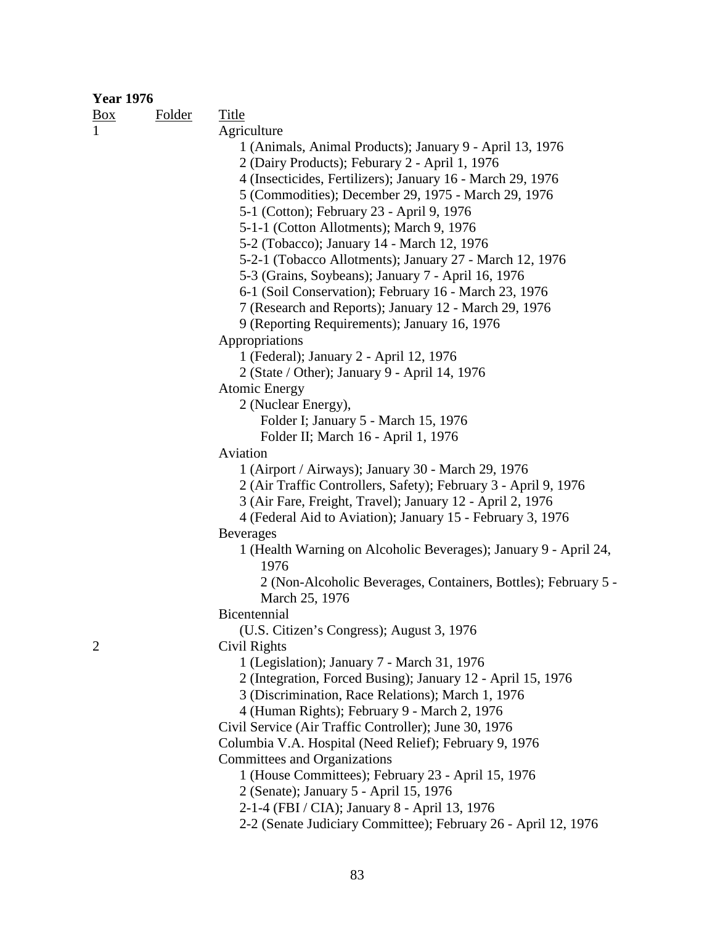| <b>Year 1976</b> |               |                                                                  |
|------------------|---------------|------------------------------------------------------------------|
| $\frac{Box}{}$   | <b>Folder</b> | <b>Title</b>                                                     |
| $\mathbf{1}$     |               | Agriculture                                                      |
|                  |               | 1 (Animals, Animal Products); January 9 - April 13, 1976         |
|                  |               | 2 (Dairy Products); Feburary 2 - April 1, 1976                   |
|                  |               | 4 (Insecticides, Fertilizers); January 16 - March 29, 1976       |
|                  |               | 5 (Commodities); December 29, 1975 - March 29, 1976              |
|                  |               | 5-1 (Cotton); February 23 - April 9, 1976                        |
|                  |               | 5-1-1 (Cotton Allotments); March 9, 1976                         |
|                  |               | 5-2 (Tobacco); January 14 - March 12, 1976                       |
|                  |               | 5-2-1 (Tobacco Allotments); January 27 - March 12, 1976          |
|                  |               | 5-3 (Grains, Soybeans); January 7 - April 16, 1976               |
|                  |               | 6-1 (Soil Conservation); February 16 - March 23, 1976            |
|                  |               | 7 (Research and Reports); January 12 - March 29, 1976            |
|                  |               | 9 (Reporting Requirements); January 16, 1976                     |
|                  |               | Appropriations                                                   |
|                  |               | 1 (Federal); January 2 - April 12, 1976                          |
|                  |               | 2 (State / Other); January 9 - April 14, 1976                    |
|                  |               | <b>Atomic Energy</b>                                             |
|                  |               | 2 (Nuclear Energy),                                              |
|                  |               | Folder I; January 5 - March 15, 1976                             |
|                  |               | Folder II; March 16 - April 1, 1976                              |
|                  |               | Aviation                                                         |
|                  |               | 1 (Airport / Airways); January 30 - March 29, 1976               |
|                  |               | 2 (Air Traffic Controllers, Safety); February 3 - April 9, 1976  |
|                  |               | 3 (Air Fare, Freight, Travel); January 12 - April 2, 1976        |
|                  |               | 4 (Federal Aid to Aviation); January 15 - February 3, 1976       |
|                  |               | <b>Beverages</b>                                                 |
|                  |               | 1 (Health Warning on Alcoholic Beverages); January 9 - April 24, |
|                  |               | 1976                                                             |
|                  |               | 2 (Non-Alcoholic Beverages, Containers, Bottles); February 5 -   |
|                  |               | March 25, 1976<br>Bicentennial                                   |
|                  |               | (U.S. Citizen's Congress); August 3, 1976                        |
| $\overline{2}$   |               | Civil Rights                                                     |
|                  |               | 1 (Legislation); January 7 - March 31, 1976                      |
|                  |               | 2 (Integration, Forced Busing); January 12 - April 15, 1976      |
|                  |               | 3 (Discrimination, Race Relations); March 1, 1976                |
|                  |               | 4 (Human Rights); February 9 - March 2, 1976                     |
|                  |               | Civil Service (Air Traffic Controller); June 30, 1976            |
|                  |               | Columbia V.A. Hospital (Need Relief); February 9, 1976           |
|                  |               | Committees and Organizations                                     |
|                  |               | 1 (House Committees); February 23 - April 15, 1976               |
|                  |               | 2 (Senate); January 5 - April 15, 1976                           |
|                  |               | 2-1-4 (FBI / CIA); January 8 - April 13, 1976                    |
|                  |               | 2-2 (Senate Judiciary Committee); February 26 - April 12, 1976   |
|                  |               |                                                                  |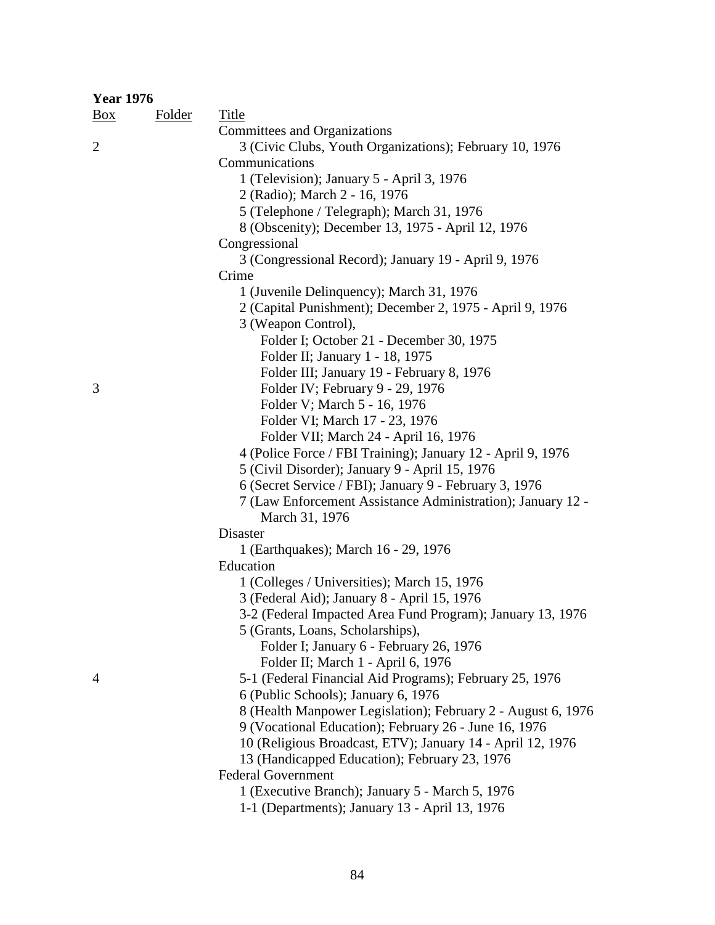| <b>Year 1976</b> |               |                                                                                                                     |  |
|------------------|---------------|---------------------------------------------------------------------------------------------------------------------|--|
| $\frac{Box}{}$   | <b>Folder</b> | <b>Title</b>                                                                                                        |  |
|                  |               | Committees and Organizations                                                                                        |  |
| $\overline{2}$   |               | 3 (Civic Clubs, Youth Organizations); February 10, 1976                                                             |  |
|                  |               | Communications                                                                                                      |  |
|                  |               | 1 (Television); January 5 - April 3, 1976                                                                           |  |
|                  |               | 2 (Radio); March 2 - 16, 1976                                                                                       |  |
|                  |               | 5 (Telephone / Telegraph); March 31, 1976                                                                           |  |
|                  |               | 8 (Obscenity); December 13, 1975 - April 12, 1976                                                                   |  |
|                  |               | Congressional                                                                                                       |  |
|                  |               | 3 (Congressional Record); January 19 - April 9, 1976                                                                |  |
|                  |               | Crime                                                                                                               |  |
|                  |               | 1 (Juvenile Delinquency); March 31, 1976                                                                            |  |
|                  |               | 2 (Capital Punishment); December 2, 1975 - April 9, 1976                                                            |  |
|                  |               | 3 (Weapon Control),                                                                                                 |  |
|                  |               | Folder I; October 21 - December 30, 1975                                                                            |  |
|                  |               | Folder II; January 1 - 18, 1975                                                                                     |  |
|                  |               | Folder III; January 19 - February 8, 1976                                                                           |  |
| 3                |               | Folder IV; February 9 - 29, 1976                                                                                    |  |
|                  |               | Folder V; March 5 - 16, 1976                                                                                        |  |
|                  |               | Folder VI; March 17 - 23, 1976                                                                                      |  |
|                  |               | Folder VII; March 24 - April 16, 1976                                                                               |  |
|                  |               | 4 (Police Force / FBI Training); January 12 - April 9, 1976                                                         |  |
|                  |               | 5 (Civil Disorder); January 9 - April 15, 1976                                                                      |  |
|                  |               | 6 (Secret Service / FBI); January 9 - February 3, 1976                                                              |  |
|                  |               | 7 (Law Enforcement Assistance Administration); January 12 -                                                         |  |
|                  |               | March 31, 1976                                                                                                      |  |
|                  |               | Disaster                                                                                                            |  |
|                  |               | 1 (Earthquakes); March 16 - 29, 1976                                                                                |  |
|                  |               | Education                                                                                                           |  |
|                  |               | 1 (Colleges / Universities); March 15, 1976                                                                         |  |
|                  |               | 3 (Federal Aid); January 8 - April 15, 1976                                                                         |  |
|                  |               | 3-2 (Federal Impacted Area Fund Program); January 13, 1976                                                          |  |
|                  |               | 5 (Grants, Loans, Scholarships),                                                                                    |  |
|                  |               | Folder I; January 6 - February 26, 1976                                                                             |  |
|                  |               | Folder II; March 1 - April 6, 1976                                                                                  |  |
| $\overline{4}$   |               | 5-1 (Federal Financial Aid Programs); February 25, 1976                                                             |  |
|                  |               | 6 (Public Schools); January 6, 1976                                                                                 |  |
|                  |               | 8 (Health Manpower Legislation); February 2 - August 6, 1976                                                        |  |
|                  |               | 9 (Vocational Education); February 26 - June 16, 1976<br>10 (Religious Broadcast, ETV); January 14 - April 12, 1976 |  |
|                  |               | 13 (Handicapped Education); February 23, 1976                                                                       |  |
|                  |               | <b>Federal Government</b>                                                                                           |  |
|                  |               | 1 (Executive Branch); January 5 - March 5, 1976                                                                     |  |
|                  |               | 1-1 (Departments); January 13 - April 13, 1976                                                                      |  |
|                  |               |                                                                                                                     |  |

84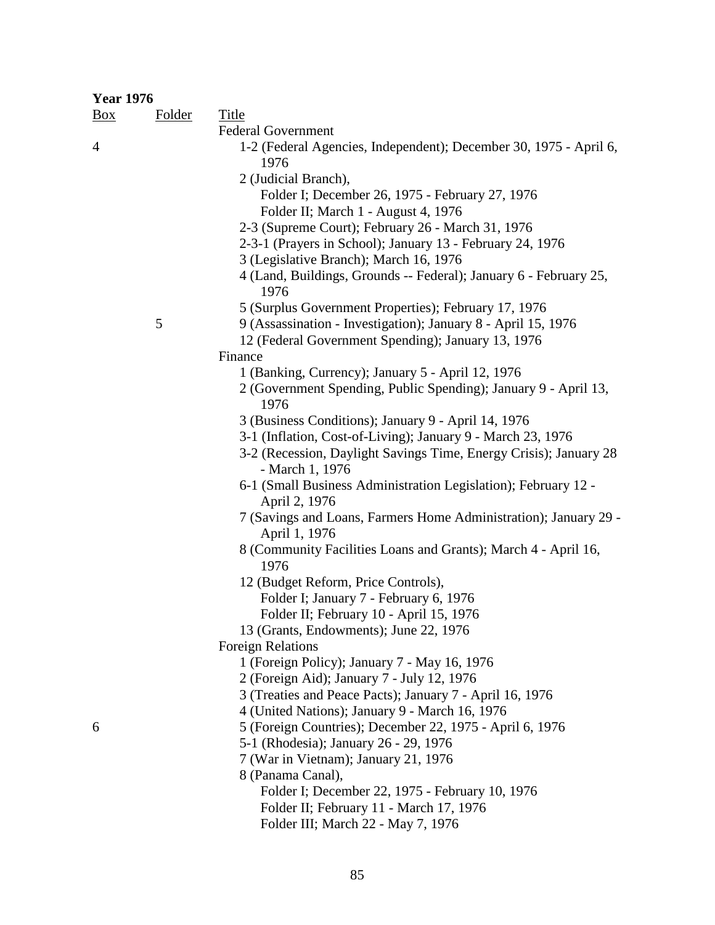| <b>Year 1976</b> |               |                                                                                                            |
|------------------|---------------|------------------------------------------------------------------------------------------------------------|
| $\frac{Box}{}$   | <b>Folder</b> | <b>Title</b>                                                                                               |
|                  |               | <b>Federal Government</b>                                                                                  |
| 4                |               | 1-2 (Federal Agencies, Independent); December 30, 1975 - April 6,<br>1976                                  |
|                  |               | 2 (Judicial Branch),                                                                                       |
|                  |               | Folder I; December 26, 1975 - February 27, 1976                                                            |
|                  |               | Folder II; March 1 - August 4, 1976                                                                        |
|                  |               | 2-3 (Supreme Court); February 26 - March 31, 1976                                                          |
|                  |               | 2-3-1 (Prayers in School); January 13 - February 24, 1976                                                  |
|                  |               | 3 (Legislative Branch); March 16, 1976                                                                     |
|                  |               | 4 (Land, Buildings, Grounds -- Federal); January 6 - February 25,<br>1976                                  |
|                  |               | 5 (Surplus Government Properties); February 17, 1976                                                       |
|                  | 5             | 9 (Assassination - Investigation); January 8 - April 15, 1976                                              |
|                  |               | 12 (Federal Government Spending); January 13, 1976                                                         |
|                  |               | Finance                                                                                                    |
|                  |               | 1 (Banking, Currency); January 5 - April 12, 1976                                                          |
|                  |               | 2 (Government Spending, Public Spending); January 9 - April 13,<br>1976                                    |
|                  |               | 3 (Business Conditions); January 9 - April 14, 1976                                                        |
|                  |               | 3-1 (Inflation, Cost-of-Living); January 9 - March 23, 1976                                                |
|                  |               | 3-2 (Recession, Daylight Savings Time, Energy Crisis); January 28<br>- March 1, 1976                       |
|                  |               | 6-1 (Small Business Administration Legislation); February 12 -<br>April 2, 1976                            |
|                  |               | 7 (Savings and Loans, Farmers Home Administration); January 29 -                                           |
|                  |               | April 1, 1976                                                                                              |
|                  |               | 8 (Community Facilities Loans and Grants); March 4 - April 16,<br>1976                                     |
|                  |               | 12 (Budget Reform, Price Controls),                                                                        |
|                  |               | Folder I; January 7 - February 6, 1976                                                                     |
|                  |               | Folder II; February 10 - April 15, 1976                                                                    |
|                  |               | 13 (Grants, Endowments); June 22, 1976                                                                     |
|                  |               | <b>Foreign Relations</b>                                                                                   |
|                  |               | 1 (Foreign Policy); January 7 - May 16, 1976                                                               |
|                  |               | 2 (Foreign Aid); January 7 - July 12, 1976                                                                 |
|                  |               | 3 (Treaties and Peace Pacts); January 7 - April 16, 1976<br>4 (United Nations); January 9 - March 16, 1976 |
| 6                |               | 5 (Foreign Countries); December 22, 1975 - April 6, 1976                                                   |
|                  |               | 5-1 (Rhodesia); January 26 - 29, 1976                                                                      |
|                  |               | 7 (War in Vietnam); January 21, 1976                                                                       |
|                  |               | 8 (Panama Canal),                                                                                          |
|                  |               | Folder I; December 22, 1975 - February 10, 1976                                                            |
|                  |               | Folder II; February 11 - March 17, 1976                                                                    |

Folder III; March 22 - May 7, 1976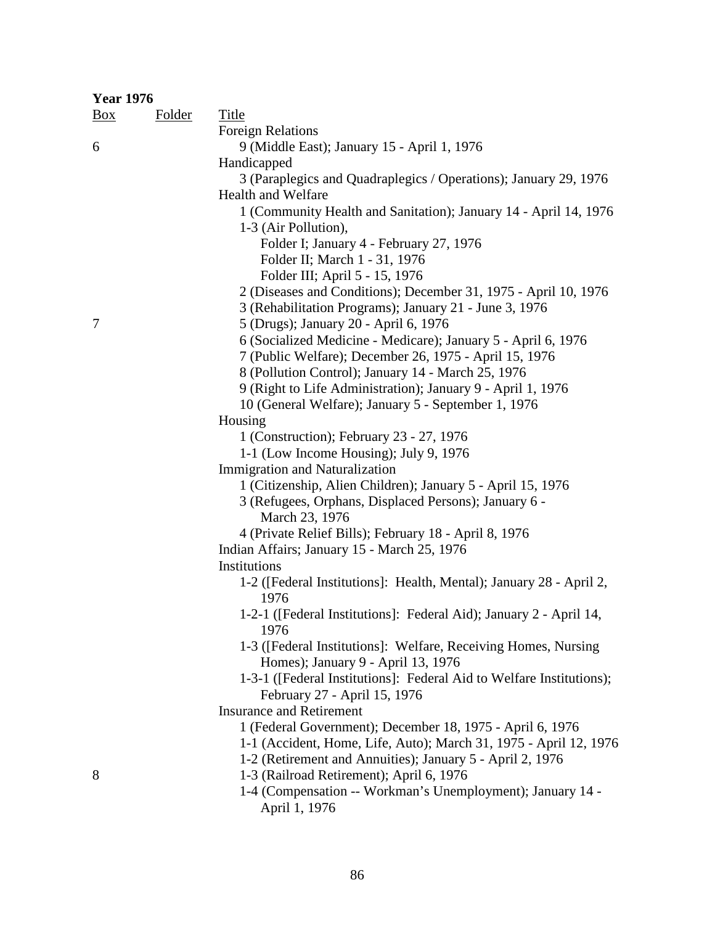| <b>Year 1976</b> |               |                                                                             |
|------------------|---------------|-----------------------------------------------------------------------------|
| $\frac{Box}{}$   | <b>Folder</b> | <b>Title</b>                                                                |
|                  |               | <b>Foreign Relations</b>                                                    |
| 6                |               | 9 (Middle East); January 15 - April 1, 1976                                 |
|                  |               | Handicapped                                                                 |
|                  |               | 3 (Paraplegics and Quadraplegics / Operations); January 29, 1976            |
|                  |               | Health and Welfare                                                          |
|                  |               | 1 (Community Health and Sanitation); January 14 - April 14, 1976            |
|                  |               | 1-3 (Air Pollution),                                                        |
|                  |               | Folder I; January 4 - February 27, 1976                                     |
|                  |               | Folder II; March 1 - 31, 1976                                               |
|                  |               | Folder III; April 5 - 15, 1976                                              |
|                  |               | 2 (Diseases and Conditions); December 31, 1975 - April 10, 1976             |
|                  |               | 3 (Rehabilitation Programs); January 21 - June 3, 1976                      |
| 7                |               | 5 (Drugs); January 20 - April 6, 1976                                       |
|                  |               | 6 (Socialized Medicine - Medicare); January 5 - April 6, 1976               |
|                  |               | 7 (Public Welfare); December 26, 1975 - April 15, 1976                      |
|                  |               | 8 (Pollution Control); January 14 - March 25, 1976                          |
|                  |               | 9 (Right to Life Administration); January 9 - April 1, 1976                 |
|                  |               | 10 (General Welfare); January 5 - September 1, 1976                         |
|                  |               | Housing                                                                     |
|                  |               | 1 (Construction); February 23 - 27, 1976                                    |
|                  |               | 1-1 (Low Income Housing); July 9, 1976                                      |
|                  |               | <b>Immigration and Naturalization</b>                                       |
|                  |               | 1 (Citizenship, Alien Children); January 5 - April 15, 1976                 |
|                  |               | 3 (Refugees, Orphans, Displaced Persons); January 6 -                       |
|                  |               | March 23, 1976                                                              |
|                  |               | 4 (Private Relief Bills); February 18 - April 8, 1976                       |
|                  |               | Indian Affairs; January 15 - March 25, 1976                                 |
|                  |               | Institutions                                                                |
|                  |               | 1-2 ([Federal Institutions]: Health, Mental); January 28 - April 2,<br>1976 |
|                  |               | 1-2-1 ([Federal Institutions]: Federal Aid); January 2 - April 14,          |
|                  |               | 1976                                                                        |
|                  |               | 1-3 ([Federal Institutions]: Welfare, Receiving Homes, Nursing              |
|                  |               | Homes); January 9 - April 13, 1976                                          |
|                  |               | 1-3-1 ([Federal Institutions]: Federal Aid to Welfare Institutions);        |
|                  |               | February 27 - April 15, 1976                                                |
|                  |               | <b>Insurance and Retirement</b>                                             |
|                  |               | 1 (Federal Government); December 18, 1975 - April 6, 1976                   |
|                  |               | 1-1 (Accident, Home, Life, Auto); March 31, 1975 - April 12, 1976           |
|                  |               | 1-2 (Retirement and Annuities); January 5 - April 2, 1976                   |
| 8                |               | 1-3 (Railroad Retirement); April 6, 1976                                    |
|                  |               | 1-4 (Compensation -- Workman's Unemployment); January 14 -                  |
|                  |               | April 1, 1976                                                               |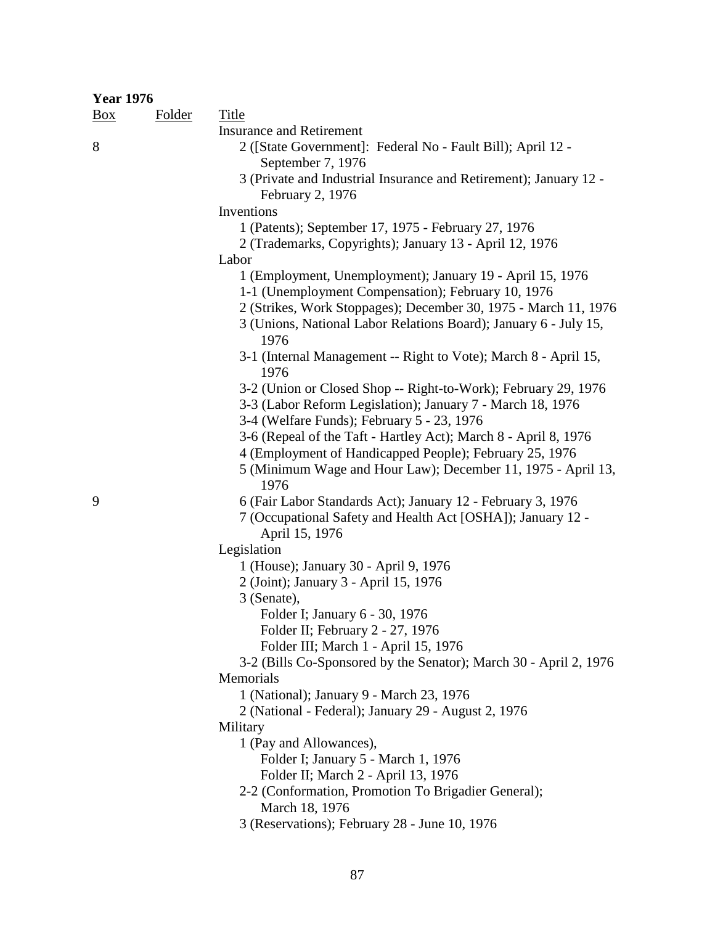| <b>Year 1976</b> |               |                                                                                                                                                                                                                                                                |
|------------------|---------------|----------------------------------------------------------------------------------------------------------------------------------------------------------------------------------------------------------------------------------------------------------------|
| $\frac{Box}{}$   | <b>Folder</b> | Title                                                                                                                                                                                                                                                          |
|                  |               | <b>Insurance and Retirement</b>                                                                                                                                                                                                                                |
| 8                |               | 2 ([State Government]: Federal No - Fault Bill); April 12 -<br>September 7, 1976                                                                                                                                                                               |
|                  |               | 3 (Private and Industrial Insurance and Retirement); January 12 -<br>February 2, 1976                                                                                                                                                                          |
|                  |               | Inventions                                                                                                                                                                                                                                                     |
|                  |               | 1 (Patents); September 17, 1975 - February 27, 1976<br>2 (Trademarks, Copyrights); January 13 - April 12, 1976                                                                                                                                                 |
|                  |               | Labor                                                                                                                                                                                                                                                          |
|                  |               | 1 (Employment, Unemployment); January 19 - April 15, 1976<br>1-1 (Unemployment Compensation); February 10, 1976<br>2 (Strikes, Work Stoppages); December 30, 1975 - March 11, 1976<br>3 (Unions, National Labor Relations Board); January 6 - July 15,<br>1976 |
|                  |               | 3-1 (Internal Management -- Right to Vote); March 8 - April 15,<br>1976                                                                                                                                                                                        |
|                  |               | 3-2 (Union or Closed Shop -- Right-to-Work); February 29, 1976<br>3-3 (Labor Reform Legislation); January 7 - March 18, 1976<br>3-4 (Welfare Funds); February 5 - 23, 1976                                                                                     |
|                  |               | 3-6 (Repeal of the Taft - Hartley Act); March 8 - April 8, 1976<br>4 (Employment of Handicapped People); February 25, 1976<br>5 (Minimum Wage and Hour Law); December 11, 1975 - April 13,<br>1976                                                             |
| 9                |               | 6 (Fair Labor Standards Act); January 12 - February 3, 1976<br>7 (Occupational Safety and Health Act [OSHA]); January 12 -<br>April 15, 1976                                                                                                                   |
|                  |               | Legislation                                                                                                                                                                                                                                                    |
|                  |               | 1 (House); January 30 - April 9, 1976                                                                                                                                                                                                                          |
|                  |               | 2 (Joint); January 3 - April 15, 1976                                                                                                                                                                                                                          |
|                  |               | 3 (Senate),                                                                                                                                                                                                                                                    |
|                  |               | Folder I; January 6 - 30, 1976                                                                                                                                                                                                                                 |
|                  |               | Folder II; February 2 - 27, 1976                                                                                                                                                                                                                               |
|                  |               | Folder III; March 1 - April 15, 1976                                                                                                                                                                                                                           |
|                  |               | 3-2 (Bills Co-Sponsored by the Senator); March 30 - April 2, 1976                                                                                                                                                                                              |
|                  |               | Memorials                                                                                                                                                                                                                                                      |
|                  |               | 1 (National); January 9 - March 23, 1976                                                                                                                                                                                                                       |
|                  |               | 2 (National - Federal); January 29 - August 2, 1976                                                                                                                                                                                                            |
|                  |               | Military                                                                                                                                                                                                                                                       |
|                  |               | 1 (Pay and Allowances),<br>Folder I; January 5 - March 1, 1976                                                                                                                                                                                                 |
|                  |               | Folder II; March 2 - April 13, 1976                                                                                                                                                                                                                            |
|                  |               | 2-2 (Conformation, Promotion To Brigadier General);                                                                                                                                                                                                            |
|                  |               | March 18, 1976                                                                                                                                                                                                                                                 |
|                  |               | 3 (Reservations); February 28 - June 10, 1976                                                                                                                                                                                                                  |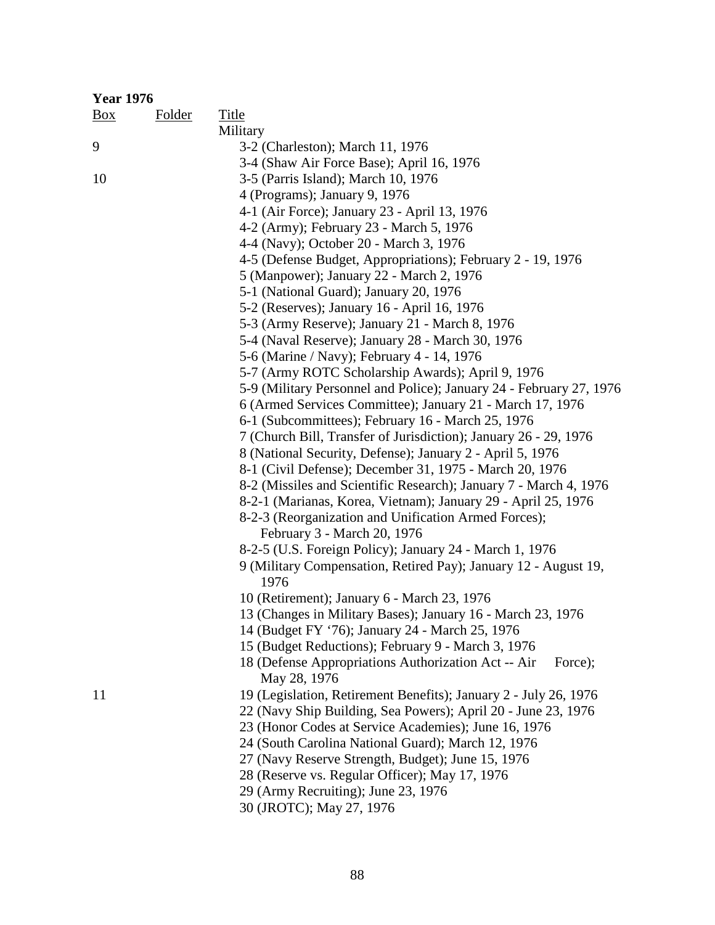| <b>Year 1976</b> |               |                                                                                |
|------------------|---------------|--------------------------------------------------------------------------------|
| $\frac{Box}{}$   | <b>Folder</b> | Title                                                                          |
|                  |               | Military                                                                       |
| 9                |               | 3-2 (Charleston); March 11, 1976                                               |
|                  |               | 3-4 (Shaw Air Force Base); April 16, 1976                                      |
| 10               |               | 3-5 (Parris Island); March 10, 1976                                            |
|                  |               | 4 (Programs); January 9, 1976                                                  |
|                  |               | 4-1 (Air Force); January 23 - April 13, 1976                                   |
|                  |               | 4-2 (Army); February 23 - March 5, 1976                                        |
|                  |               | 4-4 (Navy); October 20 - March 3, 1976                                         |
|                  |               | 4-5 (Defense Budget, Appropriations); February 2 - 19, 1976                    |
|                  |               | 5 (Manpower); January 22 - March 2, 1976                                       |
|                  |               | 5-1 (National Guard); January 20, 1976                                         |
|                  |               | 5-2 (Reserves); January 16 - April 16, 1976                                    |
|                  |               | 5-3 (Army Reserve); January 21 - March 8, 1976                                 |
|                  |               | 5-4 (Naval Reserve); January 28 - March 30, 1976                               |
|                  |               | 5-6 (Marine / Navy); February 4 - 14, 1976                                     |
|                  |               | 5-7 (Army ROTC Scholarship Awards); April 9, 1976                              |
|                  |               | 5-9 (Military Personnel and Police); January 24 - February 27, 1976            |
|                  |               | 6 (Armed Services Committee); January 21 - March 17, 1976                      |
|                  |               | 6-1 (Subcommittees); February 16 - March 25, 1976                              |
|                  |               | 7 (Church Bill, Transfer of Jurisdiction); January 26 - 29, 1976               |
|                  |               | 8 (National Security, Defense); January 2 - April 5, 1976                      |
|                  |               | 8-1 (Civil Defense); December 31, 1975 - March 20, 1976                        |
|                  |               | 8-2 (Missiles and Scientific Research); January 7 - March 4, 1976              |
|                  |               | 8-2-1 (Marianas, Korea, Vietnam); January 29 - April 25, 1976                  |
|                  |               | 8-2-3 (Reorganization and Unification Armed Forces);                           |
|                  |               | February 3 - March 20, 1976                                                    |
|                  |               | 8-2-5 (U.S. Foreign Policy); January 24 - March 1, 1976                        |
|                  |               | 9 (Military Compensation, Retired Pay); January 12 - August 19,<br>1976        |
|                  |               | 10 (Retirement); January 6 - March 23, 1976                                    |
|                  |               | 13 (Changes in Military Bases); January 16 - March 23, 1976                    |
|                  |               | 14 (Budget FY '76); January 24 - March 25, 1976                                |
|                  |               | 15 (Budget Reductions); February 9 - March 3, 1976                             |
|                  |               | 18 (Defense Appropriations Authorization Act -- Air<br>Force);<br>May 28, 1976 |
| 11               |               | 19 (Legislation, Retirement Benefits); January 2 - July 26, 1976               |
|                  |               | 22 (Navy Ship Building, Sea Powers); April 20 - June 23, 1976                  |
|                  |               | 23 (Honor Codes at Service Academies); June 16, 1976                           |
|                  |               | 24 (South Carolina National Guard); March 12, 1976                             |
|                  |               | 27 (Navy Reserve Strength, Budget); June 15, 1976                              |
|                  |               | 28 (Reserve vs. Regular Officer); May 17, 1976                                 |
|                  |               | 29 (Army Recruiting); June 23, 1976                                            |
|                  |               | 30 (JROTC); May 27, 1976                                                       |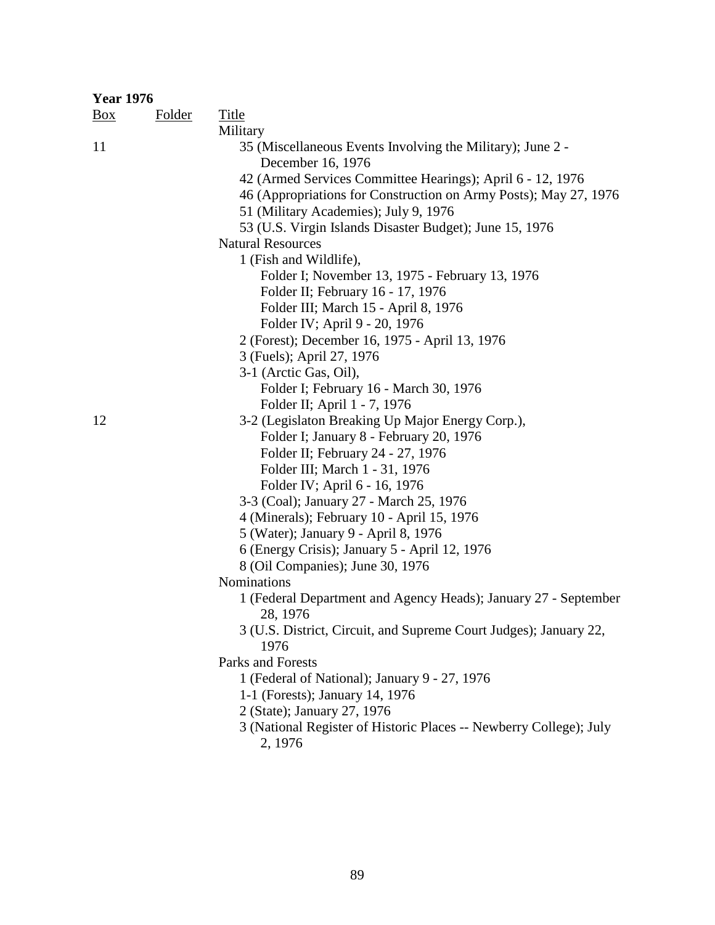| <b>Year 1976</b> |               |                                                                           |
|------------------|---------------|---------------------------------------------------------------------------|
| $\frac{Box}{}$   | <b>Folder</b> | <b>Title</b>                                                              |
|                  |               | Military                                                                  |
| 11               |               | 35 (Miscellaneous Events Involving the Military); June 2 -                |
|                  |               | December 16, 1976                                                         |
|                  |               | 42 (Armed Services Committee Hearings); April 6 - 12, 1976                |
|                  |               | 46 (Appropriations for Construction on Army Posts); May 27, 1976          |
|                  |               | 51 (Military Academies); July 9, 1976                                     |
|                  |               | 53 (U.S. Virgin Islands Disaster Budget); June 15, 1976                   |
|                  |               | <b>Natural Resources</b>                                                  |
|                  |               | 1 (Fish and Wildlife),                                                    |
|                  |               | Folder I; November 13, 1975 - February 13, 1976                           |
|                  |               | Folder II; February 16 - 17, 1976                                         |
|                  |               | Folder III; March 15 - April 8, 1976                                      |
|                  |               | Folder IV; April 9 - 20, 1976                                             |
|                  |               | 2 (Forest); December 16, 1975 - April 13, 1976                            |
|                  |               | 3 (Fuels); April 27, 1976                                                 |
|                  |               | 3-1 (Arctic Gas, Oil),                                                    |
|                  |               | Folder I; February 16 - March 30, 1976                                    |
|                  |               | Folder II; April 1 - 7, 1976                                              |
| 12               |               | 3-2 (Legislaton Breaking Up Major Energy Corp.),                          |
|                  |               | Folder I; January 8 - February 20, 1976                                   |
|                  |               | Folder II; February 24 - 27, 1976                                         |
|                  |               | Folder III; March 1 - 31, 1976                                            |
|                  |               | Folder IV; April 6 - 16, 1976                                             |
|                  |               | 3-3 (Coal); January 27 - March 25, 1976                                   |
|                  |               | 4 (Minerals); February 10 - April 15, 1976                                |
|                  |               | 5 (Water); January 9 - April 8, 1976                                      |
|                  |               | 6 (Energy Crisis); January 5 - April 12, 1976                             |
|                  |               | 8 (Oil Companies); June 30, 1976                                          |
|                  |               | Nominations                                                               |
|                  |               | 1 (Federal Department and Agency Heads); January 27 - September           |
|                  |               | 28, 1976                                                                  |
|                  |               | 3 (U.S. District, Circuit, and Supreme Court Judges); January 22,<br>1976 |
|                  |               | Parks and Forests                                                         |
|                  |               |                                                                           |
|                  |               | 1 (Federal of National); January 9 - 27, 1976                             |
|                  |               | 1-1 (Forests); January 14, 1976                                           |
|                  |               | 2 (State); January 27, 1976                                               |
|                  |               | 3 (National Register of Historic Places -- Newberry College); July        |
|                  |               | 2, 1976                                                                   |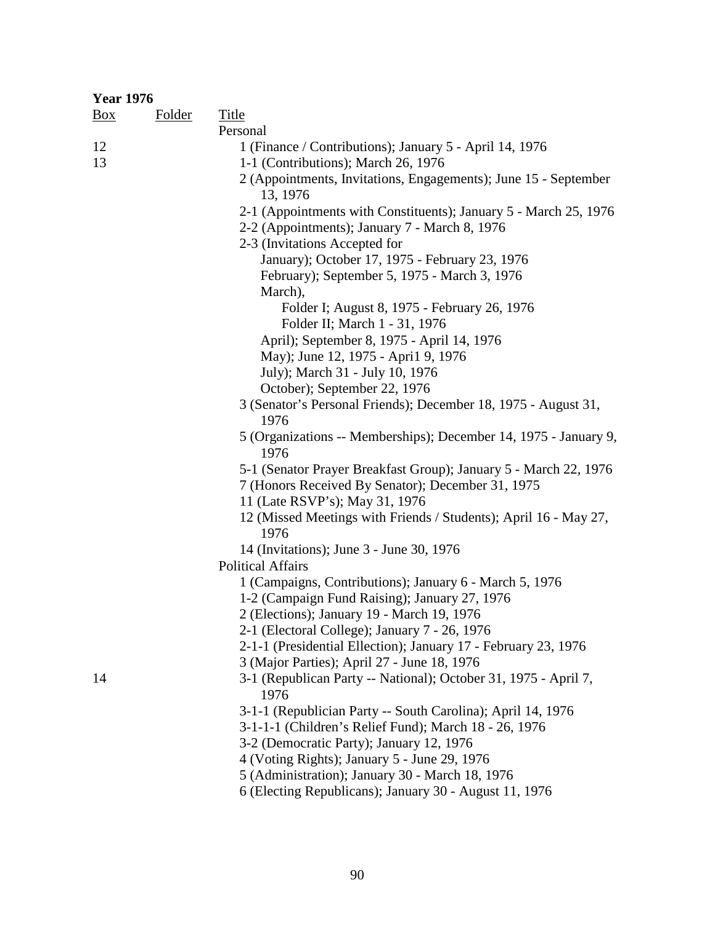| <b>Year 1976</b> |               |                                                                          |
|------------------|---------------|--------------------------------------------------------------------------|
| $\frac{Box}{}$   | <b>Folder</b> | <b>Title</b>                                                             |
|                  |               | Personal                                                                 |
| 12               |               | 1 (Finance / Contributions); January 5 - April 14, 1976                  |
| 13               |               | 1-1 (Contributions); March 26, 1976                                      |
|                  |               | 2 (Appointments, Invitations, Engagements); June 15 - September          |
|                  |               | 13, 1976                                                                 |
|                  |               | 2-1 (Appointments with Constituents); January 5 - March 25, 1976         |
|                  |               | 2-2 (Appointments); January 7 - March 8, 1976                            |
|                  |               | 2-3 (Invitations Accepted for                                            |
|                  |               | January); October 17, 1975 - February 23, 1976                           |
|                  |               | February); September 5, 1975 - March 3, 1976                             |
|                  |               | March),                                                                  |
|                  |               | Folder I; August 8, 1975 - February 26, 1976                             |
|                  |               | Folder II; March 1 - 31, 1976                                            |
|                  |               | April); September 8, 1975 - April 14, 1976                               |
|                  |               | May); June 12, 1975 - April 9, 1976                                      |
|                  |               | July); March 31 - July 10, 1976                                          |
|                  |               | October); September 22, 1976                                             |
|                  |               | 3 (Senator's Personal Friends); December 18, 1975 - August 31,           |
|                  |               | 1976                                                                     |
|                  |               | 5 (Organizations -- Memberships); December 14, 1975 - January 9,<br>1976 |
|                  |               | 5-1 (Senator Prayer Breakfast Group); January 5 - March 22, 1976         |
|                  |               | 7 (Honors Received By Senator); December 31, 1975                        |
|                  |               | 11 (Late RSVP's); May 31, 1976                                           |
|                  |               | 12 (Missed Meetings with Friends / Students); April 16 - May 27,         |
|                  |               | 1976                                                                     |
|                  |               | 14 (Invitations); June 3 - June 30, 1976                                 |
|                  |               | <b>Political Affairs</b>                                                 |
|                  |               | 1 (Campaigns, Contributions); January 6 - March 5, 1976                  |
|                  |               | 1-2 (Campaign Fund Raising); January 27, 1976                            |
|                  |               | 2 (Elections); January 19 - March 19, 1976                               |
|                  |               | 2-1 (Electoral College); January 7 - 26, 1976                            |
|                  |               | 2-1-1 (Presidential Ellection); January 17 - February 23, 1976           |
|                  |               | 3 (Major Parties); April 27 - June 18, 1976                              |
| 14               |               | 3-1 (Republican Party -- National); October 31, 1975 - April 7,          |
|                  |               | 1976                                                                     |
|                  |               | 3-1-1 (Republician Party -- South Carolina); April 14, 1976              |
|                  |               | 3-1-1-1 (Children's Relief Fund); March 18 - 26, 1976                    |
|                  |               | 3-2 (Democratic Party); January 12, 1976                                 |
|                  |               | 4 (Voting Rights); January 5 - June 29, 1976                             |
|                  |               | 5 (Administration); January 30 - March 18, 1976                          |
|                  |               | 6 (Electing Republicans); January 30 - August 11, 1976                   |
|                  |               |                                                                          |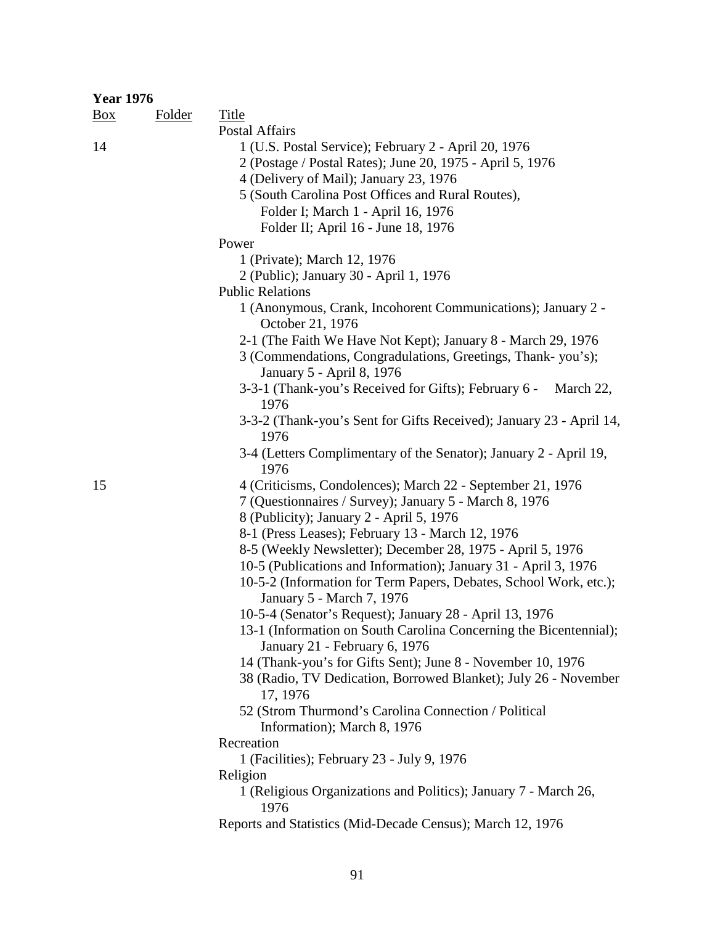| <b>Year 1976</b> |               |                                                                                     |
|------------------|---------------|-------------------------------------------------------------------------------------|
| $\frac{Box}{}$   | <b>Folder</b> | <b>Title</b>                                                                        |
|                  |               | <b>Postal Affairs</b>                                                               |
| 14               |               | 1 (U.S. Postal Service); February 2 - April 20, 1976                                |
|                  |               | 2 (Postage / Postal Rates); June 20, 1975 - April 5, 1976                           |
|                  |               | 4 (Delivery of Mail); January 23, 1976                                              |
|                  |               | 5 (South Carolina Post Offices and Rural Routes),                                   |
|                  |               | Folder I; March 1 - April 16, 1976                                                  |
|                  |               | Folder II; April 16 - June 18, 1976                                                 |
|                  |               | Power                                                                               |
|                  |               | 1 (Private); March 12, 1976                                                         |
|                  |               | 2 (Public); January 30 - April 1, 1976                                              |
|                  |               | <b>Public Relations</b>                                                             |
|                  |               | 1 (Anonymous, Crank, Incohorent Communications); January 2 -<br>October 21, 1976    |
|                  |               | 2-1 (The Faith We Have Not Kept); January 8 - March 29, 1976                        |
|                  |               | 3 (Commendations, Congradulations, Greetings, Thank-you's);                         |
|                  |               | January 5 - April 8, 1976                                                           |
|                  |               | 3-3-1 (Thank-you's Received for Gifts); February 6 -<br>March 22,                   |
|                  |               | 1976                                                                                |
|                  |               | 3-3-2 (Thank-you's Sent for Gifts Received); January 23 - April 14,                 |
|                  |               | 1976                                                                                |
|                  |               | 3-4 (Letters Complimentary of the Senator); January 2 - April 19,<br>1976           |
| 15               |               | 4 (Criticisms, Condolences); March 22 - September 21, 1976                          |
|                  |               | 7 (Questionnaires / Survey); January 5 - March 8, 1976                              |
|                  |               | 8 (Publicity); January 2 - April 5, 1976                                            |
|                  |               | 8-1 (Press Leases); February 13 - March 12, 1976                                    |
|                  |               | 8-5 (Weekly Newsletter); December 28, 1975 - April 5, 1976                          |
|                  |               | 10-5 (Publications and Information); January 31 - April 3, 1976                     |
|                  |               | 10-5-2 (Information for Term Papers, Debates, School Work, etc.);                   |
|                  |               | January 5 - March 7, 1976                                                           |
|                  |               | 10-5-4 (Senator's Request); January 28 - April 13, 1976                             |
|                  |               | 13-1 (Information on South Carolina Concerning the Bicentennial);                   |
|                  |               | January 21 - February 6, 1976                                                       |
|                  |               | 14 (Thank-you's for Gifts Sent); June 8 - November 10, 1976                         |
|                  |               | 38 (Radio, TV Dedication, Borrowed Blanket); July 26 - November                     |
|                  |               | 17, 1976                                                                            |
|                  |               | 52 (Strom Thurmond's Carolina Connection / Political<br>Information); March 8, 1976 |
|                  |               | Recreation                                                                          |
|                  |               | 1 (Facilities); February 23 - July 9, 1976                                          |
|                  |               | Religion                                                                            |
|                  |               | 1 (Religious Organizations and Politics); January 7 - March 26,                     |
|                  |               | 1976                                                                                |
|                  |               | Reports and Statistics (Mid-Decade Census); March 12, 1976                          |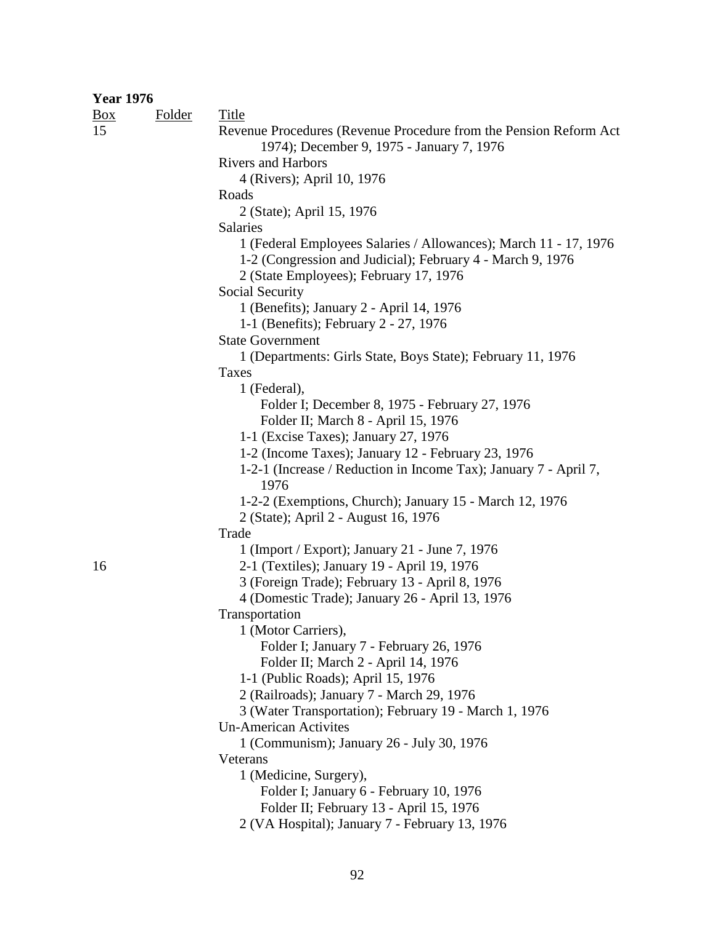| <b>Year 1976</b> |               |                                                                                                                                                                          |
|------------------|---------------|--------------------------------------------------------------------------------------------------------------------------------------------------------------------------|
| $\frac{Box}{}$   | <b>Folder</b> | <b>Title</b>                                                                                                                                                             |
| 15               |               | Revenue Procedures (Revenue Procedure from the Pension Reform Act<br>1974); December 9, 1975 - January 7, 1976                                                           |
|                  |               | <b>Rivers and Harbors</b>                                                                                                                                                |
|                  |               | 4 (Rivers); April 10, 1976                                                                                                                                               |
|                  |               | Roads                                                                                                                                                                    |
|                  |               | 2 (State); April 15, 1976<br>Salaries                                                                                                                                    |
|                  |               | 1 (Federal Employees Salaries / Allowances); March 11 - 17, 1976<br>1-2 (Congression and Judicial); February 4 - March 9, 1976<br>2 (State Employees); February 17, 1976 |
|                  |               | <b>Social Security</b>                                                                                                                                                   |
|                  |               | 1 (Benefits); January 2 - April 14, 1976<br>1-1 (Benefits); February 2 - 27, 1976                                                                                        |
|                  |               | <b>State Government</b>                                                                                                                                                  |
|                  |               | 1 (Departments: Girls State, Boys State); February 11, 1976                                                                                                              |
|                  |               | Taxes                                                                                                                                                                    |
|                  |               | 1 (Federal),                                                                                                                                                             |
|                  |               | Folder I; December 8, 1975 - February 27, 1976                                                                                                                           |
|                  |               | Folder II; March 8 - April 15, 1976                                                                                                                                      |
|                  |               | 1-1 (Excise Taxes); January 27, 1976                                                                                                                                     |
|                  |               | 1-2 (Income Taxes); January 12 - February 23, 1976                                                                                                                       |
|                  |               | 1-2-1 (Increase / Reduction in Income Tax); January 7 - April 7,<br>1976                                                                                                 |
|                  |               | 1-2-2 (Exemptions, Church); January 15 - March 12, 1976<br>2 (State); April 2 - August 16, 1976                                                                          |
|                  |               | Trade                                                                                                                                                                    |
|                  |               | 1 (Import / Export); January 21 - June 7, 1976                                                                                                                           |
| 16               |               | 2-1 (Textiles); January 19 - April 19, 1976                                                                                                                              |
|                  |               | 3 (Foreign Trade); February 13 - April 8, 1976                                                                                                                           |
|                  |               | 4 (Domestic Trade); January 26 - April 13, 1976                                                                                                                          |
|                  |               | Transportation                                                                                                                                                           |
|                  |               | 1 (Motor Carriers),                                                                                                                                                      |
|                  |               | Folder I; January 7 - February 26, 1976                                                                                                                                  |
|                  |               | Folder II; March 2 - April 14, 1976                                                                                                                                      |
|                  |               | 1-1 (Public Roads); April 15, 1976                                                                                                                                       |
|                  |               | 2 (Railroads); January 7 - March 29, 1976                                                                                                                                |
|                  |               | 3 (Water Transportation); February 19 - March 1, 1976                                                                                                                    |
|                  |               | <b>Un-American Activites</b>                                                                                                                                             |
|                  |               | 1 (Communism); January 26 - July 30, 1976                                                                                                                                |
|                  |               | Veterans                                                                                                                                                                 |
|                  |               | 1 (Medicine, Surgery),                                                                                                                                                   |
|                  |               | Folder I; January 6 - February 10, 1976                                                                                                                                  |
|                  |               | Folder II; February 13 - April 15, 1976                                                                                                                                  |
|                  |               | 2 (VA Hospital); January 7 - February 13, 1976                                                                                                                           |